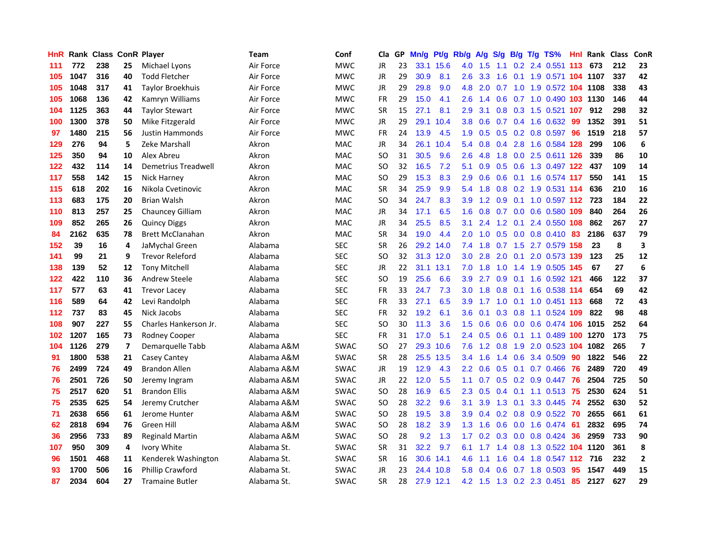| <b>HnR</b> |      | Rank Class ConR Player |                |                         | <b>Team</b> | Conf        | Cla       |    | GP Mn/g | Pt/g      | Rb/g             | A/g                                    | <b>S/g</b>    |                 | B/g T/g TS%               | Hnl | Rank Class |     | ConR                    |
|------------|------|------------------------|----------------|-------------------------|-------------|-------------|-----------|----|---------|-----------|------------------|----------------------------------------|---------------|-----------------|---------------------------|-----|------------|-----|-------------------------|
| 111        | 772  | 238                    | 25             | Michael Lyons           | Air Force   | <b>MWC</b>  | JR        | 23 |         | 33.1 15.6 | 4.0              | 1.5                                    | 1.1           | 0.2             | 2.4 0.551                 | 113 | 673        | 212 | 23                      |
| 105        | 1047 | 316                    | 40             | <b>Todd Fletcher</b>    | Air Force   | <b>MWC</b>  | JR        | 29 | 30.9    | 8.1       | 2.6              | 3.3                                    | 1.6           | 0.1             | 1.9 0.571 104 1107        |     |            | 337 | 42                      |
| 105        | 1048 | 317                    | 41             | <b>Taylor Broekhuis</b> | Air Force   | <b>MWC</b>  | JR        | 29 | 29.8    | 9.0       | 4.8              | 2.0                                    | 0.7           | 1.0             | 1.9 0.572 104 1108        |     |            | 338 | 43                      |
| 105        | 1068 | 136                    | 42             | Kamryn Williams         | Air Force   | <b>MWC</b>  | <b>FR</b> | 29 | 15.0    | 4.1       | 2.6              | 1.4                                    | 0.6           |                 | 0.7 1.0 0.490 103 1130    |     |            | 146 | 44                      |
| 104        | 1125 | 363                    | 44             | <b>Taylor Stewart</b>   | Air Force   | <b>MWC</b>  | <b>SR</b> | 15 | 27.1    | 8.1       | 2.9              | 3.1                                    |               |                 | 0.8 0.3 1.5 0.521 107     |     | 912        | 298 | 32                      |
| 100        | 1300 | 378                    | 50             | Mike Fitzgerald         | Air Force   | <b>MWC</b>  | JR        | 29 |         | 29.1 10.4 | 3.8              | 0.6                                    |               |                 | $0.7$ $0.4$ 1.6 $0.632$   | -99 | 1352       | 391 | 51                      |
| 97         | 1480 | 215                    | 56             | <b>Justin Hammonds</b>  | Air Force   | <b>MWC</b>  | <b>FR</b> | 24 | 13.9    | 4.5       | 1.9              | 0.5                                    |               |                 | $0.5$ 0.2 0.8 0.597       | 96  | 1519       | 218 | 57                      |
| 129        | 276  | 94                     | 5              | Zeke Marshall           | Akron       | MAC         | JR        | 34 |         | 26.1 10.4 | 5.4              | 0.8                                    | 0.4           | 2.8             | 1.6 0.584 128             |     | 299        | 106 | 6                       |
| 125        | 350  | 94                     | 10             | Alex Abreu              | Akron       | <b>MAC</b>  | <b>SO</b> | 31 | 30.5    | 9.6       | 2.6              | 4.8                                    | 1.8           | 0.0             | 2.5 0.611 126             |     | 339        | 86  | 10                      |
| 122        | 432  | 114                    | 14             | Demetrius Treadwell     | Akron       | <b>MAC</b>  | <b>SO</b> | 32 | 16.5    | 7.2       | 5.1              | 0.9                                    | 0.5           | 0.6             | 1.3 0.497 122             |     | 437        | 109 | 14                      |
| 117        | 558  | 142                    | 15             | Nick Harney             | Akron       | <b>MAC</b>  | <b>SO</b> | 29 | 15.3    | 8.3       | 2.9              | 0.6                                    | 0.6           | 0.1             | 1.6 0.574 117             |     | 550        | 141 | 15                      |
| 115        | 618  | 202                    | 16             | Nikola Cvetinovic       | Akron       | <b>MAC</b>  | <b>SR</b> | 34 | 25.9    | 9.9       | 5.4              | 1.8                                    | 0.8           | 0.2             | 1.9 0.531 114             |     | 636        | 210 | 16                      |
| 113        | 683  | 175                    | 20             | <b>Brian Walsh</b>      | Akron       | <b>MAC</b>  | SO.       | 34 | 24.7    | 8.3       | 3.9              | 1.2                                    | 0.9           | 0.1             | 1.0 0.597 112             |     | 723        | 184 | 22                      |
| 110        | 813  | 257                    | 25             | Chauncey Gilliam        | Akron       | MAC         | JR        | 34 | 17.1    | 6.5       | 1.6              | 0.8                                    | 0.7           | 0.0             | 0.6 0.580                 | 109 | 840        | 264 | 26                      |
| 109        | 852  | 265                    | 26             | <b>Quincy Diggs</b>     | Akron       | <b>MAC</b>  | JR        | 34 | 25.5    | 8.5       | 3.1              | 2.4                                    | 1.2           | 0.1             | 2.4 0.550 108             |     | 862        | 267 | 27                      |
| 84         | 2162 | 635                    | 78             | <b>Brett McClanahan</b> | Akron       | <b>MAC</b>  | <b>SR</b> | 34 | 19.0    | 4.4       | 2.0              | 1.0                                    | 0.5           |                 | $0.0$ 0.8 0.410 83        |     | 2186       | 637 | 79                      |
| 152        | 39   | 16                     | 4              | JaMychal Green          | Alabama     | <b>SEC</b>  | <b>SR</b> | 26 |         | 29.2 14.0 |                  | $7.4$ 1.8                              | 0.7           |                 | 1.5 2.7 0.579 158         |     | 23         | 8   | 3                       |
| 141        | 99   | 21                     | 9              | <b>Trevor Releford</b>  | Alabama     | <b>SEC</b>  | SO.       | 32 |         | 31.3 12.0 | 3.0 <sub>1</sub> | 2.8                                    |               | $2.0 \quad 0.1$ | 2.0 0.573 139             |     | 123        | 25  | 12                      |
| 138        | 139  | 52                     | 12             | <b>Tony Mitchell</b>    | Alabama     | <b>SEC</b>  | JR        | 22 |         | 31.1 13.1 | 7.0              | 1.8                                    | 1.0           |                 | 1.4 1.9 0.505 145         |     | 67         | 27  | 6                       |
| 122        | 422  | 110                    | 36             | <b>Andrew Steele</b>    | Alabama     | <b>SEC</b>  | SO.       | 19 | 25.6    | 6.6       | 3.9 <sup>°</sup> | 2.7                                    |               |                 | 0.9 0.1 1.6 0.592 121     |     | 466        | 122 | 37                      |
| 117        | 577  | 63                     | 41             | <b>Trevor Lacey</b>     | Alabama     | <b>SEC</b>  | FR        | 33 | 24.7    | 7.3       | 3.0 <sub>2</sub> | 1.8                                    | 0.8           |                 | 0.1 1.6 0.538 114         |     | 654        | 69  | 42                      |
| 116        | 589  | 64                     | 42             | Levi Randolph           | Alabama     | <b>SEC</b>  | <b>FR</b> | 33 | 27.1    | 6.5       | 3.9              | 1.7                                    | 1.0           | 0.1             | 1.0 0.451 113             |     | 668        | 72  | 43                      |
| 112        | 737  | 83                     | 45             | Nick Jacobs             | Alabama     | <b>SEC</b>  | FR        | 32 | 19.2    | 6.1       | 3.6              | 0.1                                    |               |                 | 0.3 0.8 1.1 0.524 109     |     | 822        | 98  | 48                      |
| 108        | 907  | 227                    | 55             | Charles Hankerson Jr.   | Alabama     | <b>SEC</b>  | SO        | 30 | 11.3    | 3.6       | 1.5              | 0.6                                    | 0.6           |                 | 0.0 0.6 0.474 106         |     | 1015       | 252 | 64                      |
| 102        | 1207 | 165                    | 73             | Rodney Cooper           | Alabama     | <b>SEC</b>  | <b>FR</b> | 31 | 17.0    | 5.1       | $2.4^{\circ}$    | 0.5                                    | 0.6           | 0.1             | 1.1 0.489 100             |     | 1270       | 173 | 75                      |
| 104        | 1126 | 279                    | $\overline{ }$ | Demarquelle Tabb        | Alabama A&M | <b>SWAC</b> | <b>SO</b> | 27 | 29.3    | 10.6      | 7.6              | $\overline{2}$<br>$\blacktriangleleft$ | 0.8           | 1.9             | 2.0 0.523 104             |     | 1082       | 265 | $\overline{\mathbf{z}}$ |
| 91         | 1800 | 538                    | 21             | Casey Cantey            | Alabama A&M | <b>SWAC</b> | <b>SR</b> | 28 |         | 25.5 13.5 | 3.4              | 1.6                                    | 1.4           | 0.6             | 3.4 0.509                 | 90  | 1822       | 546 | 22                      |
| 76         | 2499 | 724                    | 49             | <b>Brandon Allen</b>    | Alabama A&M | <b>SWAC</b> | JR        | 19 | 12.9    | 4.3       | $2.2\phantom{0}$ | 0.6                                    | 0.5           | 0.1             | 0.7 0.466                 | 76  | 2489       | 720 | 49                      |
| 76         | 2501 | 726                    | 50             | Jeremy Ingram           | Alabama A&M | <b>SWAC</b> | JR        | 22 | 12.0    | 5.5       | 1.1              | 0.7                                    |               |                 | $0.5$ $0.2$ $0.9$ $0.447$ | -76 | 2504       | 725 | 50                      |
| 75         | 2517 | 620                    | 51             | <b>Brandon Ellis</b>    | Alabama A&M | <b>SWAC</b> | <b>SO</b> | 28 | 16.9    | 6.5       | $2.3^{\circ}$    | 0.5                                    |               | $0.4 \quad 0.1$ | 1.1 0.513 75              |     | 2530       | 624 | 51                      |
| 75         | 2535 | 625                    | 54             | Jeremy Crutcher         | Alabama A&M | <b>SWAC</b> | SO.       | 28 | 32.2    | 9.6       | 3.1              | 3.9                                    |               | $1.3 \quad 0.1$ | 3.3 0.445                 | -74 | 2552       | 630 | 52                      |
| 71         | 2638 | 656                    | 61             | Jerome Hunter           | Alabama A&M | <b>SWAC</b> | <b>SO</b> | 28 | 19.5    | 3.8       | 3.9              | 0.4                                    |               |                 | $0.2$ $0.8$ $0.9$ $0.522$ | -70 | 2655       | 661 | 61                      |
| 62         | 2818 | 694                    | 76             | Green Hill              | Alabama A&M | <b>SWAC</b> | <b>SO</b> | 28 | 18.2    | 3.9       | 1.3              | 1.6                                    | 0.6           |                 | $0.0$ 1.6 $0.474$         | -61 | 2832       | 695 | 74                      |
| 36         | 2956 | 733                    | 89             | <b>Reginald Martin</b>  | Alabama A&M | <b>SWAC</b> | <b>SO</b> | 28 | 9.2     | 1.3       | 1.7 <sub>z</sub> | 0.2                                    | 0.3           |                 | $0.0$ $0.8$ $0.424$       | 36  | 2959       | 733 | 90                      |
| 107        | 950  | 309                    | 4              | Ivory White             | Alabama St. | SWAC        | <b>SR</b> | 31 | 32.2    | 9.7       | 6.1              | 1.7                                    | $1.4^{\circ}$ | 0.8             | 1.3 0.522                 |     | 104 1120   | 361 | 8                       |
| 96         | 1501 | 468                    | 11             | Kenderek Washington     | Alabama St. | SWAC        | <b>SR</b> | 16 | 30.6    | 14.1      | 4.6              | 1.1                                    | 1.6           | 0.4             | 1.8 0.547 112             |     | 716        | 232 | $\mathbf{2}$            |
| 93         | 1700 | 506                    | 16             | <b>Phillip Crawford</b> | Alabama St. | <b>SWAC</b> | JR        | 23 | 24.4    | 10.8      | 5.8              | 0.4                                    | 0.6           | 0.7             | 1.8 0.503                 | 95  | 1547       | 449 | 15                      |
| 87         | 2034 | 604                    | 27             | <b>Tramaine Butler</b>  | Alabama St. | <b>SWAC</b> | <b>SR</b> | 28 |         | 27.9 12.1 |                  | $4.2 \quad 1.5$                        |               |                 | 1.3 0.2 2.3 0.451         | 85  | 2127       | 627 | 29                      |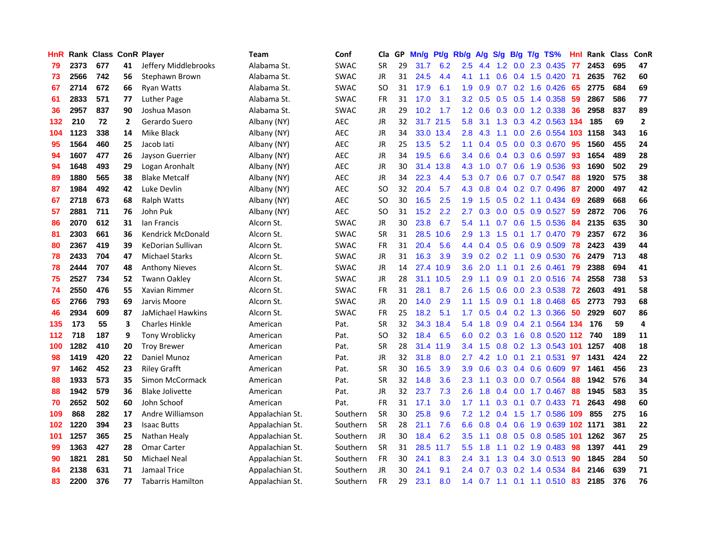| <b>HnR</b> |      | Rank Class ConR Player |                |                          | <b>Team</b>     | Conf        | Cla       |     | GP Mn/g | Pt/g Rb/g |                  | A/g             |                  |                 | S/g B/g T/g TS%        | Hnl  | Rank Class |     | ConR         |
|------------|------|------------------------|----------------|--------------------------|-----------------|-------------|-----------|-----|---------|-----------|------------------|-----------------|------------------|-----------------|------------------------|------|------------|-----|--------------|
| 79         | 2373 | 677                    | 41             | Jeffery Middlebrooks     | Alabama St.     | <b>SWAC</b> | <b>SR</b> | 29  | 31.7    | 6.2       | 2.5              | 4.4             | 1.2              | 0.0             | 2.3 0.435              | 77   | 2453       | 695 | 47           |
| 73         | 2566 | 742                    | 56             | Stephawn Brown           | Alabama St.     | <b>SWAC</b> | <b>JR</b> | 31  | 24.5    | 4.4       | 4.1              | 1.1             | 0.6              | 0.4             | 1.5 0.420              | -71  | 2635       | 762 | 60           |
| 67         | 2714 | 672                    | 66             | Ryan Watts               | Alabama St.     | <b>SWAC</b> | <b>SO</b> | 31  | 17.9    | 6.1       | 1.9              | 0.9             | 0.7              | 0.2             | 1.6 0.426              | 65   | 2775       | 684 | 69           |
| 61         | 2833 | 571                    | 77             | Luther Page              | Alabama St.     | <b>SWAC</b> | <b>FR</b> | 31  | 17.0    | 3.1       | 3.2 <sub>2</sub> | 0.5             |                  |                 | 0.5 0.5 1.4 0.358      | -59  | 2867       | 586 | 77           |
| 36         | 2957 | 837                    | 90             | Joshua Mason             | Alabama St.     | <b>SWAC</b> | JR        | 29  | 10.2    | 1.7       |                  | $1.2 \quad 0.6$ |                  |                 | $0.3$ $0.0$ 1.2 0.338  | -36  | 2958       | 837 | 89           |
| 132        | 210  | 72                     | $\overline{2}$ | Gerardo Suero            | Albany (NY)     | <b>AEC</b>  | JR        | 32. |         | 31.7 21.5 | 5.8              | 3.1             |                  |                 | 1.3 0.3 4.2 0.563 134  |      | 185        | 69  | $\mathbf{2}$ |
| 104        | 1123 | 338                    | 14             | Mike Black               | Albany (NY)     | <b>AEC</b>  | JR        | 34  |         | 33.0 13.4 | 2.8 <sup>°</sup> | 4.3             | 1.1              |                 | 0.0 2.6 0.554 103 1158 |      |            | 343 | 16           |
| 95         | 1564 | 460                    | 25             | Jacob lati               | Albany (NY)     | <b>AEC</b>  | JR        | 25  | 13.5    | 5.2       | 1.1              | 0.4             | 0.5              |                 | 0.0 0.3 0.670          | 95   | 1560       | 455 | 24           |
| 94         | 1607 | 477                    | 26             | Jayson Guerrier          | Albany (NY)     | <b>AEC</b>  | JR        | 34  | 19.5    | 6.6       | 3.4              | 0.6             |                  |                 | 0.4 0.3 0.6 0.597      | 93   | 1654       | 489 | 28           |
| 94         | 1648 | 493                    | 29             | Logan Aronhalt           | Albany (NY)     | <b>AEC</b>  | JR        | 30  | 31.4    | 13.8      | 4.3              | 1.0             | 0.7              | 0.6             | 1.9 0.536              | 93   | 1690       | 502 | 29           |
| 89         | 1880 | 565                    | 38             | <b>Blake Metcalf</b>     | Albany (NY)     | <b>AEC</b>  | JR        | 34  | 22.3    | 4.4       | 5.3              | 0.7             | 0.6              |                 | 0.7 0.7 0.547          | 88   | 1920       | 575 | 38           |
| 87         | 1984 | 492                    | 42             | Luke Devlin              | Albany (NY)     | <b>AEC</b>  | <b>SO</b> | 32  | 20.4    | 5.7       | 4.3              | 0.8             |                  |                 | 0.4 0.2 0.7 0.496      | -87  | 2000       | 497 | 42           |
| 67         | 2718 | 673                    | 68             | <b>Ralph Watts</b>       | Albany (NY)     | <b>AEC</b>  | <b>SO</b> | 30  | 16.5    | 2.5       | 1.9              | 1.5             | 0.5              | 0.2             | 1.1 0.434              | 69   | 2689       | 668 | 66           |
| 57         | 2881 | 711                    | 76             | John Puk                 | Albany (NY)     | AEC         | <b>SO</b> | 31  | 15.2    | 2.2       | 2.7              | 0.3             | 0.0              | 0.5             | 0.9 0.527              | 59   | 2872       | 706 | 76           |
| 86         | 2070 | 612                    | 31             | lan Francis              | Alcorn St.      | <b>SWAC</b> | JR        | 30  | 23.8    | 6.7       | 5.4              | 1.1             | 0.7              | 0.6             | 1.5 0.536              | 84   | 2135       | 635 | 30           |
| 81         | 2303 | 661                    | 36             | <b>Kendrick McDonald</b> | Alcorn St.      | <b>SWAC</b> | <b>SR</b> | 31  | 28.5    | 10.6      | 2.9              | 1.3             | 1.5              | 0.1             | 1.7 0.470              | 79   | 2357       | 672 | 36           |
| 80         | 2367 | 419                    | 39             | <b>KeDorian Sullivan</b> | Alcorn St.      | <b>SWAC</b> | <b>FR</b> | 31  | 20.4    | 5.6       | 4.4              | 0.4             |                  | $0.5 \quad 0.6$ | 0.9 0.509              | 78   | 2423       | 439 | 44           |
| 78         | 2433 | 704                    | 47             | <b>Michael Starks</b>    | Alcorn St.      | <b>SWAC</b> | JR        | 31  | 16.3    | 3.9       | 3.9 <sup>°</sup> |                 | $0.2 \quad 0.2$  | 1.1             | 0.9 0.530              | -76  | 2479       | 713 | 48           |
| 78         | 2444 | 707                    | 48             | <b>Anthony Nieves</b>    | Alcorn St.      | <b>SWAC</b> | JR        | 14  |         | 27.4 10.9 |                  | $3.6$ 2.0       |                  | $1.1 \quad 0.1$ | 2.6 0.461              | - 79 | 2388       | 694 | 41           |
| 75         | 2527 | 734                    | 52             | <b>Twann Oakley</b>      | Alcorn St.      | <b>SWAC</b> | JR        | 28  |         | 31.1 10.5 | 2.9              | 1.1             |                  |                 | 0.9 0.1 2.0 0.516 74   |      | 2558       | 738 | 53           |
| 74         | 2550 | 476                    | 55             | Xavian Rimmer            | Alcorn St.      | <b>SWAC</b> | <b>FR</b> | 31  | 28.1    | 8.7       | 2.6              | 1.5             |                  |                 | 0.6 0.0 2.3 0.538      | - 72 | 2603       | 491 | 58           |
| 65         | 2766 | 793                    | 69             | Jarvis Moore             | Alcorn St.      | <b>SWAC</b> | JR        | 20  | 14.0    | 2.9       | 1.1              | 1.5             |                  |                 | 0.9 0.1 1.8 0.468      | 65   | 2773       | 793 | 68           |
| 46         | 2934 | 609                    | 87             | JaMichael Hawkins        | Alcorn St.      | <b>SWAC</b> | <b>FR</b> | 25  | 18.2    | 5.1       | 1.7              | 0.5             |                  |                 | $0.4$ 0.2 1.3 0.366    | 50   | 2929       | 607 | 86           |
| 135        | 173  | 55                     | 3              | <b>Charles Hinkle</b>    | American        | Pat.        | <b>SR</b> | 32  |         | 34.3 18.4 | 5.4              | 1.8             |                  |                 | 0.9 0.4 2.1 0.564 134  |      | 176        | 59  | 4            |
| 112        | 718  | 187                    | 9              | Tony Wroblicky           | American        | Pat.        | SO        | 32  | 18.4    | 6.5       | 6.0              | 0.2             | 0.3              |                 | 1.6 0.8 0.520 112 740  |      |            | 189 | 11           |
| 100        | 1282 | 410                    | 20             | <b>Troy Brewer</b>       | American        | Pat.        | <b>SR</b> | 28  |         | 31.4 11.9 | 3.4              | 1.5             | 0.8              |                 | 0.2 1.3 0.543 101 1257 |      |            | 408 | 18           |
| 98         | 1419 | 420                    | 22             | Daniel Munoz             | American        | Pat.        | JR        | 32  | 31.8    | 8.0       | 2.7              | 4.2             | 1.0              | 0.1             | 2.1 0.531              | 97   | 1431       | 424 | 22           |
| 97         | 1462 | 452                    | 23             | <b>Riley Grafft</b>      | American        | Pat.        | <b>SR</b> | 30  | 16.5    | 3.9       | 3.9              | 0.6             | 0.3              |                 | 0.4 0.6 0.609          | 97   | 1461       | 456 | 23           |
| 88         | 1933 | 573                    | 35             | Simon McCormack          | American        | Pat.        | <b>SR</b> | 32  | 14.8    | 3.6       | 2.3              | 1.1             | 0.3 <sub>0</sub> | 0.0             | 0.7 0.564              | 88   | 1942       | 576 | 34           |
| 88         | 1942 | 579                    | 36             | <b>Blake Jolivette</b>   | American        | Pat.        | <b>JR</b> | 32  | 23.7    | 7.3       | 2.6              | 1.8             |                  | $0.4\quad 0.0$  | 1.7 0.467              | 88   | 1945       | 583 | 35           |
| 70         | 2652 | 502                    | 60             | John Schoof              | American        | Pat.        | <b>FR</b> | 31  | 17.1    | 3.0       | 1.7              | 1.1             |                  | $0.3 \quad 0.1$ | $0.7$ 0.433            | -71  | 2643       | 498 | 60           |
| 109        | 868  | 282                    | 17             | Andre Williamson         | Appalachian St. | Southern    | <b>SR</b> | 30  | 25.8    | 9.6       |                  | $7.2$ 1.2       |                  |                 | 0.4 1.5 1.7 0.586 109  |      | 855        | 275 | 16           |
| 102        | 1220 | 394                    | 23             | <b>Isaac Butts</b>       | Appalachian St. | Southern    | <b>SR</b> | 28  | 21.1    | 7.6       | 6.6              | 0.8             |                  | $0.4\quad 0.6$  | 1.9 0.639 102 1171     |      |            | 381 | 22           |
| 101        | 1257 | 365                    | 25             | Nathan Healy             | Appalachian St. | Southern    | <b>JR</b> | 30  | 18.4    | 6.2       | 3.5              | 1.1             |                  |                 | 0.8 0.5 0.8 0.585 101  |      | 1262       | 367 | 25           |
| 99         | 1363 | 427                    | 28             | <b>Omar Carter</b>       | Appalachian St. | Southern    | <b>SR</b> | 31  |         | 28.5 11.7 | 5.5              | 1.8             | 1.1              |                 | $0.2$ 1.9 0.483        | 98   | 1397       | 441 | 29           |
| 90         | 1821 | 281                    | 50             | <b>Michael Neal</b>      | Appalachian St. | Southern    | <b>FR</b> | 30  | 24.1    | 8.3       | 2.4              | 3.1             | 1.3              | 0.4             | 3.0 0.513              | 90   | 1845       | 284 | 50           |
| 84         | 2138 | 631                    | 71             | Jamaal Trice             | Appalachian St. | Southern    | JR        | 30  | 24.1    | 9.1       | 2.4              | 0.7             | 0.3 <sub>0</sub> | 0.2             | 1.4 0.534              | 84   | 2146       | 639 | 71           |
| 83         | 2200 | 376                    | 77             | Tabarris Hamilton        | Appalachian St. | Southern    | <b>FR</b> | 29  | 23.1    | 8.0       | 1.4              | 0.7             |                  |                 | 1.1 0.1 1.1 0.510      | 83   | 2185       | 376 | 76           |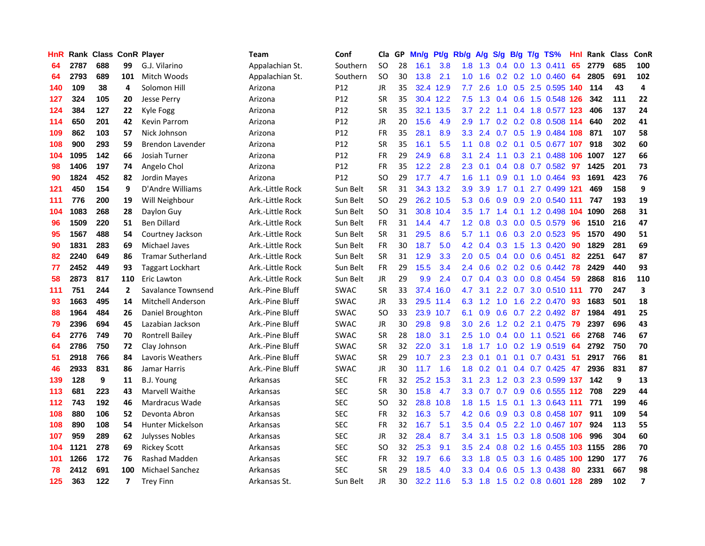| HnR |      | <b>Rank Class ConR Player</b> |                |                          | Team               | Conf            | Cla           |    | GP Mn/g | Pt/g      | Rb/g             | <b>A/g</b>      | <b>S/g</b>    |     | B/g T/g TS%                  | Hnl | Rank Class |     | ConR           |
|-----|------|-------------------------------|----------------|--------------------------|--------------------|-----------------|---------------|----|---------|-----------|------------------|-----------------|---------------|-----|------------------------------|-----|------------|-----|----------------|
| 64  | 2787 | 688                           | 99             | G.J. Vilarino            | Appalachian St.    | Southern        | <b>SO</b>     | 28 | 16.1    | 3.8       | 1.8              | 1.3             | 0.4           | 0.0 | 1.3 0.411                    | 65  | 2779       | 685 | 100            |
| 64  | 2793 | 689                           | 101            | Mitch Woods              | Appalachian St.    | Southern        | <b>SO</b>     | 30 | 13.8    | 2.1       | 1.0              | 1.6             | 0.2           | 0.2 | 1.0 0.460                    | 64  | 2805       | 691 | 102            |
| 140 | 109  | 38                            | 4              | Solomon Hill             | Arizona            | P12             | <b>JR</b>     | 35 |         | 32.4 12.9 | 7.7              | 2.6             | 1.0           | 0.5 | 2.5 0.595 140                |     | 114        | 43  | 4              |
| 127 | 324  | 105                           | 20             | Jesse Perry              | Arizona            | P12             | <b>SR</b>     | 35 |         | 30.4 12.2 | 7.5              |                 |               |     | 1.3 0.4 0.6 1.5 0.548 126    |     | 342        | 111 | 22             |
| 124 | 384  | 127                           | 22             | Kyle Fogg                | Arizona            | P12             | <b>SR</b>     | 35 |         | 32.1 13.5 | 3.7              | $2.2^{\circ}$   |               |     | 1.1 0.4 1.8 0.577 123        |     | 406        | 137 | 24             |
| 114 | 650  | 201                           | 42             | <b>Kevin Parrom</b>      | Arizona            | P <sub>12</sub> | JR            | 20 | 15.6    | 4.9       | 2.9              |                 |               |     | 1.7 0.2 0.2 0.8 0.508 114    |     | 640        | 202 | 41             |
| 109 | 862  | 103                           | 57             | Nick Johnson             | Arizona            | P12             | <b>FR</b>     | 35 | 28.1    | 8.9       |                  | $3.3$ 2.4       |               |     | 0.7 0.5 1.9 0.484 108        |     | 871        | 107 | 58             |
| 108 | 900  | 293                           | 59             | <b>Brendon Lavender</b>  | Arizona            | P12             | <b>SR</b>     | 35 | 16.1    | 5.5       | 1.1              | 0.8             |               |     | 0.2 0.1 0.5 0.677 107        |     | 918        | 302 | 60             |
| 104 | 1095 | 142                           | 66             | Josiah Turner            | Arizona            | P12             | <b>FR</b>     | 29 | 24.9    | 6.8       | 3.1              | 2.4             | 1.1           |     | 0.3 2.1 0.488 106            |     | 1007       | 127 | 66             |
| 98  | 1406 | 197                           | 74             | Angelo Chol              | Arizona            | P12             | <b>FR</b>     | 35 | 12.2    | 2.8       | 2.3              | 0.1             | 0.4           |     | 0.8 0.7 0.582                | -97 | 1425       | 201 | 73             |
| 90  | 1824 | 452                           | 82             | Jordin Mayes             | Arizona            | P <sub>12</sub> | <b>SO</b>     | 29 | 17.7    | 4.7       | 1.6              | 1.1             | 0.9           | 0.1 | 1.0 0.464                    | 93  | 1691       | 423 | 76             |
| 121 | 450  | 154                           | 9              | D'Andre Williams         | Ark .- Little Rock | Sun Belt        | <b>SR</b>     | 31 |         | 34.3 13.2 | 3.9              | 3.9             | 1.7           | 0.1 | 2.7 0.499 121                |     | 469        | 158 | 9              |
| 111 | 776  | 200                           | 19             | Will Neighbour           | Ark.-Little Rock   | Sun Belt        | <b>SO</b>     | 29 |         | 26.2 10.5 | 5.3              | 0.6             | 0.9           | 0.9 | 2.0 0.540 111                |     | 747        | 193 | 19             |
| 104 | 1083 | 268                           | 28             | Daylon Guy               | Ark.-Little Rock   | Sun Belt        | SO            | 31 |         | 30.8 10.4 | 3.5              | 1.7             | $1.4^{\circ}$ |     | 0.1 1.2 0.498 104            |     | 1090       | 268 | 31             |
| 96  | 1509 | 220                           | 51             | <b>Ben Dillard</b>       | Ark.-Little Rock   | Sun Belt        | FR            | 31 | 14.4    | 4.7       | 1.2 <sub>1</sub> | 0.8             | 0.3           | 0.0 | 0.5 0.579                    | 96  | 1510       | 216 | 47             |
| 95  | 1567 | 488                           | 54             | Courtney Jackson         | Ark.-Little Rock   | Sun Belt        | <b>SR</b>     | 31 | 29.5    | 8.6       | 5.7              | 1.1             | 0.6           |     | 0.3 2.0 0.523                | -95 | 1570       | 490 | 51             |
| 90  | 1831 | 283                           | 69             | Michael Javes            | Ark.-Little Rock   | Sun Belt        | <b>FR</b>     | 30 | 18.7    | 5.0       |                  |                 | 4.2 0.4 0.3   |     | 1.5 1.3 0.420                | -90 | 1829       | 281 | 69             |
| 82  | 2240 | 649                           | 86             | <b>Tramar Sutherland</b> | Ark.-Little Rock   | Sun Belt        | <b>SR</b>     | 31 | 12.9    | 3.3       |                  |                 |               |     | 2.0 0.5 0.4 0.0 0.6 0.451    | -82 | 2251       | 647 | 87             |
| 77  | 2452 | 449                           | 93             | <b>Taggart Lockhart</b>  | Ark.-Little Rock   | Sun Belt        | FR            | 29 | 15.5    | 3.4       |                  | $2.4\quad 0.6$  |               |     | $0.2$ 0.2 0.6 0.442          | 78  | 2429       | 440 | 93             |
| 58  | 2873 | 817                           | 110            | Eric Lawton              | Ark.-Little Rock   | Sun Belt        | JR            | 29 | 9.9     | 2.4       |                  |                 |               |     | 0.7 0.4 0.3 0.0 0.8 0.454 59 |     | 2868       | 816 | 110            |
| 111 | 751  | 244                           | $\overline{2}$ | Savalance Townsend       | Ark.-Pine Bluff    | <b>SWAC</b>     | <b>SR</b>     | 33 |         | 37.4 16.0 | 4.7              | 3.1             |               |     | 2.2 0.7 3.0 0.510 111        |     | 770        | 247 | 3              |
| 93  | 1663 | 495                           | 14             | <b>Mitchell Anderson</b> | Ark.-Pine Bluff    | SWAC            | <b>JR</b>     | 33 |         | 29.5 11.4 |                  | 6.3 1.2         | 1.0           |     | 1.6 2.2 0.470                | -93 | 1683       | 501 | 18             |
| 88  | 1964 | 484                           | 26             | Daniel Broughton         | Ark.-Pine Bluff    | <b>SWAC</b>     | <sub>SO</sub> | 33 |         | 23.9 10.7 | 6.1              | 0.9             | 0.6           |     | 0.7 2.2 0.492                | -87 | 1984       | 491 | 25             |
| 79  | 2396 | 694                           | 45             | Lazabian Jackson         | Ark.-Pine Bluff    | <b>SWAC</b>     | JR            | 30 | 29.8    | 9.8       | 3.0              | 2.6             |               |     | 1.2 0.2 2.1 0.475            | -79 | 2397       | 696 | 43             |
| 64  | 2776 | 749                           | 70             | Rontrell Bailey          | Ark.-Pine Bluff    | SWAC            | <b>SR</b>     | 28 | 18.0    | 3.1       | $2.5\,$          | 1.0             |               |     | $0.4$ 0.0 1.1 0.521          | 66  | 2768       | 746 | 67             |
| 64  | 2786 | 750                           | 72             | Clay Johnson             | Ark.-Pine Bluff    | <b>SWAC</b>     | <b>SR</b>     | 32 | 22.0    | 3.1       | 1.8              | 1.7             | 1.0           |     | $0.2$ 1.9 0.519              | 64  | 2792       | 750 | 70             |
| 51  | 2918 | 766                           | 84             | Lavoris Weathers         | Ark.-Pine Bluff    | <b>SWAC</b>     | <b>SR</b>     | 29 | 10.7    | 2.3       | $2.3^{\circ}$    | 0.1             | 0.1           |     | $0.1$ 0.7 0.431              | -51 | 2917       | 766 | 81             |
| 46  | 2933 | 831                           | 86             | Jamar Harris             | Ark.-Pine Bluff    | <b>SWAC</b>     | <b>JR</b>     | 30 | 11.7    | 1.6       | 1.8              | 0.2             |               |     | $0.1$ 0.4 0.7 0.425          | -47 | 2936       | 831 | 87             |
| 139 | 128  | 9                             | 11             | B.J. Young               | Arkansas           | <b>SEC</b>      | <b>FR</b>     | 32 |         | 25.2 15.3 | 3.1              | 2.3             |               |     | 1.2 0.3 2.3 0.599 137        |     | 142        | 9   | 13             |
| 113 | 681  | 223                           | 43             | Marvell Waithe           | Arkansas           | <b>SEC</b>      | <b>SR</b>     | 30 | 15.8    | 4.7       | 3.3 <sub>1</sub> | 0.7             |               |     | 0.7 0.9 0.6 0.555 112        |     | 708        | 229 | 44             |
| 112 | 743  | 192                           | 46             | Mardracus Wade           | Arkansas           | <b>SEC</b>      | <b>SO</b>     | 32 | 28.8    | 10.8      | 1.8              | 1.5             |               |     | 1.5 0.1 1.3 0.643 111        |     | 771        | 199 | 46             |
| 108 | 880  | 106                           | 52             | Devonta Abron            | Arkansas           | <b>SEC</b>      | <b>FR</b>     | 32 | 16.3    | 5.7       |                  | $4.2 \quad 0.6$ |               |     | 0.9 0.3 0.8 0.458 107        |     | 911        | 109 | 54             |
| 108 | 890  | 108                           | 54             | <b>Hunter Mickelson</b>  | Arkansas           | <b>SEC</b>      | <b>FR</b>     | 32 | 16.7    | 5.1       | $3.5^{\circ}$    | 0.4             |               |     | 0.5 2.2 1.0 0.467 107        |     | 924        | 113 | 55             |
| 107 | 959  | 289                           | 62             | Julysses Nobles          | Arkansas           | <b>SEC</b>      | <b>JR</b>     | 32 | 28.4    | 8.7       | 3.4              | 3.1             |               |     | 1.5 0.3 1.8 0.508 106        |     | 996        | 304 | 60             |
| 104 | 1121 | 278                           | 69             | <b>Rickey Scott</b>      | Arkansas           | <b>SEC</b>      | <sub>SO</sub> | 32 | 25.3    | 9.1       | $3.5\,$          | 2.4             | 0.8           |     | 0.2 1.6 0.455 103 1155       |     |            | 286 | 70             |
| 101 | 1266 | 172                           | 76             | Rashad Madden            | Arkansas           | <b>SEC</b>      | <b>FR</b>     | 32 | 19.7    | 6.6       | 3.3 <sub>1</sub> | 1.8             | 0.5           |     | 0.3 1.6 0.485 100            |     | 1290       | 177 | 76             |
| 78  | 2412 | 691                           | 100            | <b>Michael Sanchez</b>   | Arkansas           | <b>SEC</b>      | <b>SR</b>     | 29 | 18.5    | 4.0       | 3.3 <sub>1</sub> | 0.4             | 0.6           | 0.5 | 1.3 0.438                    | 80  | 2331       | 667 | 98             |
| 125 | 363  | 122                           | $\overline{ }$ | <b>Trey Finn</b>         | Arkansas St.       | Sun Belt        | <b>JR</b>     | 30 |         | 32.2 11.6 |                  | $5.3$ 1.8       |               |     | 1.5 0.2 0.8 0.601 128        |     | 289        | 102 | $\overline{7}$ |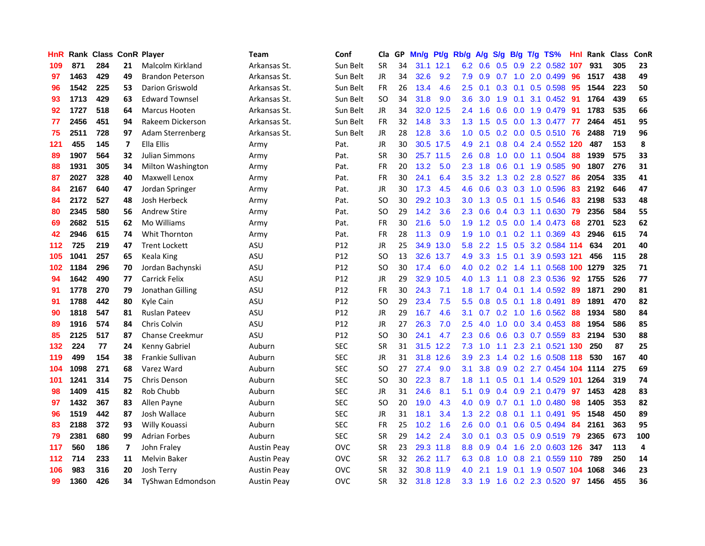| <b>HnR</b> |      | <b>Rank Class ConR Player</b> |    |                          | <b>Team</b>        | Conf            | Cla       |    | GP Mn/g | Pt/g      | Rb/g             | A/g             |             |                 | S/g B/g T/g TS%                    | Hnl  | Rank Class |     | ConR           |
|------------|------|-------------------------------|----|--------------------------|--------------------|-----------------|-----------|----|---------|-----------|------------------|-----------------|-------------|-----------------|------------------------------------|------|------------|-----|----------------|
| 109        | 871  | 284                           | 21 | Malcolm Kirkland         | Arkansas St.       | Sun Belt        | <b>SR</b> | 34 |         | 31.1 12.1 | 6.2              | 0.6             | 0.5         | 0.9             | 2.2 0.582                          | 107  | 931        | 305 | 23             |
| 97         | 1463 | 429                           | 49 | <b>Brandon Peterson</b>  | Arkansas St.       | Sun Belt        | JR        | 34 | 32.6    | 9.2       | 7.9              | 0.9             | 0.7         | 1.0             | 2.0 0.499                          | 96   | 1517       | 438 | 49             |
| 96         | 1542 | 225                           | 53 | Darion Griswold          | Arkansas St.       | Sun Belt        | FR        | 26 | 13.4    | 4.6       | 2.5              | 0.1             | 0.3         | 0.1             | $0.5$ 0.598                        | -95  | 1544       | 223 | 50             |
| 93         | 1713 | 429                           | 63 | <b>Edward Townsel</b>    | Arkansas St.       | Sun Belt        | <b>SO</b> | 34 | 31.8    | 9.0       | 3.6              | 3.0             |             | $1.9 \quad 0.1$ | 3.1 0.452 91                       |      | 1764       | 439 | 65             |
| 92         | 1727 | 518                           | 64 | Marcus Hooten            | Arkansas St.       | Sun Belt        | JR        | 34 | 32.0    | 12.5      |                  | $2.4$ 1.6       |             |                 | 0.6 0.0 1.9 0.479 91               |      | 1783       | 535 | 66             |
| 77         | 2456 | 451                           | 94 | Rakeem Dickerson         | Arkansas St.       | Sun Belt        | FR        | 32 | 14.8    | 3.3       |                  | $1.3 \quad 1.5$ |             |                 | 0.5 0.0 1.3 0.477 77               |      | 2464       | 451 | 95             |
| 75         | 2511 | 728                           | 97 | Adam Sterrenberg         | Arkansas St.       | Sun Belt        | JR        | 28 | 12.8    | 3.6       | 1.0              | 0.5             |             |                 | 0.2 0.0 0.5 0.510 76               |      | 2488       | 719 | 96             |
| 121        | 455  | 145                           | 7  | Ella Ellis               | Army               | Pat.            | JR        | 30 |         | 30.5 17.5 | 4.9              | 2.1             | 0.8         |                 | 0.4 2.4 0.552 120                  |      | 487        | 153 | 8              |
| 89         | 1907 | 564                           | 32 | <b>Julian Simmons</b>    | Army               | Pat.            | <b>SR</b> | 30 |         | 25.7 11.5 | 2.6              | 0.8             | 1.0         |                 | 0.0 1.1 0.504                      | 88   | 1939       | 575 | 33             |
| 88         | 1931 | 305                           | 34 | Milton Washington        | Army               | Pat.            | <b>FR</b> | 20 | 13.2    | 5.0       | 2.3              | 1.8             | 0.6         |                 | 0.1 1.9 0.585                      | 90   | 1807       | 276 | 31             |
| 87         | 2027 | 328                           | 40 | Maxwell Lenox            | Army               | Pat.            | FR        | 30 | 24.1    | 6.4       | 3.5              | 3.2             |             |                 | 1.3 0.2 2.8 0.527                  | 86   | 2054       | 335 | 41             |
| 84         | 2167 | 640                           | 47 | Jordan Springer          | Army               | Pat.            | JR        | 30 | 17.3    | 4.5       | 4.6              | 0.6             |             |                 | 0.3 0.3 1.0 0.596                  | 83   | 2192       | 646 | 47             |
| 84         | 2172 | 527                           | 48 | Josh Herbeck             | Army               | Pat.            | SO.       | 30 |         | 29.2 10.3 | 3.0 <sub>2</sub> | 1.3             | 0.5         |                 | $0.1$ 1.5 0.546                    | 83   | 2198       | 533 | 48             |
| 80         | 2345 | 580                           | 56 | <b>Andrew Stire</b>      | Army               | Pat.            | SO        | 29 | 14.2    | 3.6       | 2.3              | 0.6             |             |                 | $0.4$ 0.3 1.1 0.630                | -79  | 2356       | 584 | 55             |
| 69         | 2682 | 515                           | 62 | Mo Williams              | Army               | Pat.            | <b>FR</b> | 30 | 21.6    | 5.0       | 1.9              | 1.2             | 0.5         | 0.0             | 1.4 0.473                          | 68   | 2701       | 523 | 62             |
| 42         | 2946 | 615                           | 74 | Whit Thornton            | Army               | Pat.            | <b>FR</b> | 28 | 11.3    | 0.9       | 1.9              | 1.0             |             |                 | $0.1$ $0.2$ 1.1 $0.369$            | 43   | 2946       | 615 | 74             |
| 112        | 725  | 219                           | 47 | <b>Trent Lockett</b>     | ASU                | P12             | JR        | 25 |         | 34.9 13.0 | 5.8              | 2.2             |             |                 | 1.5 0.5 3.2 0.584 114              |      | 634        | 201 | 40             |
| 105        | 1041 | 257                           | 65 | Keala King               | ASU                | P <sub>12</sub> | SO.       | 13 |         | 32.6 13.7 | 4.9              | 3.3             | $1.5 \t0.1$ |                 | 3.9 0.593 121                      |      | 456        | 115 | 28             |
| 102        | 1184 | 296                           | 70 | Jordan Bachynski         | ASU                | P12             | SO.       | 30 | 17.4    | 6.0       |                  |                 |             |                 | 4.0 0.2 0.2 1.4 1.1 0.568 100 1279 |      |            | 325 | 71             |
| 94         | 1642 | 490                           | 77 | Carrick Felix            | ASU                | P12             | JR        | 29 |         | 32.9 10.5 | 4.0              | 1.3             |             |                 | 1.1 0.8 2.3 0.536                  | -92  | 1755       | 526 | 77             |
| 91         | 1778 | 270                           | 79 | Jonathan Gilling         | ASU                | P12             | FR        | 30 | 24.3    | 7.1       | 1.8 <sup>°</sup> | 1.7             |             |                 | $0.4$ 0.1 1.4 0.592                | 89   | 1871       | 290 | 81             |
| 91         | 1788 | 442                           | 80 | Kyle Cain                | ASU                | P12             | <b>SO</b> | 29 | 23.4    | 7.5       | 5.5              | 0.8             | 0.5         | 0.1             | 1.8 0.491                          | 89   | 1891       | 470 | 82             |
| 90         | 1818 | 547                           | 81 | <b>Ruslan Pateev</b>     | ASU                | P12             | JR        | 29 | 16.7    | 4.6       | 3.1              | 0.7             |             | $0.2 \quad 1.0$ | 1.6 0.562                          | 88   | 1934       | 580 | 84             |
| 89         | 1916 | 574                           | 84 | Chris Colvin             | ASU                | P12             | JR        | 27 | 26.3    | 7.0       | 2.5              | 4.0             | 1.0         | 0.0             | 3.4 0.453                          | 88   | 1954       | 586 | 85             |
| 85         | 2125 | 517                           | 87 | Chanse Creekmur          | ASU                | P12             | SO.       | 30 | 24.1    | 4.7       | 2.3              | 0.6             |             |                 | 0.6 0.3 0.7 0.559                  | 83   | 2194       | 530 | 88             |
| 132        | 224  | 77                            | 24 | Kenny Gabriel            | Auburn             | <b>SEC</b>      | <b>SR</b> | 31 |         | 31.5 12.2 | 7.3              | 1.0             | 1.1         | 2.3             | 2.1 0.521                          | -130 | 250        | 87  | 25             |
| 119        | 499  | 154                           | 38 | Frankie Sullivan         | Auburn             | <b>SEC</b>      | JR        | 31 |         | 31.8 12.6 | 3.9              | 2.3             |             |                 | 1.4 0.2 1.6 0.508 118              |      | 530        | 167 | 40             |
| 104        | 1098 | 271                           | 68 | Varez Ward               | Auburn             | <b>SEC</b>      | <b>SO</b> | 27 | 27.4    | 9.0       | 3.1              | 3.8             | 0.9         |                 | 0.2 2.7 0.454 104 1114             |      |            | 275 | 69             |
| 101        | 1241 | 314                           | 75 | Chris Denson             | Auburn             | <b>SEC</b>      | <b>SO</b> | 30 | 22.3    | 8.7       | 1.8              | 1.1             |             |                 | 0.5 0.1 1.4 0.529 101              |      | 1264       | 319 | 74             |
| 98         | 1409 | 415                           | 82 | Rob Chubb                | Auburn             | <b>SEC</b>      | JR        | 31 | 24.6    | 8.1       | 5.1              | 0.9             |             |                 | $0.4$ 0.9 2.1 0.479                | -97  | 1453       | 428 | 83             |
| 97         | 1432 | 367                           | 83 | Allen Payne              | Auburn             | <b>SEC</b>      | SO.       | 20 | 19.0    | 4.3       | 4.0              | 0.9             |             |                 | $0.7$ 0.1 1.0 0.480                | -98  | 1405       | 353 | 82             |
| 96         | 1519 | 442                           | 87 | Josh Wallace             | Auburn             | <b>SEC</b>      | JR        | 31 | 18.1    | 3.4       |                  | $1.3$ 2.2       |             |                 | 0.8 0.1 1.1 0.491                  | 95   | 1548       | 450 | 89             |
| 83         | 2188 | 372                           | 93 | Willy Kouassi            | Auburn             | <b>SEC</b>      | <b>FR</b> | 25 | 10.2    | 1.6       | 2.6              | 0.0             |             |                 | $0.1$ 0.6 0.5 0.494                | 84   | 2161       | 363 | 95             |
| 79         | 2381 | 680                           | 99 | <b>Adrian Forbes</b>     | Auburn             | <b>SEC</b>      | <b>SR</b> | 29 | 14.2    | 2.4       | 3.0 <sub>2</sub> | 0.1             |             |                 | 0.3 0.5 0.9 0.519 79               |      | 2365       | 673 | 100            |
| 117        | 560  | 186                           | 7  | John Fraley              | Austin Peay        | <b>OVC</b>      | <b>SR</b> | 23 |         | 29.3 11.8 | 8.8              | 0.9             | 0.4         | 1.6             | 2.0 0.603 126                      |      | 347        | 113 | $\overline{4}$ |
| 112        | 714  | 233                           | 11 | <b>Melvin Baker</b>      | <b>Austin Peay</b> | <b>OVC</b>      | <b>SR</b> | 32 |         | 26.2 11.7 | 6.3              | 0.8             | 1.0         |                 | 0.8 2.1 0.559 110                  |      | 789        | 250 | 14             |
| 106        | 983  | 316                           | 20 | Josh Terry               | <b>Austin Peay</b> | ovc             | <b>SR</b> | 32 |         | 30.8 11.9 | 4.0              | 2.1             | 1.9         | 0.1             | 1.9 0.507                          | 104  | 1068       | 346 | 23             |
| 99         | 1360 | 426                           | 34 | <b>TyShwan Edmondson</b> | <b>Austin Peav</b> | <b>OVC</b>      | <b>SR</b> | 32 |         | 31.8 12.8 |                  | $3.3$ $1.9$     |             |                 | 1.6 0.2 2.3 0.520 97               |      | 1456       | 455 | 36             |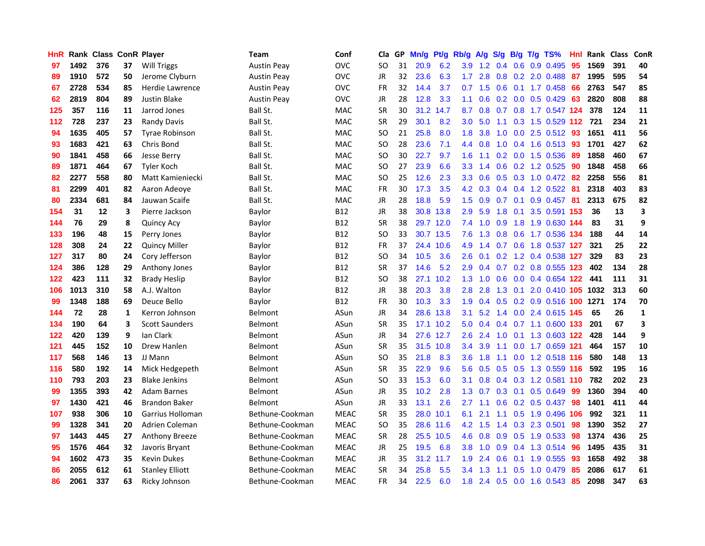| <b>HnR</b> |      | <b>Rank Class ConR Player</b> |    |                        | Team               | Conf        | Cla       |    | GP Mn/g | Pt/g      | Rb/g             | A/g             |     |                 | S/g B/g T/g TS%           | Hnl | Rank Class |     | ConR |
|------------|------|-------------------------------|----|------------------------|--------------------|-------------|-----------|----|---------|-----------|------------------|-----------------|-----|-----------------|---------------------------|-----|------------|-----|------|
| 97         | 1492 | 376                           | 37 | Will Triggs            | <b>Austin Peav</b> | <b>OVC</b>  | SO        | 31 | 20.9    | 6.2       | 3.9              | 1.2             | 0.4 | 0.6             | 0.9 0.495                 | 95  | 1569       | 391 | 40   |
| 89         | 1910 | 572                           | 50 | Jerome Clyburn         | Austin Peay        | <b>OVC</b>  | JR        | 32 | 23.6    | 6.3       | 1.7 <sup>2</sup> | 2.8             | 0.8 | 0.2             | 2.0 0.488                 | 87  | 1995       | 595 | 54   |
| 67         | 2728 | 534                           | 85 | Herdie Lawrence        | Austin Peay        | <b>OVC</b>  | <b>FR</b> | 32 | 14.4    | 3.7       | 0.7              | 1.5             | 0.6 | 0.1             | 1.7 0.458                 | -66 | 2763       | 547 | 85   |
| 62         | 2819 | 804                           | 89 | Justin Blake           | <b>Austin Peay</b> | <b>OVC</b>  | JR        | 28 | 12.8    | 3.3       | 1.1              | 0.6             |     |                 | $0.2$ 0.0 0.5 0.429       | 63  | 2820       | 808 | 88   |
| 125        | 357  | 116                           | 11 | Jarrod Jones           | Ball St.           | <b>MAC</b>  | <b>SR</b> | 30 |         | 31.2 14.7 | 8.7              | 0.8             |     |                 | 0.7 0.8 1.7 0.547 124     |     | 378        | 124 | 11   |
| 112        | 728  | 237                           | 23 | <b>Randy Davis</b>     | Ball St.           | <b>MAC</b>  | <b>SR</b> | 29 | 30.1    | 8.2       | 3.0 <sub>2</sub> | 5.0             |     |                 | 1.1 0.3 1.5 0.529 112     |     | 721        | 234 | 21   |
| 94         | 1635 | 405                           | 57 | <b>Tyrae Robinson</b>  | Ball St.           | <b>MAC</b>  | SO.       | 21 | 25.8    | 8.0       | 1.8              | 3.8             | 1.0 |                 | $0.0$ 2.5 0.512           | 93  | 1651       | 411 | 56   |
| 93         | 1683 | 421                           | 63 | Chris Bond             | Ball St.           | <b>MAC</b>  | SO.       | 28 | 23.6    | 7.1       | 4.4              | 0.8             | 1.0 |                 | $0.4$ 1.6 0.513           | -93 | 1701       | 427 | 62   |
| 90         | 1841 | 458                           | 66 | Jesse Berry            | Ball St.           | <b>MAC</b>  | <b>SO</b> | 30 | 22.7    | 9.7       | 1.6              | 1.1             |     |                 | 0.2 0.0 1.5 0.536         | 89  | 1858       | 460 | 67   |
| 89         | 1871 | 464                           | 67 | <b>Tyler Koch</b>      | Ball St.           | <b>MAC</b>  | <b>SO</b> | 27 | 23.9    | 6.6       | 3.3              | 1.4             | 0.6 |                 | 0.2 1.2 0.525             | 90  | 1848       | 458 | 66   |
| 82         | 2277 | 558                           | 80 | Matt Kamieniecki       | Ball St.           | MAC         | SO.       | 25 | 12.6    | 2.3       | 3.3              | 0.6             |     |                 | 0.5 0.3 1.0 0.472         | 82  | 2258       | 556 | 81   |
| 81         | 2299 | 401                           | 82 | Aaron Adeoye           | Ball St.           | <b>MAC</b>  | <b>FR</b> | 30 | 17.3    | 3.5       | 4.2              | 0.3             |     |                 | $0.4$ 0.4 1.2 0.522       | -81 | 2318       | 403 | 83   |
| 80         | 2334 | 681                           | 84 | Jauwan Scaife          | Ball St.           | <b>MAC</b>  | JR        | 28 | 18.8    | 5.9       | 1.5 <sub>1</sub> | 0.9             | 0.7 | 0.1             | 0.9 0.457                 | 81  | 2313       | 675 | 82   |
| 154        | 31   | 12                            | 3  | Pierre Jackson         | Baylor             | <b>B12</b>  | JR        | 38 |         | 30.8 13.8 | 2.9              | 5.9             | 1.8 | 0.1             | 3.5 0.591                 | 153 | 36         | 13  | 3    |
| 144        | 76   | 29                            | 8  | <b>Quincy Acy</b>      | Baylor             | <b>B12</b>  | <b>SR</b> | 38 |         | 29.7 12.0 | 7.4              | 1.0             | 0.9 | 1.8             | 1.9 0.630 144             |     | 83         | 31  | 9    |
| 133        | 196  | 48                            | 15 | Perry Jones            | Baylor             | <b>B12</b>  | <b>SO</b> | 33 |         | 30.7 13.5 | 7.6              | 1.3             | 0.8 | 0.6             | 1.7 0.536 134             |     | 188        | 44  | 14   |
| 128        | 308  | 24                            | 22 | <b>Quincy Miller</b>   | Baylor             | <b>B12</b>  | FR        | 37 |         | 24.4 10.6 | 4.9              | 1.4             |     |                 | 0.7 0.6 1.8 0.537 127     |     | 321        | 25  | 22   |
| 127        | 317  | 80                            | 24 | Cory Jefferson         | Baylor             | <b>B12</b>  | SO.       | 34 | 10.5    | 3.6       | 2.6              | 0.1             |     |                 | $0.2$ 1.2 0.4 0.538 127   |     | 329        | 83  | 23   |
| 124        | 386  | 128                           | 29 | Anthony Jones          | Baylor             | <b>B12</b>  | <b>SR</b> | 37 | 14.6    | 5.2       | 2.9              | 0.4             |     |                 | 0.7 0.2 0.8 0.555 123     |     | 402        | 134 | 28   |
| 122        | 423  | 111                           | 32 | <b>Brady Heslip</b>    | Baylor             | <b>B12</b>  | SO.       | 38 |         | 27.1 10.2 |                  | $1.3 \quad 1.0$ | 0.6 |                 | $0.0$ 0.4 0.654 122       |     | 441        | 111 | 31   |
| 106        | 1013 | 310                           | 58 | A.J. Walton            | Baylor             | <b>B12</b>  | JR        | 38 | 20.3    | 3.8       | 2.8              | 2.8             | 1.3 | 0.1             | 2.0 0.410 105 1032        |     |            | 313 | 60   |
| 99         | 1348 | 188                           | 69 | Deuce Bello            | Baylor             | <b>B12</b>  | FR        | 30 | 10.3    | 3.3       | 1.9              | 0.4             |     |                 | 0.5 0.2 0.9 0.516 100     |     | 1271       | 174 | 70   |
| 144        | 72   | 28                            | 1  | Kerron Johnson         | Belmont            | ASun        | JR        | 34 | 28.6    | 13.8      | 3.1              | 5.2             |     |                 | 1.4 0.0 2.4 0.615 145     |     | 65         | 26  | 1    |
| 134        | 190  | 64                            | 3  | <b>Scott Saunders</b>  | Belmont            | ASun        | <b>SR</b> | 35 |         | 17.1 10.2 | 5.0              | 0.4             |     |                 | 0.4 0.7 1.1 0.600 133     |     | 201        | 67  | 3    |
| 122        | 420  | 139                           | 9  | lan Clark              | Belmont            | ASun        | JR        | 34 |         | 27.6 12.7 | 2.6              | 2.4             | 1.0 | 0.1             | 1.3 0.603 122             |     | 428        | 144 | 9    |
| 121        | 445  | 152                           | 10 | Drew Hanlen            | <b>Belmont</b>     | ASun        | <b>SR</b> | 35 |         | 31.5 10.8 | 3.4              | 3.9             | 1.1 | 0.0             | 1.7 0.659 121             |     | 464        | 157 | 10   |
| 117        | 568  | 146                           | 13 | JJ Mann                | Belmont            | ASun        | SO.       | 35 | 21.8    | 8.3       | 3.6              | 1.8             | 1.1 | 0.0             | 1.2 0.518 116             |     | 580        | 148 | 13   |
| 116        | 580  | 192                           | 14 | Mick Hedgepeth         | Belmont            | ASun        | <b>SR</b> | 35 | 22.9    | 9.6       | 5.6              | 0.5             | 0.5 | 0.5             | 1.3 0.559 116             |     | 592        | 195 | 16   |
| 110        | 793  | 203                           | 23 | <b>Blake Jenkins</b>   | Belmont            | ASun        | SO.       | 33 | 15.3    | 6.0       | 3.1              | 0.8             |     |                 | 0.4 0.3 1.2 0.581 110     |     | 782        | 202 | 23   |
| 99         | 1355 | 393                           | 42 | <b>Adam Barnes</b>     | Belmont            | ASun        | JR        | 35 | 10.2    | 2.8       | 1.3              | 0.7             |     | $0.3 \quad 0.1$ | 0.5 0.649                 | -99 | 1360       | 394 | 40   |
| 97         | 1430 | 421                           | 46 | <b>Brandon Baker</b>   | Belmont            | ASun        | JR        | 33 | 13.1    | 2.6       | $2.7^{\circ}$    | 1.1             |     |                 | $0.6$ $0.2$ $0.5$ $0.437$ | -98 | 1401       | 411 | 44   |
| 107        | 938  | 306                           | 10 | Garrius Holloman       | Bethune-Cookman    | <b>MEAC</b> | <b>SR</b> | 35 |         | 28.0 10.1 | 6.1              | 2.1             |     |                 | 1.1 0.5 1.9 0.496 106     |     | 992        | 321 | 11   |
| 99         | 1328 | 341                           | 20 | Adrien Coleman         | Bethune-Cookman    | <b>MEAC</b> | SO.       | 35 |         | 28.6 11.6 |                  | $4.2 \quad 1.5$ |     |                 | 1.4 0.3 2.3 0.501         | 98  | 1390       | 352 | 27   |
| 97         | 1443 | 445                           | 27 | <b>Anthony Breeze</b>  | Bethune-Cookman    | <b>MEAC</b> | <b>SR</b> | 28 |         | 25.5 10.5 | 4.6              | 0.8             | 0.9 |                 | 0.5 1.9 0.533             | 98  | 1374       | 436 | 25   |
| 95         | 1576 | 464                           | 32 | Javoris Bryant         | Bethune-Cookman    | <b>MEAC</b> | JR        | 25 | 19.5    | 6.8       | 3.8 <sub>1</sub> | 1.0             | 0.9 |                 | 0.4 1.3 0.514             | 96  | 1495       | 435 | 31   |
| 94         | 1602 | 473                           | 35 | <b>Kevin Dukes</b>     | Bethune-Cookman    | <b>MEAC</b> | JR        | 35 | 31.2    | 11.7      | 1.9              | 2.4             | 0.6 | 0.1             | 1.9 0.555                 | 93  | 1658       | 492 | 38   |
| 86         | 2055 | 612                           | 61 | <b>Stanley Elliott</b> | Bethune-Cookman    | <b>MEAC</b> | SR        | 34 | 25.8    | 5.5       | 3.4              | 1.3             | 1.1 | 0.5             | 1.0 0.479                 | 85  | 2086       | 617 | 61   |
| 86         | 2061 | 337                           | 63 | Ricky Johnson          | Bethune-Cookman    | <b>MEAC</b> | <b>FR</b> | 34 | 22.5    | 6.0       | 1.8              |                 |     |                 | 2.4 0.5 0.0 1.6 0.543     | 85  | 2098       | 347 | 63   |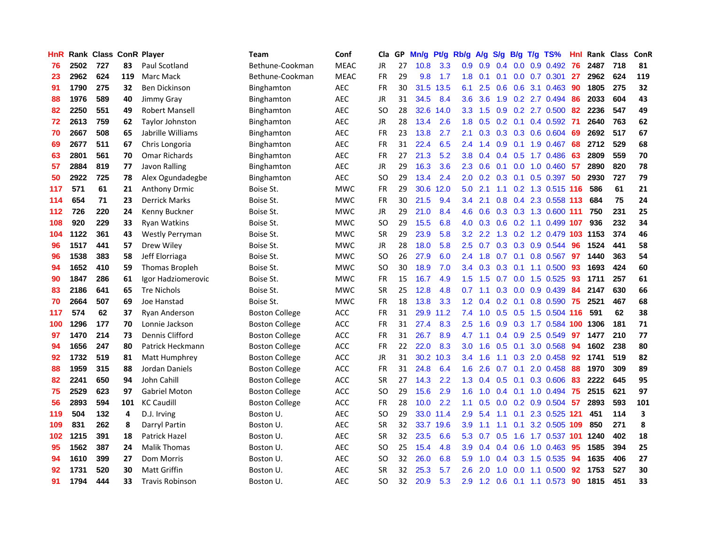| HnR |      | <b>Rank Class ConR Player</b> |     |                        | Team                  | Conf        | Cla           | GP. | Mn/g | Pt/g      | Rb/g             | A/g       | S/g              |                 | B/g T/g TS%               | Hnl | Rank Class |     | ConR |
|-----|------|-------------------------------|-----|------------------------|-----------------------|-------------|---------------|-----|------|-----------|------------------|-----------|------------------|-----------------|---------------------------|-----|------------|-----|------|
| 76  | 2502 | 727                           | 83  | Paul Scotland          | Bethune-Cookman       | <b>MEAC</b> | JR            | 27  | 10.8 | 3.3       | 0.9              | 0.9       | 0.4              | 0.0             | 0.9 0.492                 | 76  | 2487       | 718 | 81   |
| 23  | 2962 | 624                           | 119 | Marc Mack              | Bethune-Cookman       | <b>MEAC</b> | <b>FR</b>     | 29  | 9.8  | 1.7       | 1.8              | 0.1       | 0.1              | 0.0             | 0.7 0.301                 | 27  | 2962       | 624 | 119  |
| 91  | 1790 | 275                           | 32  | Ben Dickinson          | Binghamton            | AEC         | <b>FR</b>     | 30  | 31.5 | 13.5      | 6.1              | 2.5       | 0.6              | 0.6             | 3.1 0.463                 | 90  | 1805       | 275 | 32   |
| 88  | 1976 | 589                           | 40  | Jimmy Gray             | <b>Binghamton</b>     | <b>AEC</b>  | <b>JR</b>     | 31  | 34.5 | 8.4       | 3.6              | 3.6       |                  |                 | 1.9 0.2 2.7 0.494         | 86  | 2033       | 604 | 43   |
| 82  | 2250 | 551                           | 49  | <b>Robert Mansell</b>  | <b>Binghamton</b>     | <b>AEC</b>  | <b>SO</b>     | 28  | 32.6 | 14.0      | 3.3 <sub>1</sub> | 1.5       |                  |                 | 0.9 0.2 2.7 0.500         | 82  | 2236       | 547 | 49   |
| 72  | 2613 | 759                           | 62  | <b>Taylor Johnston</b> | <b>Binghamton</b>     | <b>AEC</b>  | <b>JR</b>     | 28  | 13.4 | 2.6       | 1.8              | 0.5       |                  |                 | 0.2 0.1 0.4 0.592         | -71 | 2640       | 763 | 62   |
| 70  | 2667 | 508                           | 65  | Jabrille Williams      | Binghamton            | AEC         | <b>FR</b>     | 23  | 13.8 | 2.7       | 2.1              | 0.3       |                  |                 | $0.3$ $0.3$ $0.6$ $0.604$ | 69  | 2692       | 517 | 67   |
| 69  | 2677 | 511                           | 67  | Chris Longoria         | Binghamton            | <b>AEC</b>  | <b>FR</b>     | 31  | 22.4 | 6.5       | $2.4^{\circ}$    | 1.4       | 0.9              |                 | $0.1$ 1.9 0.467           | 68  | 2712       | 529 | 68   |
| 63  | 2801 | 561                           | 70  | <b>Omar Richards</b>   | Binghamton            | <b>AEC</b>  | <b>FR</b>     | 27  | 21.3 | 5.2       | 3.8              | 0.4       | 0.4              | 0.5             | 1.7 0.486                 | 63  | 2809       | 559 | 70   |
| 57  | 2884 | 819                           | 77  | Javon Ralling          | <b>Binghamton</b>     | <b>AEC</b>  | JR            | 29  | 16.3 | 3.6       | $2.3^{\circ}$    | 0.6       | 0.1              |                 | $0.0$ 1.0 $0.460$         | 57  | 2890       | 820 | 78   |
| 50  | 2922 | 725                           | 78  | Alex Ogundadegbe       | Binghamton            | <b>AEC</b>  | SO            | 29  | 13.4 | 2.4       | 2.0              | 0.2       |                  | $0.3 \quad 0.1$ | $0.5$ 0.397               | 50  | 2930       | 727 | 79   |
| 117 | 571  | 61                            | 21  | <b>Anthony Drmic</b>   | Boise St.             | <b>MWC</b>  | FR            | 29  | 30.6 | 12.0      | 5.0              | 2.1       | 1.1              |                 | 0.2 1.3 0.515 116         |     | 586        | 61  | 21   |
| 114 | 654  | 71                            | 23  | <b>Derrick Marks</b>   | Boise St.             | <b>MWC</b>  | <b>FR</b>     | 30  | 21.5 | 9.4       | $3.4^{\circ}$    | 2.1       | 0.8 <sub>0</sub> | 0.4             | 2.3 0.558 113             |     | 684        | 75  | 24   |
| 112 | 726  | 220                           | 24  | Kenny Buckner          | Boise St.             | <b>MWC</b>  | JR            | 29  | 21.0 | 8.4       | 4.6              | 0.6       | 0.3              |                 | 0.3 1.3 0.600 111         |     | 750        | 231 | 25   |
| 108 | 920  | 229                           | 33  | <b>Ryan Watkins</b>    | Boise St.             | <b>MWC</b>  | <sub>SO</sub> | 29  | 15.5 | 6.8       | 4.0              | 0.3       | 0.6              |                 | 0.2 1.1 0.499 107         |     | 936        | 232 | 34   |
| 104 | 1122 | 361                           | 43  | Westly Perryman        | Boise St.             | <b>MWC</b>  | <b>SR</b>     | 29  | 23.9 | 5.8       | 3.2              | 2.2       | 1.3              |                 | 0.2 1.2 0.479 103         |     | 1153       | 374 | 46   |
| 96  | 1517 | 441                           | 57  | Drew Wiley             | Boise St.             | <b>MWC</b>  | JR            | 28  | 18.0 | 5.8       | 2.5              | 0.7       |                  |                 | 0.3 0.3 0.9 0.544         | -96 | 1524       | 441 | 58   |
| 96  | 1538 | 383                           | 58  | Jeff Elorriaga         | Boise St.             | <b>MWC</b>  | SO            | 26  | 27.9 | 6.0       |                  | $2.4$ 1.8 |                  |                 | 0.7 0.1 0.8 0.567         | -97 | 1440       | 363 | 54   |
| 94  | 1652 | 410                           | 59  | Thomas Bropleh         | Boise St.             | <b>MWC</b>  | SO            | 30  | 18.9 | 7.0       |                  |           |                  |                 | 3.4 0.3 0.3 0.1 1.1 0.500 | -93 | 1693       | 424 | 60   |
| 90  | 1847 | 286                           | 61  | Igor Hadziomerovic     | Boise St.             | <b>MWC</b>  | FR            | 15  | 16.7 | 4.9       | 1.5 <sup>1</sup> | 1.5       |                  |                 | $0.7$ $0.0$ 1.5 $0.525$   | 93  | 1711       | 257 | 61   |
| 83  | 2186 | 641                           | 65  | <b>Tre Nichols</b>     | Boise St.             | <b>MWC</b>  | <b>SR</b>     | 25  | 12.8 | 4.8       | 0.7              | 1.1       | 0.3              |                 | $0.0$ $0.9$ $0.439$       | 84  | 2147       | 630 | 66   |
| 70  | 2664 | 507                           | 69  | Joe Hanstad            | Boise St.             | <b>MWC</b>  | <b>FR</b>     | 18  | 13.8 | 3.3       | 1.2              | 0.4       |                  | $0.2 \quad 0.1$ | $0.8$ 0.590               | 75  | 2521       | 467 | 68   |
| 117 | 574  | 62                            | 37  | Ryan Anderson          | <b>Boston College</b> | <b>ACC</b>  | <b>FR</b>     | 31  | 29.9 | 11.2      | 7.4              | 1.0       | 0.5              | 0.5             | 1.5 0.504 116             |     | 591        | 62  | 38   |
| 100 | 1296 | 177                           | 70  | Lonnie Jackson         | <b>Boston College</b> | ACC         | FR            | 31  | 27.4 | 8.3       | 2.5              | 1.6       | 0.9              |                 | 0.3 1.7 0.584             | 100 | 1306       | 181 | 71   |
| 97  | 1470 | 214                           | 73  | Dennis Clifford        | <b>Boston College</b> | ACC         | FR            | 31  | 26.7 | 8.9       | 4.7              | 1.1       | $0.4^{\circ}$    | 0.9             | 2.5 0.549                 | 97  | 1477       | 210 | 77   |
| 94  | 1656 | 247                           | 80  | Patrick Heckmann       | <b>Boston College</b> | <b>ACC</b>  | <b>FR</b>     | 22  | 22.0 | 8.3       | 3.0              | 1.6       | 0.5              | 0.1             | 3.0 0.568                 | 94  | 1602       | 238 | 80   |
| 92  | 1732 | 519                           | 81  | Matt Humphrey          | <b>Boston College</b> | <b>ACC</b>  | <b>JR</b>     | 31  |      | 30.2 10.3 | 3.4              | 1.6       | 1.1              | 0.3             | 2.0 0.458                 | 92  | 1741       | 519 | 82   |
| 88  | 1959 | 315                           | 88  | Jordan Daniels         | <b>Boston College</b> | ACC         | FR            | 31  | 24.8 | 6.4       | 1.6              | 2.6       | 0.7              | 0.1             | 2.0 0.458                 | 88  | 1970       | 309 | 89   |
| 82  | 2241 | 650                           | 94  | John Cahill            | <b>Boston College</b> | <b>ACC</b>  | <b>SR</b>     | 27  | 14.3 | 2.2       | 1.3              | 0.4       | 0.5              | 0.1             | 0.3 0.606                 | 83  | 2222       | 645 | 95   |
| 75  | 2529 | 623                           | 97  | <b>Gabriel Moton</b>   | <b>Boston College</b> | ACC         | SO            | 29  | 15.6 | 2.9       | 1.6              | 1.0       | $0.4 \quad 0.1$  |                 | 1.0 0.494                 | 75  | 2515       | 621 | 97   |
| 56  | 2893 | 594                           | 101 | <b>KC Caudill</b>      | <b>Boston College</b> | ACC         | <b>FR</b>     | 28  | 10.0 | 2.2       | 1.1              | 0.5       |                  |                 | $0.0$ $0.2$ $0.9$ $0.504$ | -57 | 2893       | 593 | 101  |
| 119 | 504  | 132                           | 4   | D.J. Irving            | Boston U.             | <b>AEC</b>  | SO            | 29  |      | 33.0 11.4 | 2.9              | 5.4       | 1.1              |                 | 0.1 2.3 0.525 121         |     | 451        | 114 | 3    |
| 109 | 831  | 262                           | 8   | Darryl Partin          | Boston U.             | <b>AEC</b>  | <b>SR</b>     | 32  |      | 33.7 19.6 | 3.9              | 1.1       | 1.1              |                 | 0.1 3.2 0.505 109         |     | 850        | 271 | 8    |
| 102 | 1215 | 391                           | 18  | Patrick Hazel          | Boston U.             | <b>AEC</b>  | SR            | 32  | 23.5 | 6.6       | 5.3              | 0.7       | 0.5              | 1.6             | 1.7 0.537 101             |     | 1240       | 402 | 18   |
| 95  | 1562 | 387                           | 24  | <b>Malik Thomas</b>    | Boston U.             | <b>AEC</b>  | <b>SO</b>     | 25  | 15.4 | 4.8       | 3.9              | 0.4       | 0.4              | 0.6             | 1.0 0.463                 | 95  | 1585       | 394 | 25   |
| 94  | 1610 | 399                           | 27  | Dom Morris             | Boston U.             | <b>AEC</b>  | <b>SO</b>     | 32  | 26.0 | 6.8       | 5.9              | 1.0       | 0.4              | 0.3             | 1.5 0.535                 | 94  | 1635       | 406 | 27   |
| 92  | 1731 | 520                           | 30  | <b>Matt Griffin</b>    | Boston U.             | <b>AEC</b>  | <b>SR</b>     | 32  | 25.3 | 5.7       | 2.6              | 2.0       | 1.0              | 0.0             | 1.1 0.500                 | 92  | 1753       | 527 | 30   |
| 91  | 1794 | 444                           | 33  | <b>Travis Robinson</b> | Boston U.             | <b>AEC</b>  | <b>SO</b>     | 32  | 20.9 | 5.3       | 2.9              |           |                  |                 | 1.2 0.6 0.1 1.1 0.573     | 90  | 1815       | 451 | 33   |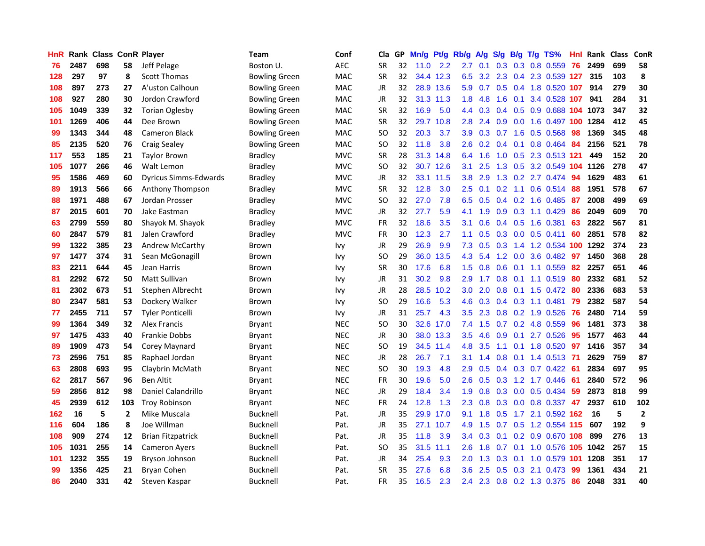| HnR |      | Rank Class ConR Player |                |                              | <b>Team</b>          | Conf       | Cla       |    | GP Mn/g Pt/g Rb/g |           |                  | A/g     |                  |                 | S/g B/g T/g TS%            | Hnl | Rank Class |     | ConR           |
|-----|------|------------------------|----------------|------------------------------|----------------------|------------|-----------|----|-------------------|-----------|------------------|---------|------------------|-----------------|----------------------------|-----|------------|-----|----------------|
| 76  | 2487 | 698                    | 58             | Jeff Pelage                  | Boston U.            | AEC        | <b>SR</b> | 32 | 11.0              | 2.2       | 2.7              | 0.1     | 0.3              | 0.3             | 0.8 0.559                  | 76  | 2499       | 699 | 58             |
| 128 | 297  | 97                     | 8              | <b>Scott Thomas</b>          | Bowling Green        | MAC        | <b>SR</b> | 32 |                   | 34.4 12.3 | 6.5              | 3.2     | 2.3              | 0.4             | 2.3 0.539 127              |     | 315        | 103 | 8              |
| 108 | 897  | 273                    | 27             | A'uston Calhoun              | Bowling Green        | <b>MAC</b> | JR        | 32 |                   | 28.9 13.6 | 5.9              | 0.7     |                  | $0.5 \quad 0.4$ | 1.8 0.520 107              |     | 914        | 279 | 30             |
| 108 | 927  | 280                    | 30             | Jordon Crawford              | Bowling Green        | <b>MAC</b> | JR        | 32 |                   | 31.3 11.3 | 1.8 <sup>°</sup> | 4.8     | 1.6              | 0.1             | 3.4 0.528 107              |     | 941        | 284 | 31             |
| 105 | 1049 | 339                    | 32             | <b>Torian Oglesby</b>        | <b>Bowling Green</b> | <b>MAC</b> | <b>SR</b> | 32 | 16.9              | 5.0       |                  | 4.4 0.3 |                  |                 | 0.4 0.5 0.9 0.688 104 1073 |     |            | 347 | 32             |
| 101 | 1269 | 406                    | 44             | Dee Brown                    | <b>Bowling Green</b> | <b>MAC</b> | <b>SR</b> | 32 |                   | 29.7 10.8 | 2.8              | 2.4     |                  |                 | 0.9 0.0 1.6 0.497 100      |     | 1284       | 412 | 45             |
| 99  | 1343 | 344                    | 48             | Cameron Black                | <b>Bowling Green</b> | <b>MAC</b> | <b>SO</b> | 32 | 20.3              | 3.7       | 3.9              | 0.3     |                  |                 | $0.7$ 1.6 0.5 0.568        | 98  | 1369       | 345 | 48             |
| 85  | 2135 | 520                    | 76             | <b>Craig Sealey</b>          | Bowling Green        | <b>MAC</b> | SO.       | 32 | 11.8              | 3.8       | 2.6              | 0.2     |                  | $0.4 \quad 0.1$ | $0.8$ 0.464                | 84  | 2156       | 521 | 78             |
| 117 | 553  | 185                    | 21             | <b>Taylor Brown</b>          | <b>Bradley</b>       | <b>MVC</b> | <b>SR</b> | 28 |                   | 31.3 14.8 | 6.4              | 1.6     | 1.0              | 0.5             | 2.3 0.513 121              |     | 449        | 152 | 20             |
| 105 | 1077 | 266                    | 46             | Walt Lemon                   | <b>Bradley</b>       | <b>MVC</b> | <b>SO</b> | 32 |                   | 30.7 12.6 | 3.1              | 2.5     | 1.3              | 0.5             | 3.2 0.549                  |     | 104 1126   | 278 | 47             |
| 95  | 1586 | 469                    | 60             | <b>Dyricus Simms-Edwards</b> | <b>Bradley</b>       | <b>MVC</b> | JR        | 32 |                   | 33.1 11.5 | 3.8              | 2.9     | 1.3              |                 | 0.2 2.7 0.474              | 94  | 1629       | 483 | 61             |
| 89  | 1913 | 566                    | 66             | Anthony Thompson             | Bradley              | <b>MVC</b> | <b>SR</b> | 32 | 12.8              | 3.0       | 2.5              | 0.1     | 0.2              | 1.1             | $0.6$ $0.514$              | 88  | 1951       | 578 | 67             |
| 88  | 1971 | 488                    | 67             | Jordan Prosser               | <b>Bradley</b>       | <b>MVC</b> | <b>SO</b> | 32 | 27.0              | 7.8       | 6.5              | 0.5     | 0.4              |                 | $0.2$ 1.6 0.485            | 87  | 2008       | 499 | 69             |
| 87  | 2015 | 601                    | 70             | Jake Eastman                 | <b>Bradley</b>       | <b>MVC</b> | <b>JR</b> | 32 | 27.7              | 5.9       | 4.1              | 1.9     | 0.9              | 0.3             | 1.1 0.429                  | 86  | 2049       | 609 | 70             |
| 63  | 2799 | 559                    | 80             | Shayok M. Shayok             | <b>Bradley</b>       | <b>MVC</b> | <b>FR</b> | 32 | 18.6              | 3.5       | 3.1              | 0.6     | 0.4              | 0.5             | 1.6 0.381                  | 63  | 2822       | 567 | 81             |
| 60  | 2847 | 579                    | 81             | Jalen Crawford               | <b>Bradley</b>       | <b>MVC</b> | <b>FR</b> | 30 | 12.3              | 2.7       | 1.1              | 0.5     |                  |                 | $0.3$ 0.0 0.5 0.411        | 60  | 2851       | 578 | 82             |
| 99  | 1322 | 385                    | 23             | Andrew McCarthy              | Brown                | <b>Ivy</b> | JR        | 29 | 26.9              | 9.9       |                  | 7.3 0.5 |                  |                 | 0.3 1.4 1.2 0.534 100      |     | 1292       | 374 | 23             |
| 97  | 1477 | 374                    | 31             | Sean McGonagill              | Brown                | Ivy        | <b>SO</b> | 29 | 36.0              | 13.5      |                  | 4.3 5.4 |                  |                 | 1.2 0.0 3.6 0.482          | -97 | 1450       | 368 | 28             |
| 83  | 2211 | 644                    | 45             | Jean Harris                  | Brown                | <b>Ivy</b> | <b>SR</b> | 30 | 17.6              | 6.8       | 1.5 <sub>1</sub> | 0.8     |                  |                 | $0.6$ 0.1 1.1 0.559        | 82  | 2257       | 651 | 46             |
| 81  | 2292 | 672                    | 50             | Matt Sullivan                | Brown                | <b>Ivy</b> | JR        | 31 | 30.2              | 9.8       | 2.9              | 1.7     |                  |                 | $0.8$ 0.1 1.1 0.519        | 80  | 2332       | 681 | 52             |
| 81  | 2302 | 673                    | 51             | Stephen Albrecht             | <b>Brown</b>         | <b>Ivy</b> | JR        | 28 | 28.5              | 10.2      | 3.0 <sub>2</sub> | 2.0     | 0.8              |                 | $0.1$ 1.5 0.472            | 80  | 2336       | 683 | 53             |
| 80  | 2347 | 581                    | 53             | Dockery Walker               | <b>Brown</b>         | Ivy        | <b>SO</b> | 29 | 16.6              | 5.3       | 4.6              | 0.3     |                  |                 | $0.4$ 0.3 1.1 0.481        | -79 | 2382       | 587 | 54             |
| 77  | 2455 | 711                    | 57             | <b>Tyler Ponticelli</b>      | Brown                | <b>Ivy</b> | JR        | 31 | 25.7              | 4.3       | $3.5\,$          | 2.3     |                  |                 | $0.8$ 0.2 1.9 0.526        | 76  | 2480       | 714 | 59             |
| 99  | 1364 | 349                    | 32             | Alex Francis                 | Bryant               | <b>NEC</b> | <b>SO</b> | 30 |                   | 32.6 17.0 | 7.4              | 1.5     | 0.7              |                 | 0.2 4.8 0.559              | 96  | 1481       | 373 | 38             |
| 97  | 1475 | 433                    | 40             | Frankie Dobbs                | Bryant               | <b>NEC</b> | JR.       | 30 |                   | 38.0 13.3 | 3.5              | 4.6     | 0.9              | 0.1             | 2.7 0.526                  | 95  | 1577       | 463 | 44             |
| 89  | 1909 | 473                    | 54             | Corey Maynard                | Bryant               | <b>NEC</b> | <b>SO</b> | 19 |                   | 34.5 11.4 | 4.8              | 3.5     | 1.1              | 0.1             | 1.8 0.520                  | 97  | 1416       | 357 | 34             |
| 73  | 2596 | 751                    | 85             | Raphael Jordan               | Bryant               | <b>NEC</b> | <b>JR</b> | 28 | 26.7              | 7.1       | 3.1              | 1.4     | 0.8              | 0.1             | 1.4 0.513                  | -71 | 2629       | 759 | 87             |
| 63  | 2808 | 693                    | 95             | Claybrin McMath              | Bryant               | <b>NEC</b> | <b>SO</b> | 30 | 19.3              | 4.8       | 2.9              | 0.5     |                  | $0.4 \quad 0.3$ | $0.7$ $0.422$              | -61 | 2834       | 697 | 95             |
| 62  | 2817 | 567                    | 96             | Ben Altit                    | <b>Bryant</b>        | <b>NEC</b> | <b>FR</b> | 30 | 19.6              | 5.0       | 2.6              | 0.5     | 0.3              |                 | 1.2 1.7 0.446              | -61 | 2840       | 572 | 96             |
| 59  | 2856 | 812                    | 98             | Daniel Calandrillo           | <b>Bryant</b>        | <b>NEC</b> | <b>JR</b> | 29 | 18.4              | 3.4       | 1.9 <sup>°</sup> | 0.8     |                  |                 | $0.3$ 0.0 0.5 0.434        | -59 | 2873       | 818 | 99             |
| 45  | 2939 | 612                    | 103            | <b>Troy Robinson</b>         | Bryant               | <b>NEC</b> | <b>FR</b> | 24 | 12.8              | 1.3       | 2.3              | 0.8     |                  |                 | $0.3$ $0.0$ $0.8$ $0.337$  | 47  | 2937       | 610 | 102            |
| 162 | 16   | 5                      | $\overline{2}$ | Mike Muscala                 | Bucknell             | Pat.       | <b>JR</b> | 35 |                   | 29.9 17.0 | 9.1              | 1.8     | 0.5              |                 | 1.7 2.1 0.592 162          |     | 16         | 5   | $\overline{2}$ |
| 116 | 604  | 186                    | 8              | Joe Willman                  | Bucknell             | Pat.       | JR        | 35 |                   | 27.1 10.7 | 4.9              | 1.5     | 0.7              |                 | 0.5 1.2 0.554 115          |     | 607        | 192 | 9              |
| 108 | 909  | 274                    | 12             | <b>Brian Fitzpatrick</b>     | Bucknell             | Pat.       | <b>JR</b> | 35 | 11.8              | 3.9       | $3.4^{\circ}$    | 0.3     | 0.1              |                 | 0.2 0.9 0.670 108          |     | 899        | 276 | 13             |
| 105 | 1031 | 255                    | 14             | <b>Cameron Ayers</b>         | <b>Bucknell</b>      | Pat.       | <b>SO</b> | 35 | 31.5              | 11.1      | 2.6              | 1.8     | 0.7              | 0.1             | 1.0 0.576                  | 105 | 1042       | 257 | 15             |
| 101 | 1232 | 355                    | 19             | Bryson Johnson               | <b>Bucknell</b>      | Pat.       | JR        | 34 | 25.4              | 9.3       | 2.0              | 1.3     | 0.3 <sub>0</sub> | 0.1             | 1.0 0.579                  | 101 | 1208       | 351 | 17             |
| 99  | 1356 | 425                    | 21             | <b>Bryan Cohen</b>           | Bucknell             | Pat.       | <b>SR</b> | 35 | 27.6              | 6.8       | 3.6              | 2.5     | 0.5              | 0.3             | 2.1 0.473                  | 99  | 1361       | 434 | 21             |
| 86  | 2040 | 331                    | 42             | Steven Kaspar                | <b>Bucknell</b>      | Pat.       | <b>FR</b> | 35 | 16.5              | 2.3       | 2.4              | 2.3     |                  |                 | 0.8 0.2 1.3 0.375          | -86 | 2048       | 331 | 40             |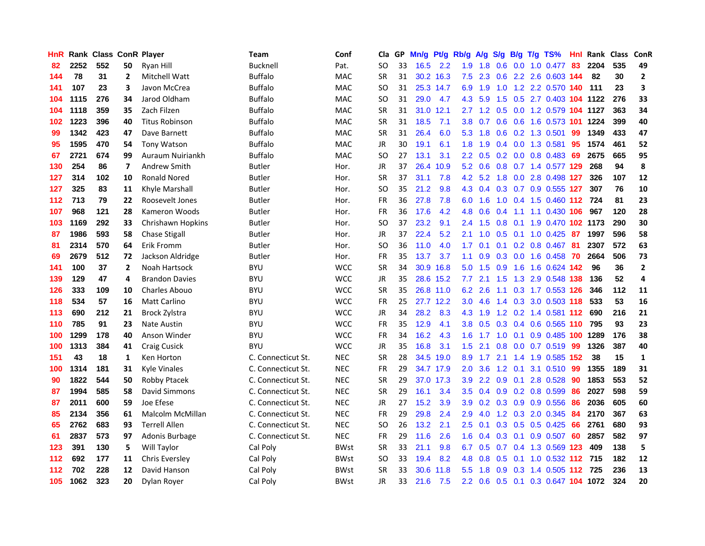| <b>HnR</b> |      | Rank Class ConR Player |    |                         | Team               | Conf        | Cla       |    | GP Mn/g Pt/g |           | Rb/g             | A/g             |                 |                 | S/g B/g T/g TS%                    | Hnl | Rank Class |     | ConR         |
|------------|------|------------------------|----|-------------------------|--------------------|-------------|-----------|----|--------------|-----------|------------------|-----------------|-----------------|-----------------|------------------------------------|-----|------------|-----|--------------|
| 82         | 2252 | 552                    | 50 | Ryan Hill               | Bucknell           | Pat.        | SO.       | 33 | 16.5         | 2.2       | 1.9              | 1.8             | 0.6             | 0.0             | 1.0 0.477                          | 83  | 2204       | 535 | 49           |
| 144        | 78   | 31                     | 2  | Mitchell Watt           | <b>Buffalo</b>     | <b>MAC</b>  | <b>SR</b> | 31 |              | 30.2 16.3 | 7.5              | 2.3             | 0.6             |                 | 2.2 2.6 0.603 144                  |     | -82        | 30  | $\mathbf{2}$ |
| 141        | 107  | 23                     | 3  | Javon McCrea            | Buffalo            | <b>MAC</b>  | SO.       | 31 |              | 25.3 14.7 | 6.9              | 1.9             | 1.0             |                 | 1.2 2.2 0.570 140                  |     | 111        | 23  | 3            |
| 104        | 1115 | 276                    | 34 | Jarod Oldham            | <b>Buffalo</b>     | <b>MAC</b>  | SO        | 31 | 29.0         | 4.7       |                  | 4.3 5.9         |                 |                 | 1.5 0.5 2.7 0.403 104 1122         |     |            | 276 | 33           |
| 104        | 1118 | 359                    | 35 | Zach Filzen             | <b>Buffalo</b>     | MAC         | <b>SR</b> | 31 |              | 31.0 12.1 |                  |                 |                 |                 | 2.7 1.2 0.5 0.0 1.2 0.579 104 1127 |     |            | 363 | 34           |
| 102        | 1223 | 396                    | 40 | <b>Titus Robinson</b>   | <b>Buffalo</b>     | MAC         | <b>SR</b> | 31 | 18.5         | 7.1       | 3.8 <sup>°</sup> | 0.7             |                 |                 | 0.6 0.6 1.6 0.573 101 1224         |     |            | 399 | 40           |
| 99         | 1342 | 423                    | 47 | Dave Barnett            | <b>Buffalo</b>     | MAC         | <b>SR</b> | 31 | 26.4         | 6.0       |                  | $5.3 \quad 1.8$ |                 |                 | $0.6$ $0.2$ 1.3 $0.501$            | 99  | 1349       | 433 | 47           |
| 95         | 1595 | 470                    | 54 | <b>Tony Watson</b>      | <b>Buffalo</b>     | <b>MAC</b>  | JR        | 30 | 19.1         | 6.1       | 1.8 <sup>°</sup> | 1.9             |                 |                 | 0.4 0.0 1.3 0.581                  | 95  | 1574       | 461 | 52           |
| 67         | 2721 | 674                    | 99 | Auraum Nuiriankh        | Buffalo            | <b>MAC</b>  | SO.       | 27 | 13.1         | 3.1       | $2.2^{\circ}$    | 0.5             |                 |                 | $0.2$ 0.0 0.8 0.483                | -69 | 2675       | 665 | 95           |
| 130        | 254  | 86                     | 7  | Andrew Smith            | Butler             | Hor.        | JR        | 37 | 26.4         | 10.9      | 5.2              | 0.6             | 0.8             |                 | 0.7 1.4 0.577 129                  |     | 268        | 94  | 8            |
| 127        | 314  | 102                    | 10 | <b>Ronald Nored</b>     | Butler             | Hor.        | <b>SR</b> | 37 | 31.1         | 7.8       | 4.2              | 5.2             |                 |                 | 1.8 0.0 2.8 0.498 127              |     | 326        | 107 | 12           |
| 127        | 325  | 83                     | 11 | Khyle Marshall          | Butler             | Hor.        | <b>SO</b> | 35 | 21.2         | 9.8       | 4.3              | 0.4             | 0.3             |                 | 0.7 0.9 0.555 127                  |     | 307        | 76  | 10           |
| 112        | 713  | 79                     | 22 | Roosevelt Jones         | Butler             | Hor.        | <b>FR</b> | 36 | 27.8         | 7.8       | 6.0              | 1.6             | 1.0             |                 | 0.4 1.5 0.460 112 724              |     |            | 81  | 23           |
| 107        | 968  | 121                    | 28 | Kameron Woods           | Butler             | Hor.        | <b>FR</b> | 36 | 17.6         | 4.2       | 4.8              | 0.6             | 0.4             | 1.1             | 1.1 0.430 106                      |     | 967        | 120 | 28           |
| 103        | 1169 | 292                    | 33 | Chrishawn Hopkins       | Butler             | Hor.        | SO.       | 37 | 23.2         | 9.1       | $2.4^{\circ}$    | 1.5             | 0.8             | 0.1             | 1.9 0.470 102 1173                 |     |            | 290 | 30           |
| 87         | 1986 | 593                    | 58 | <b>Chase Stigall</b>    | Butler             | Hor.        | JR        | 37 | 22.4         | 5.2       | 2.1              | 1.0             | $0.5 \quad 0.1$ |                 | $1.0$ 0.425 87                     |     | 1997       | 596 | 58           |
| 81         | 2314 | 570                    | 64 | Erik Fromm              | Butler             | Hor.        | SO        | 36 | 11.0         | 4.0       | 1.7 <sub>2</sub> | 0.1             |                 |                 | $0.1$ 0.2 0.8 0.467 81             |     | 2307       | 572 | 63           |
| 69         | 2679 | 512                    | 72 | Jackson Aldridge        | Butler             | Hor.        | FR        | 35 | 13.7         | 3.7       | 1.1              | 0.9             |                 |                 | 0.3 0.0 1.6 0.458 70               |     | 2664       | 506 | 73           |
| 141        | 100  | 37                     | 2  | Noah Hartsock           | BYU                | <b>WCC</b>  | <b>SR</b> | 34 |              | 30.9 16.8 |                  | $5.0$ 1.5       | 0.9             |                 | 1.6 1.6 0.624 142                  |     | 96         | 36  | $\mathbf{2}$ |
| 139        | 129  | 47                     | 4  | <b>Brandon Davies</b>   | BYU                | <b>WCC</b>  | JR        | 35 |              | 28.6 15.2 | 7.7              | 2.1             | 1.5             |                 | 1.3 2.9 0.548 138                  |     | 136        | 52  | 4            |
| 126        | 333  | 109                    | 10 | Charles Abouo           | BYU                | <b>WCC</b>  | <b>SR</b> | 35 |              | 26.8 11.0 | 6.2              | 2.6             | 1.1             |                 | 0.3 1.7 0.553 126                  |     | 346        | 112 | 11           |
| 118        | 534  | 57                     | 16 | <b>Matt Carlino</b>     | <b>BYU</b>         | <b>WCC</b>  | FR        | 25 |              | 27.7 12.2 | 3.0 <sub>2</sub> | 4.6             | 1.4             |                 | 0.3 3.0 0.503 118                  |     | 533        | 53  | 16           |
| 113        | 690  | 212                    | 21 | Brock Zylstra           | BYU                | <b>WCC</b>  | JR        | 34 | 28.2         | 8.3       | 4.3              | 1.9             |                 |                 | 1.2 0.2 1.4 0.581 112              |     | 690        | 216 | 21           |
| 110        | 785  | 91                     | 23 | Nate Austin             | <b>BYU</b>         | <b>WCC</b>  | <b>FR</b> | 35 | 12.9         | 4.1       | 3.8              | 0.5             |                 |                 | 0.3 0.4 0.6 0.565 110              |     | 795        | 93  | 23           |
| 100        | 1299 | 178                    | 40 | Anson Winder            | BYU                | <b>WCC</b>  | <b>FR</b> | 34 | 16.2         | 4.3       | 1.6 <sup>°</sup> | 1.7             | 1.0             | 0.1             | 0.9 0.485 100                      |     | 1289       | 176 | 38           |
| 100        | 1313 | 384                    | 41 | <b>Craig Cusick</b>     | <b>BYU</b>         | <b>WCC</b>  | <b>JR</b> | 35 | 16.8         | 3.1       | 1.5              | 2.1             | 0.8             |                 | $0.0$ $0.7$ $0.519$                | -99 | 1326       | 387 | 40           |
| 151        | 43   | 18                     | 1  | Ken Horton              | C. Connecticut St. | <b>NEC</b>  | <b>SR</b> | 28 |              | 34.5 19.0 | 8.9              | 1.7             | 2.1             | 1.4             | 1.9 0.585 152                      |     | 38         | 15  | $\mathbf{1}$ |
| 100        | 1314 | 181                    | 31 | <b>Kyle Vinales</b>     | C. Connecticut St. | <b>NEC</b>  | <b>FR</b> | 29 |              | 34.7 17.9 | 2.0              | 3.6             | 1.2             | 0.1             | 3.1 0.510                          | -99 | 1355       | 189 | 31           |
| 90         | 1822 | 544                    | 50 | Robby Ptacek            | C. Connecticut St. | <b>NEC</b>  | <b>SR</b> | 29 |              | 37.0 17.3 | 3.9              |                 | $2.2 \quad 0.9$ |                 | 0.1 2.8 0.528                      | -90 | 1853       | 553 | 52           |
| 87         | 1994 | 585                    | 58 | <b>David Simmons</b>    | C. Connecticut St. | <b>NEC</b>  | <b>SR</b> | 29 | 16.1         | 3.4       | $3.5^{\circ}$    |                 |                 |                 | $0.4$ 0.9 0.2 0.8 0.599            | -86 | 2027       | 598 | 59           |
| 87         | 2011 | 600                    | 59 | Joe Efese               | C. Connecticut St. | <b>NEC</b>  | JR        | 27 | 15.2         | 3.9       | 3.9              |                 |                 |                 | 0.2 0.3 0.9 0.9 0.556              | 86  | 2036       | 605 | 60           |
| 85         | 2134 | 356                    | 61 | <b>Malcolm McMillan</b> | C. Connecticut St. | <b>NEC</b>  | FR        | 29 | 29.8         | 2.4       | 2.9              | 4.0             |                 |                 | 1.2 0.3 2.0 0.345                  | -84 | 2170       | 367 | 63           |
| 65         | 2762 | 683                    | 93 | <b>Terrell Allen</b>    | C. Connecticut St. | <b>NEC</b>  | <b>SO</b> | 26 | 13.2         | 2.1       | 2.5              | 0.1             |                 |                 | 0.3 0.5 0.5 0.425                  | 66  | 2761       | 680 | 93           |
| 61         | 2837 | 573                    | 97 | Adonis Burbage          | C. Connecticut St. | <b>NEC</b>  | <b>FR</b> | 29 | 11.6         | 2.6       | 1.6              | 0.4             |                 | $0.3 \quad 0.1$ | 0.9 0.507                          | -60 | 2857       | 582 | 97           |
| 123        | 391  | 130                    | 5  | Will Taylor             | Cal Poly           | <b>BWst</b> | <b>SR</b> | 33 | 21.1         | 9.8       | 6.7              | 0.5             | 0.7             |                 | 0.4 1.3 0.569 123                  |     | 409        | 138 | 5            |
| 112        | 692  | 177                    | 11 | Chris Eversley          | Cal Poly           | <b>BWst</b> | SO.       | 33 | 19.4         | 8.2       | 4.8              | 0.8             | 0.5             | 0.1             | 1.0 0.532 112 715                  |     |            | 182 | 12           |
| 112        | 702  | 228                    | 12 | David Hanson            | Cal Poly           | <b>BWst</b> | <b>SR</b> | 33 | 30.6         | 11.8      | 5.5              | 1.8             | 0.9             | 0.3             | 1.4 0.505                          | 112 | 725        | 236 | 13           |
| 105        | 1062 | 323                    | 20 | Dylan Royer             | Cal Poly           | <b>BWst</b> | <b>JR</b> | 33 | 21.6         | 7.5       | 2.2              | 0.6             |                 |                 | 0.5 0.1 0.3 0.647 104 1072         |     |            | 324 | 20           |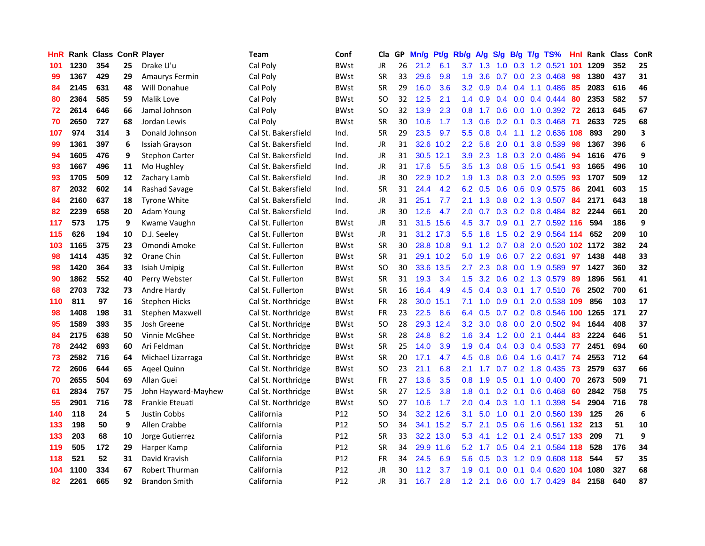| <b>HnR</b> |      | Rank Class ConR Player |    |                       | <b>Team</b>         | Conf            | Cla       |    | GP Mn/g | Pt/g      | Rb/g             | A/g             | S/g |                 | B/g T/g TS%               | Hnl | Rank Class |     | ConR |
|------------|------|------------------------|----|-----------------------|---------------------|-----------------|-----------|----|---------|-----------|------------------|-----------------|-----|-----------------|---------------------------|-----|------------|-----|------|
| 101        | 1230 | 354                    | 25 | Drake U'u             | Cal Poly            | <b>BWst</b>     | JR        | 26 | 21.2    | 6.1       | 3.7              | 1.3             | 1.0 | 0.3             | 1.2 0.521                 | 101 | 1209       | 352 | 25   |
| 99         | 1367 | 429                    | 29 | Amaurys Fermin        | Cal Poly            | <b>BWst</b>     | <b>SR</b> | 33 | 29.6    | 9.8       | 1.9              | 3.6             | 0.7 | 0.0             | 2.3 0.468                 | 98  | 1380       | 437 | 31   |
| 84         | 2145 | 631                    | 48 | Will Donahue          | Cal Poly            | <b>BWst</b>     | <b>SR</b> | 29 | 16.0    | 3.6       | 3.2 <sub>2</sub> | 0.9             | 0.4 | 0.4             | 1.1 0.486                 | 85  | 2083       | 616 | 46   |
| 80         | 2364 | 585                    | 59 | Malik Love            | Cal Poly            | <b>BWst</b>     | SO.       | 32 | 12.5    | 2.1       |                  | $1.4 \quad 0.9$ |     |                 | $0.4$ 0.0 0.4 0.444       | 80  | 2353       | 582 | 57   |
| 72         | 2614 | 646                    | 66 | Jamal Johnson         | Cal Poly            | <b>BWst</b>     | SO.       | 32 | 13.9    | 2.3       |                  | $0.8$ 1.7       |     |                 | $0.6$ $0.0$ $1.0$ $0.392$ | 72  | 2613       | 645 | 67   |
| 70         | 2650 | 727                    | 68 | Jordan Lewis          | Cal Poly            | <b>BWst</b>     | <b>SR</b> | 30 | 10.6    | 1.7       | 1.3 <sup>1</sup> | 0.6             |     | $0.2 \quad 0.1$ | 0.3 0.468                 | -71 | 2633       | 725 | 68   |
| 107        | 974  | 314                    | 3  | Donald Johnson        | Cal St. Bakersfield | Ind.            | <b>SR</b> | 29 | 23.5    | 9.7       | 5.5 <sub>1</sub> | 0.8             | 0.4 |                 | 1.1 1.2 0.636 108         |     | 893        | 290 | 3    |
| 99         | 1361 | 397                    | 6  | Issiah Grayson        | Cal St. Bakersfield | Ind.            | JR        | 31 |         | 32.6 10.2 | $2.2\phantom{0}$ | 5.8             | 2.0 | 0.1             | 3.8 0.539                 | 98  | 1367       | 396 | 6    |
| 94         | 1605 | 476                    | 9  | <b>Stephon Carter</b> | Cal St. Bakersfield | Ind.            | JR        | 31 | 30.5    | 12.1      | 3.9              | 2.3             | 1.8 | 0.3             | 2.0 0.486                 | 94  | 1616       | 476 | 9    |
| 93         | 1667 | 496                    | 11 | Mo Hughley            | Cal St. Bakersfield | Ind.            | JR        | 31 | 17.6    | 5.5       | 3.5              | 1.3             | 0.8 | 0.5             | 1.5 0.541                 | 93  | 1665       | 496 | 10   |
| 93         | 1705 | 509                    | 12 | Zachary Lamb          | Cal St. Bakersfield | Ind.            | JR        | 30 | 22.9    | 10.2      | 1.9              | 1.3             | 0.8 |                 | 0.3 2.0 0.595             | 93  | 1707       | 509 | 12   |
| 87         | 2032 | 602                    | 14 | Rashad Savage         | Cal St. Bakersfield | Ind.            | <b>SR</b> | 31 | 24.4    | 4.2       | 6.2              | 0.5             | 0.6 | 0.6             | 0.9 0.575                 | 86  | 2041       | 603 | 15   |
| 84         | 2160 | 637                    | 18 | <b>Tyrone White</b>   | Cal St. Bakersfield | Ind.            | JR        | 31 | 25.1    | 7.7       | 2.1              | 1.3             | 0.8 |                 | 0.2 1.3 0.507             | 84  | 2171       | 643 | 18   |
| 82         | 2239 | 658                    | 20 | Adam Young            | Cal St. Bakersfield | Ind.            | <b>JR</b> | 30 | 12.6    | 4.7       | 2.0              | 0.7             | 0.3 | 0.2             | 0.8 0.484                 | 82  | 2244       | 661 | 20   |
| 117        | 573  | 175                    | 9  | Kwame Vaughn          | Cal St. Fullerton   | <b>BWst</b>     | JR        | 31 | 31.5    | 15.6      | 4.5              | 3.7             | 0.9 | 0.1             | 2.7 0.592 116             |     | 594        | 186 | 9    |
| 115        | 626  | 194                    | 10 | D.J. Seeley           | Cal St. Fullerton   | <b>BWst</b>     | JR        | 31 |         | 31.2 17.3 | 5.5 <sub>1</sub> | 1.8             | 1.5 |                 | 0.2 2.9 0.564 114         |     | 652        | 209 | 10   |
| 103        | 1165 | 375                    | 23 | Omondi Amoke          | Cal St. Fullerton   | <b>BWst</b>     | <b>SR</b> | 30 |         | 28.8 10.8 | 9.1              | 1.2             | 0.7 |                 | 0.8 2.0 0.520 102 1172    |     |            | 382 | 24   |
| 98         | 1414 | 435                    | 32 | Orane Chin            | Cal St. Fullerton   | <b>BWst</b>     | <b>SR</b> | 31 |         | 29.1 10.2 | 5.0              | 1.9             |     |                 | $0.6$ $0.7$ 2.2 $0.631$   | 97  | 1438       | 448 | 33   |
| 98         | 1420 | 364                    | 33 | Isiah Umipig          | Cal St. Fullerton   | <b>BWst</b>     | SO.       | 30 |         | 33.6 13.5 | $2.7^{\circ}$    | 2.3             |     |                 | 0.8 0.0 1.9 0.589         | 97  | 1427       | 360 | 32   |
| 90         | 1862 | 552                    | 40 | Perry Webster         | Cal St. Fullerton   | <b>BWst</b>     | <b>SR</b> | 31 | 19.3    | 3.4       | 1.5              | 3.2             |     |                 | 0.6 0.2 1.3 0.579         | -89 | 1896       | 561 | 41   |
| 68         | 2703 | 732                    | 73 | Andre Hardy           | Cal St. Fullerton   | <b>BWst</b>     | <b>SR</b> | 16 | 16.4    | 4.9       | 4.5              | 0.4             |     |                 | 0.3 0.1 1.7 0.510 76      |     | 2502       | 700 | 61   |
| 110        | 811  | 97                     | 16 | <b>Stephen Hicks</b>  | Cal St. Northridge  | <b>BWst</b>     | <b>FR</b> | 28 | 30.0    | 15.1      | 7.1              | 1.0             | 0.9 | 0.1             | 2.0 0.538 109             |     | 856        | 103 | 17   |
| 98         | 1408 | 198                    | 31 | Stephen Maxwell       | Cal St. Northridge  | <b>BWst</b>     | FR        | 23 | 22.5    | 8.6       | 6.4              | 0.5             |     |                 | 0.7 0.2 0.8 0.546 100     |     | 1265       | 171 | 27   |
| 95         | 1589 | 393                    | 35 | Josh Greene           | Cal St. Northridge  | <b>BWst</b>     | SO        | 28 | 29.3    | 12.4      | 3.2 <sub>2</sub> | 3.0             | 0.8 |                 | $0.0$ 2.0 $0.502$         | -94 | 1644       | 408 | 37   |
| 84         | 2175 | 638                    | 50 | Vinnie McGhee         | Cal St. Northridge  | <b>BWst</b>     | <b>SR</b> | 28 | 24.8    | 8.2       | 1.6              | 3.4             | 1.2 | 0.0             | 2.1 0.444                 | 83  | 2224       | 646 | 51   |
| 78         | 2442 | 693                    | 60 | Ari Feldman           | Cal St. Northridge  | <b>BWst</b>     | <b>SR</b> | 25 | 14.0    | 3.9       | 1.9              | 0.4             | 0.4 | 0.3             | 0.4 0.533                 | -77 | 2451       | 694 | 60   |
| 73         | 2582 | 716                    | 64 | Michael Lizarraga     | Cal St. Northridge  | <b>BWst</b>     | <b>SR</b> | 20 | 17.1    | 4.7       | 4.5              | 0.8             | 0.6 | 0.4             | 1.6 0.417                 | -74 | 2553       | 712 | 64   |
| 72         | 2606 | 644                    | 65 | Ageel Quinn           | Cal St. Northridge  | <b>BWst</b>     | <b>SO</b> | 23 | 21.1    | 6.8       | 2.1              | 1.7             | 0.7 | 0.2             | 1.8 0.435                 | 73  | 2579       | 637 | 66   |
| 70         | 2655 | 504                    | 69 | Allan Guei            | Cal St. Northridge  | <b>BWst</b>     | <b>FR</b> | 27 | 13.6    | 3.5       | 0.8              | 1.9             | 0.5 | 0.1             | 1.0 0.400                 | -70 | 2673       | 509 | 71   |
| 61         | 2834 | 757                    | 75 | John Hayward-Mayhew   | Cal St. Northridge  | <b>BWst</b>     | <b>SR</b> | 27 | 12.5    | 3.8       | 1.8 <sup>°</sup> | 0.1             |     | $0.2 \quad 0.1$ | $0.6$ 0.468               | -60 | 2842       | 758 | 75   |
| 55         | 2901 | 716                    | 78 | Frankie Eteuati       | Cal St. Northridge  | <b>BWst</b>     | SO.       | 27 | 10.6    | 1.7       | 2.0 <sub>1</sub> | 0.4             | 0.3 |                 | 1.0 1.1 0.398             | -54 | 2904       | 716 | 78   |
| 140        | 118  | 24                     | 5  | Justin Cobbs          | California          | P12             | <b>SO</b> | 34 |         | 32.2 12.6 | 3.1              | 5.0             |     | $1.0 \quad 0.1$ | 2.0 0.560 139             |     | 125        | 26  | 6    |
| 133        | 198  | 50                     | 9  | Allen Crabbe          | California          | P12             | <b>SO</b> | 34 |         | 34.1 15.2 | 5.7              | 2.1             |     | $0.5 \quad 0.6$ | 1.6 0.561 132             |     | 213        | 51  | 10   |
| 133        | 203  | 68                     | 10 | Jorge Gutierrez       | California          | P12             | <b>SR</b> | 33 |         | 32.2 13.0 | 5.3              | 4.1             | 1.2 | 0.1             | 2.4 0.517 133             |     | 209        | 71  | 9    |
| 119        | 505  | 172                    | 29 | Harper Kamp           | California          | P <sub>12</sub> | <b>SR</b> | 34 |         | 29.9 11.6 | 5.2              | 1.7             |     | $0.5 \quad 0.4$ | 2.1 0.584 118             |     | 528        | 176 | 34   |
| 118        | 521  | 52                     | 31 | David Kravish         | California          | P <sub>12</sub> | <b>FR</b> | 34 | 24.5    | 6.9       | 5.6              | 0.5             | 0.3 | $1.2^{\circ}$   | 0.9 0.608                 | 118 | 544        | 57  | 35   |
| 104        | 1100 | 334                    | 67 | Robert Thurman        | California          | P12             | JR        | 30 | 11.2    | 3.7       | 1.9              | 0.1             | 0.0 | 0.1             | 0.4 0.620                 | 104 | 1080       | 327 | 68   |
| 82         | 2261 | 665                    | 92 | <b>Brandon Smith</b>  | California          | P12             | <b>JR</b> | 31 | 16.7    | 2.8       | 1.2              | 2.1             |     |                 | 0.6 0.0 1.7 0.429         | -84 | 2158       | 640 | 87   |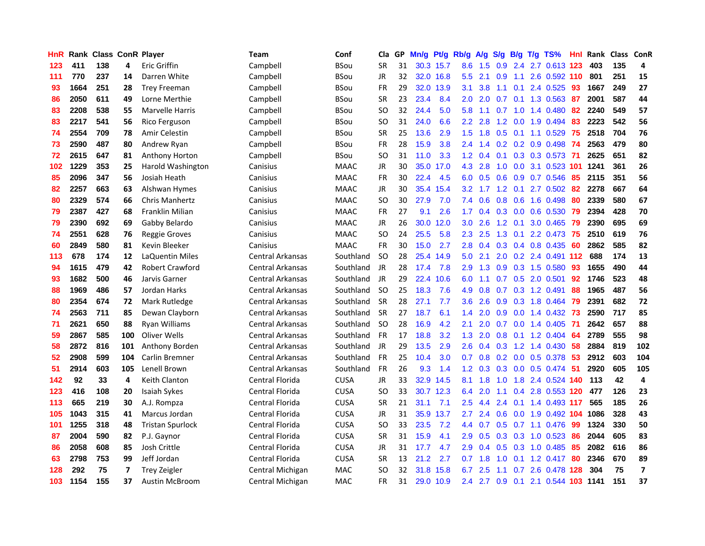| HnR |      | <b>Rank Class ConR Player</b> |     |                         | Team             | Conf        | Cla           | GP. | Mn/g | Pt/g      | Rb/g             | A/g | <b>S/g</b>     | B/g             | T/g TS%                        | Hnl             | Rank Class ConR |     |                         |
|-----|------|-------------------------------|-----|-------------------------|------------------|-------------|---------------|-----|------|-----------|------------------|-----|----------------|-----------------|--------------------------------|-----------------|-----------------|-----|-------------------------|
| 123 | 411  | 138                           | 4   | Eric Griffin            | Campbell         | <b>BSou</b> | SR            | 31  |      | 30.3 15.7 | 8.6              | 1.5 | 0.9            | 2.4             | 2.7 0.613                      | 123             | 403             | 135 | 4                       |
| 111 | 770  | 237                           | 14  | Darren White            | Campbell         | <b>BSou</b> | <b>JR</b>     | 32  | 32.0 | 16.8      | $5.5^{\circ}$    | 2.1 | 0.9            | 1.1             | 2.6 0.592 110                  |                 | 801             | 251 | 15                      |
| 93  | 1664 | 251                           | 28  | <b>Trey Freeman</b>     | Campbell         | <b>BSou</b> | <b>FR</b>     | 29  | 32.0 | 13.9      | 3.1              | 3.8 | 1.1            | 0.1             | 2.4 0.525                      | 93              | 1667            | 249 | 27                      |
| 86  | 2050 | 611                           | 49  | Lorne Merthie           | Campbell         | <b>BSou</b> | <b>SR</b>     | 23  | 23.4 | 8.4       | 2.0 <sub>1</sub> | 2.0 |                | $0.7 \quad 0.1$ | 1.3 0.563                      | 87              | 2001            | 587 | 44                      |
| 83  | 2208 | 538                           | 55  | <b>Marvelle Harris</b>  | Campbell         | <b>BSou</b> | SO            | 32  | 24.4 | 5.0       | 5.8              | 1.1 |                |                 | $0.7$ 1.0 1.4 0.480            | 82              | 2240            | 549 | 57                      |
| 83  | 2217 | 541                           | 56  | Rico Ferguson           | Campbell         | <b>BSou</b> | SO            | 31  | 24.0 | 6.6       | 2.2 <sub>2</sub> | 2.8 |                |                 | 1.2 0.0 1.9 0.494              | 83              | 2223            | 542 | 56                      |
| 74  | 2554 | 709                           | 78  | Amir Celestin           | Campbell         | <b>BSou</b> | <b>SR</b>     | 25  | 13.6 | 2.9       | 1.5              | 1.8 | 0.5            |                 | $0.1$ 1.1 0.529                | 75              | 2518            | 704 | 76                      |
| 73  | 2590 | 487                           | 80  | Andrew Ryan             | Campbell         | <b>BSou</b> | FR            | 28  | 15.9 | 3.8       | 2.4              | 1.4 |                |                 | $0.2$ 0.2 0.9 0.498            | -74             | 2563            | 479 | 80                      |
| 72  | 2615 | 647                           | 81  | <b>Anthony Horton</b>   | Campbell         | <b>BSou</b> | <sub>SO</sub> | 31  | 11.0 | 3.3       | 1.2              | 0.4 | 0.1            |                 | $0.3$ 0.3 0.573                | 71              | 2625            | 651 | 82                      |
| 102 | 1229 | 353                           | 25  | Harold Washington       | Canisius         | <b>MAAC</b> | JR            | 30  | 35.0 | 17.0      | 4.3              | 2.8 | 1.0            |                 | 0.0 3.1 0.523                  | 101             | 1241            | 361 | 26                      |
| 85  | 2096 | 347                           | 56  | Josiah Heath            | Canisius         | <b>MAAC</b> | <b>FR</b>     | 30  | 22.4 | 4.5       | 6.0              | 0.5 | 0.6            |                 | 0.9 0.7 0.546                  | 85              | 2115            | 351 | 56                      |
| 82  | 2257 | 663                           | 63  | Alshwan Hymes           | Canisius         | <b>MAAC</b> | <b>JR</b>     | 30  | 35.4 | 15.4      | 3.2 <sub>1</sub> | 1.7 | 1.2            | 0.1             | 2.7 0.502                      | 82              | 2278            | 667 | 64                      |
| 80  | 2329 | 574                           | 66  | <b>Chris Manhertz</b>   | Canisius         | <b>MAAC</b> | <sub>SO</sub> | 30  | 27.9 | 7.0       | 7.4              | 0.6 | 0.8            | 0.6             | 1.6 0.498                      | 80              | 2339            | 580 | 67                      |
| 79  | 2387 | 427                           | 68  | Franklin Milian         | Canisius         | <b>MAAC</b> | FR            | 27  | 9.1  | 2.6       | 1.7 <sup>2</sup> | 0.4 | 0.3            | 0.0             | 0.6 0.530                      | 79              | 2394            | 428 | 70                      |
| 79  | 2390 | 692                           | 69  | Gabby Belardo           | Canisius         | <b>MAAC</b> | JR            | 26  | 30.0 | 12.0      | 3.0              | 2.6 | 1.2            | 0.1             | 3.0 0.465                      | -79             | 2390            | 695 | 69                      |
| 74  | 2551 | 628                           | 76  | <b>Reggie Groves</b>    | Canisius         | <b>MAAC</b> | <b>SO</b>     | 24  | 25.5 | 5.8       | $2.3^{\circ}$    | 2.5 | 1.3            | 0.1             | 2.2 0.473 75                   |                 | 2510            | 619 | 76                      |
| 60  | 2849 | 580                           | 81  | Kevin Bleeker           | Canisius         | <b>MAAC</b> | <b>FR</b>     | 30  | 15.0 | 2.7       | 2.8 <sub>1</sub> |     |                |                 | $0.4$ 0.3 0.4 0.8 0.435        | -60             | 2862            | 585 | 82                      |
| 113 | 678  | 174                           | 12  | LaQuentin Miles         | Central Arkansas | Southland   | <b>SO</b>     | 28  | 25.4 | 14.9      | 5.0 <sub>1</sub> | 2.1 |                |                 | 2.0 0.2 2.4 0.491 112          |                 | 688             | 174 | 13                      |
| 94  | 1615 | 479                           | 42  | <b>Robert Crawford</b>  | Central Arkansas | Southland   | JR            | 28  | 17.4 | 7.8       | 2.9              | 1.3 |                |                 | 0.9 0.3 1.5 0.580              | -93             | 1655            | 490 | 44                      |
| 93  | 1682 | 500                           | 46  | Jarvis Garner           | Central Arkansas | Southland   | JR            | 29  | 22.4 | 10.6      | 6.0              | 1.1 |                |                 | 0.7 0.5 2.0 0.501              | 92 <sub>2</sub> | 1746            | 523 | 48                      |
| 88  | 1969 | 486                           | 57  | Jordan Harks            | Central Arkansas | Southland   | <b>SO</b>     | 25  | 18.3 | 7.6       | 4.9              | 0.8 | 0.7            |                 | $0.3$ 1.2 0.491                | 88              | 1965            | 487 | 56                      |
| 80  | 2354 | 674                           | 72  | Mark Rutledge           | Central Arkansas | Southland   | <b>SR</b>     | 28  | 27.1 | 7.7       | 3.6 <sup>°</sup> | 2.6 | 0.9            |                 | 0.3 1.8 0.464                  | -79             | 2391            | 682 | 72                      |
| 74  | 2563 | 711                           | 85  | Dewan Clayborn          | Central Arkansas | Southland   | <b>SR</b>     | 27  | 18.7 | 6.1       | 1.4              | 2.0 | 0.9            |                 | $0.0$ 1.4 $0.432$              | -73             | 2590            | 717 | 85                      |
| 71  | 2621 | 650                           | 88  | Ryan Williams           | Central Arkansas | Southland   | <b>SO</b>     | 28  | 16.9 | 4.2       | 2.1              | 2.0 | 0.7            |                 | $0.0$ 1.4 $0.405$              | -71             | 2642            | 657 | 88                      |
| 59  | 2867 | 585                           | 100 | Oliver Wells            | Central Arkansas | Southland   | FR            | 17  | 18.8 | 3.2       | 1.3              | 2.0 | 0.8            | 0.1             | 1.2 0.404                      | 64              | 2789            | 555 | 98                      |
| 58  | 2872 | 816                           | 101 | Anthony Borden          | Central Arkansas | Southland   | JR            | 29  | 13.5 | 2.9       | 2.6              | 0.4 | 0.3            | 1.2             | 1.4 0.430                      | 58              | 2884            | 819 | 102                     |
| 52  | 2908 | 599                           | 104 | Carlin Bremner          | Central Arkansas | Southland   | <b>FR</b>     | 25  | 10.4 | 3.0       | 0.7              | 0.8 | 0.2            | 0.0             | 0.5 0.378                      | -53             | 2912            | 603 | 104                     |
| 51  | 2914 | 603                           | 105 | Lenell Brown            | Central Arkansas | Southland   | <b>FR</b>     | 26  | 9.3  | 1.4       | 1.2 <sub>1</sub> | 0.3 | 0.3            | 0.0             | $0.5$ 0.474                    | -51             | 2920            | 605 | 105                     |
| 142 | 92   | 33                            | 4   | Keith Clanton           | Central Florida  | <b>CUSA</b> | JR            | 33  | 32.9 | 14.5      | 8.1              | 1.8 | 1.0            | 1.8             | 2.4 0.524 140                  |                 | 113             | 42  | 4                       |
| 123 | 416  | 108                           | 20  | Isaiah Sykes            | Central Florida  | <b>CUSA</b> | <sub>SO</sub> | 33  |      | 30.7 12.3 | 6.4              | 2.0 | 1.1            |                 | 0.4 2.8 0.553 120              |                 | 477             | 126 | 23                      |
| 113 | 665  | 219                           | 30  | A.J. Rompza             | Central Florida  | <b>CUSA</b> | <b>SR</b>     | 21  | 31.1 | 7.1       | 2.5              | 4.4 | $2.4\quad 0.1$ |                 | 1.4 0.493 117                  |                 | 565             | 185 | 26                      |
| 105 | 1043 | 315                           | 41  | Marcus Jordan           | Central Florida  | <b>CUSA</b> | JR            | 31  |      | 35.9 13.7 | 2.7              | 2.4 |                |                 | 0.6 0.0 1.9 0.492 104          |                 | 1086            | 328 | 43                      |
| 101 | 1255 | 318                           | 48  | <b>Tristan Spurlock</b> | Central Florida  | <b>CUSA</b> | <sub>SO</sub> | 33  | 23.5 | 7.2       | 4.4              | 0.7 |                |                 | 0.5 0.7 1.1 0.476 99           |                 | 1324            | 330 | 50                      |
| 87  | 2004 | 590                           | 82  | P.J. Gaynor             | Central Florida  | <b>CUSA</b> | <b>SR</b>     | 31  | 15.9 | 4.1       | 2.9              | 0.5 |                |                 | 0.3 0.3 1.0 0.523              | 86              | 2044            | 605 | 83                      |
| 86  | 2058 | 608                           | 85  | Josh Crittle            | Central Florida  | <b>CUSA</b> | <b>JR</b>     | 31  | 17.7 | 4.7       | 2.9              | 0.4 |                |                 | 0.5 0.3 1.0 0.485              | 85              | 2082            | 616 | 86                      |
| 63  | 2798 | 753                           | 99  | Jeff Jordan             | Central Florida  | <b>CUSA</b> | <b>SR</b>     | 13  | 21.2 | 2.7       | 0.7              | 1.8 | 1.0            | 0.1             | 1.2 0.417                      | 80              | 2346            | 670 | 89                      |
| 128 | 292  | 75                            | 7   | <b>Trey Zeigler</b>     | Central Michigan | MAC         | SO            | 32  | 31.8 | 15.8      | 6.7              | 2.5 | 1.1            | 0.7             | 2.6 0.478                      | 128             | 304             | 75  | $\overline{\mathbf{z}}$ |
| 103 | 1154 | 155                           | 37  | <b>Austin McBroom</b>   | Central Michigan | MAC         | <b>FR</b>     | 31  |      | 29.0 10.9 | $2.4^{\circ}$    |     |                |                 | 2.7 0.9 0.1 2.1 0.544 103 1141 |                 |                 | 151 | 37                      |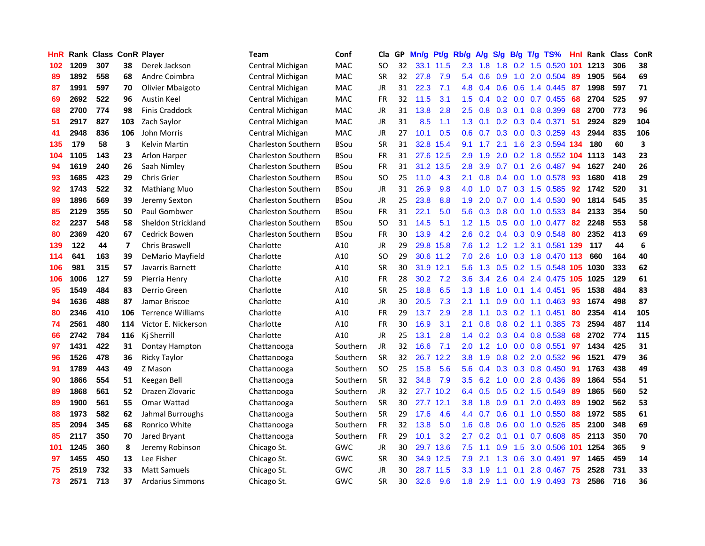| HnR |      | <b>Rank Class ConR Player</b> |                          |                          | Team                       | Conf        | Cla       | GP. | Mn/g | Pt/g      | Rb/g             | <b>A/g</b> | S/g | B/g             | T/g TS%                        | Hnl  | Rank Class |     | ConR |
|-----|------|-------------------------------|--------------------------|--------------------------|----------------------------|-------------|-----------|-----|------|-----------|------------------|------------|-----|-----------------|--------------------------------|------|------------|-----|------|
| 102 | 1209 | 307                           | 38                       | Derek Jackson            | Central Michigan           | <b>MAC</b>  | SO        | 32  |      | 33.1 11.5 | 2.3              | 1.8        | 1.8 | 0.2             | 1.5 0.520                      | 101  | 1213       | 306 | 38   |
| 89  | 1892 | 558                           | 68                       | Andre Coimbra            | Central Michigan           | MAC         | <b>SR</b> | 32  | 27.8 | 7.9       | 5.4              | 0.6        | 0.9 | 1.0             | 2.0 0.504                      | 89   | 1905       | 564 | 69   |
| 87  | 1991 | 597                           | 70                       | Olivier Mbaigoto         | Central Michigan           | <b>MAC</b>  | <b>JR</b> | 31  | 22.3 | 7.1       | 4.8              | 0.4        | 0.6 | 0.6             | 1.4 0.445                      | 87   | 1998       | 597 | 71   |
| 69  | 2692 | 522                           | 96                       | <b>Austin Keel</b>       | Central Michigan           | <b>MAC</b>  | <b>FR</b> | 32  | 11.5 | 3.1       | 1.5              | 0.4        |     |                 | $0.2$ 0.0 0.7 0.455            | 68   | 2704       | 525 | 97   |
| 68  | 2700 | 774                           | 98                       | <b>Finis Craddock</b>    | Central Michigan           | MAC         | JR        | 31  | 13.8 | 2.8       | 2.5              | 0.8        |     | $0.3 \quad 0.1$ | 0.8 0.399                      | 68   | 2700       | 773 | 96   |
| 51  | 2917 | 827                           | 103                      | Zach Saylor              | Central Michigan           | <b>MAC</b>  | <b>JR</b> | 31  | 8.5  | 1.1       | 1.3              | 0.1        |     |                 | $0.2$ $0.3$ $0.4$ $0.371$      | 51   | 2924       | 829 | 104  |
| 41  | 2948 | 836                           | 106                      | John Morris              | Central Michigan           | <b>MAC</b>  | JR        | 27  | 10.1 | 0.5       | 0.6              | 0.7        |     |                 | $0.3$ 0.0 0.3 0.259            | 43   | 2944       | 835 | 106  |
| 135 | 179  | 58                            | 3                        | Kelvin Martin            | <b>Charleston Southern</b> | <b>BSou</b> | <b>SR</b> | 31  |      | 32.8 15.4 | 9.1              | 1.7        | 2.1 |                 | 1.6 2.3 0.594 134              |      | 180        | 60  | 3    |
| 104 | 1105 | 143                           | 23                       | <b>Arlon Harper</b>      | <b>Charleston Southern</b> | <b>BSou</b> | <b>FR</b> | 31  |      | 27.6 12.5 | 2.9              | 1.9        | 2.0 |                 | $0.2$ 1.8 $0.552$              | 104  | 1113       | 143 | 23   |
| 94  | 1619 | 240                           | 26                       | Saah Nimley              | <b>Charleston Southern</b> | <b>BSou</b> | <b>FR</b> | 31  |      | 31.2 13.5 | 2.8              | 3.9        | 0.7 | 0.1             | 2.6 0.487                      | 94   | 1627       | 240 | 26   |
| 93  | 1685 | 423                           | 29                       | <b>Chris Grier</b>       | <b>Charleston Southern</b> | <b>BSou</b> | <b>SO</b> | 25  | 11.0 | 4.3       | 2.1              | 0.8        | 0.4 |                 | $0.0$ 1.0 $0.578$              | 93   | 1680       | 418 | 29   |
| 92  | 1743 | 522                           | 32                       | Mathiang Muo             | <b>Charleston Southern</b> | <b>BSou</b> | <b>JR</b> | 31  | 26.9 | 9.8       | 4.0              | 1.0        | 0.7 |                 | 0.3 1.5 0.585                  | 92   | 1742       | 520 | 31   |
| 89  | 1896 | 569                           | 39                       | Jeremy Sexton            | <b>Charleston Southern</b> | <b>BSou</b> | JR        | 25  | 23.8 | 8.8       | 1.9              | 2.0        | 0.7 | 0.0             | 1.4 0.530                      | 90   | 1814       | 545 | 35   |
| 85  | 2129 | 355                           | 50                       | Paul Gombwer             | <b>Charleston Southern</b> | <b>BSou</b> | <b>FR</b> | 31  | 22.1 | 5.0       | 5.6              | 0.3        | 0.8 | 0.0             | 1.0 0.533                      | 84   | 2133       | 354 | 50   |
| 82  | 2237 | 548                           | 58                       | Sheldon Strickland       | <b>Charleston Southern</b> | <b>BSou</b> | SO        | 31  | 14.5 | 5.1       | 1.2 <sub>2</sub> | 1.5        | 0.5 | 0.0             | 1.0 0.477                      | 82   | 2248       | 553 | 58   |
| 80  | 2369 | 420                           | 67                       | Cedrick Bowen            | <b>Charleston Southern</b> | <b>BSou</b> | <b>FR</b> | 30  | 13.9 | 4.2       | 2.6              | 0.2        | 0.4 | 0.3             | 0.9 0.548                      | 80   | 2352       | 413 | 69   |
| 139 | 122  | 44                            | $\overline{\phantom{a}}$ | <b>Chris Braswell</b>    | Charlotte                  | A10         | JR        | 29  | 29.8 | 15.8      | 7.6              | 1.2        | 1.2 |                 | 1.2 3.1 0.581                  | -139 | 117        | 44  | 6    |
| 114 | 641  | 163                           | 39                       | DeMario Mayfield         | Charlotte                  | A10         | <b>SO</b> | 29  |      | 30.6 11.2 | 7.0              | 2.6        | 1.0 |                 | 0.3 1.8 0.470 113              |      | 660        | 164 | 40   |
| 106 | 981  | 315                           | 57                       | Javarris Barnett         | Charlotte                  | A10         | <b>SR</b> | 30  |      | 31.9 12.1 | 5.6              |            |     |                 | 1.3 0.5 0.2 1.5 0.548 105 1030 |      |            | 333 | 62   |
| 106 | 1006 | 127                           | 59                       | Pierria Henry            | Charlotte                  | A10         | FR        | 28  | 30.2 | 7.2       | 3.6 <sup>°</sup> | 3.4        | 2.6 |                 | 0.4 2.4 0.475 105              |      | 1025       | 129 | 61   |
| 95  | 1549 | 484                           | 83                       | Derrio Green             | Charlotte                  | A10         | <b>SR</b> | 25  | 18.8 | 6.5       | 1.3 <sup>1</sup> | 1.8        | 1.0 |                 | $0.1$ 1.4 $0.451$              | 95   | 1538       | 484 | 83   |
| 94  | 1636 | 488                           | 87                       | Jamar Briscoe            | Charlotte                  | A10         | <b>JR</b> | 30  | 20.5 | 7.3       | 2.1              | 1.1        | 0.9 |                 | $0.0$ 1.1 $0.463$              | 93   | 1674       | 498 | 87   |
| 80  | 2346 | 410                           | 106                      | <b>Terrence Williams</b> | Charlotte                  | A10         | <b>FR</b> | 29  | 13.7 | 2.9       | 2.8              | 1.1        | 0.3 |                 | $0.2$ 1.1 $0.451$              | 80   | 2354       | 414 | 105  |
| 74  | 2561 | 480                           | 114                      | Victor E. Nickerson      | Charlotte                  | A10         | <b>FR</b> | 30  | 16.9 | 3.1       | 2.1              | 0.8        | 0.8 |                 | 0.2 1.1 0.385                  | 73   | 2594       | 487 | 114  |
| 66  | 2742 | 784                           | 116                      | Ki Sherrill              | Charlotte                  | A10         | <b>JR</b> | 25  | 13.1 | 2.8       | $1.4^{\circ}$    | 0.2        |     |                 | 0.3 0.4 0.8 0.538              | 68   | 2702       | 774 | 115  |
| 97  | 1431 | 422                           | 31                       | Dontay Hampton           | Chattanooga                | Southern    | <b>JR</b> | 32  | 16.6 | 7.1       | 2.0              | 1.2        | 1.0 |                 | $0.0$ 0.8 0.551                | 97   | 1434       | 425 | 31   |
| 96  | 1526 | 478                           | 36                       | Ricky Taylor             | Chattanooga                | Southern    | <b>SR</b> | 32  | 26.7 | 12.2      | 3.8              | 1.9        | 0.8 | 0.2             | 2.0 0.532                      | 96   | 1521       | 479 | 36   |
| 91  | 1789 | 443                           | 49                       | Z Mason                  | Chattanooga                | Southern    | <b>SO</b> | 25  | 15.8 | 5.6       | 5.6              | 0.4        | 0.3 | 0.3             | 0.8 0.450                      | -91  | 1763       | 438 | 49   |
| 90  | 1866 | 554                           | 51                       | Keegan Bell              | Chattanooga                | Southern    | SR        | 32  | 34.8 | 7.9       | 3.5              | 6.2        | 1.0 | 0.0             | 2.8 0.436                      | 89   | 1864       | 554 | 51   |
| 89  | 1868 | 561                           | 52                       | Drazen Zlovaric          | Chattanooga                | Southern    | <b>JR</b> | 32  |      | 27.7 10.2 | 6.4              | 0.5        | 0.5 | 0.2             | 1.5 0.549                      | 89   | 1865       | 560 | 52   |
| 89  | 1900 | 561                           | 55                       | Omar Wattad              | Chattanooga                | Southern    | <b>SR</b> | 30  |      | 27.7 12.1 | 3.8              | 1.8        | 0.9 | 0.1             | 2.0 0.493                      | -89  | 1902       | 562 | 53   |
| 88  | 1973 | 582                           | 62                       | Jahmal Burroughs         | Chattanooga                | Southern    | <b>SR</b> | 29  | 17.6 | 4.6       |                  | 4.4 0.7    | 0.6 | 0.1             | 1.0 0.550                      | 88   | 1972       | 585 | 61   |
| 85  | 2094 | 345                           | 68                       | Ronrico White            | Chattanooga                | Southern    | <b>FR</b> | 32  | 13.8 | 5.0       | 1.6 <sup>1</sup> | 0.8        |     |                 | $0.6$ 0.0 1.0 0.526            | 85   | 2100       | 348 | 69   |
| 85  | 2117 | 350                           | 70                       | Jared Bryant             | Chattanooga                | Southern    | <b>FR</b> | 29  | 10.1 | 3.2       | 2.7              | 0.2        | 0.1 | 0.1             | 0.7 0.608                      | 85   | 2113       | 350 | 70   |
| 101 | 1245 | 360                           | 8                        | Jeremy Robinson          | Chicago St.                | GWC         | JR        | 30  |      | 29.7 13.6 | 7.5              | 1.1        | 0.9 | 1.5             | 3.0 0.506                      | 101  | 1254       | 365 | 9    |
| 97  | 1455 | 450                           | 13                       | Lee Fisher               | Chicago St.                | <b>GWC</b>  | <b>SR</b> | 30  |      | 34.9 12.5 | 7.9              | 2.1        | 1.3 | 0.6             | 3.0 0.491                      | 97   | 1465       | 459 | 14   |
| 75  | 2519 | 732                           | 33                       | <b>Matt Samuels</b>      | Chicago St.                | GWC         | JR        | 30  | 28.7 | 11.5      | 3.3              | 1.9        | 1.1 | 0.1             | 2.8 0.467                      | 75   | 2528       | 731 | 33   |
| 73  | 2571 | 713                           | 37                       | <b>Ardarius Simmons</b>  | Chicago St.                | GWC         | SR        | 30  | 32.6 | 9.6       | 1.8              | 2.9        | 1.1 |                 | $0.0$ 1.9 0.493                | 73   | 2586       | 716 | 36   |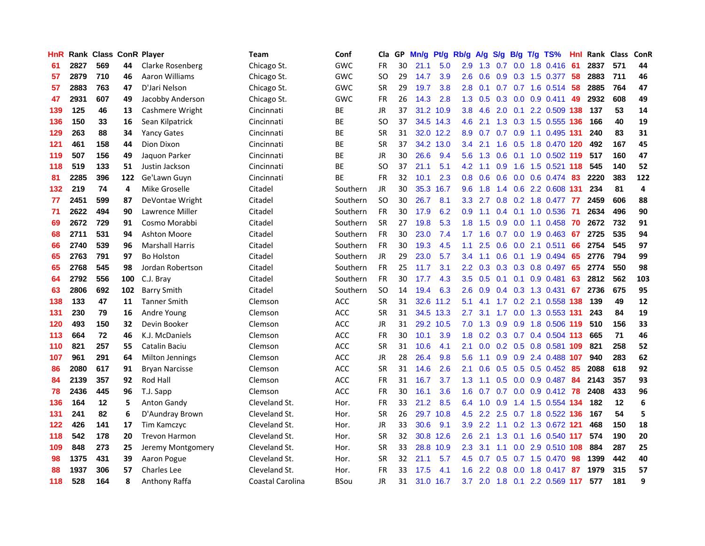| <b>HnR</b> |      |     |     | Rank Class ConR Player | <b>Team</b>      | Conf       | Cla       |    | GP Mn/g | Pt/g      | Rb/g             | A/g             |     |     | S/g B/g T/g TS%               | Hnl | Rank Class |     | ConR |
|------------|------|-----|-----|------------------------|------------------|------------|-----------|----|---------|-----------|------------------|-----------------|-----|-----|-------------------------------|-----|------------|-----|------|
| 61         | 2827 | 569 | 44  | Clarke Rosenberg       | Chicago St.      | <b>GWC</b> | FR        | 30 | 21.1    | 5.0       | 2.9              | 1.3             | 0.7 | 0.0 | 1.8 0.416                     | 61  | 2837       | 571 | 44   |
| 57         | 2879 | 710 | 46  | Aaron Williams         | Chicago St.      | <b>GWC</b> | SO.       | 29 | 14.7    | 3.9       | 2.6              | 0.6             | 0.9 | 0.3 | 1.5 0.377                     | -58 | 2883       | 711 | 46   |
| 57         | 2883 | 763 | 47  | D'Jari Nelson          | Chicago St.      | GWC        | <b>SR</b> | 29 | 19.7    | 3.8       | 2.8              | 0.1             | 0.7 | 0.7 | 1.6 0.514                     | -58 | 2885       | 764 | 47   |
| 47         | 2931 | 607 | 49  | Jacobby Anderson       | Chicago St.      | <b>GWC</b> | FR        | 26 | 14.3    | 2.8       |                  | $1.3 \quad 0.5$ |     |     | 0.3 0.0 0.9 0.411             | -49 | 2932       | 608 | 49   |
| 139        | 125  | 46  | 13  | Cashmere Wright        | Cincinnati       | BE         | <b>JR</b> | 37 |         | 31.2 10.9 | 3.8 <sup>°</sup> | 4.6             |     |     | 2.0 0.1 2.2 0.509 138         |     | 137        | 53  | 14   |
| 136        | 150  | 33  | 16  | Sean Kilpatrick        | Cincinnati       | <b>BE</b>  | SO.       | 37 |         | 34.5 14.3 | 4.6              | 2.1             |     |     | 1.3 0.3 1.5 0.555 136         |     | 166        | 40  | 19   |
| 129        | 263  | 88  | 34  | <b>Yancy Gates</b>     | Cincinnati       | BE         | <b>SR</b> | 31 |         | 32.0 12.2 | 8.9              | 0.7             |     |     | 0.7 0.9 1.1 0.495 131         |     | 240        | 83  | 31   |
| 121        | 461  | 158 | 44  | Dion Dixon             | Cincinnati       | BE         | <b>SR</b> | 37 |         | 34.2 13.0 | 3.4              | 2.1             | 1.6 |     | 0.5 1.8 0.470 120             |     | 492        | 167 | 45   |
| 119        | 507  | 156 | 49  | Jaquon Parker          | Cincinnati       | BE         | JR        | 30 | 26.6    | 9.4       | 5.6              | 1.3             | 0.6 | 0.1 | 1.0 0.502 119                 |     | 517        | 160 | 47   |
| 118        | 519  | 133 | 51  | Justin Jackson         | Cincinnati       | <b>BE</b>  | <b>SO</b> | 37 | 21.1    | 5.1       | 4.2              | 1.1             | 0.9 | 1.6 | 1.5 0.521 118                 |     | 545        | 140 | 52   |
| 81         | 2285 | 396 | 122 | Ge'Lawn Guyn           | Cincinnati       | BE         | FR        | 32 | 10.1    | 2.3       | 0.8 <sub>0</sub> | 0.6             | 0.6 |     | 0.0 0.6 0.474                 | -83 | 2220       | 383 | 122  |
| 132        | 219  | 74  | 4   | Mike Groselle          | Citadel          | Southern   | <b>JR</b> | 30 |         | 35.3 16.7 | 9.6              | 1.8             | 1.4 |     | 0.6 2.2 0.608 131             |     | 234        | 81  | 4    |
| 77         | 2451 | 599 | 87  | DeVontae Wright        | Citadel          | Southern   | <b>SO</b> | 30 | 26.7    | 8.1       | 3.3 <sub>2</sub> | 2.7             | 0.8 | 0.2 | 1.8 0.477                     | 77  | 2459       | 606 | 88   |
| 71         | 2622 | 494 | 90  | Lawrence Miller        | Citadel          | Southern   | FR        | 30 | 17.9    | 6.2       | 0.9              | 1.1             | 0.4 | 0.1 | 1.0 0.536                     | -71 | 2634       | 496 | 90   |
| 69         | 2672 | 729 | 91  | Cosmo Morabbi          | Citadel          | Southern   | <b>SR</b> | 27 | 19.8    | 5.3       | 1.8              | 1.5             | 0.9 | 0.0 | 1.1 0.458                     | 70  | 2672       | 732 | 91   |
| 68         | 2711 | 531 | 94  | <b>Ashton Moore</b>    | Citadel          | Southern   | FR        | 30 | 23.0    | 7.4       | 1.7              | 1.6             | 0.7 | 0.0 | 1.9 0.463                     | 67  | 2725       | 535 | 94   |
| 66         | 2740 | 539 | 96  | <b>Marshall Harris</b> | Citadel          | Southern   | <b>FR</b> | 30 | 19.3    | 4.5       | 1.1              | 2.5             | 0.6 |     | $0.0$ 2.1 $0.511$             | 66  | 2754       | 545 | 97   |
| 65         | 2763 | 791 | 97  | <b>Bo Holston</b>      | Citadel          | Southern   | JR        | 29 | 23.0    | 5.7       | $3.4^{\circ}$    | 1.1             |     |     | 0.6 0.1 1.9 0.494             | -65 | 2776       | 794 | 99   |
| 65         | 2768 | 545 | 98  | Jordan Robertson       | Citadel          | Southern   | FR        | 25 | 11.7    | 3.1       |                  | $2.2 \quad 0.3$ |     |     | $0.3$ $0.3$ $0.8$ $0.497$     | 65  | 2774       | 550 | 98   |
| 64         | 2792 | 556 | 100 | C.J. Bray              | Citadel          | Southern   | FR        | 30 | 17.7    | 4.3       |                  | $3.5 \quad 0.5$ |     |     | $0.1$ 0.1 0.9 0.481           | 63  | 2812       | 562 | 103  |
| 63         | 2806 | 692 | 102 | <b>Barry Smith</b>     | Citadel          | Southern   | <b>SO</b> | 14 | 19.4    | 6.3       | 2.6              | 0.9             |     |     | $0.4$ 0.3 1.3 0.431           | 67  | 2736       | 675 | 95   |
| 138        | 133  | 47  | 11  | <b>Tanner Smith</b>    | Clemson          | ACC        | <b>SR</b> | 31 |         | 32.6 11.2 | 5.1              | 4.1             |     |     | 1.7 0.2 2.1 0.558 138         |     | 139        | 49  | 12   |
| 131        | 230  | 79  | 16  | Andre Young            | Clemson          | <b>ACC</b> | <b>SR</b> | 31 |         | 34.5 13.3 | 2.7              | 3.1             | 1.7 |     | 0.0 1.3 0.553 131             |     | 243        | 84  | 19   |
| 120        | 493  | 150 | 32  | Devin Booker           | Clemson          | ACC        | JR        | 31 |         | 29.2 10.5 | 7.0              | 1.3             | 0.9 |     | 0.9 1.8 0.506 119             |     | 510        | 156 | 33   |
| 113        | 664  | 72  | 46  | K.J. McDaniels         | Clemson          | <b>ACC</b> | FR        | 30 | 10.1    | 3.9       | 1.8              | 0.2             |     |     | 0.3 0.7 0.4 0.504 113         |     | 665        | 71  | 46   |
| 110        | 821  | 257 | 55  | Catalin Baciu          | Clemson          | <b>ACC</b> | <b>SR</b> | 31 | 10.6    | 4.1       | 2.1              | 0.0             |     |     | 0.2 0.5 0.8 0.581             | 109 | 821        | 258 | 52   |
| 107        | 961  | 291 | 64  | Milton Jennings        | Clemson          | ACC        | JR        | 28 | 26.4    | 9.8       | 5.6              | 1.1             | 0.9 | 0.9 | 2.4 0.488                     | 107 | 940        | 283 | 62   |
| 86         | 2080 | 617 | 91  | <b>Bryan Narcisse</b>  | Clemson          | ACC.       | <b>SR</b> | 31 | 14.6    | 2.6       | 2.1              | 0.6             | 0.5 |     | $0.5$ 0.5 0.452               | -85 | 2088       | 618 | 92   |
| 84         | 2139 | 357 | 92  | Rod Hall               | Clemson          | ACC        | <b>FR</b> | 31 | 16.7    | 3.7       | 1.3              | 1.1             | 0.5 | 0.0 | 0.9 0.487                     | 84  | 2143       | 357 | 93   |
| 78         | 2436 | 445 | 96  | T.J. Sapp              | Clemson          | <b>ACC</b> | <b>FR</b> | 30 | 16.1    | 3.6       | 1.6              | 0.7             | 0.7 | 0.0 | $0.9$ $0.412$ 78              |     | 2408       | 433 | 96   |
| 136        | 164  | 12  | 5   | <b>Anton Gandy</b>     | Cleveland St.    | Hor.       | FR        | 33 | 21.2    | 8.5       |                  | 6.4 1.0         | 0.9 |     | 1.4 1.5 0.554 134             |     | 182        | 12  | 6    |
| 131        | 241  | 82  | 6   | D'Aundray Brown        | Cleveland St.    | Hor.       | <b>SR</b> | 26 |         | 29.7 10.8 |                  |                 |     |     | 4.5 2.2 2.5 0.7 1.8 0.522 136 |     | 167        | 54  | 5    |
| 122        | 426  | 141 | 17  | Tim Kamczyc            | Cleveland St.    | Hor.       | JR        | 33 | 30.6    | 9.1       | 3.9              | 2.2             |     |     | 1.1 0.2 1.3 0.672 121         |     | 468        | 150 | 18   |
| 118        | 542  | 178 | 20  | <b>Trevon Harmon</b>   | Cleveland St.    | Hor.       | <b>SR</b> | 32 |         | 30.8 12.6 | 2.6              | 2.1             |     |     | 1.3 0.1 1.6 0.540 117         |     | 574        | 190 | 20   |
| 109        | 848  | 273 | 25  | Jeremy Montgomery      | Cleveland St.    | Hor.       | <b>SR</b> | 33 |         | 28.8 10.9 | 2.3              | 3.1             | 1.1 |     | 0.0 2.9 0.510 108             |     | 884        | 287 | 25   |
| 98         | 1375 | 431 | 39  | Aaron Pogue            | Cleveland St.    | Hor.       | <b>SR</b> | 32 | 21.1    | 5.7       | 4.5              | 0.7             | 0.5 |     | $0.7$ 1.5 0.470               | 98  | 1399       | 442 | 40   |
| 88         | 1937 | 306 | 57  | <b>Charles Lee</b>     | Cleveland St.    | Hor.       | <b>FR</b> | 33 | 17.5    | 4.1       | 1.6              | 2.2             | 0.8 | 0.0 | 1.8 0.417                     | 87  | 1979       | 315 | 57   |
| 118        | 528  | 164 | 8   | Anthony Raffa          | Coastal Carolina | BSou       | JR        | 31 | 31.0    | 16.7      | 3.7              | 2.0             |     |     | 1.8 0.1 2.2 0.569 117         |     | 577        | 181 | 9    |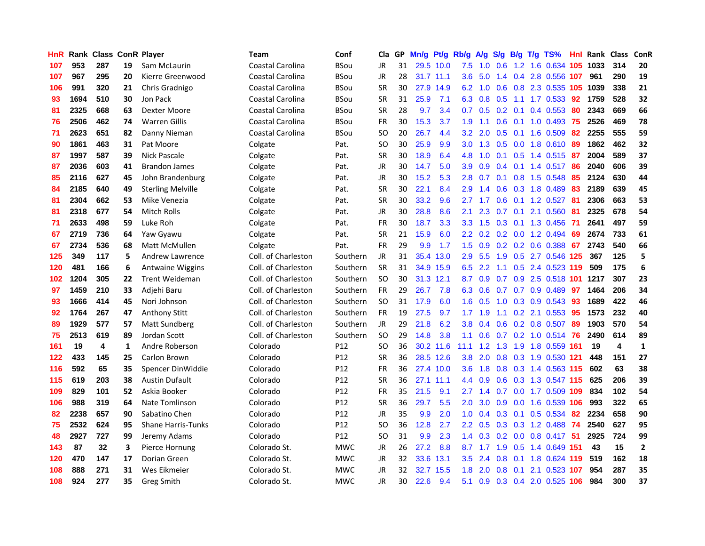| HnR |      | <b>Rank Class ConR Player</b> |              |                           | <b>Team</b>             | Conf            | Cla           |    | GP Mn/g | Pt/g      | Rb/g             | A/g       |                 |           | S/g B/g T/g TS%            | Hnl  | Rank Class |                         | ConR         |
|-----|------|-------------------------------|--------------|---------------------------|-------------------------|-----------------|---------------|----|---------|-----------|------------------|-----------|-----------------|-----------|----------------------------|------|------------|-------------------------|--------------|
| 107 | 953  | 287                           | 19           | Sam McLaurin              | <b>Coastal Carolina</b> | <b>BSou</b>     | JR            | 31 |         | 29.5 10.0 | 7.5              | 1.0       | 0.6             | 1.2       | 1.6 0.634                  | 105  | 1033       | 314                     | 20           |
| 107 | 967  | 295                           | 20           | Kierre Greenwood          | Coastal Carolina        | <b>BSou</b>     | JR            | 28 |         | 31.7 11.1 | 3.6              | 5.0       | 1.4             | 0.4       | 2.8 0.556 107              |      | 961        | 290                     | 19           |
| 106 | 991  | 320                           | 21           | Chris Gradnigo            | Coastal Carolina        | <b>BSou</b>     | <b>SR</b>     | 30 |         | 27.9 14.9 | 6.2              | 1.0       | 0.6             | 0.8       | 2.3 0.535 105              |      | 1039       | 338                     | 21           |
| 93  | 1694 | 510                           | 30           | Jon Pack                  | Coastal Carolina        | <b>BSou</b>     | <b>SR</b>     | 31 | 25.9    | 7.1       |                  | 6.3 0.8   | 0.5             | 1.1       | 1.7 0.533 92               |      | 1759       | 528                     | 32           |
| 81  | 2325 | 668                           | 63           | Dexter Moore              | Coastal Carolina        | <b>BSou</b>     | <b>SR</b>     | 28 | 9.7     | 3.4       | 0.7              | 0.5       | $0.2 \quad 0.1$ |           | 0.4 0.553                  | -80  | 2343       | 669                     | 66           |
| 76  | 2506 | 462                           | 74           | <b>Warren Gillis</b>      | <b>Coastal Carolina</b> | <b>BSou</b>     | FR            | 30 | 15.3    | 3.7       | 1.9              | 1.1       |                 |           | 0.6 0.1 1.0 0.493 75       |      | 2526       | 469                     | 78           |
| 71  | 2623 | 651                           | 82           | Danny Nieman              | <b>Coastal Carolina</b> | <b>BSou</b>     | SO.           | 20 | 26.7    | 4.4       | 3.2 <sub>2</sub> | 2.0       |                 |           | $0.5$ 0.1 1.6 0.509        | 82   | 2255       | 555                     | 59           |
| 90  | 1861 | 463                           | 31           | Pat Moore                 | Colgate                 | Pat.            | SO.           | 30 | 25.9    | 9.9       | 3.0 <sub>2</sub> | 1.3       |                 |           | $0.5$ 0.0 1.8 0.610        | 89   | 1862       | 462                     | 32           |
| 87  | 1997 | 587                           | 39           | <b>Nick Pascale</b>       | Colgate                 | Pat.            | <b>SR</b>     | 30 | 18.9    | 6.4       | 4.8              | 1.0       | 0.1             | 0.5       | 1.4 0.515                  | -87  | 2004       | 589                     | 37           |
| 87  | 2036 | 603                           | 41           | <b>Brandon James</b>      | Colgate                 | Pat.            | JR            | 30 | 14.7    | 5.0       | 3.9              | 0.9       | 0.4             | 0.1       | 1.4 0.517                  | 86   | 2040       | 606                     | 39           |
| 85  | 2116 | 627                           | 45           | John Brandenburg          | Colgate                 | Pat.            | JR            | 30 | 15.2    | 5.3       | 2.8              | 0.7       | 0.1             |           | 0.8 1.5 0.548              | 85   | 2124       | 630                     | 44           |
| 84  | 2185 | 640                           | 49           | <b>Sterling Melville</b>  | Colgate                 | Pat.            | <b>SR</b>     | 30 | 22.1    | 8.4       | 2.9              | 1.4       | 0.6             | 0.3       | 1.8 0.489                  | 83   | 2189       | 639                     | 45           |
| 81  | 2304 | 662                           | 53           | Mike Venezia              | Colgate                 | Pat.            | <b>SR</b>     | 30 | 33.2    | 9.6       | 2.7              | 1.7       | 0.6             | 0.1       | 1.2 0.527                  | -81  | 2306       | 663                     | 53           |
| 81  | 2318 | 677                           | 54           | Mitch Rolls               | Colgate                 | Pat.            | <b>JR</b>     | 30 | 28.8    | 8.6       | 2.1              | 2.3       | 0.7             | 0.1       | 2.1 0.560                  | -81  | 2325       | 678                     | 54           |
| 71  | 2633 | 498                           | 59           | Luke Roh                  | Colgate                 | Pat.            | <b>FR</b>     | 30 | 18.7    | 3.3       | 3.3 <sub>2</sub> | 1.5       | 0.3             | 0.1       | 1.3 0.456                  | -71  | 2641       | 497                     | 59           |
| 67  | 2719 | 736                           | 64           | Yaw Gyawu                 | Colgate                 | Pat.            | <b>SR</b>     | 21 | 15.9    | 6.0       |                  |           |                 |           | 2.2 0.2 0.2 0.0 1.2 0.494  | -69  | 2674       | 733                     | 61           |
| 67  | 2734 | 536                           | 68           | Matt McMullen             | Colgate                 | Pat.            | FR            | 29 | 9.9     | 1.7       | 1.5              | 0.9       |                 |           | $0.2$ $0.2$ $0.6$ $0.388$  | 67   | 2743       | 540                     | 66           |
| 125 | 349  | 117                           | 5            | <b>Andrew Lawrence</b>    | Coll. of Charleston     | Southern        | JR            | 31 |         | 35.4 13.0 |                  | $2.9$ 5.5 |                 |           | 1.9 0.5 2.7 0.546 125      |      | 367        | 125                     | 5            |
| 120 | 481  | 166                           | 6            | <b>Antwaine Wiggins</b>   | Coll. of Charleston     | Southern        | <b>SR</b>     | 31 |         | 34.9 15.9 |                  | $6.5$ 2.2 |                 |           | 1.1 0.5 2.4 0.523 119      |      | 509        | 175                     | 6            |
| 102 | 1204 | 305                           | 22           | <b>Trent Weideman</b>     | Coll. of Charleston     | Southern        | <b>SO</b>     | 30 |         | 31.3 12.1 | 8.7              | 0.9       |                 |           | 0.7 0.9 2.5 0.518 101 1217 |      |            | 307                     | 23           |
| 97  | 1459 | 210                           | 33           | Adjehi Baru               | Coll. of Charleston     | Southern        | FR            | 29 | 26.7    | 7.8       | 6.3              | 0.6       | 0.7             |           | $0.7$ 0.9 0.489            | 97   | 1464       | 206                     | 34           |
| 93  | 1666 | 414                           | 45           | Nori Johnson              | Coll. of Charleston     | Southern        | <sub>SO</sub> | 31 | 17.9    | 6.0       | 1.6              | 0.5       | 1.0             |           | 0.3 0.9 0.543              | 93   | 1689       | 422                     | 46           |
| 92  | 1764 | 267                           | 47           | <b>Anthony Stitt</b>      | Coll. of Charleston     | Southern        | <b>FR</b>     | 19 | 27.5    | 9.7       | 1.7              | 1.9       | 1.1             |           | $0.2$ 2.1 $0.553$          | -95  | 1573       | 232                     | 40           |
| 89  | 1929 | 577                           | 57           | Matt Sundberg             | Coll. of Charleston     | Southern        | JR            | 29 | 21.8    | 6.2       | 3.8              | 0.4       | 0.6             |           | 0.2 0.8 0.507              | -89  | 1903       | 570                     | 54           |
| 75  | 2513 | 619                           | 89           | Jordan Scott              | Coll. of Charleston     | Southern        | <b>SO</b>     | 29 | 14.8    | 3.8       | 1.1              | 0.6       |                 |           | 0.7 0.2 1.0 0.514          | 76   | 2490       | 614                     | 89           |
| 161 | 19   | 4                             | $\mathbf{1}$ | Andre Roberson            | Colorado                | P12             | <b>SO</b>     | 36 |         | 30.2 11.6 | 11.1             | 1.2       | 1.3             | 1.9       | 1.8 0.559 161              |      | 19         | $\overline{\mathbf{4}}$ | $\mathbf{1}$ |
| 122 | 433  | 145                           | 25           | Carlon Brown              | Colorado                | P12             | <b>SR</b>     | 36 |         | 28.5 12.6 | 3.8              | 2.0       | 0.8             |           | 0.3 1.9 0.530 121          |      | 448        | 151                     | 27           |
| 116 | 592  | 65                            | 35           | Spencer DinWiddie         | Colorado                | P12             | FR            | 36 |         | 27.4 10.0 | 3.6 <sup>°</sup> | 1.8       | 0.8             |           | 0.3 1.4 0.563 115          |      | 602        | 63                      | 38           |
| 115 | 619  | 203                           | 38           | <b>Austin Dufault</b>     | Colorado                | P <sub>12</sub> | <b>SR</b>     | 36 |         | 27.1 11.1 | $4.4^{\circ}$    | 0.9       | 0.6             |           | 0.3 1.3 0.547 115          |      | 625        | 206                     | 39           |
| 109 | 829  | 101                           | 52           | Askia Booker              | Colorado                | P12             | <b>FR</b>     | 35 | 21.5    | 9.1       | $2.7^{\circ}$    | 1.4       |                 |           | 0.7 0.0 1.7 0.509 109      |      | 834        | 102                     | 54           |
| 106 | 988  | 319                           | 64           | Nate Tomlinson            | Colorado                | P <sub>12</sub> | <b>SR</b>     | 36 | 29.7    | 5.5       | 2.0 <sub>1</sub> | 3.0       |                 |           | 0.9 0.0 1.6 0.539 106      |      | 993        | 322                     | 65           |
| 82  | 2238 | 657                           | 90           | Sabatino Chen             | Colorado                | P <sub>12</sub> | JR            | 35 | 9.9     | 2.0       | 1.0              | 0.4       |                 |           | 0.3 0.1 0.5 0.534          | 82   | 2234       | 658                     | 90           |
| 75  | 2532 | 624                           | 95           | <b>Shane Harris-Tunks</b> | Colorado                | P <sub>12</sub> | SO.           | 36 | 12.8    | 2.7       | $2.2^{\circ}$    | 0.5       |                 |           | 0.3 0.3 1.2 0.488          | -74  | 2540       | 627                     | 95           |
| 48  | 2927 | 727                           | 99           | Jeremy Adams              | Colorado                | P12             | <b>SO</b>     | 31 | 9.9     | 2.3       | 1.4              | 0.3       | 0.2             |           | 0.0 0.8 0.417 51           |      | 2925       | 724                     | 99           |
| 143 | 87   | 32                            | 3            | Pierce Hornung            | Colorado St.            | <b>MWC</b>      | JR            | 26 | 27.2    | 8.8       | 8.7              | 1.7       |                 | $1.9$ 0.5 | 1.4 0.649 151              |      | 43         | 15                      | $\mathbf{2}$ |
| 120 | 470  | 147                           | 17           | Dorian Green              | Colorado St.            | <b>MWC</b>      | JR            | 32 | 33.6    | 13.1      | 3.5              | 2.4       | 0.8             | 0.1       | 1.8 0.624                  | -119 | 519        | 162                     | 18           |
| 108 | 888  | 271                           | 31           | Wes Eikmeier              | Colorado St.            | MWC             | JR            | 32 | 32.7    | 15.5      | 1.8              | 2.0       | 0.8             | 0.1       | 2.1 0.523                  | 107  | 954        | 287                     | 35           |
| 108 | 924  | 277                           | 35           | Greg Smith                | Colorado St.            | <b>MWC</b>      | <b>JR</b>     | 30 | 22.6    | 9.4       |                  | 5.1 0.9   |                 |           | 0.3 0.4 2.0 0.525 106      |      | 984        | 300                     | 37           |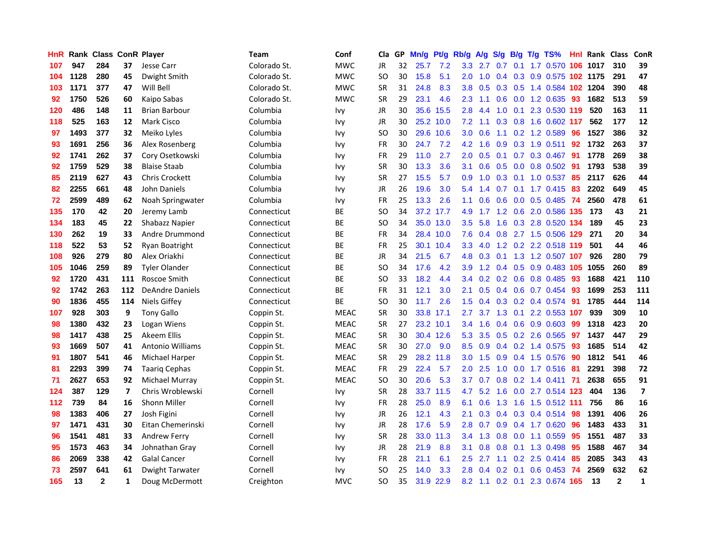| HnR |      | <b>Rank Class ConR Player</b> |              |                         | <b>Team</b>  | Conf        | Cla       |    | GP Mn/g   | Pt/g      | Rb/g             | A/g | S/g              |                 | B/g T/g TS%                   | Hnl | Rank Class |              | ConR                     |
|-----|------|-------------------------------|--------------|-------------------------|--------------|-------------|-----------|----|-----------|-----------|------------------|-----|------------------|-----------------|-------------------------------|-----|------------|--------------|--------------------------|
| 107 | 947  | 284                           | 37           | Jesse Carr              | Colorado St. | <b>MWC</b>  | JR        | 32 | 25.7      | 7.2       | 3.3              | 2.7 | 0.7              | 0.1             | 1.7 0.570                     | 106 | 1017       | 310          | 39                       |
| 104 | 1128 | 280                           | 45           | Dwight Smith            | Colorado St. | <b>MWC</b>  | SO.       | 30 | 15.8      | 5.1       | 2.0              | 1.0 | $0.4^{\circ}$    | 0.3             | 0.9 0.575 102 1175            |     |            | 291          | 47                       |
| 103 | 1171 | 377                           | 47           | Will Bell               | Colorado St. | <b>MWC</b>  | <b>SR</b> | 31 | 24.8      | 8.3       | 3.8              | 0.5 | 0.3              | 0.5             | 1.4 0.584 102 1204            |     |            | 390          | 48                       |
| 92  | 1750 | 526                           | 60           | Kaipo Sabas             | Colorado St. | <b>MWC</b>  | <b>SR</b> | 29 | 23.1      | 4.6       | $2.3^{\circ}$    | 1.1 |                  |                 | 0.6 0.0 1.2 0.635             | -93 | 1682       | 513          | 59                       |
| 120 | 486  | 148                           | 11           | <b>Brian Barbour</b>    | Columbia     | <b>Ivy</b>  | JR        | 30 |           | 35.6 15.5 | 2.8              | 4.4 |                  | $1.0 \quad 0.1$ | 2.3 0.530 119                 |     | 520        | 163          | ${\bf 11}$               |
| 118 | 525  | 163                           | 12           | Mark Cisco              | Columbia     | Ivy         | JR        | 30 |           | 25.2 10.0 | 7.2              | 1.1 |                  |                 | 0.3 0.8 1.6 0.602 117         |     | 562        | 177          | 12                       |
| 97  | 1493 | 377                           | 32           | Meiko Lyles             | Columbia     | <b>Ivy</b>  | SO.       | 30 |           | 29.6 10.6 | 3.0 <sub>2</sub> | 0.6 |                  |                 | 1.1 0.2 1.2 0.589             | 96  | 1527       | 386          | 32                       |
| 93  | 1691 | 256                           | 36           | Alex Rosenberg          | Columbia     | <b>Ivy</b>  | FR        | 30 | 24.7      | 7.2       | 4.2 <sub>1</sub> | 1.6 | 0.9              |                 | 0.3 1.9 0.511                 | 92  | 1732       | 263          | 37                       |
| 92  | 1741 | 262                           | 37           | Cory Osetkowski         | Columbia     | <b>Ivy</b>  | <b>FR</b> | 29 | 11.0      | 2.7       | 2.0 <sub>2</sub> | 0.5 | 0.1              |                 | 0.7 0.3 0.467                 | 91  | 1778       | 269          | 38                       |
| 92  | 1759 | 529                           | 38           | <b>Blaise Staab</b>     | Columbia     | <b>Ivy</b>  | <b>SR</b> | 30 | 13.3      | 3.6       | 3.1              | 0.6 | 0.5              |                 | $0.0$ 0.8 0.502               | -91 | 1793       | 538          | 39                       |
| 85  | 2119 | 627                           | 43           | <b>Chris Crockett</b>   | Columbia     | <b>Ivy</b>  | <b>SR</b> | 27 | 15.5      | 5.7       | 0.9              | 1.0 |                  | $0.3 \quad 0.1$ | 1.0 0.537                     | 85  | 2117       | 626          | 44                       |
| 82  | 2255 | 661                           | 48           | John Daniels            | Columbia     | <b>Ivy</b>  | JR        | 26 | 19.6      | 3.0       | 5.4              | 1.4 | 0.7              | 0.1             | $1.7 \quad 0.415$             | 83  | 2202       | 649          | 45                       |
| 72  | 2599 | 489                           | 62           | Noah Springwater        | Columbia     | Ivy         | <b>FR</b> | 25 | 13.3      | 2.6       | 1.1              | 0.6 | 0.6              | 0.0             | 0.5 0.485                     | -74 | 2560       | 478          | 61                       |
| 135 | 170  | 42                            | 20           | Jeremy Lamb             | Connecticut  | ВE          | SO.       | 34 |           | 37.2 17.7 | 4.9              | 1.7 | 1.2              | 0.6             | 2.0 0.586 135                 |     | 173        | 43           | 21                       |
| 134 | 183  | 45                            | 22           | Shabazz Napier          | Connecticut  | BE          | <b>SO</b> | 34 |           | 35.0 13.0 | 3.5              | 5.8 | 1.6              |                 | 0.3 2.8 0.520 134             |     | 189        | 45           | 23                       |
| 130 | 262  | 19                            | 33           | Andre Drummond          | Connecticut  | BE          | <b>FR</b> | 34 |           | 28.4 10.0 | 7.6              | 0.4 |                  |                 | 0.8 2.7 1.5 0.506 129         |     | 271        | 20           | 34                       |
| 118 | 522  | 53                            | 52           | Ryan Boatright          | Connecticut  | ВE          | FR        | 25 |           | 30.1 10.4 | 3.3              | 4.0 |                  |                 | 1.2 0.2 2.2 0.518 119         |     | 501        | 44           | 46                       |
| 108 | 926  | 279                           | 80           | Alex Oriakhi            | Connecticut  | BE          | JR        | 34 | 21.5      | 6.7       |                  |     |                  |                 | 4.8 0.3 0.1 1.3 1.2 0.507 107 |     | 926        | 280          | 79                       |
| 105 | 1046 | 259                           | 89           | <b>Tyler Olander</b>    | Connecticut  | <b>BE</b>   | SO.       | 34 | 17.6      | 4.2       | 3.9              |     |                  |                 | 1.2 0.4 0.5 0.9 0.483 105     |     | 1055       | 260          | 89                       |
| 92  | 1720 | 431                           | 111          | Roscoe Smith            | Connecticut  | ВE          | SO.       | 33 | 18.2      | 4.4       |                  |     |                  |                 | 3.4 0.2 0.2 0.6 0.8 0.485     | -93 | 1688       | 421          | 110                      |
| 92  | 1742 | 263                           | 112          | <b>DeAndre Daniels</b>  | Connecticut  | ВE          | FR        | 31 | 12.1      | 3.0       | 2.1              | 0.5 |                  |                 | $0.4$ 0.6 0.7 0.454           | -93 | 1699       | 253          | 111                      |
| 90  | 1836 | 455                           | 114          | Niels Giffey            | Connecticut  | <b>BE</b>   | <b>SO</b> | 30 | 11.7      | 2.6       | 1.5              | 0.4 |                  |                 | 0.3 0.2 0.4 0.574             | -91 | 1785       | 444          | 114                      |
| 107 | 928  | 303                           | 9            | <b>Tony Gallo</b>       | Coppin St.   | <b>MEAC</b> | <b>SR</b> | 30 | 33.8      | 17.1      | 2.7              | 3.7 |                  | $1.3 \quad 0.1$ | 2.2 0.553 107                 |     | 939        | 309          | 10                       |
| 98  | 1380 | 432                           | 23           | Logan Wiens             | Coppin St.   | <b>MEAC</b> | <b>SR</b> | 27 |           | 23.2 10.1 | 3.4              | 1.6 |                  |                 | $0.4$ 0.6 0.9 0.603           | -99 | 1318       | 423          | 20                       |
| 98  | 1417 | 438                           | 25           | Akeem Ellis             | Coppin St.   | <b>MEAC</b> | <b>SR</b> | 30 |           | 30.4 12.6 | 5.3              | 3.5 |                  |                 | $0.5$ $0.2$ 2.6 $0.565$       | 97  | 1437       | 447          | 29                       |
| 93  | 1669 | 507                           | 41           | <b>Antonio Williams</b> | Coppin St.   | <b>MEAC</b> | <b>SR</b> | 30 | 27.0      | 9.0       | 8.5              | 0.9 |                  |                 | $0.4$ 0.2 1.4 0.575           | 93  | 1685       | 514          | 42                       |
| 91  | 1807 | 541                           | 46           | Michael Harper          | Coppin St.   | <b>MEAC</b> | <b>SR</b> | 29 |           | 28.2 11.8 | 3.0 <sub>2</sub> | 1.5 | 0.9              |                 | 0.4 1.5 0.576                 | 90  | 1812       | 541          | 46                       |
| 81  | 2293 | 399                           | 74           | <b>Taarig Cephas</b>    | Coppin St.   | <b>MEAC</b> | FR        | 29 | 22.4      | 5.7       | 2.0              | 2.5 | 1.0              | 0.0             | 1.7 0.516                     | 81  | 2291       | 398          | 72                       |
| 71  | 2627 | 653                           | 92           | Michael Murray          | Coppin St.   | <b>MEAC</b> | <b>SO</b> | 30 | 20.6      | 5.3       | 3.7              | 0.7 | 0.8              |                 | 0.2 1.4 0.411 71              |     | 2638       | 655          | 91                       |
| 124 | 387  | 129                           | 7            | Chris Wroblewski        | Cornell      | Ivy         | <b>SR</b> | 28 |           | 33.7 11.5 | 4.7              | 5.2 | 1.6              |                 | 0.0 2.7 0.514 123             |     | 404        | 136          | $\overline{\phantom{a}}$ |
| 112 | 739  | 84                            | 16           | Shonn Miller            | Cornell      | <b>Ivy</b>  | <b>FR</b> | 28 | 25.0      | 8.9       | 6.1              | 0.6 | 1.3              |                 | 1.6 1.5 0.512 111             |     | 756        | 86           | 16                       |
| 98  | 1383 | 406                           | 27           | Josh Figini             | Cornell      | <b>Ivy</b>  | JR        | 26 | 12.1      | 4.3       | 2.1              | 0.3 |                  |                 | $0.4$ 0.3 0.4 0.514           | -98 | 1391       | 406          | 26                       |
| 97  | 1471 | 431                           | 30           | Eitan Chemerinski       | Cornell      | <b>Ivy</b>  | JR        | 28 | 17.6      | 5.9       | 2.8              | 0.7 |                  |                 | 0.9 0.4 1.7 0.620             | -96 | 1483       | 433          | 31                       |
| 96  | 1541 | 481                           | 33           | <b>Andrew Ferry</b>     | Cornell      | Ivy         | <b>SR</b> | 28 | 33.0      | 11.3      | 3.4              | 1.3 | 0.8              |                 | 0.0 1.1 0.559                 | 95  | 1551       | 487          | 33                       |
| 95  | 1573 | 463                           | 34           | Johnathan Gray          | Cornell      | Ivy         | <b>JR</b> | 28 | 21.9      | 8.8       | 3.1              | 0.8 | 0.8              | 0.1             | 1.3 0.498                     | 95  | 1588       | 467          | 34                       |
| 86  | 2069 | 338                           | 42           | <b>Galal Cancer</b>     | Cornell      | Ivy         | FR        | 28 | 21.1      | 6.1       | 2.5              | 2.7 | 1.1              |                 | $0.2$ 2.5 0.414               | 85  | 2085       | 343          | 43                       |
| 73  | 2597 | 641                           | 61           | Dwight Tarwater         | Cornell      | Ivy         | SO        | 25 | 14.0      | 3.3       | 2.8              | 0.4 | 0.2 <sub>0</sub> | 0.1             | 0.6 0.453                     | -74 | 2569       | 632          | 62                       |
| 165 | 13   | $\mathbf{2}$                  | $\mathbf{1}$ | Doug McDermott          | Creighton    | <b>MVC</b>  | <b>SO</b> | 35 | 31.9 22.9 |           |                  |     |                  |                 | 8.2 1.1 0.2 0.1 2.3 0.674 165 |     | 13         | $\mathbf{2}$ | $\mathbf{1}$             |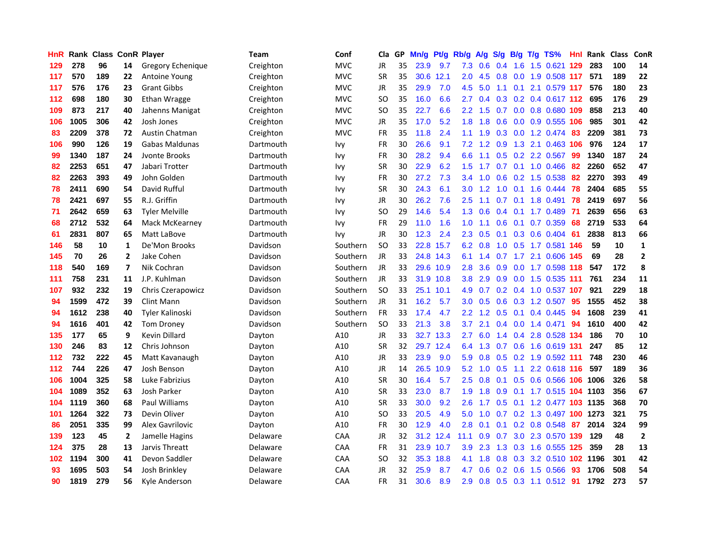| <b>HnR</b> |      | <b>Rank Class ConR Player</b> |                         |                        | Team      | Conf       | Cla           | GP | Mn/g | Pt/g      | Rb/g             | A/g             | S/g | B/g | $T/g$ TS%                     | Hnl | Rank Class |     | ConR         |
|------------|------|-------------------------------|-------------------------|------------------------|-----------|------------|---------------|----|------|-----------|------------------|-----------------|-----|-----|-------------------------------|-----|------------|-----|--------------|
| 129        | 278  | 96                            | 14                      | Gregory Echenique      | Creighton | <b>MVC</b> | JR            | 35 | 23.9 | 9.7       | 7.3              | 0.6             | 0.4 | 1.6 | 1.5 0.621                     | 129 | 283        | 100 | 14           |
| 117        | 570  | 189                           | 22                      | <b>Antoine Young</b>   | Creighton | <b>MVC</b> | <b>SR</b>     | 35 | 30.6 | 12.1      | 2.0              | 4.5             | 0.8 | 0.0 | 1.9 0.508 117                 |     | 571        | 189 | 22           |
| 117        | 576  | 176                           | 23                      | <b>Grant Gibbs</b>     | Creighton | <b>MVC</b> | <b>JR</b>     | 35 | 29.9 | 7.0       | 4.5              | 5.0             | 1.1 |     | 0.1 2.1 0.579 117             |     | 576        | 180 | 23           |
| 112        | 698  | 180                           | 30                      | Ethan Wragge           | Creighton | <b>MVC</b> | SO            | 35 | 16.0 | 6.6       | $2.7^{\circ}$    | 0.4             |     |     | 0.3 0.2 0.4 0.617 112 695     |     |            | 176 | 29           |
| 109        | 873  | 217                           | 40                      | Jahenns Manigat        | Creighton | <b>MVC</b> | SO            | 35 | 22.7 | 6.6       | $2.2^{\circ}$    | 1.5             | 0.7 |     | 0.0 0.8 0.680 109             |     | 858        | 213 | 40           |
| 106        | 1005 | 306                           | 42                      | Josh Jones             | Creighton | <b>MVC</b> | JR            | 35 | 17.0 | 5.2       | 1.8 <sup>°</sup> | 1.8             | 0.6 |     | 0.0 0.9 0.555 106             |     | 985        | 301 | 42           |
| 83         | 2209 | 378                           | 72                      | <b>Austin Chatman</b>  | Creighton | <b>MVC</b> | FR            | 35 | 11.8 | 2.4       | 1.1              | 1.9             | 0.3 |     | $0.0$ 1.2 0.474               | 83  | 2209       | 381 | 73           |
| 106        | 990  | 126                           | 19                      | Gabas Maldunas         | Dartmouth | Ivy        | FR            | 30 | 26.6 | 9.1       | 7.2              | 1.2             | 0.9 |     | 1.3 2.1 0.463 106             |     | 976        | 124 | 17           |
| 99         | 1340 | 187                           | 24                      | Jvonte Brooks          | Dartmouth | Ivy        | <b>FR</b>     | 30 | 28.2 | 9.4       | 6.6              | 1.1             | 0.5 |     | 0.2 2.2 0.567                 | -99 | 1340       | 187 | 24           |
| 82         | 2253 | 651                           | 47                      | Jabari Trotter         | Dartmouth | Ivy        | <b>SR</b>     | 30 | 22.9 | 6.2       | 1.5              | 1.7             | 0.7 |     | $0.1$ 1.0 0.466               | 82  | 2260       | 652 | 47           |
| 82         | 2263 | 393                           | 49                      | John Golden            | Dartmouth | <b>Ivy</b> | FR            | 30 | 27.2 | 7.3       | 3.4              | 1.0             | 0.6 |     | 0.2 1.5 0.538                 | 82  | 2270       | 393 | 49           |
| 78         | 2411 | 690                           | 54                      | David Rufful           | Dartmouth | <b>Ivy</b> | <b>SR</b>     | 30 | 24.3 | 6.1       | 3.0 <sub>1</sub> | 1.2             | 1.0 | 0.1 | 1.6 0.444                     | 78  | 2404       | 685 | 55           |
| 78         | 2421 | 697                           | 55                      | R.J. Griffin           | Dartmouth | Ivy        | <b>JR</b>     | 30 | 26.2 | 7.6       | 2.5              | 1.1             | 0.7 | 0.1 | 1.8 0.491                     | 78  | 2419       | 697 | 56           |
| 71         | 2642 | 659                           | 63                      | <b>Tyler Melville</b>  | Dartmouth | <b>Ivy</b> | <sub>SO</sub> | 29 | 14.6 | 5.4       | 1.3              | 0.6             | 0.4 | 0.1 | 1.7 0.489                     | -71 | 2639       | 656 | 63           |
| 68         | 2712 | 532                           | 64                      | Mack McKearney         | Dartmouth | <b>Ivy</b> | <b>FR</b>     | 29 | 11.0 | 1.6       | 1.0              | 1.1             | 0.6 | 0.1 | 0.7 0.359                     | 68  | 2719       | 533 | 64           |
| 61         | 2831 | 807                           | 65                      | Matt LaBove            | Dartmouth | <b>Ivy</b> | JR            | 30 | 12.3 | 2.4       | $2.3^{\circ}$    | 0.5             | 0.1 |     | $0.3$ 0.6 0.404               | -61 | 2838       | 813 | 66           |
| 146        | 58   | 10                            | 1                       | De'Mon Brooks          | Davidson  | Southern   | <b>SO</b>     | 33 |      | 22.8 15.7 |                  | $6.2 \quad 0.8$ |     |     | 1.0 0.5 1.7 0.581 146         |     | 59         | 10  | 1            |
| 145        | 70   | 26                            | $\mathbf{2}$            | Jake Cohen             | Davidson  | Southern   | <b>JR</b>     | 33 |      | 24.8 14.3 |                  |                 |     |     | 6.1 1.4 0.7 1.7 2.1 0.606 145 |     | 69         | 28  | $\mathbf{2}$ |
| 118        | 540  | 169                           | $\overline{\mathbf{z}}$ | Nik Cochran            | Davidson  | Southern   | <b>JR</b>     | 33 |      | 29.6 10.9 | 2.8              | 3.6             |     |     | 0.9 0.0 1.7 0.598 118         |     | 547        | 172 | 8            |
| 111        | 758  | 231                           | 11                      | J.P. Kuhlman           | Davidson  | Southern   | <b>JR</b>     | 33 |      | 31.9 10.8 | 3.8 <sup>°</sup> | 2.9             |     |     | 0.9 0.0 1.5 0.535 111         |     | 761        | 234 | 11           |
| 107        | 932  | 232                           | 19                      | Chris Czerapowicz      | Davidson  | Southern   | <b>SO</b>     | 33 |      | 25.1 10.1 | 4.9              | 0.7             |     |     | 0.2 0.4 1.0 0.537 107         |     | 921        | 229 | 18           |
| 94         | 1599 | 472                           | 39                      | Clint Mann             | Davidson  | Southern   | JR            | 31 | 16.2 | 5.7       | $3.0\,$          | 0.5             | 0.6 |     | 0.3 1.2 0.507                 | 95  | 1555       | 452 | 38           |
| 94         | 1612 | 238                           | 40                      | <b>Tyler Kalinoski</b> | Davidson  | Southern   | <b>FR</b>     | 33 | 17.4 | 4.7       | 2.2 <sub>2</sub> | 1.2             | 0.5 | 0.1 | 0.4 0.445                     | 94  | 1608       | 239 | 41           |
| 94         | 1616 | 401                           | 42                      | <b>Tom Droney</b>      | Davidson  | Southern   | <b>SO</b>     | 33 | 21.3 | 3.8       | 3.7              | 2.1             | 0.4 |     | $0.0$ 1.4 $0.471$             | 94  | 1610       | 400 | 42           |
| 135        | 177  | 65                            | 9                       | <b>Kevin Dillard</b>   | Dayton    | A10        | <b>JR</b>     | 33 |      | 32.7 13.3 | 2.7              | 6.0             | 1.4 | 0.4 | 2.8 0.528 134                 |     | 186        | 70  | 10           |
| 130        | 246  | 83                            | 12                      | Chris Johnson          | Dayton    | A10        | <b>SR</b>     | 32 |      | 29.7 12.4 | 6.4              | 1.3             | 0.7 | 0.6 | 1.6 0.619 131                 |     | 247        | 85  | 12           |
| 112        | 732  | 222                           | 45                      | Matt Kavanaugh         | Dayton    | A10        | JR            | 33 | 23.9 | 9.0       | 5.9              | 0.8             | 0.5 |     | 0.2 1.9 0.592 111             |     | 748        | 230 | 46           |
| 112        | 744  | 226                           | 47                      | Josh Benson            | Dayton    | A10        | <b>JR</b>     | 14 | 26.5 | 10.9      | 5.2              | 1.0             | 0.5 | 1.1 | 2.2 0.618 116                 |     | 597        | 189 | 36           |
| 106        | 1004 | 325                           | 58                      | Luke Fabrizius         | Dayton    | A10        | <b>SR</b>     | 30 | 16.4 | 5.7       | 2.5              | 0.8             | 0.1 | 0.5 | 0.6 0.566 106                 |     | 1006       | 326 | 58           |
| 104        | 1089 | 352                           | 63                      | <b>Josh Parker</b>     | Dayton    | A10        | SR            | 33 | 23.0 | 8.7       | 1.9              | 1.8             |     |     | 0.9 0.1 1.7 0.515 104 1103    |     |            | 356 | 67           |
| 104        | 1119 | 360                           | 68                      | <b>Paul Williams</b>   | Dayton    | A10        | <b>SR</b>     | 33 | 30.0 | 9.2       | 2.6              | 1.7             |     |     | 0.5 0.1 1.2 0.477 103 1135    |     |            | 368 | 70           |
| 101        | 1264 | 322                           | 73                      | Devin Oliver           | Dayton    | A10        | SO            | 33 | 20.5 | 4.9       | 5.0              | 1.0             |     |     | 0.7 0.2 1.3 0.497 100 1273    |     |            | 321 | 75           |
| 86         | 2051 | 335                           | 99                      | <b>Alex Gavrilovic</b> | Dayton    | A10        | <b>FR</b>     | 30 | 12.9 | 4.0       | 2.8              | 0.1             | 0.1 |     | 0.2 0.8 0.548                 | 87  | 2014       | 324 | 99           |
| 139        | 123  | 45                            | 2                       | Jamelle Hagins         | Delaware  | CAA        | <b>JR</b>     | 32 |      | 31.2 12.4 | 11.1             | 0.9             | 0.7 |     | 3.0 2.3 0.570 139             |     | 129        | 48  | $\mathbf{2}$ |
| 124        | 375  | 28                            | 13                      | Jarvis Threatt         | Delaware  | CAA        | <b>FR</b>     | 31 |      | 23.9 10.7 | 3.9              | 2.3             | 1.3 |     | 0.3 1.6 0.555 125             |     | 359        | 28  | 13           |
| 102        | 1194 | 300                           | 41                      | Devon Saddler          | Delaware  | <b>CAA</b> | <b>SO</b>     | 32 |      | 35.3 18.8 | 4.1              | 1.8             | 0.8 |     | 0.3 3.2 0.510 102 1196        |     |            | 301 | 42           |
| 93         | 1695 | 503                           | 54                      | Josh Brinkley          | Delaware  | CAA        | JR            | 32 | 25.9 | 8.7       | 4.7              | 0.6             | 0.2 | 0.6 | 1.5 0.566                     | 93  | 1706       | 508 | 54           |
| 90         | 1819 | 279                           | 56                      | Kyle Anderson          | Delaware  | CAA        | <b>FR</b>     | 31 | 30.6 | 8.9       | 2.9              |                 |     |     | 0.8 0.5 0.3 1.1 0.512 91      |     | 1792       | 273 | 57           |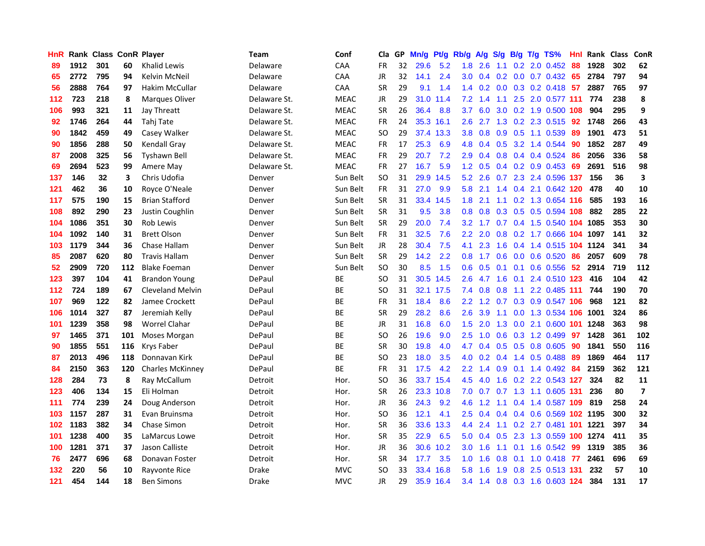| <b>HnR</b>       |      | Rank Class ConR Player |     |                         | <b>Team</b>  | Conf        | Cla       |    | GP Mn/g | Pt/g      | Rb/g             | A/g             |     |     | S/g B/g T/g TS%               | Hnl | Rank Class |     | ConR                     |
|------------------|------|------------------------|-----|-------------------------|--------------|-------------|-----------|----|---------|-----------|------------------|-----------------|-----|-----|-------------------------------|-----|------------|-----|--------------------------|
| 89               | 1912 | 301                    | 60  | <b>Khalid Lewis</b>     | Delaware     | CAA         | FR        | 32 | 29.6    | 5.2       | 1.8              | 2.6             | 1.1 | 0.2 | 2.0 0.452                     | 88  | 1928       | 302 | 62                       |
| 65               | 2772 | 795                    | 94  | Kelvin McNeil           | Delaware     | CAA         | JR        | 32 | 14.1    | 2.4       | 3.0 <sub>2</sub> | 0.4             |     |     | $0.2$ 0.0 0.7 0.432 65        |     | 2784       | 797 | 94                       |
| 56               | 2888 | 764                    | 97  | <b>Hakim McCullar</b>   | Delaware     | <b>CAA</b>  | <b>SR</b> | 29 | 9.1     | 1.4       |                  |                 |     |     | 1.4 0.2 0.0 0.3 0.2 0.418 57  |     | 2887       | 765 | 97                       |
| 112              | 723  | 218                    | 8   | Marques Oliver          | Delaware St. | <b>MEAC</b> | JR        | 29 |         | 31.0 11.4 |                  | $7.2 \quad 1.4$ | 1.1 |     | 2.5 2.0 0.577 111             |     | 774        | 238 | 8                        |
| 106              | 993  | 321                    | 11  | Jay Threatt             | Delaware St. | <b>MEAC</b> | <b>SR</b> | 26 | 36.4    | 8.8       | 3.7              | 6.0             |     |     | 3.0 0.2 1.9 0.500 108         |     | 904        | 295 | 9                        |
| 92               | 1746 | 264                    | 44  | Tahj Tate               | Delaware St. | <b>MEAC</b> | FR        | 24 |         | 35.3 16.1 | $2.6^{\circ}$    | 2.7             |     |     | 1.3 0.2 2.3 0.515 92          |     | 1748       | 266 | 43                       |
| 90               | 1842 | 459                    | 49  | Casey Walker            | Delaware St. | <b>MEAC</b> | <b>SO</b> | 29 |         | 37.4 13.3 | 3.8 <sup>°</sup> | 0.8             |     |     | $0.9$ $0.5$ 1.1 $0.539$       | 89  | 1901       | 473 | 51                       |
| 90               | 1856 | 288                    | 50  | Kendall Gray            | Delaware St. | <b>MEAC</b> | FR        | 17 | 25.3    | 6.9       | 4.8              | 0.4             |     |     | 0.5 3.2 1.4 0.544             | 90  | 1852       | 287 | 49                       |
| 87               | 2008 | 325                    | 56  | <b>Tyshawn Bell</b>     | Delaware St. | <b>MEAC</b> | <b>FR</b> | 29 | 20.7    | 7.2       | 2.9              | 0.4             |     |     | 0.8 0.4 0.4 0.524             | 86  | 2056       | 336 | 58                       |
| 69               | 2694 | 523                    | 99  | Amere May               | Delaware St. | <b>MEAC</b> | <b>FR</b> | 27 | 16.7    | 5.9       | 1.2              | 0.5             |     |     | $0.4$ 0.2 0.9 0.453           | 69  | 2691       | 516 | 98                       |
| 137              | 146  | 32                     | 3   | Chris Udofia            | Denver       | Sun Belt    | <b>SO</b> | 31 |         | 29.9 14.5 | 5.2              | 2.6             | 0.7 |     | 2.3 2.4 0.596 137             |     | 156        | 36  | 3                        |
| 121              | 462  | 36                     | 10  | Royce O'Neale           | Denver       | Sun Belt    | FR        | 31 | 27.0    | 9.9       | 5.8              | 2.1             |     |     | 1.4 0.4 2.1 0.642 120         |     | 478        | 40  | 10                       |
| 117              | 575  | 190                    | 15  | <b>Brian Stafford</b>   | Denver       | Sun Belt    | <b>SR</b> | 31 |         | 33.4 14.5 | 1.8              | 2.1             | 1.1 |     | 0.2 1.3 0.654 116             |     | 585        | 193 | 16                       |
| 108              | 892  | 290                    | 23  | Justin Coughlin         | Denver       | Sun Belt    | <b>SR</b> | 31 | 9.5     | 3.8       | 0.8 <sub>0</sub> | 0.8             | 0.3 |     | 0.5 0.5 0.594 108             |     | 882        | 285 | 22                       |
| 104              | 1086 | 351                    | 30  | <b>Rob Lewis</b>        | Denver       | Sun Belt    | <b>SR</b> | 29 | 20.0    | 7.4       | 3.2              | 1.7             | 0.7 |     | 0.4 1.5 0.540 104 1085        |     |            | 353 | 30                       |
| 104              | 1092 | 140                    | 31  | <b>Brett Olson</b>      | Denver       | Sun Belt    | <b>FR</b> | 31 | 32.5    | 7.6       | 2.2 <sub>2</sub> | 2.0             |     |     | 0.8 0.2 1.7 0.666 104 1097    |     |            | 141 | 32                       |
| 103              | 1179 | 344                    | 36  | Chase Hallam            | Denver       | Sun Belt    | JR        | 28 | 30.4    | 7.5       | 4.1              | 2.3             |     |     | 1.6 0.4 1.4 0.515 104 1124    |     |            | 341 | 34                       |
| 85               | 2087 | 620                    | 80  | <b>Travis Hallam</b>    | Denver       | Sun Belt    | <b>SR</b> | 29 | 14.2    | 2.2       |                  |                 |     |     | 0.8 1.7 0.6 0.0 0.6 0.520 86  |     | 2057       | 609 | 78                       |
| $52\phantom{.0}$ | 2909 | 720                    | 112 | <b>Blake Foeman</b>     | Denver       | Sun Belt    | SO.       | 30 | 8.5     | 1.5       |                  | $0.6 \quad 0.5$ |     |     | 0.1 0.1 0.6 0.556 52          |     | 2914       | 719 | 112                      |
| 123              | 397  | 104                    | 41  | <b>Brandon Young</b>    | DePaul       | ВE          | <b>SO</b> | 31 |         | 30.5 14.5 | 2.6              |                 |     |     | 4.7 1.6 0.1 2.4 0.510 123     |     | 416        | 104 | 42                       |
| 112              | 724  | 189                    | 67  | <b>Cleveland Melvin</b> | DePaul       | ВE          | SO.       | 31 |         | 32.1 17.5 |                  | $7.4\quad0.8$   | 0.8 | 1.1 | 2.2 0.485 111                 |     | 744        | 190 | 70                       |
| 107              | 969  | 122                    | 82  | Jamee Crockett          | DePaul       | ВE          | <b>FR</b> | 31 | 18.4    | 8.6       | $2.2^{\circ}$    | 1.2             | 0.7 |     | 0.3 0.9 0.547 106             |     | 968        | 121 | 82                       |
| 106              | 1014 | 327                    | 87  | Jeremiah Kelly          | DePaul       | ВE          | <b>SR</b> | 29 | 28.2    | 8.6       | 2.6              | 3.9             | 1.1 |     | 0.0 1.3 0.534 106             |     | 1001       | 324 | 86                       |
| 101              | 1239 | 358                    | 98  | Worrel Clahar           | DePaul       | BE          | JR        | 31 | 16.8    | 6.0       | 1.5              | 2.0             | 1.3 |     | 0.0 2.1 0.600 101 1248        |     |            | 363 | 98                       |
| 97               | 1465 | 371                    | 101 | Moses Morgan            | DePaul       | BE          | SO.       | 26 | 19.6    | 9.0       | $2.5^{\circ}$    | 1.0             |     |     | 0.6 0.3 1.2 0.499             | 97  | 1428       | 361 | 102                      |
| 90               | 1855 | 551                    | 116 | <b>Krys Faber</b>       | DePaul       | BE          | <b>SR</b> | 30 | 19.8    | 4.0       | 4.7              | 0.4             | 0.5 | 0.5 | 0.8 0.605                     | -90 | 1841       | 550 | 116                      |
| 87               | 2013 | 496                    | 118 | Donnavan Kirk           | DePaul       | BE          | <b>SO</b> | 23 | 18.0    | 3.5       | 4.0              | 0.2             | 0.4 |     | 1.4 0.5 0.488                 | 89  | 1869       | 464 | 117                      |
| 84               | 2150 | 363                    | 120 | <b>Charles McKinney</b> | DePaul       | BE          | FR        | 31 | 17.5    | 4.2       | 2.2              | 1.4             | 0.9 |     | $0.1$ 1.4 0.492               | -84 | 2159       | 362 | 121                      |
| 128              | 284  | 73                     | 8   | Ray McCallum            | Detroit      | Hor.        | <b>SO</b> | 36 |         | 33.7 15.4 | 4.5              | 4.0             | 1.6 |     | 0.2 2.2 0.543 127             |     | 324        | 82  | 11                       |
| 123              | 406  | 134                    | 15  | Eli Holman              | Detroit      | Hor.        | <b>SR</b> | 26 |         | 23.3 10.8 |                  |                 |     |     | 7.0 0.7 0.7 1.3 1.1 0.605 131 |     | 236        | 80  | $\overline{\phantom{a}}$ |
| 111              | 774  | 239                    | 24  | Doug Anderson           | Detroit      | Hor.        | JR        | 36 | 24.3    | 9.2       |                  | $4.6$ 1.2       |     |     | 1.1 0.4 1.4 0.587 109         |     | 819        | 258 | 24                       |
| 103              | 1157 | 287                    | 31  | Evan Bruinsma           | Detroit      | Hor.        | <b>SO</b> | 36 | 12.1    | 4.1       | 2.5              | 0.4             |     |     | 0.4 0.4 0.6 0.569 102 1195    |     |            | 300 | 32                       |
| 102              | 1183 | 382                    | 34  | <b>Chase Simon</b>      | Detroit      | Hor.        | <b>SR</b> | 36 |         | 33.6 13.3 |                  | 4.4 2.4         |     |     | 1.1 0.2 2.7 0.481 101 1221    |     |            | 397 | 34                       |
| 101              | 1238 | 400                    | 35  | LaMarcus Lowe           | Detroit      | Hor.        | <b>SR</b> | 35 | 22.9    | 6.5       | 5.0              | 0.4             | 0.5 |     | 2.3 1.3 0.559 100 1274        |     |            | 411 | 35                       |
| 100              | 1281 | 371                    | 37  | Jason Calliste          | Detroit      | Hor.        | <b>JR</b> | 36 |         | 30.6 10.2 | 3.0 <sub>2</sub> | 1.6             | 1.1 | 0.1 | 1.6 0.542                     | -99 | 1319       | 385 | 36                       |
| 76               | 2477 | 696                    | 68  | Donavan Foster          | Detroit      | Hor.        | <b>SR</b> | 34 | 17.7    | 3.5       | 1.0              | 1.6             | 0.8 | 0.1 | $1.0$ 0.418                   | -77 | 2461       | 696 | 69                       |
| 132              | 220  | 56                     | 10  | Rayvonte Rice           | Drake        | <b>MVC</b>  | SO        | 33 | 33.4    | 16.8      | 5.8              | 1.6             | 1.9 | 0.8 | 2.5 0.513 131                 |     | 232        | 57  | 10                       |
| 121              | 454  | 144                    | 18  | <b>Ben Simons</b>       | <b>Drake</b> | <b>MVC</b>  | <b>JR</b> | 29 |         | 35.9 16.4 |                  |                 |     |     | 3.4 1.4 0.8 0.3 1.6 0.603 124 |     | 384        | 131 | 17                       |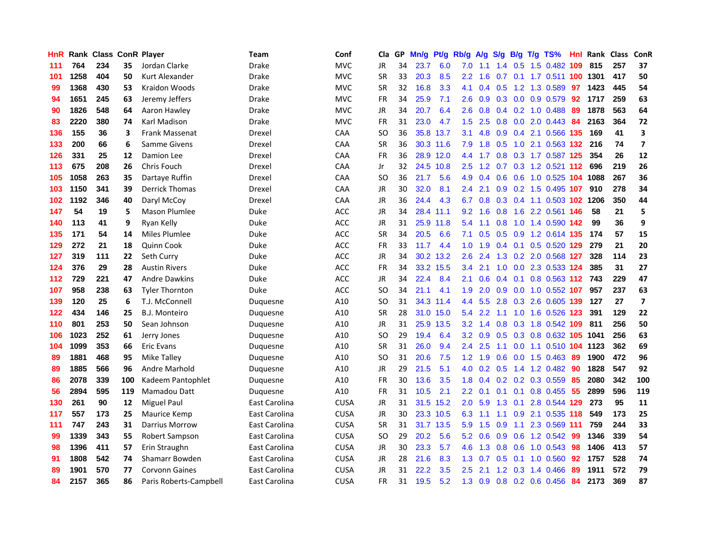| HnR |      | <b>Rank Class ConR Player</b> |     |                        | Team          | Conf        | Cla       |    | GP Mn/g | Pt/g      | Rb/g             | A/g             |                  |                 | S/g B/g T/g TS%           | Hnl |      | Rank Class | ConR                    |
|-----|------|-------------------------------|-----|------------------------|---------------|-------------|-----------|----|---------|-----------|------------------|-----------------|------------------|-----------------|---------------------------|-----|------|------------|-------------------------|
| 111 | 764  | 234                           | 35  | Jordan Clarke          | Drake         | <b>MVC</b>  | JR        | 34 | 23.7    | 6.0       | 7.0              | 1.1             | 1.4              | 0.5             | 1.5 0.482                 | 109 | 815  | 257        | 37                      |
| 101 | 1258 | 404                           | 50  | Kurt Alexander         | <b>Drake</b>  | <b>MVC</b>  | <b>SR</b> | 33 | 20.3    | 8.5       | $2.2^{\circ}$    | 1.6             | 0.7              | 0.1             | 1.7 0.511 100             |     | 1301 | 417        | 50                      |
| 99  | 1368 | 430                           | 53  | Kraidon Woods          | <b>Drake</b>  | <b>MVC</b>  | <b>SR</b> | 32 | 16.8    | 3.3       | 4.1              | 0.4             | 0.5              | 1.2             | 1.3 0.589                 | -97 | 1423 | 445        | 54                      |
| 94  | 1651 | 245                           | 63  | Jeremy Jeffers         | Drake         | <b>MVC</b>  | FR        | 34 | 25.9    | 7.1       | 2.6              | 0.9             |                  |                 | 0.3 0.0 0.9 0.579         | 92  | 1717 | 259        | 63                      |
| 90  | 1826 | 548                           | 64  | Aaron Hawley           | Drake         | <b>MVC</b>  | JR        | 34 | 20.7    | 6.4       | 2.6              | 0.8             |                  |                 | $0.4$ 0.2 1.0 0.488       | -89 | 1878 | 563        | 64                      |
| 83  | 2220 | 380                           | 74  | <b>Karl Madison</b>    | <b>Drake</b>  | <b>MVC</b>  | <b>FR</b> | 31 | 23.0    | 4.7       | 1.5 <sub>1</sub> | 2.5             |                  |                 | $0.8$ 0.0 2.0 0.443       | 84  | 2163 | 364        | 72                      |
| 136 | 155  | 36                            | 3   | Frank Massenat         | Drexel        | CAA         | <b>SO</b> | 36 |         | 35.8 13.7 | 3.1              | 4.8             |                  |                 | 0.9 0.4 2.1 0.566 135     |     | 169  | 41         | 3                       |
| 133 | 200  | 66                            | 6   | Samme Givens           | Drexel        | <b>CAA</b>  | <b>SR</b> | 36 |         | 30.3 11.6 | 7.9              | 1.8             | 0.5              |                 | 1.0 2.1 0.563 132         |     | 216  | 74         | $\overline{\mathbf{z}}$ |
| 126 | 331  | 25                            | 12  | Damion Lee             | Drexel        | CAA         | <b>FR</b> | 36 |         | 28.9 12.0 | $4.4^{\circ}$    | 1.7             |                  |                 | 0.8 0.3 1.7 0.587 125     |     | 354  | 26         | 12                      |
| 113 | 675  | 208                           | 26  | <b>Chris Fouch</b>     | Drexel        | CAA         | Jr        | 32 |         | 24.5 10.8 | $2.5^{\circ}$    | 1.2             | 0.7              |                 | 0.3 1.2 0.521 112         |     | 696  | 219        | 26                      |
| 105 | 1058 | 263                           | 35  | Dartaye Ruffin         | Drexel        | CAA         | <b>SO</b> | 36 | 21.7    | 5.6       | 4.9              | 0.4             | 0.6              | 0.6             | 1.0 0.525 104 1088        |     |      | 267        | 36                      |
| 103 | 1150 | 341                           | 39  | <b>Derrick Thomas</b>  | Drexel        | CAA         | JR        | 30 | 32.0    | 8.1       | 2.4              | 2.1             | 0.9 <sub>0</sub> | 0.2             | 1.5 0.495 107             |     | 910  | 278        | 34                      |
| 102 | 1192 | 346                           | 40  | Daryl McCoy            | Drexel        | CAA         | JR        | 36 | 24.4    | 4.3       | 6.7              | 0.8             | 0.3              | 0.4             | 1.1 0.503 102 1206        |     |      | 350        | 44                      |
| 147 | 54   | 19                            | 5   | <b>Mason Plumlee</b>   | Duke          | ACC         | JR        | 34 |         | 28.4 11.1 | 9.2              | 1.6             | 0.8              | 1.6             | 2.2 0.561                 | 146 | 58   | 21         | 5                       |
| 140 | 113  | 41                            | 9   | Ryan Kelly             | Duke          | ACC         | JR        | 31 |         | 25.9 11.8 | 5.4              | 1.1             | 0.8              | 1.0             | 1.4 0.590 142             |     | 99   | 36         | 9                       |
| 135 | 171  | 54                            | 14  | Miles Plumlee          | Duke          | <b>ACC</b>  | <b>SR</b> | 34 | 20.5    | 6.6       | 7.1              | 0.5             |                  |                 | 0.5 0.9 1.2 0.614 135     |     | 174  | 57         | 15                      |
| 129 | 272  | 21                            | 18  | Quinn Cook             | Duke          | <b>ACC</b>  | FR        | 33 | 11.7    | 4.4       | 1.0 <sub>1</sub> | 1.9             |                  |                 | 0.4 0.1 0.5 0.520 129     |     | 279  | 21         | 20                      |
| 127 | 319  | 111                           | 22  | Seth Curry             | Duke          | <b>ACC</b>  | JR        | 34 |         | 30.2 13.2 | 2.6              | 2.4             |                  |                 | 1.3 0.2 2.0 0.568 127     |     | 328  | 114        | 23                      |
| 124 | 376  | 29                            | 28  | <b>Austin Rivers</b>   | Duke          | <b>ACC</b>  | FR        | 34 |         | 33.2 15.5 | 3.4              | 2.1             |                  |                 | 1.0 0.0 2.3 0.533 124     |     | 385  | 31         | 27                      |
| 112 | 729  | 221                           | 47  | <b>Andre Dawkins</b>   | Duke          | ACC         | JR        | 34 | 22.4    | 8.4       | 2.1              | 0.6             |                  |                 | 0.4 0.1 0.8 0.563 112 743 |     |      | 229        | 47                      |
| 107 | 958  | 238                           | 63  | <b>Tyler Thornton</b>  | Duke          | ACC         | SO.       | 34 | 21.1    | 4.1       | 1.9              | 2.0             | 0.9              | 0.0             | 1.0 0.552 107             |     | 957  | 237        | 63                      |
| 139 | 120  | 25                            | 6   | T.J. McConnell         | Duquesne      | A10         | SO.       | 31 | 34.3    | 11.4      | $4.4^{\circ}$    | 5.5             | 2.8              |                 | 0.3 2.6 0.605 139         |     | 127  | 27         | $\overline{7}$          |
| 122 | 434  | 146                           | 25  | B.J. Monteiro          | Duquesne      | A10         | <b>SR</b> | 28 |         | 31.0 15.0 | 5.4              | 2.2             | 1.1              | 1.0             | 1.6 0.526 123             |     | 391  | 129        | 22                      |
| 110 | 801  | 253                           | 50  | Sean Johnson           | Duquesne      | A10         | JR        | 31 |         | 25.9 13.5 |                  | $3.2 \quad 1.4$ | 0.8              |                 | 0.3 1.8 0.542 109         |     | 811  | 256        | 50                      |
| 106 | 1023 | 252                           | 61  | Jerry Jones            | Duquesne      | A10         | SO.       | 29 | 19.4    | 6.4       | 3.2              | 0.9             | 0.5              | 0.3             | 0.8 0.632 105             |     | 1041 | 256        | 63                      |
| 104 | 1099 | 353                           | 66  | <b>Eric Evans</b>      | Duquesne      | A10         | <b>SR</b> | 31 | 26.0    | 9.4       | 2.4              | 2.5             | 1.1              | 0.0             | 1.1 0.510 104 1123        |     |      | 362        | 69                      |
| 89  | 1881 | 468                           | 95  | Mike Tallev            | Duquesne      | A10         | SO.       | 31 | 20.6    | 7.5       | 1.2 <sub>1</sub> | 1.9             | 0.6              | 0.0             | $1.5 \t0.463$             | -89 | 1900 | 472        | 96                      |
| 89  | 1885 | 566                           | 96  | <b>Andre Marhold</b>   | Duquesne      | A10         | JR        | 29 | 21.5    | 5.1       | 4.0              | 0.2             | 0.5              | 1.4             | 1.2 0.482                 | 90  | 1828 | 547        | 92                      |
| 86  | 2078 | 339                           | 100 | Kadeem Pantophlet      | Duquesne      | A10         | <b>FR</b> | 30 | 13.6    | 3.5       | 1.8 <sup>°</sup> | 0.4             |                  |                 | $0.2$ 0.2 0.3 0.559       | -85 | 2080 | 342        | 100                     |
| 56  | 2894 | 595                           | 119 | Mamadou Datt           | Duquesne      | A10         | <b>FR</b> | 31 | 10.5    | 2.1       |                  | $2.2 \quad 0.1$ |                  | $0.1 \quad 0.1$ | 0.8 0.455                 | -55 | 2899 | 596        | 119                     |
| 130 | 261  | 90                            | 12  | Miguel Paul            | East Carolina | <b>CUSA</b> | JR        | 31 |         | 31.5 15.2 | 2.0 <sub>2</sub> | 5.9             |                  | $1.3 \quad 0.1$ | 2.8 0.544 129             |     | 273  | 95         | 11                      |
| 117 | 557  | 173                           | 25  | Maurice Kemp           | East Carolina | <b>CUSA</b> | JR        | 30 |         | 23.3 10.5 | 6.3              | 1.1             |                  | $1.1 \quad 0.9$ | 2.1 0.535 118             |     | 549  | 173        | 25                      |
| 111 | 747  | 243                           | 31  | Darrius Morrow         | East Carolina | <b>CUSA</b> | <b>SR</b> | 31 |         | 31.7 13.5 | 5.9              | 1.5             | 0.9              | 1.1             | 2.3 0.569 111             |     | 759  | 244        | 33                      |
| 99  | 1339 | 343                           | 55  | Robert Sampson         | East Carolina | <b>CUSA</b> | SO.       | 29 | 20.2    | 5.6       | 5.2              | 0.6             | 0.9              | 0.6             | 1.2 0.542                 | 99  | 1346 | 339        | 54                      |
| 98  | 1396 | 411                           | 57  | Erin Straughn          | East Carolina | <b>CUSA</b> | JR        | 30 | 23.3    | 5.7       | 4.6              | 1.3             | 0.8              | 0.6             | 1.0 0.543                 | 98  | 1406 | 413        | 57                      |
| 91  | 1808 | 542                           | 74  | Shamarr Bowden         | East Carolina | <b>CUSA</b> | JR        | 28 | 21.6    | 8.3       | 1.3              | 0.7             | 0.5              | 0.1             | 1.0 0.560                 | 92  | 1757 | 528        | 74                      |
| 89  | 1901 | 570                           | 77  | <b>Corvonn Gaines</b>  | East Carolina | <b>CUSA</b> | JR        | 31 | 22.2    | 3.5       | 2.5              | 2.1             | 1.2              | 0.3             | 1.4 0.466                 | 89  | 1911 | 572        | 79                      |
| 84  | 2157 | 365                           | 86  | Paris Roberts-Campbell | East Carolina | <b>CUSA</b> | FR        | 31 | 19.5    | 5.2       | 1.3              | 0.9             |                  |                 | 0.8 0.2 0.6 0.456         | 84  | 2173 | 369        | 87                      |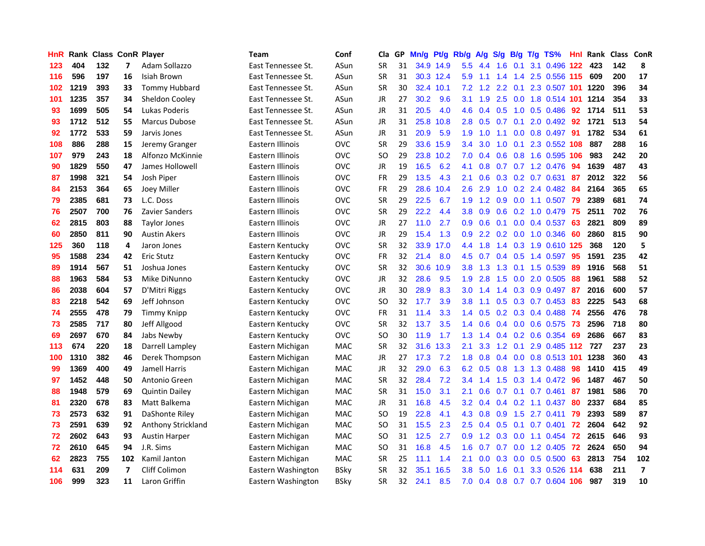| HnR |      |     |     | Rank Class ConR Player | <b>Team</b>        | Conf       | Cla       |    | GP Mn/g | Pt/g      | Rb/g             | A/g       | <b>S/g</b> |                  | B/g T/g TS%               | Hnl | <b>Rank Class ConR</b> |     |                          |
|-----|------|-----|-----|------------------------|--------------------|------------|-----------|----|---------|-----------|------------------|-----------|------------|------------------|---------------------------|-----|------------------------|-----|--------------------------|
| 123 | 404  | 132 | 7   | Adam Sollazzo          | East Tennessee St. | ASun       | SR        | 31 |         | 34.9 14.9 | 5.5              | 4.4       | 1.6        | 0.1              | 3.1 0.496                 | 122 | 423                    | 142 | 8                        |
| 116 | 596  | 197 | 16  | Isiah Brown            | East Tennessee St. | ASun       | SR        | 31 |         | 30.3 12.4 | 5.9              | 1.1       | 1.4        | 1.4              | 2.5 0.556 115             |     | 609                    | 200 | 17                       |
| 102 | 1219 | 393 | 33  | Tommy Hubbard          | East Tennessee St. | ASun       | <b>SR</b> | 30 |         | 32.4 10.1 | 7.2              | 1.2       | 2.2        | 0.1              | 2.3 0.507 101             |     | 1220                   | 396 | 34                       |
| 101 | 1235 | 357 | 34  | Sheldon Cooley         | East Tennessee St. | ASun       | JR        | 27 | 30.2    | 9.6       | 3.1              | 1.9       | 2.5        |                  | 0.0 1.8 0.514 101 1214    |     |                        | 354 | 33                       |
| 93  | 1699 | 505 | 54  | Lukas Poderis          | East Tennessee St. | ASun       | JR        | 31 | 20.5    | 4.0       | 4.6              |           |            |                  | 0.4 0.5 1.0 0.5 0.486 92  |     | 1714                   | 511 | 53                       |
| 93  | 1712 | 512 | 55  | <b>Marcus Dubose</b>   | East Tennessee St. | ASun       | JR        | 31 | 25.8    | 10.8      | 2.8 <sub>1</sub> | 0.5       | 0.7        |                  | $0.1$ 2.0 0.492           | -92 | 1721                   | 513 | 54                       |
| 92  | 1772 | 533 | 59  | Jarvis Jones           | East Tennessee St. | ASun       | JR        | 31 | 20.9    | 5.9       | 1.9              | 1.0       | 1.1        |                  | $0.0$ 0.8 0.497           | -91 | 1782                   | 534 | 61                       |
| 108 | 886  | 288 | 15  | Jeremy Granger         | Eastern Illinois   | <b>OVC</b> | SR        | 29 | 33.6    | 15.9      | $3.4^{\circ}$    | 3.0       | 1.0        |                  | $0.1$ 2.3 0.552           | 108 | 887                    | 288 | 16                       |
| 107 | 979  | 243 | 18  | Alfonzo McKinnie       | Eastern Illinois   | <b>OVC</b> | SO        | 29 |         | 23.8 10.2 | 7.0              | 0.4       | 0.6        |                  | 0.8 1.6 0.595 106         |     | 983                    | 242 | 20                       |
| 90  | 1829 | 550 | 47  | James Hollowell        | Eastern Illinois   | <b>OVC</b> | JR        | 19 | 16.5    | 6.2       | 4.1              | 0.8       | 0.7        |                  | $0.7$ 1.2 0.476           | 94  | 1639                   | 487 | 43                       |
| 87  | 1998 | 321 | 54  | Josh Piper             | Eastern Illinois   | <b>OVC</b> | <b>FR</b> | 29 | 13.5    | 4.3       | 2.1              | 0.6       |            |                  | 0.3 0.2 0.7 0.631         | 87  | 2012                   | 322 | 56                       |
| 84  | 2153 | 364 | 65  | Joey Miller            | Eastern Illinois   | <b>OVC</b> | FR        | 29 | 28.6    | 10.4      | 2.6              | 2.9       | 1.0        |                  | 0.2 2.4 0.482             | 84  | 2164                   | 365 | 65                       |
| 79  | 2385 | 681 | 73  | L.C. Doss              | Eastern Illinois   | OVC        | <b>SR</b> | 29 | 22.5    | 6.7       | 1.9              | 1.2       | 0.9        |                  | $0.0$ 1.1 $0.507$         | -79 | 2389                   | 681 | 74                       |
| 76  | 2507 | 700 | 76  | Zavier Sanders         | Eastern Illinois   | <b>OVC</b> | SR        | 29 | 22.2    | 4.4       | 3.8 <sub>1</sub> | 0.9       | 0.6        |                  | $0.2$ 1.0 0.479           | 75  | 2511                   | 702 | 76                       |
| 62  | 2815 | 803 | 88  | <b>Taylor Jones</b>    | Eastern Illinois   | <b>OVC</b> | <b>JR</b> | 27 | 11.0    | 2.7       | 0.9              | 0.6       | 0.1        | 0.0              | 0.4 0.537                 | 63  | 2821                   | 809 | 89                       |
| 60  | 2850 | 811 | 90  | <b>Austin Akers</b>    | Eastern Illinois   | <b>OVC</b> | JR        | 29 | 15.4    | 1.3       | 0.9              | 2.2       | 0.2        | 0.0              | 1.0 0.346                 | -60 | 2860                   | 815 | 90                       |
| 125 | 360  | 118 | 4   | Jaron Jones            | Eastern Kentucky   | <b>OVC</b> | <b>SR</b> | 32 | 33.9    | 17.0      | 4.4              | 1.8       | 1.4        |                  | 0.3 1.9 0.610 125         |     | 368                    | 120 | 5                        |
| 95  | 1588 | 234 | 42  | <b>Eric Stutz</b>      | Eastern Kentucky   | <b>OVC</b> | FR        | 32 | 21.4    | 8.0       | 4.5              | 0.7       |            |                  | $0.4$ 0.5 1.4 0.597       | -95 | 1591                   | 235 | 42                       |
| 89  | 1914 | 567 | 51  | Joshua Jones           | Eastern Kentucky   | <b>OVC</b> | <b>SR</b> | 32 | 30.6    | 10.9      |                  | $3.8$ 1.3 |            |                  | 1.3 0.1 1.5 0.539         | -89 | 1916                   | 568 | 51                       |
| 88  | 1963 | 584 | 53  | Mike DiNunno           | Eastern Kentucky   | <b>OVC</b> | JR        | 32 | 28.6    | 9.5       | 1.9 <sup>°</sup> | 2.8       | 1.5        |                  | 0.0 2.0 0.505             | -88 | 1961                   | 588 | 52                       |
| 86  | 2038 | 604 | 57  | D'Mitri Riggs          | Eastern Kentucky   | <b>OVC</b> | JR        | 30 | 28.9    | 8.3       | 3.0 <sub>1</sub> | 1.4       |            |                  | 1.4 0.3 0.9 0.497         | -87 | 2016                   | 600 | 57                       |
| 83  | 2218 | 542 | 69  | Jeff Johnson           | Eastern Kentucky   | <b>OVC</b> | SO        | 32 | 17.7    | 3.9       | 3.8 <sub>1</sub> | 1.1       |            |                  | $0.5$ $0.3$ $0.7$ $0.453$ | -83 | 2225                   | 543 | 68                       |
| 74  | 2555 | 478 | 79  | <b>Timmy Knipp</b>     | Eastern Kentucky   | <b>OVC</b> | <b>FR</b> | 31 | 11.4    | 3.3       | $1.4^{\circ}$    | 0.5       |            |                  | 0.2 0.3 0.4 0.488 74      |     | 2556                   | 476 | 78                       |
| 73  | 2585 | 717 | 80  | Jeff Allgood           | Eastern Kentucky   | <b>OVC</b> | <b>SR</b> | 32 | 13.7    | 3.5       | 1.4              | 0.6       | 0.4        |                  | $0.0$ 0.6 0.575           | 73  | 2596                   | 718 | 80                       |
| 69  | 2697 | 670 | 84  | Jabs Newby             | Eastern Kentucky   | <b>OVC</b> | SO        | 30 | 11.9    | 1.7       | 1.3 <sub>1</sub> | 1.4       |            |                  | $0.4$ 0.2 0.6 0.354       | -69 | 2686                   | 667 | 83                       |
| 113 | 674  | 220 | 18  | Darrell Lampley        | Eastern Michigan   | MAC        | SR        | 32 | 31.6    | 13.3      | 2.1              | 3.3       | 1.2        | 0.1              | 2.9 0.485 112             |     | 727                    | 237 | 23                       |
| 100 | 1310 | 382 | 46  | Derek Thompson         | Eastern Michigan   | MAC        | JR        | 27 | 17.3    | 7.2       | 1.8              | 0.8       | 0.4        | 0.0 <sub>1</sub> | 0.8 0.513 101             |     | 1238                   | 360 | 43                       |
| 99  | 1369 | 400 | 49  | Jamell Harris          | Eastern Michigan   | MAC        | JR.       | 32 | 29.0    | 6.3       | 6.2              | 0.5       | 0.8        | 1.3              | 1.3 0.488                 | 98  | 1410                   | 415 | 49                       |
| 97  | 1452 | 448 | 50  | Antonio Green          | Eastern Michigan   | MAC        | SR        | 32 | 28.4    | 7.2       | 3.4              | 1.4       | 1.5        | 0.3              | 1.4 0.472                 | 96  | 1487                   | 467 | 50                       |
| 88  | 1948 | 579 | 69  | <b>Quintin Dailey</b>  | Eastern Michigan   | MAC        | <b>SR</b> | 31 | 15.0    | 3.1       | 2.1              | 0.6       | 0.7        | 0.1              | $0.7$ 0.461               | 87  | 1981                   | 586 | 70                       |
| 81  | 2320 | 678 | 83  | Matt Balkema           | Eastern Michigan   | <b>MAC</b> | JR        | 31 | 16.8    | 4.5       | 3.2              | 0.4       | 0.4        |                  | $0.2$ 1.1 $0.437$         | -80 | 2337                   | 684 | 85                       |
| 73  | 2573 | 632 | 91  | DaShonte Riley         | Eastern Michigan   | MAC        | SO        | 19 | 22.8    | 4.1       | 4.3              | 0.8       | 0.9        |                  | 1.5 2.7 0.411             | -79 | 2393                   | 589 | 87                       |
| 73  | 2591 | 639 | 92  | Anthony Strickland     | Eastern Michigan   | <b>MAC</b> | SO        | 31 | 15.5    | 2.3       | 2.5              | 0.4       |            |                  | 0.5 0.1 0.7 0.401 72      |     | 2604                   | 642 | 92                       |
| 72  | 2602 | 643 | 93  | <b>Austin Harper</b>   | Eastern Michigan   | MAC        | SO        | 31 | 12.5    | 2.7       | 0.9 <sup>°</sup> | 1.2       |            |                  | $0.3$ 0.0 1.1 0.454       | 72  | 2615                   | 646 | 93                       |
| 72  | 2610 | 645 | 94  | J.R. Sims              | Eastern Michigan   | MAC        | SO        | 31 | 16.8    | 4.5       | 1.6              | 0.7       | 0.7        |                  | $0.0$ 1.2 $0.405$         | 72  | 2624                   | 650 | 94                       |
| 62  | 2823 | 755 | 102 | Kamil Janton           | Eastern Michigan   | MAC        | SR        | 25 | 11.1    | 1.4       | 2.1              | 0.0       | 0.3        | 0.0              | $0.5 \ 0.500$             | 63  | 2813                   | 754 | 102                      |
| 114 | 631  | 209 | 7   | Cliff Colimon          | Eastern Washington | BSkv       | <b>SR</b> | 32 | 35.1    | 16.5      | 3.8              | 5.0       | 1.6        | 0.1              | 3.3 0.526                 | 114 | 638                    | 211 | $\overline{\phantom{a}}$ |
| 106 | 999  | 323 | 11  | Laron Griffin          | Eastern Washington | BSkv       | SR        | 32 | 24.1    | 8.5       | 7.0              | 0.4       | 0.8        |                  | 0.7 0.7 0.604 106         |     | 987                    | 319 | 10                       |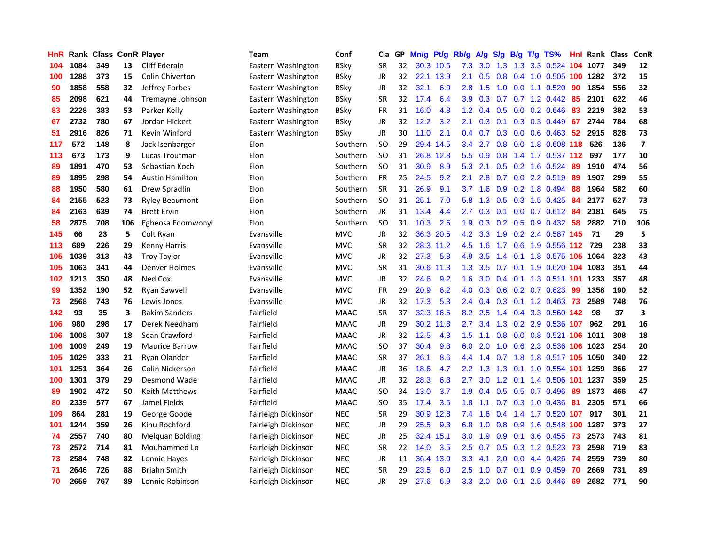| HnR |      | <b>Rank Class ConR Player</b> |     |                        | Team                | Conf        | Cla           | GP. | Mn/g | Pt/g      | Rb/g             | <b>A/g</b>      | S/q             | B/g | $T/g$ TS%                       |     | Hnl Rank Class ConR |     |                         |
|-----|------|-------------------------------|-----|------------------------|---------------------|-------------|---------------|-----|------|-----------|------------------|-----------------|-----------------|-----|---------------------------------|-----|---------------------|-----|-------------------------|
| 104 | 1084 | 349                           | 13  | Cliff Ederain          | Eastern Washington  | BSky        | <b>SR</b>     | 32  |      | 30.3 10.5 | 7.3              | 3.0             | 1.3             | 1.3 | 3.3 0.524                       | 104 | 1077                | 349 | 12                      |
| 100 | 1288 | 373                           | 15  | <b>Colin Chiverton</b> | Eastern Washington  | BSkv        | JR.           | 32  |      | 22.1 13.9 | 2.1              | 0.5             | 0.8             | 0.4 | 1.0 0.505 100                   |     | 1282                | 372 | 15                      |
| 90  | 1858 | 558                           | 32  | Jeffrey Forbes         | Eastern Washington  | BSkv        | JR            | 32  | 32.1 | 6.9       | 2.8              | 1.5             | 1.0             | 0.0 | 1.1 0.520                       | 90  | 1854                | 556 | 32                      |
| 85  | 2098 | 621                           | 44  | Tremayne Johnson       | Eastern Washington  | <b>BSky</b> | <b>SR</b>     | 32  | 17.4 | 6.4       | 3.9              | 0.3             | 0.7             | 0.7 | 1.2 0.442                       | 85  | 2101                | 622 | 46                      |
| 83  | 2228 | 383                           | 53  | Parker Kelly           | Eastern Washington  | <b>BSkv</b> | <b>FR</b>     | 31  | 16.0 | 4.8       |                  |                 | $1.2$ 0.4 0.5   |     | $0.0$ 0.2 0.646                 | 83  | 2219                | 382 | 53                      |
| 67  | 2732 | 780                           | 67  | Jordan Hickert         | Eastern Washington  | <b>BSky</b> | <b>JR</b>     | 32  | 12.2 | 3.2       | 2.1              |                 |                 |     | 0.3 0.1 0.3 0.3 0.449           | 67  | 2744                | 784 | 68                      |
| 51  | 2916 | 826                           | 71  | Kevin Winford          | Eastern Washington  | BSkv        | JR            | 30  | 11.0 | 2.1       |                  |                 |                 |     | 0.4 0.7 0.3 0.0 0.6 0.463 52    |     | 2915                | 828 | 73                      |
| 117 | 572  | 148                           | 8   | Jack Isenbarger        | Elon                | Southern    | <sub>SO</sub> | 29  | 29.4 | 14.5      | $3.4^{\circ}$    | 2.7             |                 |     | 0.8 0.0 1.8 0.608 118           |     | 526                 | 136 | $\overline{\mathbf{z}}$ |
| 113 | 673  | 173                           | 9   | Lucas Troutman         | Elon                | Southern    | SO            | 31  | 26.8 | 12.8      | 5.5 <sub>1</sub> | 0.9             | 0.8             |     | 1.4 1.7 0.537 112               |     | 697                 | 177 | 10                      |
| 89  | 1891 | 470                           | 53  | Sebastian Koch         | Elon                | Southern    | SO            | 31  | 30.9 | 8.9       | 5.3              | 2.1             | 0.5             |     | 0.2 1.6 0.524                   | 89  | 1910                | 474 | 56                      |
| 89  | 1895 | 298                           | 54  | <b>Austin Hamilton</b> | Elon                | Southern    | <b>FR</b>     | 25  | 24.5 | 9.2       | 2.1              | 2.8             | 0.7             |     | 0.0 2.2 0.519                   | 89  | 1907                | 299 | 55                      |
| 88  | 1950 | 580                           | 61  | Drew Spradlin          | Elon                | Southern    | <b>SR</b>     | 31  | 26.9 | 9.1       | 3.7              | 1.6             | 0.9             |     | $0.2$ 1.8 0.494                 | 88  | 1964                | 582 | 60                      |
| 84  | 2155 | 523                           | 73  | <b>Ryley Beaumont</b>  | Elon                | Southern    | <b>SO</b>     | 31  | 25.1 | 7.0       | 5.8              | 1.3             | 0.5             |     | 0.3 1.5 0.425                   | 84  | 2177                | 527 | 73                      |
| 84  | 2163 | 639                           | 74  | <b>Brett Ervin</b>     | Elon                | Southern    | JR            | 31  | 13.4 | 4.4       | 2.7              | 0.3             | 0.1             | 0.0 | $0.7$ $0.612$                   | 84  | 2181                | 645 | 75                      |
| 58  | 2875 | 708                           | 106 | Egheosa Edomwonyi      | Elon                | Southern    | <b>SO</b>     | 31  | 10.3 | 2.6       | 1.9              | 0.3             | 0.2             | 0.5 | $0.9$ $0.432$                   | 58  | 2882                | 710 | 106                     |
| 145 | 66   | 23                            | 5   | Colt Ryan              | Evansville          | <b>MVC</b>  | <b>JR</b>     | 32  | 36.3 | 20.5      | 4.2              | 3.3             | 1.9             | 0.2 | 2.4 0.587 145                   |     | -71                 | 29  | 5                       |
| 113 | 689  | 226                           | 29  | <b>Kenny Harris</b>    | Evansville          | <b>MVC</b>  | <b>SR</b>     | 32  | 28.3 | 11.2      | 4.5              | 1.6             | 1.7             | 0.6 | 1.9 0.556 112                   |     | 729                 | 238 | 33                      |
| 105 | 1039 | 313                           | 43  | <b>Troy Taylor</b>     | Evansville          | <b>MVC</b>  | JR            | 32  | 27.3 | 5.8       | 4.9              | 3.5             | 1.4             | 0.1 | 1.8 0.575 105                   |     | 1064                | 323 | 43                      |
| 105 | 1063 | 341                           | 44  | Denver Holmes          | Evansville          | <b>MVC</b>  | <b>SR</b>     | 31  |      | 30.6 11.3 | 1.3              | 3.5             | $0.7 \quad 0.1$ |     | 1.9 0.620 104 1083              |     |                     | 351 | 44                      |
| 102 | 1213 | 350                           | 48  | Ned Cox                | Evansville          | <b>MVC</b>  | JR            | 32  | 24.6 | 9.2       | 1.6              |                 |                 |     | 3.0 0.4 0.1 1.3 0.511 101       |     | 1233                | 357 | 48                      |
| 99  | 1352 | 190                           | 52  | Ryan Sawvell           | Evansville          | <b>MVC</b>  | <b>FR</b>     | 29  | 20.9 | 6.2       | 4.0              |                 |                 |     | $0.3$ $0.6$ $0.2$ $0.7$ $0.623$ | -99 | 1358                | 190 | 52                      |
| 73  | 2568 | 743                           | 76  | Lewis Jones            | Evansville          | <b>MVC</b>  | JR            | 32  | 17.3 | 5.3       |                  | $2.4 \quad 0.4$ |                 |     | 0.3 0.1 1.2 0.463 73            |     | 2589                | 748 | 76                      |
| 142 | 93   | 35                            | 3   | <b>Rakim Sanders</b>   | Fairfield           | <b>MAAC</b> | SR            | 37  | 32.3 | 16.6      | 8.2              | 2.5             |                 |     | 1.4 0.4 3.3 0.560 142           |     | 98                  | 37  | 3                       |
| 106 | 980  | 298                           | 17  | Derek Needham          | Fairfield           | <b>MAAC</b> | JR.           | 29  | 30.2 | 11.8      | 2.7              | 3.4             | 1.3             |     | 0.2 2.9 0.536 107               |     | 962                 | 291 | 16                      |
| 106 | 1008 | 307                           | 18  | Sean Crawford          | Fairfield           | <b>MAAC</b> | JR.           | 32  | 12.5 | 4.3       | 1.5              | 1.1             | 0.8             |     | 0.0 0.8 0.521 106               |     | 1011                | 308 | 18                      |
| 106 | 1009 | 249                           | 19  | <b>Maurice Barrow</b>  | Fairfield           | <b>MAAC</b> | SO            | 37  | 30.4 | 9.3       | 6.0              | 2.0             | 1.0             |     | 0.6 2.3 0.536                   | 106 | 1023                | 254 | 20                      |
| 105 | 1029 | 333                           | 21  | Ryan Olander           | Fairfield           | <b>MAAC</b> | <b>SR</b>     | 37  | 26.1 | 8.6       | 4.4              | 1.4             | 0.7             | 1.8 | 1.8 0.517 105                   |     | 1050                | 340 | 22                      |
| 101 | 1251 | 364                           | 26  | Colin Nickerson        | Fairfield           | <b>MAAC</b> | JR.           | 36  | 18.6 | 4.7       | 2.2 <sub>2</sub> | 1.3             | 1.3             | 0.1 | 1.0 0.554 101                   |     | 1259                | 366 | 27                      |
| 100 | 1301 | 379                           | 29  | Desmond Wade           | Fairfield           | <b>MAAC</b> | JR.           | 32  | 28.3 | 6.3       | 2.7              | 3.0             | 1.2             | 0.1 | 1.4 0.506                       | 101 | 1237                | 359 | 25                      |
| 89  | 1902 | 472                           | 50  | Keith Matthews         | Fairfield           | <b>MAAC</b> | SO            | 34  | 13.0 | 3.7       | 1.9              | 0.4             | 0.5             | 0.5 | 0.7 0.496                       | 89  | 1873                | 466 | 47                      |
| 80  | 2339 | 577                           | 67  | Jamel Fields           | Fairfield           | <b>MAAC</b> | SO            | 35  | 17.4 | 3.5       | 1.8              | 1.1             | 0.7             | 0.3 | 1.0 0.436                       | -81 | 2305                | 571 | 66                      |
| 109 | 864  | 281                           | 19  | George Goode           | Fairleigh Dickinson | <b>NEC</b>  | SR            | 29  | 30.9 | 12.8      | 7.4              | 1.6             | 0.4             |     | 1.4 1.7 0.520 107               |     | 917                 | 301 | 21                      |
| 101 | 1244 | 359                           | 26  | Kinu Rochford          | Fairleigh Dickinson | <b>NEC</b>  | JR            | 29  | 25.5 | 9.3       | 6.8              | 1.0             | 0.8             | 0.9 | 1.6 0.548 100                   |     | 1287                | 373 | 27                      |
| 74  | 2557 | 740                           | 80  | <b>Melquan Bolding</b> | Fairleigh Dickinson | <b>NEC</b>  | JR            | 25  |      | 32.4 15.1 | 3.0 <sub>1</sub> | 1.9             | 0.9             | 0.1 | 3.6 0.455 73                    |     | 2573                | 743 | 81                      |
| 73  | 2572 | 714                           | 81  | Mouhammed Lo           | Fairleigh Dickinson | <b>NEC</b>  | SR            | 22  | 14.0 | 3.5       | $2.5\,$          | 0.7             | 0.5             |     | 0.3 1.2 0.523                   | -73 | 2598                | 719 | 83                      |
| 73  | 2584 | 748                           | 82  | Lonnie Hayes           | Fairleigh Dickinson | <b>NEC</b>  | JR            | 11  | 36.4 | 13.0      | 3.3              | 4.1             | 2.0             | 0.0 | 4.4 0.426                       | -74 | 2559                | 739 | 80                      |
| 71  | 2646 | 726                           | 88  | <b>Briahn Smith</b>    | Fairleigh Dickinson | <b>NEC</b>  | <b>SR</b>     | 29  | 23.5 | 6.0       | 2.5              | 1.0             | 0.7             | 0.1 | 0.9 0.459                       | 70  | 2669                | 731 | 89                      |
| 70  | 2659 | 767                           | 89  | Lonnie Robinson        | Fairleigh Dickinson | <b>NEC</b>  | <b>JR</b>     | 29  | 27.6 | 6.9       | 3.3 <sup>°</sup> |                 | $2.0 \t 0.6$    | 0.1 | 2.5 0.446                       | 69  | 2682                | 771 | 90                      |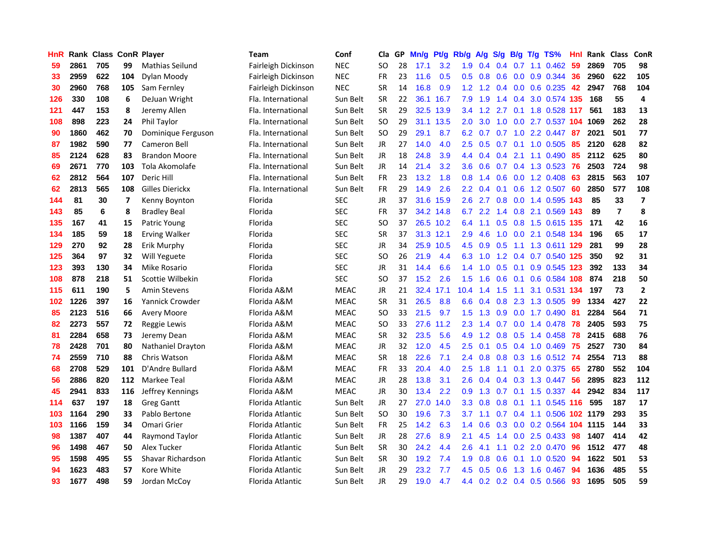| HnR |      |     |     | <b>Rank Class ConR Player</b> | Team                | Conf        | Cla           | GP | Mn/g | Pt/g      | Rb/g             | A/g |                |     | S/g B/g T/g TS%               | Hnl | Rank Class |                | <b>ConR</b>    |
|-----|------|-----|-----|-------------------------------|---------------------|-------------|---------------|----|------|-----------|------------------|-----|----------------|-----|-------------------------------|-----|------------|----------------|----------------|
| 59  | 2861 | 705 | 99  | Mathias Seilund               | Fairleigh Dickinson | <b>NEC</b>  | SO            | 28 | 17.1 | 3.2       | 1.9              | 0.4 | 0.4            | 0.7 | $1.1 \quad 0.462$             | 59  | 2869       | 705            | 98             |
| 33  | 2959 | 622 | 104 | Dylan Moody                   | Fairleigh Dickinson | <b>NEC</b>  | <b>FR</b>     | 23 | 11.6 | 0.5       | 0.5              | 0.8 | 0.6            | 0.0 | 0.9 0.344                     | 36  | 2960       | 622            | 105            |
| 30  | 2960 | 768 | 105 | Sam Fernley                   | Fairleigh Dickinson | <b>NEC</b>  | <b>SR</b>     | 14 | 16.8 | 0.9       | 1.2 <sub>1</sub> | 1.2 | 0.4            | 0.0 | 0.6 0.235                     | 42  | 2947       | 768            | 104            |
| 126 | 330  | 108 | 6   | DeJuan Wright                 | Fla. International  | Sun Belt    | <b>SR</b>     | 22 |      | 36.1 16.7 | 7.9              | 1.9 |                |     | 1.4 0.4 3.0 0.574 135         |     | 168        | 55             | 4              |
| 121 | 447  | 153 | 8   | Jeremy Allen                  | Fla. International  | Sun Belt    | <b>SR</b>     | 29 |      | 32.5 13.9 |                  |     |                |     | 3.4 1.2 2.7 0.1 1.8 0.528 117 |     | 561        | 183            | 13             |
| 108 | 898  | 223 | 24  | Phil Taylor                   | Fla. International  | Sun Belt    | <b>SO</b>     | 29 |      | 31.1 13.5 | 2.0              | 3.0 |                |     | 1.0 0.0 2.7 0.537 104 1069    |     |            | 262            | 28             |
| 90  | 1860 | 462 | 70  | Dominique Ferguson            | Fla. International  | Sun Belt    | <b>SO</b>     | 29 | 29.1 | 8.7       | 6.2              | 0.7 | 0.7            |     | $1.0$ 2.2 0.447               | -87 | 2021       | 501            | 77             |
| 87  | 1982 | 590 | 77  | Cameron Bell                  | Fla. International  | Sun Belt    | <b>JR</b>     | 27 | 14.0 | 4.0       | $2.5\,$          | 0.5 |                |     | $0.7$ 0.1 1.0 0.505           | 85  | 2120       | 628            | 82             |
| 85  | 2124 | 628 | 83  | <b>Brandon Moore</b>          | Fla. International  | Sun Belt    | <b>JR</b>     | 18 | 24.8 | 3.9       | $4.4^{\circ}$    | 0.4 | 0.4            | 2.1 | 1.1 0.490                     | 85  | 2112       | 625            | 80             |
| 69  | 2671 | 770 | 103 | Tola Akomolafe                | Fla. International  | Sun Belt    | <b>JR</b>     | 14 | 21.4 | 3.2       | 3.6 <sup>°</sup> | 0.6 | 0.7            |     | 0.4 1.3 0.523                 | 76  | 2503       | 724            | 98             |
| 62  | 2812 | 564 | 107 | Deric Hill                    | Fla. International  | Sun Belt    | <b>FR</b>     | 23 | 13.2 | 1.8       | 0.8              | 1.4 | 0.6            |     | $0.0$ 1.2 $0.408$             | 63  | 2815       | 563            | 107            |
| 62  | 2813 | 565 | 108 | Gilles Dierickx               | Fla. International  | Sun Belt    | <b>FR</b>     | 29 | 14.9 | 2.6       | $2.2^{\circ}$    | 0.4 | 0.1            | 0.6 | 1.2 0.507                     | 60  | 2850       | 577            | 108            |
| 144 | 81   | 30  | 7   | Kenny Boynton                 | Florida             | <b>SEC</b>  | JR            | 37 | 31.6 | 15.9      | 2.6              | 2.7 | 0.8            | 0.0 | 1.4 0.595                     | 143 | 85         | 33             | $\overline{7}$ |
| 143 | 85   | 6   | 8   | <b>Bradley Beal</b>           | Florida             | <b>SEC</b>  | FR            | 37 |      | 34.2 14.8 | 6.7              | 2.2 | $1.4^{\circ}$  | 0.8 | 2.1 0.569 143                 |     | 89         | $\overline{7}$ | 8              |
| 135 | 167  | 41  | 15  | Patric Young                  | Florida             | <b>SEC</b>  | <sub>SO</sub> | 37 |      | 26.5 10.2 | 6.4              | 1.1 | 0.5            | 0.8 | 1.5 0.615 135                 |     | 171        | 42             | 16             |
| 134 | 185  | 59  | 18  | <b>Erving Walker</b>          | Florida             | <b>SEC</b>  | <b>SR</b>     | 37 |      | 31.3 12.1 | 2.9              | 4.6 | 1.0            |     | 0.0 2.1 0.548 134             |     | 196        | 65             | 17             |
| 129 | 270  | 92  | 28  | Erik Murphy                   | Florida             | <b>SEC</b>  | JR            | 34 |      | 25.9 10.5 | 4.5              |     | $0.9\quad 0.5$ |     | 1.1 1.3 0.611 129             |     | 281        | 99             | 28             |
| 125 | 364  | 97  | 32  | Will Yeguete                  | Florida             | <b>SEC</b>  | SO            | 26 | 21.9 | 4.4       | 6.3              | 1.0 |                |     | 1.2 0.4 0.7 0.540 125         |     | 350        | 92             | 31             |
| 123 | 393  | 130 | 34  | Mike Rosario                  | Florida             | <b>SEC</b>  | JR            | 31 | 14.4 | 6.6       | $1.4^{\circ}$    | 1.0 |                |     | 0.5 0.1 0.9 0.545 123         |     | 392        | 133            | 34             |
| 108 | 878  | 218 | 51  | Scottie Wilbekin              | Florida             | <b>SEC</b>  | SO            | 37 | 15.2 | 2.6       | 1.5              | 1.6 | 0.6            |     | 0.1 0.6 0.584 108             |     | 874        | 218            | 50             |
| 115 | 611  | 190 | 5   | <b>Amin Stevens</b>           | Florida A&M         | <b>MEAC</b> | <b>JR</b>     | 21 |      | 32.4 17.1 | 10.4             | 1.4 | 1.5            | 1.1 | 3.1 0.531 134                 |     | 197        | 73             | $\mathbf{2}$   |
| 102 | 1226 | 397 | 16  | Yannick Crowder               | Florida A&M         | <b>MEAC</b> | <b>SR</b>     | 31 | 26.5 | 8.8       | 6.6              | 0.4 | 0.8            | 2.3 | 1.3 0.505                     | 99  | 1334       | 427            | 22             |
| 85  | 2123 | 516 | 66  | <b>Avery Moore</b>            | Florida A&M         | <b>MEAC</b> | <sub>SO</sub> | 33 | 21.5 | 9.7       | 1.5              | 1.3 | 0.9            |     | $0.0$ 1.7 $0.490$             | -81 | 2284       | 564            | 71             |
| 82  | 2273 | 557 | 72  | Reggie Lewis                  | Florida A&M         | <b>MEAC</b> | <b>SO</b>     | 33 | 27.6 | 11.2      | 2.3              | 1.4 | 0.7            |     | $0.0$ 1.4 $0.478$             | 78  | 2405       | 593            | 75             |
| 81  | 2284 | 658 | 73  | Jeremy Dean                   | Florida A&M         | <b>MEAC</b> | <b>SR</b>     | 32 | 23.5 | 5.6       | 4.9              | 1.2 | 0.8            | 0.5 | 1.4 0.458                     | 78  | 2415       | 688            | 76             |
| 78  | 2428 | 701 | 80  | Nathaniel Drayton             | Florida A&M         | <b>MEAC</b> | <b>JR</b>     | 32 | 12.0 | 4.5       | 2.5              | 0.1 | 0.5            | 0.4 | 1.0 0.469                     | 75  | 2527       | 730            | 84             |
| 74  | 2559 | 710 | 88  | Chris Watson                  | Florida A&M         | <b>MEAC</b> | <b>SR</b>     | 18 | 22.6 | 7.1       | 2.4              | 0.8 | 0.8            | 0.3 | 1.6 0.512                     | 74  | 2554       | 713            | 88             |
| 68  | 2708 | 529 | 101 | D'Andre Bullard               | Florida A&M         | <b>MEAC</b> | <b>FR</b>     | 33 | 20.4 | 4.0       | 2.5              | 1.8 | 1.1            | 0.1 | 2.0 0.375                     | 65  | 2780       | 552            | 104            |
| 56  | 2886 | 820 | 112 | Markee Teal                   | Florida A&M         | <b>MEAC</b> | JR            | 28 | 13.8 | 3.1       | 2.6              | 0.4 | 0.4            | 0.3 | 1.3 0.447                     | -56 | 2895       | 823            | 112            |
| 45  | 2941 | 833 | 116 | Jeffrey Kennings              | Florida A&M         | <b>MEAC</b> | JR            | 30 | 13.4 | 2.2       | 0.9 <sup>°</sup> |     | $1.3$ 0.7 0.1  |     | 1.5 0.337 44                  |     | 2942       | 834            | 117            |
| 114 | 637  | 197 | 18  | <b>Greg Gantt</b>             | Florida Atlantic    | Sun Belt    | <b>JR</b>     | 27 | 27.0 | 14.0      | 3.3 <sub>2</sub> | 0.8 | 0.8            |     | 0.1 1.1 0.545 116             |     | 595        | 187            | 17             |
| 103 | 1164 | 290 | 33  | Pablo Bertone                 | Florida Atlantic    | Sun Belt    | <sub>SO</sub> | 30 | 19.6 | 7.3       | 3.7              | 1.1 |                |     | 0.7 0.4 1.1 0.506 102 1179    |     |            | 293            | 35             |
| 103 | 1166 | 159 | 34  | Omari Grier                   | Florida Atlantic    | Sun Belt    | <b>FR</b>     | 25 | 14.2 | 6.3       | $1.4^{\circ}$    | 0.6 |                |     | 0.3 0.0 0.2 0.564 104         |     | 1115       | 144            | 33             |
| 98  | 1387 | 407 | 44  | Raymond Taylor                | Florida Atlantic    | Sun Belt    | JR            | 28 | 27.6 | 8.9       | 2.1              | 4.5 | 1.4            | 0.0 | 2.5 0.433                     | 98  | 1407       | 414            | 42             |
| 96  | 1498 | 467 | 50  | Alex Tucker                   | Florida Atlantic    | Sun Belt    | <b>SR</b>     | 30 | 24.2 | 4.4       | 2.6              | 4.1 | 1.1            |     | 0.2 2.0 0.470                 | 96  | 1512       | 477            | 48             |
| 95  | 1598 | 495 | 55  | Shavar Richardson             | Florida Atlantic    | Sun Belt    | <b>SR</b>     | 30 | 19.2 | 7.4       | 1.9              | 0.8 | 0.6            | 0.1 | 1.0 0.520                     | 94  | 1622       | 501            | 53             |
| 94  | 1623 | 483 | 57  | Kore White                    | Florida Atlantic    | Sun Belt    | <b>JR</b>     | 29 | 23.2 | 7.7       | 4.5              | 0.5 | 0.6            | 1.3 | 1.6 0.467                     | 94  | 1636       | 485            | 55             |
| 93  | 1677 | 498 | 59  | Jordan McCoy                  | Florida Atlantic    | Sun Belt    | JR            | 29 | 19.0 | 4.7       |                  |     |                |     | 4.4 0.2 0.2 0.4 0.5 0.566     | 93  | 1695       | 505            | 59             |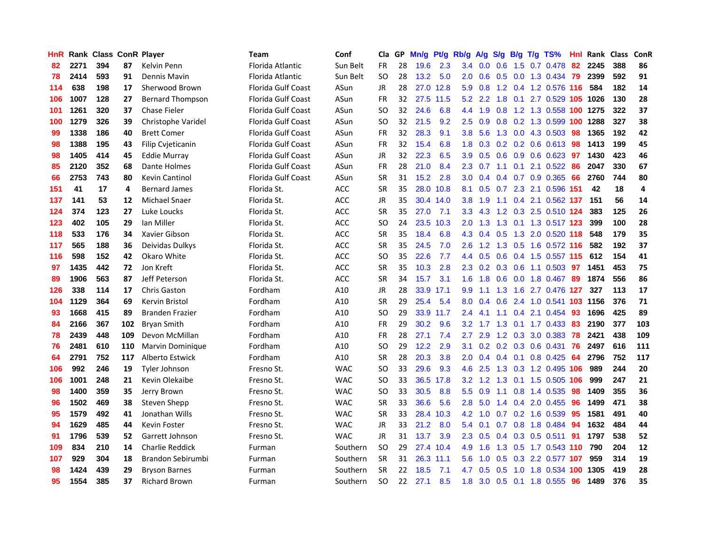| HnR. |      | Rank Class ConR Player |     |                         | Team                      | Conf       | Cla           | GP. | Mn/g | Pt/g      | Rb/g             | <b>A/g</b>      |     |                 | S/g B/g T/g TS%               | Hnl | Rank Class |     | ConR |
|------|------|------------------------|-----|-------------------------|---------------------------|------------|---------------|-----|------|-----------|------------------|-----------------|-----|-----------------|-------------------------------|-----|------------|-----|------|
| 82   | 2271 | 394                    | 87  | Kelvin Penn             | Florida Atlantic          | Sun Belt   | <b>FR</b>     | 28  | 19.6 | 2.3       | 3.4              | 0.0             | 0.6 | 1.5             | 0.7 0.478                     | 82  | 2245       | 388 | 86   |
| 78   | 2414 | 593                    | 91  | Dennis Mavin            | Florida Atlantic          | Sun Belt   | <b>SO</b>     | 28  | 13.2 | 5.0       | 2.0              | 0.6             | 0.5 | 0.0             | 1.3 0.434 79                  |     | 2399       | 592 | 91   |
| 114  | 638  | 198                    | 17  | Sherwood Brown          | Florida Gulf Coast        | ASun       | <b>JR</b>     | 28  | 27.0 | 12.8      | 5.9              | 0.8             |     |                 | 1.2 0.4 1.2 0.576 116         |     | 584        | 182 | 14   |
| 106  | 1007 | 128                    | 27  | <b>Bernard Thompson</b> | Florida Gulf Coast        | ASun       | <b>FR</b>     | 32  |      | 27.5 11.5 |                  | $5.2$ 2.2       | 1.8 |                 | 0.1 2.7 0.529 105 1026        |     |            | 130 | 28   |
| 101  | 1261 | 320                    | 37  | Chase Fieler            | Florida Gulf Coast        | ASun       | <sub>SO</sub> | 32  | 24.6 | 6.8       |                  | 4.4 1.9         | 0.8 |                 | 1.2 1.3 0.558 100 1275        |     |            | 322 | 37   |
| 100  | 1279 | 326                    | 39  | Christophe Varidel      | Florida Gulf Coast        | ASun       | <sub>SO</sub> | 32  | 21.5 | 9.2       | 2.5              | 0.9             |     |                 | 0.8 0.2 1.3 0.599 100         |     | 1288       | 327 | 38   |
| 99   | 1338 | 186                    | 40  | <b>Brett Comer</b>      | <b>Florida Gulf Coast</b> | ASun       | FR            | 32  | 28.3 | 9.1       | 3.8 <sub>1</sub> | 5.6             |     |                 | 1.3 0.0 4.3 0.503             | -98 | 1365       | 192 | 42   |
| 98   | 1388 | 195                    | 43  | Filip Cvjeticanin       | <b>Florida Gulf Coast</b> | ASun       | <b>FR</b>     | 32  | 15.4 | 6.8       | 1.8 <sup>°</sup> | 0.3             |     |                 | $0.2$ 0.2 0.6 0.613           | 98  | 1413       | 199 | 45   |
| 98   | 1405 | 414                    | 45  | Eddie Murray            | Florida Gulf Coast        | ASun       | <b>JR</b>     | 32  | 22.3 | 6.5       | 3.9              | 0.5             |     |                 | 0.6 0.9 0.6 0.623             | 97  | 1430       | 423 | 46   |
| 85   | 2120 | 352                    | 68  | Dante Holmes            | Florida Gulf Coast        | ASun       | <b>FR</b>     | 28  | 21.0 | 8.4       | $2.3^{\circ}$    | 0.7             | 1.1 | 0.1             | 2.1 0.522                     | 86  | 2047       | 330 | 67   |
| 66   | 2753 | 743                    | 80  | <b>Kevin Cantinol</b>   | <b>Florida Gulf Coast</b> | ASun       | <b>SR</b>     | 31  | 15.2 | 2.8       | 3.0              | 0.4             |     |                 | 0.4 0.7 0.9 0.365             | 66  | 2760       | 744 | 80   |
| 151  | 41   | 17                     | 4   | <b>Bernard James</b>    | Florida St.               | <b>ACC</b> | <b>SR</b>     | 35  |      | 28.0 10.8 |                  | 8.1 0.5         | 0.7 |                 | 2.3 2.1 0.596 151             |     | 42         | 18  | 4    |
| 137  | 141  | 53                     | 12  | <b>Michael Snaer</b>    | Florida St.               | <b>ACC</b> | JR            | 35  |      | 30.4 14.0 | 3.8 <sub>1</sub> | 1.9             | 1.1 | 0.4             | 2.1 0.562 137                 |     | 151        | 56  | 14   |
| 124  | 374  | 123                    | 27  | Luke Loucks             | Florida St.               | <b>ACC</b> | <b>SR</b>     | 35  | 27.0 | 7.1       | 3.3 <sub>2</sub> | 4.3             |     |                 | 1.2 0.3 2.5 0.510 124         |     | 383        | 125 | 26   |
| 123  | 402  | 105                    | 29  | Ian Miller              | Florida St.               | ACC        | SO            | 24  | 23.5 | 10.3      | 2.0              | 1.3             | 1.3 |                 | 0.1 1.3 0.517 123             |     | 399        | 100 | 28   |
| 118  | 533  | 176                    | 34  | Xavier Gibson           | Florida St.               | ACC        | <b>SR</b>     | 35  | 18.4 | 6.8       | 4.3              | 0.4             | 0.5 |                 | 1.3 2.0 0.520 118             |     | 548        | 179 | 35   |
| 117  | 565  | 188                    | 36  | Deividas Dulkys         | Florida St.               | ACC        | <b>SR</b>     | 35  | 24.5 | 7.0       | $2.6^{\circ}$    | 1.2             |     |                 | 1.3 0.5 1.6 0.572 116         |     | 582        | 192 | 37   |
| 116  | 598  | 152                    | 42  | Okaro White             | Florida St.               | <b>ACC</b> | SO            | 35  | 22.6 | 7.7       |                  |                 |     |                 | 4.4 0.5 0.6 0.4 1.5 0.557 115 |     | 612        | 154 | 41   |
| 97   | 1435 | 442                    | 72  | Jon Kreft               | Florida St.               | <b>ACC</b> | <b>SR</b>     | 35  | 10.3 | 2.8       |                  |                 |     |                 | 2.3 0.2 0.3 0.6 1.1 0.503 97  |     | 1451       | 453 | 75   |
| 89   | 1906 | 563                    | 87  | Jeff Peterson           | Florida St.               | <b>ACC</b> | <b>SR</b>     | 34  | 15.7 | 3.1       | 1.6 <sup>°</sup> | 1.8             |     |                 | 0.6 0.0 1.8 0.467 89          |     | 1874       | 556 | 86   |
| 126  | 338  | 114                    | 17  | <b>Chris Gaston</b>     | Fordham                   | A10        | JR            | 28  |      | 33.9 17.1 | 9.9              | 1.1             | 1.3 |                 | 1.6 2.7 0.476 127             |     | 327        | 113 | 17   |
| 104  | 1129 | 364                    | 69  | Kervin Bristol          | Fordham                   | A10        | <b>SR</b>     | 29  | 25.4 | 5.4       | 8.0              | 0.4             | 0.6 |                 | 2.4 1.0 0.541 103 1156        |     |            | 376 | 71   |
| 93   | 1668 | 415                    | 89  | <b>Branden Frazier</b>  | Fordham                   | A10        | <b>SO</b>     | 29  | 33.9 | 11.7      | $2.4^{\circ}$    | 4.1             | 1.1 |                 | $0.4$ 2.1 $0.454$             | -93 | 1696       | 425 | 89   |
| 84   | 2166 | 367                    | 102 | <b>Bryan Smith</b>      | Fordham                   | A10        | <b>FR</b>     | 29  | 30.2 | 9.6       | 3.2 <sub>2</sub> | 1.7             | 1.3 | 0.1             | 1.7 0.433                     | -83 | 2190       | 377 | 103  |
| 78   | 2439 | 448                    | 109 | Devon McMillan          | Fordham                   | A10        | <b>FR</b>     | 28  | 27.1 | 7.4       | 2.7              | 2.9             |     | $1.2 \quad 0.3$ | 3.0 0.383                     | 78  | 2421       | 438 | 109  |
| 76   | 2481 | 610                    | 110 | <b>Marvin Dominique</b> | Fordham                   | A10        | SO            | 29  | 12.2 | 2.9       | 3.1              | 0.2             |     | $0.2 \quad 0.3$ | 0.6 0.431                     | 76  | 2497       | 616 | 111  |
| 64   | 2791 | 752                    | 117 | Alberto Estwick         | Fordham                   | A10        | <b>SR</b>     | 28  | 20.3 | 3.8       | 2.0              | 0.4             |     | $0.4 \quad 0.1$ | $0.8$ 0.425                   | -64 | 2796       | 752 | 117  |
| 106  | 992  | 246                    | 19  | Tyler Johnson           | Fresno St.                | <b>WAC</b> | <b>SO</b>     | 33  | 29.6 | 9.3       | 4.6              | 2.5             | 1.3 |                 | 0.3 1.2 0.495 106             |     | 989        | 244 | 20   |
| 106  | 1001 | 248                    | 21  | Kevin Olekaibe          | Fresno St.                | <b>WAC</b> | <b>SO</b>     | 33  | 36.5 | 17.8      | 3.2 <sub>2</sub> | 1.2             | 1.3 | 0.1             | 1.5 0.505 106                 |     | 999        | 247 | 21   |
| 98   | 1400 | 359                    | 35  | Jerry Brown             | Fresno St.                | <b>WAC</b> | <b>SO</b>     | 33  | 30.5 | 8.8       | 5.5 <sub>1</sub> | 0.9             |     |                 | 1.1 0.8 1.4 0.535             | -98 | 1409       | 355 | 36   |
| 96   | 1502 | 469                    | 38  | Steven Shepp            | Fresno St.                | <b>WAC</b> | <b>SR</b>     | 33  | 36.6 | 5.6       | 2.8              | 5.0             |     |                 | 1.4 0.4 2.0 0.455             | -96 | 1499       | 471 | 38   |
| 95   | 1579 | 492                    | 41  | Jonathan Wills          | Fresno St.                | <b>WAC</b> | <b>SR</b>     | 33  |      | 28.4 10.3 | 4.2              | 1.0             |     |                 | 0.7 0.2 1.6 0.539             | 95  | 1581       | 491 | 40   |
| 94   | 1629 | 485                    | 44  | Kevin Foster            | Fresno St.                | <b>WAC</b> | <b>JR</b>     | 33  | 21.2 | 8.0       |                  | $5.4 \quad 0.1$ |     |                 | 0.7 0.8 1.8 0.484             | 94  | 1632       | 484 | 44   |
| 91   | 1796 | 539                    | 52  | Garrett Johnson         | Fresno St.                | <b>WAC</b> | JR            | 31  | 13.7 | 3.9       | $2.3^{\circ}$    | 0.5             |     |                 | $0.4$ 0.3 0.5 0.511           | 91  | 1797       | 538 | 52   |
| 109  | 834  | 210                    | 14  | <b>Charlie Reddick</b>  | Furman                    | Southern   | <sub>SO</sub> | 29  |      | 27.4 10.4 | 4.9              | 1.6             |     |                 | 1.3 0.5 1.7 0.543 110         |     | 790        | 204 | 12   |
| 107  | 929  | 304                    | 18  | Brandon Sebirumbi       | Furman                    | Southern   | <b>SR</b>     | 31  | 26.3 | 11.1      | 5.6              | 1.0             | 0.5 |                 | 0.3 2.2 0.577 107             |     | 959        | 314 | 19   |
| 98   | 1424 | 439                    | 29  | <b>Bryson Barnes</b>    | Furman                    | Southern   | <b>SR</b>     | 22  | 18.5 | 7.1       | 4.7              | 0.5             | 0.5 | 1.0             | 1.8 0.534                     | 100 | 1305       | 419 | 28   |
| 95   | 1554 | 385                    | 37  | <b>Richard Brown</b>    | Furman                    | Southern   | <b>SO</b>     | 22  | 27.1 | 8.5       | 1.8              |                 |     |                 | 3.0 0.5 0.1 1.8 0.555         | 96  | 1489       | 376 | 35   |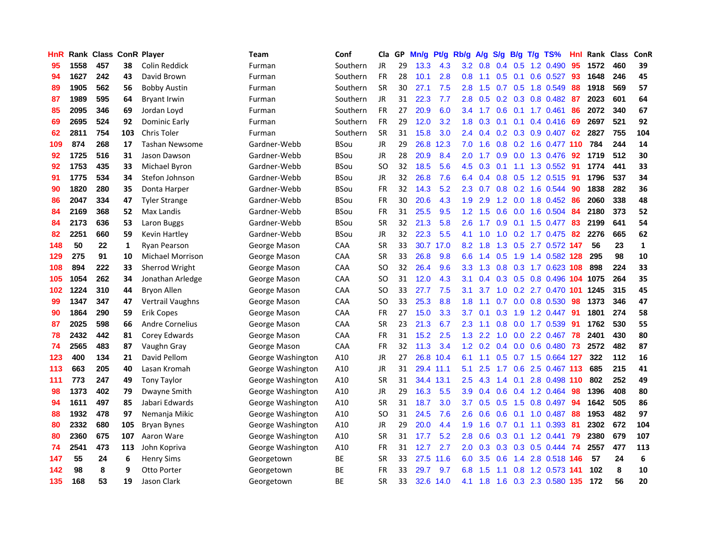| HnR |      | Rank Class ConR Player |     |                         | <b>Team</b>       | Conf        | Cla       | GP | Mn/g | Pt/g      | Rb/g             | A/g      | <b>S/g</b>       | B/g              |     | T/g TS%                   | Hnl | Rank Class |     | ConR         |
|-----|------|------------------------|-----|-------------------------|-------------------|-------------|-----------|----|------|-----------|------------------|----------|------------------|------------------|-----|---------------------------|-----|------------|-----|--------------|
| 95  | 1558 | 457                    | 38  | Colin Reddick           | Furman            | Southern    | <b>JR</b> | 29 | 13.3 | 4.3       | 3.2              | 0.8      | 0.4              | 0.5              | 1.2 | 0.490                     | 95  | 1572       | 460 | 39           |
| 94  | 1627 | 242                    | 43  | David Brown             | Furman            | Southern    | <b>FR</b> | 28 | 10.1 | 2.8       | 0.8              | 1.1      | 0.5              | 0.1              |     | $0.6$ 0.527               | 93  | 1648       | 246 | 45           |
| 89  | 1905 | 562                    | 56  | <b>Bobby Austin</b>     | Furman            | Southern    | <b>SR</b> | 30 | 27.1 | 7.5       | 2.8              | 1.5      | 0.7              | 0.5              |     | 1.8 0.549                 | 88  | 1918       | 569 | 57           |
| 87  | 1989 | 595                    | 64  | <b>Bryant Irwin</b>     | Furman            | Southern    | JR        | 31 | 22.3 | 7.7       | 2.8              | 0.5      |                  | $0.2 \quad 0.3$  |     | 0.8 0.482                 | 87  | 2023       | 601 | 64           |
| 85  | 2095 | 346                    | 69  | Jordan Loyd             | Furman            | Southern    | FR        | 27 | 20.9 | 6.0       |                  | 3.4 1.7  | 0.6              |                  |     | $0.1$ 1.7 $0.461$         | 86  | 2072       | 340 | 67           |
| 69  | 2695 | 524                    | 92  | Dominic Early           | Furman            | Southern    | <b>FR</b> | 29 | 12.0 | 3.2       | 1.8 <sup>1</sup> | 0.3      | 0.1              | 0.1              |     | 0.4 0.416                 | -69 | 2697       | 521 | 92           |
| 62  | 2811 | 754                    | 103 | Chris Toler             | Furman            | Southern    | <b>SR</b> | 31 | 15.8 | 3.0       | $2.4^{\circ}$    | 0.4      |                  |                  |     | $0.2$ $0.3$ $0.9$ $0.407$ | 62  | 2827       | 755 | 104          |
| 109 | 874  | 268                    | 17  | <b>Tashan Newsome</b>   | Gardner-Webb      | <b>BSou</b> | JR        | 29 | 26.8 | 12.3      | 7.0              | 1.6      | 0.8              |                  |     | 0.2 1.6 0.477 110         |     | 784        | 244 | 14           |
| 92  | 1725 | 516                    | 31  | Jason Dawson            | Gardner-Webb      | <b>BSou</b> | JR        | 28 | 20.9 | 8.4       | 2.0              | 1.7      | 0.9 <sub>o</sub> |                  |     | 0.0 1.3 0.476             | 92  | 1719       | 512 | 30           |
| 92  | 1753 | 435                    | 33  | Michael Byron           | Gardner-Webb      | <b>BSou</b> | <b>SO</b> | 32 | 18.5 | 5.6       | 4.5              | 0.3      | 0.1              | 1.1              |     | 1.3 0.552                 | 91  | 1774       | 441 | 33           |
| 91  | 1775 | 534                    | 34  | Stefon Johnson          | Gardner-Webb      | <b>BSou</b> | JR        | 32 | 26.8 | 7.6       | 6.4              | 0.4      | 0.8              | 0.5              |     | 1.2 0.515                 | 91  | 1796       | 537 | 34           |
| 90  | 1820 | 280                    | 35  | Donta Harper            | Gardner-Webb      | <b>BSou</b> | FR        | 32 | 14.3 | 5.2       | 2.3              | 0.7      | 0.8              | 0.2              |     | 1.6 0.544                 | 90  | 1838       | 282 | 36           |
| 86  | 2047 | 334                    | 47  | <b>Tyler Strange</b>    | Gardner-Webb      | <b>BSou</b> | FR        | 30 | 20.6 | 4.3       | 1.9              | 2.9      | 1.2              | 0.0              |     | 1.8 0.452                 | 86  | 2060       | 338 | 48           |
| 84  | 2169 | 368                    | 52  | Max Landis              | Gardner-Webb      | <b>BSou</b> | <b>FR</b> | 31 | 25.5 | 9.5       | 1.2 <sub>1</sub> | 1.5      | 0.6              | 0.0              |     | 1.6 0.504                 | 84  | 2180       | 373 | 52           |
| 84  | 2173 | 636                    | 53  | Laron Buggs             | Gardner-Webb      | BSou        | <b>SR</b> | 32 | 21.3 | 5.8       | 2.6              | 1.7      | 0.9              | 0.1              |     | 1.5 0.477                 | 83  | 2199       | 641 | 54           |
| 82  | 2251 | 660                    | 59  | Kevin Hartley           | Gardner-Webb      | <b>BSou</b> | JR        | 32 | 22.3 | 5.5       | 4.1              | 1.0      | 1.0              | 0.2              |     | 1.7 0.475                 | 82  | 2276       | 665 | 62           |
| 148 | 50   | 22                     | 1   | <b>Ryan Pearson</b>     | George Mason      | CAA         | <b>SR</b> | 33 | 30.7 | 17.0      | 8.2              | 1.8      | 1.3              | 0.5              |     | 2.7 0.572 147             |     | 56         | 23  | $\mathbf{1}$ |
| 129 | 275  | 91                     | 10  | <b>Michael Morrison</b> | George Mason      | <b>CAA</b>  | <b>SR</b> | 33 | 26.8 | 9.8       | 6.6              | 1.4      | 0.5              | 1.9              |     | 1.4 0.582 128             |     | 295        | 98  | 10           |
| 108 | 894  | 222                    | 33  | Sherrod Wright          | George Mason      | CAA         | SO.       | 32 | 26.4 | 9.6       | 3.3 <sub>2</sub> | 1.3      |                  |                  |     | 0.8 0.3 1.7 0.623 108     |     | 898        | 224 | 33           |
| 105 | 1054 | 262                    | 34  | Jonathan Arledge        | George Mason      | CAA         | SO.       | 31 | 12.0 | 4.3       | 3.1              | 0.4      |                  |                  |     | 0.3 0.5 0.8 0.496 104     |     | 1075       | 264 | 35           |
| 102 | 1224 | 310                    | 44  | Bryon Allen             | George Mason      | <b>CAA</b>  | SO.       | 33 | 27.7 | 7.5       | 3.1              | 3.7      |                  |                  |     | 1.0 0.2 2.7 0.470 101     |     | 1245       | 315 | 45           |
| 99  | 1347 | 347                    | 47  | Vertrail Vaughns        | George Mason      | CAA         | SO        | 33 | 25.3 | 8.8       | 1.8              | 1.1      | 0.7              |                  |     | $0.0$ $0.8$ $0.530$       | 98  | 1373       | 346 | 47           |
| 90  | 1864 | 290                    | 59  | Erik Copes              | George Mason      | CAA         | <b>FR</b> | 27 | 15.0 | 3.3       | 3.7              | 0.1      | 0.3              | 1.9              |     | 1.2 0.447                 | 91  | 1801       | 274 | 58           |
| 87  | 2025 | 598                    | 66  | <b>Andre Cornelius</b>  | George Mason      | CAA         | <b>SR</b> | 23 | 21.3 | 6.7       | 2.3              | 1.1      | 0.8              | 0.0              |     | 1.7 0.539                 | 91  | 1762       | 530 | 55           |
| 78  | 2432 | 442                    | 81  | Corey Edwards           | George Mason      | CAA         | FR        | 31 | 15.2 | 2.5       | 1.3              | 2.2      | 1.0              | 0.0 <sub>1</sub> |     | 2.2 0.467                 | 78  | 2401       | 430 | 80           |
| 74  | 2565 | 483                    | 87  | Vaughn Gray             | George Mason      | CAA         | FR        | 32 | 11.3 | 3.4       | 1.2              | 0.2      | 0.4              | 0.0              |     | $0.6$ 0.480               | 73  | 2572       | 482 | 87           |
| 123 | 400  | 134                    | 21  | David Pellom            | George Washington | A10         | JR        | 27 | 26.8 | 10.4      | 6.1              | 1.1      | 0.5              | 0.7              |     | 1.5 0.664                 | 127 | 322        | 112 | 16           |
| 113 | 663  | 205                    | 40  | Lasan Kromah            | George Washington | A10         | JR        | 31 |      | 29.4 11.1 | 5.1              | 2.5      | 1.7              | 0.6              |     | 2.5 0.467 113             |     | 685        | 215 | 41           |
| 111 | 773  | 247                    | 49  | Tony Taylor             | George Washington | A10         | <b>SR</b> | 31 |      | 34.4 13.1 | 2.5              | 4.3      | 1.4              | 0.1              |     | 2.8 0.498 110             |     | 802        | 252 | 49           |
| 98  | 1373 | 402                    | 79  | Dwayne Smith            | George Washington | A10         | JR        | 29 | 16.3 | 5.5       | 3.9              | 0.4      | 0.6              | 0.4              |     | 1.2 0.464                 | 98  | 1396       | 408 | 80           |
| 94  | 1611 | 497                    | 85  | Jabari Edwards          | George Washington | A10         | <b>SR</b> | 31 | 18.7 | 3.0       | 3.7              | 0.5      | 0.5              | 1.5              |     | 0.8 0.497                 | -94 | 1642       | 505 | 86           |
| 88  | 1932 | 478                    | 97  | Nemanja Mikic           | George Washington | A10         | SO        | 31 | 24.5 | 7.6       | $2.6\,$          | 0.6      | 0.6              | 0.1              |     | 1.0 0.487                 | 88  | 1953       | 482 | 97           |
| 80  | 2332 | 680                    | 105 | <b>Bryan Bynes</b>      | George Washington | A10         | JR        | 29 | 20.0 | 4.4       | 1.9              | 1.6      | 0.7              | 0.1              |     | 1.1 0.393                 | -81 | 2302       | 672 | 104          |
| 80  | 2360 | 675                    | 107 | Aaron Ware              | George Washington | A10         | <b>SR</b> | 31 | 17.7 | 5.2       | 2.8              | 0.6      | 0.3              | 0.1              |     | $1.2$ 0.441               | 79  | 2380       | 679 | 107          |
| 74  | 2541 | 473                    | 113 | John Kopriva            | George Washington | A10         | FR        | 31 | 12.7 | 2.7       | $2.0\,$          | 0.3      | 0.3              |                  |     | 0.3 0.5 0.444             | 74  | 2557       | 477 | 113          |
| 147 | 55   | 24                     | 6   | <b>Henry Sims</b>       | Georgetown        | ВE          | <b>SR</b> | 33 | 27.5 | 11.6      | 6.0              | 3.5      | 0.6              | 1.4              |     | 2.8 0.518 146             |     | 57         | 24  | 6            |
| 142 | 98   | 8                      | 9   | Otto Porter             | Georgetown        | <b>BE</b>   | <b>FR</b> | 33 | 29.7 | 9.7       | 6.8              | .5<br>-1 | 1.1              | 0.8              |     | 1.2 0.573                 | 141 | 102        | 8   | 10           |
| 135 | 168  | 53                     | 19  | Jason Clark             | Georgetown        | ВE          | <b>SR</b> | 33 | 32.6 | 14.0      | 4.1              | 1.8      | 1.6              |                  |     | 0.3 2.3 0.580 135         |     | 172        | 56  | 20           |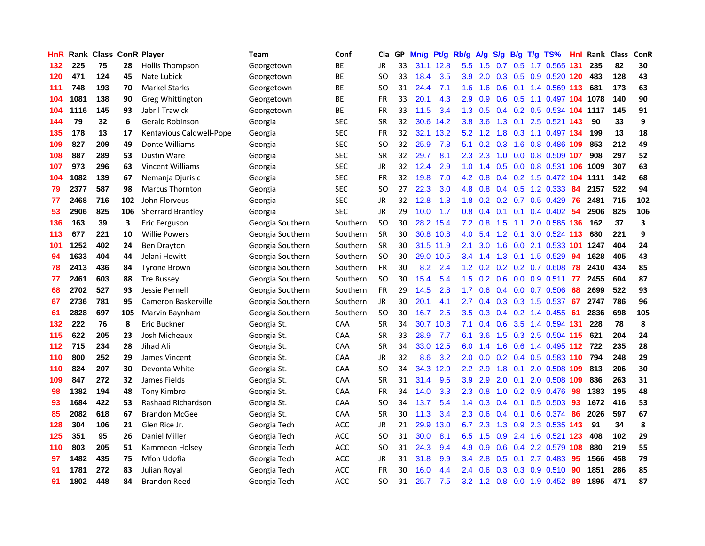| HnR   |      | Rank Class ConR Player |     |                          | Team             | Conf       | Cla           |    | GP Mn/g | Pt/g      | Rb/g             | <b>A/g</b>                           |     |                 | S/g B/g T/g TS%            | Hnl |      | Rank Class | ConR |
|-------|------|------------------------|-----|--------------------------|------------------|------------|---------------|----|---------|-----------|------------------|--------------------------------------|-----|-----------------|----------------------------|-----|------|------------|------|
| 132   | 225  | 75                     | 28  | <b>Hollis Thompson</b>   | Georgetown       | BE         | JR            | 33 |         | 31.1 12.8 | 5.5              | 1.5                                  | 0.7 | 0.5             | 1.7 0.565                  | 131 | 235  | 82         | 30   |
| 120   | 471  | 124                    | 45  | Nate Lubick              | Georgetown       | BE         | SO.           | 33 | 18.4    | 3.5       | 3.9              | 2.0                                  | 0.3 | 0.5             | 0.9 0.520 120              |     | 483  | 128        | 43   |
| 111   | 748  | 193                    | 70  | <b>Markel Starks</b>     | Georgetown       | ВE         | SO.           | 31 | 24.4    | 7.1       | 1.6              | 1.6                                  | 0.6 | 0.1             | 1.4 0.569 113              |     | 681  | 173        | 63   |
| 104   | 1081 | 138                    | 90  | Greg Whittington         | Georgetown       | ВE         | FR            | 33 | 20.1    | 4.3       | 2.9              | 0.9                                  | 0.6 | 0.5             | 1.1 0.497 104 1078         |     |      | 140        | 90   |
| 104   | 1116 | 145                    | 93  | Jabril Trawick           | Georgetown       | BE         | FR            | 33 | 11.5    | 3.4       |                  | $1.3 \quad 0.5$                      |     |                 | 0.4 0.2 0.5 0.534 104 1117 |     |      | 145        | 91   |
| 144   | 79   | 32                     | 6   | Gerald Robinson          | Georgia          | <b>SEC</b> | <b>SR</b>     | 32 | 30.6    | 14.2      | 3.8              | 3.6                                  |     |                 | 1.3 0.1 2.5 0.521 143      |     | 90   | 33         | 9    |
| 135   | 178  | 13                     | 17  | Kentavious Caldwell-Pope | Georgia          | <b>SEC</b> | FR            | 32 |         | 32.1 13.2 | 5.2              | 1.2                                  | 1.8 |                 | 0.3 1.1 0.497 134          |     | 199  | 13         | 18   |
| 109   | 827  | 209                    | 49  | Donte Williams           | Georgia          | <b>SEC</b> | SO.           | 32 | 25.9    | 7.8       | 5.1              | 0.2                                  | 0.3 | 1.6             | 0.8 0.486 109              |     | 853  | 212        | 49   |
| 108   | 887  | 289                    | 53  | <b>Dustin Ware</b>       | Georgia          | <b>SEC</b> | <b>SR</b>     | 32 | 29.7    | 8.1       | 2.3              | 2.3                                  | 1.0 | 0.0             | 0.8 0.509 107              |     | 908  | 297        | 52   |
| 107   | 973  | 296                    | 63  | <b>Vincent Williams</b>  | Georgia          | <b>SEC</b> | JR            | 32 | 12.4    | 2.9       | 1.0              | $\blacktriangleleft$<br>$\mathbf{A}$ | 0.5 |                 | $0.0$ $0.8$ $0.531$        | 106 | 1009 | 307        | 63   |
| 104   | 1082 | 139                    | 67  | Nemanja Djurisic         | Georgia          | <b>SEC</b> | FR            | 32 | 19.8    | 7.0       | 4.2              | 0.8                                  |     |                 | 0.4 0.2 1.5 0.472 104      |     | 1111 | 142        | 68   |
| 79    | 2377 | 587                    | 98  | <b>Marcus Thornton</b>   | Georgia          | <b>SEC</b> | <b>SO</b>     | 27 | 22.3    | 3.0       | 4.8              | 0.8                                  |     | $0.4$ 0.5       | 1.2 0.333                  | 84  | 2157 | 522        | 94   |
| 77    | 2468 | 716                    | 102 | John Florveus            | Georgia          | <b>SEC</b> | JR            | 32 | 12.8    | 1.8       | 1.8              | 0.2                                  | 0.2 | 0.7             | 0.5 0.429                  | 76  | 2481 | 715        | 102  |
| 53    | 2906 | 825                    | 106 | Sherrard Brantley        | Georgia          | <b>SEC</b> | <b>JR</b>     | 29 | 10.0    | 1.7       | 0.8 <sub>0</sub> | 0.4                                  | 0.1 | 0.1             | 0.4 0.402                  | -54 | 2906 | 825        | 106  |
| 136   | 163  | 39                     | 3   | Eric Ferguson            | Georgia Southern | Southern   | <b>SO</b>     | 30 | 28.2    | 15.4      | 7.2              | 0.8                                  | 1.5 | 1.1             | 2.0 0.585 136              |     | 162  | 37         | 3    |
| 113   | 677  | 221                    | 10  | <b>Willie Powers</b>     | Georgia Southern | Southern   | <b>SR</b>     | 30 |         | 30.8 10.8 | 4.0              | 5.4                                  | 1.2 | 0.1             | 3.0 0.524 113              |     | 680  | 221        | 9    |
| 101   | 1252 | 402                    | 24  | <b>Ben Drayton</b>       | Georgia Southern | Southern   | <b>SR</b>     | 30 |         | 31.5 11.9 | 2.1              | 3.0                                  | 1.6 |                 | 0.0 2.1 0.533 101          |     | 1247 | 404        | 24   |
| 94    | 1633 | 404                    | 44  | Jelani Hewitt            | Georgia Southern | Southern   | <b>SO</b>     | 30 |         | 29.0 10.5 |                  | $3.4$ 1.4                            |     |                 | 1.3 0.1 1.5 0.529          | -94 | 1628 | 405        | 43   |
| 78    | 2413 | 436                    | 84  | <b>Tyrone Brown</b>      | Georgia Southern | Southern   | <b>FR</b>     | 30 | 8.2     | 2.4       |                  |                                      |     |                 | 1.2 0.2 0.2 0.2 0.7 0.608  | -78 | 2410 | 434        | 85   |
| 77    | 2461 | 603                    | 88  | <b>Tre Bussey</b>        | Georgia Southern | Southern   | <b>SO</b>     | 30 | 15.4    | 5.4       |                  | $1.5 \t 0.2$                         |     |                 | 0.6 0.0 0.9 0.511 77       |     | 2455 | 604        | 87   |
| 68    | 2702 | 527                    | 93  | Jessie Pernell           | Georgia Southern | Southern   | FR            | 29 | 14.5    | 2.8       | 1.7              | 0.6                                  |     |                 | $0.4$ 0.0 0.7 0.506        | 68  | 2699 | 522        | 93   |
| 67    | 2736 | 781                    | 95  | Cameron Baskerville      | Georgia Southern | Southern   | <b>JR</b>     | 30 | 20.1    | 4.1       | 2.7              | 0.4                                  |     |                 | 0.3 0.3 1.5 0.537          | -67 | 2747 | 786        | 96   |
| 61    | 2828 | 697                    | 105 | Marvin Baynham           | Georgia Southern | Southern   | <sub>SO</sub> | 30 | 16.7    | 2.5       | 3.5              | 0.3                                  |     |                 | $0.4$ 0.2 1.4 0.455        | -61 | 2836 | 698        | 105  |
| 132   | 222  | 76                     | 8   | Eric Buckner             | Georgia St.      | CAA        | SR            | 34 | 30.7    | 10.8      | 7.1              | 0.4                                  | 0.6 | 3.5             | 1.4 0.594 131              |     | 228  | 78         | 8    |
| 115   | 622  | 205                    | 23  | Josh Micheaux            | Georgia St.      | CAA        | <b>SR</b>     | 33 | 28.9    | 7.7       | 6.1              | 3.6                                  | 1.5 | 0.3             | 2.5 0.504 115              |     | 621  | 204        | 24   |
| $112$ | 715  | 234                    | 28  | Jihad Ali                | Georgia St.      | CAA        | <b>SR</b>     | 34 | 33.0    | 12.5      | 6.0              | 1.4                                  | 1.6 | 0.6             | 1.4 0.495                  | 112 | 722  | 235        | 28   |
| 110   | 800  | 252                    | 29  | James Vincent            | Georgia St.      | CAA        | <b>JR</b>     | 32 | 8.6     | 3.2       | 2.0              | 0.0                                  | 0.2 | 0.4             | 0.5 0.583 110              |     | 794  | 248        | 29   |
| 110   | 824  | 207                    | 30  | Devonta White            | Georgia St.      | CAA        | SO            | 34 | 34.3    | 12.9      | $2.2\phantom{0}$ | 2.9                                  | 1.8 | 0.1             | 2.0 0.508                  | 109 | 813  | 206        | 30   |
| 109   | 847  | 272                    | 32  | James Fields             | Georgia St.      | CAA        | <b>SR</b>     | 31 | 31.4    | 9.6       | 3.9              | 2.9                                  | 2.0 | 0.1             | 2.0 0.508 109              |     | 836  | 263        | 31   |
| 98    | 1382 | 194                    | 48  | Tony Kimbro              | Georgia St.      | <b>CAA</b> | FR            | 34 | 14.0    | 3.3       | $2.3^{\circ}$    | 0.8                                  |     |                 | 1.0 0.2 0.9 0.476          | -98 | 1383 | 195        | 48   |
| 93    | 1684 | 422                    | 53  | Rashaad Richardson       | Georgia St.      | <b>CAA</b> | SO.           | 34 | 13.7    | 5.4       |                  | $1.4 \quad 0.3$                      |     | $0.4 \quad 0.1$ | $0.5 \ 0.503$              | -93 | 1672 | 416        | 53   |
| 85    | 2082 | 618                    | 67  | <b>Brandon McGee</b>     | Georgia St.      | CAA        | <b>SR</b>     | 30 | 11.3    | 3.4       | 2.3              | 0.6                                  |     | $0.4 \quad 0.1$ | 0.6 0.374                  | 86  | 2026 | 597        | 67   |
| 128   | 304  | 106                    | 21  | Glen Rice Jr.            | Georgia Tech     | <b>ACC</b> | JR            | 21 | 29.9    | 13.0      | 6.7              | 2.3                                  |     |                 | 1.3 0.9 2.3 0.535 143      |     | 91   | 34         | 8    |
| 125   | 351  | 95                     | 26  | <b>Daniel Miller</b>     | Georgia Tech     | ACC        | <b>SO</b>     | 31 | 30.0    | 8.1       | 6.5              | 1.5                                  | 0.9 | 2.4             | 1.6 0.521 123              |     | 408  | 102        | 29   |
| 110   | 803  | 205                    | 51  | Kammeon Holsey           | Georgia Tech     | ACC        | SO.           | 31 | 24.3    | 9.4       | 4.9              | 0.9                                  | 0.6 | 0.4             | 2.2 0.579                  | 108 | 880  | 219        | 55   |
| 97    | 1482 | 435                    | 75  | Mfon Udofia              | Georgia Tech     | ACC        | JR            | 31 | 31.8    | 9.9       | 3.4              | 2.8                                  | 0.5 | 0.1             | 2.7 0.483                  | 95  | 1566 | 458        | 79   |
| 91    | 1781 | 272                    | 83  | Julian Royal             | Georgia Tech     | <b>ACC</b> | FR            | 30 | 16.0    | 4.4       | 2.4              | 0.6                                  | 0.3 | 0.3             | $0.9$ $0.510$              | 90  | 1851 | 286        | 85   |
| 91    | 1802 | 448                    | 84  | <b>Brandon Reed</b>      | Georgia Tech     | ACC        | <b>SO</b>     | 31 | 25.7    | 7.5       |                  |                                      |     |                 | 3.2 1.2 0.8 0.0 1.9 0.452  | -89 | 1895 | 471        | 87   |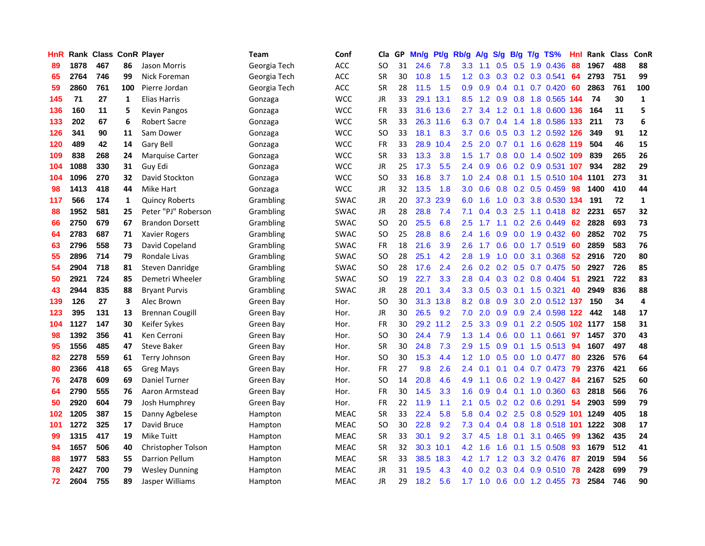| <b>HnR</b> |      |     |     | Rank Class ConR Player | Team         | Conf        | Cla       |    | GP Mn/g | Pt/g      | Rb/g             | A/g             |     |                 | S/g B/g T/g TS%                 | Hnl | Rank Class |     | ConR         |
|------------|------|-----|-----|------------------------|--------------|-------------|-----------|----|---------|-----------|------------------|-----------------|-----|-----------------|---------------------------------|-----|------------|-----|--------------|
| 89         | 1878 | 467 | 86  | Jason Morris           | Georgia Tech | <b>ACC</b>  | SO        | 31 | 24.6    | 7.8       | 3.3              | 1.1             | 0.5 | 0.5             | 1.9 0.436                       | 88  | 1967       | 488 | 88           |
| 65         | 2764 | 746 | 99  | Nick Foreman           | Georgia Tech | ACC         | <b>SR</b> | 30 | 10.8    | 1.5       | 1.2              | 0.3             | 0.3 | 0.2             | 0.3 0.541                       | 64  | 2793       | 751 | 99           |
| 59         | 2860 | 761 | 100 | Pierre Jordan          | Georgia Tech | ACC         | <b>SR</b> | 28 | 11.5    | 1.5       | 0.9              | 0.9             | 0.4 | 0.1             | $0.7$ 0.420                     | -60 | 2863       | 761 | 100          |
| 145        | 71   | 27  | 1   | Elias Harris           | Gonzaga      | <b>WCC</b>  | JR        | 33 |         | 29.1 13.1 | 8.5              | 1.2             |     |                 | 0.9 0.8 1.8 0.565 144           |     | 74         | 30  | $\mathbf 1$  |
| 136        | 160  | 11  | 5   | <b>Kevin Pangos</b>    | Gonzaga      | <b>WCC</b>  | FR        | 33 |         | 31.6 13.6 | $2.7^{\circ}$    | 3.4             |     | $1.2 \quad 0.1$ | 1.8 0.600 136                   |     | 164        | 11  | 5            |
| 133        | 202  | 67  | 6   | <b>Robert Sacre</b>    | Gonzaga      | <b>WCC</b>  | <b>SR</b> | 33 |         | 26.3 11.6 | 6.3              | 0.7             |     |                 | 0.4 1.4 1.8 0.586 133           |     | 211        | 73  | 6            |
| 126        | 341  | 90  | 11  | Sam Dower              | Gonzaga      | <b>WCC</b>  | SO.       | 33 | 18.1    | 8.3       | 3.7              | 0.6             |     |                 | 0.5 0.3 1.2 0.592 126           |     | 349        | 91  | 12           |
| 120        | 489  | 42  | 14  | Gary Bell              | Gonzaga      | <b>WCC</b>  | <b>FR</b> | 33 | 28.9    | 10.4      | 2.5              | 2.0             | 0.7 |                 | 0.1 1.6 0.628 119               |     | 504        | 46  | 15           |
| 109        | 838  | 268 | 24  | Marquise Carter        | Gonzaga      | <b>WCC</b>  | <b>SR</b> | 33 | 13.3    | 3.8       | 1.5              | 1.7             | 0.8 | 0.0             | 1.4 0.502 109                   |     | 839        | 265 | 26           |
| 104        | 1088 | 330 | 31  | Guy Edi                | Gonzaga      | <b>WCC</b>  | JR        | 25 | 17.3    | 5.5       | 2.4              | 0.9             | 0.6 |                 | 0.2 0.9 0.531                   | 107 | 934        | 282 | 29           |
| 104        | 1096 | 270 | 32  | David Stockton         | Gonzaga      | <b>WCC</b>  | <b>SO</b> | 33 | 16.8    | 3.7       | 1.0              | 2.4             | 0.8 |                 | 0.1 1.5 0.510 104               |     | 1101       | 273 | 31           |
| 98         | 1413 | 418 | 44  | Mike Hart              | Gonzaga      | <b>WCC</b>  | <b>JR</b> | 32 | 13.5    | 1.8       | 3.0              | 0.6             | 0.8 |                 | $0.2$ 0.5 0.459                 | 98  | 1400       | 410 | 44           |
| 117        | 566  | 174 | 1   | <b>Quincy Roberts</b>  | Grambling    | <b>SWAC</b> | JR        | 20 | 37.3    | 23.9      | 6.0              | 1.6             | 1.0 | 0.3             | 3.8 0.530 134                   |     | 191        | 72  | $\mathbf{1}$ |
| 88         | 1952 | 581 | 25  | Peter "PJ" Roberson    | Grambling    | <b>SWAC</b> | JR        | 28 | 28.8    | 7.4       | 7.1              | 0.4             | 0.3 | 2.5             | $1.1 \quad 0.418$               | 82  | 2231       | 657 | 32           |
| 66         | 2750 | 679 | 67  | <b>Brandon Dorsett</b> | Grambling    | <b>SWAC</b> | <b>SO</b> | 20 | 25.5    | 6.8       | 2.5              | 1.7             | 1.1 | 0.2             | 2.6 0.449                       | 62  | 2828       | 693 | 73           |
| 64         | 2783 | 687 | 71  | <b>Xavier Rogers</b>   | Grambling    | <b>SWAC</b> | <b>SO</b> | 25 | 28.8    | 8.6       | 2.4              | 1.6             | 0.9 | 0.0             | 1.9 0.432                       | 60  | 2852       | 702 | 75           |
| 63         | 2796 | 558 | 73  | David Copeland         | Grambling    | <b>SWAC</b> | FR        | 18 | 21.6    | 3.9       | $2.6^{\circ}$    | 1.7             | 0.6 |                 | 0.0 1.7 0.519                   | -60 | 2859       | 583 | 76           |
| 55         | 2896 | 714 | 79  | Rondale Livas          | Grambling    | <b>SWAC</b> | SO.       | 28 | 25.1    | 4.2       | 2.8              | 1.9             |     |                 | 1.0 0.0 3.1 0.368               | -52 | 2916       | 720 | 80           |
| 54         | 2904 | 718 | 81  | Steven Danridge        | Grambling    | <b>SWAC</b> | SO.       | 28 | 17.6    | 2.4       | 2.6              |                 |     |                 | $0.2$ $0.2$ $0.5$ $0.7$ $0.475$ | -50 | 2927       | 726 | 85           |
| 50         | 2921 | 724 | 85  | Demetri Wheeler        | Grambling    | <b>SWAC</b> | <b>SO</b> | 19 | 22.7    | 3.3       | 2.8 <sub>1</sub> | 0.4             |     |                 | $0.3$ 0.2 0.8 0.404             | -51 | 2921       | 722 | 83           |
| 43         | 2944 | 835 | 88  | <b>Bryant Purvis</b>   | Grambling    | <b>SWAC</b> | JR        | 28 | 20.1    | 3.4       | 3.3 <sub>2</sub> | 0.5             | 0.3 |                 | $0.1$ 1.5 0.321                 | 40  | 2949       | 836 | 88           |
| 139        | 126  | 27  | 3   | Alec Brown             | Green Bay    | Hor.        | <b>SO</b> | 30 | 31.3    | 13.8      | 8.2              | 0.8             | 0.9 | 3.0             | 2.0 0.512 137                   |     | 150        | 34  | 4            |
| 123        | 395  | 131 | 13  | <b>Brennan Cougill</b> | Green Bay    | Hor.        | JR        | 30 | 26.5    | 9.2       | 7.0              | 2.0             | 0.9 |                 | 0.9 2.4 0.598 122               |     | 442        | 148 | 17           |
| 104        | 1127 | 147 | 30  | Keifer Sykes           | Green Bay    | Hor.        | FR        | 30 |         | 29.2 11.2 | 2.5              | 3.3             | 0.9 | 0.1             | 2.2 0.505 102 1177              |     |            | 158 | 31           |
| 98         | 1392 | 356 | 41  | Ken Cerroni            | Green Bay    | Hor.        | SO.       | 30 | 24.4    | 7.9       | 1.3              | 1.4             | 0.6 | 0.0             | 1.1 0.661                       | 97  | 1457       | 370 | 43           |
| 95         | 1556 | 485 | 47  | <b>Steve Baker</b>     | Green Bay    | Hor.        | <b>SR</b> | 30 | 24.8    | 7.3       | 2.9              | 1.5             | 0.9 | 0.1             | $1.5 \t0.513$                   | 94  | 1607       | 497 | 48           |
| 82         | 2278 | 559 | 61  | Terry Johnson          | Green Bay    | Hor.        | SO.       | 30 | 15.3    | 4.4       | 1.2 <sub>1</sub> | 1.0             | 0.5 | 0.0             | 1.0 0.477                       | 80  | 2326       | 576 | 64           |
| 80         | 2366 | 418 | 65  | <b>Greg Mays</b>       | Green Bay    | Hor.        | FR        | 27 | 9.8     | 2.6       | 2.4              | 0.1             | 0.1 | 0.4             | $0.7$ 0.473                     | -79 | 2376       | 421 | 66           |
| 76         | 2478 | 609 | 69  | Daniel Turner          | Green Bay    | Hor.        | <b>SO</b> | 14 | 20.8    | 4.6       | 4.9              | 1.1             | 0.6 |                 | $0.2$ 1.9 $0.427$               | -84 | 2167       | 525 | 60           |
| 64         | 2790 | 555 | 76  | Aaron Armstead         | Green Bay    | Hor.        | FR        | 30 | 14.5    | 3.3       | 1.6              | 0.9             |     |                 | $0.4$ 0.1 1.0 0.360             | 63  | 2818       | 566 | 76           |
| 50         | 2920 | 604 | 79  | Josh Humphrey          | Green Bay    | Hor.        | FR        | 22 | 11.9    | 1.1       | 2.1              | 0.5             |     |                 | $0.2$ $0.2$ $0.6$ $0.291$       | 54  | 2903       | 599 | 79           |
| 102        | 1205 | 387 | 15  | Danny Agbelese         | Hampton      | <b>MEAC</b> | <b>SR</b> | 33 | 22.4    | 5.8       | 5.8              | 0.4             |     |                 | 0.2 2.5 0.8 0.529 101           |     | 1249       | 405 | 18           |
| 101        | 1272 | 325 | 17  | David Bruce            | Hampton      | <b>MEAC</b> | <b>SO</b> | 30 | 22.8    | 9.2       | 7.3              | 0.4             |     | $0.4 \quad 0.8$ | 1.8 0.518 101                   |     | 1222       | 308 | 17           |
| 99         | 1315 | 417 | 19  | <b>Mike Tuitt</b>      | Hampton      | <b>MEAC</b> | <b>SR</b> | 33 | 30.1    | 9.2       | 3.7              | 4.5             | 1.8 | 0.1             | 3.1 0.465                       | 99  | 1362       | 435 | 24           |
| 94         | 1657 | 506 | 40  | Christopher Tolson     | Hampton      | <b>MEAC</b> | <b>SR</b> | 32 | 30.3    | 10.1      | 4.2              | 1.6             | 1.6 | 0.1             | 1.5 0.508                       | 93  | 1679       | 512 | 41           |
| 88         | 1977 | 583 | 55  | <b>Darrion Pellum</b>  | Hampton      | <b>MEAC</b> | <b>SR</b> | 33 | 38.5    | 18.3      | 4.2              | 1.7             | 1.2 | 0.3             | 3.2 0.476                       | 87  | 2019       | 594 | 56           |
| 78         | 2427 | 700 | 79  | <b>Wesley Dunning</b>  | Hampton      | <b>MEAC</b> | JR        | 31 | 19.5    | 4.3       | 4.0              | 0.2             | 0.3 | 0.4             | 0.9 0.510                       | 78  | 2428       | 699 | 79           |
| 72         | 2604 | 755 | 89  | Jasper Williams        | Hampton      | <b>MEAC</b> | <b>JR</b> | 29 | 18.2    | 5.6       |                  | $1.7 \quad 1.0$ |     |                 | 0.6 0.0 1.2 0.455               | 73  | 2584       | 746 | 90           |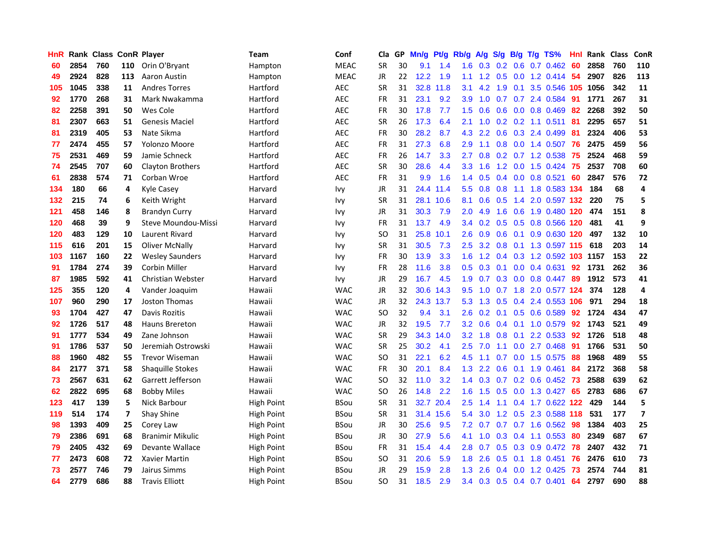| HnR |      | Rank Class ConR Player |     |                         | <b>Team</b>       | Conf        | Cla       |    | GP Mn/g | Pt/g      | Rb/g          | A/g             |               |                 | S/g B/g T/g TS%                    | Hnl | Rank Class |     | ConR                    |
|-----|------|------------------------|-----|-------------------------|-------------------|-------------|-----------|----|---------|-----------|---------------|-----------------|---------------|-----------------|------------------------------------|-----|------------|-----|-------------------------|
| 60  | 2854 | 760                    | 110 | Orin O'Bryant           | Hampton           | <b>MEAC</b> | <b>SR</b> | 30 | 9.1     | 1.4       | 1.6           | 0.3             | 0.2           | 0.6             | $0.7$ $0.462$                      | 60  | 2858       | 760 | 110                     |
| 49  | 2924 | 828                    | 113 | Aaron Austin            | Hampton           | <b>MEAC</b> | <b>JR</b> | 22 | 12.2    | 1.9       | 1.1           | 1.2             | 0.5           | 0.0             | $1.2$ 0.414                        | 54  | 2907       | 826 | 113                     |
| 105 | 1045 | 338                    | 11  | <b>Andres Torres</b>    | Hartford          | <b>AEC</b>  | <b>SR</b> | 31 | 32.8    | 11.8      | 3.1           | 4.2             | 1.9           | 0.1             | 3.5 0.546 105                      |     | 1056       | 342 | 11                      |
| 92  | 1770 | 268                    | 31  | Mark Nwakamma           | Hartford          | <b>AEC</b>  | FR        | 31 | 23.1    | 9.2       | 3.9           | 1.0             | 0.7           |                 | 0.7 2.4 0.584                      | -91 | 1771       | 267 | 31                      |
| 82  | 2258 | 391                    | 50  | Wes Cole                | Hartford          | <b>AEC</b>  | <b>FR</b> | 30 | 17.8    | 7.7       | 1.5           | 0.6             |               |                 | $0.6$ $0.0$ $0.8$ $0.469$          | -82 | 2268       | 392 | 50                      |
| 81  | 2307 | 663                    | 51  | <b>Genesis Maciel</b>   | Hartford          | <b>AEC</b>  | <b>SR</b> | 26 | 17.3    | 6.4       | 2.1           | 1.0             |               |                 | $0.2$ 0.2 1.1 0.511                | -81 | 2295       | 657 | 51                      |
| 81  | 2319 | 405                    | 53  | Nate Sikma              | Hartford          | <b>AEC</b>  | FR        | 30 | 28.2    | 8.7       | 4.3           | 2.2             | 0.6           |                 | 0.3 2.4 0.499                      | 81  | 2324       | 406 | 53                      |
| 77  | 2474 | 455                    | 57  | Yolonzo Moore           | Hartford          | <b>AEC</b>  | <b>FR</b> | 31 | 27.3    | 6.8       | 2.9           | 1.1             | 0.8           |                 | 0.0 1.4 0.507                      | 76  | 2475       | 459 | 56                      |
| 75  | 2531 | 469                    | 59  | Jamie Schneck           | Hartford          | <b>AEC</b>  | <b>FR</b> | 26 | 14.7    | 3.3       | 2.7           | 0.8             |               |                 | 0.2 0.7 1.2 0.538                  | 75  | 2524       | 468 | 59                      |
| 74  | 2545 | 707                    | 60  | Clayton Brothers        | Hartford          | <b>AEC</b>  | <b>SR</b> | 30 | 28.6    | 4.4       | 3.3           | 1.6             | 1.2           |                 | 0.0 1.5 0.424                      | 75  | 2537       | 708 | 60                      |
| 61  | 2838 | 574                    | 71  | Corban Wroe             | Hartford          | <b>AEC</b>  | <b>FR</b> | 31 | 9.9     | 1.6       | 1.4           | 0.5             |               |                 | $0.4$ 0.0 0.8 0.521                | 60  | 2847       | 576 | 72                      |
| 134 | 180  | 66                     | 4   | Kyle Casey              | Harvard           | <b>Ivy</b>  | <b>JR</b> | 31 |         | 24.4 11.4 | 5.5           | 0.8             | 0.8           | 1.1             | 1.8 0.583 134                      |     | 184        | 68  | 4                       |
| 132 | 215  | 74                     | 6   | Keith Wright            | Harvard           | <b>Ivy</b>  | <b>SR</b> | 31 |         | 28.1 10.6 | 8.1           | 0.6             | 0.5           | 1.4             | 2.0 0.597 132                      |     | 220        | 75  | 5                       |
| 121 | 458  | 146                    | 8   | <b>Brandyn Curry</b>    | Harvard           | <b>Ivy</b>  | <b>JR</b> | 31 | 30.3    | 7.9       | 2.0           | 4.9             | 1.6           | 0.6             | 1.9 0.480 120                      |     | 474        | 151 | 8                       |
| 120 | 468  | 39                     | 9   | Steve Moundou-Missi     | Harvard           | <b>Ivy</b>  | <b>FR</b> | 31 | 13.7    | 4.9       | $3.4^{\circ}$ | 0.2             | 0.5           | 0.5             | 0.8 0.566                          | 120 | 481        | 41  | 9                       |
| 120 | 483  | 129                    | 10  | Laurent Rivard          | Harvard           | <b>Ivy</b>  | <b>SO</b> | 31 | 25.8    | 10.1      | 2.6           | 0.9             |               | $0.6 \quad 0.1$ | 0.9 0.630 120                      |     | 497        | 132 | 10                      |
| 115 | 616  | 201                    | 15  | <b>Oliver McNally</b>   | Harvard           | <b>Ivy</b>  | <b>SR</b> | 31 | 30.5    | 7.3       | 2.5           | 3.2             |               |                 | 0.8 0.1 1.3 0.597 115              |     | 618        | 203 | 14                      |
| 103 | 1167 | 160                    | 22  | <b>Wesley Saunders</b>  | Harvard           | Ivy         | <b>FR</b> | 30 | 13.9    | 3.3       |               |                 |               |                 | 1.6 1.2 0.4 0.3 1.2 0.592 103 1157 |     |            | 153 | 22                      |
| 91  | 1784 | 274                    | 39  | <b>Corbin Miller</b>    | Harvard           | <b>Ivy</b>  | <b>FR</b> | 28 | 11.6    | 3.8       |               | $0.5 \quad 0.3$ |               |                 | $0.1$ $0.0$ $0.4$ $0.631$          | 92  | 1731       | 262 | 36                      |
| 87  | 1985 | 592                    | 41  | Christian Webster       | Harvard           | <b>Ivy</b>  | JR        | 29 | 16.7    | 4.5       | 1.9           | 0.7             |               |                 | 0.3 0.0 0.8 0.447                  | -89 | 1912       | 573 | 41                      |
| 125 | 355  | 120                    | 4   | Vander Joaquim          | Hawaii            | <b>WAC</b>  | JR        | 32 | 30.6    | 14.3      | $9.5^{\circ}$ | 1.0             |               | $0.7$ 1.8       | 2.0 0.577 124                      |     | 374        | 128 | 4                       |
| 107 | 960  | 290                    | 17  | Joston Thomas           | Hawaii            | <b>WAC</b>  | JR        | 32 |         | 24.3 13.7 | 5.3           | 1.3             | 0.5           | 0.4             | 2.4 0.553 106                      |     | 971        | 294 | 18                      |
| 93  | 1704 | 427                    | 47  | Davis Rozitis           | Hawaii            | <b>WAC</b>  | <b>SO</b> | 32 | 9.4     | 3.1       | 2.6           | 0.2             |               |                 | $0.1$ $0.5$ $0.6$ $0.589$          | 92  | 1724       | 434 | 47                      |
| 92  | 1726 | 517                    | 48  | Hauns Brereton          | Hawaii            | <b>WAC</b>  | JR        | 32 | 19.5    | 7.7       | 3.2           | 0.6             |               | $0.4 \quad 0.1$ | 1.0 0.579                          | 92  | 1743       | 521 | 49                      |
| 91  | 1777 | 534                    | 49  | Zane Johnson            | Hawaii            | <b>WAC</b>  | <b>SR</b> | 29 |         | 34.3 14.0 | 3.2           | 1.8             | 0.8           | 0.1             | 2.2 0.533                          | 92  | 1726       | 518 | 48                      |
| 91  | 1786 | 537                    | 50  | Jeremiah Ostrowski      | Hawaii            | <b>WAC</b>  | <b>SR</b> | 25 | 30.2    | 4.1       | 2.5           | 7.0             | 1.1           | 0.0             | 2.7 0.468                          | 91  | 1766       | 531 | 50                      |
| 88  | 1960 | 482                    | 55  | <b>Trevor Wiseman</b>   | Hawaii            | <b>WAC</b>  | SO.       | 31 | 22.1    | 6.2       | 4.5           | 1.1             | 0.7           | 0.0             | 1.5 0.575                          | 88  | 1968       | 489 | 55                      |
| 84  | 2177 | 371                    | 58  | <b>Shaquille Stokes</b> | Hawaii            | <b>WAC</b>  | <b>FR</b> | 30 | 20.1    | 8.4       | 1.3           | 2.2             | 0.6           | 0.1             | 1.9 0.461                          | 84  | 2172       | 368 | 58                      |
| 73  | 2567 | 631                    | 62  | Garrett Jefferson       | Hawaii            | <b>WAC</b>  | <b>SO</b> | 32 | 11.0    | 3.2       | 1.4           | 0.3             |               |                 | $0.7$ $0.2$ $0.6$ $0.452$          | -73 | 2588       | 639 | 62                      |
| 62  | 2822 | 695                    | 68  | <b>Bobby Miles</b>      | Hawaii            | <b>WAC</b>  | <b>SO</b> | 26 | 14.8    | 2.2       |               | $1.6$ 1.5       |               |                 | 0.5 0.0 1.3 0.427                  | 65  | 2783       | 686 | 67                      |
| 123 | 417  | 139                    | 5   | Nick Barbour            | High Point        | <b>BSou</b> | <b>SR</b> | 31 |         | 32.7 20.4 | 2.5           | 1.4             |               |                 | 1.1 0.4 1.7 0.622 122              |     | 429        | 144 | 5                       |
| 119 | 514  | 174                    | 7   | <b>Shay Shine</b>       | High Point        | <b>BSou</b> | <b>SR</b> | 31 |         | 31.4 15.6 | 5.4           | 3.0             |               |                 | 1.2 0.5 2.3 0.588 118              |     | 531        | 177 | $\overline{\mathbf{z}}$ |
| 98  | 1393 | 409                    | 25  | Corey Law               | High Point        | <b>BSou</b> | JR        | 30 | 25.6    | 9.5       | 7.2           | 0.7             |               |                 | $0.7$ $0.7$ $1.6$ $0.562$          | 98  | 1384       | 403 | 25                      |
| 79  | 2386 | 691                    | 68  | <b>Branimir Mikulic</b> | <b>High Point</b> | <b>BSou</b> | <b>JR</b> | 30 | 27.9    | 5.6       | 4.1           | 1.0             | 0.3           |                 | $0.4$ 1.1 0.553                    | 80  | 2349       | 687 | 67                      |
| 79  | 2405 | 432                    | 69  | Devante Wallace         | High Point        | <b>BSou</b> | <b>FR</b> | 31 | 15.4    | 4.4       | 2.8           | 0.7             | 0.5           |                 | $0.3$ 0.9 0.472                    | -78 | 2407       | 432 | 71                      |
| 77  | 2473 | 608                    | 72  | Xavier Martin           | <b>High Point</b> | <b>BSou</b> | <b>SO</b> | 31 | 20.6    | 5.9       | 1.8           | 2.6             | 0.5           | 0.1             | 1.8 0.451                          | 76  | 2476       | 610 | 73                      |
| 73  | 2577 | 746                    | 79  | Jairus Simms            | High Point        | <b>BSou</b> | JR        | 29 | 15.9    | 2.8       | 1.3           | 2.6             | $0.4^{\circ}$ | 0.0             | 1.2 0.425                          | 73  | 2574       | 744 | 81                      |
| 64  | 2779 | 686                    | 88  | <b>Travis Elliott</b>   | <b>High Point</b> | <b>BSou</b> | <b>SO</b> | 31 | 18.5    | 2.9       |               | $3.4\quad 0.3$  |               |                 | $0.5$ $0.4$ $0.7$ $0.401$          | 64  | 2797       | 690 | 88                      |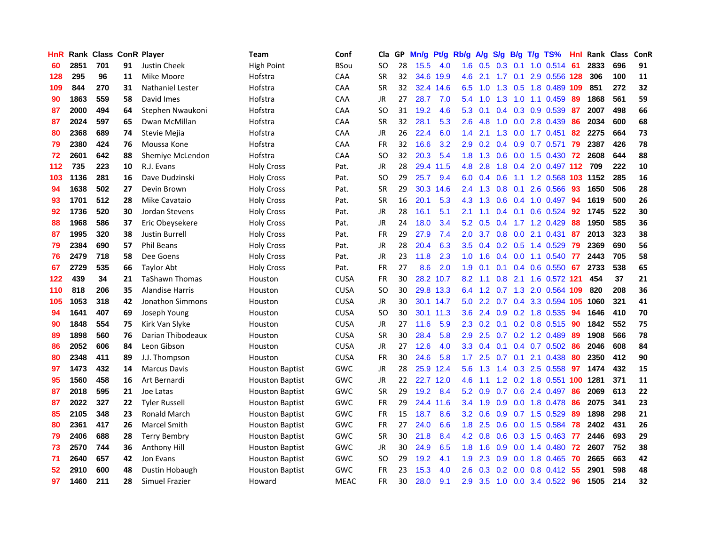| <b>HnR</b> |      | Rank Class ConR Player |    |                        | Team                   | Conf        | Cla       |    | GP Mn/g | Pt/g      | Rb/g             | A/g             |     |     | S/g B/g T/g TS%         | Hnl | Rank Class |     | ConR |
|------------|------|------------------------|----|------------------------|------------------------|-------------|-----------|----|---------|-----------|------------------|-----------------|-----|-----|-------------------------|-----|------------|-----|------|
| 60         | 2851 | 701                    | 91 | Justin Cheek           | High Point             | <b>BSou</b> | SO.       | 28 | 15.5    | 4.0       | 1.6              | 0.5             | 0.3 | 0.1 | $1.0$ $0.514$           | 61  | 2833       | 696 | 91   |
| 128        | 295  | 96                     | 11 | Mike Moore             | Hofstra                | CAA         | <b>SR</b> | 32 | 34.6    | 19.9      | 4.6              | 2.1             | 1.7 | 0.1 | 2.9 0.556 128           |     | 306        | 100 | 11   |
| 109        | 844  | 270                    | 31 | Nathaniel Lester       | Hofstra                | CAA         | <b>SR</b> | 32 |         | 32.4 14.6 | 6.5              | 1.0             | 1.3 | 0.5 | 1.8 0.489 109           |     | 851        | 272 | 32   |
| 90         | 1863 | 559                    | 58 | David Imes             | Hofstra                | CAA         | <b>JR</b> | 27 | 28.7    | 7.0       |                  | $5.4$ 1.0       | 1.3 | 1.0 | 1.1 0.459               | -89 | 1868       | 561 | 59   |
| 87         | 2000 | 494                    | 64 | Stephen Nwaukoni       | Hofstra                | CAA         | SO.       | 31 | 19.2    | 4.6       | 5.3              | 0.1             |     |     | 0.4 0.3 0.9 0.539       | -87 | 2007       | 498 | 66   |
| 87         | 2024 | 597                    | 65 | Dwan McMillan          | Hofstra                | CAA         | <b>SR</b> | 32 | 28.1    | 5.3       | 2.6              | 4.8             | 1.0 |     | 0.0 2.8 0.439           | 86  | 2034       | 600 | 68   |
| 80         | 2368 | 689                    | 74 | Stevie Mejia           | Hofstra                | <b>CAA</b>  | JR        | 26 | 22.4    | 6.0       | $1.4^{\circ}$    | 2.1             | 1.3 |     | $0.0$ 1.7 0.451         | 82  | 2275       | 664 | 73   |
| 79         | 2380 | 424                    | 76 | Moussa Kone            | Hofstra                | CAA         | FR        | 32 | 16.6    | 3.2       | 2.9              | 0.2             | 0.4 |     | 0.9 0.7 0.571           | 79  | 2387       | 426 | 78   |
| 72         | 2601 | 642                    | 88 | Shemiye McLendon       | Hofstra                | CAA         | <b>SO</b> | 32 | 20.3    | 5.4       | 1.8              | 1.3             | 0.6 |     | $0.0$ 1.5 $0.430$       | 72  | 2608       | 644 | 88   |
| 112        | 735  | 223                    | 10 | R.J. Evans             | <b>Holy Cross</b>      | Pat.        | JR        | 28 | 29.4    | 11.5      | 4.8              | 2.8             | 1.8 |     | 0.4 2.0 0.497 112       |     | 709        | 222 | 10   |
| 103        | 1136 | 281                    | 16 | Dave Dudzinski         | <b>Holy Cross</b>      | Pat.        | SO        | 29 | 25.7    | 9.4       | 6.0              | 0.4             | 0.6 | 1.1 | 1.2 0.568               |     | 103 1152   | 285 | 16   |
| 94         | 1638 | 502                    | 27 | Devin Brown            | <b>Holy Cross</b>      | Pat.        | <b>SR</b> | 29 |         | 30.3 14.6 | $2.4^{\circ}$    | 1.3             | 0.8 | 0.1 | 2.6 0.566               | 93  | 1650       | 506 | 28   |
| 93         | 1701 | 512                    | 28 | Mike Cavataio          | <b>Holy Cross</b>      | Pat.        | <b>SR</b> | 16 | 20.1    | 5.3       | 4.3              | 1.3             | 0.6 | 0.4 | 1.0 0.497               | 94  | 1619       | 500 | 26   |
| 92         | 1736 | 520                    | 30 | Jordan Stevens         | <b>Holy Cross</b>      | Pat.        | <b>JR</b> | 28 | 16.1    | 5.1       | 2.1              | 1.1             | 0.4 | 0.1 | $0.6$ 0.524             | 92  | 1745       | 522 | 30   |
| 88         | 1968 | 586                    | 37 | Eric Obeysekere        | <b>Holy Cross</b>      | Pat.        | <b>JR</b> | 24 | 18.0    | 3.4       | 5.2              | 0.5             | 0.4 |     | 1.7 1.2 0.429           | 88  | 1950       | 585 | 36   |
| 87         | 1995 | 320                    | 38 | <b>Justin Burrell</b>  | <b>Holy Cross</b>      | Pat.        | <b>FR</b> | 29 | 27.9    | 7.4       | 2.0 <sub>1</sub> | 3.7             | 0.8 |     | $0.0$ 2.1 $0.431$       | 87  | 2013       | 323 | 38   |
| 79         | 2384 | 690                    | 57 | <b>Phil Beans</b>      | <b>Holy Cross</b>      | Pat.        | JR        | 28 | 20.4    | 6.3       |                  | $3.5 \quad 0.4$ |     |     | 0.2 0.5 1.4 0.529       | -79 | 2369       | 690 | 56   |
| 76         | 2479 | 718                    | 58 | Dee Goens              | <b>Holy Cross</b>      | Pat.        | JR        | 23 | 11.8    | 2.3       |                  | $1.0 \quad 1.6$ |     |     | 0.4 0.0 1.1 0.540 77    |     | 2443       | 705 | 58   |
| 67         | 2729 | 535                    | 66 | Taylor Abt             | Holy Cross             | Pat.        | FR        | 27 | 8.6     | 2.0       | 1.9              | 0.1             |     |     | $0.1$ 0.4 0.6 0.550 67  |     | 2733       | 538 | 65   |
| 122        | 439  | 34                     | 21 | <b>TaShawn Thomas</b>  | Houston                | <b>CUSA</b> | FR        | 30 |         | 28.2 10.7 | 8.2              | 1.1             |     |     | 0.8 2.1 1.6 0.572 121   |     | 454        | 37  | 21   |
| 110        | 818  | 206                    | 35 | <b>Alandise Harris</b> | Houston                | <b>CUSA</b> | SO.       | 30 |         | 29.8 13.3 | 6.4              | 1.2             |     |     | 0.7 1.3 2.0 0.564 109   |     | 820        | 208 | 36   |
| 105        | 1053 | 318                    | 42 | Jonathon Simmons       | Houston                | <b>CUSA</b> | JR        | 30 |         | 30.1 14.7 | 5.0              | 2.2             | 0.7 |     | 0.4 3.3 0.594 105       |     | 1060       | 321 | 41   |
| 94         | 1641 | 407                    | 69 | Joseph Young           | Houston                | <b>CUSA</b> | SO.       | 30 |         | 30.1 11.3 | 3.6              | 2.4             | 0.9 |     | 0.2 1.8 0.535           | 94  | 1646       | 410 | 70   |
| 90         | 1848 | 554                    | 75 | Kirk Van Slyke         | Houston                | <b>CUSA</b> | JR        | 27 | 11.6    | 5.9       | 2.3              | 0.2             | 0.1 |     | 0.2 0.8 0.515           | -90 | 1842       | 552 | 75   |
| 89         | 1898 | 560                    | 76 | Darian Thibodeaux      | Houston                | <b>CUSA</b> | <b>SR</b> | 30 | 28.4    | 5.8       | 2.9              | 2.5             |     |     | 0.7 0.2 1.2 0.489       | -89 | 1908       | 566 | 78   |
| 86         | 2052 | 606                    | 84 | Leon Gibson            | Houston                | <b>CUSA</b> | <b>JR</b> | 27 | 12.6    | 4.0       | 3.3              | 0.4             | 0.1 |     | 0.4 0.7 0.502           | -86 | 2046       | 608 | 84   |
| 80         | 2348 | 411                    | 89 | J.J. Thompson          | Houston                | <b>CUSA</b> | <b>FR</b> | 30 | 24.6    | 5.8       | 1.7 <sub>2</sub> | 2.5             | 0.7 | 0.1 | 2.1 0.438               | 80  | 2350       | 412 | 90   |
| 97         | 1473 | 432                    | 14 | <b>Marcus Davis</b>    | <b>Houston Baptist</b> | <b>GWC</b>  | JR        | 28 | 25.9    | 12.4      | 5.6              | 1.3             | 1.4 | 0.3 | 2.5 0.558               | 97  | 1474       | 432 | 15   |
| 95         | 1560 | 458                    | 16 | Art Bernardi           | <b>Houston Baptist</b> | GWC         | JR        | 22 |         | 22.7 12.0 | 4.6              | 1.1             |     |     | 1.2 0.2 1.8 0.551       | 100 | 1281       | 371 | 11   |
| 87         | 2018 | 595                    | 21 | Joe Latas              | <b>Houston Baptist</b> | GWC         | <b>SR</b> | 29 | 19.2    | 8.4       | 5.2              | 0.9             |     |     | $0.7$ $0.6$ 2.4 $0.497$ | -86 | 2069       | 613 | 22   |
| 87         | 2022 | 327                    | 22 | <b>Tyler Russell</b>   | <b>Houston Baptist</b> | GWC         | FR        | 29 |         | 24.4 11.6 |                  | 3.4 1.9         |     |     | 0.9 0.0 1.8 0.478       | -86 | 2075       | 341 | 23   |
| 85         | 2105 | 348                    | 23 | <b>Ronald March</b>    | <b>Houston Baptist</b> | GWC         | <b>FR</b> | 15 | 18.7    | 8.6       | 3.2 <sub>2</sub> | 0.6             |     |     | $0.9$ 0.7 1.5 0.529     | 89  | 1898       | 298 | 21   |
| 80         | 2361 | 417                    | 26 | Marcel Smith           | <b>Houston Baptist</b> | GWC         | <b>FR</b> | 27 | 24.0    | 6.6       | 1.8              | 2.5             | 0.6 |     | 0.0 1.5 0.584           | 78  | 2402       | 431 | 26   |
| 79         | 2406 | 688                    | 28 | <b>Terry Bembry</b>    | <b>Houston Baptist</b> | GWC         | <b>SR</b> | 30 | 21.8    | 8.4       | 4.2              | 0.8             | 0.6 |     | $0.3$ 1.5 $0.463$       | 77  | 2446       | 693 | 29   |
| 73         | 2570 | 744                    | 36 | Anthony Hill           | <b>Houston Baptist</b> | <b>GWC</b>  | JR        | 30 | 24.9    | 6.5       | 1.8              | 1.6             | 0.9 | 0.0 | 1.4 0.480               | 72  | 2607       | 752 | 38   |
| 71         | 2640 | 657                    | 42 | Jon Evans              | <b>Houston Baptist</b> | GWC         | SO.       | 29 | 19.2    | 4.1       | 1.9              | 2.3             | 0.9 | 0.0 | 1.8 0.465               | 70  | 2665       | 663 | 42   |
| 52         | 2910 | 600                    | 48 | Dustin Hobaugh         | <b>Houston Baptist</b> | <b>GWC</b>  | FR        | 23 | 15.3    | 4.0       | 2.6              | 0.3             | 0.2 | 0.0 | 0.8 0.412               | 55  | 2901       | 598 | 48   |
| 97         | 1460 | 211                    | 28 | Simuel Frazier         | Howard                 | <b>MEAC</b> | <b>FR</b> | 30 | 28.0    | 9.1       | 2.9              | 3.5             |     |     | 1.0 0.0 3.4 0.522 96    |     | 1505       | 214 | 32   |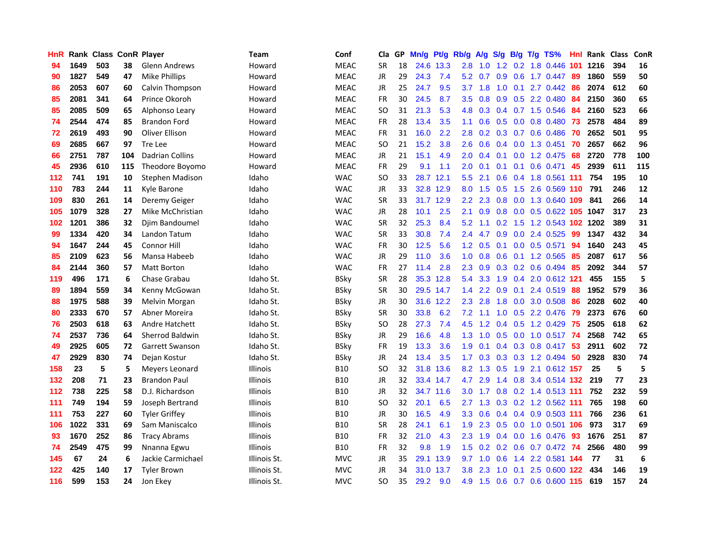| HnR |      | Rank Class ConR Player |     |                        | <b>Team</b>     | Conf        | Cla       |    | GP Mn/g | Pt/g Rb/g |                  | A/g             |               |                 | S/g B/g T/g TS%           | Hnl | Rank Class |     | ConR       |
|-----|------|------------------------|-----|------------------------|-----------------|-------------|-----------|----|---------|-----------|------------------|-----------------|---------------|-----------------|---------------------------|-----|------------|-----|------------|
| 94  | 1649 | 503                    | 38  | <b>Glenn Andrews</b>   | Howard          | <b>MEAC</b> | <b>SR</b> | 18 |         | 24.6 13.3 | 2.8              | 1.0             | $1.2^{\circ}$ | 0.2             | 1.8 0.446                 | 101 | 1216       | 394 | 16         |
| 90  | 1827 | 549                    | 47  | <b>Mike Phillips</b>   | Howard          | <b>MEAC</b> | <b>JR</b> | 29 | 24.3    | 7.4       | 5.2              | 0.7             | 0.9           | 0.6             | $1.7 \t0.447$             | -89 | 1860       | 559 | 50         |
| 86  | 2053 | 607                    | 60  | Calvin Thompson        | Howard          | <b>MEAC</b> | JR        | 25 | 24.7    | 9.5       | 3.7              | 1.8             | 1.0           | 0.1             | 2.7 0.442                 | -86 | 2074       | 612 | 60         |
| 85  | 2081 | 341                    | 64  | Prince Okoroh          | Howard          | <b>MEAC</b> | <b>FR</b> | 30 | 24.5    | 8.7       | 3.5              | 0.8             |               |                 | 0.9 0.5 2.2 0.480         | -84 | 2150       | 360 | 65         |
| 85  | 2085 | 509                    | 65  | Alphonso Leary         | Howard          | <b>MEAC</b> | <b>SO</b> | 31 | 21.3    | 5.3       |                  | 4.8 0.3         |               |                 | 0.4 0.7 1.5 0.546         | -84 | 2160       | 523 | 66         |
| 74  | 2544 | 474                    | 85  | <b>Brandon Ford</b>    | Howard          | <b>MEAC</b> | <b>FR</b> | 28 | 13.4    | 3.5       | 1.1              | 0.6             |               |                 | 0.5 0.0 0.8 0.480 73      |     | 2578       | 484 | 89         |
| 72  | 2619 | 493                    | 90  | Oliver Ellison         | Howard          | <b>MEAC</b> | <b>FR</b> | 31 | 16.0    | 2.2       | 2.8 <sup>°</sup> | 0.2             |               |                 | $0.3$ 0.7 0.6 0.486       | -70 | 2652       | 501 | 95         |
| 69  | 2685 | 667                    | 97  | Tre Lee                | Howard          | <b>MEAC</b> | <b>SO</b> | 21 | 15.2    | 3.8       | 2.6              | 0.6             |               |                 | $0.4$ 0.0 1.3 0.451       | 70  | 2657       | 662 | 96         |
| 66  | 2751 | 787                    | 104 | <b>Dadrian Collins</b> | Howard          | <b>MEAC</b> | <b>JR</b> | 21 | 15.1    | 4.9       | 2.0              | 0.4             | 0.1           | 0.0             | 1.2 0.475                 | 68  | 2720       | 778 | 100        |
| 45  | 2936 | 610                    | 115 | Theodore Boyomo        | Howard          | <b>MEAC</b> | <b>FR</b> | 29 | 9.1     | 1.1       | 2.0              | 0.1             | 0.1           | 0.1             | $0.6$ 0.471               | 45  | 2939       | 611 | 115        |
| 112 | 741  | 191                    | 10  | Stephen Madison        | Idaho           | <b>WAC</b>  | <b>SO</b> | 33 |         | 28.7 12.1 | 5.5              | 2.1             |               |                 | 0.6 0.4 1.8 0.561 111     |     | 754        | 195 | 10         |
| 110 | 783  | 244                    | 11  | Kyle Barone            | Idaho           | <b>WAC</b>  | JR.       | 33 |         | 32.8 12.9 | 8.0              | 1.5             | 0.5           | 1.5             | 2.6 0.569 110             |     | 791        | 246 | ${\bf 12}$ |
| 109 | 830  | 261                    | 14  | Deremy Geiger          | Idaho           | <b>WAC</b>  | <b>SR</b> | 33 |         | 31.7 12.9 | $2.2^{\circ}$    | 2.3             | 0.8           | 0.0             | 1.3 0.640 109             |     | 841        | 266 | 14         |
| 105 | 1079 | 328                    | 27  | Mike McChristian       | Idaho           | <b>WAC</b>  | JR        | 28 | 10.1    | 2.5       | 2.1              | 0.9             | 0.8           | 0.0             | $0.5$ 0.622 105           |     | 1047       | 317 | 23         |
| 102 | 1201 | 386                    | 32  | Djim Bandoumel         | Idaho           | <b>WAC</b>  | <b>SR</b> | 32 | 25.3    | 8.4       | 5.2              | 1.1             | 0.2           | 1.5             | 1.2 0.543 102 1202        |     |            | 389 | 31         |
| 99  | 1334 | 420                    | 34  | Landon Tatum           | Idaho           | <b>WAC</b>  | <b>SR</b> | 33 | 30.8    | 7.4       | 2.4              | 4.7             | 0.9           |                 | 0.0 2.4 0.525             | -99 | 1347       | 432 | 34         |
| 94  | 1647 | 244                    | 45  | <b>Connor Hill</b>     | Idaho           | <b>WAC</b>  | FR        | 30 | 12.5    | 5.6       |                  | $1.2 \quad 0.5$ |               |                 | $0.1$ $0.0$ $0.5$ $0.571$ | 94  | 1640       | 243 | 45         |
| 85  | 2109 | 623                    | 56  | Mansa Habeeb           | Idaho           | <b>WAC</b>  | JR        | 29 | 11.0    | 3.6       |                  | $1.0 \t 0.8$    |               |                 | 0.6 0.1 1.2 0.565         | -85 | 2087       | 617 | 56         |
| 84  | 2144 | 360                    | 57  | <b>Matt Borton</b>     | Idaho           | <b>WAC</b>  | <b>FR</b> | 27 | 11.4    | 2.8       | $2.3\phantom{0}$ | 0.9             |               |                 | $0.3$ 0.2 0.6 0.494       | -85 | 2092       | 344 | 57         |
| 119 | 496  | 171                    | 6   | Chase Grabau           | Idaho St.       | <b>BSky</b> | <b>SR</b> | 28 |         | 35.3 12.8 | 5.4              | 3.3             |               |                 | 1.9 0.4 2.0 0.612 121     |     | 455        | 155 | 5          |
| 89  | 1894 | 559                    | 34  | Kenny McGowan          | Idaho St.       | <b>BSky</b> | <b>SR</b> | 30 |         | 29.5 14.7 | 1.4              | 2.2             | 0.9           | 0.1             | 2.4 0.519                 | 88  | 1952       | 579 | 36         |
| 88  | 1975 | 588                    | 39  | Melvin Morgan          | Idaho St.       | <b>BSky</b> | JR        | 30 |         | 31.6 12.2 | 2.3              | 2.8             | 1.8           | 0.0             | 3.0 0.508                 | 86  | 2028       | 602 | 40         |
| 80  | 2333 | 670                    | 57  | Abner Moreira          | Idaho St.       | <b>BSky</b> | <b>SR</b> | 30 | 33.8    | 6.2       | 7.2              | 1.1             | 1.0           |                 | 0.5 2.2 0.476             | -79 | 2373       | 676 | 60         |
| 76  | 2503 | 618                    | 63  | Andre Hatchett         | Idaho St.       | <b>BSky</b> | SO.       | 28 | 27.3    | 7.4       | 4.5              | 1.2             |               |                 | 0.4 0.5 1.2 0.429         | -75 | 2505       | 618 | 62         |
| 74  | 2537 | 736                    | 64  | <b>Sherrod Baldwin</b> | Idaho St.       | <b>BSky</b> | <b>JR</b> | 29 | 16.6    | 4.8       | 1.3 <sup>°</sup> | 1.0             |               | $0.5\ 0.0$      | 1.0 0.517                 | -74 | 2568       | 742 | 65         |
| 49  | 2925 | 605                    | 72  | Garrett Swanson        | Idaho St.       | <b>BSky</b> | <b>FR</b> | 19 | 13.3    | 3.6       | 1.9              | 0.1             |               | $0.4 \quad 0.3$ | 0.8 0.417                 | -53 | 2911       | 602 | 72         |
| 47  | 2929 | 830                    | 74  | Dejan Kostur           | Idaho St.       | <b>BSky</b> | JR        | 24 | 13.4    | 3.5       | 1.7 <sub>2</sub> | 0.3             | 0.3           |                 | 0.3 1.2 0.494             | 50  | 2928       | 830 | 74         |
| 158 | 23   | 5                      | 5   | Meyers Leonard         | <b>Illinois</b> | <b>B10</b>  | <b>SO</b> | 32 | 31.8    | 13.6      | 8.2              | 1.3             | 0.5           | 1.9             | 2.1 0.612 157             |     | 25         | 5   | 5          |
| 132 | 208  | 71                     | 23  | <b>Brandon Paul</b>    | <b>Illinois</b> | <b>B10</b>  | JR        | 32 |         | 33.4 14.7 | 4.7              | 2.9             | 1.4           |                 | 0.8 3.4 0.514 132         |     | 219        | 77  | 23         |
| 112 | 738  | 225                    | 58  | D.J. Richardson        | <b>Illinois</b> | <b>B10</b>  | JR        | 32 |         | 34.7 11.6 | 3.0              | 1.7             |               |                 | 0.8 0.2 1.4 0.513 111     |     | 752        | 232 | 59         |
| 111 | 749  | 194                    | 59  | Joseph Bertrand        | <b>Illinois</b> | <b>B10</b>  | SO.       | 32 | 20.1    | 6.5       |                  | $2.7$ 1.3       |               |                 | 0.3 0.2 1.2 0.562 111     |     | 765        | 198 | 60         |
| 111 | 753  | 227                    | 60  | <b>Tyler Griffey</b>   | <b>Illinois</b> | <b>B10</b>  | <b>JR</b> | 30 | 16.5    | 4.9       |                  | $3.3 \quad 0.6$ |               |                 | 0.4 0.4 0.9 0.503 111     |     | 766        | 236 | 61         |
| 106 | 1022 | 331                    | 69  | Sam Maniscalco         | <b>Illinois</b> | <b>B10</b>  | <b>SR</b> | 28 | 24.1    | 6.1       | 1.9 <sup>°</sup> | 2.3             |               |                 | 0.5 0.0 1.0 0.501 106     |     | 973        | 317 | 69         |
| 93  | 1670 | 252                    | 86  | <b>Tracy Abrams</b>    | <b>Illinois</b> | <b>B10</b>  | FR        | 32 | 21.0    | 4.3       | 2.3              | 1.9             |               |                 | $0.4$ 0.0 1.6 0.476       | -93 | 1676       | 251 | 87         |
| 74  | 2549 | 475                    | 99  | Nnanna Egwu            | <b>Illinois</b> | <b>B10</b>  | <b>FR</b> | 32 | 9.8     | 1.9       | 1.5              | 0.2             |               |                 | 0.2 0.6 0.7 0.472         | -74 | 2566       | 480 | 99         |
| 145 | 67   | 24                     | 6   | Jackie Carmichael      | Illinois St.    | <b>MVC</b>  | JR        | 35 |         | 29.1 13.9 | 9.7              | 1.0             | 0.6           | 1.4             | 2.2 0.581 144             |     | 77         | 31  | 6          |
| 122 | 425  | 140                    | 17  | <b>Tyler Brown</b>     | Illinois St.    | <b>MVC</b>  | <b>JR</b> | 34 | 31.0    | 13.7      | 3.8              | 2.3             | 1.0           | 0.1             | 2.5 0.600 122             |     | 434        | 146 | 19         |
| 116 | 599  | 153                    | 24  | Jon Ekev               | Illinois St.    | <b>MVC</b>  | <b>SO</b> | 35 | 29.2    | 9.0       | 4.9              | 1.5             |               |                 | 0.6 0.7 0.6 0.600 115     |     | 619        | 157 | 24         |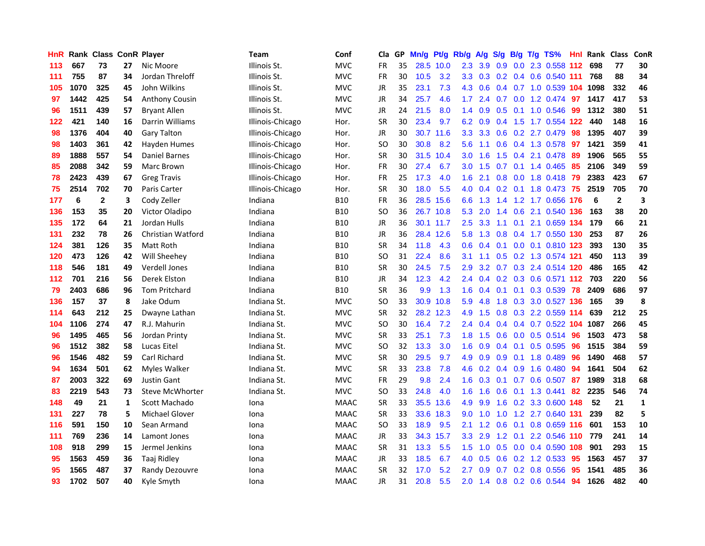| <b>HnR</b> |      | Rank Class ConR Player |              |                        | <b>Team</b>      | Conf        | Cla       |    | GP Mn/g | Pt/g Rb/g |                  | A/g             |                |                 | S/g B/g T/g TS%               | Hnl | Rank Class |              | ConR         |
|------------|------|------------------------|--------------|------------------------|------------------|-------------|-----------|----|---------|-----------|------------------|-----------------|----------------|-----------------|-------------------------------|-----|------------|--------------|--------------|
| 113        | 667  | 73                     | 27           | Nic Moore              | Illinois St.     | <b>MVC</b>  | FR        | 35 |         | 28.5 10.0 | 2.3              | 3.9             | 0.9            | 0.0             | 2.3 0.558 112                 |     | 698        | 77           | 30           |
| 111        | 755  | 87                     | 34           | Jordan Threloff        | Illinois St.     | <b>MVC</b>  | <b>FR</b> | 30 | 10.5    | 3.2       |                  |                 |                |                 | 3.3 0.3 0.2 0.4 0.6 0.540 111 |     | 768        | 88           | 34           |
| 105        | 1070 | 325                    | 45           | John Wilkins           | Illinois St.     | <b>MVC</b>  | JR        | 35 | 23.1    | 7.3       | 4.3              | 0.6             |                |                 | 0.4 0.7 1.0 0.539 104 1098    |     |            | 332          | 46           |
| 97         | 1442 | 425                    | 54           | Anthony Cousin         | Illinois St.     | <b>MVC</b>  | JR        | 34 | 25.7    | 4.6       |                  | $1.7$ 2.4       |                |                 | 0.7 0.0 1.2 0.474 97 1417     |     |            | 417          | 53           |
| 96         | 1511 | 439                    | 57           | <b>Bryant Allen</b>    | Illinois St.     | <b>MVC</b>  | JR        | 24 | 21.5    | 8.0       |                  | $1.4 \quad 0.9$ |                |                 | 0.5 0.1 1.0 0.546             | -99 | 1312       | 380          | 51           |
| 122        | 421  | 140                    | 16           | Darrin Williams        | Illinois-Chicago | Hor.        | <b>SR</b> | 30 | 23.4    | 9.7       | 6.2              | 0.9             |                |                 | 0.4 1.5 1.7 0.554 122         |     | 440        | 148          | 16           |
| 98         | 1376 | 404                    | 40           | <b>Gary Talton</b>     | Illinois-Chicago | Hor.        | JR        | 30 |         | 30.7 11.6 | 3.3 <sup>°</sup> | 3.3             |                |                 | 0.6 0.2 2.7 0.479             | 98  | 1395       | 407          | 39           |
| 98         | 1403 | 361                    | 42           | Hayden Humes           | Illinois-Chicago | Hor.        | SO.       | 30 | 30.8    | 8.2       | 5.6              | 1.1             |                |                 | 0.6 0.4 1.3 0.578             | 97  | 1421       | 359          | 41           |
| 89         | 1888 | 557                    | 54           | Daniel Barnes          | Illinois-Chicago | Hor.        | <b>SR</b> | 30 |         | 31.5 10.4 | 3.0 <sub>2</sub> | 1.6             | 1.5            |                 | 0.4 2.1 0.478                 | -89 | 1906       | 565          | 55           |
| 85         | 2088 | 342                    | 59           | Marc Brown             | Illinois-Chicago | Hor.        | FR        | 30 | 27.4    | 6.7       | 3.0 <sub>1</sub> | 1.5             |                |                 | $0.7$ 0.1 1.4 0.465           | 85  | 2106       | 349          | 59           |
| 78         | 2423 | 439                    | 67           | <b>Greg Travis</b>     | Illinois-Chicago | Hor.        | <b>FR</b> | 25 | 17.3    | 4.0       | 1.6              | 2.1             |                |                 | 0.8 0.0 1.8 0.418             | 79  | 2383       | 423          | 67           |
| 75         | 2514 | 702                    | 70           | Paris Carter           | Illinois-Chicago | Hor.        | <b>SR</b> | 30 | 18.0    | 5.5       | 4.0              | 0.4             |                |                 | 0.2 0.1 1.8 0.473             | 75  | 2519       | 705          | 70           |
| 177        | 6    | $\mathbf{2}$           | 3            | Cody Zeller            | Indiana          | <b>B10</b>  | <b>FR</b> | 36 |         | 28.5 15.6 | 6.6              | 1.3             | 1.4            |                 | 1.2 1.7 0.656 176             |     | -6         | $\mathbf{2}$ | 3            |
| 136        | 153  | 35                     | 20           | Victor Oladipo         | Indiana          | <b>B10</b>  | SO.       | 36 |         | 26.7 10.8 | 5.3              | 2.0             | 1.4            | 0.6             | 2.1 0.540 136                 |     | 163        | 38           | 20           |
| 135        | 172  | 64                     | 21           | Jordan Hulls           | Indiana          | <b>B10</b>  | JR        | 36 |         | 30.1 11.7 | 2.5              | 3.3             | 1.1            | 0.1             | 2.1 0.659 134                 |     | 179        | 66           | 21           |
| 131        | 232  | 78                     | 26           | Christian Watford      | Indiana          | <b>B10</b>  | JR        | 36 |         | 28.4 12.6 | 5.8              | 1.3             |                |                 | 0.8 0.4 1.7 0.550 130         |     | 253        | 87           | 26           |
| 124        | 381  | 126                    | 35           | Matt Roth              | Indiana          | B10         | <b>SR</b> | 34 | 11.8    | 4.3       |                  |                 |                |                 | 0.6 0.4 0.1 0.0 0.1 0.810 123 |     | 393        | 130          | 35           |
| 120        | 473  | 126                    | 42           | Will Sheehey           | Indiana          | <b>B10</b>  | <b>SO</b> | 31 | 22.4    | 8.6       | 3.1              | 1.1             |                |                 | 0.5 0.2 1.3 0.574 121         |     | 450        | 113          | 39           |
| 118        | 546  | 181                    | 49           | Verdell Jones          | Indiana          | <b>B10</b>  | <b>SR</b> | 30 | 24.5    | 7.5       | 2.9              | 3.2             |                |                 | 0.7 0.3 2.4 0.514 120         |     | 486        | 165          | 42           |
| 112        | 701  | 216                    | 56           | Derek Elston           | Indiana          | <b>B10</b>  | JR        | 34 | 12.3    | 4.2       |                  | $2.4\quad 0.4$  |                |                 | 0.2 0.3 0.6 0.571 112 703     |     |            | 220          | 56           |
| 79         | 2403 | 686                    | 96           | <b>Tom Pritchard</b>   | Indiana          | <b>B10</b>  | <b>SR</b> | 36 | 9.9     | 1.3       | 1.6              | 0.4             | 0.1            |                 | 0.1 0.3 0.539 78              |     | 2409       | 686          | 97           |
| 136        | 157  | 37                     | 8            | Jake Odum              | Indiana St.      | <b>MVC</b>  | SO.       | 33 |         | 30.9 10.8 | 5.9              | 4.8             | 1.8            |                 | 0.3 3.0 0.527 136             |     | 165        | 39           | 8            |
| 114        | 643  | 212                    | 25           | Dwayne Lathan          | Indiana St.      | <b>MVC</b>  | <b>SR</b> | 32 |         | 28.2 12.3 | 4.9              | 1.5             |                |                 | $0.8$ 0.3 2.2 0.559 114       |     | 639        | 212          | 25           |
| 104        | 1106 | 274                    | 47           | R.J. Mahurin           | Indiana St.      | <b>MVC</b>  | <b>SO</b> | 30 | 16.4    | 7.2       | 2.4              | 0.4             |                |                 | 0.4 0.4 0.7 0.522 104 1087    |     |            | 266          | 45           |
| 96         | 1495 | 465                    | 56           | Jordan Printy          | Indiana St.      | <b>MVC</b>  | <b>SR</b> | 33 | 25.1    | 7.3       | 1.8              | 1.5             | 0.6            |                 | $0.0$ 0.5 0.514               | 96  | 1503       | 473          | 58           |
| 96         | 1512 | 382                    | 58           | Lucas Eitel            | Indiana St.      | <b>MVC</b>  | <b>SO</b> | 32 | 13.3    | 3.0       | 1.6              | 0.9             |                | $0.4 \quad 0.1$ | $0.5$ 0.595                   | 96  | 1515       | 384          | 59           |
| 96         | 1546 | 482                    | 59           | <b>Carl Richard</b>    | Indiana St.      | <b>MVC</b>  | <b>SR</b> | 30 | 29.5    | 9.7       | 4.9              | 0.9             | 0.9            | 0.1             | 1.8 0.489                     | 96  | 1490       | 468          | 57           |
| 94         | 1634 | 501                    | 62           | Myles Walker           | Indiana St.      | <b>MVC</b>  | <b>SR</b> | 33 | 23.8    | 7.8       | 4.6              | 0.2             | $0.4\quad 0.9$ |                 | 1.6 0.480                     | -94 | 1641       | 504          | 62           |
| 87         | 2003 | 322                    | 69           | <b>Justin Gant</b>     | Indiana St.      | <b>MVC</b>  | <b>FR</b> | 29 | 9.8     | 2.4       | 1.6              |                 |                |                 | 0.3 0.1 0.7 0.6 0.507         | -87 | 1989       | 318          | 68           |
| 83         | 2219 | 543                    | 73           | <b>Steve McWhorter</b> | Indiana St.      | <b>MVC</b>  | <b>SO</b> | 33 | 24.8    | 4.0       |                  | $1.6$ 1.6       |                |                 | 0.6 0.1 1.3 0.441             | -82 | 2235       | 546          | 74           |
| 148        | 49   | 21                     | $\mathbf{1}$ | Scott Machado          | Iona             | <b>MAAC</b> | <b>SR</b> | 33 |         | 35.5 13.6 | 4.9              | 9.9             |                |                 | 1.6 0.2 3.3 0.600 148         |     | 52         | 21           | $\mathbf{1}$ |
| 131        | 227  | 78                     | 5            | <b>Michael Glover</b>  | Iona             | <b>MAAC</b> | <b>SR</b> | 33 |         | 33.6 18.3 |                  | $9.0 \quad 1.0$ |                |                 | 1.0 1.2 2.7 0.640 131         |     | 239        | 82           | 5            |
| 116        | 591  | 150                    | 10           | Sean Armand            | Iona             | <b>MAAC</b> | <b>SO</b> | 33 | 18.9    | 9.5       | 2.1              | 1.2             |                |                 | 0.6 0.1 0.8 0.659 116         |     | 601        | 153          | 10           |
| 111        | 769  | 236                    | 14           | Lamont Jones           | Iona             | <b>MAAC</b> | JR        | 33 |         | 34.3 15.7 | 3.3 <sub>2</sub> | 2.9             |                | $1.2 \quad 0.1$ | 2.2 0.546 110                 |     | 779        | 241          | 14           |
| 108        | 918  | 299                    | 15           | Jermel Jenkins         | Iona             | <b>MAAC</b> | <b>SR</b> | 31 | 13.3    | 5.5       | 1.5              | 1.0             |                |                 | 0.5 0.0 0.4 0.590 108         |     | 901        | 293          | 15           |
| 95         | 1563 | 459                    | 36           | <b>Taaj Ridley</b>     | Iona             | <b>MAAC</b> | JR        | 33 | 18.5    | 6.7       | 4.0              | 0.5             | 0.6            |                 | $0.2$ 1.2 0.533               | 95  | 1563       | 457          | 37           |
| 95         | 1565 | 487                    | 37           | Randy Dezouvre         | Iona             | <b>MAAC</b> | <b>SR</b> | 32 | 17.0    | 5.2       | 2.7              | 0.9             | 0.7            |                 | 0.2 0.8 0.556                 | 95  | 1541       | 485          | 36           |
| 93         | 1702 | 507                    | 40           | Kyle Smyth             | Iona             | <b>MAAC</b> | <b>JR</b> | 31 | 20.8    | 5.5       |                  | $2.0 \t1.4$     |                |                 | 0.8 0.2 0.6 0.544             | 94  | 1626       | 482          | 40           |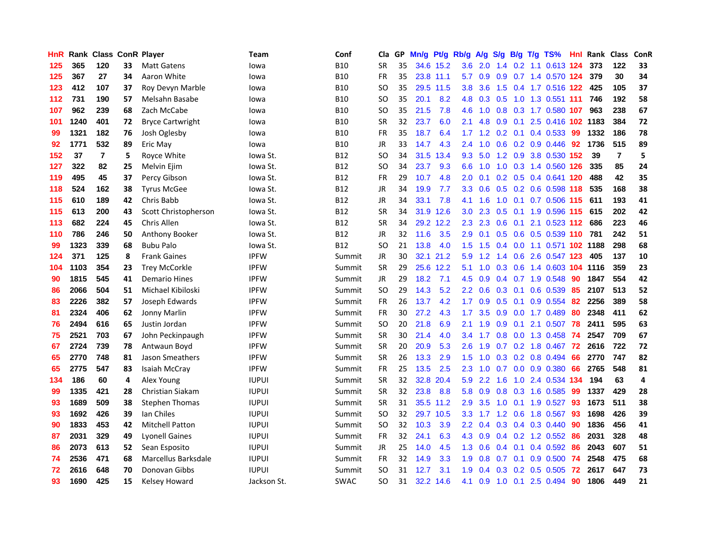| <b>HnR</b> |      | Rank Class ConR Player |    |                            | <b>Team</b>  | Conf        | Cla       |    | GP Mn/g Pt/g Rb/g |           |                  | A/g       |                  |                 | S/g B/g T/g TS%            | Hnl | Rank Class |                | ConR |
|------------|------|------------------------|----|----------------------------|--------------|-------------|-----------|----|-------------------|-----------|------------------|-----------|------------------|-----------------|----------------------------|-----|------------|----------------|------|
| 125        | 365  | 120                    | 33 | <b>Matt Gatens</b>         | lowa         | <b>B10</b>  | <b>SR</b> | 35 |                   | 34.6 15.2 | 3.6              | 2.0       | $1.4^{\circ}$    | 0.2             | 1.1 0.613 124              |     | 373        | 122            | 33   |
| 125        | 367  | 27                     | 34 | Aaron White                | lowa         | <b>B10</b>  | <b>FR</b> | 35 |                   | 23.8 11.1 | 5.7              | 0.9       | 0.9              |                 | 0.7 1.4 0.570 124          |     | 379        | 30             | 34   |
| 123        | 412  | 107                    | 37 | Roy Devyn Marble           | lowa         | <b>B10</b>  | SO.       | 35 |                   | 29.5 11.5 | 3.8              | 3.6       | 1.5              |                 | 0.4 1.7 0.516 122          |     | 425        | 105            | 37   |
| 112        | 731  | 190                    | 57 | Melsahn Basabe             | lowa         | <b>B10</b>  | SO.       | 35 | 20.1              | 8.2       | 4.8              | 0.3       | 0.5              |                 | 1.0 1.3 0.551 111          |     | 746        | 192            | 58   |
| 107        | 962  | 239                    | 68 | Zach McCabe                | lowa         | <b>B10</b>  | <b>SO</b> | 35 | 21.5              | 7.8       |                  | $4.6$ 1.0 |                  |                 | 0.8 0.3 1.7 0.580 107      |     | 963        | 238            | 67   |
| 101        | 1240 | 401                    | 72 | <b>Bryce Cartwright</b>    | lowa         | <b>B10</b>  | <b>SR</b> | 32 | 23.7              | 6.0       | 2.1              | 4.8       |                  |                 | 0.9 0.1 2.5 0.416 102 1183 |     |            | 384            | 72   |
| 99         | 1321 | 182                    | 76 | Josh Oglesby               | lowa         | <b>B10</b>  | <b>FR</b> | 35 | 18.7              | 6.4       | 1.7              | 1.2       |                  |                 | $0.2$ 0.1 0.4 0.533        | -99 | 1332       | 186            | 78   |
| 92         | 1771 | 532                    | 89 | Eric May                   | lowa         | <b>B10</b>  | <b>JR</b> | 33 | 14.7              | 4.3       | 2.4              | 1.0       |                  |                 | 0.6 0.2 0.9 0.446          | 92  | 1736       | 515            | 89   |
| 152        | 37   | $\overline{7}$         | 5  | Royce White                | lowa St.     | <b>B12</b>  | <b>SO</b> | 34 | 31.5              | 13.4      | 9.3              | 5.0       |                  |                 | 1.2 0.9 3.8 0.530 152      |     | 39         | $\overline{7}$ | 5    |
| 127        | 322  | 82                     | 25 | Melvin Ejim                | lowa St.     | <b>B12</b>  | <b>SO</b> | 34 | 23.7              | 9.3       | 6.6              | 1.0       |                  |                 | 1.0 0.3 1.4 0.560 126      |     | 335        | 85             | 24   |
| 119        | 495  | 45                     | 37 | Percy Gibson               | Iowa St.     | <b>B12</b>  | FR        | 29 | 10.7              | 4.8       | 2.0              | 0.1       |                  |                 | 0.2 0.5 0.4 0.641 120      |     | 488        | 42             | 35   |
| 118        | 524  | 162                    | 38 | <b>Tyrus McGee</b>         | lowa St.     | <b>B12</b>  | <b>JR</b> | 34 | 19.9              | 7.7       | 3.3 <sub>2</sub> | 0.6       |                  |                 | 0.5 0.2 0.6 0.598 118      |     | 535        | 168            | 38   |
| 115        | 610  | 189                    | 42 | Chris Babb                 | lowa St.     | B12         | JR        | 34 | 33.1              | 7.8       | 4.1              | 1.6       | 1.0              | 0.1             | 0.7 0.506 115              |     | 611        | 193            | 41   |
| 115        | 613  | 200                    | 43 | Scott Christopherson       | lowa St.     | B12         | <b>SR</b> | 34 |                   | 31.9 12.6 | 3.0              | 2.3       | 0.5              |                 | 0.1 1.9 0.596 115          |     | 615        | 202            | 42   |
| 113        | 682  | 224                    | 45 | Chris Allen                | Iowa St.     | <b>B12</b>  | <b>SR</b> | 34 |                   | 29.2 12.2 | 2.3              | 2.3       | 0.6              | 0.1             | 2.1 0.523 112              |     | 686        | 223            | 46   |
| 110        | 786  | 246                    | 50 | Anthony Booker             | Iowa St.     | <b>B12</b>  | <b>JR</b> | 32 | 11.6              | 3.5       | 2.9              | 0.1       |                  | $0.5 \quad 0.6$ | 0.5 0.539 110              |     | 781        | 242            | 51   |
| 99         | 1323 | 339                    | 68 | <b>Bubu Palo</b>           | lowa St.     | <b>B12</b>  | SO.       | 21 | 13.8              | 4.0       |                  | $1.5$ 1.5 |                  |                 | 0.4 0.0 1.1 0.571 102 1188 |     |            | 298            | 68   |
| 124        | 371  | 125                    | 8  | <b>Frank Gaines</b>        | <b>IPFW</b>  | Summit      | JR        | 30 |                   | 32.1 21.2 |                  | $5.9$ 1.2 |                  |                 | 1.4 0.6 2.6 0.547 123      |     | 405        | 137            | 10   |
| 104        | 1103 | 354                    | 23 | <b>Trey McCorkle</b>       | <b>IPFW</b>  | Summit      | <b>SR</b> | 29 |                   | 25.6 12.2 | 5.1              | 1.0       |                  | $0.3 \quad 0.6$ | 1.4 0.603 104 1116         |     |            | 359            | 23   |
| 90         | 1815 | 545                    | 41 | Demario Hines              | <b>IPFW</b>  | Summit      | JR        | 29 | 18.2              | 7.1       | 4.5              | 0.9       |                  |                 | $0.4$ 0.7 1.9 0.548        | 90  | 1847       | 554            | 42   |
| 86         | 2066 | 504                    | 51 | Michael Kibiloski          | <b>IPFW</b>  | Summit      | <b>SO</b> | 29 | 14.3              | 5.2       | $2.2\phantom{0}$ | 0.6       |                  | $0.3 \quad 0.1$ | 0.6 0.539                  | 85  | 2107       | 513            | 52   |
| 83         | 2226 | 382                    | 57 | Joseph Edwards             | <b>IPFW</b>  | Summit      | <b>FR</b> | 26 | 13.7              | 4.2       | 1.7              | 0.9       | 0.5              | 0.1             | 0.9 0.554                  | 82  | 2256       | 389            | 58   |
| 81         | 2324 | 406                    | 62 | Jonny Marlin               | <b>IPFW</b>  | Summit      | FR        | 30 | 27.2              | 4.3       | 1.7              | 3.5       | 0.9              | 0.0             | 1.7 0.489                  | 80  | 2348       | 411            | 62   |
| 76         | 2494 | 616                    | 65 | Justin Jordan              | <b>IPFW</b>  | Summit      | <b>SO</b> | 20 | 21.8              | 6.9       | 2.1              | 1.9       | 0.9              | 0.1             | 2.1 0.507                  | 78  | 2411       | 595            | 63   |
| 75         | 2521 | 703                    | 67 | John Peckinpaugh           | <b>IPFW</b>  | Summit      | <b>SR</b> | 30 | 21.4              | 4.0       | 3.4              | 1.7       | 0.8              | 0.0             | 1.3 0.458                  | -74 | 2547       | 709            | 67   |
| 67         | 2724 | 739                    | 78 | Antwaun Boyd               | <b>IPFW</b>  | Summit      | <b>SR</b> | 20 | 20.9              | 5.3       | 2.6              | 1.9       | 0.7              |                 | 0.2 1.8 0.467              | -72 | 2616       | 722            | 72   |
| 65         | 2770 | 748                    | 81 | Jason Smeathers            | <b>IPFW</b>  | Summit      | <b>SR</b> | 26 | 13.3              | 2.9       | 1.5              | 1.0       | 0.3              |                 | 0.2 0.8 0.494              | 66  | 2770       | 747            | 82   |
| 65         | 2775 | 547                    | 83 | Isaiah McCray              | <b>IPFW</b>  | Summit      | <b>FR</b> | 25 | 13.5              | 2.5       | 2.3              | 1.0       | 0.7              | 0.0             | 0.9 0.380                  | 66  | 2765       | 548            | 81   |
| 134        | 186  | 60                     | 4  | Alex Young                 | <b>IUPUI</b> | Summit      | <b>SR</b> | 32 | 32.8              | 20.4      | 5.9              | 2.2       | 1.6              | 1.0             | 2.4 0.534 134              |     | 194        | 63             | 4    |
| 99         | 1335 | 421                    | 28 | Christian Siakam           | <b>IUPUI</b> | Summit      | <b>SR</b> | 32 | 23.8              | 8.8       | 5.8              | 0.9       |                  |                 | $0.8$ $0.3$ 1.6 $0.585$    | -99 | 1337       | 429            | 28   |
| 93         | 1689 | 509                    | 38 | Stephen Thomas             | <b>IUPUI</b> | Summit      | <b>SR</b> | 31 |                   | 35.5 11.2 | 2.9              | 3.5       |                  |                 | 1.0 0.1 1.9 0.527          | -93 | 1673       | 511            | 38   |
| 93         | 1692 | 426                    | 39 | Ian Chiles                 | <b>IUPUI</b> | Summit      | <b>SO</b> | 32 |                   | 29.7 10.5 | 3.3 <sub>2</sub> |           | $1.7$ $1.2$ 0.6  |                 | 1.8 0.567                  | 93  | 1698       | 426            | 39   |
| 90         | 1833 | 453                    | 42 | <b>Mitchell Patton</b>     | <b>IUPUI</b> | Summit      | <b>SO</b> | 32 | 10.3              | 3.9       | 2.2 <sub>2</sub> | 0.4       |                  |                 | 0.3 0.4 0.3 0.440          | 90  | 1836       | 456            | 41   |
| 87         | 2031 | 329                    | 49 | <b>Lyonell Gaines</b>      | <b>IUPUI</b> | Summit      | FR        | 32 | 24.1              | 6.3       | 4.3              | 0.9       |                  |                 | $0.4$ 0.2 1.2 0.552        | 86  | 2031       | 328            | 48   |
| 86         | 2073 | 613                    | 52 | Sean Esposito              | <b>IUPUI</b> | Summit      | <b>JR</b> | 25 | 14.0              | 4.5       | 1.3              | 0.6       |                  | $0.4 \quad 0.1$ | 0.4 0.592                  | 86  | 2043       | 607            | 51   |
| 74         | 2536 | 471                    | 68 | <b>Marcellus Barksdale</b> | <b>IUPUI</b> | Summit      | <b>FR</b> | 32 | 14.9              | 3.3       | 1.9              | 0.8       | 0.7              | 0.1             | 0.9 0.500                  | -74 | 2548       | 475            | 68   |
| 72         | 2616 | 648                    | 70 | Donovan Gibbs              | <b>IUPUI</b> | Summit      | <b>SO</b> | 31 | 12.7              | 3.1       | 1.9              | 0.4       | 0.3 <sub>0</sub> | 0.2             | 0.5 0.505                  | 72  | 2617       | 647            | 73   |
| 93         | 1690 | 425                    | 15 | Kelsey Howard              | Jackson St.  | <b>SWAC</b> | <b>SO</b> | 31 |                   | 32.2 14.6 | 4.1              | 0.9       |                  |                 | 1.0 0.1 2.5 0.494          | 90  | 1806       | 449            | 21   |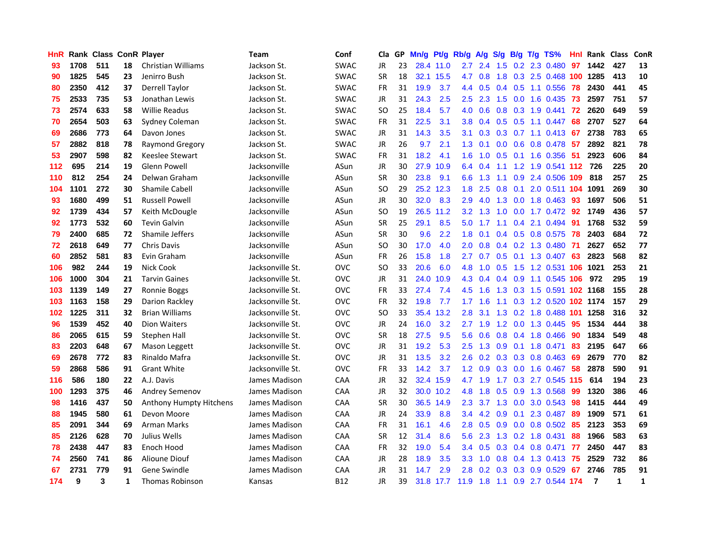| <b>HnR</b> |      | <b>Rank Class ConR Player</b> |    |                           | Team             | Conf        | Cla       | GP. | Mn/g | Pt/g      | Rb/g             | A/g            | S/g | B/g            | $T/g$ TS%                  | Hnl | Rank Class     |             | ConR         |
|------------|------|-------------------------------|----|---------------------------|------------------|-------------|-----------|-----|------|-----------|------------------|----------------|-----|----------------|----------------------------|-----|----------------|-------------|--------------|
| 93         | 1708 | 511                           | 18 | <b>Christian Williams</b> | Jackson St.      | <b>SWAC</b> | JR        | 23  |      | 28.4 11.0 | 2.7              | 2.4            | 1.5 | 0.2            | 2.3 0.480                  | 97  | 1442           | 427         | 13           |
| 90         | 1825 | 545                           | 23 | Jenirro Bush              | Jackson St.      | <b>SWAC</b> | <b>SR</b> | 18  |      | 32.1 15.5 | 4.7              | 0.8            | 1.8 |                | 0.3 2.5 0.468 100 1285     |     |                | 413         | 10           |
| 80         | 2350 | 412                           | 37 | <b>Derrell Taylor</b>     | Jackson St.      | <b>SWAC</b> | <b>FR</b> | 31  | 19.9 | 3.7       |                  | 4.4 0.5        |     | $0.4\quad 0.5$ | 1.1 0.556                  | 78  | 2430           | 441         | 45           |
| 75         | 2533 | 735                           | 53 | Jonathan Lewis            | Jackson St.      | <b>SWAC</b> | JR        | 31  | 24.3 | 2.5       | 2.5              | 2.3            |     |                | 1.5 0.0 1.6 0.435          | 73  | 2597           | 751         | 57           |
| 73         | 2574 | 633                           | 58 | <b>Willie Readus</b>      | Jackson St.      | <b>SWAC</b> | SO.       | 25  | 18.4 | 5.7       | 4.0              | 0.6            |     |                | 0.8 0.3 1.9 0.441          | -72 | 2620           | 649         | 59           |
| 70         | 2654 | 503                           | 63 | Sydney Coleman            | Jackson St.      | <b>SWAC</b> | FR        | 31  | 22.5 | 3.1       | 3.8 <sup>°</sup> | 0.4            |     |                | $0.5$ $0.5$ 1.1 $0.447$    | 68  | 2707           | 527         | 64           |
| 69         | 2686 | 773                           | 64 | Davon Jones               | Jackson St.      | <b>SWAC</b> | JR        | 31  | 14.3 | 3.5       | 3.1              | 0.3            |     |                | 0.3 0.7 1.1 0.413 67       |     | 2738           | 783         | 65           |
| 57         | 2882 | 818                           | 78 | Raymond Gregory           | Jackson St.      | <b>SWAC</b> | JR        | 26  | 9.7  | 2.1       | 1.3              | 0.1            |     |                | 0.0 0.6 0.8 0.478          | 57  | 2892           | 821         | 78           |
| 53         | 2907 | 598                           | 82 | Keeslee Stewart           | Jackson St.      | <b>SWAC</b> | FR        | 31  | 18.2 | 4.1       | 1.6              | 1.0            | 0.5 |                | 0.1 1.6 0.356              | -51 | 2923           | 606         | 84           |
| 112        | 695  | 214                           | 19 | <b>Glenn Powell</b>       | Jacksonville     | ASun        | JR        | 30  |      | 27.9 10.9 | 6.4              | 0.4            | 1.1 |                | 1.2 1.9 0.541 112 726      |     |                | 225         | 20           |
| 110        | 812  | 254                           | 24 | Delwan Graham             | Jacksonville     | ASun        | <b>SR</b> | 30  | 23.8 | 9.1       | 6.6              | 1.3            | 1.1 | 0.9            | 2.4 0.506 109              |     | 818            | 257         | 25           |
| 104        | 1101 | 272                           | 30 | <b>Shamile Cabell</b>     | Jacksonville     | ASun        | SO.       | 29  |      | 25.2 12.3 | 1.8              | 2.5            | 0.8 | 0.1            | 2.0 0.511 104              |     | 1091           | 269         | 30           |
| 93         | 1680 | 499                           | 51 | <b>Russell Powell</b>     | Jacksonville     | ASun        | <b>JR</b> | 30  | 32.0 | 8.3       | 2.9              | 4.0            | 1.3 | 0.0            | 1.8 0.463                  | 93  | 1697           | 506         | 51           |
| 92         | 1739 | 434                           | 57 | Keith McDougle            | Jacksonville     | ASun        | <b>SO</b> | 19  |      | 26.5 11.2 | 3.2              | 1.3            | 1.0 | 0.0            | 1.7 0.472                  | 92  | 1749           | 436         | 57           |
| 92         | 1773 | 532                           | 60 | <b>Tevin Galvin</b>       | Jacksonville     | ASun        | <b>SR</b> | 25  | 29.1 | 8.5       | 5.0              | 1.7            | 1.1 | 0.4            | 2.1 0.494                  | -91 | 1768           | 532         | 59           |
| 79         | 2400 | 685                           | 72 | Shamile Jeffers           | Jacksonville     | ASun        | <b>SR</b> | 30  | 9.6  | 2.2       | 1.8              | 0.1            |     |                | $0.4$ 0.5 0.8 0.575        | 78  | 2403           | 684         | 72           |
| 72         | 2618 | 649                           | 77 | <b>Chris Davis</b>        | Jacksonville     | ASun        | SO        | 30  | 17.0 | 4.0       | 2.0 <sub>1</sub> | 0.8            |     |                | 0.4 0.2 1.3 0.480 71       |     | 2627           | 652         | 77           |
| 60         | 2852 | 581                           | 83 | Evin Graham               | Jacksonville     | ASun        | <b>FR</b> | 26  | 15.8 | 1.8       | 2.7              |                |     |                | 0.7 0.5 0.1 1.3 0.407 63   |     | 2823           | 568         | 82           |
| 106        | 982  | 244                           | 19 | Nick Cook                 | Jacksonville St. | <b>OVC</b>  | SO.       | 33  | 20.6 | 6.0       |                  | 4.8 1.0        |     |                | 0.5 1.5 1.2 0.531 106      |     | 1021           | 253         | 21           |
| 106        | 1000 | 304                           | 21 | <b>Tarvin Gaines</b>      | Jacksonville St. | <b>OVC</b>  | JR        | 31  | 24.0 | 10.9      | 4.3              | 0.4            |     |                | 0.4 0.9 1.1 0.545 106      |     | 972            | 295         | 19           |
| 103        | 1139 | 149                           | 27 | Ronnie Boggs              | Jacksonville St. | <b>OVC</b>  | <b>FR</b> | 33  | 27.4 | 7.4       | 4.5              | 1.6            |     |                | 1.3 0.3 1.5 0.591 102 1168 |     |                | 155         | 28           |
| 103        | 1163 | 158                           | 29 | Darion Rackley            | Jacksonville St. | <b>OVC</b>  | <b>FR</b> | 32  | 19.8 | 7.7       | 1.7              | 1.6            | 1.1 |                | 0.3 1.2 0.520 102 1174     |     |                | 157         | 29           |
| 102        | 1225 | 311                           | 32 | <b>Brian Williams</b>     | Jacksonville St. | <b>OVC</b>  | <b>SO</b> | 33  | 35.4 | 13.2      | 2.8              | 3.1            | 1.3 |                | 0.2 1.8 0.488 101 1258     |     |                | 316         | 32           |
| 96         | 1539 | 452                           | 40 | Dion Waiters              | Jacksonville St. | <b>OVC</b>  | JR        | 24  | 16.0 | 3.2       | 2.7              | 1.9            | 1.2 |                | 0.0 1.3 0.445              | 95  | 1534           | 444         | 38           |
| 86         | 2065 | 615                           | 59 | Stephen Hall              | Jacksonville St. | <b>OVC</b>  | <b>SR</b> | 18  | 27.5 | 9.5       | 5.6              | 0.6            | 0.8 | 0.4            | 1.8 0.466                  | 90  | 1834           | 549         | 48           |
| 83         | 2203 | 648                           | 67 | Mason Leggett             | Jacksonville St. | <b>OVC</b>  | JR        | 31  | 19.2 | 5.3       | 2.5              | 1.3            | 0.9 | 0.1            | 1.8 0.471                  | 83  | 2195           | 647         | 66           |
| 69         | 2678 | 772                           | 83 | Rinaldo Mafra             | Jacksonville St. | <b>OVC</b>  | JR        | 31  | 13.5 | 3.2       | 2.6              | 0.2            | 0.3 | 0.3            | $0.8$ 0.463                | 69  | 2679           | 770         | 82           |
| 59         | 2868 | 586                           | 91 | <b>Grant White</b>        | Jacksonville St. | <b>OVC</b>  | <b>FR</b> | 33  | 14.2 | 3.7       | 1.2              | 0.9            | 0.3 | 0.0            | 1.6 0.467                  | 58  | 2878           | 590         | 91           |
| 116        | 586  | 180                           | 22 | A.J. Davis                | James Madison    | CAA         | JR        | 32  |      | 32.4 15.9 |                  | 4.7 1.9        | 1.7 |                | 0.3 2.7 0.545 115          |     | 614            | 194         | 23           |
| 100        | 1293 | 375                           | 46 | Andrey Semenov            | James Madison    | <b>CAA</b>  | JR        | 32  |      | 30.0 10.2 | 4.8              | 1.8            |     |                | $0.5$ 0.9 1.3 0.568        | -99 | 1320           | 386         | 46           |
| 98         | 1416 | 437                           | 50 | Anthony Humpty Hitchens   | James Madison    | CAA         | <b>SR</b> | 30  |      | 36.5 14.9 | $2.3^{\circ}$    | 3.7            |     |                | 1.3 0.0 3.0 0.543          | -98 | 1415           | 444         | 49           |
| 88         | 1945 | 580                           | 61 | Devon Moore               | James Madison    | CAA         | JR        | 24  | 33.9 | 8.8       | $3.4^{\circ}$    | 4.2            |     |                | 0.9 0.1 2.3 0.487          | -89 | 1909           | 571         | 61           |
| 85         | 2091 | 344                           | 69 | <b>Arman Marks</b>        | James Madison    | CAA         | <b>FR</b> | 31  | 16.1 | 4.6       | 2.8              | 0.5            |     |                | $0.9$ 0.0 0.8 0.502        | 85  | 2123           | 353         | 69           |
| 85         | 2126 | 628                           | 70 | Julius Wells              | James Madison    | CAA         | <b>SR</b> | 12  | 31.4 | 8.6       | 5.6              | 2.3            | 1.3 |                | 0.2 1.8 0.431              | 88  | 1966           | 583         | 63           |
| 78         | 2438 | 447                           | 83 | Enoch Hood                | James Madison    | CAA         | <b>FR</b> | 32  | 19.0 | 5.4       |                  | $3.4\quad 0.5$ |     |                | 0.3 0.4 0.8 0.471          | 77  | 2450           | 447         | 83           |
| 74         | 2560 | 741                           | 86 | Alioune Diouf             | James Madison    | CAA         | JR        | 28  | 18.9 | 3.5       | 3.3 <sub>2</sub> | 1.0            | 0.8 |                | $0.4$ 1.3 0.413            | -75 | 2529           | 732         | 86           |
| 67         | 2731 | 779                           | 91 | Gene Swindle              | James Madison    | CAA         | JR        | 31  | 14.7 | 2.9       | 2.8              | 0.2            | 0.3 | 0.3            | 0.9 0.529                  | 67  | 2746           | 785         | 91           |
| 174        | 9    | 3                             | 1  | <b>Thomas Robinson</b>    | Kansas           | <b>B12</b>  | <b>JR</b> | 39  |      | 31.8 17.7 | $11.9$ 1.8       |                |     |                | 1.1 0.9 2.7 0.544 174      |     | $\overline{7}$ | $\mathbf 1$ | $\mathbf{1}$ |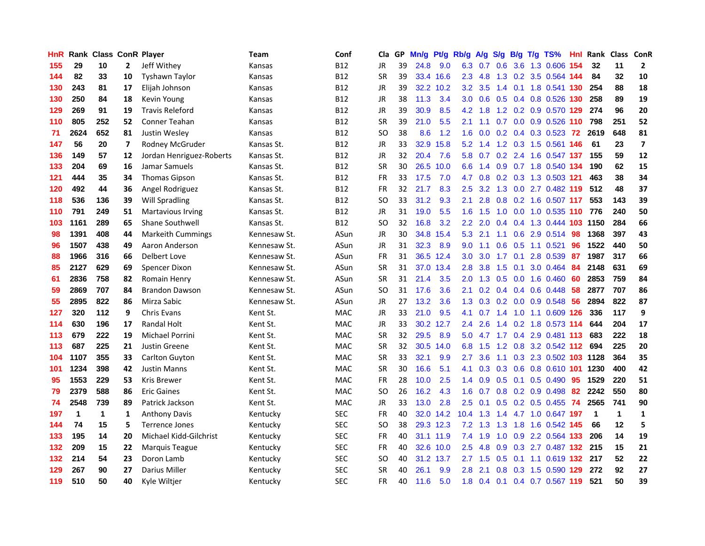| <b>HnR</b> |      | Rank Class ConR Player |              |                          | <b>Team</b>  | Conf       | Cla       |    | GP Mn/g | Pt/g      | Rb/g             | A/g             |                 |                 | S/g B/g T/g TS%               | Hnl | Rank Class ConR |              |                          |
|------------|------|------------------------|--------------|--------------------------|--------------|------------|-----------|----|---------|-----------|------------------|-----------------|-----------------|-----------------|-------------------------------|-----|-----------------|--------------|--------------------------|
| 155        | 29   | 10                     | $\mathbf{2}$ | Jeff Withey              | Kansas       | <b>B12</b> | JR        | 39 | 24.8    | 9.0       | 6.3              | 0.7             | 0.6             | 3.6             | 1.3 0.606                     | 154 | 32              | 11           | $\mathbf{2}$             |
| 144        | 82   | 33                     | 10           | <b>Tyshawn Taylor</b>    | Kansas       | <b>B12</b> | <b>SR</b> | 39 |         | 33.4 16.6 | 2.3              | 4.8             | 1.3             | 0.2             | 3.5 0.564 144                 |     | 84              | 32           | 10                       |
| 130        | 243  | 81                     | 17           | Elijah Johnson           | Kansas       | <b>B12</b> | JR        | 39 |         | 32.2 10.2 | 3.2              | 3.5             | $1.4^{\circ}$   | 0.1             | 1.8 0.541 130                 |     | 254             | 88           | 18                       |
| 130        | 250  | 84                     | 18           | Kevin Young              | Kansas       | <b>B12</b> | <b>JR</b> | 38 | 11.3    | 3.4       | 3.0 <sub>2</sub> | 0.6             |                 |                 | 0.5 0.4 0.8 0.526 130         |     | 258             | 89           | 19                       |
| 129        | 269  | 91                     | 19           | <b>Travis Releford</b>   | Kansas       | <b>B12</b> | JR        | 39 | 30.9    | 8.5       |                  | $4.2 \quad 1.8$ |                 |                 | 1.2 0.2 0.9 0.570 129         |     | 274             | 96           | 20                       |
| 110        | 805  | 252                    | 52           | Conner Teahan            | Kansas       | <b>B12</b> | <b>SR</b> | 39 | 21.0    | 5.5       | 2.1              | 1.1             |                 |                 | 0.7 0.0 0.9 0.526 110         |     | 798             | 251          | 52                       |
| 71         | 2624 | 652                    | 81           | Justin Wesley            | Kansas       | <b>B12</b> | <b>SO</b> | 38 | 8.6     | 1.2       | 1.6 <sup>°</sup> | 0.0             |                 |                 | 0.2 0.4 0.3 0.523 72          |     | 2619            | 648          | 81                       |
| 147        | 56   | 20                     | 7            | Rodney McGruder          | Kansas St.   | <b>B12</b> | JR        | 33 |         | 32.9 15.8 | 5.2              | 1.4             |                 |                 | 1.2 0.3 1.5 0.561 146         |     | 61              | 23           | $\overline{\phantom{a}}$ |
| 136        | 149  | 57                     | 12           | Jordan Henriguez-Roberts | Kansas St.   | <b>B12</b> | <b>JR</b> | 32 | 20.4    | 7.6       | 5.8              | 0.7             |                 |                 | 0.2 2.4 1.6 0.547 137         |     | 155             | 59           | 12                       |
| 133        | 204  | 69                     | 16           | Jamar Samuels            | Kansas St.   | <b>B12</b> | <b>SR</b> | 30 | 26.5    | 10.0      | 6.6              | 1.4             |                 |                 | 0.9 0.7 1.8 0.540 134         |     | 190             | 62           | 15                       |
| 121        | 444  | 35                     | 34           | <b>Thomas Gipson</b>     | Kansas St.   | <b>B12</b> | FR        | 33 | 17.5    | 7.0       | 4.7              | 0.8             |                 |                 | 0.2 0.3 1.3 0.503 121         |     | 463             | 38           | 34                       |
| 120        | 492  | 44                     | 36           | Angel Rodriguez          | Kansas St.   | <b>B12</b> | <b>FR</b> | 32 | 21.7    | 8.3       | $2.5^{\circ}$    | 3.2             | 1.3             | 0.0             | 2.7 0.482 119                 |     | 512             | 48           | 37                       |
| 118        | 536  | 136                    | 39           | <b>Will Spradling</b>    | Kansas St.   | <b>B12</b> | <b>SO</b> | 33 | 31.2    | 9.3       | 2.1              | 2.8             | 0.8             |                 | 0.2 1.6 0.507 117             |     | 553             | 143          | 39                       |
| 110        | 791  | 249                    | 51           | <b>Martavious Irving</b> | Kansas St.   | B12        | JR        | 31 | 19.0    | 5.5       | 1.6 <sup>°</sup> | 1.5             | 1.0             | 0.0             | 1.0 0.535 110                 |     | 776             | 240          | 50                       |
| 103        | 1161 | 289                    | 65           | Shane Southwell          | Kansas St.   | <b>B12</b> | <b>SO</b> | 32 | 16.8    | 3.2       | $2.2\phantom{0}$ | 2.0             | $0.4^{\circ}$   | 0.4             | 1.3 0.444 103                 |     | 1150            | 284          | 66                       |
| 98         | 1391 | 408                    | 44           | <b>Markeith Cummings</b> | Kennesaw St. | ASun       | <b>JR</b> | 30 |         | 34.8 15.4 | 5.3              | 2.1             | 1.1             |                 | 0.6 2.9 0.514                 | 98  | 1368            | 397          | 43                       |
| 96         | 1507 | 438                    | 49           | Aaron Anderson           | Kennesaw St. | ASun       | JR        | 31 | 32.3    | 8.9       | 9.0              | 1.1             |                 |                 | $0.6$ $0.5$ 1.1 $0.521$       | -96 | 1522            | 440          | 50                       |
| 88         | 1966 | 316                    | 66           | Delbert Love             | Kennesaw St. | ASun       | <b>FR</b> | 31 |         | 36.5 12.4 | 3.0 <sub>1</sub> | 3.0             |                 | $1.7 \quad 0.1$ | 2.8 0.539 87                  |     | 1987            | 317          | 66                       |
| 85         | 2127 | 629                    | 69           | Spencer Dixon            | Kennesaw St. | ASun       | <b>SR</b> | 31 |         | 37.0 13.4 | 2.8              | 3.8             |                 |                 | 1.5 0.1 3.0 0.464             | -84 | 2148            | 631          | 69                       |
| 61         | 2836 | 758                    | 82           | Romain Henry             | Kennesaw St. | ASun       | <b>SR</b> | 31 | 21.4    | 3.5       |                  |                 |                 |                 | 2.0 1.3 0.5 0.0 1.6 0.460     | -60 | 2853            | 759          | 84                       |
| 59         | 2869 | 707                    | 84           | <b>Brandon Dawson</b>    | Kennesaw St. | ASun       | SO.       | 31 | 17.6    | 3.6       | 2.1              | 0.2             |                 |                 | $0.4$ 0.4 0.6 0.448           | 58  | 2877            | 707          | 86                       |
| 55         | 2895 | 822                    | 86           | Mirza Sabic              | Kennesaw St. | ASun       | JR        | 27 | 13.2    | 3.6       | 1.3              | 0.3             |                 |                 | $0.2$ 0.0 0.9 0.548           | 56  | 2894            | 822          | 87                       |
| 127        | 320  | 112                    | 9            | Chris Evans              | Kent St.     | MAC        | JR        | 33 | 21.0    | 9.5       | 4.1              | 0.7             | 1.4             |                 | 1.0 1.1 0.609 126             |     | 336             | 117          | 9                        |
| 114        | 630  | 196                    | 17           | <b>Randal Holt</b>       | Kent St.     | MAC        | JR        | 33 |         | 30.2 12.7 | 2.4              | 2.6             | 1.4             | 0.2             | 1.8 0.573 114                 |     | 644             | 204          | 17                       |
| 113        | 679  | 222                    | 19           | Michael Porrini          | Kent St.     | MAC        | <b>SR</b> | 32 | 29.5    | 8.9       | 5.0              | 4.7             | 1.7             |                 | 0.4 2.9 0.481 113             |     | 683             | 222          | 18                       |
| 113        | 687  | 225                    | 21           | Justin Greene            | Kent St.     | <b>MAC</b> | <b>SR</b> | 32 |         | 30.5 14.0 | 6.8              | 1.5             | 1.2             | 0.8             | 3.2 0.542 112                 |     | 694             | 225          | 20                       |
| 104        | 1107 | 355                    | 33           | Carlton Guyton           | Kent St.     | <b>MAC</b> | <b>SR</b> | 33 | 32.1    | 9.9       | 2.7              | 3.6             | 1.1             |                 | 0.3 2.3 0.502 103 1128        |     |                 | 364          | 35                       |
| 101        | 1234 | 398                    | 42           | <b>Justin Manns</b>      | Kent St.     | MAC        | <b>SR</b> | 30 | 16.6    | 5.1       | 4.1              | 0.3             |                 | $0.3 \quad 0.6$ | 0.8 0.610 101                 |     | 1230            | 400          | 42                       |
| 95         | 1553 | 229                    | 53           | Kris Brewer              | Kent St.     | <b>MAC</b> | <b>FR</b> | 28 | 10.0    | 2.5       | $1.4^{\circ}$    | 0.9             | $0.5 \quad 0.1$ |                 | 0.5 0.490 95                  |     | 1529            | 220          | 51                       |
| 79         | 2379 | 588                    | 86           | <b>Eric Gaines</b>       | Kent St.     | <b>MAC</b> | <b>SO</b> | 26 | 16.2    | 4.3       | 1.6              | 0.7             |                 |                 | $0.8$ 0.2 0.9 0.498           | -82 | 2242            | 550          | 80                       |
| 74         | 2548 | 739                    | 89           | Patrick Jackson          | Kent St.     | <b>MAC</b> | <b>JR</b> | 33 | 13.0    | 2.8       | 2.5              | 0.1             |                 |                 | 0.5 0.2 0.5 0.455 74          |     | 2565            | 741          | 90                       |
| 197        | 1    | $\mathbf 1$            | 1            | <b>Anthony Davis</b>     | Kentucky     | <b>SEC</b> | <b>FR</b> | 40 |         | 32.0 14.2 | $10.4$ 1.3       |                 |                 |                 | 1.4 4.7 1.0 0.647 197         |     | $\overline{1}$  | $\mathbf{1}$ | $\mathbf{1}$             |
| 144        | 74   | 15                     | 5            | <b>Terrence Jones</b>    | Kentucky     | <b>SEC</b> | <b>SO</b> | 38 |         | 29.3 12.3 |                  | $7.2$ 1.3       | 1.3             |                 | 1.8 1.6 0.542 145             |     | 66              | 12           | 5                        |
| 133        | 195  | 14                     | 20           | Michael Kidd-Gilchrist   | Kentucky     | <b>SEC</b> | FR        | 40 |         | 31.1 11.9 | 7.4              | 1.9             | 1.0             |                 | 0.9 2.2 0.564 133             |     | 206             | 14           | 19                       |
| 132        | 209  | 15                     | 22           | Marquis Teague           | Kentucky     | <b>SEC</b> | <b>FR</b> | 40 |         | 32.6 10.0 | 2.5              | 4.8             | 0.9             |                 | 0.3 2.7 0.487 132             |     | 215             | 15           | 21                       |
| 132        | 214  | 54                     | 23           | Doron Lamb               | Kentucky     | <b>SEC</b> | <b>SO</b> | 40 |         | 31.2 13.7 | 2.7              | 1.5             | 0.5             | 0.1             | 1.1 0.619 132                 |     | 217             | 52           | 22                       |
| 129        | 267  | 90                     | 27           | Darius Miller            | Kentucky     | <b>SEC</b> | <b>SR</b> | 40 | 26.1    | 9.9       | 2.8              | 2.1             | 0.8             | 0.3             | 1.5 0.590 129                 |     | 272             | 92           | 27                       |
| 119        | 510  | 50                     | 40           | Kyle Wiltjer             | Kentucky     | <b>SEC</b> | <b>FR</b> | 40 | 11.6    | 5.0       |                  |                 |                 |                 | 1.8 0.4 0.1 0.4 0.7 0.567 119 |     | 521             | 50           | 39                       |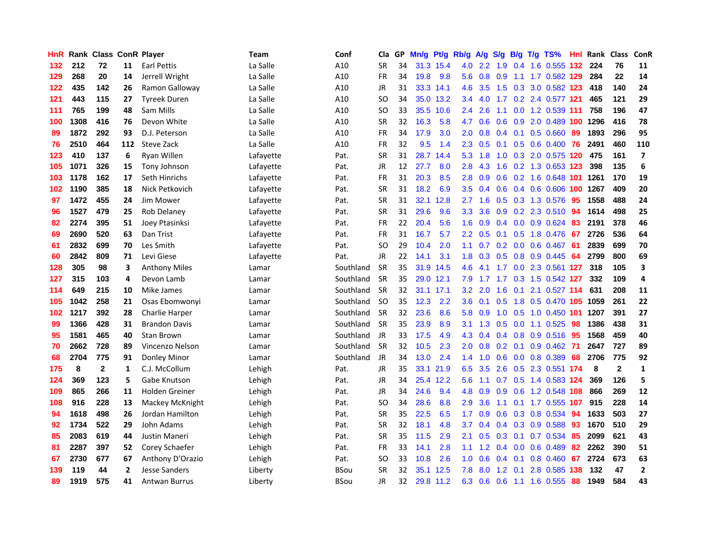| <b>HnR</b> |      | <b>Rank Class ConR Player</b> |     |                      | Team      | Conf        | Cla       |    | GP Mn/g | Pt/g      | Rb/g             | A/g           | S/g | B/g       | T/g TS%                      | Hnl | Rank Class |                | ConR                     |
|------------|------|-------------------------------|-----|----------------------|-----------|-------------|-----------|----|---------|-----------|------------------|---------------|-----|-----------|------------------------------|-----|------------|----------------|--------------------------|
| 132        | 212  | 72                            | 11  | <b>Earl Pettis</b>   | La Salle  | A10         | <b>SR</b> | 34 |         | 31.3 15.4 | 4.0              | $2.2^{\circ}$ | 1.9 | 0.4       | 1.6 0.555                    | 132 | 224        | 76             | 11                       |
| 129        | 268  | 20                            | 14  | Jerrell Wright       | La Salle  | A10         | FR        | 34 | 19.8    | 9.8       | 5.6              | 0.8           | 0.9 | 1.1       | 1.7 0.582 129                |     | 284        | 22             | 14                       |
| 122        | 435  | 142                           | 26  | Ramon Galloway       | La Salle  | A10         | JR        | 31 |         | 33.3 14.1 | 4.6              | 3.5           | 1.5 |           | 0.3 3.0 0.582 123            |     | 418        | 140            | 24                       |
| 121        | 443  | 115                           | 27  | <b>Tyreek Duren</b>  | La Salle  | A10         | SO.       | 34 |         | 35.0 13.2 | $3.4^{\circ}$    | 4.0           |     |           | 1.7 0.2 2.4 0.577 121        |     | 465        | 121            | 29                       |
| 111        | 765  | 199                           | 48  | Sam Mills            | La Salle  | A10         | SO.       | 33 |         | 35.5 10.6 | $2.4^{\circ}$    | 2.6           | 1.1 |           | 0.0 1.2 0.539 111            |     | 758        | 196            | 47                       |
| 100        | 1308 | 416                           | 76  | Devon White          | La Salle  | A10         | <b>SR</b> | 32 | 16.3    | 5.8       | 4.7              | 0.6           |     |           | 0.6 0.9 2.0 0.489 100        |     | 1296       | 416            | 78                       |
| 89         | 1872 | 292                           | 93  | D.J. Peterson        | La Salle  | A10         | FR        | 34 | 17.9    | 3.0       | 2.0              | 0.8           |     |           | $0.4$ 0.1 0.5 0.660          | -89 | 1893       | 296            | 95                       |
| 76         | 2510 | 464                           | 112 | Steve Zack           | La Salle  | A10         | <b>FR</b> | 32 | 9.5     | 1.4       | 2.3              | 0.5           |     |           | 0.1 0.5 0.6 0.400 76         |     | 2491       | 460            | 110                      |
| 123        | 410  | 137                           | 6   | Ryan Willen          | Lafayette | Pat.        | <b>SR</b> | 31 | 28.7    | 14.4      | 5.3              | 1.8           | 1.0 |           | 0.3 2.0 0.575 120            |     | 475        | 161            | $\overline{\phantom{a}}$ |
| 105        | 1071 | 326                           | 15  | Tony Johnson         | Lafayette | Pat.        | JR        | 12 | 27.7    | 8.0       | 2.8              | 4.3           | 1.6 |           | 0.2 1.3 0.653 123            |     | 398        | 135            | 6                        |
| 103        | 1178 | 162                           | 17  | Seth Hinrichs        | Lafayette | Pat.        | FR        | 31 | 20.3    | 8.5       | 2.8              | 0.9           | 0.6 |           | 0.2 1.6 0.648 101 1261       |     |            | 170            | 19                       |
| 102        | 1190 | 385                           | 18  | Nick Petkovich       | Lafayette | Pat.        | <b>SR</b> | 31 | 18.2    | 6.9       | 3.5              | 0.4           | 0.6 |           | 0.4 0.6 0.606 100            |     | 1267       | 409            | 20                       |
| 97         | 1472 | 455                           | 24  | Jim Mower            | Lafayette | Pat.        | <b>SR</b> | 31 |         | 32.1 12.8 | 2.7              | 1.6           | 0.5 |           | $0.3$ 1.3 0.576              | -95 | 1558       | 488            | 24                       |
| 96         | 1527 | 479                           | 25  | Rob Delaney          | Lafayette | Pat.        | <b>SR</b> | 31 | 29.6    | 9.6       | 3.3              | 3.6           | 0.9 | 0.2       | 2.3 0.510                    | 94  | 1614       | 498            | 25                       |
| 82         | 2274 | 395                           | 51  | Joey Ptasinksi       | Lafayette | Pat.        | FR        | 22 | 20.4    | 5.6       | 1.6              | 0.9           | 0.4 | 0.0       | $0.9$ $0.624$                | 83  | 2191       | 378            | 46                       |
| 69         | 2690 | 520                           | 63  | Dan Trist            | Lafayette | Pat.        | <b>FR</b> | 31 | 16.7    | 5.7       | $2.2^{\circ}$    | 0.5           | 0.1 | 0.5       | 1.8 0.476                    | -67 | 2726       | 536            | 64                       |
| 61         | 2832 | 699                           | 70  | Les Smith            | Lafayette | Pat.        | SO.       | 29 | 10.4    | 2.0       | 1.1              |               |     |           | $0.7$ 0.2 0.0 0.6 0.467 61   |     | 2839       | 699            | 70                       |
| 60         | 2842 | 809                           | 71  | Levi Giese           | Lafayette | Pat.        | JR        | 22 | 14.1    | 3.1       |                  |               |     |           | 1.8 0.3 0.5 0.8 0.9 0.445 64 |     | 2799       | 800            | 69                       |
| 128        | 305  | 98                            | 3   | <b>Anthony Miles</b> | Lamar     | Southland   | <b>SR</b> | 35 |         | 31.9 14.5 | 4.6              | -4.1          |     |           | 1.7 0.0 2.3 0.561 127        |     | 318        | 105            | 3                        |
| 127        | 315  | 103                           | 4   | Devon Lamb           | Lamar     | Southland   | <b>SR</b> | 35 |         | 29.0 12.1 | 7.9              | 1.7           |     |           | 1.7 0.3 1.5 0.542 127        |     | 332        | 109            | 4                        |
| 114        | 649  | 215                           | 10  | Mike James           | Lamar     | Southland   | <b>SR</b> | 32 |         | 31.1 17.1 | $3.2^{\circ}$    | 2.0           | 1.6 |           | 0.1 2.1 0.527 114            |     | 631        | 208            | 11                       |
| 105        | 1042 | 258                           | 21  | Osas Ebomwonyi       | Lamar     | Southland   | <b>SO</b> | 35 | 12.3    | 2.2       | 3.6 <sup>°</sup> | 0.1           | 0.5 |           | 1.8 0.5 0.470 105 1059       |     |            | 261            | 22                       |
| 102        | 1217 | 392                           | 28  | Charlie Harper       | Lamar     | Southland   | <b>SR</b> | 32 | 23.6    | 8.6       | 5.8              | 0.9           | 1.0 | 0.5       | 1.0 0.450 101                |     | 1207       | 391            | 27                       |
| 99         | 1366 | 428                           | 31  | <b>Brandon Davis</b> | Lamar     | Southland   | <b>SR</b> | 35 | 23.9    | 8.9       | 3.1              | 1.3           | 0.5 |           | $0.0$ 1.1 0.525              | -98 | 1386       | 438            | 31                       |
| 95         | 1581 | 465                           | 40  | <b>Stan Brown</b>    | Lamar     | Southland   | JR        | 33 | 17.5    | 4.9       | 4.3              | 0.4           |     |           | $0.4$ 0.8 0.9 0.516          | -95 | 1568       | 459            | 40                       |
| 70         | 2662 | 728                           | 89  | Vincenzo Nelson      | Lamar     | Southland   | <b>SR</b> | 32 | 10.5    | 2.3       | 2.0              | 0.8           | 0.2 | 0.1       | $0.9$ 0.462                  | -71 | 2647       | 727            | 89                       |
| 68         | 2704 | 775                           | 91  | Donley Minor         | Lamar     | Southland   | JR        | 34 | 13.0    | 2.4       | $1.4^{\circ}$    | 1.0           | 0.6 |           | $0.0$ $0.8$ $0.389$          | 68  | 2706       | 775            | 92                       |
| 175        | 8    | $\mathbf{2}$                  | 1   | C.J. McCollum        | Lehigh    | Pat.        | JR        | 35 |         | 33.1 21.9 | 6.5              | 3.5           | 2.6 | 0.5       | 2.3 0.551 174                |     | 8          | $\overline{2}$ | $\mathbf{1}$             |
| 124        | 369  | 123                           | 5   | Gabe Knutson         | Lehigh    | Pat.        | JR        | 34 |         | 25.4 12.2 | 5.6              | 1.1           | 0.7 | 0.5       | 1.4 0.583 124                |     | 369        | 126            | 5                        |
| 109        | 865  | 266                           | 11  | Holden Greiner       | Lehigh    | Pat.        | JR        | 34 | 24.6    | 9.4       | 4.8              | 0.9           | 0.9 | 0.6       | 1.2 0.548 108                |     | 866        | 269            | 12                       |
| 108        | 916  | 228                           | 13  | Mackey McKnight      | Lehigh    | Pat.        | <b>SO</b> | 34 | 28.6    | 8.8       | 2.9              | 3.6           | 1.1 |           | 0.1 1.7 0.555 107            |     | 915        | 228            | 14                       |
| 94         | 1618 | 498                           | 26  | Jordan Hamilton      | Lehigh    | Pat.        | <b>SR</b> | 35 | 22.5    | 6.5       | 1.7 <sup>2</sup> | 0.9           |     |           | 0.6 0.3 0.8 0.534            | 94  | 1633       | 503            | 27                       |
| 92         | 1734 | 522                           | 29  | John Adams           | Lehigh    | Pat.        | <b>SR</b> | 32 | 18.1    | 4.8       | 3.7              | 0.4           |     |           | $0.4$ $0.3$ $0.9$ $0.588$    | 93  | 1670       | 510            | 29                       |
| 85         | 2083 | 619                           | 44  | Justin Maneri        | Lehigh    | Pat.        | <b>SR</b> | 35 | 11.5    | 2.9       | 2.1              | 0.5           |     |           | $0.3$ 0.1 0.7 0.534          | 85  | 2099       | 621            | 43                       |
| 81         | 2287 | 397                           | 52  | Corey Schaefer       | Lehigh    | Pat.        | FR        | 33 | 14.1    | 2.8       | 1.1              | 1.2           |     |           | 0.4 0.0 0.6 0.489            | 82  | 2262       | 390            | 51                       |
| 67         | 2730 | 677                           | 67  | Anthony D'Orazio     | Lehigh    | Pat.        | <b>SO</b> | 33 | 10.8    | 2.6       | 1.0              | 0.6           |     | $0.4$ 0.1 | $0.8$ 0.460                  | 67  | 2724       | 673            | 63                       |
| 139        | 119  | 44                            | 2   | <b>Jesse Sanders</b> | Liberty   | BSou        | <b>SR</b> | 32 | 35.1    | 12.5      | 7.8              | 8.0           | 1.2 | 0.1       | 2.8 0.585                    | 138 | 132        | 47             | $\mathbf{2}$             |
| 89         | 1919 | 575                           | 41  | <b>Antwan Burrus</b> | Liberty   | <b>BSou</b> | JR        | 32 |         | 29.8 11.2 | 6.3              | 0.6           | 0.6 | $-1.1$    | 1.6 0.555                    | 88  | 1949       | 584            | 43                       |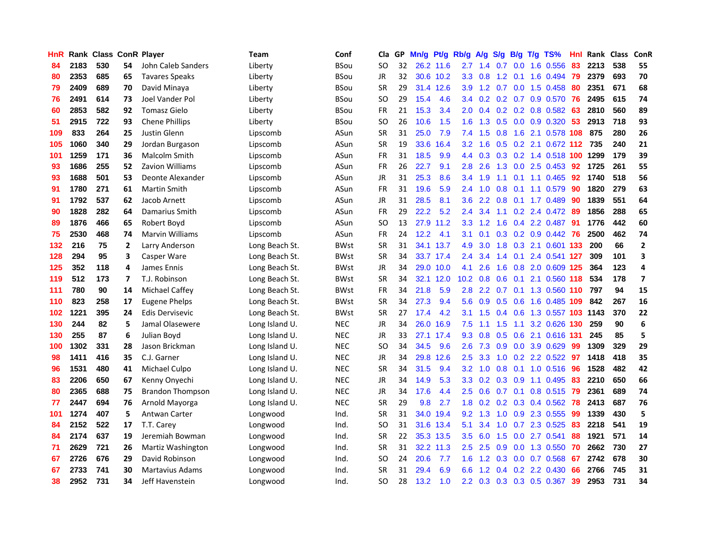| HnR |      | Rank Class ConR Player |    |                         | <b>Team</b>    | Conf        | Cla           |    | GP Mn/g Pt/g Rb/g |           |                  | A/g                  |                  |                 | S/g B/g T/g TS%           | Hnl  | Rank Class |     | ConR                    |
|-----|------|------------------------|----|-------------------------|----------------|-------------|---------------|----|-------------------|-----------|------------------|----------------------|------------------|-----------------|---------------------------|------|------------|-----|-------------------------|
| 84  | 2183 | 530                    | 54 | John Caleb Sanders      | Liberty        | <b>BSou</b> | SO.           | 32 |                   | 26.2 11.6 | 2.7              | 1.4                  | 0.7              | 0.0             | 1.6 0.556                 | 83   | 2213       | 538 | 55                      |
| 80  | 2353 | 685                    | 65 | <b>Tavares Speaks</b>   | Liberty        | <b>BSou</b> | <b>JR</b>     | 32 |                   | 30.6 10.2 | 3.3 <sub>2</sub> | 0.8                  | $1.2^{\circ}$    | 0.1             | 1.6 0.494                 | 79   | 2379       | 693 | 70                      |
| 79  | 2409 | 689                    | 70 | David Minaya            | Liberty        | <b>BSou</b> | <b>SR</b>     | 29 |                   | 31.4 12.6 | 3.9              | 1.2                  | 0.7              | 0.0             | 1.5 0.458                 | 80   | 2351       | 671 | 68                      |
| 76  | 2491 | 614                    | 73 | Joel Vander Pol         | Liberty        | <b>BSou</b> | <b>SO</b>     | 29 | 15.4              | 4.6       |                  | $3.4 \quad 0.2$      |                  |                 | 0.2 0.7 0.9 0.570         | 76   | 2495       | 615 | 74                      |
| 60  | 2853 | 582                    | 92 | <b>Tomasz Gielo</b>     | Liberty        | <b>BSou</b> | <b>FR</b>     | 21 | 15.3              | 3.4       | 2.0              | 0.4                  |                  |                 | $0.2$ 0.2 0.8 0.582       | 63   | 2810       | 560 | 89                      |
| 51  | 2915 | 722                    | 93 | <b>Chene Phillips</b>   | Liberty        | <b>BSou</b> | <b>SO</b>     | 26 | 10.6              | 1.5       | 1.6 <sup>°</sup> | 1.3                  |                  |                 | $0.5$ 0.0 0.9 0.320       | -53  | 2913       | 718 | 93                      |
| 109 | 833  | 264                    | 25 | Justin Glenn            | Lipscomb       | ASun        | <b>SR</b>     | 31 | 25.0              | 7.9       | 7.4              | 1.5                  | 0.8              | 1.6             | 2.1 0.578 108             |      | 875        | 280 | 26                      |
| 105 | 1060 | 340                    | 29 | Jordan Burgason         | Lipscomb       | ASun        | <b>SR</b>     | 19 | 33.6              | 16.4      | $3.2\phantom{0}$ | 1.6                  |                  |                 | 0.5 0.2 2.1 0.672 112 735 |      |            | 240 | 21                      |
| 101 | 1259 | 171                    | 36 | Malcolm Smith           | Lipscomb       | ASun        | <b>FR</b>     | 31 | 18.5              | 9.9       | 4.4              | 0.3                  |                  |                 | 0.3 0.2 1.4 0.518 100     |      | 1299       | 179 | 39                      |
| 93  | 1686 | 255                    | 52 | <b>Zavion Williams</b>  | Lipscomb       | ASun        | <b>FR</b>     | 26 | 22.7              | 9.1       | 2.8              | 2.6                  | 1.3              |                 | $0.0$ 2.5 $0.453$         | 92   | 1725       | 261 | 55                      |
| 93  | 1688 | 501                    | 53 | Deonte Alexander        | Lipscomb       | ASun        | JR            | 31 | 25.3              | 8.6       | 3.4              | 1.9                  | 1.1              | 0.1             | 1.1 0.465                 | 92   | 1740       | 518 | 56                      |
| 91  | 1780 | 271                    | 61 | <b>Martin Smith</b>     | Lipscomb       | ASun        | <b>FR</b>     | 31 | 19.6              | 5.9       | 2.4              | 1.0                  | 0.8              | 0.1             | 1.1 0.579                 | 90   | 1820       | 279 | 63                      |
| 91  | 1792 | 537                    | 62 | Jacob Arnett            | Lipscomb       | ASun        | JR            | 31 | 28.5              | 8.1       | 3.6              | 2.2                  | 0.8              |                 | $0.1$ 1.7 $0.489$         | 90   | 1839       | 551 | 64                      |
| 90  | 1828 | 282                    | 64 | Damarius Smith          | Lipscomb       | ASun        | <b>FR</b>     | 29 | 22.2              | 5.2       | 2.4              | 3.4                  | 1.1              | 0.2             | 2.4 0.472                 | -89  | 1856       | 288 | 65                      |
| 89  | 1876 | 466                    | 65 | Robert Boyd             | Lipscomb       | ASun        | <sub>SO</sub> | 13 | 27.9              | 11.2      | 3.3 <sub>2</sub> | 1.2                  | 1.6              | 0.4             | 2.2 0.487                 | 91   | 1776       | 442 | 60                      |
| 75  | 2530 | 468                    | 74 | <b>Marvin Williams</b>  | Lipscomb       | ASun        | <b>FR</b>     | 24 | 12.2              | 4.1       | 3.1              | 0.1                  |                  |                 | $0.3$ $0.2$ $0.9$ $0.442$ | -76  | 2500       | 462 | 74                      |
| 132 | 216  | 75                     | 2  | Larry Anderson          | Long Beach St. | <b>BWst</b> | <b>SR</b>     | 31 |                   | 34.1 13.7 | 4.9              | 3.0                  |                  |                 | 1.8 0.3 2.1 0.601 133     |      | 200        | 66  | $\mathbf{2}$            |
| 128 | 294  | 95                     | 3  | Casper Ware             | Long Beach St. | <b>BWst</b> | <b>SR</b>     | 34 |                   | 33.7 17.4 | $2.4^{\circ}$    | 3.4                  |                  | $1.4 \quad 0.1$ | 2.4 0.541 127             |      | 309        | 101 | 3                       |
| 125 | 352  | 118                    | 4  | James Ennis             | Long Beach St. | <b>BWst</b> | JR            | 34 |                   | 29.0 10.0 | 4.1              | 2.6                  |                  |                 | 1.6 0.8 2.0 0.609 125     |      | 364        | 123 | 4                       |
| 119 | 512  | 173                    | 7  | T.J. Robinson           | Long Beach St. | <b>BWst</b> | <b>SR</b>     | 34 |                   | 32.1 12.0 | 10.2             | 0.8                  |                  |                 | 0.6 0.1 2.1 0.560 118     |      | 534        | 178 | $\overline{\mathbf{z}}$ |
| 111 | 780  | 90                     | 14 | <b>Michael Caffey</b>   | Long Beach St. | <b>BWst</b> | <b>FR</b>     | 34 | 21.8              | 5.9       | 2.8              | 2.2                  | 0.7              |                 | 0.1 1.3 0.560 110         |      | 797        | 94  | 15                      |
| 110 | 823  | 258                    | 17 | <b>Eugene Phelps</b>    | Long Beach St. | <b>BWst</b> | <b>SR</b>     | 34 | 27.3              | 9.4       | 5.6              | 0.9                  | 0.5              | 0.6             | 1.6 0.485 109             |      | 842        | 267 | 16                      |
| 102 | 1221 | 395                    | 24 | <b>Edis Dervisevic</b>  | Long Beach St. | <b>BWst</b> | <b>SR</b>     | 27 | 17.4              | 4.2       | 3.1              | 1.5                  |                  | $0.4\quad 0.6$  | 1.3 0.557                 | -103 | 1143       | 370 | 22                      |
| 130 | 244  | 82                     | 5  | Jamal Olasewere         | Long Island U. | <b>NEC</b>  | JR            | 34 | 26.0              | 16.9      | 7.5              | 1.1                  | 1.5              | 1.1             | 3.2 0.626 130             |      | 259        | 90  | 6                       |
| 130 | 255  | 87                     | 6  | Julian Boyd             | Long Island U. | <b>NEC</b>  | JR            | 33 |                   | 27.1 17.4 | 9.3              | 0.8                  | 0.5              | 0.6             | 2.1 0.616 131             |      | 245        | 85  | 5                       |
| 100 | 1302 | 331                    | 28 | Jason Brickman          | Long Island U. | <b>NEC</b>  | <b>SO</b>     | 34 | 34.5              | 9.6       | 2.6              | 7.3                  | 0.9 <sub>0</sub> | 0.0             | 3.9 0.629                 | -99  | 1309       | 329 | 29                      |
| 98  | 1411 | 416                    | 35 | C.J. Garner             | Long Island U. | <b>NEC</b>  | <b>JR</b>     | 34 |                   | 29.8 12.6 | 2.5              | 3.3                  | 1.0              | 0.2             | 2.2 0.522                 | 97   | 1418       | 418 | 35                      |
| 96  | 1531 | 480                    | 41 | Michael Culpo           | Long Island U. | <b>NEC</b>  | <b>SR</b>     | 34 | 31.5              | 9.4       | 3.2              | 1.0                  | 0.8              | 0.1             | 1.0 0.516                 | 96   | 1528       | 482 | 42                      |
| 83  | 2206 | 650                    | 67 | Kenny Onyechi           | Long Island U. | <b>NEC</b>  | <b>JR</b>     | 34 | 14.9              | 5.3       | 3.3 <sub>2</sub> | 0.2                  | 0.3              | 0.9             | 1.1 0.495                 | 83   | 2210       | 650 | 66                      |
| 80  | 2365 | 688                    | 75 | <b>Brandon Thompson</b> | Long Island U. | <b>NEC</b>  | JR            | 34 | 17.6              | 4.4       | $2.5\,$          | 0.6                  | 0.7              | 0.1             | 0.8 0.515                 | 79   | 2361       | 689 | 74                      |
| 77  | 2447 | 694                    | 76 | Arnold Mayorga          | Long Island U. | <b>NEC</b>  | <b>SR</b>     | 29 | 9.8               | 2.7       |                  | $1.8 \quad 0.2$      |                  |                 | $0.2$ 0.3 0.4 0.562       | -78  | 2413       | 687 | 76                      |
| 101 | 1274 | 407                    | 5  | Antwan Carter           | Longwood       | Ind.        | <b>SR</b>     | 31 |                   | 34.0 19.4 | 9.2              | 1.3                  | 1.0              |                 | 0.9 2.3 0.555             | 99   | 1339       | 430 | 5                       |
| 84  | 2152 | 522                    | 17 | T.T. Carey              | Longwood       | Ind.        | <b>SO</b>     | 31 |                   | 31.6 13.4 | 5.1              | 3.4                  | 1.0              |                 | 0.7 2.3 0.525             | 83   | 2218       | 541 | 19                      |
| 84  | 2174 | 637                    | 19 | Jeremiah Bowman         | Longwood       | Ind.        | <b>SR</b>     | 22 |                   | 35.3 13.5 | 3.5              | 6.0                  | 1.5              | 0.0             | 2.7 0.541                 | 88   | 1921       | 571 | 14                      |
| 71  | 2629 | 721                    | 26 | Martiz Washington       | Longwood       | Ind.        | <b>SR</b>     | 31 |                   | 32.2 11.3 | 2.5              | 2.5                  | 0.9              | 0.0             | 1.3 0.550                 | 70   | 2662       | 730 | 27                      |
| 67  | 2726 | 676                    | 29 | David Robinson          | Longwood       | Ind.        | <b>SO</b>     | 24 | 20.6              | 7.7       | 1.6              | $\mathbf{2}$<br>1    | 0.3              | 0.0             | 0.7 0.568                 | 67   | 2742       | 678 | 30                      |
| 67  | 2733 | 741                    | 30 | <b>Martavius Adams</b>  | Longwood       | Ind.        | <b>SR</b>     | 31 | 29.4              | 6.9       | 6.6              | $\overline{2}$<br>-1 | 0.4              | 0.2             | 2.2 0.430                 | 66   | 2766       | 745 | 31                      |
| 38  | 2952 | 731                    | 34 | Jeff Havenstein         | Longwood       | Ind.        | SΟ            | 28 | 13.2              | 1.0       | $2.2^{\circ}$    | 0.3                  |                  |                 | 0.3 0.3 0.5 0.367         | 39   | 2953       | 731 | 34                      |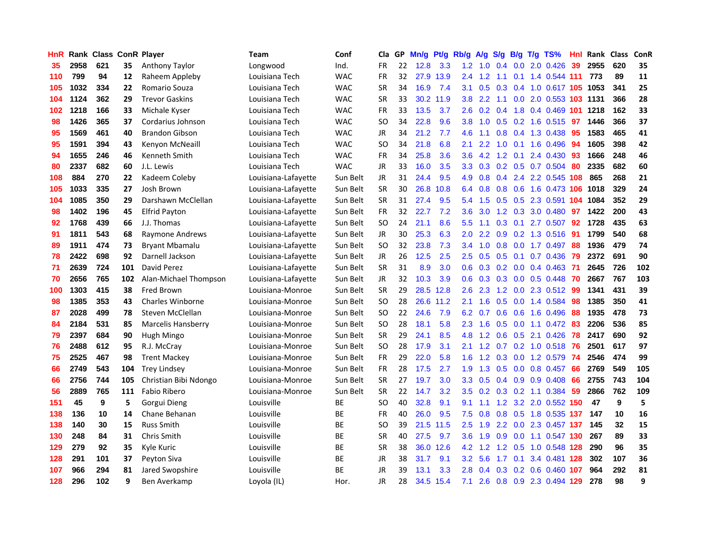| HnR |      | <b>Rank Class ConR Player</b> |     |                           | Team                | Conf       | Cla           | GP. | Mn/g | Pt/g      | Rb/g             | A/g               | S/g                        | <b>B/g</b> | T/g TS%                       | Hnl | Rank Class |                  | ConR |
|-----|------|-------------------------------|-----|---------------------------|---------------------|------------|---------------|-----|------|-----------|------------------|-------------------|----------------------------|------------|-------------------------------|-----|------------|------------------|------|
| 35  | 2958 | 621                           | 35  | <b>Anthony Taylor</b>     | Longwood            | Ind.       | <b>FR</b>     | 22  | 12.8 | 3.3       | 1.2              | 1.0               | $\Omega$<br>$\overline{A}$ | 0.0        | 2.0 0.426                     | 39  | 2955       | 620              | 35   |
| 110 | 799  | 94                            | 12  | Raheem Appleby            | Louisiana Tech      | <b>WAC</b> | <b>FR</b>     | 32  | 27.9 | 13.9      | 2.4              | 1.2               | 1.1                        | 0.1        | 1.4 0.544 111                 |     | 773        | 89               | 11   |
| 105 | 1032 | 334                           | 22  | Romario Souza             | Louisiana Tech      | <b>WAC</b> | <b>SR</b>     | 34  | 16.9 | 7.4       | 3.1              | 0.5               | 0.3                        | 0.4        | 1.0 0.617 105                 |     | 1053       | 341              | 25   |
| 104 | 1124 | 362                           | 29  | <b>Trevor Gaskins</b>     | Louisiana Tech      | <b>WAC</b> | <b>SR</b>     | 33  |      | 30.2 11.9 | 3.8              | 2.2               | 1.1                        |            | 0.0 2.0 0.553 103 1131        |     |            | 366              | 28   |
| 102 | 1218 | 166                           | 33  | Michale Kyser             | Louisiana Tech      | <b>WAC</b> | <b>FR</b>     | 33  | 13.5 | 3.7       | $2.6\,$          |                   | $0.2 \quad 0.4$            |            | 1.8 0.4 0.469 101             |     | 1218       | 162              | 33   |
| 98  | 1426 | 365                           | 37  | Cordarius Johnson         | Louisiana Tech      | <b>WAC</b> | <b>SO</b>     | 34  | 22.8 | 9.6       | 3.8 <sup>°</sup> | 1.0               |                            |            | 0.5 0.2 1.6 0.515             | -97 | 1446       | 366              | 37   |
| 95  | 1569 | 461                           | 40  | <b>Brandon Gibson</b>     | Louisiana Tech      | <b>WAC</b> | JR            | 34  | 21.2 | 7.7       | 4.6              | 1.1               | 0.8                        |            | $0.4$ 1.3 0.438               | 95  | 1583       | 465              | 41   |
| 95  | 1591 | 394                           | 43  | Kenyon McNeaill           | Louisiana Tech      | <b>WAC</b> | SO            | 34  | 21.8 | 6.8       | 2.1              | 2.2               | 1.0                        | 0.1        | 1.6 0.496                     | 94  | 1605       | 398              | 42   |
| 94  | 1655 | 246                           | 46  | Kenneth Smith             | Louisiana Tech      | <b>WAC</b> | <b>FR</b>     | 34  | 25.8 | 3.6       | 3.6              | 4.2               | 1.2                        | 0.1        | 2.4 0.430                     | 93  | 1666       | 248              | 46   |
| 80  | 2337 | 682                           | 60  | J.L. Lewis                | Louisiana Tech      | <b>WAC</b> | <b>JR</b>     | 33  | 16.0 | 3.5       | 3.3 <sub>2</sub> | 0.3               |                            |            | 0.2 0.5 0.7 0.504             | 80  | 2335       | 682              | 60   |
| 108 | 884  | 270                           | 22  | Kadeem Coleby             | Louisiana-Lafayette | Sun Belt   | JR            | 31  | 24.4 | 9.5       | 4.9              | 0.8               | $0.4^{\circ}$              |            | 2.4 2.2 0.545                 | 108 | 865        | 268              | 21   |
| 105 | 1033 | 335                           | 27  | Josh Brown                | Louisiana-Lafayette | Sun Belt   | <b>SR</b>     | 30  | 26.8 | 10.8      | 6.4              | 0.8               | 0.8                        | 0.6        | 1.6 0.473 106                 |     | 1018       | 329              | 24   |
| 104 | 1085 | 350                           | 29  | Darshawn McClellan        | Louisiana-Lafayette | Sun Belt   | <b>SR</b>     | 31  | 27.4 | 9.5       | 5.4              | 1.5               | 0.5                        | 0.5        | 2.3 0.591                     | 104 | 1084       | 352              | 29   |
| 98  | 1402 | 196                           | 45  | <b>Elfrid Payton</b>      | Louisiana-Lafayette | Sun Belt   | FR            | 32  | 22.7 | 7.2       | 3.6              | 3.0               | $1.2^{\circ}$              | 0.3        | 3.0 0.480                     | 97  | 1422       | 200              | 43   |
| 92  | 1768 | 439                           | 66  | J.J. Thomas               | Louisiana-Lafayette | Sun Belt   | <b>SO</b>     | 24  | 21.1 | 8.6       | 5.5              | 1.1               | 0.3                        | 0.1        | 2.7 0.507                     | 92  | 1728       | 435              | 63   |
| 91  | 1811 | 543                           | 68  | Raymone Andrews           | Louisiana-Lafayette | Sun Belt   | <b>JR</b>     | 30  | 25.3 | 6.3       | 2.0 <sub>1</sub> | $2.2^{\circ}$     | 0.9                        |            | 0.2 1.3 0.516                 | -91 | 1799       | 540              | 68   |
| 89  | 1911 | 474                           | 73  | <b>Bryant Mbamalu</b>     | Louisiana-Lafayette | Sun Belt   | SO            | 32  | 23.8 | 7.3       |                  | $3.4 \quad 1.0$   | 0.8                        |            | $0.0$ 1.7 $0.497$             | -88 | 1936       | 479              | 74   |
| 78  | 2422 | 698                           | 92  | Darnell Jackson           | Louisiana-Lafayette | Sun Belt   | JR            | 26  | 12.5 | 2.5       |                  | $2.5\quad 0.5$    |                            |            | $0.5$ 0.1 0.7 0.436           | -79 | 2372       | 691              | 90   |
| 71  | 2639 | 724                           | 101 | David Perez               | Louisiana-Lafayette | Sun Belt   | <b>SR</b>     | 31  | 8.9  | 3.0       |                  |                   |                            |            | 0.6 0.3 0.2 0.0 0.4 0.463 71  |     | 2645       | 726              | 102  |
| 70  | 2656 | 765                           | 102 | Alan-Michael Thompson     | Louisiana-Lafayette | Sun Belt   | JR            | 32  | 10.3 | 3.9       | 0.6              | 0.3               |                            |            | $0.3$ 0.0 0.5 0.448           | -70 | 2667       | 767              | 103  |
| 100 | 1303 | 415                           | 38  | Fred Brown                | Louisiana-Monroe    | Sun Belt   | <b>SR</b>     | 29  | 28.5 | 12.8      | 2.6              | 2.3               | 1.2                        |            | 0.0 2.3 0.512                 | 99  | 1341       | 431              | 39   |
| 98  | 1385 | 353                           | 43  | <b>Charles Winborne</b>   | Louisiana-Monroe    | Sun Belt   | <sub>SO</sub> | 28  | 26.6 | 11.2      | 2.1              | 1.6               | 0.5                        | 0.0        | 1.4 0.584                     | 98  | 1385       | 350              | 41   |
| 87  | 2028 | 499                           | 78  | Steven McClellan          | Louisiana-Monroe    | Sun Belt   | <sub>SO</sub> | 22  | 24.6 | 7.9       | 6.2              | 0.7               | 0.6                        | 0.6        | 1.6 0.496                     | 88  | 1935       | 478              | 73   |
| 84  | 2184 | 531                           | 85  | <b>Marcelis Hansberry</b> | Louisiana-Monroe    | Sun Belt   | SO            | 28  | 18.1 | 5.8       | 2.3              | 1.6               | 0.5                        | 0.0        | 1.1 0.472                     | 83  | 2206       | 536              | 85   |
| 79  | 2397 | 684                           | 90  | Hugh Mingo                | Louisiana-Monroe    | Sun Belt   | <b>SR</b>     | 29  | 24.1 | 8.5       | 4.8              | 1.2               | 0.6                        | 0.5        | 2.1 0.426                     | 78  | 2417       | 690              | 92   |
| 76  | 2488 | 612                           | 95  | R.J. McCray               | Louisiana-Monroe    | Sun Belt   | <b>SO</b>     | 28  | 17.9 | 3.1       | 2.1              | 1.2               | 0.7                        | 0.2        | $1.0$ $0.518$                 | -76 | 2501       | 617              | 97   |
| 75  | 2525 | 467                           | 98  | <b>Trent Mackey</b>       | Louisiana-Monroe    | Sun Belt   | FR            | 29  | 22.0 | 5.8       | 1.6              | 1.2               | 0.3                        | 0.0        | 1.2 0.579                     | 74  | 2546       | 474              | 99   |
| 66  | 2749 | 543                           | 104 | <b>Trey Lindsey</b>       | Louisiana-Monroe    | Sun Belt   | FR            | 28  | 17.5 | 2.7       | 1.9              | 1.3               | 0.5                        | 0.0        | $0.8$ 0.457                   | 66  | 2769       | 549              | 105  |
| 66  | 2756 | 744                           | 105 | Christian Bibi Ndongo     | Louisiana-Monroe    | Sun Belt   | <b>SR</b>     | 27  | 19.7 | 3.0       | 3.3 <sub>2</sub> | 0.5               | 0.4                        | 0.9        | 0.9 0.408                     | 66  | 2755       | 743              | 104  |
| 56  | 2889 | 765                           | 111 | <b>Fabio Ribero</b>       | Louisiana-Monroe    | Sun Belt   | <b>SR</b>     | 22  | 14.7 | 3.2       | $3.5^{\circ}$    |                   |                            |            | $0.2$ $0.3$ $0.2$ 1.1 $0.384$ | -59 | 2866       | 762              | 109  |
| 151 | 45   | 9                             | 5   | Gorgui Dieng              | Louisville          | ВE         | SO            | 40  | 32.8 | 9.1       | 9.1              | 1.1               |                            |            | 1.2 3.2 2.0 0.552 150         |     | 47         | $\boldsymbol{9}$ | 5    |
| 138 | 136  | 10                            | 14  | Chane Behanan             | Louisville          | <b>BE</b>  | <b>FR</b>     | 40  | 26.0 | 9.5       | 7.5              | 0.8               | 0.8                        |            | 0.5 1.8 0.535 137             |     | 147        | 10               | 16   |
| 138 | 140  | 30                            | 15  | <b>Russ Smith</b>         | Louisville          | ВE         | SO            | 39  | 21.5 | 11.5      | 2.5              | 1.9               | 2.2                        |            | 0.0 2.3 0.457 137             |     | 145        | 32               | 15   |
| 130 | 248  | 84                            | 31  | Chris Smith               | Louisville          | ВE         | <b>SR</b>     | 40  | 27.5 | 9.7       | 3.6 <sup>°</sup> | 1.9               | 0.9                        | 0.0        | 1.1 0.547 130                 |     | 267        | 89               | 33   |
| 129 | 279  | 92                            | 35  | Kyle Kuric                | Louisville          | <b>BE</b>  | <b>SR</b>     | 38  | 36.0 | 12.6      | 4.2              | 1.2               | 1.2                        | 0.5        | 1.0 0.548 128                 |     | 290        | 96               | 35   |
| 128 | 291  | 101                           | 37  | Peyton Siva               | Louisville          | <b>BE</b>  | JR            | 38  | 31.7 | 9.1       | $3.2\phantom{0}$ | 5.6               | 1.7                        | 0.1        | 3.4 0.481                     | 128 | 302        | 107              | 36   |
| 107 | 966  | 294                           | 81  | Jared Swopshire           | Louisville          | ВE         | <b>JR</b>     | 39  | 13.1 | 3.3       | 2.8              | $\mathbf{0}$<br>4 | 0.3                        | 0.2        | 0.6 0.460                     | 107 | 964        | 292              | 81   |
| 128 | 296  | 102                           | 9   | Ben Averkamp              | Loyola (IL)         | Hor.       | <b>JR</b>     | 28  |      | 34.5 15.4 | 7.1              | 2.6               |                            |            | 0.8 0.9 2.3 0.494 129         |     | 278        | 98               | 9    |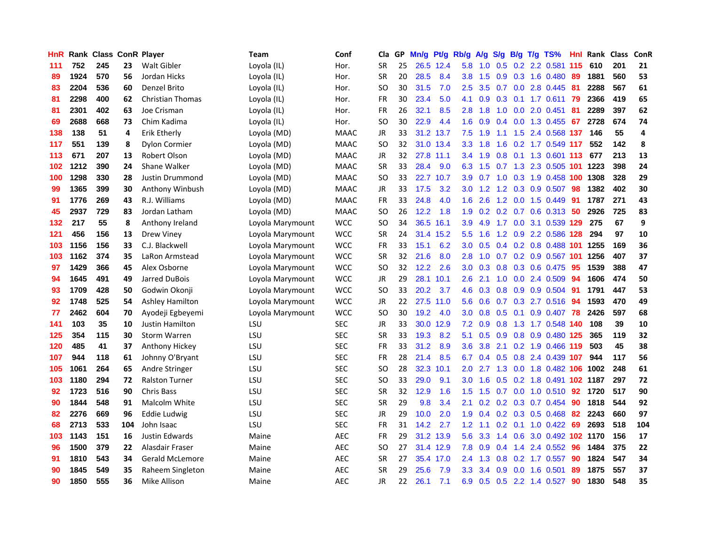| <b>HnR</b> |      | <b>Rank Class ConR Player</b> |     |                        | Team             | Conf        | Cla       |    | GP Mn/g Pt/g |           | Rb/g             | A/g             |                 |     | S/g B/g T/g TS%                 | Hnl | Rank Class |     | ConR |
|------------|------|-------------------------------|-----|------------------------|------------------|-------------|-----------|----|--------------|-----------|------------------|-----------------|-----------------|-----|---------------------------------|-----|------------|-----|------|
| 111        | 752  | 245                           | 23  | Walt Gibler            | Loyola (IL)      | Hor.        | <b>SR</b> | 25 |              | 26.5 12.4 | 5.8              | 1.0             | 0.5             | 0.2 | 2.2 0.581                       | 115 | 610        | 201 | 21   |
| 89         | 1924 | 570                           | 56  | Jordan Hicks           | Loyola (IL)      | Hor.        | <b>SR</b> | 20 | 28.5         | 8.4       | 3.8              | 1.5             | 0.9             | 0.3 | 1.6 0.480                       | 89  | 1881       | 560 | 53   |
| 83         | 2204 | 536                           | 60  | Denzel Brito           | Loyola (IL)      | Hor.        | SO        | 30 | 31.5         | 7.0       | 2.5              | 3.5             | 0.7             | 0.0 | 2.8 0.445                       | 81  | 2288       | 567 | 61   |
| 81         | 2298 | 400                           | 62  | Christian Thomas       | Loyola (IL)      | Hor.        | FR        | 30 | 23.4         | 5.0       | 4.1              | 0.9             | $0.3 \quad 0.1$ |     | 1.7 0.611                       | -79 | 2366       | 419 | 65   |
| 81         | 2301 | 402                           | 63  | Joe Crisman            | Loyola (IL)      | Hor.        | FR        | 26 | 32.1         | 8.5       | 2.8              | 1.8             |                 |     | 1.0 0.0 2.0 0.451               | -81 | 2289       | 397 | 62   |
| 69         | 2688 | 668                           | 73  | Chim Kadima            | Loyola (IL)      | Hor.        | SO.       | 30 | 22.9         | 4.4       | 1.6              | 0.9             |                 |     | $0.4$ 0.0 1.3 0.455             | 67  | 2728       | 674 | 74   |
| 138        | 138  | 51                            | 4   | Erik Etherly           | Loyola (MD)      | <b>MAAC</b> | JR        | 33 |              | 31.2 13.7 | 7.5              | 1.9             | 1.1             |     | 1.5 2.4 0.568 137               |     | 146        | 55  | 4    |
| 117        | 551  | 139                           | 8   | <b>Dylon Cormier</b>   | Loyola (MD)      | <b>MAAC</b> | SO.       | 32 |              | 31.0 13.4 | 3.3 <sub>2</sub> | 1.8             | 1.6             |     | 0.2 1.7 0.549 117               |     | 552        | 142 | 8    |
| 113        | 671  | 207                           | 13  | Robert Olson           | Loyola (MD)      | <b>MAAC</b> | JR        | 32 |              | 27.8 11.1 | 3.4              | 1.9             | 0.8             | 0.1 | 1.3 0.601                       | 113 | 677        | 213 | 13   |
| 102        | 1212 | 390                           | 24  | Shane Walker           | Loyola (MD)      | <b>MAAC</b> | <b>SR</b> | 33 | 28.4         | 9.0       | 6.3              | 1.5             | 0.7             |     | 1.3 2.3 0.505                   | 101 | 1223       | 398 | 24   |
| 100        | 1298 | 330                           | 28  | Justin Drummond        | Loyola (MD)      | <b>MAAC</b> | SO        | 33 | 22.7 10.7    |           | 3.9              | 0.7             | 1.0             |     | 0.3 1.9 0.458                   | 100 | 1308       | 328 | 29   |
| 99         | 1365 | 399                           | 30  | Anthony Winbush        | Loyola (MD)      | <b>MAAC</b> | JR        | 33 | 17.5         | 3.2       | 3.0              | 1.2             | 1.2             | 0.3 | 0.9 0.507                       | 98  | 1382       | 402 | 30   |
| 91         | 1776 | 269                           | 43  | R.J. Williams          | Loyola (MD)      | <b>MAAC</b> | <b>FR</b> | 33 | 24.8         | 4.0       | 1.6              | 2.6             | 1.2             | 0.0 | 1.5 0.449                       | 91  | 1787       | 271 | 43   |
| 45         | 2937 | 729                           | 83  | Jordan Latham          | Loyola (MD)      | <b>MAAC</b> | SO        | 26 | 12.2         | 1.8       | 1.9              | 0.2             | 0.2             | 0.7 | 0.6 0.313                       | 50  | 2926       | 725 | 83   |
| 132        | 217  | 55                            | 8   | Anthony Ireland        | Loyola Marymount | <b>WCC</b>  | <b>SO</b> | 34 | 36.5         | 16.1      | 3.9              | 4.9             | 1.7             | 0.0 | 3.1 0.539 129                   |     | 275        | 67  | 9    |
| 121        | 456  | 156                           | 13  | <b>Drew Viney</b>      | Loyola Marymount | <b>WCC</b>  | <b>SR</b> | 24 |              | 31.4 15.2 | 5.5 <sub>1</sub> | 1.6             |                 |     | 1.2 0.9 2.2 0.586 128           |     | 294        | 97  | 10   |
| 103        | 1156 | 156                           | 33  | C.J. Blackwell         | Loyola Marymount | <b>WCC</b>  | FR        | 33 | 15.1         | 6.2       | 3.0 <sub>2</sub> | 0.5             |                 |     | 0.4 0.2 0.8 0.488 101           |     | 1255       | 169 | 36   |
| 103        | 1162 | 374                           | 35  | LaRon Armstead         | Loyola Marymount | <b>WCC</b>  | <b>SR</b> | 32 | 21.6         | 8.0       | 2.8 <sub>1</sub> | 1.0             |                 |     | 0.7 0.2 0.9 0.567 101           |     | 1256       | 407 | 37   |
| 97         | 1429 | 366                           | 45  | Alex Osborne           | Loyola Marymount | <b>WCC</b>  | SO.       | 32 | 12.2         | 2.6       |                  | $3.0 \quad 0.3$ |                 |     | $0.8$ 0.3 0.6 0.475             | -95 | 1539       | 388 | 47   |
| 94         | 1645 | 491                           | 49  | Jarred DuBois          | Loyola Marymount | <b>WCC</b>  | JR        | 29 |              | 28.1 10.1 | $2.6^{\circ}$    | 2.1             |                 |     | 1.0 0.0 2.4 0.509               | -94 | 1606       | 474 | 50   |
| 93         | 1709 | 428                           | 50  | Godwin Okonji          | Loyola Marymount | <b>WCC</b>  | SO.       | 33 | 20.2         | 3.7       | 4.6              | 0.3             | 0.8             |     | 0.9 0.9 0.504                   | 91  | 1791       | 447 | 53   |
| 92         | 1748 | 525                           | 54  | <b>Ashley Hamilton</b> | Loyola Marymount | <b>WCC</b>  | JR        | 22 | 27.5         | 11.0      | 5.6              | 0.6             |                 |     | 0.7 0.3 2.7 0.516               | 94  | 1593       | 470 | 49   |
| 77         | 2462 | 604                           | 70  | Ayodeji Egbeyemi       | Loyola Marymount | <b>WCC</b>  | SO.       | 30 | 19.2         | 4.0       | 3.0 <sub>2</sub> | 0.8             | 0.5             | 0.1 | $0.9$ 0.407                     | 78  | 2426       | 597 | 68   |
| 141        | 103  | 35                            | 10  | Justin Hamilton        | LSU              | <b>SEC</b>  | JR        | 33 | 30.0         | 12.9      | 7.2              | 0.9             | 0.8             |     | 1.3 1.7 0.548 140               |     | 108        | 39  | 10   |
| 125        | 354  | 115                           | 30  | <b>Storm Warren</b>    | LSU              | <b>SEC</b>  | <b>SR</b> | 33 | 19.3         | 8.2       | 5.1              | 0.5             | 0.9             | 0.8 | 0.9 0.480 125                   |     | 365        | 119 | 32   |
| 120        | 485  | 41                            | 37  | Anthony Hickey         | LSU              | <b>SEC</b>  | <b>FR</b> | 33 | 31.2         | 8.9       | 3.6              | 3.8             | 2.1             |     | 0.2 1.9 0.466 119               |     | 503        | 45  | 38   |
| 107        | 944  | 118                           | 61  | Johnny O'Bryant        | LSU              | <b>SEC</b>  | FR        | 28 | 21.4         | 8.5       | 6.7              | 0.4             | 0.5             | 0.8 | 2.4 0.439 107                   |     | 944        | 117 | 56   |
| 105        | 1061 | 264                           | 65  | Andre Stringer         | LSU              | <b>SEC</b>  | <b>SO</b> | 28 | 32.3         | 10.1      | 2.0              | 2.7             | 1.3             | 0.0 | 1.8 0.482 106                   |     | 1002       | 248 | 61   |
| 103        | 1180 | 294                           | 72  | <b>Ralston Turner</b>  | LSU              | <b>SEC</b>  | <b>SO</b> | 33 | 29.0         | 9.1       | 3.0              | 1.6             | 0.5             |     | 0.2 1.8 0.491 102 1187          |     |            | 297 | 72   |
| 92         | 1723 | 516                           | 90  | <b>Chris Bass</b>      | LSU              | <b>SEC</b>  | <b>SR</b> | 32 | 12.9         | 1.6       | $1.5^{\circ}$    | 1.5             |                 |     | $0.7$ $0.0$ 1.0 $0.510$         | -92 | 1720       | 517 | 90   |
| 90         | 1844 | 548                           | 91  | Malcolm White          | LSU              | <b>SEC</b>  | <b>SR</b> | 29 | 9.8          | 3.4       | 2.1              |                 |                 |     | $0.2$ $0.2$ $0.3$ $0.7$ $0.454$ | -90 | 1818       | 544 | 92   |
| 82         | 2276 | 669                           | 96  | Eddie Ludwig           | LSU              | <b>SEC</b>  | JR        | 29 | 10.0         | 2.0       | 1.9              | 0.4             |                 |     | $0.2$ $0.3$ $0.5$ $0.468$       | 82  | 2243       | 660 | 97   |
| 68         | 2713 | 533                           | 104 | John Isaac             | LSU              | <b>SEC</b>  | <b>FR</b> | 31 | 14.2         | 2.7       | 1.2 <sub>1</sub> | 1.1             |                 |     | $0.2$ 0.1 1.0 0.422             | 69  | 2693       | 518 | 104  |
| 103        | 1143 | 151                           | 16  | Justin Edwards         | Maine            | AEC         | FR        | 29 |              | 31.2 13.9 | 5.6              | 3.3             | 1.4             | 0.6 | 3.0 0.492                       |     | 102 1170   | 156 | 17   |
| 96         | 1500 | 379                           | 22  | Alasdair Fraser        | Maine            | <b>AEC</b>  | SO.       | 27 |              | 31.4 12.9 | 7.8              | 0.9             | 0.4             | 1.4 | 2.4 0.552                       | 96  | 1484       | 375 | 22   |
| 91         | 1810 | 543                           | 34  | Gerald McLemore        | Maine            | AEC         | <b>SR</b> | 27 |              | 35.4 17.0 | 2.4              | 1.3             | 0.8             | 0.2 | 1.7 0.557                       | 90  | 1824       | 547 | 34   |
| 90         | 1845 | 549                           | 35  | Raheem Singleton       | Maine            | <b>AEC</b>  | <b>SR</b> | 29 | 25.6         | 7.9       | 3.3              | 3.4             | 0.9             | 0.0 | 1.6 0.501                       | 89  | 1875       | 557 | 37   |
| 90         | 1850 | 555                           | 36  | Mike Allison           | Maine            | <b>AEC</b>  | <b>JR</b> | 22 | 26.1         | 7.1       | 6.9              | 0.5             |                 |     | 0.5 2.2 1.4 0.527               | 90  | 1830       | 548 | 35   |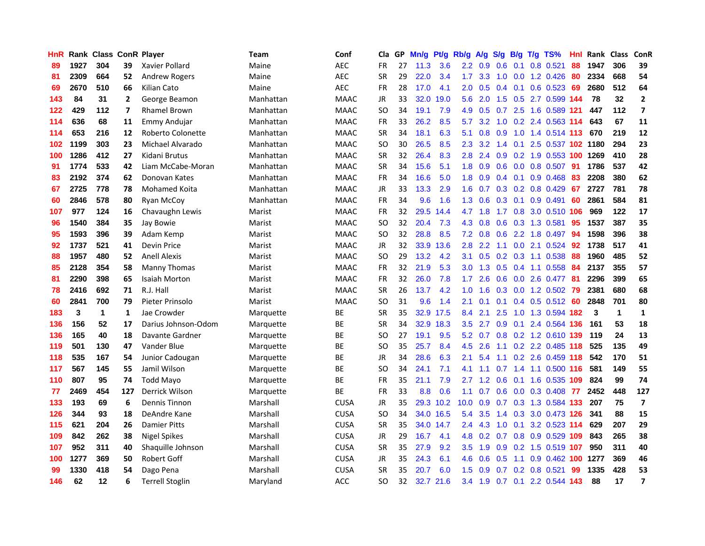| <b>HnR</b> |      |     |     | Rank Class ConR Player | <b>Team</b> | Conf        | Cla       |    | GP Mn/g | Pt/g      | Rb/g             | A/g             |                 |                 | S/g B/g T/g TS%                 | Hnl |      | Rank Class   | ConR                    |
|------------|------|-----|-----|------------------------|-------------|-------------|-----------|----|---------|-----------|------------------|-----------------|-----------------|-----------------|---------------------------------|-----|------|--------------|-------------------------|
| 89         | 1927 | 304 | 39  | Xavier Pollard         | Maine       | <b>AEC</b>  | FR        | 27 | 11.3    | 3.6       | 2.2              | 0.9             | 0.6             | 0.1             | 0.8 0.521                       | 88  | 1947 | 306          | 39                      |
| 81         | 2309 | 664 | 52  | <b>Andrew Rogers</b>   | Maine       | <b>AEC</b>  | <b>SR</b> | 29 | 22.0    | 3.4       | 1.7 <sup>2</sup> | 3.3             | 1.0             | 0.0             | 1.2 0.426                       | 80  | 2334 | 668          | 54                      |
| 69         | 2670 | 510 | 66  | Kilian Cato            | Maine       | <b>AEC</b>  | FR        | 28 | 17.0    | 4.1       | 2.0              | 0.5             | 0.4             | 0.1             | $0.6$ 0.523                     | -69 | 2680 | 512          | 64                      |
| 143        | 84   | 31  | 2   | George Beamon          | Manhattan   | <b>MAAC</b> | JR        | 33 | 32.0    | 19.0      | 5.6              | 2.0             |                 |                 | 1.5 0.5 2.7 0.599 144           |     | 78   | 32           | $\mathbf{2}$            |
| 122        | 429  | 112 | 7   | <b>Rhamel Brown</b>    | Manhattan   | <b>MAAC</b> | SO.       | 34 | 19.1    | 7.9       | 4.9              | 0.5             |                 |                 | 0.7 2.5 1.6 0.589 121           |     | 447  | 112          | 7                       |
| 114        | 636  | 68  | 11  | Emmy Andujar           | Manhattan   | <b>MAAC</b> | <b>FR</b> | 33 | 26.2    | 8.5       | 5.7              | 3.2             |                 |                 | 1.0 0.2 2.4 0.563 114           |     | 643  | 67           | 11                      |
| 114        | 653  | 216 | 12  | Roberto Colonette      | Manhattan   | <b>MAAC</b> | <b>SR</b> | 34 | 18.1    | 6.3       | 5.1              | 0.8             | 0.9             |                 | 1.0 1.4 0.514 113               |     | 670  | 219          | 12                      |
| 102        | 1199 | 303 | 23  | Michael Alvarado       | Manhattan   | <b>MAAC</b> | SO.       | 30 | 26.5    | 8.5       | 2.3              | 3.2             | 1.4             | 0.1             | 2.5 0.537 102 1180              |     |      | 294          | 23                      |
| 100        | 1286 | 412 | 27  | Kidani Brutus          | Manhattan   | <b>MAAC</b> | <b>SR</b> | 32 | 26.4    | 8.3       | 2.8              | 2.4             |                 |                 | 0.9 0.2 1.9 0.553 100           |     | 1269 | 410          | 28                      |
| 91         | 1774 | 533 | 42  | Liam McCabe-Moran      | Manhattan   | <b>MAAC</b> | <b>SR</b> | 34 | 15.6    | 5.1       | 1.8              | 0.9             | 0.6             |                 | 0.0 0.8 0.507                   | 91  | 1786 | 537          | 42                      |
| 83         | 2192 | 374 | 62  | Donovan Kates          | Manhattan   | <b>MAAC</b> | FR        | 34 | 16.6    | 5.0       | 1.8              | 0.9             |                 | $0.4 \quad 0.1$ | 0.9 0.468                       | 83  | 2208 | 380          | 62                      |
| 67         | 2725 | 778 | 78  | <b>Mohamed Koita</b>   | Manhattan   | <b>MAAC</b> | JR        | 33 | 13.3    | 2.9       | 1.6              | 0.7             |                 |                 | $0.3$ $0.2$ $0.8$ $0.429$       | 67  | 2727 | 781          | 78                      |
| 60         | 2846 | 578 | 80  | <b>Ryan McCoy</b>      | Manhattan   | <b>MAAC</b> | <b>FR</b> | 34 | 9.6     | 1.6       | 1.3              | 0.6             | 0.3             | 0.1             | 0.9 0.491                       | 60  | 2861 | 584          | 81                      |
| 107        | 977  | 124 | 16  | Chavaughn Lewis        | Marist      | <b>MAAC</b> | FR        | 32 | 29.5    | 14.4      | 4.7              | 1.8             | 1.7             | 0.8             | 3.0 0.510 106                   |     | 969  | 122          | 17                      |
| 96         | 1540 | 384 | 35  | Jay Bowie              | Marist      | <b>MAAC</b> | <b>SO</b> | 32 | 20.4    | 7.3       | 4.3              | 0.8             | 0.6             | 0.3             | 1.3 0.581                       | 95  | 1537 | 387          | 35                      |
| 95         | 1593 | 396 | 39  | Adam Kemp              | Marist      | <b>MAAC</b> | <b>SO</b> | 32 | 28.8    | 8.5       |                  | $7.2 \quad 0.8$ |                 |                 | 0.6 2.2 1.8 0.497               | -94 | 1598 | 396          | 38                      |
| 92         | 1737 | 521 | 41  | Devin Price            | Marist      | <b>MAAC</b> | JR        | 32 | 33.9    | 13.6      | 2.8              | 2.2             | 1.1             |                 | 0.0 2.1 0.524                   | 92  | 1738 | 517          | 41                      |
| 88         | 1957 | 480 | 52  | <b>Anell Alexis</b>    | Marist      | <b>MAAC</b> | SO.       | 29 | 13.2    | 4.2       | 3.1              |                 |                 |                 | $0.5$ $0.2$ $0.3$ $1.1$ $0.538$ | -88 | 1960 | 485          | 52                      |
| 85         | 2128 | 354 | 58  | Manny Thomas           | Marist      | <b>MAAC</b> | <b>FR</b> | 32 | 21.9    | 5.3       |                  | $3.0 \quad 1.3$ |                 |                 | $0.5$ 0.4 1.1 0.558             | -84 | 2137 | 355          | 57                      |
| 81         | 2290 | 398 | 65  | Isaiah Morton          | Marist      | <b>MAAC</b> | FR        | 32 | 26.0    | 7.8       | 1.7 <sub>1</sub> | 2.6             |                 |                 | 0.6 0.0 2.6 0.477 81            |     | 2296 | 399          | 65                      |
| 78         | 2416 | 692 | 71  | R.J. Hall              | Marist      | <b>MAAC</b> | <b>SR</b> | 26 | 13.7    | 4.2       | 1.0              | 1.6             |                 |                 | $0.3$ 0.0 1.2 0.502             | -79 | 2381 | 680          | 68                      |
| 60         | 2841 | 700 | 79  | Pieter Prinsolo        | Marist      | <b>MAAC</b> | <b>SO</b> | 31 | 9.6     | 1.4       | 2.1              | 0.1             | 0.1             |                 | $0.4$ 0.5 0.512                 | -60 | 2848 | 701          | 80                      |
| 183        | 3    | 1   | 1   | Jae Crowder            | Marquette   | ВE          | <b>SR</b> | 35 | 32.9    | 17.5      | 8.4              | 2.1             | 2.5             |                 | 1.0 1.3 0.594 182               |     | 3    | $\mathbf{1}$ | $\mathbf{1}$            |
| 136        | 156  | 52  | 17  | Darius Johnson-Odom    | Marquette   | BE          | <b>SR</b> | 34 |         | 32.9 18.3 | 3.5              | 2.7             | 0.9             | 0.1             | 2.4 0.564 136                   |     | 161  | 53           | 18                      |
| 136        | 165  | 40  | 18  | Davante Gardner        | Marquette   | BE          | SO.       | 27 | 19.1    | 9.5       | 5.2              | 0.7             |                 |                 | 0.8 0.2 1.2 0.610 139           |     | 119  | 24           | 13                      |
| 119        | 501  | 130 | 47  | Vander Blue            | Marquette   | BE          | <b>SO</b> | 35 | 25.7    | 8.4       | 4.5              | 2.6             | 1.1             |                 | 0.2 2.2 0.485 118               |     | 525  | 135          | 49                      |
| 118        | 535  | 167 | 54  | Junior Cadougan        | Marquette   | BE          | <b>JR</b> | 34 | 28.6    | 6.3       | 2.1              | 5.4             | 1.1             | 0.2             | 2.6 0.459 118                   |     | 542  | 170          | 51                      |
| 117        | 567  | 145 | 55  | Jamil Wilson           | Marquette   | ВE          | <b>SO</b> | 34 | 24.1    | 7.1       | 4.1              | 1.1             | 0.7             | 1.4             | 1.1 0.500 116                   |     | 581  | 149          | 55                      |
| 110        | 807  | 95  | 74  | <b>Todd Mayo</b>       | Marquette   | <b>BE</b>   | <b>FR</b> | 35 | 21.1    | 7.9       | 2.7              |                 | $1.2 \quad 0.6$ | 0.1             | 1.6 0.535 109                   |     | 824  | 99           | 74                      |
| 77         | 2469 | 454 | 127 | <b>Derrick Wilson</b>  | Marquette   | ВE          | FR        | 33 | 8.8     | 0.6       | 1.1              |                 |                 |                 | $0.7$ 0.6 0.0 0.3 0.408 77      |     | 2452 | 448          | 127                     |
| 133        | 193  | 69  | 6   | Dennis Tinnon          | Marshall    | <b>CUSA</b> | JR        | 35 |         | 29.3 10.2 | 10.0             | 0.9             |                 |                 | 0.7 0.3 1.3 0.584 133           |     | 207  | 75           | $\overline{\mathbf{z}}$ |
| 126        | 344  | 93  | 18  | DeAndre Kane           | Marshall    | <b>CUSA</b> | <b>SO</b> | 34 |         | 34.0 16.5 | 5.4              | 3.5             |                 |                 | 1.4 0.3 3.0 0.473 126           |     | 341  | 88           | 15                      |
| 115        | 621  | 204 | 26  | <b>Damier Pitts</b>    | Marshall    | <b>CUSA</b> | <b>SR</b> | 35 |         | 34.0 14.7 | 2.4              | 4.3             | 1.0             |                 | 0.1 3.2 0.523 114               |     | 629  | 207          | 29                      |
| 109        | 842  | 262 | 38  | Nigel Spikes           | Marshall    | <b>CUSA</b> | JR        | 29 | 16.7    | 4.1       | 4.8              | 0.2             | 0.7             |                 | 0.8 0.9 0.529 109               |     | 843  | 265          | 38                      |
| 107        | 952  | 311 | 40  | Shaquille Johnson      | Marshall    | <b>CUSA</b> | <b>SR</b> | 35 | 27.9    | 9.2       | 3.5              | 1.9             | 0.9             |                 | 0.2 1.5 0.519 107               |     | 950  | 311          | 40                      |
| 100        | 1277 | 369 | 50  | <b>Robert Goff</b>     | Marshall    | <b>CUSA</b> | JR        | 35 | 24.3    | 6.1       | 4.6              | 0.6             | 0.5             | 1.1             | $0.9$ 0.462                     | 100 | 1277 | 369          | 46                      |
| 99         | 1330 | 418 | 54  | Dago Pena              | Marshall    | <b>CUSA</b> | SR        | 35 | 20.7    | 6.0       | 1.5              | 0.9             | 0.7             | 0.2             | $0.8$ 0.521                     | 99  | 1335 | 428          | 53                      |
| 146        | 62   | 12  | 6   | <b>Terrell Stoglin</b> | Maryland    | <b>ACC</b>  | <b>SO</b> | 32 |         | 32.7 21.6 |                  | 3.4 1.9         |                 |                 | 0.7 0.1 2.2 0.544 143           |     | 88   | 17           | $\overline{\mathbf{z}}$ |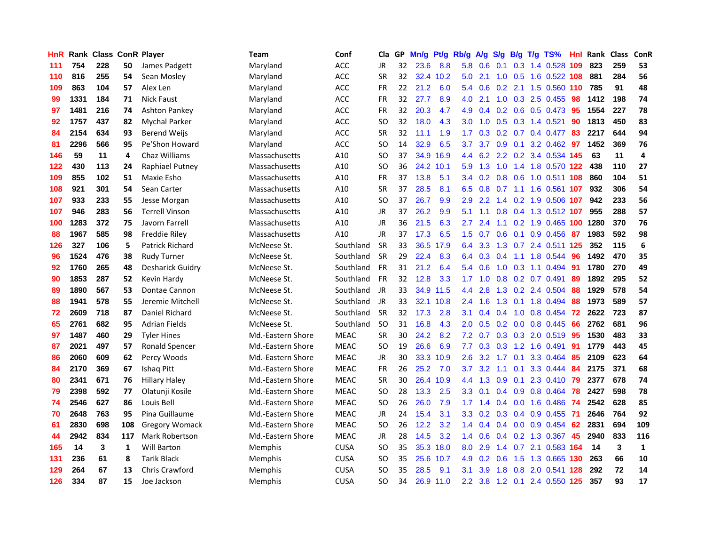| <b>HnR</b> |      | <b>Rank Class ConR Player</b> |     |                         | Team              | Conf        | Cla       |    | GP Mn/g | Pt/g      | Rb/g             | A/g             | S/g         | B/g             | $T/g$ TS%                 | Hnl  | Rank | <b>Class</b> | ConR         |
|------------|------|-------------------------------|-----|-------------------------|-------------------|-------------|-----------|----|---------|-----------|------------------|-----------------|-------------|-----------------|---------------------------|------|------|--------------|--------------|
| 111        | 754  | 228                           | 50  | James Padgett           | Maryland          | <b>ACC</b>  | <b>JR</b> | 32 | 23.6    | 8.8       | 5.8              | 0.6             | 0.1         | 0.3             | 1.4 0.528                 | 109  | 823  | 259          | 53           |
| 110        | 816  | 255                           | 54  | Sean Mosley             | Maryland          | ACC         | <b>SR</b> | 32 |         | 32.4 10.2 | 5.0              | 2.1             | 1.0         | 0.5             | 1.6 0.522 108             |      | 881  | 284          | 56           |
| 109        | 863  | 104                           | 57  | Alex Len                | Maryland          | <b>ACC</b>  | <b>FR</b> | 22 | 21.2    | 6.0       | 5.4              | 0.6             | $0.2$ 2.1   |                 | 1.5 0.560 110             |      | 785  | 91           | 48           |
| 99         | 1331 | 184                           | 71  | <b>Nick Faust</b>       | Maryland          | <b>ACC</b>  | FR        | 32 | 27.7    | 8.9       | 4.0              | 2.1             |             |                 | 1.0 0.3 2.5 0.455         | -98  | 1412 | 198          | 74           |
| 97         | 1481 | 216                           | 74  | <b>Ashton Pankey</b>    | Maryland          | <b>ACC</b>  | <b>FR</b> | 32 | 20.3    | 4.7       | 4.9              | 0.4             |             |                 | $0.2$ 0.6 0.5 0.473       | -95  | 1554 | 227          | 78           |
| 92         | 1757 | 437                           | 82  | <b>Mychal Parker</b>    | Maryland          | ACC         | SO.       | 32 | 18.0    | 4.3       | 3.0 <sub>1</sub> | 1.0             |             |                 | $0.5$ $0.3$ 1.4 $0.521$   | 90   | 1813 | 450          | 83           |
| 84         | 2154 | 634                           | 93  | Berend Weijs            | Maryland          | ACC         | <b>SR</b> | 32 | 11.1    | 1.9       | 1.7 <sup>2</sup> | 0.3             |             |                 | $0.2$ 0.7 0.4 0.477       | 83   | 2217 | 644          | 94           |
| 81         | 2296 | 566                           | 95  | Pe'Shon Howard          | Maryland          | <b>ACC</b>  | <b>SO</b> | 14 | 32.9    | 6.5       | 3.7 <sub>2</sub> | 3.7             |             |                 | 0.9 0.1 3.2 0.462         | 97   | 1452 | 369          | 76           |
| 146        | 59   | 11                            | 4   | Chaz Williams           | Massachusetts     | A10         | <b>SO</b> | 37 | 34.9    | 16.9      | $4.4^{\circ}$    |                 |             |                 | 6.2 2.2 0.2 3.4 0.534 145 |      | 63   | 11           | 4            |
| 122        | 430  | 113                           | 24  | Raphiael Putney         | Massachusetts     | A10         | SO.       | 36 |         | 24.2 10.1 | 5.9              | 1.3             | 1.0         |                 | 1.4 1.8 0.570 122         |      | 438  | 110          | 27           |
| 109        | 855  | 102                           | 51  | Maxie Esho              | Massachusetts     | A10         | <b>FR</b> | 37 | 13.8    | 5.1       | 3.4              | 0.2             |             | $0.8\quad 0.6$  | 1.0 0.511 108             |      | 860  | 104          | 51           |
| 108        | 921  | 301                           | 54  | Sean Carter             | Massachusetts     | A10         | <b>SR</b> | 37 | 28.5    | 8.1       | 6.5              | 0.8             | 0.7         |                 | 1.1 1.6 0.561             | -107 | 932  | 306          | 54           |
| 107        | 933  | 233                           | 55  | Jesse Morgan            | Massachusetts     | A10         | <b>SO</b> | 37 | 26.7    | 9.9       | 2.9              | 2.2             | 1.4         |                 | $0.2$ 1.9 $0.506$         | -107 | 942  | 233          | 56           |
| 107        | 946  | 283                           | 56  | <b>Terrell Vinson</b>   | Massachusetts     | A10         | JR        | 37 | 26.2    | 9.9       | 5.1              | 1.1             | 0.8         | 0.4             | 1.3 0.512 107             |      | 955  | 288          | 57           |
| 100        | 1283 | 372                           | 75  | Javorn Farrell          | Massachusetts     | A10         | JR        | 36 | 21.5    | 6.3       | 2.7              | 2.4             | 1.1         | 0.2             | 1.9 0.465 100             |      | 1280 | 370          | 76           |
| 88         | 1967 | 585                           | 98  | Freddie Riley           | Massachusetts     | A10         | JR        | 37 | 17.3    | 6.5       | 1.5              | 0.7             | 0.6         | 0.1             | 0.9 0.456                 | -87  | 1983 | 592          | 98           |
| 126        | 327  | 106                           | 5   | Patrick Richard         | McNeese St.       | Southland   | <b>SR</b> | 33 |         | 36.5 17.9 |                  | 6.4 3.3         |             |                 | 1.3 0.7 2.4 0.511 125     |      | 352  | 115          | 6            |
| 96         | 1524 | 476                           | 38  | Rudy Turner             | McNeese St.       | Southland   | <b>SR</b> | 29 | 22.4    | 8.3       |                  |                 | 6.4 0.3 0.4 |                 | 1.1 1.8 0.544             | 96   | 1492 | 470          | 35           |
| 92         | 1760 | 265                           | 48  | <b>Desharick Guidry</b> | McNeese St.       | Southland   | <b>FR</b> | 31 | 21.2    | 6.4       |                  | 5.4 0.6         |             |                 | 1.0 0.3 1.1 0.494         | 91   | 1780 | 270          | 49           |
| 90         | 1853 | 287                           | 52  | Kevin Hardy             | McNeese St.       | Southland   | <b>FR</b> | 32 | 12.8    | 3.3       | 1.7 <sub>1</sub> | 1.0             |             |                 | $0.8$ 0.2 0.7 0.491       | 89   | 1892 | 295          | 52           |
| 89         | 1890 | 567                           | 53  | Dontae Cannon           | McNeese St.       | Southland   | JR        | 33 |         | 34.9 11.5 | 4.4              | 2.8             |             |                 | 1.3 0.2 2.4 0.504         | 88   | 1929 | 578          | 54           |
| 88         | 1941 | 578                           | 55  | Jeremie Mitchell        | McNeese St.       | Southland   | JR        | 33 | 32.1    | 10.8      | 2.4              | 1.6             | 1.3         | 0.1             | 1.8 0.494                 | 88   | 1973 | 589          | 57           |
| 72         | 2609 | 718                           | 87  | Daniel Richard          | McNeese St.       | Southland   | <b>SR</b> | 32 | 17.3    | 2.8       | 3.1              | 0.4             | 0.4         |                 | 1.0 0.8 0.454             | 72   | 2622 | 723          | 87           |
| 65         | 2761 | 682                           | 95  | <b>Adrian Fields</b>    | McNeese St.       | Southland   | <b>SO</b> | 31 | 16.8    | 4.3       | 2.0              | 0.5             |             | $0.2\quad 0.0$  | 0.8 0.445                 | 66   | 2762 | 681          | 96           |
| 97         | 1487 | 460                           | 29  | <b>Tyler Hines</b>      | Md.-Eastern Shore | <b>MEAC</b> | <b>SR</b> | 30 | 24.2    | 8.2       | 7.2              | 0.7             |             | $0.3 \quad 0.3$ | 2.0 0.519                 | 95   | 1530 | 483          | 33           |
| 87         | 2021 | 497                           | 57  | Ronald Spencer          | Md.-Eastern Shore | <b>MEAC</b> | SO.       | 19 | 26.6    | 6.9       | 7.7              | 0.3             | 0.3         | 1.2             | 1.6 0.491                 | 91   | 1779 | 443          | 45           |
| 86         | 2060 | 609                           | 62  | Percy Woods             | Md.-Eastern Shore | <b>MEAC</b> | JR        | 30 |         | 33.3 10.9 | 2.6              | 3.2             | 1.7         | 0.1             | 3.3 0.464                 | 85   | 2109 | 623          | 64           |
| 84         | 2170 | 369                           | 67  | <b>Ishaq Pitt</b>       | Md.-Eastern Shore | <b>MEAC</b> | FR        | 26 | 25.2    | 7.0       | 3.7              | 3.2             | 1.1         | 0.1             | 3.3 0.444                 | 84   | 2175 | 371          | 68           |
| 80         | 2341 | 671                           | 76  | <b>Hillary Haley</b>    | Md.-Eastern Shore | <b>MEAC</b> | <b>SR</b> | 30 | 26.4    | 10.9      | $4.4^{\circ}$    | 1.3             | 0.9         | 0.1             | 2.3 0.410                 | -79  | 2377 | 678          | 74           |
| 79         | 2398 | 592                           | 77  | Olatunji Kosile         | Md.-Eastern Shore | <b>MEAC</b> | <b>SO</b> | 28 | 13.3    | 2.5       | 3.3 <sub>2</sub> | 0.1             |             |                 | $0.4$ 0.9 0.8 0.464       | 78   | 2427 | 598          | 78           |
| 74         | 2546 | 627                           | 86  | Louis Bell              | Md.-Eastern Shore | <b>MEAC</b> | SO.       | 26 | 26.0    | 7.9       |                  | $1.7 \quad 1.4$ |             |                 | $0.4$ 0.0 1.6 0.486       | -74  | 2542 | 628          | 85           |
| 70         | 2648 | 763                           | 95  | Pina Guillaume          | Md.-Eastern Shore | <b>MEAC</b> | JR        | 24 | 15.4    | 3.1       | 3.3              | 0.2             |             |                 | $0.3$ 0.4 0.9 0.455       | - 71 | 2646 | 764          | 92           |
| 61         | 2830 | 698                           | 108 | <b>Gregory Womack</b>   | Md.-Eastern Shore | <b>MEAC</b> | <b>SO</b> | 26 | 12.2    | 3.2       |                  | $1.4 \quad 0.4$ |             |                 | $0.4$ 0.0 0.9 0.454       | 62   | 2831 | 694          | 109          |
| 44         | 2942 | 834                           | 117 | <b>Mark Robertson</b>   | Md.-Eastern Shore | <b>MEAC</b> | JR        | 28 | 14.5    | 3.2       |                  | $1.4 \quad 0.6$ |             |                 | $0.4$ 0.2 1.3 0.367       | 45   | 2940 | 833          | 116          |
| 165        | 14   | 3                             | 1   | <b>Will Barton</b>      | Memphis           | <b>CUSA</b> | SO.       | 35 | 35.3    | 18.0      | 8.0              | 2.9             | 1.4         |                 | 0.7 2.1 0.583 164         |      | 14   | 3            | $\mathbf{1}$ |
| 131        | 236  | 61                            | 8   | <b>Tarik Black</b>      | <b>Memphis</b>    | <b>CUSA</b> | SO.       | 35 | 25.6    | 10.7      | 4.9              | 0.2             | 0.6         | 1.5             | 1.3 0.665                 | 130  | 263  | 66           | 10           |
| 129        | 264  | 67                            | 13  | <b>Chris Crawford</b>   | Memphis           | <b>CUSA</b> | SO        | 35 | 28.5    | 9.1       | 3.1              | 3.9             | 1.8         | 0.8             | 2.0 0.541                 | 128  | 292  | 72           | 14           |
| 126        | 334  | 87                            | 15  | Joe Jackson             | Memphis           | <b>CUSA</b> | <b>SO</b> | 34 |         | 26.9 11.0 | 2.2              | 3.8             |             |                 | 1.2 0.1 2.4 0.550 125     |      | 357  | 93           | 17           |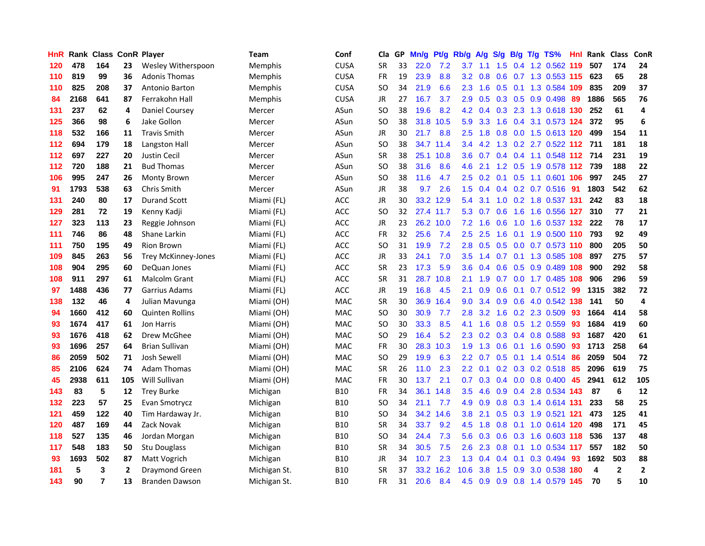| <b>HnR</b> |      | Rank Class ConR Player |                |                            | <b>Team</b>    | Conf        | Cla           |    | GP Mn/g | Pt/g      | Rb/g             | A/g             |               |     | S/g B/g T/g TS%           | Hnl | Rank Class              |              | ConR         |
|------------|------|------------------------|----------------|----------------------------|----------------|-------------|---------------|----|---------|-----------|------------------|-----------------|---------------|-----|---------------------------|-----|-------------------------|--------------|--------------|
| 120        | 478  | 164                    | 23             | Wesley Witherspoon         | <b>Memphis</b> | <b>CUSA</b> | <b>SR</b>     | 33 | 22.0    | 7.2       | 3.7              | 1.1             | $1.5^{\circ}$ | 0.4 | 1.2 0.562                 | 119 | 507                     | 174          | 24           |
| 110        | 819  | 99                     | 36             | <b>Adonis Thomas</b>       | <b>Memphis</b> | <b>CUSA</b> | <b>FR</b>     | 19 | 23.9    | 8.8       | 3.2              | 0.8             | 0.6           |     | 0.7 1.3 0.553 115         |     | 623                     | 65           | 28           |
| 110        | 825  | 208                    | 37             | <b>Antonio Barton</b>      | <b>Memphis</b> | <b>CUSA</b> | SO.           | 34 | 21.9    | 6.6       | $2.3^{\circ}$    | 1.6             | 0.5           | 0.1 | 1.3 0.584 109             |     | 835                     | 209          | 37           |
| 84         | 2168 | 641                    | 87             | Ferrakohn Hall             | <b>Memphis</b> | <b>CUSA</b> | JR            | 27 | 16.7    | 3.7       | 2.9              | 0.5             |               |     | $0.3$ $0.5$ $0.9$ $0.498$ | -89 | 1886                    | 565          | 76           |
| 131        | 237  | 62                     | 4              | Daniel Coursey             | Mercer         | ASun        | SO.           | 38 | 19.6    | 8.2       |                  | $4.2 \quad 0.4$ |               |     | 0.3 2.3 1.3 0.618 130     |     | 252                     | 61           | 4            |
| 125        | 366  | 98                     | 6              | Jake Gollon                | Mercer         | ASun        | SO.           | 38 | 31.8    | 10.5      | 5.9              | 3.3             | 1.6           |     | 0.4 3.1 0.573 124         |     | 372                     | 95           | 6            |
| 118        | 532  | 166                    | 11             | <b>Travis Smith</b>        | Mercer         | ASun        | JR            | 30 | 21.7    | 8.8       | 2.5              | 1.8             |               |     | 0.8 0.0 1.5 0.613 120     |     | 499                     | 154          | 11           |
| 112        | 694  | 179                    | 18             | Langston Hall              | Mercer         | ASun        | SO.           | 38 |         | 34.7 11.4 | 3.4              | 4.2             |               |     | 1.3 0.2 2.7 0.522 112 711 |     |                         | 181          | 18           |
| 112        | 697  | 227                    | 20             | <b>Justin Cecil</b>        | Mercer         | ASun        | <b>SR</b>     | 38 |         | 25.1 10.8 | 3.6              | 0.7             |               |     | 0.4 0.4 1.1 0.548 112     |     | 714                     | 231          | 19           |
| 112        | 720  | 188                    | 21             | <b>Bud Thomas</b>          | Mercer         | ASun        | <sub>SO</sub> | 38 | 31.6    | 8.6       | 4.6              | 2.1             |               |     | 1.2 0.5 1.9 0.578 112     |     | 739                     | 188          | 22           |
| 106        | 995  | 247                    | 26             | <b>Monty Brown</b>         | Mercer         | ASun        | <b>SO</b>     | 38 | 11.6    | 4.7       | 2.5              | 0.2             |               |     | 0.1 0.5 1.1 0.601 106     |     | 997                     | 245          | 27           |
| 91         | 1793 | 538                    | 63             | <b>Chris Smith</b>         | Mercer         | ASun        | <b>JR</b>     | 38 | 9.7     | 2.6       | 1.5              | 0.4             |               |     | $0.4$ 0.2 0.7 0.516       | -91 | 1803                    | 542          | 62           |
| 131        | 240  | 80                     | 17             | <b>Durand Scott</b>        | Miami (FL)     | <b>ACC</b>  | JR            | 30 |         | 33.2 12.9 | 5.4              | 3.1             | 1.0           |     | 0.2 1.8 0.537 131         |     | 242                     | 83           | 18           |
| 129        | 281  | 72                     | 19             | Kenny Kadji                | Miami (FL)     | ACC         | SO.           | 32 |         | 27.4 11.7 | 5.3              | 0.7             | 0.6           | 1.6 | 1.6 0.556 127             |     | 310                     | 77           | 21           |
| 127        | 323  | 113                    | 23             | Reggie Johnson             | Miami (FL)     | <b>ACC</b>  | <b>JR</b>     | 23 |         | 26.2 10.0 | 7.2              | 1.6             | 0.6           | 1.0 | 1.6 0.537 132             |     | 222                     | 78           | 17           |
| 111        | 746  | 86                     | 48             | Shane Larkin               | Miami (FL)     | <b>ACC</b>  | FR            | 32 | 25.6    | 7.4       | 2.5              | 2.5             | 1.6           | 0.1 | 1.9 0.500 110             |     | 793                     | 92           | 49           |
| 111        | 750  | 195                    | 49             | Rion Brown                 | Miami (FL)     | <b>ACC</b>  | <b>SO</b>     | 31 | 19.9    | 7.2       | 2.8              | 0.5             |               |     | 0.5 0.0 0.7 0.573 110     |     | 800                     | 205          | 50           |
| 109        | 845  | 263                    | 56             | <b>Trey McKinney-Jones</b> | Miami (FL)     | <b>ACC</b>  | JR            | 33 | 24.1    | 7.0       |                  | $3.5 \quad 1.4$ |               |     | 0.7 0.1 1.3 0.585 108     |     | 897                     | 275          | 57           |
| 108        | 904  | 295                    | 60             | DeQuan Jones               | Miami (FL)     | ACC         | <b>SR</b>     | 23 | 17.3    | 5.9       | 3.6              | 0.4             |               |     | 0.6 0.5 0.9 0.489 108     |     | 900                     | 292          | 58           |
| 108        | 911  | 297                    | 61             | Malcolm Grant              | Miami (FL)     | ACC         | <b>SR</b>     | 31 |         | 28.7 10.8 | 2.1              | 1.9             |               |     | 0.7 0.0 1.7 0.485 108     |     | 906                     | 296          | 59           |
| 97         | 1488 | 436                    | 77             | Garrius Adams              | Miami (FL)     | <b>ACC</b>  | JR            | 19 | 16.8    | 4.5       | 2.1              | 0.9             | 0.6           |     | $0.1$ 0.7 0.512           | -99 | 1315                    | 382          | 72           |
| 138        | 132  | 46                     | 4              | Julian Mavunga             | Miami (OH)     | <b>MAC</b>  | <b>SR</b>     | 30 | 36.9    | 16.4      | 9.0              | 3.4             | 0.9           | 0.6 | 4.0 0.542 138             |     | 141                     | 50           | 4            |
| 94         | 1660 | 412                    | 60             | <b>Quinten Rollins</b>     | Miami (OH)     | <b>MAC</b>  | <b>SO</b>     | 30 | 30.9    | 7.7       | 2.8              | 3.2             | 1.6           |     | 0.2 2.3 0.509             | -93 | 1664                    | 414          | 58           |
| 93         | 1674 | 417                    | 61             | Jon Harris                 | Miami (OH)     | MAC         | SO.           | 30 | 33.3    | 8.5       | 4.1              | 1.6             |               |     | 0.8 0.5 1.2 0.559         | -93 | 1684                    | 419          | 60           |
| 93         | 1676 | 418                    | 62             | Drew McGhee                | Miami (OH)     | MAC         | SO.           | 29 | 16.4    | 5.2       | 2.3              | 0.2             |               |     | $0.3$ 0.4 0.8 0.588       | 93  | 1687                    | 420          | 61           |
| 93         | 1696 | 257                    | 64             | <b>Brian Sullivan</b>      | Miami (OH)     | <b>MAC</b>  | <b>FR</b>     | 30 |         | 28.3 10.3 | 1.9              | 1.3             | 0.6           | 0.1 | 1.6 0.590                 | 93  | 1713                    | 258          | 64           |
| 86         | 2059 | 502                    | 71             | Josh Sewell                | Miami (OH)     | <b>MAC</b>  | <b>SO</b>     | 29 | 19.9    | 6.3       | 2.2              | 0.7             | 0.5           |     | 0.1 1.4 0.514             | 86  | 2059                    | 504          | 72           |
| 85         | 2106 | 624                    | 74             | <b>Adam Thomas</b>         | Miami (OH)     | MAC         | <b>SR</b>     | 26 | 11.0    | 2.3       | $2.2\phantom{0}$ | 0.1             |               |     | $0.2$ $0.3$ $0.2$ $0.518$ | 85  | 2096                    | 619          | 75           |
| 45         | 2938 | 611                    | 105            | <b>Will Sullivan</b>       | Miami (OH)     | <b>MAC</b>  | <b>FR</b>     | 30 | 13.7    | 2.1       | 0.7              | 0.3             |               |     | $0.4$ 0.0 0.8 0.400 45    |     | 2941                    | 612          | 105          |
| 143        | 83   | 5                      | 12             | <b>Trey Burke</b>          | Michigan       | <b>B10</b>  | <b>FR</b>     | 34 | 36.1    | 14.8      | 3.5              | 4.6             |               |     | 0.9 0.4 2.8 0.534 143     |     | 87                      | 6            | 12           |
| 132        | 223  | 57                     | 25             | Evan Smotrycz              | Michigan       | <b>B10</b>  | SO.           | 34 | 21.1    | 7.7       | 4.9              | 0.9             |               |     | 0.8 0.3 1.4 0.614 131     |     | 233                     | 58           | 25           |
| 121        | 459  | 122                    | 40             | Tim Hardaway Jr.           | Michigan       | <b>B10</b>  | <b>SO</b>     | 34 |         | 34.2 14.6 | 3.8              | 2.1             |               |     | 0.5 0.3 1.9 0.521 121     |     | 473                     | 125          | 41           |
| 120        | 487  | 169                    | 44             | Zack Novak                 | Michigan       | <b>B10</b>  | <b>SR</b>     | 34 | 33.7    | 9.2       | 4.5              | 1.8             |               |     | 0.8 0.1 1.0 0.614 120     |     | 498                     | 171          | 45           |
| 118        | 527  | 135                    | 46             | Jordan Morgan              | Michigan       | <b>B10</b>  | <b>SO</b>     | 34 | 24.4    | 7.3       | 5.6              | 0.3             |               |     | 0.6 0.3 1.6 0.603 118     |     | 536                     | 137          | 48           |
| 117        | 548  | 183                    | 50             | Stu Douglass               | Michigan       | <b>B10</b>  | <b>SR</b>     | 34 | 30.5    | 7.5       | 2.6              | 2.3             | 0.8           | 0.1 | 1.0 0.534 117             |     | 557                     | 182          | 50           |
| 93         | 1693 | 502                    | 87             | Matt Vogrich               | Michigan       | <b>B10</b>  | JR            | 34 | 10.7    | 2.3       | 1.3              | 0.4             | 0.4           | 0.1 | 0.3 0.494                 | 93  | 1692                    | 503          | 88           |
| 181        | 5    | 3                      | $\overline{2}$ | <b>Draymond Green</b>      | Michigan St.   | B10         | <b>SR</b>     | 37 | 33.2    | 16.2      | 10.6             | 3.8             | 1.5           | 0.9 | 3.0 0.538                 | 180 | $\overline{\mathbf{4}}$ | $\mathbf{2}$ | $\mathbf{2}$ |
| 143        | 90   | $\overline{7}$         | 13             | Branden Dawson             | Michigan St.   | <b>B10</b>  | <b>FR</b>     | 31 | 20.6    | 8.4       | 4.5              | 0.9             |               |     | 0.9 0.8 1.4 0.579 145     |     | 70                      | 5            | 10           |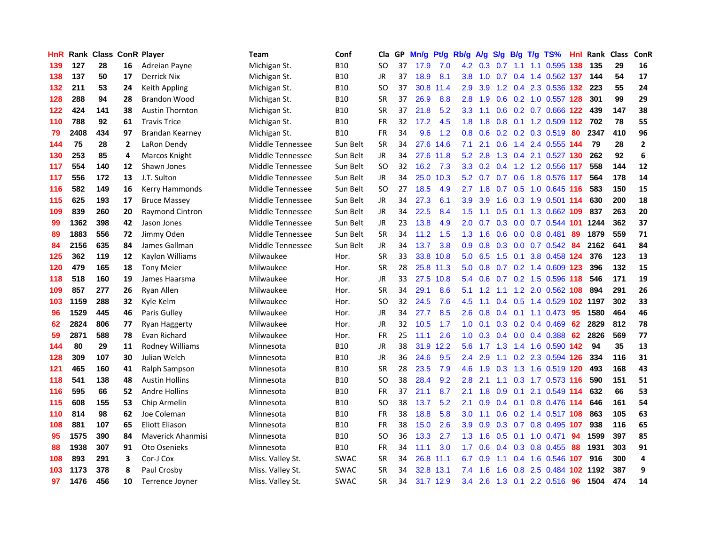| HnR |      | <b>Rank Class ConR Player</b> |              |                          | Team             | Conf        | Cla           |    | GP Mn/g | Pt/g      | Rb/g             | <b>A/g</b>     | <b>S/g</b> |             | B/g T/g TS%               | Hnl | Rank Class |     | ConR           |
|-----|------|-------------------------------|--------------|--------------------------|------------------|-------------|---------------|----|---------|-----------|------------------|----------------|------------|-------------|---------------------------|-----|------------|-----|----------------|
| 139 | 127  | 28                            | 16           | Adreian Payne            | Michigan St.     | <b>B10</b>  | SO            | 37 | 17.9    | 7.0       | 4.2              | 0.3            | 0.7        | 1.1         | 1.1 0.595                 | 138 | 135        | 29  | 16             |
| 138 | 137  | 50                            | 17           | Derrick Nix              | Michigan St.     | <b>B10</b>  | <b>JR</b>     | 37 | 18.9    | 8.1       | 3.8              | 1.0            | 0.7        | 0.4         | 1.4 0.562 137             |     | 144        | 54  | 17             |
| 132 | 211  | 53                            | 24           | Keith Appling            | Michigan St.     | <b>B10</b>  | <b>SO</b>     | 37 | 30.8    | 11.4      | 2.9              | 3.9            |            |             | 1.2 0.4 2.3 0.536 132     |     | 223        | 55  | 24             |
| 128 | 288  | 94                            | 28           | <b>Brandon Wood</b>      | Michigan St.     | <b>B10</b>  | <b>SR</b>     | 37 | 26.9    | 8.8       | 2.8              | 1.9            |            |             | 0.6 0.2 1.0 0.557 128     |     | 301        | 99  | 29             |
| 122 | 424  | 141                           | 38           | <b>Austin Thornton</b>   | Michigan St.     | <b>B10</b>  | <b>SR</b>     | 37 | 21.8    | 5.2       | 3.3 <sub>2</sub> | 1.1            |            |             | 0.6 0.2 0.7 0.666 122     |     | 439        | 147 | 38             |
| 110 | 788  | 92                            | 61           | <b>Travis Trice</b>      | Michigan St.     | <b>B10</b>  | <b>FR</b>     | 32 | 17.2    | 4.5       | 1.8              | 1.8            |            |             | 0.8 0.1 1.2 0.509 112 702 |     |            | 78  | 55             |
| 79  | 2408 | 434                           | 97           | Brandan Kearney          | Michigan St.     | <b>B10</b>  | FR            | 34 | 9.6     | 1.2       | 0.8 <sub>0</sub> | 0.6            |            |             | $0.2$ 0.2 0.3 0.519       | 80  | 2347       | 410 | 96             |
| 144 | 75   | 28                            | $\mathbf{2}$ | LaRon Dendy              | Middle Tennessee | Sun Belt    | <b>SR</b>     | 34 | 27.6    | 14.6      | 7.1              | 2.1            | 0.6        |             | 1.4 2.4 0.555 144         |     | 79         | 28  | $\overline{2}$ |
| 130 | 253  | 85                            | 4            | Marcos Knight            | Middle Tennessee | Sun Belt    | <b>JR</b>     | 34 | 27.6    | 11.8      | 5.2              | 2.8            | 1.3        |             | 0.4 2.1 0.527 130         |     | 262        | 92  | 6              |
| 117 | 554  | 140                           | 12           | Shawn Jones              | Middle Tennessee | Sun Belt    | <sub>SO</sub> | 32 | 16.2    | 7.3       | 3.3 <sub>2</sub> | 0.2            | 0.4        |             | 1.2 1.2 0.556             | 117 | 558        | 144 | 12             |
| 117 | 556  | 172                           | 13           | J.T. Sulton              | Middle Tennessee | Sun Belt    | <b>JR</b>     | 34 |         | 25.0 10.3 |                  | $5.2\quad 0.7$ |            |             | 0.7 0.6 1.8 0.576 117     |     | 564        | 178 | 14             |
| 116 | 582  | 149                           | 16           | Kerry Hammonds           | Middle Tennessee | Sun Belt    | <b>SO</b>     | 27 | 18.5    | 4.9       | 2.7              | 1.8            | 0.7        | 0.5         | 1.0 0.645 116             |     | 583        | 150 | 15             |
| 115 | 625  | 193                           | 17           | <b>Bruce Massey</b>      | Middle Tennessee | Sun Belt    | JR            | 34 | 27.3    | 6.1       | 3.9              | 3.9            | 1.6        | 0.3         | 1.9 0.501 114             |     | 630        | 200 | 18             |
| 109 | 839  | 260                           | 20           | <b>Raymond Cintron</b>   | Middle Tennessee | Sun Belt    | JR            | 34 | 22.5    | 8.4       | 1.5 <sub>1</sub> | 1.1            | 0.5        | 0.1         | 1.3 0.662                 | 109 | 837        | 263 | 20             |
| 99  | 1362 | 398                           | 42           | Jason Jones              | Middle Tennessee | Sun Belt    | <b>JR</b>     | 23 | 13.8    | 4.9       | 2.0              | 0.7            | 0.3        | 0.0         | 0.7 0.544 101             |     | 1244       | 362 | 37             |
| 89  | 1883 | 556                           | 72           | Jimmy Oden               | Middle Tennessee | Sun Belt    | <b>SR</b>     | 34 | 11.2    | 1.5       | 1.3              | 1.6            | 0.6        |             | $0.0$ 0.8 0.481           | 89  | 1879       | 559 | 71             |
| 84  | 2156 | 635                           | 84           | James Gallman            | Middle Tennessee | Sun Belt    | JR            | 34 | 13.7    | 3.8       | 0.9 <sup>°</sup> |                |            |             | 0.8 0.3 0.0 0.7 0.542 84  |     | 2162       | 641 | 84             |
| 125 | 362  | 119                           | 12           | Kaylon Williams          | Milwaukee        | Hor.        | <b>SR</b>     | 33 |         | 33.8 10.8 |                  | $5.0\quad 6.5$ |            | $1.5 \t0.1$ | 3.8 0.458 124             |     | 376        | 123 | 13             |
| 120 | 479  | 165                           | 18           | <b>Tony Meier</b>        | Milwaukee        | Hor.        | <b>SR</b>     | 28 |         | 25.8 11.3 | 5.0              | 0.8            |            |             | 0.7 0.2 1.4 0.609 123     |     | 396        | 132 | 15             |
| 118 | 518  | 160                           | 19           | James Haarsma            | Milwaukee        | Hor.        | JR            | 33 |         | 27.5 10.8 |                  | 5.4 0.6        |            |             | 0.7 0.2 1.5 0.596 118     |     | 546        | 171 | 19             |
| 109 | 857  | 277                           | 26           | Ryan Allen               | Milwaukee        | Hor.        | <b>SR</b>     | 34 | 29.1    | 8.6       | 5.1              | 1.2            | 1.1        |             | 1.2 2.0 0.562 108         |     | 894        | 291 | 26             |
| 103 | 1159 | 288                           | 32           | Kyle Kelm                | Milwaukee        | Hor.        | <sub>SO</sub> | 32 | 24.5    | 7.6       | 4.5              | 1.1            |            | $0.4$ 0.5   | 1.4 0.529 102 1197        |     |            | 302 | 33             |
| 96  | 1529 | 445                           | 46           | Paris Gulley             | Milwaukee        | Hor.        | JR            | 34 | 27.7    | 8.5       | 2.6              | 0.8            | 0.4        |             | $0.1$ 1.1 0.473           | 95  | 1580       | 464 | 46             |
| 62  | 2824 | 806                           | 77           | Ryan Haggerty            | Milwaukee        | Hor.        | <b>JR</b>     | 32 | 10.5    | 1.7       | 1.0              | 0.1            |            |             | $0.3$ 0.2 0.4 0.469       | 62  | 2829       | 812 | 78             |
| 59  | 2871 | 588                           | 78           | Evan Richard             | Milwaukee        | Hor.        | <b>FR</b>     | 25 | 11.1    | 2.6       | 1.0              | 0.3            |            |             | $0.4$ 0.0 0.4 0.388       | 62  | 2826       | 569 | 77             |
| 144 | 80   | 29                            | 11           | Rodney Williams          | Minnesota        | <b>B10</b>  | <b>JR</b>     | 38 | 31.9    | 12.2      | 5.6              | 1.7            | 1.3        |             | 1.4 1.6 0.590 142         |     | 94         | 35  | 13             |
| 128 | 309  | 107                           | 30           | Julian Welch             | Minnesota        | <b>B10</b>  | JR            | 36 | 24.6    | 9.5       | 2.4              | 2.9            | 1.1        | 0.2         | 2.3 0.594 126             |     | 334        | 116 | 31             |
| 121 | 465  | 160                           | 41           | Ralph Sampson            | Minnesota        | <b>B10</b>  | <b>SR</b>     | 28 | 23.5    | 7.9       | 4.6              | 1.9            | 0.3        | 1.3         | 1.6 0.519 120             |     | 493        | 168 | 43             |
| 118 | 541  | 138                           | 48           | <b>Austin Hollins</b>    | Minnesota        | <b>B10</b>  | SO            | 38 | 28.4    | 9.2       | 2.8              | 2.1            | 1.1        |             | 0.3 1.7 0.573 116         |     | 590        | 151 | 51             |
| 116 | 595  | 66                            | 52           | <b>Andre Hollins</b>     | Minnesota        | <b>B10</b>  | <b>FR</b>     | 37 | 21.1    | 8.7       | 2.1              | 1.8            | 0.9        |             | $0.1$ 2.1 0.549 114       |     | 632        | 66  | 53             |
| 115 | 608  | 155                           | 53           | Chip Armelin             | Minnesota        | <b>B10</b>  | SO            | 38 | 13.7    | 5.2       | 2.1              | 0.9            |            |             | 0.4 0.1 0.8 0.476 114     |     | 646        | 161 | 54             |
| 110 | 814  | 98                            | 62           | Joe Coleman              | Minnesota        | <b>B10</b>  | <b>FR</b>     | 38 | 18.8    | 5.8       | 3.0 <sub>2</sub> | 1.1            |            |             | 0.6 0.2 1.4 0.517 108     |     | 863        | 105 | 63             |
| 108 | 881  | 107                           | 65           | Eliott Eliason           | Minnesota        | <b>B10</b>  | <b>FR</b>     | 38 | 15.0    | 2.6       | 3.9              | 0.9            |            |             | 0.3 0.7 0.8 0.495 107     |     | 938        | 116 | 65             |
| 95  | 1575 | 390                           | 84           | <b>Maverick Ahanmisi</b> | Minnesota        | <b>B10</b>  | SO            | 36 | 13.3    | 2.7       | 1.3              | 1.6            | 0.5        |             | $0.1$ 1.0 0.471           | 94  | 1599       | 397 | 85             |
| 88  | 1938 | 307                           | 91           | Oto Osenieks             | Minnesota        | <b>B10</b>  | <b>FR</b>     | 34 | 11.1    | 3.0       | 1.7 <sup>2</sup> | 0.6            |            |             | 0.4 0.3 0.8 0.455         | 88  | 1931       | 303 | 91             |
| 108 | 893  | 291                           | 3            | Cor-J Cox                | Miss. Valley St. | <b>SWAC</b> | <b>SR</b>     | 34 | 26.8    | 11.1      | 6.7              | 0.9            | 1.1        | 0.4         | 1.6 0.546                 | 107 | 916        | 300 | 4              |
| 103 | 1173 | 378                           | 8            | Paul Crosby              | Miss. Valley St. | <b>SWAC</b> | <b>SR</b>     | 34 | 32.8    | 13.1      | 7.4              | 1.6            | 1.6        | 0.8         | 2.5 0.484                 | 102 | 1192       | 387 | 9              |
| 97  | 1476 | 456                           | 10           | Terrence Joyner          | Miss. Valley St. | <b>SWAC</b> | <b>SR</b>     | 34 |         | 31.7 12.9 |                  | $3.4$ 2.6      |            |             | 1.3 0.1 2.2 0.516         | 96  | 1504       | 474 | 14             |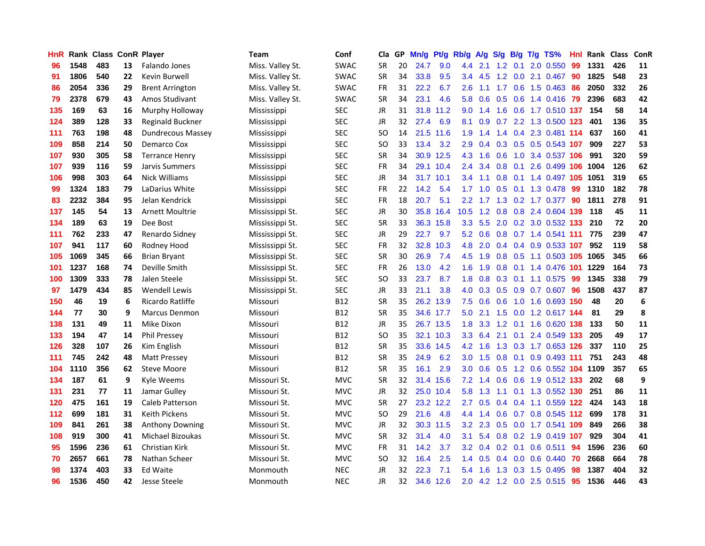| <b>HnR</b> |      | <b>Rank Class ConR Player</b> |    |                          | Team             | Conf        | Cla       |    | GP Mn/g   | Pt/g      | Rb/g             | A/g             |     |                 | S/g B/g T/g TS%            | Hnl | Rank Class |     | ConR |
|------------|------|-------------------------------|----|--------------------------|------------------|-------------|-----------|----|-----------|-----------|------------------|-----------------|-----|-----------------|----------------------------|-----|------------|-----|------|
| 96         | 1548 | 483                           | 13 | Falando Jones            | Miss. Valley St. | <b>SWAC</b> | <b>SR</b> | 20 | 24.7      | 9.0       | 4.4              | 2.1             | 1.2 | 0.1             | 2.0 0.550                  | 99  | 1331       | 426 | 11   |
| 91         | 1806 | 540                           | 22 | Kevin Burwell            | Miss. Valley St. | <b>SWAC</b> | <b>SR</b> | 34 | 33.8      | 9.5       | $3.4^{\circ}$    | 4.5             | 1.2 | 0.0             | 2.1 0.467                  | 90  | 1825       | 548 | 23   |
| 86         | 2054 | 336                           | 29 | <b>Brent Arrington</b>   | Miss. Valley St. | <b>SWAC</b> | <b>FR</b> | 31 | 22.2      | 6.7       | 2.6              | 1.1             | 1.7 | 0.6             | 1.5 0.463                  | 86  | 2050       | 332 | 26   |
| 79         | 2378 | 679                           | 43 | Amos Studivant           | Miss. Valley St. | <b>SWAC</b> | <b>SR</b> | 34 | 23.1      | 4.6       | 5.8              | 0.6             |     |                 | $0.5$ 0.6 1.4 0.416        | -79 | 2396       | 683 | 42   |
| 135        | 169  | 63                            | 16 | Murphy Holloway          | Mississippi      | <b>SEC</b>  | JR        | 31 |           | 31.8 11.2 | 9.0              | 1.4             |     |                 | 1.6 0.6 1.7 0.510 137      |     | 154        | 58  | 14   |
| 124        | 389  | 128                           | 33 | Reginald Buckner         | Mississippi      | <b>SEC</b>  | JR        | 32 | 27.4      | 6.9       | 8.1              | 0.9             |     |                 | 0.7 2.2 1.3 0.500 123      |     | 401        | 136 | 35   |
| 111        | 763  | 198                           | 48 | <b>Dundrecous Massey</b> | Mississippi      | <b>SEC</b>  | SO.       | 14 |           | 21.5 11.6 | 1.9              | 1.4             |     |                 | 1.4 0.4 2.3 0.481 114      |     | 637        | 160 | 41   |
| 109        | 858  | 214                           | 50 | Demarco Cox              | Mississippi      | <b>SEC</b>  | SO.       | 33 | 13.4      | 3.2       | 2.9              | 0.4             |     |                 | 0.3 0.5 0.5 0.543 107      |     | 909        | 227 | 53   |
| 107        | 930  | 305                           | 58 | <b>Terrance Henry</b>    | Mississippi      | <b>SEC</b>  | <b>SR</b> | 34 |           | 30.9 12.5 | 4.3              | 1.6             | 0.6 |                 | 1.0 3.4 0.537 106          |     | 991        | 320 | 59   |
| 107        | 939  | 116                           | 59 | Jarvis Summers           | Mississippi      | <b>SEC</b>  | <b>FR</b> | 34 |           | 29.1 10.4 | $2.4^{\circ}$    | 3.4             | 0.8 | 0.1             | 2.6 0.499 106              |     | 1004       | 126 | 62   |
| 106        | 998  | 303                           | 64 | Nick Williams            | Mississippi      | <b>SEC</b>  | JR        | 34 | 31.7 10.1 |           | 3.4              | 1.1             | 0.8 |                 | 0.1 1.4 0.497 105          |     | 1051       | 319 | 65   |
| 99         | 1324 | 183                           | 79 | LaDarius White           | Mississippi      | <b>SEC</b>  | <b>FR</b> | 22 | 14.2      | 5.4       | 1.7 <sup>2</sup> | 1.0             | 0.5 | 0.1             | 1.3 0.478                  | 99  | 1310       | 182 | 78   |
| 83         | 2232 | 384                           | 95 | Jelan Kendrick           | Mississippi      | <b>SEC</b>  | <b>FR</b> | 18 | 20.7      | 5.1       | $2.2^{\circ}$    | 1.7             | 1.3 |                 | $0.2$ 1.7 $0.377$          | 90  | 1811       | 278 | 91   |
| 137        | 145  | 54                            | 13 | Arnett Moultrie          | Mississippi St.  | <b>SEC</b>  | <b>JR</b> | 30 |           | 35.8 16.4 | 10.5             | 1.2             | 0.8 | 0.8             | 2.4 0.604 139              |     | 118        | 45  | 11   |
| 134        | 189  | 63                            | 19 | Dee Bost                 | Mississippi St.  | <b>SEC</b>  | <b>SR</b> | 33 |           | 36.3 15.8 | 3.3 <sub>2</sub> | 5.5             | 2.0 |                 | 0.2 3.0 0.532 133          |     | 210        | 72  | 20   |
| 111        | 762  | 233                           | 47 | Renardo Sidney           | Mississippi St.  | <b>SEC</b>  | JR        | 29 | 22.7      | 9.7       |                  | $5.2 \quad 0.6$ |     |                 | 0.8 0.7 1.4 0.541 111      |     | 775        | 239 | 47   |
| 107        | 941  | 117                           | 60 | Rodney Hood              | Mississippi St.  | <b>SEC</b>  | FR        | 32 | 32.8      | 10.3      | 4.8              | 2.0             |     |                 | 0.4 0.4 0.9 0.533 107      |     | 952        | 119 | 58   |
| 105        | 1069 | 345                           | 66 | <b>Brian Bryant</b>      | Mississippi St.  | <b>SEC</b>  | <b>SR</b> | 30 | 26.9      | 7.4       |                  | 4.5 1.9         |     |                 | 0.8 0.5 1.1 0.503 105 1065 |     |            | 345 | 66   |
| 101        | 1237 | 168                           | 74 | Deville Smith            | Mississippi St.  | <b>SEC</b>  | <b>FR</b> | 26 | 13.0      | 4.2       |                  | $1.6$ 1.9       |     |                 | 0.8 0.1 1.4 0.476 101      |     | 1229       | 164 | 73   |
| 100        | 1309 | 333                           | 78 | Jalen Steele             | Mississippi St.  | <b>SEC</b>  | <b>SO</b> | 33 | 23.7      | 8.7       | 1.8 <sup>°</sup> | 0.8             |     |                 | $0.3$ 0.1 1.1 0.575        | -99 | 1345       | 338 | 79   |
| 97         | 1479 | 434                           | 85 | <b>Wendell Lewis</b>     | Mississippi St.  | <b>SEC</b>  | JR        | 33 | 21.1      | 3.8       | 4.0              | 0.3             |     |                 | 0.5 0.9 0.7 0.607          | 96  | 1508       | 437 | 87   |
| 150        | 46   | 19                            | 6  | Ricardo Ratliffe         | Missouri         | <b>B12</b>  | <b>SR</b> | 35 |           | 26.2 13.9 | 7.5              | 0.6             | 0.6 |                 | 1.0 1.6 0.693 150          |     | 48         | 20  | 6    |
| 144        | 77   | 30                            | 9  | <b>Marcus Denmon</b>     | Missouri         | B12         | <b>SR</b> | 35 |           | 34.6 17.7 | 5.0              | 2.1             |     |                 | 1.5 0.0 1.2 0.617 144      |     | 81         | 29  | 8    |
| 138        | 131  | 49                            | 11 | Mike Dixon               | Missouri         | B12         | JR        | 35 |           | 26.7 13.5 | 1.8              | 3.3             |     | $1.2 \quad 0.1$ | 1.6 0.620 138              |     | 133        | 50  | 11   |
| 133        | 194  | 47                            | 14 | <b>Phil Pressey</b>      | Missouri         | <b>B12</b>  | SO.       | 35 |           | 32.1 10.3 |                  | $3.3 \quad 6.4$ |     | $2.1 \quad 0.1$ | 2.4 0.549 133              |     | 205        | 49  | 17   |
| 126        | 328  | 107                           | 26 | Kim English              | Missouri         | <b>B12</b>  | <b>SR</b> | 35 |           | 33.6 14.5 | 4.2              | 1.6             |     |                 | 1.3 0.3 1.7 0.653 126      |     | 337        | 110 | 25   |
| 111        | 745  | 242                           | 48 | <b>Matt Pressey</b>      | Missouri         | B12         | <b>SR</b> | 35 | 24.9      | 6.2       | 3.0              | 1.5             | 0.8 | 0.1             | 0.9 0.493 111              |     | 751        | 243 | 48   |
| 104        | 1110 | 356                           | 62 | <b>Steve Moore</b>       | Missouri         | <b>B12</b>  | <b>SR</b> | 35 | 16.1      | 2.9       | 3.0              | 0.6             | 0.5 |                 | 1.2 0.6 0.552 104          |     | 1109       | 357 | 65   |
| 134        | 187  | 61                            | 9  | Kyle Weems               | Missouri St.     | <b>MVC</b>  | <b>SR</b> | 32 |           | 31.4 15.6 | 7.2              | 1.4             | 0.6 | 0.6             | 1.9 0.512 133              |     | 202        | 68  | 9    |
| 131        | 231  | 77                            | 11 | Jamar Gulley             | Missouri St.     | <b>MVC</b>  | JR        | 32 |           | 25.0 10.4 | 5.8              | 1.3             |     |                 | 1.1 0.1 1.3 0.552 130      |     | 251        | 86  | 11   |
| 120        | 475  | 161                           | 19 | Caleb Patterson          | Missouri St.     | <b>MVC</b>  | <b>SR</b> | 27 |           | 23.2 12.2 | 2.7              | 0.5             |     |                 | 0.4 0.4 1.1 0.559 122      |     | 424        | 143 | 18   |
| 112        | 699  | 181                           | 31 | <b>Keith Pickens</b>     | Missouri St.     | <b>MVC</b>  | <b>SO</b> | 29 | 21.6      | 4.8       |                  | 4.4 1.4         |     |                 | 0.6 0.7 0.8 0.545 112      |     | 699        | 178 | 31   |
| 109        | 841  | 261                           | 38 | <b>Anthony Downing</b>   | Missouri St.     | <b>MVC</b>  | JR        | 32 |           | 30.3 11.5 | 3.2 <sub>1</sub> | 2.3             |     |                 | 0.5 0.0 1.7 0.541 109      |     | 849        | 266 | 38   |
| 108        | 919  | 300                           | 41 | Michael Bizoukas         | Missouri St.     | <b>MVC</b>  | <b>SR</b> | 32 | 31.4      | 4.0       | 3.1              | 5.4             |     |                 | 0.8 0.2 1.9 0.419 107      |     | 929        | 304 | 41   |
| 95         | 1596 | 236                           | 61 | Christian Kirk           | Missouri St.     | <b>MVC</b>  | <b>FR</b> | 31 | 14.2      | 3.7       | 3.2              | 0.4             | 0.2 | 0.1             | $0.6$ 0.511                | 94  | 1596       | 236 | 60   |
| 70         | 2657 | 661                           | 78 | Nathan Scheer            | Missouri St.     | <b>MVC</b>  | SO.       | 32 | 16.4      | 2.5       | 1.4              | 0.5             | 0.4 | 0.0             | 0.6 0.440                  | 70  | 2668       | 664 | 78   |
| 98         | 1374 | 403                           | 33 | Ed Waite                 | Monmouth         | <b>NEC</b>  | JR        | 32 | 22.3      | 7.1       | 5.4              | 1.6             | 1.3 | 0.3             | 1.5 0.495                  | 98  | 1387       | 404 | 32   |
| 96         | 1536 | 450                           | 42 | Jesse Steele             | Monmouth         | <b>NEC</b>  | <b>JR</b> | 32 |           | 34.6 12.6 | 2.0              |                 |     |                 | 4.2 1.2 0.0 2.5 0.515      | 95  | 1536       | 446 | 43   |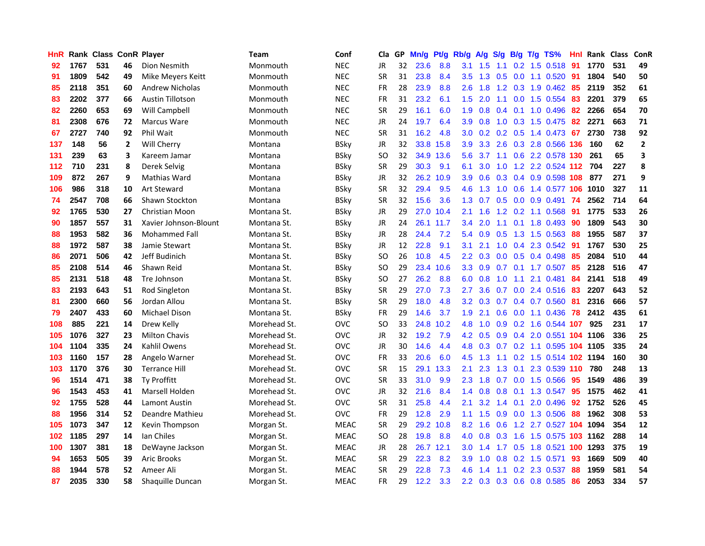| HnR |      | Rank Class ConR Player |              |                       | <b>Team</b>  | Conf        | Cla       |    | GP Mn/g | Pt/g Rb/g |                  | A/g                |                 |                 | S/g B/g T/g TS%            | Hnl | Rank Class |     | ConR           |
|-----|------|------------------------|--------------|-----------------------|--------------|-------------|-----------|----|---------|-----------|------------------|--------------------|-----------------|-----------------|----------------------------|-----|------------|-----|----------------|
| 92  | 1767 | 531                    | 46           | Dion Nesmith          | Monmouth     | <b>NEC</b>  | JR        | 32 | 23.6    | 8.8       | 3.1              | 1.5                | 1.1             | 0.2             | 1.5 0.518                  | 91  | 1770       | 531 | 49             |
| 91  | 1809 | 542                    | 49           | Mike Meyers Keitt     | Monmouth     | <b>NEC</b>  | <b>SR</b> | 31 | 23.8    | 8.4       | 3.5              | 1.3                | 0.5             | 0.0             | 1.1 0.520                  | -91 | 1804       | 540 | 50             |
| 85  | 2118 | 351                    | 60           | Andrew Nicholas       | Monmouth     | <b>NEC</b>  | <b>FR</b> | 28 | 23.9    | 8.8       | 2.6              | 1.8                |                 | $1.2 \quad 0.3$ | 1.9 0.462                  | -85 | 2119       | 352 | 61             |
| 83  | 2202 | 377                    | 66           | Austin Tillotson      | Monmouth     | <b>NEC</b>  | <b>FR</b> | 31 | 23.2    | 6.1       | 1.5              | 2.0                |                 |                 | 1.1 0.0 1.5 0.554          | -83 | 2201       | 379 | 65             |
| 82  | 2260 | 653                    | 69           | <b>Will Campbell</b>  | Monmouth     | <b>NEC</b>  | <b>SR</b> | 29 | 16.1    | 6.0       | 1.9 <sup>°</sup> | 0.8                |                 |                 | 0.4 0.1 1.0 0.496 82       |     | 2266       | 654 | 70             |
| 81  | 2308 | 676                    | 72           | Marcus Ware           | Monmouth     | <b>NEC</b>  | JR        | 24 | 19.7    | 6.4       | 3.9 <sup>°</sup> | 0.8                |                 |                 | 1.0 0.3 1.5 0.475          | 82  | 2271       | 663 | 71             |
| 67  | 2727 | 740                    | 92           | Phil Wait             | Monmouth     | <b>NEC</b>  | <b>SR</b> | 31 | 16.2    | 4.8       | 3.0              | 0.2                |                 |                 | $0.2$ 0.5 1.4 0.473        | 67  | 2730       | 738 | 92             |
| 137 | 148  | 56                     | $\mathbf{2}$ | Will Cherry           | Montana      | <b>BSky</b> | JR        | 32 |         | 33.8 15.8 | 3.9              | 3.3                |                 |                 | 2.6 0.3 2.8 0.566 136      |     | 160        | 62  | $\overline{2}$ |
| 131 | 239  | 63                     | 3            | Kareem Jamar          | Montana      | <b>BSky</b> | <b>SO</b> | 32 |         | 34.9 13.6 | 5.6              | 3.7                |                 |                 | 1.1 0.6 2.2 0.578 130      |     | 261        | 65  | 3              |
| 112 | 710  | 231                    | 8            | Derek Selvig          | Montana      | <b>BSky</b> | <b>SR</b> | 29 | 30.3    | 9.1       | 6.1              | 3.0                | 1.0             |                 | 1.2 2.2 0.524 112          |     | 704        | 227 | 8              |
| 109 | 872  | 267                    | 9            | Mathias Ward          | Montana      | <b>BSky</b> | JR        | 32 |         | 26.2 10.9 | 3.9              | 0.6                |                 |                 | 0.3 0.4 0.9 0.598 108      |     | 877        | 271 | 9              |
| 106 | 986  | 318                    | 10           | <b>Art Steward</b>    | Montana      | <b>BSky</b> | <b>SR</b> | 32 | 29.4    | 9.5       | 4.6              | 1.3                | 1.0             | 0.6             | 1.4 0.577 106              |     | 1010       | 327 | 11             |
| 74  | 2547 | 708                    | 66           | Shawn Stockton        | Montana      | <b>BSky</b> | <b>SR</b> | 32 | 15.6    | 3.6       | 1.3              | 0.7                | 0.5             | 0.0             | 0.9 0.491                  | 74  | 2562       | 714 | 64             |
| 92  | 1765 | 530                    | 27           | Christian Moon        | Montana St.  | <b>BSky</b> | JR        | 29 | 27.0    | 10.4      | 2.1              | 1.6                | 1.2             | 0.2             | 1.1 0.568                  | -91 | 1775       | 533 | 26             |
| 90  | 1857 | 557                    | 31           | Xavier Johnson-Blount | Montana St.  | <b>BSky</b> | JR        | 24 |         | 26.1 11.7 | 3.4              | 2.0                | 1.1             | 0.1             | 1.8 0.493                  | 90  | 1809       | 543 | 30             |
| 88  | 1953 | 582                    | 36           | <b>Mohammed Fall</b>  | Montana St.  | <b>BSky</b> | JR        | 28 | 24.4    | 7.2       | 5.4              | 0.9                | 0.5             |                 | 1.3 1.5 0.563              | -88 | 1955       | 587 | 37             |
| 88  | 1972 | 587                    | 38           | Jamie Stewart         | Montana St.  | <b>BSky</b> | JR        | 12 | 22.8    | 9.1       | 3.1              | 2.1                |                 |                 | $1.0$ 0.4 2.3 0.542        | -91 | 1767       | 530 | 25             |
| 86  | 2071 | 506                    | 42           | Jeff Budinich         | Montana St.  | <b>BSky</b> | <b>SO</b> | 26 | 10.8    | 4.5       |                  | $2.2 \quad 0.3$    |                 |                 | $0.0$ $0.5$ $0.4$ $0.498$  | -85 | 2084       | 510 | 44             |
| 85  | 2108 | 514                    | 46           | Shawn Reid            | Montana St.  | <b>BSky</b> | <b>SO</b> | 29 |         | 23.4 10.6 |                  | $3.3 \quad 0.9$    |                 |                 | $0.7$ 0.1 1.7 0.507        | 85  | 2128       | 516 | 47             |
| 85  | 2131 | 518                    | 48           | Tre Johnson           | Montana St.  | <b>BSky</b> | SO.       | 27 | 26.2    | 8.8       | 6.0              | 0.8                | 1.0             |                 | 1.1 2.1 0.481              | -84 | 2141       | 518 | 49             |
| 83  | 2193 | 643                    | 51           | Rod Singleton         | Montana St.  | <b>BSky</b> | <b>SR</b> | 29 | 27.0    | 7.3       | 2.7              | 3.6                | 0.7             |                 | 0.0 2.4 0.516              | 83  | 2207       | 643 | 52             |
| 81  | 2300 | 660                    | 56           | Jordan Allou          | Montana St.  | <b>BSky</b> | <b>SR</b> | 29 | 18.0    | 4.8       | 3.2              | 0.3                | 0.7             |                 | 0.4 0.7 0.560              | -81 | 2316       | 666 | 57             |
| 79  | 2407 | 433                    | 60           | <b>Michael Dison</b>  | Montana St.  | <b>BSky</b> | FR        | 29 | 14.6    | 3.7       | 1.9              | 2.1                | 0.6             |                 | $0.0$ 1.1 $0.436$          | 78  | 2412       | 435 | 61             |
| 108 | 885  | 221                    | 14           | Drew Kelly            | Morehead St. | <b>OVC</b>  | SO.       | 33 | 24.8    | 10.2      | 4.8              | 1.0                |                 |                 | 0.9 0.2 1.6 0.544 107      |     | 925        | 231 | 17             |
| 105 | 1076 | 327                    | 23           | <b>Milton Chavis</b>  | Morehead St. | OVC         | JR.       | 32 | 19.2    | 7.9       |                  | $4.2 \quad 0.5$    |                 |                 | 0.9 0.4 2.0 0.551 104 1106 |     |            | 336 | 25             |
| 104 | 1104 | 335                    | 24           | Kahlil Owens          | Morehead St. | <b>OVC</b>  | JR.       | 30 | 14.6    | 4.4       | 4.8              | 0.3                | 0.7             |                 | 0.2 1.1 0.595 104 1105     |     |            | 335 | 24             |
| 103 | 1160 | 157                    | 28           | Angelo Warner         | Morehead St. | <b>OVC</b>  | <b>FR</b> | 33 | 20.6    | 6.0       | 4.5              | 1.3                | 1.1             |                 | 0.2 1.5 0.514 102 1194     |     |            | 160 | 30             |
| 103 | 1170 | 376                    | 30           | <b>Terrance Hill</b>  | Morehead St. | <b>OVC</b>  | <b>SR</b> | 15 |         | 29.1 13.3 | 2.1              | 2.3                | 1.3             | 0.1             | 2.3 0.539 110              |     | 780        | 248 | 13             |
| 96  | 1514 | 471                    | 38           | <b>Tv Proffitt</b>    | Morehead St. | <b>OVC</b>  | <b>SR</b> | 33 | 31.0    | 9.9       | $2.3\phantom{0}$ | 1.8                | 0.7             | 0.0             | 1.5 0.566                  | -95 | 1549       | 486 | 39             |
| 96  | 1543 | 453                    | 41           | Marsell Holden        | Morehead St. | <b>OVC</b>  | JR        | 32 | 21.6    | 8.4       |                  | $1.4 \quad 0.8$    | $0.8\quad 0.1$  |                 | 1.3 0.547 95               |     | 1575       | 462 | 41             |
| 92  | 1755 | 528                    | 44           | Lamont Austin         | Morehead St. | <b>OVC</b>  | <b>SR</b> | 31 | 25.8    | 4.4       | 2.1              | 3.2                | $1.4 \quad 0.1$ |                 | 2.0 0.496                  | -92 | 1752       | 526 | 45             |
| 88  | 1956 | 314                    | 52           | Deandre Mathieu       | Morehead St. | <b>OVC</b>  | <b>FR</b> | 29 | 12.8    | 2.9       | $1.1 -$          | 1.5                |                 |                 | 0.9 0.0 1.3 0.506          | 88  | 1962       | 308 | 53             |
| 105 | 1073 | 347                    | 12           | Kevin Thompson        | Morgan St.   | <b>MEAC</b> | <b>SR</b> | 29 |         | 29.2 10.8 | 8.2              | 1.6                | 0.6             |                 | 1.2 2.7 0.527 104 1094     |     |            | 354 | 12             |
| 102 | 1185 | 297                    | 14           | lan Chiles            | Morgan St.   | <b>MEAC</b> | <b>SO</b> | 28 | 19.8    | 8.8       | 4.0              | 0.8                | 0.3             | 1.6             | 1.5 0.575 103 1162         |     |            | 288 | 14             |
| 100 | 1307 | 381                    | 18           | DeWayne Jackson       | Morgan St.   | <b>MEAC</b> | <b>JR</b> | 28 |         | 26.7 12.1 | 3.0              | 1.4                |                 |                 | 1.7 0.5 1.8 0.521          |     | 100 1293   | 375 | 19             |
| 94  | 1653 | 505                    | 39           | <b>Aric Brooks</b>    | Morgan St.   | <b>MEAC</b> | <b>SR</b> | 29 | 22.3    | 8.2       | 3.9              | 1.0                | 0.8             |                 | $0.2$ 1.5 0.571            | 93  | 1669       | 509 | 40             |
| 88  | 1944 | 578                    | 52           | Ameer Ali             | Morgan St.   | <b>MEAC</b> | <b>SR</b> | 29 | 22.8    | 7.3       | 4.6              | $\mathbf{A}$<br>-1 | 1.1             | 0.2             | 2.3 0.537                  | 88  | 1959       | 581 | 54             |
| 87  | 2035 | 330                    | 58           | Shaquille Duncan      | Morgan St.   | <b>MEAC</b> | <b>FR</b> | 29 | 12.2    | 3.3       |                  |                    |                 |                 | 2.2 0.3 0.3 0.6 0.8 0.585  | 86  | 2053       | 334 | 57             |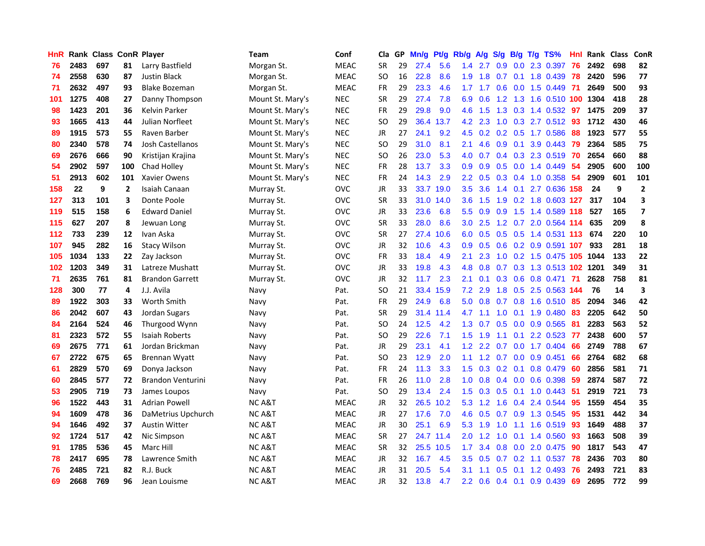| <b>HnR</b> |      | <b>Rank Class ConR Player</b> |                |                          | Team              | Conf        | Cla       |    | GP Mn/g | Pt/g      | Rb/g             | A/g             |                   |                 | S/g B/g T/g TS%            | Hnl  | Rank Class |     | ConR                    |
|------------|------|-------------------------------|----------------|--------------------------|-------------------|-------------|-----------|----|---------|-----------|------------------|-----------------|-------------------|-----------------|----------------------------|------|------------|-----|-------------------------|
| 76         | 2483 | 697                           | 81             | Larry Bastfield          | Morgan St.        | <b>MEAC</b> | <b>SR</b> | 29 | 27.4    | 5.6       | 1.4              | 2.7             | 0.9               | 0.0             | 2.3 0.397                  | 76   | 2492       | 698 | 82                      |
| 74         | 2558 | 630                           | 87             | <b>Justin Black</b>      | Morgan St.        | <b>MEAC</b> | SO.       | 16 | 22.8    | 8.6       | 1.9              | 1.8             | 0.7               | 0.1             | 1.8 0.439                  | -78  | 2420       | 596 | 77                      |
| 71         | 2632 | 497                           | 93             | <b>Blake Bozeman</b>     | Morgan St.        | <b>MEAC</b> | <b>FR</b> | 29 | 23.3    | 4.6       | 1.7 <sup>2</sup> | 1.7             | 0.6               | 0.0             | 1.5 0.449                  | - 71 | 2649       | 500 | 93                      |
| 101        | 1275 | 408                           | 27             | Danny Thompson           | Mount St. Mary's  | <b>NEC</b>  | <b>SR</b> | 29 | 27.4    | 7.8       | 6.9              | 0.6             | 1.2               |                 | 1.3 1.6 0.510 100          |      | 1304       | 418 | 28                      |
| 98         | 1423 | 201                           | 36             | Kelvin Parker            | Mount St. Mary's  | <b>NEC</b>  | FR        | 29 | 29.8    | 9.0       |                  | 4.6 1.5         |                   |                 | 1.3 0.3 1.4 0.532          | -97  | 1475       | 209 | 37                      |
| 93         | 1665 | 413                           | 44             | Julian Norfleet          | Mount St. Mary's  | <b>NEC</b>  | SO.       | 29 |         | 36.4 13.7 | 4.2              | 2.3             |                   |                 | $1.0$ $0.3$ $2.7$ $0.512$  | -93  | 1712       | 430 | 46                      |
| 89         | 1915 | 573                           | 55             | Raven Barber             | Mount St. Mary's  | <b>NEC</b>  | JR        | 27 | 24.1    | 9.2       | 4.5              |                 |                   |                 | 0.2 0.2 0.5 1.7 0.586      | 88   | 1923       | 577 | 55                      |
| 80         | 2340 | 578                           | 74             | Josh Castellanos         | Mount St. Mary's  | <b>NEC</b>  | SO.       | 29 | 31.0    | 8.1       | 2.1              | 4.6             | 0.9               | 0.1             | 3.9 0.443                  | 79   | 2364       | 585 | 75                      |
| 69         | 2676 | 666                           | 90             | Kristijan Krajina        | Mount St. Mary's  | <b>NEC</b>  | <b>SO</b> | 26 | 23.0    | 5.3       | 4.0              | 0.7             |                   |                 | 0.4 0.3 2.3 0.519          | 70   | 2654       | 660 | 88                      |
| 54         | 2902 | 597                           | 100            | Chad Holley              | Mount St. Mary's  | <b>NEC</b>  | FR        | 28 | 13.7    | 3.3       | 0.9              | 0.9             | 0.5               |                 | 0.0 1.4 0.449              | 54   | 2905       | 600 | 100                     |
| 51         | 2913 | 602                           | 101            | Xavier Owens             | Mount St. Mary's  | <b>NEC</b>  | FR        | 24 | 14.3    | 2.9       | 2.2 <sub>2</sub> | 0.5             |                   |                 | 0.3 0.4 1.0 0.358          | 54   | 2909       | 601 | 101                     |
| 158        | 22   | 9                             | $\overline{2}$ | Isaiah Canaan            | Murray St.        | <b>OVC</b>  | JR        | 33 |         | 33.7 19.0 | 3.5              | 3.6             | 1.4               | 0.1             | 2.7 0.636                  | 158  | 24         | 9   | $\overline{2}$          |
| 127        | 313  | 101                           | 3              | Donte Poole              | Murray St.        | <b>OVC</b>  | <b>SR</b> | 33 |         | 31.0 14.0 | 3.6              | 1.5             | 1.9               |                 | $0.2$ 1.8 $0.603$          | 127  | 317        | 104 | 3                       |
| 119        | 515  | 158                           | 6              | <b>Edward Daniel</b>     | Murray St.        | <b>OVC</b>  | JR        | 33 | 23.6    | 6.8       | 5.5 <sub>1</sub> | 0.9             | 0.9               | 1.5             | 1.4 0.589 118              |      | 527        | 165 | $\overline{\mathbf{z}}$ |
| 115        | 627  | 207                           | 8              | Jewuan Long              | Murray St.        | <b>OVC</b>  | <b>SR</b> | 33 | 28.0    | 8.6       | 3.0              | 2.5             | 1.2               | 0.7             | 2.0 0.564 114              |      | 635        | 209 | 8                       |
| 112        | 733  | 239                           | 12             | Ivan Aska                | Murray St.        | <b>OVC</b>  | <b>SR</b> | 27 | 27.4    | 10.6      | 6.0              | 0.5             |                   |                 | 0.5 0.5 1.4 0.531 113      |      | 674        | 220 | ${\bf 10}$              |
| 107        | 945  | 282                           | 16             | <b>Stacy Wilson</b>      | Murray St.        | <b>OVC</b>  | JR        | 32 | 10.6    | 4.3       | 0.9              | 0.5             |                   |                 | 0.6 0.2 0.9 0.591 107      |      | 933        | 281 | 18                      |
| 105        | 1034 | 133                           | 22             | Zay Jackson              | Murray St.        | <b>OVC</b>  | <b>FR</b> | 33 | 18.4    | 4.9       | 2.1              | 2.3             |                   |                 | 1.0 0.2 1.5 0.475 105 1044 |      |            | 133 | 22                      |
| 102        | 1203 | 349                           | 31             | Latreze Mushatt          | Murray St.        | <b>OVC</b>  | JR        | 33 | 19.8    | 4.3       | 4.8              | 0.8             |                   |                 | 0.7 0.3 1.3 0.513 102 1201 |      |            | 349 | 31                      |
| 71         | 2635 | 761                           | 81             | <b>Brandon Garrett</b>   | Murray St.        | <b>OVC</b>  | JR        | 32 | 11.7    | 2.3       | 2.1              | 0.1             |                   |                 | 0.3 0.6 0.8 0.471 71       |      | 2628       | 758 | 81                      |
| 128        | 300  | 77                            | 4              | J.J. Avila               | Navy              | Pat.        | SO.       | 21 |         | 33.4 15.9 | 7.2              | 2.9             | 1.8               |                 | 0.5 2.5 0.563 144          |      | 76         | 14  | 3                       |
| 89         | 1922 | 303                           | 33             | Worth Smith              | Navy              | Pat.        | FR        | 29 | 24.9    | 6.8       | 5.0              | 0.8             |                   |                 | 0.7 0.8 1.6 0.510          | 85   | 2094       | 346 | 42                      |
| 86         | 2042 | 607                           | 43             | Jordan Sugars            | Navy              | Pat.        | <b>SR</b> | 29 | 31.4    | 11.4      | 4.7              | 1.1             | 1.0               | 0.1             | 1.9 0.480                  | 83   | 2205       | 642 | 50                      |
| 84         | 2164 | 524                           | 46             | Thurgood Wynn            | Navy              | Pat.        | SO.       | 24 | 12.5    | 4.2       | 1.3              | 0.7             | 0.5               |                 | 0.0 0.9 0.565              | -81  | 2283       | 563 | 52                      |
| 81         | 2323 | 572                           | 55             | Isaiah Roberts           | Navy              | Pat.        | SO.       | 29 | 22.6    | 7.1       | 1.5              | 1.9             | 1.1               | 0.1             | 2.2 0.523                  | 77   | 2438       | 600 | 57                      |
| 69         | 2675 | 771                           | 61             | Jordan Brickman          | Navy              | Pat.        | <b>JR</b> | 29 | 23.1    | 4.1       | 1.2              | 2.2             | 0.7               | 0.0             | 1.7 0.404                  | 66   | 2749       | 788 | 67                      |
| 67         | 2722 | 675                           | 65             | <b>Brennan Wyatt</b>     | Navy              | Pat.        | SO.       | 23 | 12.9    | 2.0       | 1.1              | 1.2             | 0.7               | 0.0             | $0.9$ 0.451                | 66   | 2764       | 682 | 68                      |
| 61         | 2829 | 570                           | 69             | Donya Jackson            | Navy              | Pat.        | FR        | 24 | 11.3    | 3.3       | 1.5              | 0.3             | 0.2               | 0.1             | 0.8 0.479                  | 60   | 2856       | 581 | ${\bf 71}$              |
| 60         | 2845 | 577                           | 72             | <b>Brandon Venturini</b> | Navy              | Pat.        | <b>FR</b> | 26 | 11.0    | 2.8       | 1.0 <sub>1</sub> | 0.8             |                   | $0.4\quad 0.0$  | 0.6 0.398                  | -59  | 2874       | 587 | 72                      |
| 53         | 2905 | 719                           | 73             | James Loupos             | Navy              | Pat.        | SO.       | 29 | 13.4    | 2.4       |                  |                 | $1.5$ 0.3 0.5 0.1 |                 | $1.0 \t0.443$              | -51  | 2919       | 721 | 73                      |
| 96         | 1522 | 443                           | 31             | <b>Adrian Powell</b>     | <b>NCA&amp;T</b>  | <b>MEAC</b> | JR        | 32 |         | 26.5 10.2 |                  | $5.3 \quad 1.2$ |                   |                 | 1.6 0.4 2.4 0.544          | 95   | 1559       | 454 | 35                      |
| 94         | 1609 | 478                           | 36             | DaMetrius Upchurch       | <b>NCA&amp;T</b>  | <b>MEAC</b> | <b>JR</b> | 27 | 17.6    | 7.0       |                  | $4.6 \quad 0.5$ |                   | $0.7 \quad 0.9$ | 1.3 0.545                  | 95   | 1531       | 442 | 34                      |
| 94         | 1646 | 492                           | 37             | <b>Austin Witter</b>     | <b>NC A&amp;T</b> | <b>MEAC</b> | JR        | 30 | 25.1    | 6.9       |                  | 5.3 1.9         | 1.0               |                 | 1.1 1.6 0.519              | 93   | 1649       | 488 | 37                      |
| 92         | 1724 | 517                           | 42             | Nic Simpson              | <b>NC A&amp;T</b> | <b>MEAC</b> | <b>SR</b> | 27 |         | 24.7 11.4 | 2.0              | 1.2             | 1.0               |                 | $0.1$ 1.4 $0.560$          | 93   | 1663       | 508 | 39                      |
| 91         | 1785 | 536                           | 45             | Marc Hill                | <b>NCA&amp;T</b>  | <b>MEAC</b> | <b>SR</b> | 32 | 25.5    | 10.5      | 1.7              | 3.4             | 0.8               | 0.0             | 2.0 0.475                  | 90   | 1817       | 543 | 47                      |
| 78         | 2417 | 695                           | 78             | Lawrence Smith           | NC A&T            | <b>MEAC</b> | JR        | 32 | 16.7    | 4.5       | 3.5              | 0.5             | 0.7               | 0.2             | 1.1 0.537                  | 78   | 2436       | 703 | 80                      |
| 76         | 2485 | 721                           | 82             | R.J. Buck                | <b>NCA&amp;T</b>  | <b>MEAC</b> | JR        | 31 | 20.5    | 5.4       | 3.1              | 1.1             | 0.5               | 0.1             | 1.2 0.493                  | 76   | 2493       | 721 | 83                      |
| 69         | 2668 | 769                           | 96             | Jean Louisme             | <b>NCA&amp;T</b>  | <b>MEAC</b> | <b>JR</b> | 32 | 13.8    | 4.7       | $2.2^{\circ}$    | 0.6             |                   | $0.4$ 0.1       | 0.9 0.439                  | 69   | 2695       | 772 | 99                      |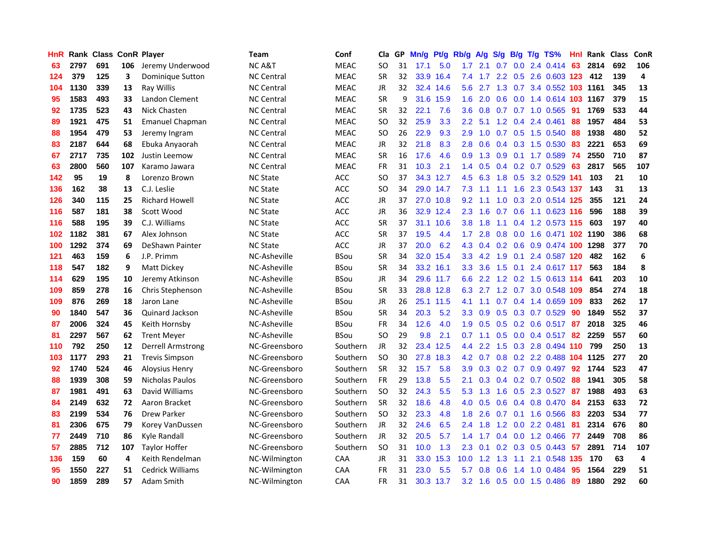| <b>HnR</b> |      | Rank Class ConR Player |     |                         | <b>Team</b>       | Conf        | Cla       |    | GP Mn/g Pt/g Rb/g |           |                  | A/g             |               |     | S/g B/g T/g TS%                    | Hnl | Rank Class |     | ConR                    |
|------------|------|------------------------|-----|-------------------------|-------------------|-------------|-----------|----|-------------------|-----------|------------------|-----------------|---------------|-----|------------------------------------|-----|------------|-----|-------------------------|
| 63         | 2797 | 691                    | 106 | Jeremy Underwood        | <b>NCA&amp;T</b>  | <b>MEAC</b> | <b>SO</b> | 31 | 17.1              | 5.0       | 1.7              | 2.1             | 0.7           | 0.0 | 2.4 0.414                          | 63  | 2814       | 692 | 106                     |
| 124        | 379  | 125                    | 3   | Dominique Sutton        | <b>NC Central</b> | <b>MEAC</b> | <b>SR</b> | 32 |                   | 33.9 16.4 | 7.4              | 1.7             | $2.2^{\circ}$ | 0.5 | 2.6 0.603 123                      |     | 412        | 139 | $\overline{\mathbf{4}}$ |
| 104        | 1130 | 339                    | 13  | Ray Willis              | <b>NC Central</b> | <b>MEAC</b> | <b>JR</b> | 32 |                   | 32.4 14.6 | 5.6              | 2.7             | 1.3           |     | 0.7 3.4 0.552 103 1161             |     |            | 345 | 13                      |
| 95         | 1583 | 493                    | 33  | Landon Clement          | <b>NC Central</b> | <b>MEAC</b> | <b>SR</b> | 9  |                   | 31.6 15.9 | 1.6              | 2.0             |               |     | 0.6 0.0 1.4 0.614 103 1167         |     |            | 379 | 15                      |
| 92         | 1735 | 523                    | 43  | Nick Chasten            | <b>NC Central</b> | <b>MEAC</b> | <b>SR</b> | 32 | 22.1              | 7.6       | 3.6 <sup>2</sup> | 0.8             |               |     | 0.7 0.7 1.0 0.565 91               |     | 1769       | 533 | 44                      |
| 89         | 1921 | 475                    | 51  | <b>Emanuel Chapman</b>  | <b>NC Central</b> | <b>MEAC</b> | <b>SO</b> | 32 | 25.9              | 3.3       | $2.2\,$          | 5.1             |               |     | 1.2 0.4 2.4 0.461                  | 88  | 1957       | 484 | 53                      |
| 88         | 1954 | 479                    | 53  | Jeremy Ingram           | <b>NC Central</b> | <b>MEAC</b> | <b>SO</b> | 26 | 22.9              | 9.3       | 2.9              | 1.0             |               |     | $0.7$ $0.5$ 1.5 $0.540$            | 88  | 1938       | 480 | 52                      |
| 83         | 2187 | 644                    | 68  | Ebuka Anyaorah          | <b>NC Central</b> | <b>MEAC</b> | <b>JR</b> | 32 | 21.8              | 8.3       | 2.8              | 0.6             |               |     | 0.4 0.3 1.5 0.530                  | 83  | 2221       | 653 | 69                      |
| 67         | 2717 | 735                    | 102 | Justin Leemow           | <b>NC Central</b> | <b>MEAC</b> | <b>SR</b> | 16 | 17.6              | 4.6       | 0.9              | 1.3             |               |     | 0.9 0.1 1.7 0.589                  | 74  | 2550       | 710 | 87                      |
| 63         | 2800 | 560                    | 107 | Karamo Jawara           | <b>NC Central</b> | <b>MEAC</b> | FR        | 31 | 10.3              | 2.1       | 1.4              | 0.5             |               |     | $0.4$ 0.2 0.7 0.529                | 63  | 2817       | 565 | 107                     |
| 142        | 95   | 19                     | 8   | Lorenzo Brown           | <b>NC State</b>   | ACC         | SO.       | 37 |                   | 34.3 12.7 | 4.5              | 6.3             |               |     | 1.8 0.5 3.2 0.529 141              |     | 103        | 21  | 10                      |
| 136        | 162  | 38                     | 13  | C.J. Leslie             | <b>NC State</b>   | ACC         | <b>SO</b> | 34 |                   | 29.0 14.7 | 7.3              | 1.1             | 1.1           |     | 1.6 2.3 0.543 137                  |     | 143        | 31  | 13                      |
| 126        | 340  | 115                    | 25  | <b>Richard Howell</b>   | <b>NC State</b>   | ACC         | <b>JR</b> | 37 |                   | 27.0 10.8 | 9.2              | 1.1             | 1.0           | 0.3 | 2.0 0.514 125                      |     | 355        | 121 | 24                      |
| 116        | 587  | 181                    | 38  | Scott Wood              | <b>NC State</b>   | <b>ACC</b>  | JR        | 36 |                   | 32.9 12.4 | 2.3              | 1.6             | 0.7           | 0.6 | 1.1 0.623 116                      |     | 596        | 188 | 39                      |
| 116        | 588  | 195                    | 39  | C.J. Williams           | <b>NC State</b>   | <b>ACC</b>  | <b>SR</b> | 37 |                   | 31.1 10.6 | 3.8              | 1.8             | 1.1           | 0.4 | 1.2 0.573 115                      |     | 603        | 197 | 40                      |
| 102        | 1182 | 381                    | 67  | Alex Johnson            | <b>NC State</b>   | <b>ACC</b>  | <b>SR</b> | 37 | 19.5              | 4.4       | 1.7              | 2.8             | 0.8           | 0.0 | 1.6 0.471 102 1190                 |     |            | 386 | 68                      |
| 100        | 1292 | 374                    | 69  | DeShawn Painter         | <b>NC State</b>   | ACC         | JR        | 37 | 20.0              | 6.2       |                  |                 |               |     | 4.3 0.4 0.2 0.6 0.9 0.474 100 1298 |     |            | 377 | 70                      |
| 121        | 463  | 159                    | 6   | J.P. Primm              | NC-Asheville      | <b>BSou</b> | <b>SR</b> | 34 |                   | 32.0 15.4 |                  | $3.3 \quad 4.2$ |               |     | 1.9 0.1 2.4 0.587 120              |     | 482        | 162 | 6                       |
| 118        | 547  | 182                    | 9   | Matt Dickey             | NC-Asheville      | <b>BSou</b> | <b>SR</b> | 34 |                   | 33.2 16.1 |                  | $3.3 \quad 3.6$ |               |     | 1.5 0.1 2.4 0.617 117              |     | 563        | 184 | 8                       |
| 114        | 629  | 195                    | 10  | Jeremy Atkinson         | NC-Asheville      | <b>BSou</b> | JR        | 34 |                   | 29.6 11.7 |                  | 6.6 2.2         |               |     | 1.2 0.2 1.5 0.613 114              |     | 641        | 203 | 10                      |
| 109        | 859  | 278                    | 16  | Chris Stephenson        | NC-Asheville      | <b>BSou</b> | <b>SR</b> | 33 |                   | 28.8 12.8 | 6.3              | 2.7             |               |     | 1.2 0.7 3.0 0.548 109              |     | 854        | 274 | 18                      |
| 109        | 876  | 269                    | 18  | Jaron Lane              | NC-Asheville      | <b>BSou</b> | JR        | 26 |                   | 25.1 11.5 | 4.1              | 1.1             |               |     | 0.7 0.4 1.4 0.659 109              |     | 833        | 262 | 17                      |
| 90         | 1840 | 547                    | 36  | Quinard Jackson         | NC-Asheville      | <b>BSou</b> | <b>SR</b> | 34 | 20.3              | 5.2       | 3.3 <sub>1</sub> | 0.9             |               |     | 0.5 0.3 0.7 0.529                  | -90 | 1849       | 552 | 37                      |
| 87         | 2006 | 324                    | 45  | Keith Hornsby           | NC-Asheville      | <b>BSou</b> | FR        | 34 | 12.6              | 4.0       | 1.9              | 0.5             |               |     | $0.5$ 0.2 0.6 0.517                | 87  | 2018       | 325 | 46                      |
| 81         | 2297 | 567                    | 62  | <b>Trent Meyer</b>      | NC-Asheville      | <b>BSou</b> | <b>SO</b> | 29 | 9.8               | 2.1       | 0.7              | 1.1             |               |     | 0.5 0.0 0.4 0.517                  | 82  | 2259       | 557 | 60                      |
| 110        | 792  | 250                    | 12  | Derrell Armstrong       | NC-Greensboro     | Southern    | JR.       | 32 |                   | 23.4 12.5 | $4.4^{\circ}$    | 2.2             |               |     | 1.5 0.3 2.8 0.494 110              |     | 799        | 250 | 13                      |
| 103        | 1177 | 293                    | 21  | <b>Trevis Simpson</b>   | NC-Greensboro     | Southern    | <b>SO</b> | 30 |                   | 27.8 18.3 | 4.2              | 0.7             |               |     | 0.8 0.2 2.2 0.488 104 1125         |     |            | 277 | 20                      |
| 92         | 1740 | 524                    | 46  | Aloysius Henry          | NC-Greensboro     | Southern    | <b>SR</b> | 32 | 15.7              | 5.8       | 3.9              | 0.3             |               |     | 0.2 0.7 0.9 0.497                  | 92  | 1744       | 523 | 47                      |
| 88         | 1939 | 308                    | 59  | <b>Nicholas Paulos</b>  | NC-Greensboro     | Southern    | <b>FR</b> | 29 | 13.8              | 5.5       | 2.1              | 0.3             |               |     | $0.4$ 0.2 0.7 0.502                | 88  | 1941       | 305 | 58                      |
| 87         | 1981 | 491                    | 63  | David Williams          | NC-Greensboro     | Southern    | <b>SO</b> | 32 | 24.3              | 5.5       | 5.3              | 1.3             | 1.6           |     | 0.5 2.3 0.527                      | -87 | 1988       | 493 | 63                      |
| 84         | 2149 | 632                    | 72  | Aaron Bracket           | NC-Greensboro     | Southern    | <b>SR</b> | 32 | 18.6              | 4.8       | 4.0              | 0.5             |               |     | $0.6$ $0.4$ $0.8$ $0.470$          | -84 | 2153       | 633 | 72                      |
| 83         | 2199 | 534                    | 76  | Drew Parker             | NC-Greensboro     | Southern    | <b>SO</b> | 32 | 23.3              | 4.8       | 1.8              | 2.6             |               |     | $0.7$ 0.1 1.6 0.566                | -83 | 2203       | 534 | 77                      |
| 81         | 2306 | 675                    | 79  | Korey VanDussen         | NC-Greensboro     | Southern    | JR        | 32 | 24.6              | 6.5       | $2.4^{\circ}$    | 1.8             |               |     | 1.2 0.0 2.2 0.481                  | 81  | 2314       | 676 | 80                      |
| 77         | 2449 | 710                    | 86  | Kyle Randall            | NC-Greensboro     | Southern    | JR        | 32 | 20.5              | 5.7       | 1.4              | 1.7             |               |     | $0.4$ 0.0 1.2 0.466                | 77  | 2449       | 708 | 86                      |
| 57         | 2885 | 712                    | 107 | <b>Taylor Hoffer</b>    | NC-Greensboro     | Southern    | <b>SO</b> | 31 | 10.0              | 1.3       | 2.3              | 0.1             |               |     | 0.2 0.3 0.5 0.443                  | 57  | 2891       | 714 | 107                     |
| 136        | 159  | 60                     | 4   | Keith Rendelman         | NC-Wilmington     | CAA         | <b>JR</b> | 31 |                   | 33.0 15.3 | 10.0             | 1.2             | 1.3           | 1.1 | 2.1 0.548 135                      |     | 170        | 63  | 4                       |
| 95         | 1550 | 227                    | 51  | <b>Cedrick Williams</b> | NC-Wilmington     | CAA         | <b>FR</b> | 31 | 23.0              | 5.5       | 5.7              | 0.8             | 0.6           | 1.4 | 1.0 0.484                          | 95  | 1564       | 229 | 51                      |
| 90         | 1859 | 289                    | 57  | Adam Smith              | NC-Wilmington     | CAA         | FR        | 31 |                   | 30.3 13.7 |                  | $3.2 \quad 1.6$ |               |     | 0.5 0.0 1.5 0.486                  | -89 | 1880       | 292 | 60                      |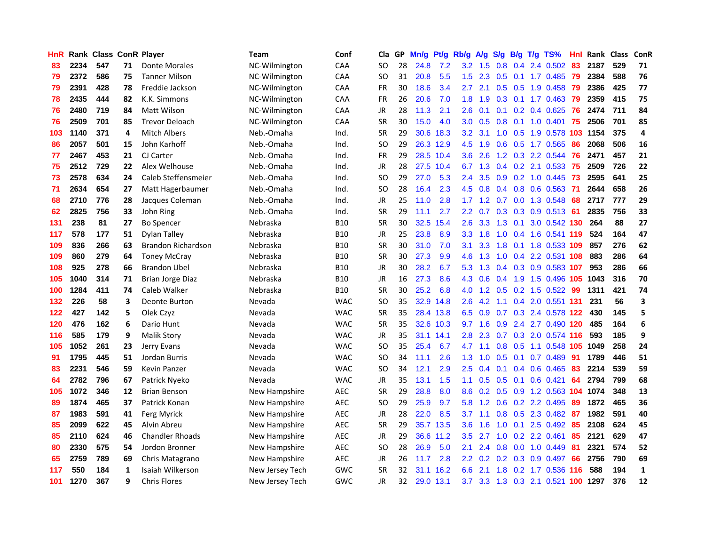| <b>HnR</b> |      | <b>Rank Class ConR Player</b> |    |                           | Team            | Conf       | Cla       |    | GP Mn/g | Pt/g      | Rb/g             | <b>A/g</b> |                  |     | S/g B/g T/g TS%                   | Hnl | Rank Class |     | ConR |
|------------|------|-------------------------------|----|---------------------------|-----------------|------------|-----------|----|---------|-----------|------------------|------------|------------------|-----|-----------------------------------|-----|------------|-----|------|
| 83         | 2234 | 547                           | 71 | Donte Morales             | NC-Wilmington   | CAA        | SO.       | 28 | 24.8    | 7.2       | 3.2              | 1.5        | 0.8              | 0.4 | 2.4 0.502                         | 83  | 2187       | 529 | 71   |
| 79         | 2372 | 586                           | 75 | <b>Tanner Milson</b>      | NC-Wilmington   | CAA        | SO.       | 31 | 20.8    | 5.5       | 1.5              | 2.3        | 0.5              | 0.1 | 1.7 0.485                         | -79 | 2384       | 588 | 76   |
| 79         | 2391 | 428                           | 78 | Freddie Jackson           | NC-Wilmington   | CAA        | <b>FR</b> | 30 | 18.6    | 3.4       | 2.7              | 2.1        | 0.5              | 0.5 | 1.9 0.458                         | -79 | 2386       | 425 | 77   |
| 78         | 2435 | 444                           | 82 | K.K. Simmons              | NC-Wilmington   | CAA        | FR        | 26 | 20.6    | 7.0       | 1.8              | 1.9        |                  |     | 0.3 0.1 1.7 0.463                 | -79 | 2359       | 415 | 75   |
| 76         | 2480 | 719                           | 84 | Matt Wilson               | NC-Wilmington   | CAA        | JR        | 28 | 11.3    | 2.1       | $2.6\,$          | 0.1        |                  |     | $0.1$ $0.2$ $0.4$ $0.625$         | 76  | 2474       | 711 | 84   |
| 76         | 2509 | 701                           | 85 | <b>Trevor Deloach</b>     | NC-Wilmington   | CAA        | <b>SR</b> | 30 | 15.0    | 4.0       | 3.0 <sub>1</sub> | 0.5        |                  |     | $0.8$ 0.1 1.0 0.401               | -75 | 2506       | 701 | 85   |
| 103        | 1140 | 371                           | 4  | <b>Mitch Albers</b>       | Neb.-Omaha      | Ind.       | <b>SR</b> | 29 | 30.6    | 18.3      | 3.2 <sub>1</sub> | 3.1        |                  |     | 1.0 0.5 1.9 0.578 103             |     | 1154       | 375 | 4    |
| 86         | 2057 | 501                           | 15 | John Karhoff              | Neb.-Omaha      | Ind.       | <b>SO</b> | 29 |         | 26.3 12.9 | 4.5              | 1.9        | 0.6              |     | 0.5 1.7 0.565                     | 86  | 2068       | 506 | 16   |
| 77         | 2467 | 453                           | 21 | CJ Carter                 | Neb.-Omaha      | Ind.       | FR        | 29 |         | 28.5 10.4 | 3.6              | 2.6        |                  |     | 1.2 0.3 2.2 0.544                 | 76  | 2471       | 457 | 21   |
| 75         | 2512 | 729                           | 22 | Alex Welhouse             | Neb.-Omaha      | Ind.       | JR        | 28 | 27.5    | 10.4      | 6.7              | 1.3        |                  |     | $0.4$ $0.2$ 2.1 0.533             | 75  | 2509       | 726 | 22   |
| 73         | 2578 | 634                           | 24 | Caleb Steffensmeier       | Neb.-Omaha      | Ind.       | SO.       | 29 | 27.0    | 5.3       | $2.4^{\circ}$    | 3.5        | 0.9              |     | 0.2 1.0 0.445                     | 73  | 2595       | 641 | 25   |
| 71         | 2634 | 654                           | 27 | Matt Hagerbaumer          | Neb.-Omaha      | Ind.       | <b>SO</b> | 28 | 16.4    | 2.3       | 4.5              | 0.8        | 0.4              | 0.8 | 0.6 0.563                         | 71  | 2644       | 658 | 26   |
| 68         | 2710 | 776                           | 28 | Jacques Coleman           | Neb.-Omaha      | Ind.       | <b>JR</b> | 25 | 11.0    | 2.8       | 1.7              | 1.2        | 0.7              | 0.0 | 1.3 0.548                         | 68  | 2717       | 777 | 29   |
| 62         | 2825 | 756                           | 33 | John Ring                 | Neb.-Omaha      | Ind.       | <b>SR</b> | 29 | 11.1    | 2.7       | $2.2\phantom{0}$ | 0.7        | 0.3              | 0.3 | 0.9 0.513                         | -61 | 2835       | 756 | 33   |
| 131        | 238  | 81                            | 27 | <b>Bo Spencer</b>         | Nebraska        | <b>B10</b> | <b>SR</b> | 30 | 32.5    | 15.4      | 2.6              | 3.3        | 1.3              | 0.1 | 3.0 0.542 130                     |     | 264        | 88  | 27   |
| 117        | 578  | 177                           | 51 | <b>Dylan Talley</b>       | Nebraska        | <b>B10</b> | JR        | 25 | 23.8    | 8.9       | 3.3              | 1.8        | 1.0              | 0.4 | 1.6 0.541 119                     |     | 524        | 164 | 47   |
| 109        | 836  | 266                           | 63 | <b>Brandon Richardson</b> | Nebraska        | <b>B10</b> | <b>SR</b> | 30 | 31.0    | 7.0       | 3.1              | 3.3        | 1.8              | 0.1 | 1.8 0.533 109                     |     | 857        | 276 | 62   |
| 109        | 860  | 279                           | 64 | <b>Toney McCray</b>       | Nebraska        | <b>B10</b> | <b>SR</b> | 30 | 27.3    | 9.9       | 4.6              | 1.3        |                  |     | 1.0 0.4 2.2 0.531 108             |     | 883        | 286 | 64   |
| 108        | 925  | 278                           | 66 | Brandon Ubel              | Nebraska        | <b>B10</b> | JR        | 30 | 28.2    | 6.7       |                  | $5.3$ 1.3  |                  |     | 0.4 0.3 0.9 0.583 107             |     | 953        | 286 | 66   |
| 105        | 1040 | 314                           | 71 | Brian Jorge Diaz          | Nebraska        | <b>B10</b> | JR        | 16 | 27.3    | 8.6       |                  | 4.3 0.6    |                  |     | 0.4 1.9 1.5 0.496 105             |     | 1043       | 316 | 70   |
| 100        | 1284 | 411                           | 74 | Caleb Walker              | Nebraska        | <b>B10</b> | <b>SR</b> | 30 | 25.2    | 6.8       | 4.0              | 1.2        |                  |     | $0.5$ 0.2 1.5 0.522               | -99 | 1311       | 421 | 74   |
| 132        | 226  | 58                            | 3  | <b>Deonte Burton</b>      | Nevada          | <b>WAC</b> | <b>SO</b> | 35 | 32.9    | 14.8      | $2.6\,$          | 4.2        | 1.1              |     | 0.4 2.0 0.551 131                 |     | 231        | 56  | 3    |
| 122        | 427  | 142                           | 5  | Olek Czyz                 | Nevada          | <b>WAC</b> | <b>SR</b> | 35 |         | 28.4 13.8 | 6.5              | 0.9        |                  |     | 0.7 0.3 2.4 0.578 122             |     | 430        | 145 | 5    |
| 120        | 476  | 162                           | 6  | Dario Hunt                | Nevada          | <b>WAC</b> | <b>SR</b> | 35 |         | 32.6 10.3 | 9.7              | 1.6        | 0.9              |     | 2.4 2.7 0.490 120                 |     | 485        | 164 | 6    |
| 116        | 585  | 179                           | 9  | <b>Malik Story</b>        | Nevada          | <b>WAC</b> | JR        | 35 |         | 31.1 14.1 | 2.8              | 2.3        |                  |     | 0.7 0.3 2.0 0.574 116             |     | 593        | 185 | 9    |
| 105        | 1052 | 261                           | 23 | Jerry Evans               | Nevada          | <b>WAC</b> | <b>SO</b> | 35 | 25.4    | 6.7       | 4.7              | 1.1        | 0.8 <sub>0</sub> | 0.5 | 1.1 0.548 105                     |     | 1049       | 258 | 24   |
| 91         | 1795 | 445                           | 51 | Jordan Burris             | Nevada          | <b>WAC</b> | SO.       | 34 | 11.1    | 2.6       | 1.3              | 1.0        | 0.5              | 0.1 | 0.7 0.489                         | 91  | 1789       | 446 | 51   |
| 83         | 2231 | 546                           | 59 | <b>Kevin Panzer</b>       | Nevada          | <b>WAC</b> | SO.       | 34 | 12.1    | 2.9       | 2.5              | 0.4        | 0.1              |     | $0.4$ 0.6 0.465                   | 83  | 2214       | 539 | 59   |
| 64         | 2782 | 796                           | 67 | Patrick Nyeko             | Nevada          | <b>WAC</b> | <b>JR</b> | 35 | 13.1    | 1.5       | 1.1              | 0.5        | 0.5              | 0.1 | $0.6$ 0.421                       | 64  | 2794       | 799 | 68   |
| 105        | 1072 | 346                           | 12 | <b>Brian Benson</b>       | New Hampshire   | <b>AEC</b> | <b>SR</b> | 29 | 28.8    | 8.0       | 8.6              | 0.2        | 0.5              | 0.9 | 1.2 0.563 104                     |     | 1074       | 348 | 13   |
| 89         | 1874 | 465                           | 37 | Patrick Konan             | New Hampshire   | <b>AEC</b> | <b>SO</b> | 29 | 25.9    | 9.7       | 5.8              | 1.2        | 0.6              |     | 0.2 2.2 0.495                     | 89  | 1872       | 465 | 36   |
| 87         | 1983 | 591                           | 41 | <b>Ferg Myrick</b>        | New Hampshire   | <b>AEC</b> | JR        | 28 | 22.0    | 8.5       | 3.7              | 1.1        |                  |     | 0.8 0.5 2.3 0.482                 | -87 | 1982       | 591 | 40   |
| 85         | 2099 | 622                           | 45 | Alvin Abreu               | New Hampshire   | <b>AEC</b> | <b>SR</b> | 29 |         | 35.7 13.5 | 3.6              | 1.6        |                  |     | 1.0 0.1 2.5 0.492                 | 85  | 2108       | 624 | 45   |
| 85         | 2110 | 624                           | 46 | <b>Chandler Rhoads</b>    | New Hampshire   | <b>AEC</b> | JR        | 29 | 36.6    | 11.2      | 3.5              | 2.7        | 1.0              |     | $0.2$ 2.2 $0.461$                 | 85  | 2121       | 629 | 47   |
| 80         | 2330 | 575                           | 54 | Jordon Bronner            | New Hampshire   | AEC        | <b>SO</b> | 28 | 26.9    | 5.0       | 2.1              | 2.4        | 0.8              |     | $0.0$ 1.0 $0.449$                 | 81  | 2321       | 574 | 52   |
| 65         | 2759 | 789                           | 69 | Chris Matagrano           | New Hampshire   | AEC        | JR        | 26 | 11.7    | 2.8       | 2.2              | 0.2        | 0.2              |     | 0.3 0.9 0.497                     | 66  | 2756       | 790 | 69   |
| 117        | 550  | 184                           | 1  | Isaiah Wilkerson          | New Jersey Tech | GWC        | <b>SR</b> | 32 | 31.1    | 16.2      | 6.6              | 2.1        | 1.8              | 0.2 | 1.7 0.536                         | 116 | 588        | 194 | 1    |
| 101        | 1270 | 367                           | 9  | <b>Chris Flores</b>       | New Jersey Tech | GWC        | JR        | 32 |         | 29.0 13.1 | 3.7              | 3.3        |                  |     | 1.3 0.3 2.1 0.521 <b>100 1297</b> |     |            | 376 | 12   |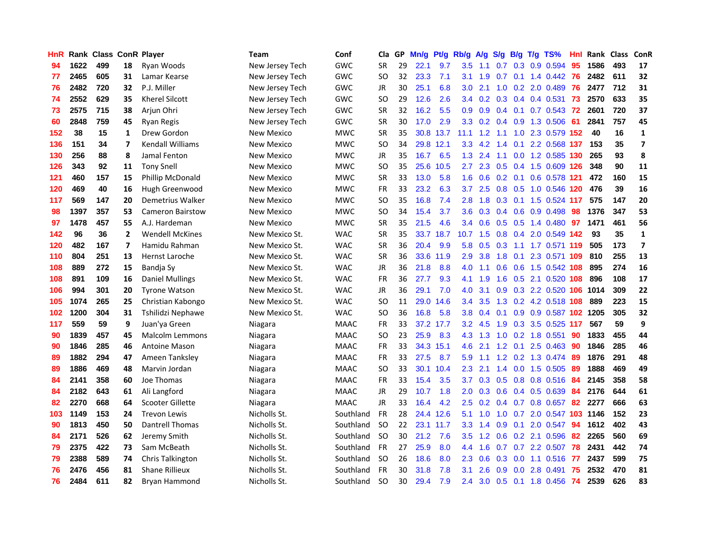| <b>HnR</b> |      | Rank Class ConR Player |                |                         | Team              | Conf        | Cla       |    | GP Mn/g | Pt/g      | Rb/g             | A/g |                   |                 | S/g B/g T/g TS%           | Hnl | Rank Class |     | ConR                    |
|------------|------|------------------------|----------------|-------------------------|-------------------|-------------|-----------|----|---------|-----------|------------------|-----|-------------------|-----------------|---------------------------|-----|------------|-----|-------------------------|
| 94         | 1622 | 499                    | 18             | Ryan Woods              | New Jersey Tech   | <b>GWC</b>  | <b>SR</b> | 29 | 22.1    | 9.7       | 3.5              | 1.1 | 0.7               | 0.3             | 0.9 0.594                 | 95  | 1586       | 493 | 17                      |
| 77         | 2465 | 605                    | 31             | Lamar Kearse            | New Jersey Tech   | <b>GWC</b>  | SO.       | 32 | 23.3    | 7.1       | 3.1              | 1.9 | 0.7               | 0.1             | 1.4 0.442                 | 76  | 2482       | 611 | 32                      |
| 76         | 2482 | 720                    | 32             | P.J. Miller             | New Jersey Tech   | GWC         | JR        | 30 | 25.1    | 6.8       | 3.0              | 2.1 | 1.0               |                 | 0.2 2.0 0.489             | 76  | 2477       | 712 | 31                      |
| 74         | 2552 | 629                    | 35             | <b>Kherel Silcott</b>   | New Jersey Tech   | GWC         | SO.       | 29 | 12.6    | 2.6       |                  |     |                   |                 | 3.4 0.2 0.3 0.4 0.4 0.531 | 73  | 2570       | 633 | 35                      |
| 73         | 2575 | 715                    | 38             | Arjun Ohri              | New Jersey Tech   | GWC         | <b>SR</b> | 32 | 16.2    | 5.5       | 0.9 <sub>0</sub> | 0.9 |                   |                 | 0.4 0.1 0.7 0.543 72      |     | 2601       | 720 | 37                      |
| 60         | 2848 | 759                    | 45             | <b>Ryan Regis</b>       | New Jersey Tech   | GWC         | <b>SR</b> | 30 | 17.0    | 2.9       |                  |     | $3.3$ 0.2 0.4 0.9 |                 | 1.3 0.506                 | -61 | 2841       | 757 | 45                      |
| 152        | 38   | 15                     | 1              | Drew Gordon             | New Mexico        | <b>MWC</b>  | <b>SR</b> | 35 |         | 30.8 13.7 | 11.1             | 1.2 | 1.1               |                 | 1.0 2.3 0.579 152         |     | 40         | 16  | $\mathbf{1}$            |
| 136        | 151  | 34                     | 7              | <b>Kendall Williams</b> | New Mexico        | <b>MWC</b>  | SO.       | 34 |         | 29.8 12.1 | 3.3 <sub>2</sub> | 4.2 | 1.4               | 0.1             | 2.2 0.568 137             |     | 153        | 35  | $\overline{\mathbf{z}}$ |
| 130        | 256  | 88                     | 8              | Jamal Fenton            | <b>New Mexico</b> | <b>MWC</b>  | JR        | 35 | 16.7    | 6.5       | 1.3              | 2.4 | 1.1               | 0.0             | 1.2 0.585 130             |     | 265        | 93  | 8                       |
| 126        | 343  | 92                     | 11             | <b>Tony Snell</b>       | <b>New Mexico</b> | <b>MWC</b>  | <b>SO</b> | 35 | 25.6    | 10.5      | $2.7^{\circ}$    | 2.3 | 0.5               |                 | 0.4 1.5 0.609 126         |     | 348        | 90  | 11                      |
| 121        | 460  | 157                    | 15             | Phillip McDonald        | <b>New Mexico</b> | <b>MWC</b>  | <b>SR</b> | 33 | 13.0    | 5.8       | 1.6              | 0.6 |                   | $0.2 \quad 0.1$ | 0.6 0.578                 | 121 | 472        | 160 | 15                      |
| 120        | 469  | 40                     | 16             | Hugh Greenwood          | New Mexico        | <b>MWC</b>  | <b>FR</b> | 33 | 23.2    | 6.3       | 3.7              | 2.5 |                   | $0.8\quad 0.5$  | 1.0 0.546                 | 120 | 476        | 39  | 16                      |
| 117        | 569  | 147                    | 20             | Demetrius Walker        | New Mexico        | <b>MWC</b>  | SO.       | 35 | 16.8    | 7.4       | 2.8              | 1.8 | 0.3               | 0.1             | 1.5 0.524                 | 117 | 575        | 147 | 20                      |
| 98         | 1397 | 357                    | 53             | <b>Cameron Bairstow</b> | New Mexico        | <b>MWC</b>  | SO.       | 34 | 15.4    | 3.7       | 3.6              | 0.3 | 0.4               | 0.6             | 0.9 0.498                 | 98  | 1376       | 347 | 53                      |
| 97         | 1478 | 457                    | 55             | A.J. Hardeman           | New Mexico        | <b>MWC</b>  | <b>SR</b> | 35 | 21.5    | 4.6       | 3.4              | 0.6 | 0.5               | 0.5             | 1.4 0.480                 | 97  | 1471       | 461 | 56                      |
| 142        | 96   | 36                     | $\overline{2}$ | <b>Wendell McKines</b>  | New Mexico St.    | <b>WAC</b>  | <b>SR</b> | 35 | 33.7    | 18.7      | 10.7             | 1.5 | 0.8               |                 | 0.4 2.0 0.549 142         |     | 93         | 35  | $\mathbf{1}$            |
| 120        | 482  | 167                    | 7              | Hamidu Rahman           | New Mexico St.    | <b>WAC</b>  | <b>SR</b> | 36 | 20.4    | 9.9       | 5.8              | 0.5 | 0.3               |                 | 1.1 1.7 0.571 119         |     | 505        | 173 | 7                       |
| 110        | 804  | 251                    | 13             | <b>Hernst Laroche</b>   | New Mexico St.    | <b>WAC</b>  | <b>SR</b> | 36 |         | 33.6 11.9 | 2.9              | 3.8 |                   |                 | 1.8 0.1 2.3 0.571 109     |     | 810        | 255 | 13                      |
| 108        | 889  | 272                    | 15             | Bandja Sy               | New Mexico St.    | <b>WAC</b>  | JR        | 36 | 21.8    | 8.8       | 4.0              | 1.1 |                   |                 | 0.6 0.6 1.5 0.542 108     |     | 895        | 274 | 16                      |
| 108        | 891  | 109                    | 16             | Daniel Mullings         | New Mexico St.    | <b>WAC</b>  | <b>FR</b> | 36 | 27.7    | 9.3       | 4.1              | 1.9 |                   |                 | 1.6 0.5 2.1 0.520 108     |     | 896        | 108 | 17                      |
| 106        | 994  | 301                    | 20             | <b>Tyrone Watson</b>    | New Mexico St.    | <b>WAC</b>  | JR        | 36 | 29.1    | 7.0       | 4.0              | 3.1 |                   |                 | 0.9 0.3 2.2 0.520 106     |     | 1014       | 309 | 22                      |
| 105        | 1074 | 265                    | 25             | Christian Kabongo       | New Mexico St.    | <b>WAC</b>  | <b>SO</b> | 11 | 29.0    | 14.6      | 3.4              | 3.5 | 1.3               |                 | 0.2 4.2 0.518 108         |     | 889        | 223 | 15                      |
| 102        | 1200 | 304                    | 31             | Tshilidzi Nephawe       | New Mexico St.    | <b>WAC</b>  | <b>SO</b> | 36 | 16.8    | 5.8       | 3.8 <sup>°</sup> | 0.4 | 0.1               |                 | 0.9 0.9 0.587 102 1205    |     |            | 305 | 32                      |
| 117        | 559  | 59                     | 9              | Juan'ya Green           | Niagara           | <b>MAAC</b> | <b>FR</b> | 33 |         | 37.2 17.7 | 3.2 <sub>2</sub> | 4.5 | 1.9               | 0.3             | 3.5 0.525                 | 117 | 567        | 59  | 9                       |
| 90         | 1839 | 457                    | 45             | <b>Malcolm Lemmons</b>  | Niagara           | <b>MAAC</b> | SO.       | 23 | 25.9    | 8.3       | 4.3              | 1.3 | 1.0               | 0.2             | 1.8 0.551                 | 90  | 1833       | 455 | 44                      |
| 90         | 1846 | 285                    | 46             | Antoine Mason           | Niagara           | <b>MAAC</b> | <b>FR</b> | 33 |         | 34.3 15.1 | 4.6              | 2.1 | 1.2               | 0.1             | 2.5 0.463                 | 90  | 1846       | 285 | 46                      |
| 89         | 1882 | 294                    | 47             | Ameen Tanksley          | Niagara           | <b>MAAC</b> | FR        | 33 | 27.5    | 8.7       | 5.9              | 1.1 | 1.2               | 0.2             | 1.3 0.474                 | 89  | 1876       | 291 | 48                      |
| 89         | 1886 | 469                    | 48             | Marvin Jordan           | Niagara           | <b>MAAC</b> | <b>SO</b> | 33 |         | 30.1 10.4 | 2.3              | 2.1 | 1.4               | 0.0             | 1.5 0.505                 | 89  | 1888       | 469 | 49                      |
| 84         | 2141 | 358                    | 60             | Joe Thomas              | Niagara           | <b>MAAC</b> | <b>FR</b> | 33 | 15.4    | 3.5       | 3.7              | 0.3 | 0.5               | 0.8             | 0.8 0.516                 | 84  | 2145       | 358 | 58                      |
| 84         | 2182 | 643                    | 61             | Ali Langford            | Niagara           | <b>MAAC</b> | JR        | 29 | 10.7    | 1.8       | 2.0 <sub>1</sub> | 0.3 |                   |                 | $0.6$ 0.4 0.5 0.639       | 84  | 2176       | 644 | 61                      |
| 82         | 2270 | 668                    | 64             | <b>Scooter Gillette</b> | Niagara           | <b>MAAC</b> | JR        | 33 | 16.4    | 4.2       | 2.5              | 0.2 |                   |                 | $0.4$ 0.7 0.8 0.657       | 82  | 2277       | 666 | 63                      |
| 103        | 1149 | 153                    | 24             | <b>Trevon Lewis</b>     | Nicholls St.      | Southland   | <b>FR</b> | 28 |         | 24.4 12.6 | 5.1              | 1.0 | 1.0               |                 | 0.7 2.0 0.547 103 1146    |     |            | 152 | 23                      |
| 90         | 1813 | 450                    | 50             | Dantrell Thomas         | Nicholls St.      | Southland   | <b>SO</b> | 22 |         | 23.1 11.7 | 3.3 <sub>1</sub> | 1.4 | 0.9               |                 | $0.1$ 2.0 $0.547$         | 94  | 1612       | 402 | 43                      |
| 84         | 2171 | 526                    | 62             | Jeremy Smith            | Nicholls St.      | Southland   | SO.       | 30 | 21.2    | 7.6       | $3.5^{\circ}$    | 1.2 | 0.6               |                 | 0.2 2.1 0.596             | 82  | 2265       | 560 | 69                      |
| 79         | 2375 | 422                    | 73             | Sam McBeath             | Nicholls St.      | Southland   | <b>FR</b> | 27 | 25.9    | 8.0       | 4.4              | 1.6 | 0.7               |                 | 0.7 2.2 0.507             | 78  | 2431       | 442 | 74                      |
| 79         | 2388 | 589                    | 74             | Chris Talkington        | Nicholls St.      | Southland   | <b>SO</b> | 26 | 18.6    | 8.0       | $2.3^{\circ}$    | 0.6 | 0.3               | 0.0             | 1.1 0.516                 | -77 | 2437       | 599 | 75                      |
| 76         | 2476 | 456                    | 81             | <b>Shane Rillieux</b>   | Nicholls St.      | Southland   | FR        | 30 | 31.8    | 7.8       | 3.1              | 2.6 | 0.9               | 0.0             | 2.8 0.491                 | 75  | 2532       | 470 | 81                      |
| 76         | 2484 | 611                    | 82             | <b>Bryan Hammond</b>    | Nicholls St.      | Southland   | <b>SO</b> | 30 | 29.4    | 7.9       | 2.4              | 3.0 |                   |                 | 0.5 0.1 1.8 0.456         | 74  | 2539       | 626 | 83                      |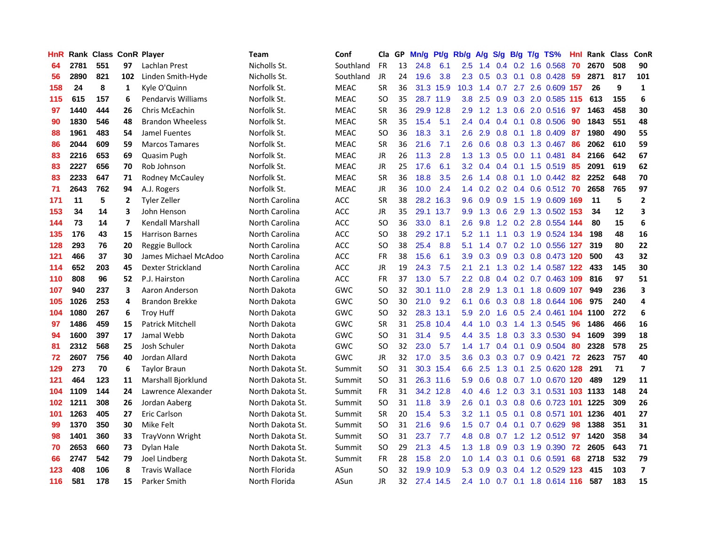| <b>HnR</b> |      | Rank Class ConR Player |                |                           | <b>Team</b>      | Conf        | Cla           |    | GP Mn/g   | Pt/g      | Rb/g             | A/g             |     |                 | S/g B/g T/g TS%               | Hnl | Rank Class |     | ConR                    |
|------------|------|------------------------|----------------|---------------------------|------------------|-------------|---------------|----|-----------|-----------|------------------|-----------------|-----|-----------------|-------------------------------|-----|------------|-----|-------------------------|
| 64         | 2781 | 551                    | 97             | Lachlan Prest             | Nicholls St.     | Southland   | <b>FR</b>     | 13 | 24.8      | 6.1       | 2.5              | 1.4             |     | $0.4 \quad 0.2$ | 1.6 0.568                     | 70  | 2670       | 508 | 90                      |
| 56         | 2890 | 821                    | 102            | Linden Smith-Hyde         | Nicholls St.     | Southland   | JR            | 24 | 19.6      | 3.8       | $2.3^{\circ}$    | 0.5             |     | $0.3 \quad 0.1$ | 0.8 0.428                     | -59 | 2871       | 817 | 101                     |
| 158        | 24   | 8                      | 1              | Kyle O'Quinn              | Norfolk St.      | <b>MEAC</b> | <b>SR</b>     | 36 |           | 31.3 15.9 | 10.3             | 1.4             | 0.7 |                 | 2.7 2.6 0.609 157             |     | 26         | 9   | $\mathbf 1$             |
| 115        | 615  | 157                    | 6              | <b>Pendarvis Williams</b> | Norfolk St.      | <b>MEAC</b> | SO.           | 35 |           | 28.7 11.9 | 3.8 <sub>2</sub> | 2.5             |     |                 | 0.9 0.3 2.0 0.585 115         |     | 613        | 155 | 6                       |
| 97         | 1440 | 444                    | 26             | Chris McEachin            | Norfolk St.      | <b>MEAC</b> | <b>SR</b>     | 36 |           | 29.9 12.8 | 2.9              |                 |     |                 | 1.2 1.3 0.6 2.0 0.516 97      |     | 1463       | 458 | 30                      |
| 90         | 1830 | 546                    | 48             | <b>Brandon Wheeless</b>   | Norfolk St.      | <b>MEAC</b> | <b>SR</b>     | 35 | 15.4      | 5.1       |                  | $2.4 \quad 0.4$ |     |                 | $0.4$ 0.1 0.8 0.506           | -90 | 1843       | 551 | 48                      |
| 88         | 1961 | 483                    | 54             | Jamel Fuentes             | Norfolk St.      | <b>MEAC</b> | <b>SO</b>     | 36 | 18.3      | 3.1       | $2.6^{\circ}$    | 2.9             |     |                 | $0.8$ 0.1 1.8 0.409           | 87  | 1980       | 490 | 55                      |
| 86         | 2044 | 609                    | 59             | <b>Marcos Tamares</b>     | Norfolk St.      | <b>MEAC</b> | <b>SR</b>     | 36 | 21.6      | 7.1       | 2.6              | 0.6             |     |                 | 0.8 0.3 1.3 0.467             | 86  | 2062       | 610 | 59                      |
| 83         | 2216 | 653                    | 69             | Quasim Pugh               | Norfolk St.      | <b>MEAC</b> | JR            | 26 | 11.3      | 2.8       | 1.3 <sub>1</sub> | 1.3             | 0.5 |                 | $0.0$ 1.1 $0.481$             | 84  | 2166       | 642 | 67                      |
| 83         | 2227 | 656                    | 70             | Rob Johnson               | Norfolk St.      | <b>MEAC</b> | JR            | 25 | 17.6      | 6.1       | 3.2              | 0.4             |     |                 | $0.4$ 0.1 1.5 0.519           | 85  | 2091       | 619 | 62                      |
| 83         | 2233 | 647                    | 71             | Rodney McCauley           | Norfolk St.      | <b>MEAC</b> | <b>SR</b>     | 36 | 18.8      | 3.5       | 2.6              | 1.4             |     |                 | 0.8 0.1 1.0 0.442             | -82 | 2252       | 648 | 70                      |
| 71         | 2643 | 762                    | 94             | A.J. Rogers               | Norfolk St.      | <b>MEAC</b> | <b>JR</b>     | 36 | 10.0      | 2.4       |                  | $1.4 \quad 0.2$ |     |                 | $0.2$ 0.4 0.6 0.512           | 70  | 2658       | 765 | 97                      |
| 171        | 11   | 5                      | $\overline{2}$ | <b>Tyler Zeller</b>       | North Carolina   | <b>ACC</b>  | <b>SR</b>     | 38 |           | 28.2 16.3 | 9.6              | 0.9             | 0.9 |                 | 1.5 1.9 0.609 169             |     | 11         | 5   | $\overline{2}$          |
| 153        | 34   | 14                     | 3              | John Henson               | North Carolina   | ACC         | JR            | 35 |           | 29.1 13.7 | 9.9              | 1.3             | 0.6 | 2.9             | 1.3 0.502 153                 |     | -34        | 12  | 3                       |
| 144        | 73   | 14                     | $\overline{ }$ | <b>Kendall Marshall</b>   | North Carolina   | <b>ACC</b>  | <sub>SO</sub> | 36 | 33.0      | 8.1       | 2.6              | 9.8             |     |                 | 1.2 0.2 2.8 0.554 144         |     | 80         | 15  | 6                       |
| 135        | 176  | 43                     | 15             | <b>Harrison Barnes</b>    | North Carolina   | <b>ACC</b>  | <sub>SO</sub> | 38 |           | 29.2 17.1 | 5.2              | 1.1             |     |                 | 1.1 0.3 1.9 0.524 134         |     | 198        | 48  | 16                      |
| 128        | 293  | 76                     | 20             | Reggie Bullock            | North Carolina   | <b>ACC</b>  | <b>SO</b>     | 38 | 25.4      | 8.8       | 5.1              | 1.4             |     |                 | 0.7 0.2 1.0 0.556 127         |     | 319        | 80  | 22                      |
| 121        | 466  | 37                     | 30             | James Michael McAdoo      | North Carolina   | <b>ACC</b>  | <b>FR</b>     | 38 | 15.6      | 6.1       | 3.9 <sup>°</sup> |                 |     |                 | 0.3 0.9 0.3 0.8 0.473 120     |     | 500        | 43  | 32                      |
| 114        | 652  | 203                    | 45             | Dexter Strickland         | North Carolina   | ACC         | JR            | 19 | 24.3      | 7.5       | 2.1              | 2.1             |     |                 | 1.3 0.2 1.4 0.587 122         |     | 433        | 145 | 30                      |
| 110        | 808  | 96                     | 52.            | P.J. Hairston             | North Carolina   | <b>ACC</b>  | <b>FR</b>     | 37 | 13.0      | 5.7       | $2.2^{\circ}$    | 0.8             |     |                 | 0.4 0.2 0.7 0.463 109         |     | 816        | 97  | 51                      |
| 107        | 940  | 237                    | 3              | Aaron Anderson            | North Dakota     | GWC         | SO.           | 32 |           | 30.1 11.0 | 2.8              | 2.9             |     |                 | 1.3 0.1 1.8 0.609 107         |     | 949        | 236 | 3                       |
| 105        | 1026 | 253                    | 4              | <b>Brandon Brekke</b>     | North Dakota     | GWC         | <b>SO</b>     | 30 | 21.0      | 9.2       | 6.1              | 0.6             |     |                 | 0.3 0.8 1.8 0.644 106         |     | 975        | 240 | 4                       |
| 104        | 1080 | 267                    | 6              | <b>Troy Huff</b>          | North Dakota     | GWC         | <b>SO</b>     | 32 |           | 28.3 13.1 | 5.9              | 2.0             | 1.6 |                 | 0.5 2.4 0.461 104 1100        |     |            | 272 | 6                       |
| 97         | 1486 | 459                    | 15             | <b>Patrick Mitchell</b>   | North Dakota     | GWC         | <b>SR</b>     | 31 |           | 25.8 10.4 | 4.4              | 1.0             | 0.3 |                 | 1.4 1.3 0.545                 | -96 | 1486       | 466 | 16                      |
| 94         | 1600 | 397                    | 17             | Jamal Webb                | North Dakota     | GWC         | SO.           | 31 | 31.4      | 9.5       | 4.4              | 3.5             |     | $1.8\quad 0.3$  | 3.3 0.530                     | -94 | 1609       | 399 | 18                      |
| 81         | 2312 | 568                    | 25             | Josh Schuler              | North Dakota     | GWC         | <b>SO</b>     | 32 | 23.0      | 5.7       | $1.4^{\circ}$    | 1.7             |     | $0.4 \quad 0.1$ | 0.9 0.504                     | 80  | 2328       | 578 | 25                      |
| 72         | 2607 | 756                    | 40             | Jordan Allard             | North Dakota     | GWC         | <b>JR</b>     | 32 | 17.0      | 3.5       | 3.6              | 0.3             | 0.3 |                 | 0.7 0.9 0.421                 | 72  | 2623       | 757 | 40                      |
| 129        | 273  | 70                     | 6              | <b>Taylor Braun</b>       | North Dakota St. | Summit      | <b>SO</b>     | 31 |           | 30.3 15.4 | 6.6              | 2.5             | 1.3 | 0.1             | 2.5 0.620 128                 |     | 291        | 71  | $\overline{\mathbf{z}}$ |
| 121        | 464  | 123                    | 11             | <b>Marshall Bjorklund</b> | North Dakota St. | Summit      | <b>SO</b>     | 31 |           | 26.3 11.6 | 5.9              | 0.6             |     |                 | 0.8 0.7 1.0 0.670 120         |     | 489        | 129 | 11                      |
| 104        | 1109 | 144                    | 24             | Lawrence Alexander        | North Dakota St. | Summit      | <b>FR</b>     | 31 |           | 34.2 12.8 | 4.0              | 4.6             |     |                 | 1.2 0.3 3.1 0.531 103 1133    |     |            | 148 | 24                      |
| 102        | 1211 | 308                    | 26             | Jordan Aaberg             | North Dakota St. | Summit      | SO            | 31 | 11.8      | 3.9       | 2.6              | 0.1             |     |                 | 0.3 0.8 0.6 0.723 101 1225    |     |            | 309 | 26                      |
| 101        | 1263 | 405                    | 27             | Eric Carlson              | North Dakota St. | Summit      | <b>SR</b>     | 20 | 15.4      | 5.3       | 3.2              | 1.1             |     |                 | 0.5 0.1 0.8 0.571 101 1236    |     |            | 401 | 27                      |
| 99         | 1370 | 350                    | 30             | Mike Felt                 | North Dakota St. | Summit      | <b>SO</b>     | 31 | 21.6      | 9.6       | 1.5              | 0.7             |     |                 | 0.4 0.1 0.7 0.629             | -98 | 1388       | 351 | 31                      |
| 98         | 1401 | 360                    | 33             | TrayVonn Wright           | North Dakota St. | Summit      | <b>SO</b>     | 31 | 23.7      | 7.7       | 4.8              | 0.8             | 0.7 |                 | 1.2 1.2 0.512                 | 97  | 1420       | 358 | 34                      |
| 70         | 2653 | 660                    | 73             | Dylan Hale                | North Dakota St. | Summit      | <b>SO</b>     | 29 | 21.3      | 4.5       | 1.3 <sup>2</sup> | 1.8             |     |                 | 0.9 0.3 1.9 0.390             | 72  | 2605       | 643 | 71                      |
| 66         | 2747 | 542                    | 79             | Joel Lindberg             | North Dakota St. | Summit      | FR            | 28 | 15.8      | 2.0       | 1.0              | 1.4             | 0.3 | 0.1             | $0.6$ 0.591                   | 68  | 2718       | 532 | 79                      |
| 123        | 408  | 106                    | 8              | <b>Travis Wallace</b>     | North Florida    | ASun        | <b>SO</b>     | 32 | 19.9      | 10.9      | 5.3              | 0.9             |     |                 | 0.3 0.4 1.2 0.529 123         |     | 415        | 103 | $\overline{\mathbf{z}}$ |
| 116        | 581  | 178                    | 15             | Parker Smith              | North Florida    | ASun        | <b>JR</b>     | 32 | 27.4 14.5 |           |                  |                 |     |                 | 2.4 1.0 0.7 0.1 1.8 0.614 116 |     | 587        | 183 | 15                      |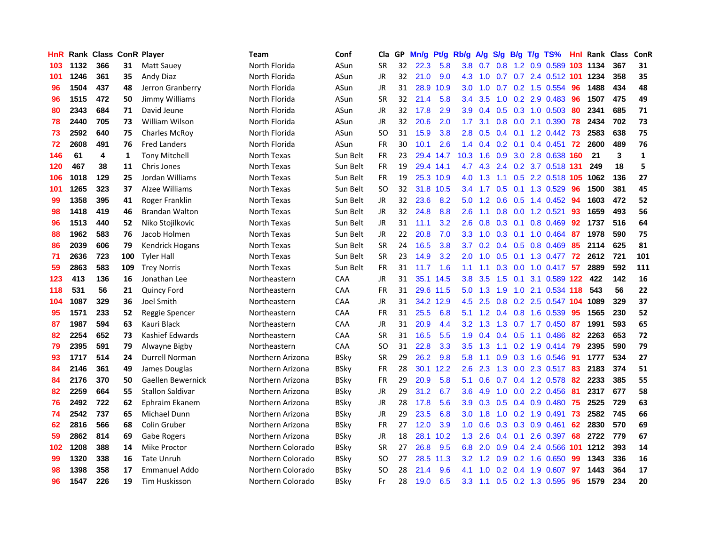| <b>HnR</b> |      | Rank Class ConR Player |     |                         | Team              | Conf        | Cla       |    | GP Mn/g Pt/g |           | Rb/g             | A/g             |     |                 | S/g B/g T/g TS%            | Hnl |      | Rank Class ConR |             |
|------------|------|------------------------|-----|-------------------------|-------------------|-------------|-----------|----|--------------|-----------|------------------|-----------------|-----|-----------------|----------------------------|-----|------|-----------------|-------------|
| 103        | 1132 | 366                    | 31  | <b>Matt Sauey</b>       | North Florida     | ASun        | <b>SR</b> | 32 | 22.3         | 5.8       | 3.8              | 0.7             | 0.8 | 1.2             | 0.9 0.589                  | 103 | 1134 | 367             | 31          |
| 101        | 1246 | 361                    | 35  | Andy Diaz               | North Florida     | ASun        | JR        | 32 | 21.0         | 9.0       | 4.3              | 1.0             |     |                 | 0.7 0.7 2.4 0.512 101      |     | 1234 | 358             | 35          |
| 96         | 1504 | 437                    | 48  | Jerron Granberry        | North Florida     | ASun        | <b>JR</b> | 31 | 28.9         | 10.9      | 3.0              | 1.0             | 0.7 |                 | 0.2 1.5 0.554              | -96 | 1488 | 434             | 48          |
| 96         | 1515 | 472                    | 50  | Jimmy Williams          | North Florida     | ASun        | <b>SR</b> | 32 | 21.4         | 5.8       | 3.4              | 3.5             | 1.0 |                 | $0.2$ 2.9 0.483            | -96 | 1507 | 475             | 49          |
| 80         | 2343 | 684                    | 71  | David Jeune             | North Florida     | ASun        | JR        | 32 | 17.8         | 2.9       | 3.9 <sup>°</sup> |                 |     |                 | $0.4$ 0.5 0.3 1.0 0.503    | -80 | 2341 | 685             | 71          |
| 78         | 2440 | 705                    | 73  | William Wilson          | North Florida     | ASun        | JR        | 32 | 20.6         | 2.0       | 1.7 <sup>2</sup> | 3.1             |     |                 | 0.8 0.0 2.1 0.390 78       |     | 2434 | 702             | 73          |
| 73         | 2592 | 640                    | 75  | <b>Charles McRoy</b>    | North Florida     | ASun        | SO.       | 31 | 15.9         | 3.8       | 2.8              | 0.5             |     |                 | $0.4$ 0.1 1.2 0.442 73     |     | 2583 | 638             | 75          |
| 72         | 2608 | 491                    | 76  | <b>Fred Landers</b>     | North Florida     | ASun        | <b>FR</b> | 30 | 10.1         | 2.6       |                  | $1.4 \quad 0.4$ |     |                 | $0.2$ 0.1 0.4 0.451 72     |     | 2600 | 489             | 76          |
| 146        | 61   | 4                      | 1   | <b>Tony Mitchell</b>    | North Texas       | Sun Belt    | <b>FR</b> | 23 |              | 29.4 14.7 | 10.3             | 1.6             |     |                 | 0.9 3.0 2.8 0.638 160      |     | 21   | 3               | $\mathbf 1$ |
| 120        | 467  | 38                     | 11  | Chris Jones             | North Texas       | Sun Belt    | FR        | 19 |              | 29.4 14.1 | 4.7              | 4.3             |     |                 | 2.4 0.2 3.7 0.518 131      |     | 249  | 18              | 5           |
| 106        | 1018 | 129                    | 25  | Jordan Williams         | North Texas       | Sun Belt    | <b>FR</b> | 19 |              | 25.3 10.9 | 4.0              | 1.3             | 1.1 |                 | 0.5 2.2 0.518 105 1062     |     |      | 136             | 27          |
| 101        | 1265 | 323                    | 37  | Alzee Williams          | North Texas       | Sun Belt    | <b>SO</b> | 32 |              | 31.8 10.5 | $3.4^{\circ}$    | 1.7             |     |                 | 0.5 0.1 1.3 0.529          | -96 | 1500 | 381             | 45          |
| 99         | 1358 | 395                    | 41  | Roger Franklin          | North Texas       | Sun Belt    | <b>JR</b> | 32 | 23.6         | 8.2       | 5.0              | 1.2             | 0.6 | 0.5             | 1.4 0.452                  | 94  | 1603 | 472             | 52          |
| 98         | 1418 | 419                    | 46  | <b>Brandan Walton</b>   | North Texas       | Sun Belt    | <b>JR</b> | 32 | 24.8         | 8.8       | 2.6              | 1.1             | 0.8 | 0.0             | 1.2 0.521                  | 93  | 1659 | 493             | 56          |
| 96         | 1513 | 440                    | 52  | Niko Stojilkovic        | North Texas       | Sun Belt    | JR        | 31 | 11.1         | 3.2       | 2.6              | 0.8             | 0.3 | 0.1             | 0.8 0.469                  | 92  | 1737 | 516             | 64          |
| 88         | 1962 | 583                    | 76  | Jacob Holmen            | North Texas       | Sun Belt    | <b>JR</b> | 22 | 20.8         | 7.0       | 3.3 <sub>2</sub> | 1.0             | 0.3 | 0.1             | 1.0 0.464                  | 87  | 1978 | 590             | 75          |
| 86         | 2039 | 606                    | 79  | <b>Kendrick Hogans</b>  | North Texas       | Sun Belt    | <b>SR</b> | 24 | 16.5         | 3.8       | 3.7 <sub>2</sub> | 0.2             |     | $0.4\quad 0.5$  | 0.8 0.469                  | 85  | 2114 | 625             | 81          |
| 71         | 2636 | 723                    | 100 | <b>Tyler Hall</b>       | North Texas       | Sun Belt    | <b>SR</b> | 23 | 14.9         | 3.2       | 2.0 <sub>2</sub> | 1.0             |     | $0.5 \quad 0.1$ | 1.3 0.477 <b>72</b>        |     | 2612 | 721             | 101         |
| 59         | 2863 | 583                    | 109 | <b>Trey Norris</b>      | North Texas       | Sun Belt    | FR        | 31 | 11.7         | 1.6       |                  | $1.1 \quad 1.1$ |     |                 | 0.3 0.0 1.0 0.417 57       |     | 2889 | 592             | 111         |
| 123        | 413  | 136                    | 16  | Jonathan Lee            | Northeastern      | CAA         | JR        | 31 |              | 35.1 14.5 | 3.8 <sup>°</sup> | 3.5             |     | $1.5 \t0.1$     | 3.1 0.589 122              |     | 422  | 142             | 16          |
| 118        | 531  | 56                     | 21  | <b>Quincy Ford</b>      | Northeastern      | <b>CAA</b>  | FR        | 31 |              | 29.6 11.5 |                  | $5.0 \quad 1.3$ | 1.9 |                 | 1.0 2.1 0.534 118          |     | 543  | 56              | 22          |
| 104        | 1087 | 329                    | 36  | Joel Smith              | Northeastern      | CAA         | JR        | 31 |              | 34.2 12.9 | 4.5              | 2.5             |     |                 | 0.8 0.2 2.5 0.547 104 1089 |     |      | 329             | 37          |
| 95         | 1571 | 233                    | 52  | Reggie Spencer          | Northeastern      | CAA         | <b>FR</b> | 31 | 25.5         | 6.8       | 5.1              | 1.2             |     |                 | $0.4$ 0.8 1.6 0.539        | 95  | 1565 | 230             | 52          |
| 87         | 1987 | 594                    | 63  | Kauri Black             | Northeastern      | CAA         | JR        | 31 | 20.9         | 4.4       | 3.2              | 1.3             |     |                 | 1.3 0.7 1.7 0.450 87       |     | 1991 | 593             | 65          |
| 82         | 2254 | 652                    | 73  | Kashief Edwards         | Northeastern      | CAA         | <b>SR</b> | 31 | 16.5         | 5.5       | 1.9              | 0.4             |     |                 | 0.4 0.5 1.1 0.486          | -82 | 2263 | 653             | 72          |
| 79         | 2395 | 591                    | 79  | Alwayne Bigby           | Northeastern      | CAA         | SO.       | 31 | 22.8         | 3.3       | 3.5              | 1.3             | 1.1 |                 | $0.2$ 1.9 0.414            | -79 | 2395 | 590             | 79          |
| 93         | 1717 | 514                    | 24  | Durrell Norman          | Northern Arizona  | <b>BSky</b> | <b>SR</b> | 29 | 26.2         | 9.8       | 5.8              | 1.1             | 0.9 |                 | 0.3 1.6 0.546              | -91 | 1777 | 534             | 27          |
| 84         | 2146 | 361                    | 49  | James Douglas           | Northern Arizona  | <b>BSky</b> | FR.       | 28 |              | 30.1 12.2 | 2.6              | 2.3             | 1.3 | 0.0             | 2.3 0.517                  | -83 | 2183 | 374             | 51          |
| 84         | 2176 | 370                    | 50  | Gaellen Bewernick       | Northern Arizona  | <b>BSky</b> | FR        | 29 | 20.9         | 5.8       | 5.1              | 0.6             | 0.7 |                 | 0.4 1.2 0.578              | 82  | 2233 | 385             | 55          |
| 82         | 2259 | 664                    | 55  | <b>Stallon Saldivar</b> | Northern Arizona  | <b>BSky</b> | JR        | 29 | 31.2         | 6.7       | 3.6              | 4.9             | 1.0 | 0.0             | 2.2 0.456                  | 81  | 2317 | 677             | 58          |
| 76         | 2492 | 722                    | 62  | Ephraim Ekanem          | Northern Arizona  | <b>BSky</b> | JR        | 28 | 17.8         | 5.6       | 3.9 <sup>°</sup> | 0.3             |     |                 | 0.5 0.4 0.9 0.480 75       |     | 2525 | 729             | 63          |
| 74         | 2542 | 737                    | 65  | Michael Dunn            | Northern Arizona  | <b>BSky</b> | JR        | 29 | 23.5         | 6.8       |                  | $3.0$ 1.8       |     |                 | 1.0 0.2 1.9 0.491          | 73  | 2582 | 745             | 66          |
| 62         | 2816 | 566                    | 68  | Colin Gruber            | Northern Arizona  | <b>BSky</b> | <b>FR</b> | 27 | 12.0         | 3.9       |                  | $1.0 \quad 0.6$ |     |                 | 0.3 0.3 0.9 0.461          | 62  | 2830 | 570             | 69          |
| 59         | 2862 | 814                    | 69  | Gabe Rogers             | Northern Arizona  | <b>BSky</b> | JR        | 18 |              | 28.1 10.2 | 1.3              | 2.6             |     |                 | $0.4$ 0.1 2.6 0.397        | 68  | 2722 | 779             | 67          |
| 102        | 1208 | 388                    | 14  | Mike Proctor            | Northern Colorado | <b>BSky</b> | <b>SR</b> | 27 | 26.8         | 9.5       | 6.8              | 2.0             |     |                 | 0.9 0.4 2.4 0.566 101      |     | 1212 | 393             | 14          |
| 99         | 1320 | 338                    | 16  | <b>Tate Unruh</b>       | Northern Colorado | <b>BSky</b> | SO.       | 27 |              | 28.5 11.3 | 3.2              | 1.2             |     |                 | $0.9$ $0.2$ 1.6 $0.650$    | 99  | 1343 | 336             | 16          |
| 98         | 1398 | 358                    | 17  | <b>Emmanuel Addo</b>    | Northern Colorado | BSkv        | <b>SO</b> | 28 | 21.4         | 9.6       | 4.1              | 1.0             | 0.2 | 0.4             | 1.9 0.607                  | 97  | 1443 | 364             | 17          |
| 96         | 1547 | 226                    | 19  | Tim Huskisson           | Northern Colorado | BSkv        | Fr        | 28 | 19.0         | 6.5       |                  | 3.3 1.1         |     |                 | $0.5$ 0.2 1.3 0.595        | 95  | 1579 | 234             | 20          |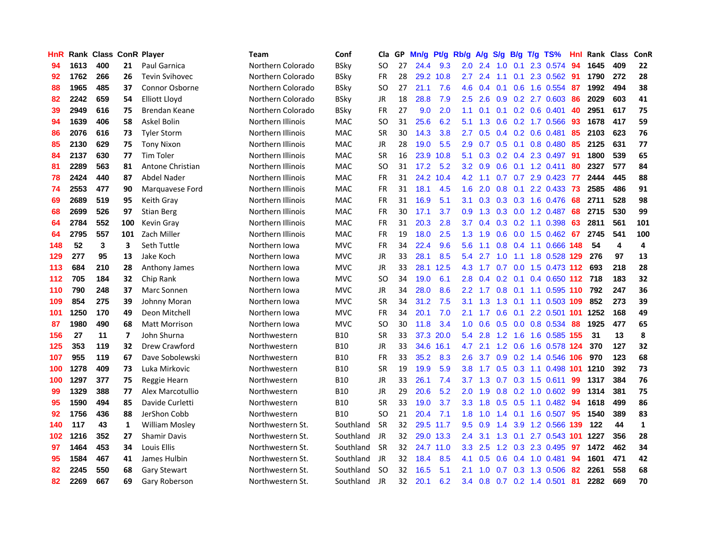| HnR |      | <b>Rank Class ConR Player</b> |                |                       | Team              | Conf        | Cla           | GP | Mn/g | Pt/g      | Rb/g             | A/g             | S/g | B/g             | T/g TS%                       | Hnl | Rank Class |     | ConR |
|-----|------|-------------------------------|----------------|-----------------------|-------------------|-------------|---------------|----|------|-----------|------------------|-----------------|-----|-----------------|-------------------------------|-----|------------|-----|------|
| 94  | 1613 | 400                           | 21             | <b>Paul Garnica</b>   | Northern Colorado | <b>BSky</b> | SO            | 27 | 24.4 | 9.3       | 2.0              | 2.4             | 1.0 | 0.1             | 2.3 0.574                     | 94  | 1645       | 409 | 22   |
| 92  | 1762 | 266                           | 26             | <b>Tevin Svihovec</b> | Northern Colorado | <b>BSky</b> | <b>FR</b>     | 28 |      | 29.2 10.8 | $2.7^{\circ}$    | 2.4             | 1.1 | 0.1             | 2.3 0.562                     | -91 | 1790       | 272 | 28   |
| 88  | 1965 | 485                           | 37             | <b>Connor Osborne</b> | Northern Colorado | <b>BSky</b> | <sub>SO</sub> | 27 | 21.1 | 7.6       | 4.6              | 0.4             | 0.1 | 0.6             | 1.6 0.554                     | -87 | 1992       | 494 | 38   |
| 82  | 2242 | 659                           | 54             | <b>Elliott Lloyd</b>  | Northern Colorado | <b>BSky</b> | JR            | 18 | 28.8 | 7.9       | $2.5\,$          | 2.6             | 0.9 |                 | 0.2 2.7 0.603                 | 86  | 2029       | 603 | 41   |
| 39  | 2949 | 616                           | 75             | Brendan Keane         | Northern Colorado | <b>BSky</b> | <b>FR</b>     | 27 | 9.0  | 2.0       |                  | $1.1 \quad 0.1$ |     |                 | $0.1$ $0.2$ $0.6$ $0.401$     | 40  | 2951       | 617 | 75   |
| 94  | 1639 | 406                           | 58             | Askel Bolin           | Northern Illinois | <b>MAC</b>  | <b>SO</b>     | 31 | 25.6 | 6.2       | 5.1              | 1.3             |     |                 | 0.6 0.2 1.7 0.566             | 93  | 1678       | 417 | 59   |
| 86  | 2076 | 616                           | 73             | <b>Tyler Storm</b>    | Northern Illinois | MAC         | <b>SR</b>     | 30 | 14.3 | 3.8       | $2.7^{\circ}$    | 0.5             |     |                 | $0.4$ 0.2 0.6 0.481           | 85  | 2103       | 623 | 76   |
| 85  | 2130 | 629                           | 75             | <b>Tony Nixon</b>     | Northern Illinois | MAC         | <b>JR</b>     | 28 | 19.0 | 5.5       | 2.9              | 0.7             |     |                 | 0.5 0.1 0.8 0.480             | 85  | 2125       | 631 | 77   |
| 84  | 2137 | 630                           | 77             | <b>Tim Toler</b>      | Northern Illinois | MAC         | <b>SR</b>     | 16 | 23.9 | 10.8      | 5.1              | 0.3             |     |                 | 0.2 0.4 2.3 0.497             | -91 | 1800       | 539 | 65   |
| 81  | 2289 | 563                           | 81             | Antone Christian      | Northern Illinois | <b>MAC</b>  | <sub>SO</sub> | 31 | 17.2 | 5.2       | 3.2 <sub>2</sub> | 0.9             | 0.6 |                 | $0.1$ 1.2 0.411               | 80  | 2327       | 577 | 84   |
| 78  | 2424 | 440                           | 87             | Abdel Nader           | Northern Illinois | MAC         | FR            | 31 |      | 24.2 10.4 | 4.2              | 1.1             |     |                 | 0.7 0.7 2.9 0.423             | 77  | 2444       | 445 | 88   |
| 74  | 2553 | 477                           | 90             | Marquavese Ford       | Northern Illinois | <b>MAC</b>  | <b>FR</b>     | 31 | 18.1 | 4.5       | 1.6              | 2.0             | 0.8 | 0.1             | 2.2 0.433                     | 73  | 2585       | 486 | 91   |
| 69  | 2689 | 519                           | 95             | Keith Gray            | Northern Illinois | MAC         | <b>FR</b>     | 31 | 16.9 | 5.1       | 3.1              | 0.3             | 0.3 | 0.3             | 1.6 0.476                     | 68  | 2711       | 528 | 98   |
| 68  | 2699 | 526                           | 97             | <b>Stian Berg</b>     | Northern Illinois | <b>MAC</b>  | <b>FR</b>     | 30 | 17.1 | 3.7       | 0.9              | 1.3             | 0.3 | 0.0             | 1.2 0.487                     | 68  | 2715       | 530 | 99   |
| 64  | 2784 | 552                           | 100            | <b>Kevin Gray</b>     | Northern Illinois | <b>MAC</b>  | FR            | 31 | 20.3 | 2.8       | 3.7 <sub>2</sub> | 0.4             | 0.3 |                 | $0.2$ 1.1 0.398               | 63  | 2811       | 561 | 101  |
| 64  | 2795 | 557                           | 101            | Zach Miller           | Northern Illinois | <b>MAC</b>  | FR            | 19 | 18.0 | 2.5       | 1.3 <sub>1</sub> | 1.9             | 0.6 | 0.0             | 1.5 0.462                     | -67 | 2745       | 541 | 100  |
| 148 | 52   | 3                             | 3              | Seth Tuttle           | Northern Iowa     | <b>MVC</b>  | <b>FR</b>     | 34 | 22.4 | 9.6       | 5.6              | 1.1             |     |                 | 0.8 0.4 1.1 0.666 148         |     | 54         | 4   | 4    |
| 129 | 277  | 95                            | 13             | Jake Koch             | Northern Iowa     | <b>MVC</b>  | JR            | 33 | 28.1 | 8.5       | $5.4^{\circ}$    | 2.7             | 1.0 | 1.1             | 1.8 0.528 129                 |     | 276        | 97  | 13   |
| 113 | 684  | 210                           | 28             | Anthony James         | Northern Iowa     | <b>MVC</b>  | JR            | 33 |      | 28.1 12.5 | 4.3              |                 |     |                 | 1.7 0.7 0.0 1.5 0.473 112 693 |     |            | 218 | 28   |
| 112 | 705  | 184                           | 32             | Chip Rank             | Northern Iowa     | <b>MVC</b>  | <b>SO</b>     | 34 | 19.0 | 6.1       | 2.8 <sub>1</sub> | 0.4             |     |                 | 0.2 0.1 0.4 0.650 112 718     |     |            | 183 | 32   |
| 110 | 790  | 248                           | 37             | Marc Sonnen           | Northern Iowa     | <b>MVC</b>  | <b>JR</b>     | 34 | 28.0 | 8.6       |                  |                 |     |                 | 2.2 1.7 0.8 0.1 1.1 0.595 110 |     | 792        | 247 | 36   |
| 109 | 854  | 275                           | 39             | Johnny Moran          | Northern Iowa     | <b>MVC</b>  | <b>SR</b>     | 34 | 31.2 | 7.5       | 3.1              | 1.3             |     |                 | 1.3 0.1 1.1 0.503 109         |     | 852        | 273 | 39   |
| 101 | 1250 | 170                           | 49             | Deon Mitchell         | Northern Iowa     | <b>MVC</b>  | <b>FR</b>     | 34 | 20.1 | 7.0       | 2.1              | 1.7             | 0.6 | 0.1             | 2.2 0.501 101                 |     | 1252       | 168 | 49   |
| 87  | 1980 | 490                           | 68             | <b>Matt Morrison</b>  | Northern Iowa     | <b>MVC</b>  | <b>SO</b>     | 30 | 11.8 | 3.4       | 1.0 <sub>1</sub> | 0.6             |     |                 | 0.5 0.0 0.8 0.534             | -88 | 1925       | 477 | 65   |
| 156 | 27   | 11                            | $\overline{ }$ | John Shurna           | Northwestern      | B10         | <b>SR</b>     | 33 |      | 37.3 20.0 | 5.4              | 2.8             | 1.2 | 1.6             | 1.6 0.585 155                 |     | 31         | 13  | 8    |
| 125 | 353  | 119                           | 32             | Drew Crawford         | Northwestern      | <b>B10</b>  | JR            | 33 |      | 34.6 16.1 | 4.7              | 2.1             | 1.2 | 0.6             | 1.6 0.578 124                 |     | 370        | 127 | 32   |
| 107 | 955  | 119                           | 67             | Dave Sobolewski       | Northwestern      | <b>B10</b>  | <b>FR</b>     | 33 | 35.2 | 8.3       | 2.6              | 3.7             | 0.9 |                 | 0.2 1.4 0.546 106             |     | 970        | 123 | 68   |
| 100 | 1278 | 409                           | 73             | Luka Mirkovic         | Northwestern      | <b>B10</b>  | <b>SR</b>     | 19 | 19.9 | 5.9       | 3.8 <sub>1</sub> | 1.7             | 0.5 |                 | 0.3 1.1 0.498 101             |     | 1210       | 392 | 73   |
| 100 | 1297 | 377                           | 75             | Reggie Hearn          | Northwestern      | <b>B10</b>  | <b>JR</b>     | 33 | 26.1 | 7.4       | 3.7 <sub>2</sub> | 1.3             | 0.7 | 0.3             | 1.5 0.611                     | 99  | 1317       | 384 | 76   |
| 99  | 1329 | 388                           | 77             | Alex Marcotullio      | Northwestern      | <b>B10</b>  | <b>JR</b>     | 29 | 20.6 | 5.2       | 2.0              | 1.9             | 0.8 | 0.2             | 1.0 0.602                     | -99 | 1314       | 381 | 75   |
| 95  | 1590 | 494                           | 85             | Davide Curletti       | Northwestern      | <b>B10</b>  | <b>SR</b>     | 33 | 19.0 | 3.7       | 3.3 <sub>2</sub> | 1.8             | 0.5 | 0.5             | 1.1 0.482                     | -94 | 1618       | 499 | 86   |
| 92  | 1756 | 436                           | 88             | JerShon Cobb          | Northwestern      | <b>B10</b>  | SO            | 21 | 20.4 | 7.1       | 1.8 <sup>°</sup> | 1.0             |     | $1.4 \quad 0.1$ | 1.6 0.507                     | -95 | 1540       | 389 | 83   |
| 140 | 117  | 43                            | 1              | <b>William Mosley</b> | Northwestern St.  | Southland   | <b>SR</b>     | 32 |      | 29.5 11.7 | 9.5              | 0.9             | 1.4 |                 | 3.9 1.2 0.566 139             |     | 122        | 44  | 1    |
| 102 | 1216 | 352                           | 27             | <b>Shamir Davis</b>   | Northwestern St.  | Southland   | JR            | 32 |      | 29.0 13.3 | $2.4^{\circ}$    | 3.1             |     |                 | 1.3 0.1 2.7 0.543 101         |     | 1227       | 356 | 28   |
| 97  | 1464 | 453                           | 34             | Louis Ellis           | Northwestern St.  | Southland   | <b>SR</b>     | 32 |      | 24.7 11.0 | 3.3              | 2.5             |     |                 | 1.2 0.3 2.3 0.495             | 97  | 1472       | 462 | 34   |
| 95  | 1584 | 467                           | 41             | James Hulbin          | Northwestern St.  | Southland   | JR            | 32 | 18.4 | 8.5       | 4.1              | 0.5             | 0.6 |                 | $0.4$ 1.0 0.481               | 94  | 1601       | 471 | 42   |
| 82  | 2245 | 550                           | 68             | <b>Gary Stewart</b>   | Northwestern St.  | Southland   | -SO           | 32 | 16.5 | 5.1       | 2.1              | 1.0             | 0.7 |                 | 0.3 1.3 0.506                 | 82  | 2261       | 558 | 68   |
| 82  | 2269 | 667                           | 69             | Gary Roberson         | Northwestern St.  | Southland   | JR            | 32 | 20.1 | 6.2       |                  |                 |     |                 | 3.4 0.8 0.7 0.2 1.4 0.501     | -81 | 2282       | 669 | 70   |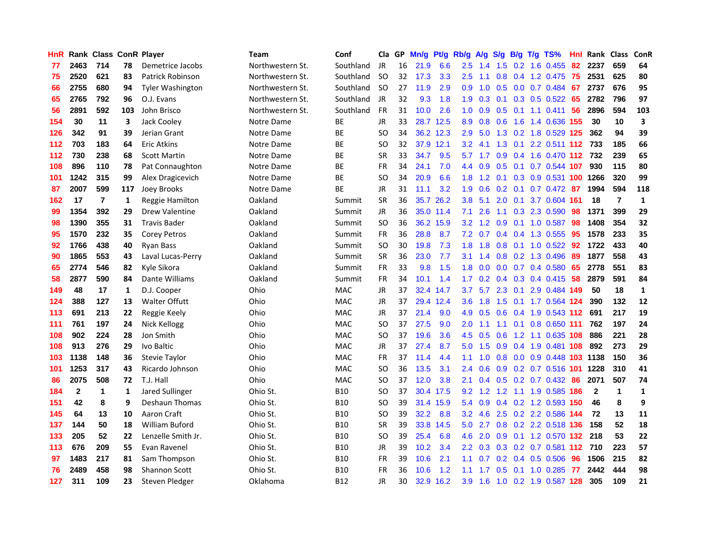| HnR. |              |                         |     | Rank Class ConR Player  | Team             | Conf       | Cla       | GP. | Mn/g | Pt/g      | Rb/g             | <b>A/g</b>      | S/g           | B/g             | T/g TS%                       | Hnl | Rank Class   |                | <b>ConR</b>  |
|------|--------------|-------------------------|-----|-------------------------|------------------|------------|-----------|-----|------|-----------|------------------|-----------------|---------------|-----------------|-------------------------------|-----|--------------|----------------|--------------|
| 77   | 2463         | 714                     | 78  | Demetrice Jacobs        | Northwestern St. | Southland  | JR        | 16  | 21.9 | 6.6       | 2.5              | 1.4             | $1.5^{\circ}$ | 0.2             | 1.6 0.455                     | 82  | 2237         | 659            | 64           |
| 75   | 2520         | 621                     | 83  | <b>Patrick Robinson</b> | Northwestern St. | Southland  | <b>SO</b> | 32  | 17.3 | 3.3       | 2.5              | 1.1             | 0.8           | 0.4             | 1.2 0.475                     | 75  | 2531         | 625            | 80           |
| 66   | 2755         | 680                     | 94  | <b>Tyler Washington</b> | Northwestern St. | Southland  | -SO       | 27  | 11.9 | 2.9       | 0.9              | 1.0             | 0.5           | 0.0             | 0.7 0.484                     | 67  | 2737         | 676            | 95           |
| 65   | 2765         | 792                     | 96  | O.J. Evans              | Northwestern St. | Southland  | JR        | 32  | 9.3  | 1.8       | 1.9              |                 |               |                 | $0.3$ 0.1 0.3 0.5 0.522       | 65  | 2782         | 796            | 97           |
| 56   | 2891         | 592                     | 103 | John Brisco             | Northwestern St. | Southland  | <b>FR</b> | 31  | 10.0 | 2.6       | 1.0 <sub>1</sub> | 0.9             |               |                 | $0.5$ 0.1 1.1 0.411           | 56  | 2896         | 594            | 103          |
| 154  | 30           | 11                      | 3   | Jack Cooley             | Notre Dame       | ВE         | <b>JR</b> | 33  |      | 28.7 12.5 | 8.9              | 0.8             | 0.6           |                 | 1.6 1.4 0.636 155             |     | 30           | 10             | 3            |
| 126  | 342          | 91                      | 39  | Jerian Grant            | Notre Dame       | ВE         | <b>SO</b> | 34  |      | 36.2 12.3 | 2.9              | 5.0             |               |                 | 1.3 0.2 1.8 0.529 125         |     | 362          | 94             | 39           |
| 112  | 703          | 183                     | 64  | <b>Eric Atkins</b>      | Notre Dame       | <b>BE</b>  | <b>SO</b> | 32  |      | 37.9 12.1 | 3.2              | 4.1             |               |                 | 1.3 0.1 2.2 0.511 112 733     |     |              | 185            | 66           |
| 112  | 730          | 238                     | 68  | <b>Scott Martin</b>     | Notre Dame       | BE         | <b>SR</b> | 33  | 34.7 | 9.5       | 5.7              | 1.7             |               |                 | 0.9 0.4 1.6 0.470 112 732     |     |              | 239            | 65           |
| 108  | 896          | 110                     | 78  | Pat Connaughton         | Notre Dame       | BE         | <b>FR</b> | 34  | 24.1 | 7.0       | $4.4^{\circ}$    | 0.9             | 0.5           | 0.1             | $0.7$ 0.544 107               |     | 930          | 115            | 80           |
| 101  | 1242         | 315                     | 99  | Alex Dragicevich        | Notre Dame       | ВE         | SO        | 34  | 20.9 | 6.6       | 1.8 <sup>°</sup> | 1.2             | 0.1           |                 | 0.3 0.9 0.531 100 1266        |     |              | 320            | 99           |
| 87   | 2007         | 599                     | 117 | Joey Brooks             | Notre Dame       | BE         | <b>JR</b> | 31  | 11.1 | 3.2       | 1.9              | 0.6             |               | $0.2 \quad 0.1$ | $0.7$ 0.472                   | 87  | 1994         | 594            | 118          |
| 162  | 17           | $\overline{\mathbf{r}}$ | 1   | Reggie Hamilton         | Oakland          | Summit     | <b>SR</b> | 36  | 35.7 | 26.2      | 3.8              | 5.1             | 2.0           | 0.1             | 3.7 0.604                     | 161 | 18           | $\overline{7}$ | $\mathbf{1}$ |
| 99   | 1354         | 392                     | 29  | <b>Drew Valentine</b>   | Oakland          | Summit     | <b>JR</b> | 36  |      | 35.0 11.4 | 7.1              | 2.6             | 1.1           | 0.3             | 2.3 0.590                     | 98  | 1371         | 399            | 29           |
| 98   | 1390         | 355                     | 31  | <b>Travis Bader</b>     | Oakland          | Summit     | <b>SO</b> | 36  |      | 36.2 15.9 | 3.2 <sub>2</sub> | 1.2             | 0.9           | 0.1             | 1.0 0.587                     | 98  | 1408         | 354            | 32           |
| 95   | 1570         | 232                     | 35  | <b>Corey Petros</b>     | Oakland          | Summit     | FR        | 36  | 28.8 | 8.7       | 7.2              | 0.7             | 0.4           | 0.4             | 1.3 0.555                     | 95  | 1578         | 233            | 35           |
| 92   | 1766         | 438                     | 40  | <b>Ryan Bass</b>        | Oakland          | Summit     | <b>SO</b> | 30  | 19.8 | 7.3       | 1.8 <sup>°</sup> | 1.8             | 0.8           | 0.1             | $1.0 \t0.522$                 | -92 | 1722         | 433            | 40           |
| 90   | 1865         | 553                     | 43  | Laval Lucas-Perry       | Oakland          | Summit     | <b>SR</b> | 36  | 23.0 | 7.7       | 3.1              | 1.4             |               |                 | 0.8 0.2 1.3 0.496             | -89 | 1877         | 558            | 43           |
| 65   | 2774         | 546                     | 82  | Kyle Sikora             | Oakland          | Summit     | FR        | 33  | 9.8  | 1.5       |                  | $1.8\quad 0.0$  |               |                 | $0.0$ 0.7 0.4 0.580           | 65  | 2778         | 551            | 83           |
| 58   | 2877         | 590                     | 84  | Dante Williams          | Oakland          | Summit     | FR        | 34  | 10.1 | 1.4       | $1.7^{\circ}$    |                 |               |                 | $0.2$ 0.4 0.3 0.4 0.415 58    |     | 2879         | 591            | 84           |
| 149  | 48           | 17                      | 1   | D.J. Cooper             | Ohio             | <b>MAC</b> | JR        | 37  |      | 32.4 14.7 | 3.7              | 5.7             | 2.3           |                 | 0.1 2.9 0.484 149             |     | 50           | 18             | $\mathbf{1}$ |
| 124  | 388          | 127                     | 13  | <b>Walter Offutt</b>    | Ohio             | MAC        | JR        | 37  |      | 29.4 12.4 | 3.6 <sup>°</sup> | 1.8             | 1.5           |                 | 0.1 1.7 0.564 124             |     | 390          | 132            | 12           |
| 113  | 691          | 213                     | 22  | Reggie Keely            | Ohio             | <b>MAC</b> | JR        | 37  | 21.4 | 9.0       | 4.9              | 0.5             | 0.6           |                 | $0.4$ 1.9 0.543 112           |     | 691          | 217            | 19           |
| 111  | 761          | 197                     | 24  | Nick Kellogg            | Ohio             | <b>MAC</b> | SO        | 37  | 27.5 | 9.0       | 2.0              | 1.1             | 1.1           | 0.1             | 0.8 0.650 111                 |     | 762          | 197            | 24           |
| 108  | 902          | 224                     | 28  | Jon Smith               | Ohio             | <b>MAC</b> | <b>SO</b> | 37  | 19.6 | 3.6       | 4.5              | 0.5             | 0.6           |                 | 1.2 1.1 0.635 108             |     | 886          | 221            | 28           |
| 108  | 913          | 276                     | 29  | Ivo Baltic              | Ohio             | <b>MAC</b> | JR        | 37  | 27.4 | 8.7       | 5.0              | 1.5             | 0.9           | 0.4             | 1.9 0.481 108                 |     | 892          | 273            | 29           |
| 103  | 1138         | 148                     | 36  | Stevie Taylor           | Ohio             | <b>MAC</b> | FR        | 37  | 11.4 | 4.4       | 1.1              | 1.0             | 0.8           |                 | 0.0 0.9 0.448 103 1138        |     |              | 150            | 36           |
| 101  | 1253         | 317                     | 43  | Ricardo Johnson         | Ohio             | <b>MAC</b> | SO        | 36  | 13.5 | 3.1       | $2.4^{\circ}$    | 0.6             | 0.9           |                 | 0.2 0.7 0.516 101             |     | 1228         | 310            | 41           |
| 86   | 2075         | 508                     | 72  | T.J. Hall               | Ohio             | <b>MAC</b> | <b>SO</b> | 37  | 12.0 | 3.8       | 2.1              | 0.4             |               |                 | $0.5$ $0.2$ $0.7$ $0.432$     | -86 | 2071         | 507            | 74           |
| 184  | $\mathbf{2}$ | 1                       | 1   | Jared Sullinger         | Ohio St.         | <b>B10</b> | <b>SO</b> | 37  |      | 30.4 17.5 |                  |                 |               |                 | 9.2 1.2 1.2 1.1 1.9 0.585 186 |     | $\mathbf{2}$ | $\mathbf 1$    | 1            |
| 151  | 42           | 8                       | 9   | <b>Deshaun Thomas</b>   | Ohio St.         | <b>B10</b> | SO        | 39  |      | 31.4 15.9 |                  | 5.4 0.9         |               |                 | 0.4 0.2 1.2 0.593 150         |     | 46           | 8              | 9            |
| 145  | 64           | 13                      | 10  | Aaron Craft             | Ohio St.         | <b>B10</b> | SO        | 39  | 32.2 | 8.8       | 3.2 <sub>2</sub> | 4.6             |               |                 | 2.5 0.2 2.2 0.586 144         |     | 72           | 13             | 11           |
| 137  | 144          | 50                      | 18  | <b>William Buford</b>   | Ohio St.         | <b>B10</b> | <b>SR</b> | 39  |      | 33.8 14.5 | 5.0 <sub>1</sub> | 2.7             |               |                 | 0.8 0.2 2.2 0.518 136         |     | 158          | 52             | 18           |
| 133  | 205          | 52                      | 22  | Lenzelle Smith Jr.      | Ohio St.         | <b>B10</b> | SO        | 39  | 25.4 | 6.8       | 4.6              | 2.0             | 0.9           |                 | 0.1 1.2 0.570 132             |     | 218          | 53             | 22           |
| 113  | 676          | 209                     | 55  | Evan Ravenel            | Ohio St.         | <b>B10</b> | <b>JR</b> | 39  | 10.2 | 3.4       |                  | $2.2 \quad 0.3$ |               |                 | 0.3 0.2 0.7 0.581 112 710     |     |              | 223            | 57           |
| 97   | 1483         | 217                     | 81  | Sam Thompson            | Ohio St.         | <b>B10</b> | <b>FR</b> | 39  | 10.6 | 2.1       | 1.1              | 0.7             |               | $0.2 \quad 0.4$ | 0.5 0.506                     | 96  | 1506         | 215            | 82           |
| 76   | 2489         | 458                     | 98  | <b>Shannon Scott</b>    | Ohio St.         | B10        | FR        | 36  | 10.6 | 1.2       | 1.1              |                 | 0.5           | 0.1             | 1.0 0.285                     | -77 | 2442         | 444            | 98           |
| 127  | 311          | 109                     | 23  | Steven Pledger          | Oklahoma         | <b>B12</b> | <b>JR</b> | 30  |      | 32.9 16.2 | 3.9              | 1.6             |               |                 | 1.0 0.2 1.9 0.587 128         |     | 305          | 109            | 21           |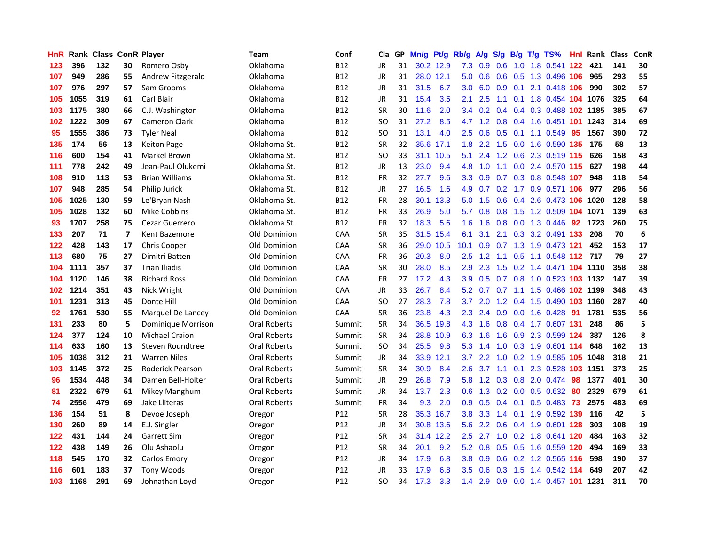| HnR |      | <b>Rank Class ConR Player</b> |                          |                         | Team                | Conf            | Cla           | GP. | Mn/g | Pt/g      | Rb/g             | A/g       | S/g             | B/g       | T/g TS%                            | Hnl. | <b>Rank Class</b> |     | ConR |
|-----|------|-------------------------------|--------------------------|-------------------------|---------------------|-----------------|---------------|-----|------|-----------|------------------|-----------|-----------------|-----------|------------------------------------|------|-------------------|-----|------|
| 123 | 396  | 132                           | 30                       | Romero Osby             | Oklahoma            | <b>B12</b>      | JR            | 31  |      | 30.2 12.9 | 7.3              | 0.9       | 0.6             | 1.0       | 1.8 0.541 122                      |      | 421               | 141 | 30   |
| 107 | 949  | 286                           | 55                       | Andrew Fitzgerald       | Oklahoma            | <b>B12</b>      | JR            | 31  |      | 28.0 12.1 | 5.0 <sub>1</sub> | 0.6       | 0.6             | 0.5       | 1.3 0.496 106                      |      | 965               | 293 | 55   |
| 107 | 976  | 297                           | 57                       | Sam Grooms              | Oklahoma            | <b>B12</b>      | <b>JR</b>     | 31  | 31.5 | 6.7       | 3.0 <sub>2</sub> | 6.0       | 0.9             | 0.1       | 2.1 0.418 106                      |      | 990               | 302 | 57   |
| 105 | 1055 | 319                           | 61                       | Carl Blair              | Oklahoma            | <b>B12</b>      | <b>JR</b>     | 31  | 15.4 | 3.5       | 2.1              | 2.5       |                 |           | 1.1 0.1 1.8 0.454 104 1076         |      |                   | 325 | 64   |
| 103 | 1175 | 380                           | 66                       | C.J. Washington         | Oklahoma            | <b>B12</b>      | <b>SR</b>     | 30  | 11.6 | 2.0       |                  |           |                 |           | 3.4 0.2 0.4 0.4 0.3 0.488 102 1185 |      |                   | 385 | 67   |
| 102 | 1222 | 309                           | 67                       | <b>Cameron Clark</b>    | Oklahoma            | <b>B12</b>      | <b>SO</b>     | 31  | 27.2 | 8.5       |                  |           |                 |           | 4.7 1.2 0.8 0.4 1.6 0.451 101      |      | 1243              | 314 | 69   |
| 95  | 1555 | 386                           | 73                       | <b>Tyler Neal</b>       | Oklahoma            | <b>B12</b>      | <b>SO</b>     | 31  | 13.1 | 4.0       | $2.5^{\circ}$    | 0.6       |                 |           | $0.5$ 0.1 1.1 0.549                | 95   | 1567              | 390 | 72   |
| 135 | 174  | 56                            | 13                       | <b>Keiton Page</b>      | Oklahoma St.        | <b>B12</b>      | SR            | 32  |      | 35.6 17.1 | 1.8              | 2.2       | 1.5             |           | 0.0 1.6 0.590 135                  |      | 175               | 58  | 13   |
| 116 | 600  | 154                           | 41                       | Markel Brown            | Oklahoma St.        | <b>B12</b>      | <sub>SO</sub> | 33  |      | 31.1 10.5 | 5.1              | 2.4       | 1.2             |           | 0.6 2.3 0.519 115                  |      | 626               | 158 | 43   |
| 111 | 778  | 242                           | 49                       | Jean-Paul Olukemi       | Oklahoma St.        | <b>B12</b>      | JR            | 13  | 23.0 | 9.4       | 4.8              | 1.0       | 1.1             |           | 0.0 2.4 0.570 115                  |      | 627               | 198 | 44   |
| 108 | 910  | 113                           | 53                       | <b>Brian Williams</b>   | Oklahoma St.        | <b>B12</b>      | <b>FR</b>     | 32  | 27.7 | 9.6       | 3.3 <sub>2</sub> | 0.9       | 0.7             |           | 0.3 0.8 0.548 107                  |      | 948               | 118 | 54   |
| 107 | 948  | 285                           | 54                       | Philip Jurick           | Oklahoma St.        | <b>B12</b>      | JR            | 27  | 16.5 | 1.6       | 4.9              | 0.7       | 0.2             | 1.7       | 0.9 0.571 106                      |      | 977               | 296 | 56   |
| 105 | 1025 | 130                           | 59                       | Le'Bryan Nash           | Oklahoma St.        | <b>B12</b>      | <b>FR</b>     | 28  |      | 30.1 13.3 | 5.0              | 1.5       | 0.6             | 0.4       | 2.6 0.473 106                      |      | 1020              | 128 | 58   |
| 105 | 1028 | 132                           | 60                       | Mike Cobbins            | Oklahoma St.        | <b>B12</b>      | <b>FR</b>     | 33  | 26.9 | 5.0       | 5.7              | 0.8       | 0.8             | 1.5       | 1.2 0.509 104 1071                 |      |                   | 139 | 63   |
| 93  | 1707 | 258                           | 75                       | Cezar Guerrero          | Oklahoma St.        | <b>B12</b>      | <b>FR</b>     | 32  | 18.3 | 5.6       | 1.6              | 1.6       | 0.8             | 0.0       | 1.3 0.446                          | 92   | 1723              | 260 | 75   |
| 133 | 207  | 71                            | $\overline{\phantom{a}}$ | Kent Bazemore           | Old Dominion        | <b>CAA</b>      | <b>SR</b>     | 35  |      | 31.5 15.4 | 6.1              | 3.1       | 2.1             |           | 0.3 3.2 0.491 133                  |      | 208               | 70  | 6    |
| 122 | 428  | 143                           | 17                       | <b>Chris Cooper</b>     | Old Dominion        | CAA             | SR            | 36  |      | 29.0 10.5 | 10.1             | 0.9       |                 |           | 0.7 1.3 1.9 0.473 121              |      | 452               | 153 | 17   |
| 113 | 680  | 75                            | 27                       | Dimitri Batten          | <b>Old Dominion</b> | CAA             | <b>FR</b>     | 36  | 20.3 | 8.0       | $2.5^{\circ}$    | 1.2       |                 |           | 1.1 0.5 1.1 0.548 112 717          |      |                   | 79  | 27   |
| 104 | 1111 | 357                           | 37                       | <b>Trian Iliadis</b>    | Old Dominion        | CAA             | <b>SR</b>     | 30  | 28.0 | 8.5       | 2.9              | 2.3       |                 |           | 1.5 0.2 1.4 0.471 104 1110         |      |                   | 358 | 38   |
| 104 | 1120 | 146                           | 38                       | <b>Richard Ross</b>     | Old Dominion        | <b>CAA</b>      | <b>FR</b>     | 27  | 17.2 | 4.3       | 3.9              | 0.5       |                 |           | 0.7 0.8 1.0 0.523 103 1132         |      |                   | 147 | 39   |
| 102 | 1214 | 351                           | 43                       | Nick Wright             | Old Dominion        | CAA             | <b>JR</b>     | 33  | 26.7 | 8.4       | 5.2              | 0.7       | 0.7             |           | 1.1 1.5 0.466 102 1199             |      |                   | 348 | 43   |
| 101 | 1231 | 313                           | 45                       | Donte Hill              | Old Dominion        | CAA             | <b>SO</b>     | 27  | 28.3 | 7.8       | 3.7              | 2.0       | 1.2             |           | 0.4 1.5 0.490 103 1160             |      |                   | 287 | 40   |
| 92  | 1761 | 530                           | 55                       | Marquel De Lancey       | Old Dominion        | CAA             | <b>SR</b>     | 36  | 23.8 | 4.3       | $2.3^{\circ}$    | 2.4       | 0.9             |           | 0.0 1.6 0.428 91                   |      | 1781              | 535 | 56   |
| 131 | 233  | 80                            | 5                        | Dominique Morrison      | Oral Roberts        | Summit          | <b>SR</b>     | 34  | 36.5 | 19.8      | 4.3              | 1.6       |                 |           | 0.8 0.4 1.7 0.607 131              |      | 248               | 86  | 5    |
| 124 | 377  | 124                           | 10                       | <b>Michael Craion</b>   | Oral Roberts        | Summit          | <b>SR</b>     | 34  |      | 28.8 10.9 | 6.3              | 1.6       | 1.6             | 0.9       | 2.3 0.599 124                      |      | 387               | 126 | 8    |
| 114 | 633  | 160                           | 13                       | Steven Roundtree        | Oral Roberts        | Summit          | <b>SO</b>     | 34  | 25.5 | 9.8       | 5.3              | 1.4       | 1.0             |           | 0.3 1.9 0.601 114                  |      | 648               | 162 | 13   |
| 105 | 1038 | 312                           | 21                       | <b>Warren Niles</b>     | Oral Roberts        | Summit          | JR.           | 34  |      | 33.9 12.1 | 3.7              | 2.2       | 1.0             | 0.2       | 1.9 0.585 105                      |      | 1048              | 318 | 21   |
| 103 | 1145 | 372                           | 25                       | <b>Roderick Pearson</b> | <b>Oral Roberts</b> | Summit          | SR            | 34  | 30.9 | 8.4       | 2.6              | 3.7       | 1.1             | 0.1       | 2.3 0.528 103                      |      | 1151              | 373 | 25   |
| 96  | 1534 | 448                           | 34                       | Damen Bell-Holter       | <b>Oral Roberts</b> | Summit          | <b>JR</b>     | 29  | 26.8 | 7.9       | 5.8              |           | $1.2 \quad 0.3$ |           | 0.8 2.0 0.474                      | -98  | 1377              | 401 | 30   |
| 81  | 2322 | 679                           | 61                       | Mikey Manghum           | <b>Oral Roberts</b> | Summit          | JR            | 34  | 13.7 | 2.3       | 0.6              |           |                 |           | 1.3 0.2 0.0 0.5 0.632              | -80  | 2329              | 679 | 61   |
| 74  | 2556 | 479                           | 69                       | Jake Lliteras           | Oral Roberts        | Summit          | <b>FR</b>     | 34  | 9.3  | 2.0       | 0.9 <sup>°</sup> | 0.5       |                 |           | 0.4 0.1 0.5 0.483 73               |      | 2575              | 483 | 69   |
| 136 | 154  | 51                            | 8                        | Devoe Joseph            | Oregon              | P12             | <b>SR</b>     | 28  |      | 35.3 16.7 | 3.8 <sup>°</sup> | 3.3       |                 |           | 1.4 0.1 1.9 0.592 139              |      | 116               | 42  | 5    |
| 130 | 260  | 89                            | 14                       | E.J. Singler            | Oregon              | P12             | <b>JR</b>     | 34  |      | 30.8 13.6 | 5.6              | 2.2       | 0.6             |           | 0.4 1.9 0.601 128                  |      | 303               | 108 | 19   |
| 122 | 431  | 144                           | 24                       | Garrett Sim             | Oregon              | P12             | <b>SR</b>     | 34  |      | 31.4 12.2 | 2.5              | 2.7       | 1.0             |           | 0.2 1.8 0.641 120                  |      | 484               | 163 | 32   |
| 122 | 438  | 149                           | 26                       | Olu Ashaolu             | Oregon              | P <sub>12</sub> | <b>SR</b>     | 34  | 20.1 | 9.2       | 5.2              | 0.8       |                 | $0.5$ 0.5 | 1.6 0.559 120                      |      | 494               | 169 | 33   |
| 118 | 545  | 170                           | 32                       | Carlos Emory            | Oregon              | P12             | JR            | 34  | 17.9 | 6.8       | 3.8 <sub>2</sub> | 0.9       | 0.6             |           | $0.2$ 1.2 0.565                    | 116  | 598               | 190 | 37   |
| 116 | 601  | 183                           | 37                       | <b>Tony Woods</b>       | Oregon              | P12             | JR            | 33  | 17.9 | 6.8       | 3.5              | 0.6       | 0.3             | 1.5       | 1.4 0.542                          | 114  | 649               | 207 | 42   |
| 103 | 1168 | 291                           | 69                       | Johnathan Loyd          | Oregon              | P12             | <b>SO</b>     | 34  | 17.3 | 3.3       |                  | $1.4$ 2.9 |                 |           | 0.9 0.0 1.4 0.457 101 1231         |      |                   | 311 | 70   |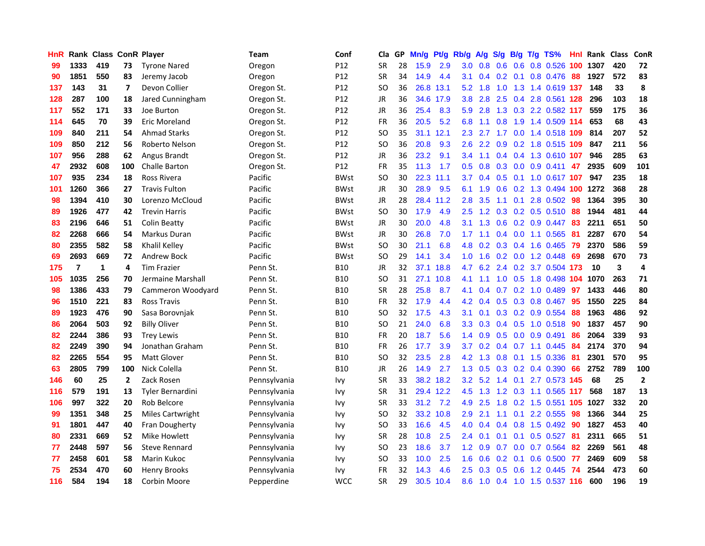| <b>HnR</b> |                | <b>Rank Class ConR Player</b> |     |                         | Team         | Conf            | Cla       | GP. | Mn/q | Pt/g      | Rb/g             | A/g             | S/g           | B/g             | T/g | TS%                        | Hnl | Rank Class |     | ConR         |
|------------|----------------|-------------------------------|-----|-------------------------|--------------|-----------------|-----------|-----|------|-----------|------------------|-----------------|---------------|-----------------|-----|----------------------------|-----|------------|-----|--------------|
| 99         | 1333           | 419                           | 73  | <b>Tyrone Nared</b>     | Oregon       | P <sub>12</sub> | <b>SR</b> | 28  | 15.9 | 2.9       | 3.0              | 0.8             | 0.6           | 0.6             |     | 0.8 0.526                  | 100 | 1307       | 420 | 72           |
| 90         | 1851           | 550                           | 83  | Jeremy Jacob            | Oregon       | P12             | <b>SR</b> | 34  | 14.9 | 4.4       | 3.1              |                 | $0.4$ 0.2 0.1 |                 |     | 0.8 0.476                  | -88 | 1927       | 572 | 83           |
| 137        | 143            | 31                            | 7   | Devon Collier           | Oregon St.   | P12             | SO.       | 36  |      | 26.8 13.1 | 5.2              | 1.8             | 1.0           |                 |     | 1.3 1.4 0.619 137          |     | 148        | 33  | 8            |
| 128        | 287            | 100                           | 18  | Jared Cunningham        | Oregon St.   | P <sub>12</sub> | JR        | 36  |      | 34.6 17.9 | 3.8 <sub>1</sub> | 2.8             |               |                 |     | 2.5 0.4 2.8 0.561 128      |     | 296        | 103 | 18           |
| 117        | 552            | 171                           | 33  | Joe Burton              | Oregon St.   | P <sub>12</sub> | JR        | 36  | 25.4 | 8.3       | 5.9              | 2.8             |               |                 |     | 1.3 0.3 2.2 0.582 117      |     | 559        | 175 | 36           |
| 114        | 645            | 70                            | 39  | Eric Moreland           | Oregon St.   | P12             | FR        | 36  | 20.5 | 5.2       | 6.8              | 1.1             | 0.8           |                 |     | 1.9 1.4 0.509 114          |     | 653        | 68  | 43           |
| 109        | 840            | 211                           | 54  | <b>Ahmad Starks</b>     | Oregon St.   | P12             | <b>SO</b> | 35  |      | 31.1 12.1 | 2.3              | 2.7             | 1.7           |                 |     | 0.0 1.4 0.518 109          |     | 814        | 207 | 52           |
| 109        | 850            | 212                           | 56  | Roberto Nelson          | Oregon St.   | P12             | <b>SO</b> | 36  | 20.8 | 9.3       | 2.6              | 2.2             | 0.9           |                 |     | 0.2 1.8 0.515 109          |     | 847        | 211 | 56           |
| 107        | 956            | 288                           | 62  | Angus Brandt            | Oregon St.   | P12             | JR        | 36  | 23.2 | 9.1       | $3.4^{\circ}$    | 1.1             |               |                 |     | 0.4 0.4 1.3 0.610 107      |     | 946        | 285 | 63           |
| 47         | 2932           | 608                           | 100 | Challe Barton           | Oregon St.   | P12             | <b>FR</b> | 35  | 11.3 | 1.7       | 0.5              | 0.8             |               |                 |     | $0.3$ 0.0 0.9 0.411        | 47  | 2935       | 609 | 101          |
| 107        | 935            | 234                           | 18  | <b>Ross Rivera</b>      | Pacific      | <b>BWst</b>     | <b>SO</b> | 30  | 22.3 | 11.1      | 3.7              | 0.4             | 0.5           |                 |     | 0.1 1.0 0.617 107          |     | 947        | 235 | 18           |
| 101        | 1260           | 366                           | 27  | <b>Travis Fulton</b>    | Pacific      | <b>BWst</b>     | <b>JR</b> | 30  | 28.9 | 9.5       | 6.1              | 1.9             | 0.6           |                 |     | 0.2 1.3 0.494              | 100 | 1272       | 368 | 28           |
| 98         | 1394           | 410                           | 30  | Lorenzo McCloud         | Pacific      | <b>BWst</b>     | JR        | 28  |      | 28.4 11.2 | 2.8              | 3.5             | 1.1           | 0.1             |     | 2.8 0.502                  | 98  | 1364       | 395 | 30           |
| 89         | 1926           | 477                           | 42  | <b>Trevin Harris</b>    | Pacific      | <b>BWst</b>     | <b>SO</b> | 30  | 17.9 | 4.9       | 2.5              | 1.2             | 0.3           | 0.2             |     | $0.5$ 0.510                | 88  | 1944       | 481 | 44           |
| 83         | 2196           | 646                           | 51  | Colin Beatty            | Pacific      | <b>BWst</b>     | JR        | 30  | 20.0 | 4.8       | 3.1              | 1.3             | 0.6           |                 |     | $0.2$ 0.9 0.447            | -83 | 2211       | 651 | 50           |
| 82         | 2268           | 666                           | 54  | Markus Duran            | Pacific      | <b>BWst</b>     | JR        | 30  | 26.8 | 7.0       | 1.7              | 1.1             |               |                 |     | 0.4 0.0 1.1 0.565          | -81 | 2287       | 670 | 54           |
| 80         | 2355           | 582                           | 58  | Khalil Kelley           | Pacific      | <b>BWst</b>     | SO.       | 30  | 21.1 | 6.8       |                  |                 |               |                 |     | 4.8 0.2 0.3 0.4 1.6 0.465  | -79 | 2370       | 586 | 59           |
| 69         | 2693           | 669                           | 72  | Andrew Bock             | Pacific      | <b>BWst</b>     | SO.       | 29  | 14.1 | 3.4       |                  | $1.0 \quad 1.6$ |               |                 |     | $0.2$ 0.0 1.2 0.448        | -69 | 2698       | 670 | 73           |
| 175        | $\overline{7}$ | 1                             | 4   | <b>Tim Frazier</b>      | Penn St.     | <b>B10</b>      | JR        | 32  |      | 37.1 18.8 | 4.7              |                 |               |                 |     | 6.2 2.4 0.2 3.7 0.504 173  |     | 10         | 3   | 4            |
| 105        | 1035           | 256                           | 70  | Jermaine Marshall       | Penn St.     | <b>B10</b>      | SO.       | 31  |      | 27.1 10.8 | 4.1              | 1.1             |               |                 |     | 1.0 0.5 1.8 0.498 104 1070 |     |            | 263 | 71           |
| 98         | 1386           | 433                           | 79  | Cammeron Woodyard       | Penn St.     | <b>B10</b>      | <b>SR</b> | 28  | 25.8 | 8.7       | 4.1              | 0.4             |               |                 |     | 0.7 0.2 1.0 0.489          | -97 | 1433       | 446 | 80           |
| 96         | 1510           | 221                           | 83  | Ross Travis             | Penn St.     | <b>B10</b>      | <b>FR</b> | 32  | 17.9 | 4.4       | 4.2              | 0.4             | 0.5           |                 |     | 0.3 0.8 0.467              | -95 | 1550       | 225 | 84           |
| 89         | 1923           | 476                           | 90  | Sasa Borovnjak          | Penn St.     | <b>B10</b>      | SO.       | 32  | 17.5 | 4.3       | 3.1              | 0.1             |               |                 |     | $0.3$ 0.2 0.9 0.554        | -88 | 1963       | 486 | 92           |
| 86         | 2064           | 503                           | 92  | <b>Billy Oliver</b>     | Penn St.     | <b>B10</b>      | <b>SO</b> | 21  | 24.0 | 6.8       | 3.3              | 0.3             |               |                 |     | 0.4 0.5 1.0 0.518          | 90  | 1837       | 457 | 90           |
| 82         | 2244           | 386                           | 93  | <b>Trey Lewis</b>       | Penn St.     | <b>B10</b>      | <b>FR</b> | 20  | 18.7 | 5.6       | $1.4^{\circ}$    | 0.9             | 0.5           |                 |     | $0.0$ 0.9 0.491            | 86  | 2064       | 339 | 93           |
| 82         | 2249           | 390                           | 94  | Jonathan Graham         | Penn St.     | <b>B10</b>      | <b>FR</b> | 26  | 17.7 | 3.9       | 3.7              | 0.2             |               |                 |     | $0.4$ 0.7 1.1 0.445        | 84  | 2174       | 370 | 94           |
| 82         | 2265           | 554                           | 95  | <b>Matt Glover</b>      | Penn St.     | <b>B10</b>      | SO.       | 32  | 23.5 | 2.8       | 4.2              | 1.3             | 0.8           | 0.1             |     | 1.5 0.336                  | 81  | 2301       | 570 | 95           |
| 63         | 2805           | 799                           | 100 | Nick Colella            | Penn St.     | <b>B10</b>      | JR        | 26  | 14.9 | 2.7       | 1.3              | 0.5             |               | $0.3 \quad 0.2$ |     | 0.4 0.390                  | 66  | 2752       | 789 | 100          |
| 146        | 60             | 25                            | 2   | Zack Rosen              | Pennsylvania | Ivy             | <b>SR</b> | 33  |      | 38.2 18.2 | 3.2              | 5.2             | 1.4           |                 |     | 0.1 2.7 0.573 145          |     | 68         | 25  | $\mathbf{2}$ |
| 116        | 579            | 191                           | 13  | <b>Tyler Bernardini</b> | Pennsylvania | <b>Ivy</b>      | <b>SR</b> | 31  |      | 29.4 12.2 | 4.5              | 1.3             |               |                 |     | 1.2 0.3 1.1 0.565 117      |     | 568        | 187 | 13           |
| 106        | 997            | 322                           | 20  | Rob Belcore             | Pennsylvania | <b>Ivy</b>      | <b>SR</b> | 33  | 31.2 | 7.2       | 4.9              | 2.5             |               |                 |     | 1.8 0.2 1.5 0.551 105 1027 |     |            | 332 | 20           |
| 99         | 1351           | 348                           | 25  | Miles Cartwright        | Pennsylvania | <b>Ivy</b>      | SO.       | 32  |      | 33.2 10.8 | 2.9              | 2.1             |               |                 |     | $1.1$ 0.1 2.2 0.555        | -98 | 1366       | 344 | 25           |
| 91         | 1801           | 447                           | 40  | Fran Dougherty          | Pennsylvania | <b>Ivy</b>      | SO        | 33  | 16.6 | 4.5       | 4.0              | 0.4             |               |                 |     | $0.4$ 0.8 1.5 0.492        | -90 | 1827       | 453 | 40           |
| 80         | 2331           | 669                           | 52  | Mike Howlett            | Pennsylvania | <b>Ivy</b>      | <b>SR</b> | 28  | 10.8 | 2.5       | $2.4^{\circ}$    | 0.1             | 0.1           | 0.1             |     | $0.5$ 0.527                | 81  | 2311       | 665 | 51           |
| 77         | 2448           | 597                           | 56  | <b>Steve Rennard</b>    | Pennsylvania | Ivy             | <b>SO</b> | 23  | 18.6 | 3.7       | 1.2 <sub>2</sub> | 0.9             | 0.7           | 0.0             |     | 0.7 0.564                  | 82  | 2269       | 561 | 48           |
| 77         | 2458           | 601                           | 58  | Marin Kukoc             | Pennsylvania | <b>Ivy</b>      | <b>SO</b> | 33  | 10.0 | 2.5       | 1.6              | 0.6             | 0.2           | 0.1             |     | 0.6 0.500                  | 77  | 2469       | 609 | 58           |
| 75         | 2534           | 470                           | 60  | <b>Henry Brooks</b>     | Pennsylvania | Ivy             | FR        | 32  | 14.3 | 4.6       | 2.5              | 0.3             | 0.5           | 0.6             |     | 1.2 0.445                  | 74  | 2544       | 473 | 60           |
| 116        | 584            | 194                           | 18  | Corbin Moore            | Pepperdine   | <b>WCC</b>      | <b>SR</b> | 29  | 30.5 | 10.4      | 8.6              | 1.0             |               |                 |     | 0.4 1.0 1.5 0.537 116      |     | 600        | 196 | 19           |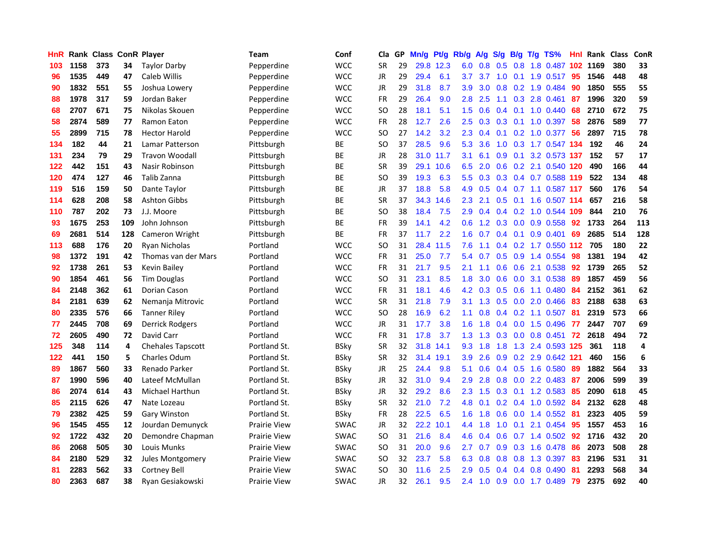| <b>HnR</b> |      | Rank Class ConR Player |     |                        | Team                | Conf        | Cla       | GP | Mn/g | Pt/g      | Rb/g             | A/g       | S/g              | B/g             | T/g | TS%                       | Hnl  | Rank Class |     | ConR           |
|------------|------|------------------------|-----|------------------------|---------------------|-------------|-----------|----|------|-----------|------------------|-----------|------------------|-----------------|-----|---------------------------|------|------------|-----|----------------|
| 103        | 1158 | 373                    | 34  | <b>Taylor Darby</b>    | Pepperdine          | <b>WCC</b>  | <b>SR</b> | 29 |      | 29.8 12.3 | 6.0              | 0.8       | 0.5              | 0.8             |     | 1.8 0.487                 | 102  | 1169       | 380 | 33             |
| 96         | 1535 | 449                    | 47  | Caleb Willis           | Pepperdine          | <b>WCC</b>  | JR        | 29 | 29.4 | 6.1       | 3.7              | 3.7       | 1.0              | 0.1             |     | 1.9 0.517                 | -95  | 1546       | 448 | 48             |
| 90         | 1832 | 551                    | 55  | Joshua Lowery          | Pepperdine          | <b>WCC</b>  | <b>JR</b> | 29 | 31.8 | 8.7       | 3.9              | 3.0       | 0.8              |                 |     | 0.2 1.9 0.484             | -90  | 1850       | 555 | 55             |
| 88         | 1978 | 317                    | 59  | Jordan Baker           | Pepperdine          | <b>WCC</b>  | <b>FR</b> | 29 | 26.4 | 9.0       | 2.8              | 2.5       |                  |                 |     | 1.1 0.3 2.8 0.461         | -87  | 1996       | 320 | 59             |
| 68         | 2707 | 671                    | 75  | Nikolas Skouen         | Pepperdine          | <b>WCC</b>  | SO.       | 28 | 18.1 | 5.1       | 1.5              | 0.6       |                  |                 |     | $0.4$ 0.1 1.0 0.440       | 68   | 2710       | 672 | 75             |
| 58         | 2874 | 589                    | 77  | Ramon Eaton            | Pepperdine          | <b>WCC</b>  | <b>FR</b> | 28 | 12.7 | 2.6       | $2.5\,$          | 0.3       |                  |                 |     | $0.3$ 0.1 1.0 0.397       | -58  | 2876       | 589 | 77             |
| 55         | 2899 | 715                    | 78  | <b>Hector Harold</b>   | Pepperdine          | wcc         | SO.       | 27 | 14.2 | 3.2       | $2.3\phantom{0}$ | 0.4       | 0.1              |                 |     | 0.2 1.0 0.377             | -56  | 2897       | 715 | 78             |
| 134        | 182  | 44                     | 21  | Lamar Patterson        | Pittsburgh          | ВE          | <b>SO</b> | 37 | 28.5 | 9.6       | 5.3              | 3.6       | 1.0              |                 |     | 0.3 1.7 0.547 134         |      | 192        | 46  | 24             |
| 131        | 234  | 79                     | 29  | <b>Travon Woodall</b>  | Pittsburgh          | ВE          | JR        | 28 | 31.0 | 11.7      | 3.1              | 6.1       | 0.9 <sub>0</sub> | 0.1             |     | 3.2 0.573 137             |      | 152        | 57  | 17             |
| 122        | 442  | 151                    | 43  | Nasir Robinson         | Pittsburgh          | ВE          | <b>SR</b> | 39 |      | 29.1 10.6 | 6.5              | 2.0       |                  |                 |     | 0.6 0.2 2.1 0.540 120     |      | 490        | 166 | 44             |
| 120        | 474  | 127                    | 46  | Talib Zanna            | Pittsburgh          | BE          | <b>SO</b> | 39 | 19.3 | 6.3       | 5.5 <sub>1</sub> | 0.3       |                  |                 |     | 0.3 0.4 0.7 0.588 119     |      | 522        | 134 | 48             |
| 119        | 516  | 159                    | 50  | Dante Taylor           | Pittsburgh          | ВE          | JR        | 37 | 18.8 | 5.8       | 4.9              | 0.5       |                  |                 |     | 0.4 0.7 1.1 0.587 117     |      | 560        | 176 | 54             |
| 114        | 628  | 208                    | 58  | <b>Ashton Gibbs</b>    | Pittsburgh          | BE          | <b>SR</b> | 37 | 34.3 | 14.6      | 2.3              | 2.1       | 0.5              |                 |     | 0.1 1.6 0.507             | -114 | 657        | 216 | 58             |
| 110        | 787  | 202                    | 73  | J.J. Moore             | Pittsburgh          | ВE          | <b>SO</b> | 38 | 18.4 | 7.5       | 2.9              | 0.4       |                  | $0.4$ 0.2       |     | 1.0 0.544 109             |      | 844        | 210 | 76             |
| 93         | 1675 | 253                    | 109 | John Johnson           | Pittsburgh          | BE          | <b>FR</b> | 39 | 14.1 | 4.2       | 0.6              | 1.2       |                  | $0.3 \quad 0.0$ |     | 0.9 0.558                 | 92   | 1733       | 264 | 113            |
| 69         | 2681 | 514                    | 128 | Cameron Wright         | Pittsburgh          | ВE          | <b>FR</b> | 37 | 11.7 | 2.2       | 1.6              | 0.7       |                  | $0.4 \quad 0.1$ |     | 0.9 0.401                 | 69   | 2685       | 514 | 128            |
| 113        | 688  | 176                    | 20  | Ryan Nicholas          | Portland            | <b>WCC</b>  | <b>SO</b> | 31 | 28.4 | 11.5      | 7.6              | 1.1       |                  |                 |     | 0.4 0.2 1.7 0.550 112 705 |      |            | 180 | 22             |
| 98         | 1372 | 191                    | 42  | Thomas van der Mars    | Portland            | <b>WCC</b>  | <b>FR</b> | 31 | 25.0 | 7.7       |                  | 5.4 0.7   |                  |                 |     | 0.5 0.9 1.4 0.554         | 98   | 1381       | 194 | 42             |
| 92         | 1738 | 261                    | 53  | Kevin Bailey           | Portland            | <b>WCC</b>  | <b>FR</b> | 31 | 21.7 | 9.5       | 2.1              | 1.1       |                  |                 |     | 0.6 0.6 2.1 0.538         | 92   | 1739       | 265 | 52             |
| 90         | 1854 | 461                    | 56  | <b>Tim Douglas</b>     | Portland            | <b>WCC</b>  | SO.       | 31 | 23.1 | 8.5       | 1.8              | 3.0       |                  |                 |     | 0.6 0.0 3.1 0.538         | 89   | 1857       | 459 | 56             |
| 84         | 2148 | 362                    | 61  | Dorian Cason           | Portland            | <b>WCC</b>  | <b>FR</b> | 31 | 18.1 | 4.6       | 4.2              | 0.3       |                  |                 |     | $0.5$ 0.6 1.1 0.480       | 84   | 2152       | 361 | 62             |
| 84         | 2181 | 639                    | 62  | Nemanja Mitrovic       | Portland            | <b>WCC</b>  | <b>SR</b> | 31 | 21.8 | 7.9       | 3.1              | 1.3       | 0.5              |                 |     | 0.0 2.0 0.466             | 83   | 2188       | 638 | 63             |
| 80         | 2335 | 576                    | 66  | <b>Tanner Riley</b>    | Portland            | <b>WCC</b>  | <b>SO</b> | 28 | 16.9 | 6.2       | 1.1              | 0.8       |                  |                 |     | $0.4$ 0.2 1.1 0.507       | -81  | 2319       | 573 | 66             |
| 77         | 2445 | 708                    | 69  | Derrick Rodgers        | Portland            | <b>WCC</b>  | JR        | 31 | 17.7 | 3.8       | 1.6              | 1.8       | 0.4              |                 |     | 0.0 1.5 0.496             | -77  | 2447       | 707 | 69             |
| 72         | 2605 | 490                    | 72  | David Carr             | Portland            | <b>WCC</b>  | <b>FR</b> | 31 | 17.8 | 3.7       | 1.3              | 1.3       | 0.3              | 0.0             |     | $0.8$ 0.451               | 72   | 2618       | 494 | 72             |
| 125        | 348  | 114                    | 4   | Chehales Tapscott      | Portland St.        | <b>BSky</b> | <b>SR</b> | 32 | 31.8 | 14.1      | 9.3              | 1.8       | 1.8              | 1.3             |     | 2.4 0.593 125             |      | 361        | 118 | $\overline{4}$ |
| 122        | 441  | 150                    | 5   | Charles Odum           | Portland St.        | <b>BSky</b> | <b>SR</b> | 32 |      | 31.4 19.1 | 3.9              | 2.6       | 0.9              | 0.2             |     | 2.9 0.642 121             |      | 460        | 156 | 6              |
| 89         | 1867 | 560                    | 33  | Renado Parker          | Portland St.        | <b>BSky</b> | JR        | 25 | 24.4 | 9.8       | 5.1              | 0.6       |                  |                 |     | 0.4 0.5 1.6 0.580         | 89   | 1882       | 564 | 33             |
| 87         | 1990 | 596                    | 40  | Lateef McMullan        | Portland St.        | <b>BSky</b> | JR        | 32 | 31.0 | 9.4       | 2.9              | 2.8       | 0.8              |                 |     | $0.0$ 2.2 $0.483$         | -87  | 2006       | 599 | 39             |
| 86         | 2074 | 614                    | 43  | <b>Michael Harthun</b> | Portland St.        | <b>BSky</b> | JR        | 32 | 29.2 | 8.6       | $2.3^{\circ}$    | 1.5       |                  |                 |     | $0.3$ 0.1 1.2 0.583       | -85  | 2090       | 618 | 45             |
| 85         | 2115 | 626                    | 47  | Nate Lozeau            | Portland St.        | <b>BSky</b> | <b>SR</b> | 32 | 21.0 | 7.2       | 4.8              | 0.1       |                  |                 |     | $0.2$ 0.4 1.0 0.592       | -84  | 2132       | 628 | 48             |
| 79         | 2382 | 425                    | 59  | Gary Winston           | Portland St.        | <b>BSky</b> | <b>FR</b> | 28 | 22.5 | 6.5       |                  | $1.6$ 1.8 | 0.6              | 0.0             |     | 1.4 0.552                 | -81  | 2323       | 405 | 59             |
| 96         | 1545 | 455                    | 12  | Jourdan Demunyck       | <b>Prairie View</b> | <b>SWAC</b> | <b>JR</b> | 32 |      | 22.2 10.1 | 4.4              | 1.8       | 1.0              |                 |     | $0.1$ 2.1 $0.454$         | 95   | 1557       | 453 | 16             |
| 92         | 1722 | 432                    | 20  | Demondre Chapman       | <b>Prairie View</b> | <b>SWAC</b> | <b>SO</b> | 31 | 21.6 | 8.4       | 4.6              | 0.4       | 0.6              |                 |     | $0.7$ 1.4 $0.502$         | 92   | 1716       | 432 | 20             |
| 86         | 2068 | 505                    | 30  | Louis Munks            | <b>Prairie View</b> | SWAC        | <b>SO</b> | 31 | 20.0 | 9.6       | 2.7              | 0.7       |                  |                 |     | 0.9 0.3 1.6 0.478         | 86   | 2073       | 508 | 28             |
| 84         | 2180 | 529                    | 32  | Jules Montgomery       | Prairie View        | <b>SWAC</b> | <b>SO</b> | 32 | 23.7 | 5.8       | 6.3              | 0.8       | 0.8              | 0.8             |     | 1.3 0.397                 | 83   | 2196       | 531 | 31             |
| 81         | 2283 | 562                    | 33  | Cortney Bell           | Prairie View        | <b>SWAC</b> | SO.       | 30 | 11.6 | 2.5       | 2.9              | 0.5       | $0.4^{\circ}$    | 0.4             |     | 0.8 0.490                 | -81  | 2293       | 568 | 34             |
| 80         | 2363 | 687                    | 38  | Ryan Gesiakowski       | <b>Prairie View</b> | <b>SWAC</b> | <b>JR</b> | 32 | 26.1 | 9.5       | 2.4              | 1.0       |                  |                 |     | 0.9 0.0 1.7 0.489         | -79  | 2375       | 692 | 40             |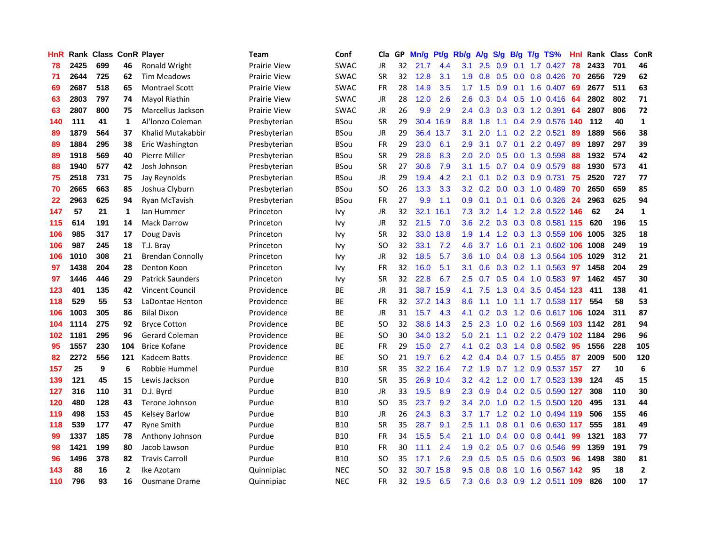| <b>HnR</b> |      | Rank Class ConR Player |                |                         | Team         | Conf        | Cla       |    | GP Mn/g | Pt/g      | Rb/g             | A/g       |     |           | S/g B/g T/g TS%                | Hnl  | Rank Class |     | ConR         |
|------------|------|------------------------|----------------|-------------------------|--------------|-------------|-----------|----|---------|-----------|------------------|-----------|-----|-----------|--------------------------------|------|------------|-----|--------------|
| 78         | 2425 | 699                    | 46             | Ronald Wright           | Prairie View | <b>SWAC</b> | JR        | 32 | 21.7    | 4.4       | 3.1              | 2.5       | 0.9 | 0.1       | 1.7 0.427                      | 78   | 2433       | 701 | 46           |
| 71         | 2644 | 725                    | 62             | <b>Tim Meadows</b>      | Prairie View | <b>SWAC</b> | <b>SR</b> | 32 | 12.8    | 3.1       | 1.9              | 0.8       | 0.5 | 0.0       | 0.8 0.426                      | -70  | 2656       | 729 | 62           |
| 69         | 2687 | 518                    | 65             | <b>Montrael Scott</b>   | Prairie View | <b>SWAC</b> | <b>FR</b> | 28 | 14.9    | 3.5       | 1.7 <sup>2</sup> | 1.5       | 0.9 | 0.1       | 1.6 0.407                      | -69  | 2677       | 511 | 63           |
| 63         | 2803 | 797                    | 74             | Mayol Riathin           | Prairie View | <b>SWAC</b> | JR        | 28 | 12.0    | 2.6       | 2.6              |           |     |           | 0.3 0.4 0.5 1.0 0.416 64       |      | 2802       | 802 | 71           |
| 63         | 2807 | 800                    | 75             | Marcellus Jackson       | Prairie View | <b>SWAC</b> | JR        | 26 | 9.9     | 2.9       |                  |           |     |           | 2.4 0.3 0.3 0.3 1.2 0.391      | - 64 | 2807       | 806 | 72           |
| 140        | 111  | 41                     | 1              | Al'Ionzo Coleman        | Presbyterian | <b>BSou</b> | <b>SR</b> | 29 |         | 30.4 16.9 |                  | 8.8 1.8   |     |           | 1.1 0.4 2.9 0.576 140          |      | 112        | 40  | $\mathbf{1}$ |
| 89         | 1879 | 564                    | 37             | Khalid Mutakabbir       | Presbyterian | <b>BSou</b> | JR        | 29 |         | 36.4 13.7 | 3.1              | 2.0       |     |           | $1.1$ 0.2 2.2 0.521            | 89   | 1889       | 566 | 38           |
| 89         | 1884 | 295                    | 38             | Eric Washington         | Presbyterian | <b>BSou</b> | <b>FR</b> | 29 | 23.0    | 6.1       | 2.9              | 3.1       | 0.7 | 0.1       | 2.2 0.497                      | 89   | 1897       | 297 | 39           |
| 89         | 1918 | 569                    | 40             | Pierre Miller           | Presbyterian | <b>BSou</b> | <b>SR</b> | 29 | 28.6    | 8.3       | 2.0              | 2.0       | 0.5 | 0.0       | 1.3 0.598                      | 88   | 1932       | 574 | 42           |
| 88         | 1940 | 577                    | 42             | Josh Johnson            | Presbyterian | <b>BSou</b> | <b>SR</b> | 27 | 30.6    | 7.9       | 3.1              | 1.5       | 0.7 |           | 0.4 0.9 0.579                  | 88   | 1930       | 573 | 41           |
| 75         | 2518 | 731                    | 75             | Jay Reynolds            | Presbyterian | <b>BSou</b> | JR        | 29 | 19.4    | 4.2       | 2.1              | 0.1       |     |           | 0.2 0.3 0.9 0.731              | 75   | 2520       | 727 | 77           |
| 70         | 2665 | 663                    | 85             | Joshua Clyburn          | Presbyterian | <b>BSou</b> | SO.       | 26 | 13.3    | 3.3       | 3.2 <sub>2</sub> | 0.2       | 0.0 | 0.3       | 1.0 0.489                      | 70   | 2650       | 659 | 85           |
| 22         | 2963 | 625                    | 94             | Ryan McTavish           | Presbyterian | <b>BSou</b> | <b>FR</b> | 27 | 9.9     | 1.1       | 0.9              | 0.1       | 0.1 | 0.1       | 0.6 0.326                      | 24   | 2963       | 625 | 94           |
| 147        | 57   | 21                     | 1              | lan Hummer              | Princeton    | Ivy         | <b>JR</b> | 32 |         | 32.1 16.1 | 7.3              | 3.2       | 1.4 | 1.2       | 2.8 0.522 146                  |      | 62         | 24  | $\mathbf{1}$ |
| 115        | 614  | 191                    | 14             | <b>Mack Darrow</b>      | Princeton    | <b>Ivy</b>  | <b>JR</b> | 32 | 21.5    | 7.0       | 3.6              | 2.2       | 0.3 | 0.3       | 0.8 0.581 115                  |      | 620        | 196 | 15           |
| 106        | 985  | 317                    | 17             | Doug Davis              | Princeton    | <b>Ivy</b>  | <b>SR</b> | 32 | 33.0    | 13.8      | 1.9              | 1.4       |     |           | 1.2 0.3 1.3 0.559 106          |      | 1005       | 325 | 18           |
| 106        | 987  | 245                    | 18             | T.J. Bray               | Princeton    | <b>Ivy</b>  | <b>SO</b> | 32 | 33.1    | 7.2       | 4.6              | 3.7       |     | $1.6$ 0.1 | 2.1 0.602 106                  |      | 1008       | 249 | 19           |
| 106        | 1010 | 308                    | 21             | <b>Brendan Connolly</b> | Princeton    | <b>Ivy</b>  | JR        | 32 | 18.5    | 5.7       | 3.6 <sup>°</sup> |           |     |           | 1.0 0.4 0.8 1.3 0.564 105 1029 |      |            | 312 | 21           |
| 97         | 1438 | 204                    | 28             | Denton Koon             | Princeton    | <b>Ivy</b>  | <b>FR</b> | 32 | 16.0    | 5.1       | 3.1              | 0.6       |     |           | $0.3$ 0.2 1.1 0.563            | -97  | 1458       | 204 | 29           |
| 97         | 1446 | 446                    | 29             | <b>Patrick Saunders</b> | Princeton    | <b>Ivy</b>  | <b>SR</b> | 32 | 22.8    | 6.7       | $2.5^{\circ}$    |           |     |           | 0.7 0.5 0.4 1.0 0.583 97       |      | 1462       | 457 | 30           |
| 123        | 401  | 135                    | 42             | <b>Vincent Council</b>  | Providence   | ВE          | JR        | 31 |         | 38.7 15.9 | 4.1              | 7.5       |     |           | 1.3 0.4 3.5 0.454 123          |      | 411        | 138 | 41           |
| 118        | 529  | 55                     | 53             | LaDontae Henton         | Providence   | ВE          | <b>FR</b> | 32 |         | 37.2 14.3 | 8.6              | 1.1       | 1.0 | 1.1       | 1.7 0.538 117                  |      | 554        | 58  | 53           |
| 106        | 1003 | 305                    | 86             | <b>Bilal Dixon</b>      | Providence   | ВE          | JR        | 31 | 15.7    | 4.3       | 4.1              | 0.2       | 0.3 |           | 1.2 0.6 0.617 106              |      | 1024       | 311 | 87           |
| 104        | 1114 | 275                    | 92             | <b>Bryce Cotton</b>     | Providence   | BE          | SO.       | 32 |         | 38.6 14.3 | 2.5              | 2.3       |     |           | 1.0 0.2 1.6 0.569 103 1142     |      |            | 281 | 94           |
| 102        | 1181 | 295                    | 96             | Gerard Coleman          | Providence   | <b>BE</b>   | SO.       | 30 |         | 34.0 13.2 | 5.0              | 2.1       |     |           | 1.1 0.2 2.2 0.479 102 1184     |      |            | 296 | 96           |
| 95         | 1557 | 230                    | 104            | <b>Brice Kofane</b>     | Providence   | BE          | <b>FR</b> | 29 | 15.0    | 2.7       | 4.1              | 0.2       | 0.3 |           | 1.4 0.8 0.582                  | -95  | 1556       | 228 | 105          |
| 82         | 2272 | 556                    | 121            | Kadeem Batts            | Providence   | BE          | <b>SO</b> | 21 | 19.7    | 6.2       | 4.2              | 0.4       |     |           | 0.4 0.7 1.5 0.455              | 87   | 2009       | 500 | 120          |
| 157        | 25   | 9                      | 6              | Robbie Hummel           | Purdue       | <b>B10</b>  | SR        | 35 |         | 32.2 16.4 |                  | $7.2$ 1.9 | 0.7 | 1.2       | 0.9 0.537 157                  |      | 27         | 10  | 6            |
| 139        | 121  | 45                     | 15             | Lewis Jackson           | Purdue       | <b>B10</b>  | <b>SR</b> | 35 |         | 26.9 10.4 | 3.2              | 4.2       |     |           | 1.2 0.0 1.7 0.523 139          |      | 124        | 45  | 15           |
| 127        | 316  | 110                    | 31             | D.J. Byrd               | Purdue       | <b>B10</b>  | JR        | 33 | 19.5    | 8.9       | 2.3              | 0.9       |     |           | 0.4 0.2 0.5 0.590 127          |      | 308        | 110 | 30           |
| 120        | 480  | 128                    | 43             | Terone Johnson          | Purdue       | <b>B10</b>  | SO.       | 35 | 23.7    | 9.2       | $3.4^{\circ}$    | 2.0       |     |           | 1.0 0.2 1.5 0.500 120          |      | 495        | 131 | 44           |
| 119        | 498  | 153                    | 45             | <b>Kelsey Barlow</b>    | Purdue       | <b>B10</b>  | JR        | 26 | 24.3    | 8.3       | 3.7              | 1.7       |     |           | 1.2 0.2 1.0 0.494 119          |      | 506        | 155 | 46           |
| 118        | 539  | 177                    | 47             | <b>Ryne Smith</b>       | Purdue       | <b>B10</b>  | <b>SR</b> | 35 | 28.7    | 9.1       | 2.5              | 1.1       |     |           | 0.8 0.1 0.6 0.630 117          |      | 555        | 181 | 49           |
| 99         | 1337 | 185                    | 78             | Anthony Johnson         | Purdue       | <b>B10</b>  | FR        | 34 | 15.5    | 5.4       | 2.1              | 1.0       |     |           | $0.4$ 0.0 0.8 0.441            | 99   | 1321       | 183 | 77           |
| 98         | 1421 | 199                    | 80             | Jacob Lawson            | Purdue       | <b>B10</b>  | <b>FR</b> | 30 | 11.1    | 2.4       | 1.9              | 0.2       | 0.5 |           | $0.7$ 0.6 0.546                | 99   | 1359       | 191 | 79           |
| 96         | 1496 | 378                    | 82             | <b>Travis Carroll</b>   | Purdue       | <b>B10</b>  | SO.       | 35 | 17.1    | 2.6       | 2.9              | 0.5       | 0.5 | 0.5       | 0.6 0.503                      | 96   | 1498       | 380 | 81           |
| 143        | 88   | 16                     | $\overline{2}$ | Ike Azotam              | Quinnipiac   | <b>NEC</b>  | SO        | 32 | 30.7    | 15.8      | 9.5              | 0.8       | 0.8 | 1.0       | 1.6 0.567                      | 142  | 95         | 18  | $\mathbf{2}$ |
| 110        | 796  | 93                     | 16             | <b>Ousmane Drame</b>    | Quinnipiac   | <b>NEC</b>  | <b>FR</b> | 32 | 19.5    | 6.5       | 7.3              | 0.6       |     |           | 0.3 0.9 1.2 0.511 109          |      | 826        | 100 | 17           |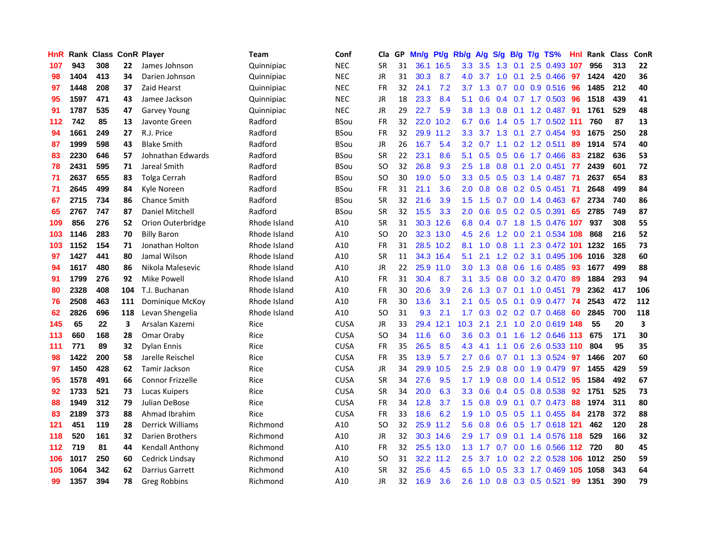| <b>HnR</b> |      | <b>Rank Class ConR Player</b> |     |                         | <b>Team</b>  | Conf        | Cla       |    | GP Mn/g | Pt/g      | Rb/g             | A/g         |     |     | S/g B/g T/g TS%            | Hnl  | Rank Class |     | ConR |
|------------|------|-------------------------------|-----|-------------------------|--------------|-------------|-----------|----|---------|-----------|------------------|-------------|-----|-----|----------------------------|------|------------|-----|------|
| 107        | 943  | 308                           | 22  | James Johnson           | Quinnipiac   | <b>NEC</b>  | <b>SR</b> | 31 |         | 36.1 16.5 | 3.3              | 3.5         | 1.3 | 0.1 | 2.5 0.493                  | 107  | 956        | 313 | 22   |
| 98         | 1404 | 413                           | 34  | Darien Johnson          | Quinnipiac   | <b>NEC</b>  | JR        | 31 | 30.3    | 8.7       | 4.0              | 3.7         | 1.0 | 0.1 | 2.5 0.466                  | 97   | 1424       | 420 | 36   |
| 97         | 1448 | 208                           | 37  | Zaid Hearst             | Quinnipiac   | <b>NEC</b>  | <b>FR</b> | 32 | 24.1    | 7.2       | 3.7              | 1.3         | 0.7 | 0.0 | 0.9 0.516                  | -96  | 1485       | 212 | 40   |
| 95         | 1597 | 471                           | 43  | Jamee Jackson           | Quinnipiac   | <b>NEC</b>  | JR        | 18 | 23.3    | 8.4       | 5.1              | 0.6         |     |     | $0.4$ 0.7 1.7 0.503        | -96  | 1518       | 439 | 41   |
| 91         | 1787 | 535                           | 47  | <b>Garvey Young</b>     | Quinnipiac   | <b>NEC</b>  | JR        | 29 | 22.7    | 5.9       | 3.8 <sup>°</sup> |             |     |     | 1.3 0.8 0.1 1.2 0.487 91   |      | 1761       | 529 | 48   |
| 112        | 742  | 85                            | 13  | Javonte Green           | Radford      | <b>BSou</b> | <b>FR</b> | 32 |         | 22.0 10.2 | 6.7              | 0.6         |     |     | 1.4 0.5 1.7 0.502 111      |      | 760        | 87  | 13   |
| 94         | 1661 | 249                           | 27  | R.J. Price              | Radford      | <b>BSou</b> | FR        | 32 |         | 29.9 11.2 | 3.3 <sub>1</sub> | 3.7         |     |     | 1.3 0.1 2.7 0.454          | 93   | 1675       | 250 | 28   |
| 87         | 1999 | 598                           | 43  | <b>Blake Smith</b>      | Radford      | <b>BSou</b> | JR        | 26 | 16.7    | 5.4       | 3.2              | 0.7         |     |     | $1.1$ 0.2 1.2 0.511        | 89   | 1914       | 574 | 40   |
| 83         | 2230 | 646                           | 57  | Johnathan Edwards       | Radford      | <b>BSou</b> | <b>SR</b> | 22 | 23.1    | 8.6       | 5.1              | 0.5         | 0.5 | 0.6 | 1.7 0.466                  | 83   | 2182       | 636 | 53   |
| 78         | 2431 | 595                           | 71  | Jareal Smith            | Radford      | <b>BSou</b> | <b>SO</b> | 32 | 26.8    | 9.3       | 2.5              | 1.8         | 0.8 | 0.1 | 2.0 0.451                  | 77   | 2439       | 601 | 72   |
| 71         | 2637 | 655                           | 83  | Tolga Cerrah            | Radford      | <b>BSou</b> | <b>SO</b> | 30 | 19.0    | 5.0       | 3.3              | 0.5         |     |     | 0.5 0.3 1.4 0.487          | -71  | 2637       | 654 | 83   |
| 71         | 2645 | 499                           | 84  | Kyle Noreen             | Radford      | <b>BSou</b> | <b>FR</b> | 31 | 21.1    | 3.6       | 2.0              | 0.8         | 0.8 |     | $0.2$ 0.5 0.451            | -71  | 2648       | 499 | 84   |
| 67         | 2715 | 734                           | 86  | <b>Chance Smith</b>     | Radford      | <b>BSou</b> | <b>SR</b> | 32 | 21.6    | 3.9       | 1.5 <sub>1</sub> | 1.5         | 0.7 | 0.0 | 1.4 0.463                  | 67   | 2734       | 740 | 86   |
| 65         | 2767 | 747                           | 87  | Daniel Mitchell         | Radford      | <b>BSou</b> | <b>SR</b> | 32 | 15.5    | 3.3       | 2.0              | 0.6         | 0.5 | 0.2 | $0.5$ 0.391                | 65   | 2785       | 749 | 87   |
| 109        | 856  | 276                           | 52  | Orion Outerbridge       | Rhode Island | A10         | <b>SR</b> | 31 |         | 30.3 12.6 | 6.8              | 0.4         | 0.7 | 1.8 | 1.5 0.476 107              |      | 937        | 308 | 55   |
| 103        | 1146 | 283                           | 70  | <b>Billy Baron</b>      | Rhode Island | A10         | <b>SO</b> | 20 |         | 32.3 13.0 | 4.5              | 2.6         |     |     | 1.2 0.0 2.1 0.534 108      |      | 868        | 216 | 52   |
| 103        | 1152 | 154                           | 71  | Jonathan Holton         | Rhode Island | A10         | FR        | 31 |         | 28.5 10.2 | 8.1              | 1.0         | 0.8 |     | 1.1 2.3 0.472 101 1232     |      |            | 165 | 73   |
| 97         | 1427 | 441                           | 80  | Jamal Wilson            | Rhode Island | A10         | <b>SR</b> | 11 |         | 34.3 16.4 | 5.1              | 2.1         |     |     | 1.2 0.2 3.1 0.495 106 1016 |      |            | 328 | 60   |
| 94         | 1617 | 480                           | 86  | Nikola Malesevic        | Rhode Island | A10         | JR        | 22 |         | 25.9 11.0 | 3.0 <sub>2</sub> | 1.3         |     |     | 0.8 0.6 1.6 0.485 93       |      | 1677       | 499 | 88   |
| 91         | 1799 | 276                           | 92  | Mike Powell             | Rhode Island | A10         | FR        | 31 | 30.4    | 8.7       | 3.1              | 3.5         |     |     | $0.8$ 0.0 3.2 0.470        | -89  | 1884       | 293 | 94   |
| 80         | 2328 | 408                           | 104 | T.J. Buchanan           | Rhode Island | A10         | <b>FR</b> | 30 | 20.6    | 3.9       | 2.6              | 1.3         |     |     | $0.7$ 0.1 1.0 0.451        | - 79 | 2362       | 417 | 106  |
| 76         | 2508 | 463                           | 111 | Dominique McKoy         | Rhode Island | A10         | <b>FR</b> | 30 | 13.6    | 3.1       | 2.1              | 0.5         | 0.5 | 0.1 | 0.9 0.477                  | 74   | 2543       | 472 | 112  |
| 62         | 2826 | 696                           | 118 | Levan Shengelia         | Rhode Island | A10         | SO.       | 31 | 9.3     | 2.1       | 1.7              | 0.3         |     |     | $0.2$ 0.2 0.7 0.468        | -60  | 2845       | 700 | 118  |
| 145        | 65   | 22                            | 3   | Arsalan Kazemi          | Rice         | <b>CUSA</b> | JR        | 33 |         | 29.4 12.1 | 10.3             | 2.1         | 2.1 |     | 1.0 2.0 0.619 148          |      | 55         | 20  | 3    |
| 113        | 660  | 168                           | 28  | Omar Oraby              | Rice         | <b>CUSA</b> | SO.       | 34 | 11.6    | 6.0       | 3.6              | 0.3         | 0.1 | 1.6 | 1.2 0.646 113              |      | 675        | 171 | 30   |
| 111        | 771  | 89                            | 32  | <b>Dylan Ennis</b>      | Rice         | <b>CUSA</b> | <b>FR</b> | 35 | 26.5    | 8.5       | 4.3              | 4.1         | 1.1 | 0.6 | 2.6 0.533 110              |      | 804        | 95  | 35   |
| 98         | 1422 | 200                           | 58  | Jarelle Reischel        | Rice         | <b>CUSA</b> | <b>FR</b> | 35 | 13.9    | 5.7       | 2.7              | 0.6         | 0.7 | 0.1 | 1.3 0.524                  | -97  | 1466       | 207 | 60   |
| 97         | 1450 | 428                           | 62  | Tamir Jackson           | Rice         | <b>CUSA</b> | JR        | 34 | 29.9    | 10.5      | 2.5              | 2.9         | 0.8 | 0.0 | 1.9 0.479                  | -97  | 1455       | 429 | 59   |
| 95         | 1578 | 491                           | 66  | <b>Connor Frizzelle</b> | Rice         | <b>CUSA</b> | <b>SR</b> | 34 | 27.6    | 9.5       |                  | $1.7$ 1.9   |     |     | 0.8 0.0 1.4 0.512 95       |      | 1584       | 492 | 67   |
| 92         | 1733 | 521                           | 73  | Lucas Kuipers           | Rice         | <b>CUSA</b> | <b>SR</b> | 34 | 20.0    | 6.3       | 3.3 <sub>2</sub> | 0.6         |     |     | 0.4 0.5 0.8 0.538          | -92  | 1751       | 525 | 73   |
| 88         | 1949 | 312                           | 79  | Julian DeBose           | Rice         | <b>CUSA</b> | FR        | 34 | 12.8    | 3.7       |                  | $1.5 \t0.8$ |     |     | $0.9$ 0.1 0.7 0.473        | -88  | 1974       | 311 | 80   |
| 83         | 2189 | 373                           | 88  | Ahmad Ibrahim           | Rice         | <b>CUSA</b> | <b>FR</b> | 33 | 18.6    | 6.2       | 1.9              | 1.0         |     |     | $0.5$ $0.5$ 1.1 $0.455$    | -84  | 2178       | 372 | 88   |
| 121        | 451  | 119                           | 28  | Derrick Williams        | Richmond     | A10         | <b>SO</b> | 32 |         | 25.9 11.2 | 5.6              | 0.8         |     |     | 0.6 0.5 1.7 0.618 121      |      | 462        | 120 | 28   |
| 118        | 520  | 161                           | 32  | Darien Brothers         | Richmond     | A10         | JR        | 32 |         | 30.3 14.6 | 2.9              | 1.7         | 0.9 |     | 0.1 1.4 0.576 118          |      | 529        | 166 | 32   |
| 112        | 719  | 81                            | 44  | Kendall Anthony         | Richmond     | A10         | <b>FR</b> | 32 |         | 25.5 13.0 | 1.3              | 1.7         | 0.7 |     | $0.0$ 1.6 0.566            | 112  | 720        | 80  | 45   |
| 106        | 1017 | 250                           | 60  | Cedrick Lindsay         | Richmond     | A10         | <b>SO</b> | 31 |         | 32.2 11.2 | 2.5              | 3.7         | 1.0 |     | $0.2$ 2.2 $0.528$          | 106  | 1012       | 250 | 59   |
| 105        | 1064 | 342                           | 62  | Darrius Garrett         | Richmond     | A10         | <b>SR</b> | 32 | 25.6    | 4.5       | 6.5              | 1.0         | 0.5 |     | 3.3 1.7 0.469 105          |      | 1058       | 343 | 64   |
| 99         | 1357 | 394                           | 78  | Greg Robbins            | Richmond     | A10         | <b>JR</b> | 32 | 16.9    | 3.6       | 2.6              | 1.0         |     |     | 0.8 0.3 0.5 0.521          | 99   | 1351       | 390 | 79   |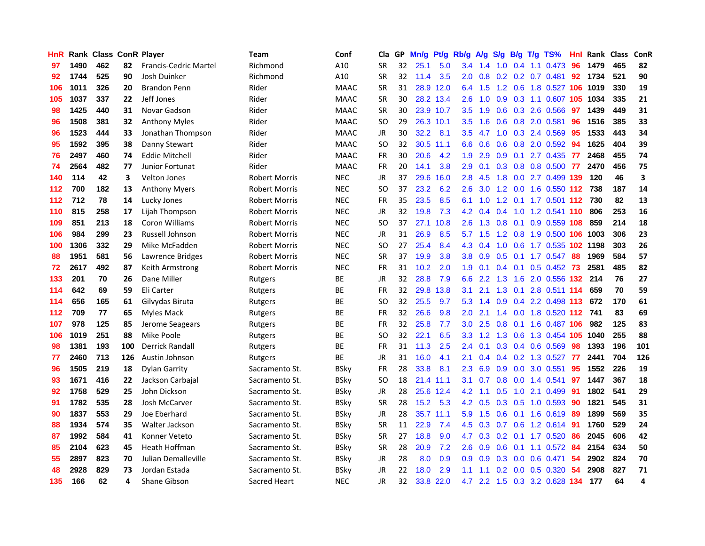| <b>HnR</b> |      | <b>Rank Class ConR Player</b> |     |                              | <b>Team</b>    | Conf        | Cla       |    | GP Mn/g | Pt/g      | Rb/g             | A/g             | S/g              |                 | B/g T/g TS%                | Hnl | Rank Class |     | ConR |
|------------|------|-------------------------------|-----|------------------------------|----------------|-------------|-----------|----|---------|-----------|------------------|-----------------|------------------|-----------------|----------------------------|-----|------------|-----|------|
| 97         | 1490 | 462                           | 82  | <b>Francis-Cedric Martel</b> | Richmond       | A10         | <b>SR</b> | 32 | 25.1    | 5.0       | 3.4              | 1.4             | 1.0              | 0.4             | 1.1 0.473                  | 96  | 1479       | 465 | 82   |
| 92         | 1744 | 525                           | 90  | Josh Duinker                 | Richmond       | A10         | <b>SR</b> | 32 | 11.4    | 3.5       | 2.0              | 0.8             | 0.2              | 0.2             | $0.7$ $0.481$              | 92  | 1734       | 521 | 90   |
| 106        | 1011 | 326                           | 20  | <b>Brandon Penn</b>          | Rider          | <b>MAAC</b> | <b>SR</b> | 31 | 28.9    | 12.0      | 6.4              | 1.5             | 1.2              | 0.6             | 1.8 0.527                  | 106 | 1019       | 330 | 19   |
| 105        | 1037 | 337                           | 22  | Jeff Jones                   | Rider          | <b>MAAC</b> | <b>SR</b> | 30 |         | 28.2 13.4 | 2.6              | 1.0             | 0.9              |                 | 0.3 1.1 0.607              |     | 105 1034   | 335 | 21   |
| 98         | 1425 | 440                           | 31  | Novar Gadson                 | Rider          | <b>MAAC</b> | <b>SR</b> | 30 |         | 23.9 10.7 | 3.5              | 1.9             |                  |                 | 0.6 0.3 2.6 0.566          | -97 | 1439       | 449 | 31   |
| 96         | 1508 | 381                           | 32  | <b>Anthony Myles</b>         | Rider          | <b>MAAC</b> | SO.       | 29 |         | 26.3 10.1 | $3.5^{\circ}$    | 1.6             |                  |                 | 0.6 0.8 2.0 0.581          | 96  | 1516       | 385 | 33   |
| 96         | 1523 | 444                           | 33  | Jonathan Thompson            | Rider          | <b>MAAC</b> | JR        | 30 | 32.2    | 8.1       | $3.5^{\circ}$    | 4.7             |                  |                 | 1.0 0.3 2.4 0.569          | 95  | 1533       | 443 | 34   |
| 95         | 1592 | 395                           | 38  | Danny Stewart                | Rider          | <b>MAAC</b> | SO.       | 32 |         | 30.5 11.1 | 6.6              | 0.6             | 0.6              |                 | $0.8$ 2.0 0.592            | 94  | 1625       | 404 | 39   |
| 76         | 2497 | 460                           | 74  | <b>Eddie Mitchell</b>        | Rider          | <b>MAAC</b> | <b>FR</b> | 30 | 20.6    | 4.2       | 1.9              | 2.9             | 0.9              | 0.1             | 2.7 0.435                  | -77 | 2468       | 455 | 74   |
| 74         | 2564 | 482                           | 77  | Junior Fortunat              | Rider          | <b>MAAC</b> | <b>FR</b> | 20 | 14.1    | 3.8       | 2.9              | 0.1             | 0.3              |                 | 0.8 0.8 0.500              | 77  | 2470       | 456 | 75   |
| 140        | 114  | 42                            | 3   | <b>Velton Jones</b>          | Robert Morris  | <b>NEC</b>  | JR        | 37 | 29.6    | 16.0      | 2.8              | 4.5             | 1.8              |                 | 0.0 2.7 0.499 139          |     | 120        | 46  | 3    |
| 112        | 700  | 182                           | 13  | <b>Anthony Myers</b>         | Robert Morris  | <b>NEC</b>  | SO.       | 37 | 23.2    | 6.2       | 2.6              | 3.0             | 1.2              | 0.0             | 1.6 0.550 112              |     | 738        | 187 | 14   |
| 112        | 712  | 78                            | 14  | Lucky Jones                  | Robert Morris  | <b>NEC</b>  | <b>FR</b> | 35 | 23.5    | 8.5       | 6.1              | 1.0             | 1.2              | 0.1             | 1.7 0.501                  | 112 | 730        | 82  | 13   |
| 110        | 815  | 258                           | 17  | Lijah Thompson               | Robert Morris  | <b>NEC</b>  | JR        | 32 | 19.8    | 7.3       | 4.2              | 0.4             | 0.4              | 1.0             | 1.2 0.541 110              |     | 806        | 253 | 16   |
| 109        | 851  | 213                           | 18  | Coron Williams               | Robert Morris  | <b>NEC</b>  | <b>SO</b> | 37 | 27.1    | 10.8      | 2.6              | 1.3             | 0.8              | 0.1             | 0.9 0.559 108              |     | 859        | 214 | 18   |
| 106        | 984  | 299                           | 23  | Russell Johnson              | Robert Morris  | <b>NEC</b>  | JR        | 31 | 26.9    | 8.5       | 5.7              | 1.5             |                  |                 | 1.2 0.8 1.9 0.500 106      |     | 1003       | 306 | 23   |
| 100        | 1306 | 332                           | 29  | Mike McFadden                | Robert Morris  | <b>NEC</b>  | <b>SO</b> | 27 | 25.4    | 8.4       |                  | $4.3 \quad 0.4$ |                  |                 | 1.0 0.6 1.7 0.535 102 1198 |     |            | 303 | 26   |
| 88         | 1951 | 581                           | 56  | Lawrence Bridges             | Robert Morris  | <b>NEC</b>  | <b>SR</b> | 37 | 19.9    | 3.8       | 3.8 <sup>°</sup> | 0.9             |                  |                 | 0.5 0.1 1.7 0.547 88       |     | 1969       | 584 | 57   |
| 72         | 2617 | 492                           | 87  | Keith Armstrong              | Robert Morris  | <b>NEC</b>  | <b>FR</b> | 31 | 10.2    | 2.0       | 1.9              | 0.1             |                  |                 | $0.4$ 0.1 0.5 0.452 73     |     | 2581       | 485 | 82   |
| 133        | 201  | 70                            | 26  | Dane Miller                  | Rutgers        | ВE          | JR        | 32 | 28.8    | 7.9       | 6.6              | 2.2             | 1.3              |                 | 1.6 2.0 0.556 132          |     | 214        | 76  | 27   |
| 114        | 642  | 69                            | 59  | Eli Carter                   | Rutgers        | BE          | FR        | 32 | 29.8    | 13.8      | 3.1              | 2.1             |                  | $1.3 \quad 0.1$ | 2.8 0.511 114              |     | 659        | 70  | 59   |
| 114        | 656  | 165                           | 61  | Gilvydas Biruta              | Rutgers        | BE          | <b>SO</b> | 32 | 25.5    | 9.7       | 5.3              | 1.4             | 0.9              |                 | 0.4 2.2 0.498 113          |     | 672        | 170 | 61   |
| 112        | 709  | 77                            | 65  | Myles Mack                   | Rutgers        | ВE          | FR        | 32 | 26.6    | 9.8       | 2.0              | 2.1             | 1.4              |                 | 0.0 1.8 0.520 112 741      |     |            | 83  | 69   |
| 107        | 978  | 125                           | 85  | Jerome Seagears              | Rutgers        | BE          | FR        | 32 | 25.8    | 7.7       | 3.0              | 2.5             | 0.8              | 0.1             | 1.6 0.487                  | 106 | 982        | 125 | 83   |
| 106        | 1019 | 251                           | 88  | Mike Poole                   | Rutgers        | BE          | SO.       | 32 | 22.1    | 6.5       | 3.3              | 1.2             | 1.3              | 0.6             | 1.3 0.454                  | 105 | 1040       | 255 | 88   |
| 98         | 1381 | 193                           | 100 | <b>Derrick Randall</b>       | Rutgers        | BE          | <b>FR</b> | 31 | 11.3    | 2.5       | 2.4              | 0.1             | 0.3              | 0.4             | 0.6 0.569                  | 98  | 1393       | 196 | 101  |
| 77         | 2460 | 713                           | 126 | Austin Johnson               | Rutgers        | BE          | JR        | 31 | 16.0    | 4.1       | 2.1              | 0.4             |                  | $0.4 \quad 0.2$ | 1.3 0.527                  | 77  | 2441       | 704 | 126  |
| 96         | 1505 | 219                           | 18  | <b>Dylan Garrity</b>         | Sacramento St. | <b>BSky</b> | FR        | 28 | 33.8    | 8.1       | 2.3              | 6.9             | 0.9              | 0.0             | 3.0 0.551                  | 95  | 1552       | 226 | 19   |
| 93         | 1671 | 416                           | 22  | Jackson Carbajal             | Sacramento St. | <b>BSky</b> | <b>SO</b> | 18 | 21.4    | 11.1      | 3.1              | 0.7             | 0.8              | 0.0             | 1.4 0.541                  | 97  | 1447       | 367 | 18   |
| 92         | 1758 | 529                           | 25  | John Dickson                 | Sacramento St. | <b>BSky</b> | JR        | 28 |         | 25.6 12.4 | 4.2              | 1.1             | 0.5              |                 | 1.0 2.1 0.499              | -91 | 1802       | 541 | 29   |
| 91         | 1782 | 535                           | 28  | Josh McCarver                | Sacramento St. | <b>BSky</b> | <b>SR</b> | 28 | 15.2    | 5.3       |                  | $4.2\quad0.5$   |                  |                 | $0.3$ $0.5$ 1.0 0.593      | -90 | 1821       | 545 | 31   |
| 90         | 1837 | 553                           | 29  | Joe Eberhard                 | Sacramento St. | <b>BSky</b> | JR        | 28 |         | 35.7 11.1 | 5.9              | 1.5             |                  |                 | $0.6$ $0.1$ 1.6 $0.619$    | 89  | 1899       | 569 | 35   |
| 88         | 1934 | 574                           | 35  | Walter Jackson               | Sacramento St. | <b>BSky</b> | <b>SR</b> | 11 | 22.9    | 7.4       | 4.5              | 0.3             |                  |                 | 0.7 0.6 1.2 0.614          | 91  | 1760       | 529 | 24   |
| 87         | 1992 | 584                           | 41  | Konner Veteto                | Sacramento St. | BSky        | <b>SR</b> | 27 | 18.8    | 9.0       | 4.7              | 0.3             | 0.2              |                 | 0.1 1.7 0.520              | 86  | 2045       | 606 | 42   |
| 85         | 2104 | 623                           | 45  | Heath Hoffman                | Sacramento St. | <b>BSky</b> | <b>SR</b> | 28 | 20.9    | 7.2       | 2.6              | 0.9             | 0.6              | 0.1             | 1.1 0.572                  | 84  | 2154       | 634 | 50   |
| 55         | 2897 | 823                           | 70  | Julian Demalleville          | Sacramento St. | <b>BSky</b> | JR        | 28 | 8.0     | 0.9       | 0.9              | 0.9             | 0.3              | 0.0             | 0.6 0.471                  | 54  | 2902       | 824 | 70   |
| 48         | 2928 | 829                           | 73  | Jordan Estada                | Sacramento St. | BSky        | JR        | 22 | 18.0    | 2.9       | 1.1              | 1.1             | 0.2 <sub>0</sub> | 0.0             | 0.5 0.320                  | 54  | 2908       | 827 | 71   |
| 135        | 166  | 62                            | 4   | Shane Gibson                 | Sacred Heart   | <b>NEC</b>  | <b>JR</b> | 32 |         | 33.8 22.0 | 4.7              | $2.2^{\circ}$   |                  |                 | 1.5 0.3 3.2 0.628 134      |     | 177        | 64  | 4    |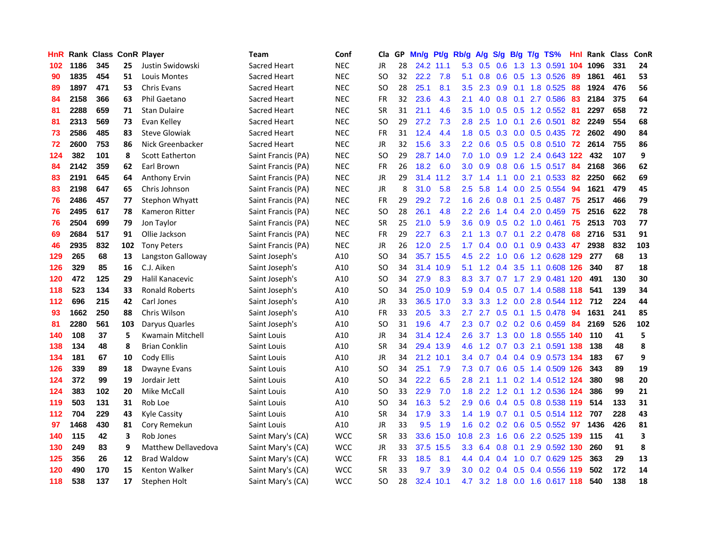| HnR |      | <b>Rank Class ConR Player</b> |     |                        | Team                | Conf       | Cla           | GP. | Mn/g | Pt/g      | Rb/g             | A/g       | S/g           | B/g | $T/g$ TS%                     | Hnl. | Rank Class |     | ConR |
|-----|------|-------------------------------|-----|------------------------|---------------------|------------|---------------|-----|------|-----------|------------------|-----------|---------------|-----|-------------------------------|------|------------|-----|------|
| 102 | 1186 | 345                           | 25  | Justin Swidowski       | Sacred Heart        | <b>NEC</b> | <b>JR</b>     | 28  |      | 24.2 11.1 | 5.3              | 0.5       | 0.6           | 1.3 | 1.3 0.591                     | 104  | 1096       | 331 | 24   |
| 90  | 1835 | 454                           | 51  | Louis Montes           | <b>Sacred Heart</b> | <b>NEC</b> | <sub>SO</sub> | 32  | 22.2 | 7.8       | 5.1              | 0.8       | 0.6           | 0.5 | 1.3 0.526                     | -89  | 1861       | 461 | 53   |
| 89  | 1897 | 471                           | 53  | <b>Chris Evans</b>     | Sacred Heart        | <b>NEC</b> | <b>SO</b>     | 28  | 25.1 | 8.1       | 3.5              | 2.3       | 0.9           | 0.1 | 1.8 0.525                     | 88   | 1924       | 476 | 56   |
| 84  | 2158 | 366                           | 63  | Phil Gaetano           | <b>Sacred Heart</b> | <b>NEC</b> | <b>FR</b>     | 32  | 23.6 | 4.3       | 2.1              |           |               |     | 4.0 0.8 0.1 2.7 0.586         | -83  | 2184       | 375 | 64   |
| 81  | 2288 | 659                           | 71  | <b>Stan Dulaire</b>    | Sacred Heart        | <b>NEC</b> | <b>SR</b>     | 31  | 21.1 | 4.6       | 3.5              | 1.0       |               |     | $0.5$ $0.5$ 1.2 $0.552$       | -81  | 2297       | 658 | 72   |
| 81  | 2313 | 569                           | 73  | Evan Kelley            | Sacred Heart        | <b>NEC</b> | <sub>SO</sub> | 29  | 27.2 | 7.3       | 2.8 <sub>1</sub> | 2.5       | 1.0           |     | $0.1$ 2.6 0.501               | 82   | 2249       | 554 | 68   |
| 73  | 2586 | 485                           | 83  | <b>Steve Glowiak</b>   | Sacred Heart        | <b>NEC</b> | FR            | 31  | 12.4 | 4.4       | 1.8              | 0.5       |               |     | 0.3 0.0 0.5 0.435 72          |      | 2602       | 490 | 84   |
| 72  | 2600 | 753                           | 86  | Nick Greenbacker       | Sacred Heart        | <b>NEC</b> | <b>JR</b>     | 32  | 15.6 | 3.3       | $2.2^{\circ}$    | 0.6       |               |     | 0.5 0.5 0.8 0.510 72          |      | 2614       | 755 | 86   |
| 124 | 382  | 101                           | 8   | <b>Scott Eatherton</b> | Saint Francis (PA)  | <b>NEC</b> | <sub>SO</sub> | 29  | 28.7 | 14.0      | 7.0              | 1.0       | 0.9           |     | 1.2 2.4 0.643 122             |      | 432        | 107 | 9    |
| 84  | 2142 | 359                           | 62  | Earl Brown             | Saint Francis (PA)  | <b>NEC</b> | <b>FR</b>     | 26  | 18.2 | 6.0       | 3.0 <sub>1</sub> | 0.9       | 0.8           |     | $0.6$ 1.5 0.517               | -84  | 2168       | 366 | 62   |
| 83  | 2191 | 645                           | 64  | <b>Anthony Ervin</b>   | Saint Francis (PA)  | <b>NEC</b> | JR            | 29  |      | 31.4 11.2 | 3.7              | 1.4       | 1.1           |     | 0.0 2.1 0.533                 | 82   | 2250       | 662 | 69   |
| 83  | 2198 | 647                           | 65  | Chris Johnson          | Saint Francis (PA)  | <b>NEC</b> | <b>JR</b>     | 8   | 31.0 | 5.8       | 2.5              | 5.8       | $1.4^{\circ}$ | 0.0 | 2.5 0.554                     | 94   | 1621       | 479 | 45   |
| 76  | 2486 | 457                           | 77  | <b>Stephon Whyatt</b>  | Saint Francis (PA)  | <b>NEC</b> | <b>FR</b>     | 29  | 29.2 | 7.2       | 1.6              | 2.6       | 0.8           | 0.1 | 2.5 0.487                     | 75   | 2517       | 466 | 79   |
| 76  | 2495 | 617                           | 78  | Kameron Ritter         | Saint Francis (PA)  | <b>NEC</b> | SO            | 28  | 26.1 | 4.8       | $2.2\phantom{0}$ | 2.6       | $1.4^{\circ}$ | 0.4 | 2.0 0.459                     | 75   | 2516       | 622 | 78   |
| 76  | 2504 | 699                           | 79  | Jon Taylor             | Saint Francis (PA)  | <b>NEC</b> | SR            | 25  | 21.0 | 5.9       | 3.6              | 0.9       | 0.5           |     | $0.2$ 1.0 0.461               | 75   | 2513       | 703 | 77   |
| 69  | 2684 | 517                           | 91  | Ollie Jackson          | Saint Francis (PA)  | <b>NEC</b> | <b>FR</b>     | 29  | 22.7 | 6.3       | 2.1              | 1.3       | 0.7           | 0.1 | 2.2 0.478                     | 68   | 2716       | 531 | 91   |
| 46  | 2935 | 832                           | 102 | <b>Tony Peters</b>     | Saint Francis (PA)  | <b>NEC</b> | JR            | 26  | 12.0 | 2.5       |                  |           | $1.7$ 0.4 0.0 | 0.1 | $0.9$ $0.433$ 47              |      | 2938       | 832 | 103  |
| 129 | 265  | 68                            | 13  | Langston Galloway      | Saint Joseph's      | A10        | SO            | 34  |      | 35.7 15.5 |                  | $4.5$ 2.2 |               |     | 1.0 0.6 1.2 0.628 129         |      | 277        | 68  | 13   |
| 126 | 329  | 85                            | 16  | C.J. Aiken             | Saint Joseph's      | A10        | SO            | 34  |      | 31.4 10.9 |                  |           |               |     | 5.1 1.2 0.4 3.5 1.1 0.608 126 |      | 340        | 87  | 18   |
| 120 | 472  | 125                           | 29  | Halil Kanacevic        | Saint Joseph's      | A10        | SO            | 34  | 27.9 | 8.3       | 8.3              |           |               |     | 3.7 0.7 1.7 2.9 0.481 120     |      | 491        | 130 | 30   |
| 118 | 523  | 134                           | 33  | <b>Ronald Roberts</b>  | Saint Joseph's      | A10        | <b>SO</b>     | 34  |      | 25.0 10.9 | 5.9              | 0.4       |               |     | 0.5 0.7 1.4 0.588 118         |      | 541        | 139 | 34   |
| 112 | 696  | 215                           | 42  | Carl Jones             | Saint Joseph's      | A10        | <b>JR</b>     | 33  |      | 36.5 17.0 | 3.3 <sub>2</sub> | 3.3       |               |     | 1.2 0.0 2.8 0.544 112 712     |      |            | 224 | 44   |
| 93  | 1662 | 250                           | 88  | Chris Wilson           | Saint Joseph's      | A10        | <b>FR</b>     | 33  | 20.5 | 3.3       | 2.7              | 2.7       |               |     | 0.5 0.1 1.5 0.478             | 94   | 1631       | 241 | 85   |
| 81  | 2280 | 561                           | 103 | Daryus Quarles         | Saint Joseph's      | A10        | <b>SO</b>     | 31  | 19.6 | 4.7       | $2.3^{\circ}$    | 0.7       |               |     | $0.2$ 0.2 0.6 0.459           | 84   | 2169       | 526 | 102  |
| 140 | 108  | 37                            | 5   | Kwamain Mitchell       | Saint Louis         | A10        | JR            | 34  |      | 31.4 12.4 | 2.6              | 3.7       |               |     | 1.3 0.0 1.8 0.555 140         |      | 110        | 41  | 5    |
| 138 | 134  | 48                            | 8   | <b>Brian Conklin</b>   | Saint Louis         | A10        | <b>SR</b>     | 34  |      | 29.4 13.9 | 4.6              | 1.2       |               |     | 0.7 0.3 2.1 0.591 138         |      | 138        | 48  | 8    |
| 134 | 181  | 67                            | 10  | Cody Ellis             | Saint Louis         | A10        | JR            | 34  |      | 21.2 10.1 | 3.4              | 0.7       |               |     | 0.4 0.4 0.9 0.573 134         |      | 183        | 67  | 9    |
| 126 | 339  | 89                            | 18  | Dwayne Evans           | Saint Louis         | A10        | SO            | 34  | 25.1 | 7.9       | 7.3              | 0.7       |               |     | 0.6 0.5 1.4 0.509 126         |      | 343        | 89  | 19   |
| 124 | 372  | 99                            | 19  | Jordair Jett           | Saint Louis         | A10        | <b>SO</b>     | 34  | 22.2 | 6.5       | 2.8              | 2.1       | 1.1           |     | 0.2 1.4 0.512 124             |      | 380        | 98  | 20   |
| 124 | 383  | 102                           | 20  | Mike McCall            | Saint Louis         | A10        | <b>SO</b>     | 33  | 22.9 | 7.0       | 1.8              | 2.2       |               |     | 1.2 0.1 1.2 0.536 124         |      | 386        | 99  | 21   |
| 119 | 503  | 131                           | 31  | Rob Loe                | Saint Louis         | A10        | <sub>SO</sub> | 34  | 16.3 | 5.2       | 2.9              | 0.6       |               |     | 0.4 0.5 0.8 0.538 119         |      | 514        | 133 | 31   |
| 112 | 704  | 229                           | 43  | <b>Kyle Cassity</b>    | Saint Louis         | A10        | <b>SR</b>     | 34  | 17.9 | 3.3       |                  | $1.4$ 1.9 |               |     | 0.7 0.1 0.5 0.514 112 707     |      |            | 228 | 43   |
| 97  | 1468 | 430                           | 81  | Cory Remekun           | Saint Louis         | A10        | <b>JR</b>     | 33  | 9.5  | 1.9       |                  |           |               |     | 1.6 0.2 0.2 0.6 0.5 0.552 97  |      | 1436       | 426 | 81   |
| 140 | 115  | 42                            | 3   | Rob Jones              | Saint Mary's (CA)   | <b>WCC</b> | <b>SR</b>     | 33  | 33.6 | 15.0      | 10.8             | 2.3       | 1.6           |     | 0.6 2.2 0.525 139             |      | 115        | 41  | 3    |
| 130 | 249  | 83                            | 9   | Matthew Dellavedova    | Saint Mary's (CA)   | <b>WCC</b> | JR            | 33  |      | 37.5 15.5 | 3.3 <sub>2</sub> | 6.4       | 0.8           |     | 0.1 2.9 0.592 130             |      | 260        | 91  | 8    |
| 125 | 356  | 26                            | 12  | <b>Brad Waldow</b>     | Saint Mary's (CA)   | <b>WCC</b> | FR            | 33  | 18.5 | 8.1       | 4.4              | 0.4       | 0.4           | 1.0 | 0.7 0.629 125                 |      | 363        | 29  | 13   |
| 120 | 490  | 170                           | 15  | <b>Kenton Walker</b>   | Saint Mary's (CA)   | <b>WCC</b> | <b>SR</b>     | 33  | 9.7  | 3.9       | 3.0 <sub>1</sub> | 0.2       | 0.4           | 0.5 | 0.4 0.556                     | 119  | 502        | 172 | 14   |
| 118 | 538  | 137                           | 17  | Stephen Holt           | Saint Mary's (CA)   | <b>WCC</b> | SΟ            | 28  |      | 32.4 10.1 | 4.7              |           |               |     | 3.2 1.8 0.0 1.6 0.617 118     |      | 540        | 138 | 18   |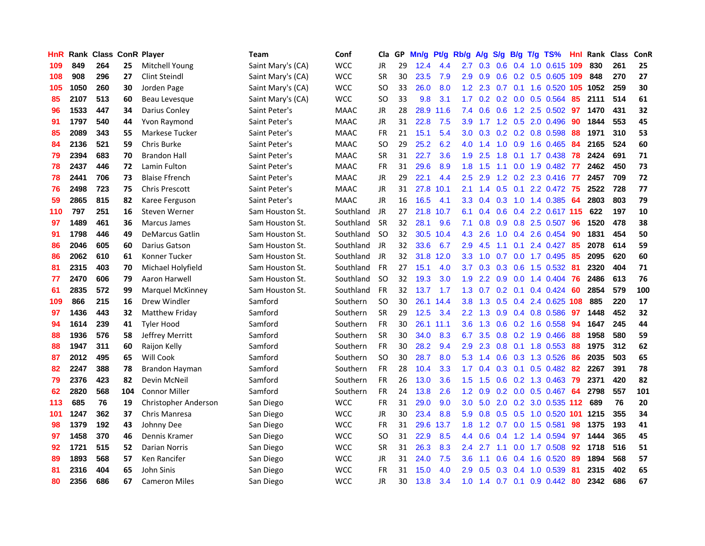| <b>HnR</b> |      | Rank Class ConR Player |     |                         | Team              | Conf        | Cla       |    | GP Mn/g | Pt/g Rb/g |                  | A/g           |     |                 | S/g B/g T/g TS%         | Hnl |      | Rank Class | ConR |
|------------|------|------------------------|-----|-------------------------|-------------------|-------------|-----------|----|---------|-----------|------------------|---------------|-----|-----------------|-------------------------|-----|------|------------|------|
| 109        | 849  | 264                    | 25  | Mitchell Young          | Saint Mary's (CA) | <b>WCC</b>  | JR        | 29 | 12.4    | 4.4       | 2.7              | 0.3           | 0.6 | 0.4             | 1.0 0.615 109           |     | 830  | 261        | 25   |
| 108        | 908  | 296                    | 27  | Clint Steindl           | Saint Mary's (CA) | <b>WCC</b>  | <b>SR</b> | 30 | 23.5    | 7.9       | 2.9              | 0.9           |     | $0.6 \quad 0.2$ | 0.5 0.605 109           |     | 848  | 270        | 27   |
| 105        | 1050 | 260                    | 30  | Jorden Page             | Saint Mary's (CA) | <b>WCC</b>  | <b>SO</b> | 33 | 26.0    | 8.0       | 1.2              | 2.3           | 0.7 | 0.1             | 1.6 0.520 105           |     | 1052 | 259        | 30   |
| 85         | 2107 | 513                    | 60  | Beau Levesque           | Saint Mary's (CA) | <b>WCC</b>  | <b>SO</b> | 33 | 9.8     | 3.1       | 1.7 <sub>z</sub> | 0.2           |     |                 | 0.2 0.0 0.5 0.564       | 85  | 2111 | 514        | 61   |
| 96         | 1533 | 447                    | 34  | Darius Conley           | Saint Peter's     | <b>MAAC</b> | JR        | 28 |         | 28.9 11.6 |                  | $7.4\quad0.6$ |     |                 | $0.6$ 1.2 2.5 0.502     | 97  | 1470 | 431        | 32   |
| 91         | 1797 | 540                    | 44  | Yvon Raymond            | Saint Peter's     | <b>MAAC</b> | JR        | 31 | 22.8    | 7.5       | 3.9 <sup>°</sup> |               |     |                 | 1.7 1.2 0.5 2.0 0.496   | 90  | 1844 | 553        | 45   |
| 85         | 2089 | 343                    | 55  | Markese Tucker          | Saint Peter's     | <b>MAAC</b> | <b>FR</b> | 21 | 15.1    | 5.4       | 3.0 <sub>1</sub> | 0.3           |     |                 | $0.2$ 0.2 0.8 0.598     | 88  | 1971 | 310        | 53   |
| 84         | 2136 | 521                    | 59  | Chris Burke             | Saint Peter's     | <b>MAAC</b> | <b>SO</b> | 29 | 25.2    | 6.2       | 4.0              | 1.4           | 1.0 | 0.9             | 1.6 0.465               | 84  | 2165 | 524        | 60   |
| 79         | 2394 | 683                    | 70  | <b>Brandon Hall</b>     | Saint Peter's     | <b>MAAC</b> | <b>SR</b> | 31 | 22.7    | 3.6       | 1.9              | 2.5           | 1.8 | 0.1             | 1.7 0.438               | 78  | 2424 | 691        | 71   |
| 78         | 2437 | 446                    | 72  | Lamin Fulton            | Saint Peter's     | <b>MAAC</b> | FR        | 31 | 29.6    | 8.9       | 1.8              | 1.5           | 1.1 | 0.0             | 1.9 0.482               | 77  | 2462 | 450        | 73   |
| 78         | 2441 | 706                    | 73  | <b>Blaise Ffrench</b>   | Saint Peter's     | <b>MAAC</b> | JR        | 29 | 22.1    | 4.4       | 2.5              | 2.9           |     |                 | 1.2 0.2 2.3 0.416       | -77 | 2457 | 709        | 72   |
| 76         | 2498 | 723                    | 75  | <b>Chris Prescott</b>   | Saint Peter's     | <b>MAAC</b> | JR        | 31 | 27.8    | 10.1      | 2.1              | 1.4           | 0.5 | 0.1             | 2.2 0.472               | 75  | 2522 | 728        | 77   |
| 59         | 2865 | 815                    | 82  | Karee Ferguson          | Saint Peter's     | <b>MAAC</b> | <b>JR</b> | 16 | 16.5    | 4.1       | 3.3 <sub>2</sub> | 0.4           | 0.3 | 1.0             | 1.4 0.385               | 64  | 2803 | 803        | 79   |
| 110        | 797  | 251                    | 16  | Steven Werner           | Sam Houston St.   | Southland   | JR        | 27 | 21.8    | 10.7      | 6.1              | 0.4           | 0.6 | 0.4             | 2.2 0.617 115           |     | 622  | 197        | 10   |
| 97         | 1489 | 461                    | 36  | Marcus James            | Sam Houston St.   | Southland   | <b>SR</b> | 32 | 28.1    | 9.6       | 7.1              | 0.8           | 0.9 | 0.8             | 2.5 0.507               | 96  | 1520 | 478        | 38   |
| 91         | 1798 | 446                    | 49  | <b>DeMarcus Gatlin</b>  | Sam Houston St.   | Southland   | <b>SO</b> | 32 | 30.5    | 10.4      | 4.3              | 2.6           | 1.0 |                 | 0.4 2.6 0.454           | -90 | 1831 | 454        | 50   |
| 86         | 2046 | 605                    | 60  | Darius Gatson           | Sam Houston St.   | Southland   | JR        | 32 | 33.6    | 6.7       | 2.9              | 4.5           | 1.1 |                 | $0.1$ 2.4 $0.427$       | -85 | 2078 | 614        | 59   |
| 86         | 2062 | 610                    | 61  | Konner Tucker           | Sam Houston St.   | Southland   | JR        | 32 |         | 31.8 12.0 | 3.3 <sub>1</sub> | 1.0           |     |                 | 0.7 0.0 1.7 0.495       | -85 | 2095 | 620        | 60   |
| 81         | 2315 | 403                    | 70  | Michael Holyfield       | Sam Houston St.   | Southland   | <b>FR</b> | 27 | 15.1    | 4.0       | 3.7              | 0.3           |     | $0.3 \quad 0.6$ | 1.5 0.532               | -81 | 2320 | 404        | 71   |
| 77         | 2470 | 606                    | 79  | Aaron Harwell           | Sam Houston St.   | Southland   | -SO       | 32 | 19.3    | 3.0       | 1.9 <sup>°</sup> | 2.2           |     |                 | $0.9$ $0.0$ 1.4 $0.404$ | 76  | 2486 | 613        | 76   |
| 61         | 2835 | 572                    | 99  | <b>Marquel McKinney</b> | Sam Houston St.   | Southland   | <b>FR</b> | 32 | 13.7    | 1.7       | 1.3              | 0.7           |     |                 | $0.2$ 0.1 0.4 0.424     | -60 | 2854 | 579        | 100  |
| 109        | 866  | 215                    | 16  | Drew Windler            | Samford           | Southern    | <b>SO</b> | 30 |         | 26.1 14.4 | 3.8 <sub>1</sub> | 1.3           |     |                 | 0.5 0.4 2.4 0.625 108   |     | 885  | 220        | 17   |
| 97         | 1436 | 443                    | 32  | Matthew Friday          | Samford           | Southern    | <b>SR</b> | 29 | 12.5    | 3.4       | $2.2^{\circ}$    | 1.3           |     |                 | 0.9 0.4 0.8 0.586       | 97  | 1448 | 452        | 32   |
| 94         | 1614 | 239                    | 41  | <b>Tyler Hood</b>       | Samford           | Southern    | FR        | 30 |         | 26.1 11.1 | 3.6              | 1.3           |     |                 | 0.6 0.2 1.6 0.558       | 94  | 1647 | 245        | 44   |
| 88         | 1936 | 576                    | 58  | Jeffrey Merritt         | Samford           | Southern    | <b>SR</b> | 30 | 34.0    | 8.3       | 6.7              | 3.5           |     |                 | 0.8 0.2 1.9 0.466       | 88  | 1958 | 580        | 59   |
| 88         | 1947 | 311                    | 60  | Raijon Kelly            | Samford           | Southern    | <b>FR</b> | 30 | 28.2    | 9.4       | 2.9              | 2.3           | 0.8 | 0.1             | 1.8 0.553               | 88  | 1975 | 312        | 62   |
| 87         | 2012 | 495                    | 65  | Will Cook               | Samford           | Southern    | <b>SO</b> | 30 | 28.7    | 8.0       | 5.3              | 1.4           | 0.6 |                 | $0.3$ 1.3 $0.526$       | 86  | 2035 | 503        | 65   |
| 82         | 2247 | 388                    | 78  | Brandon Hayman          | Samford           | Southern    | <b>FR</b> | 28 | 10.4    | 3.3       | 1.7 <sub>2</sub> | 0.4           | 0.3 | 0.1             | $0.5$ 0.482             | 82  | 2267 | 391        | 78   |
| 79         | 2376 | 423                    | 82  | Devin McNeil            | Samford           | Southern    | <b>FR</b> | 26 | 13.0    | 3.6       | 1.5              | 1.5           | 0.6 | 0.2             | 1.3 0.463               | 79  | 2371 | 420        | 82   |
| 62         | 2820 | 568                    | 104 | <b>Connor Miller</b>    | Samford           | Southern    | <b>FR</b> | 24 | 13.8    | 2.6       | 1.2 <sub>1</sub> | 0.9           |     |                 | 0.2 0.0 0.5 0.467 64    |     | 2798 | 557        | 101  |
| 113        | 685  | 76                     | 19  | Christopher Anderson    | San Diego         | <b>WCC</b>  | <b>FR</b> | 31 | 29.0    | 9.0       | 3.0 <sub>2</sub> | 5.0           |     |                 | 2.0 0.2 3.0 0.535 112   |     | 689  | 76         | 20   |
| 101        | 1247 | 362                    | 37  | Chris Manresa           | San Diego         | <b>WCC</b>  | JR        | 30 | 23.4    | 8.8       | 5.9              | 0.8           |     |                 | 0.5 0.5 1.0 0.520 101   |     | 1215 | 355        | 34   |
| 98         | 1379 | 192                    | 43  | Johnny Dee              | San Diego         | <b>WCC</b>  | <b>FR</b> | 31 | 29.6    | 13.7      | 1.8 <sup>1</sup> | 1.2           |     |                 | 0.7 0.0 1.5 0.581       | 98  | 1375 | 193        | 41   |
| 97         | 1458 | 370                    | 46  | Dennis Kramer           | San Diego         | <b>WCC</b>  | <b>SO</b> | 31 | 22.9    | 8.5       | 4.4              | 0.6           | 0.4 |                 | 1.2 1.4 0.594           | 97  | 1444 | 365        | 45   |
| 92         | 1721 | 515                    | 52  | Darian Norris           | San Diego         | <b>WCC</b>  | <b>SR</b> | 31 | 26.3    | 8.3       | $2.4^{\circ}$    | 2.7           | 1.1 |                 | 0.0 1.7 0.508           | 92  | 1718 | 516        | 51   |
| 89         | 1893 | 568                    | 57  | Ken Rancifer            | San Diego         | wcc         | <b>JR</b> | 31 | 24.0    | 7.5       | 3.6              | 1.1           | 0.6 | 0.4             | 1.6 0.520               | 89  | 1894 | 568        | 57   |
| 81         | 2316 | 404                    | 65  | John Sinis              | San Diego         | wcc         | <b>FR</b> | 31 | 15.0    | 4.0       | 2.9              | 0.5           | 0.3 | 0.4             | 1.0 0.539               | -81 | 2315 | 402        | 65   |
| 80         | 2356 | 686                    | 67  | <b>Cameron Miles</b>    | San Diego         | <b>WCC</b>  | <b>JR</b> | 30 | 13.8    | 3.4       | 1.0 <sub>1</sub> | 1.4           |     | $0.7 \quad 0.1$ | 0.9 0.442               | 80  | 2342 | 686        | 67   |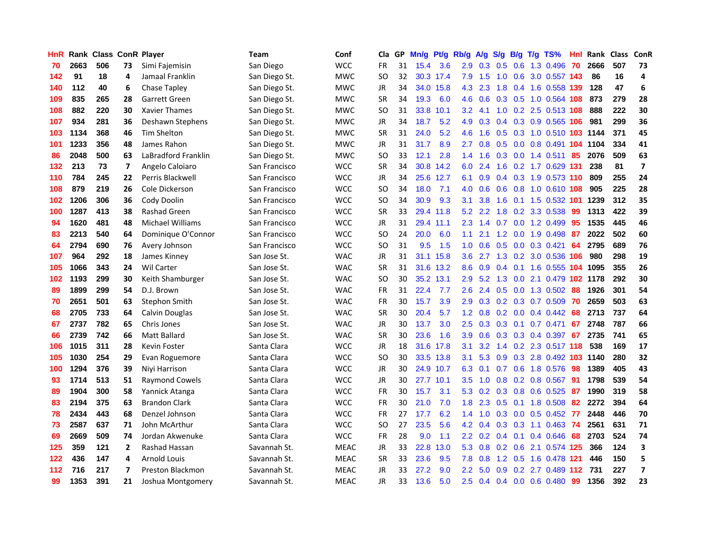| HnR. |      | Rank Class ConR Player |                |                         | <b>Team</b>   | Conf        | Cla       |    | GP Mn/g Pt/g |           | Rb/g             | A/g             |     |                 | S/g B/g T/g TS%            | Hnl | Rank Class |     | ConR                    |
|------|------|------------------------|----------------|-------------------------|---------------|-------------|-----------|----|--------------|-----------|------------------|-----------------|-----|-----------------|----------------------------|-----|------------|-----|-------------------------|
| 70   | 2663 | 506                    | 73             | Simi Fajemisin          | San Diego     | <b>WCC</b>  | FR        | 31 | 15.4         | 3.6       | 2.9              | 0.3             | 0.5 | 0.6             | 1.3 0.496                  | 70  | 2666       | 507 | 73                      |
| 142  | 91   | 18                     | 4              | Jamaal Franklin         | San Diego St. | <b>MWC</b>  | SO.       | 32 |              | 30.3 17.4 | 7.9              | 1.5             | 1.0 | 0.6             | 3.0 0.557 143              |     | 86         | 16  | 4                       |
| 140  | 112  | 40                     | 6              | Chase Tapley            | San Diego St. | <b>MWC</b>  | JR        | 34 |              | 34.0 15.8 | 4.3              | 2.3             | 1.8 |                 | 0.4 1.6 0.558 139          |     | 128        | 47  | 6                       |
| 109  | 835  | 265                    | 28             | Garrett Green           | San Diego St. | <b>MWC</b>  | <b>SR</b> | 34 | 19.3         | 6.0       | 4.6              | 0.6             |     |                 | 0.3 0.5 1.0 0.564 108      |     | 873        | 279 | 28                      |
| 108  | 882  | 220                    | 30             | Xavier Thames           | San Diego St. | <b>MWC</b>  | SO.       | 31 | 33.8         | 10.1      | 3.2 <sub>2</sub> | 4.1             |     |                 | 1.0 0.2 2.5 0.513 108      |     | 888        | 222 | 30                      |
| 107  | 934  | 281                    | 36             | Deshawn Stephens        | San Diego St. | <b>MWC</b>  | JR        | 34 | 18.7         | 5.2       | 4.9              | 0.3             |     |                 | 0.4 0.3 0.9 0.565 106      |     | 981        | 299 | 36                      |
| 103  | 1134 | 368                    | 46             | Tim Shelton             | San Diego St. | <b>MWC</b>  | <b>SR</b> | 31 | 24.0         | 5.2       | 4.6              | 1.6             |     |                 | 0.5 0.3 1.0 0.510 103 1144 |     |            | 371 | 45                      |
| 101  | 1233 | 356                    | 48             | James Rahon             | San Diego St. | <b>MWC</b>  | JR        | 31 | 31.7         | 8.9       | 2.7              | 0.8             |     |                 | 0.5 0.0 0.8 0.491 104      |     | 1104       | 334 | 41                      |
| 86   | 2048 | 500                    | 63             | LaBradford Franklin     | San Diego St. | <b>MWC</b>  | <b>SO</b> | 33 | 12.1         | 2.8       | 1.4              | 1.6             |     |                 | $0.3$ 0.0 1.4 0.511        | 85  | 2076       | 509 | 63                      |
| 132  | 213  | 73                     | $\overline{ }$ | Angelo Caloiaro         | San Francisco | <b>WCC</b>  | <b>SR</b> | 34 |              | 30.8 14.2 | 6.0              | 2.4             | 1.6 |                 | 0.2 1.7 0.629 131          |     | 238        | 81  | $\overline{\mathbf{z}}$ |
| 110  | 784  | 245                    | 22             | Perris Blackwell        | San Francisco | <b>WCC</b>  | JR        | 34 |              | 25.6 12.7 | 6.1              | 0.9             |     |                 | 0.4 0.3 1.9 0.573 110      |     | 809        | 255 | 24                      |
| 108  | 879  | 219                    | 26             | Cole Dickerson          | San Francisco | <b>WCC</b>  | SO.       | 34 | 18.0         | 7.1       | 4.0              | 0.6             | 0.6 | 0.8             | 1.0 0.610 108              |     | 905        | 225 | 28                      |
| 102  | 1206 | 306                    | 36             | Cody Doolin             | San Francisco | <b>WCC</b>  | SO.       | 34 | 30.9         | 9.3       | 3.1              | 3.8             | 1.6 |                 | 0.1 1.5 0.532 101          |     | 1239       | 312 | 35                      |
| 100  | 1287 | 413                    | 38             | <b>Rashad Green</b>     | San Francisco | <b>WCC</b>  | <b>SR</b> | 33 |              | 29.4 11.8 | 5.2              | 2.2             | 1.8 | 0.2             | 3.3 0.538                  | 99  | 1313       | 422 | 39                      |
| 94   | 1620 | 481                    | 48             | <b>Michael Williams</b> | San Francisco | <b>WCC</b>  | <b>JR</b> | 31 |              | 29.4 11.1 | 2.3              | 1.4             | 0.7 | 0.0             | 1.2 0.499                  | 95  | 1535       | 445 | 46                      |
| 83   | 2213 | 540                    | 64             | Dominique O'Connor      | San Francisco | <b>WCC</b>  | <b>SO</b> | 24 | 20.0         | 6.0       | 1.1              | 2.1             |     |                 | 1.2 0.0 1.9 0.498          | 87  | 2022       | 502 | 60                      |
| 64   | 2794 | 690                    | 76             | Avery Johnson           | San Francisco | <b>WCC</b>  | SO.       | 31 | 9.5          | 1.5       | 1.0 <sub>1</sub> | 0.6             |     |                 | 0.5 0.0 0.3 0.421          | -64 | 2795       | 689 | 76                      |
| 107  | 964  | 292                    | 18             | James Kinney            | San Jose St.  | <b>WAC</b>  | JR        | 31 |              | 31.1 15.8 |                  | $3.6$ 2.7       |     |                 | 1.3 0.2 3.0 0.536 106      |     | 980        | 298 | 19                      |
| 105  | 1066 | 343                    | 24             | <b>Wil Carter</b>       | San Jose St.  | <b>WAC</b>  | <b>SR</b> | 31 |              | 31.6 13.2 | 8.6              | 0.9             |     |                 | 0.4 0.1 1.6 0.555 104 1095 |     |            | 355 | 26                      |
| 102  | 1193 | 299                    | 30             | Keith Shamburger        | San Jose St.  | <b>WAC</b>  | <b>SO</b> | 30 |              | 35.2 13.1 | $2.9^{\circ}$    | 5.2             |     |                 | 1.3 0.0 2.1 0.479 102 1178 |     |            | 292 | 30                      |
| 89   | 1899 | 299                    | 54             | D.J. Brown              | San Jose St.  | <b>WAC</b>  | FR        | 31 | 22.4         | 7.7       | 2.6              | 2.4             |     |                 | 0.5 0.0 1.3 0.502          | 88  | 1926       | 301 | 54                      |
| 70   | 2651 | 501                    | 63             | Stephon Smith           | San Jose St.  | <b>WAC</b>  | FR        | 30 | 15.7         | 3.9       | 2.9              | 0.3             |     |                 | 0.2 0.3 0.7 0.509          | 70  | 2659       | 503 | 63                      |
| 68   | 2705 | 733                    | 64             | Calvin Douglas          | San Jose St.  | <b>WAC</b>  | <b>SR</b> | 30 | 20.4         | 5.7       | 1.2 <sub>2</sub> | 0.8             |     |                 | $0.2$ 0.0 0.4 0.442        | 68  | 2713       | 737 | 64                      |
| 67   | 2737 | 782                    | 65             | Chris Jones             | San Jose St.  | <b>WAC</b>  | JR        | 30 | 13.7         | 3.0       | 2.5              | 0.3             |     | $0.3 \quad 0.1$ | 0.7 0.471                  | 67  | 2748       | 787 | 66                      |
| 66   | 2739 | 742                    | 66             | Matt Ballard            | San Jose St.  | <b>WAC</b>  | <b>SR</b> | 30 | 23.6         | 1.6       | 3.9              | 0.6             |     |                 | $0.3$ $0.3$ $0.4$ $0.397$  | 67  | 2735       | 741 | 65                      |
| 106  | 1015 | 311                    | 28             | Kevin Foster            | Santa Clara   | <b>WCC</b>  | <b>JR</b> | 18 | 31.6         | 17.8      | 3.1              | 3.2             |     |                 | 1.4 0.2 2.3 0.517 118      |     | 538        | 169 | 17                      |
| 105  | 1030 | 254                    | 29             | Evan Roguemore          | Santa Clara   | <b>WCC</b>  | SO.       | 30 |              | 33.5 13.8 | 3.1              | 5.3             | 0.9 |                 | 0.3 2.8 0.492 103 1140     |     |            | 280 | 32                      |
| 100  | 1294 | 376                    | 39             | Niyi Harrison           | Santa Clara   | <b>WCC</b>  | JR        | 30 |              | 24.9 10.7 | 6.3              | 0.1             |     | $0.7 \quad 0.6$ | 1.8 0.576                  | 98  | 1389       | 405 | 43                      |
| 93   | 1714 | 513                    | 51             | <b>Raymond Cowels</b>   | Santa Clara   | <b>WCC</b>  | JR        | 30 |              | 27.7 10.1 | $3.5^{\circ}$    | 1.0             | 0.8 |                 | $0.2$ 0.8 0.567            | -91 | 1798       | 539 | 54                      |
| 89   | 1904 | 300                    | 58             | Yannick Atanga          | Santa Clara   | <b>WCC</b>  | <b>FR</b> | 30 | 15.7         | 3.1       |                  |                 |     |                 | 5.3 0.2 0.3 0.8 0.6 0.525  | -87 | 1990       | 319 | 58                      |
| 83   | 2194 | 375                    | 63             | <b>Brandon Clark</b>    | Santa Clara   | <b>WCC</b>  | FR        | 30 | 21.0         | 7.0       | 1.8 <sup>1</sup> | 2.3             |     |                 | 0.5 0.1 1.8 0.508          | 82  | 2272       | 394 | 64                      |
| 78   | 2434 | 443                    | 68             | Denzel Johnson          | Santa Clara   | <b>WCC</b>  | <b>FR</b> | 27 | 17.7         | 6.2       |                  | $1.4 \quad 1.0$ |     |                 | $0.3$ 0.0 0.5 0.452        | 77  | 2448       | 446 | 70                      |
| 73   | 2587 | 637                    | 71             | John McArthur           | Santa Clara   | <b>WCC</b>  | <b>SO</b> | 27 | 23.5         | 5.6       |                  | $4.2 \quad 0.4$ |     |                 | 0.3 0.3 1.1 0.463 74       |     | 2561       | 631 | 71                      |
| 69   | 2669 | 509                    | 74             | Jordan Akwenuke         | Santa Clara   | <b>WCC</b>  | FR        | 28 | 9.0          | 1.1       | 2.2 <sub>2</sub> | 0.2             |     |                 | 0.4 0.1 0.4 0.646          | 68  | 2703       | 524 | 74                      |
| 125  | 359  | 121                    | $\overline{2}$ | Rashad Hassan           | Savannah St.  | <b>MEAC</b> | JR        | 33 | 22.8         | 13.0      | 5.3              | 0.8             |     | $0.2 \quad 0.6$ | 2.1 0.574 125              |     | 366        | 124 | 3                       |
| 122  | 436  | 147                    | 4              | <b>Arnold Louis</b>     | Savannah St.  | <b>MEAC</b> | <b>SR</b> | 33 | 23.6         | 9.5       | 7.8              | 0.8             | 1.2 | 0.5             | 1.6 0.478                  | 121 | 446        | 150 | 5                       |
| 112  | 716  | 217                    | $\overline{7}$ | Preston Blackmon        | Savannah St.  | <b>MEAC</b> | JR        | 33 | 27.2         | 9.0       | $2.2\phantom{0}$ | 5.0             | 0.9 | 0.2             | 2.7 0.489                  | 112 | 731        | 227 | $\overline{\mathbf{z}}$ |
| 99   | 1353 | 391                    | 21             | Joshua Montgomery       | Savannah St.  | <b>MEAC</b> | <b>JR</b> | 33 | 13.6         | 5.0       | 2.5              |                 |     |                 | 0.4 0.4 0.0 0.6 0.480      | -99 | 1356       | 392 | 23                      |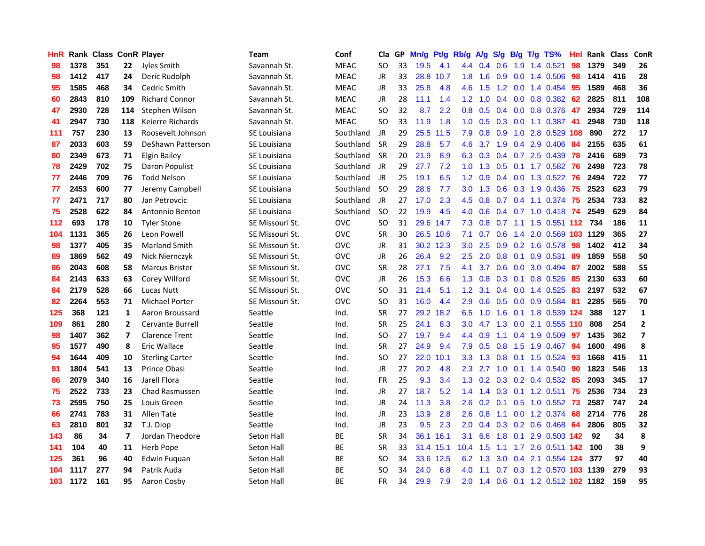| <b>HnR</b>       |      | Rank Class ConR Player |                         |                         | Team            | Conf        | Cla       |    | GP Mn/g | Pt/g      | Rb/g             | A/g             |                  |                 | S/g B/g T/g TS%                    | Hnl | Rank Class |     | ConR                    |
|------------------|------|------------------------|-------------------------|-------------------------|-----------------|-------------|-----------|----|---------|-----------|------------------|-----------------|------------------|-----------------|------------------------------------|-----|------------|-----|-------------------------|
| 98               | 1378 | 351                    | 22                      | Jyles Smith             | Savannah St.    | <b>MEAC</b> | SO.       | 33 | 19.5    | 4.1       | 4.4              | 0.4             | 0.6              | 1.9             | 1.4 0.521                          | 98  | 1379       | 349 | 26                      |
| 98               | 1412 | 417                    | 24                      | Deric Rudolph           | Savannah St.    | <b>MEAC</b> | JR        | 33 | 28.8    | 10.7      | 1.8              | 1.6             | 0.9              | 0.0             | 1.4 0.506                          | 98  | 1414       | 416 | 28                      |
| 95               | 1585 | 468                    | 34                      | Cedric Smith            | Savannah St.    | <b>MEAC</b> | JR        | 33 | 25.8    | 4.8       | 4.6              | 1.5             |                  | $1.2 \quad 0.0$ | 1.4 0.454                          | 95  | 1589       | 468 | 36                      |
| 60               | 2843 | 810                    | 109                     | <b>Richard Connor</b>   | Savannah St.    | <b>MEAC</b> | JR        | 28 | 11.1    | 1.4       |                  | $1.2 \quad 1.0$ |                  |                 | 0.4 0.0 0.8 0.382 62               |     | 2825       | 811 | 108                     |
| 47               | 2930 | 728                    | 114                     | Stephen Wilson          | Savannah St.    | <b>MEAC</b> | SO.       | 32 | 8.7     | 2.2       |                  | $0.8\quad 0.5$  |                  |                 | 0.4 0.0 0.8 0.376                  | 47  | 2934       | 729 | 114                     |
| 41               | 2947 | 730                    | 118                     | Keierre Richards        | Savannah St.    | <b>MEAC</b> | <b>SO</b> | 33 | 11.9    | 1.8       | 1.0 <sub>1</sub> | 0.5             |                  |                 | 0.3 0.0 1.1 0.387 41               |     | 2948       | 730 | 118                     |
| 111              | 757  | 230                    | 13                      | Roosevelt Johnson       | SE Louisiana    | Southland   | JR        | 29 |         | 25.5 11.5 | 7.9              | 0.8             | 0.9              |                 | 1.0 2.8 0.529 108                  |     | 890        | 272 | 17                      |
| 87               | 2033 | 603                    | 59                      | DeShawn Patterson       | SE Louisiana    | Southland   | <b>SR</b> | 29 | 28.8    | 5.7       | 4.6              | 3.7             |                  |                 | 1.9 0.4 2.9 0.406                  | 84  | 2155       | 635 | 61                      |
| 80               | 2349 | 673                    | 71                      | <b>Elgin Bailey</b>     | SE Louisiana    | Southland   | <b>SR</b> | 20 | 21.9    | 8.9       | 6.3              | 0.3             |                  |                 | 0.4 0.7 2.5 0.439                  | 78  | 2416       | 689 | 73                      |
| 78               | 2429 | 702                    | 75                      | Daron Populist          | SE Louisiana    | Southland   | JR        | 29 | 27.7    | 7.2       | 1.0              | 1.3             | 0.5              |                 | $0.1$ 1.7 $0.582$                  | 76  | 2498       | 723 | 78                      |
| 77               | 2446 | 709                    | 76                      | <b>Todd Nelson</b>      | SE Louisiana    | Southland   | JR        | 25 | 19.1    | 6.5       | 1.2 <sub>2</sub> | 0.9             |                  |                 | 0.4 0.0 1.3 0.522                  | 76  | 2494       | 722 | 77                      |
| 77               | 2453 | 600                    | 77                      | Jeremy Campbell         | SE Louisiana    | Southland   | <b>SO</b> | 29 | 28.6    | 7.7       | 3.0 <sub>2</sub> | 1.3             | 0.6              |                 | 0.3 1.9 0.436                      | 75  | 2523       | 623 | 79                      |
| 77               | 2471 | 717                    | 80                      | Jan Petrovcic           | SE Louisiana    | Southland   | JR        | 27 | 17.0    | 2.3       | 4.5              | 0.8             | 0.7              |                 | $0.4$ 1.1 0.374                    | -75 | 2534       | 733 | 82                      |
| 75               | 2528 | 622                    | 84                      | Antonnio Benton         | SE Louisiana    | Southland   | SO.       | 22 | 19.9    | 4.5       | 4.0              | 0.6             |                  |                 | $0.4$ 0.7 1.0 0.418                | 74  | 2549       | 629 | 84                      |
| $112$            | 693  | 178                    | 10                      | <b>Tyler Stone</b>      | SE Missouri St. | <b>OVC</b>  | <b>SO</b> | 31 |         | 29.6 14.7 | 7.3              | 0.8             | 0.7              | 1.1             | 1.5 0.551 112 734                  |     |            | 186 | 11                      |
| 104              | 1131 | 365                    | 26                      | Leon Powell             | SE Missouri St. | <b>OVC</b>  | <b>SR</b> | 30 |         | 26.5 10.6 | 7.1              | 0.7             | 0.6              |                 | 1.4 2.0 0.569 103 1129             |     |            | 365 | 27                      |
| 98               | 1377 | 405                    | 35                      | <b>Marland Smith</b>    | SE Missouri St. | <b>OVC</b>  | JR        | 31 |         | 30.2 12.3 | 3.0              | 2.5             |                  |                 | $0.9$ $0.2$ 1.6 $0.578$            | -98 | 1402       | 412 | 34                      |
| 89               | 1869 | 562                    | 49                      | Nick Niernczyk          | SE Missouri St. | <b>OVC</b>  | JR        | 26 | 26.4    | 9.2       | 2.5              | 2.0             |                  |                 | $0.8$ 0.1 0.9 0.531                | -89 | 1859       | 558 | 50                      |
| 86               | 2043 | 608                    | 58                      | <b>Marcus Brister</b>   | SE Missouri St. | <b>OVC</b>  | <b>SR</b> | 28 | 27.1    | 7.5       | 4.1              | 3.7             |                  |                 | $0.6$ $0.0$ $3.0$ $0.494$          | -87 | 2002       | 588 | 55                      |
| 84               | 2143 | 633                    | 63                      | Corey Wilford           | SE Missouri St. | <b>OVC</b>  | JR        | 26 | 15.3    | 6.6       | 1.3              | 0.8             |                  |                 | $0.3$ 0.1 0.8 0.526                | -85 | 2130       | 633 | 60                      |
| 84               | 2179 | 528                    | 66                      | Lucas Nutt              | SE Missouri St. | <b>OVC</b>  | SO.       | 31 | 21.4    | 5.1       | 1.2 <sub>2</sub> | 3.1             |                  |                 | 0.4 0.0 1.4 0.525                  | 83  | 2197       | 532 | 67                      |
| 82               | 2264 | 553                    | 71                      | <b>Michael Porter</b>   | SE Missouri St. | <b>OVC</b>  | <b>SO</b> | 31 | 16.0    | 4.4       | 2.9              | 0.6             | 0.5              |                 | 0.0 0.9 0.584                      | -81 | 2285       | 565 | 70                      |
| 125              | 368  | 121                    | 1                       | Aaron Broussard         | Seattle         | Ind.        | <b>SR</b> | 27 |         | 29.2 18.2 | 6.5              | 1.0             | 1.6              |                 | 0.1 1.8 0.539 124                  |     | 388        | 127 | 1                       |
| 109              | 861  | 280                    | $\overline{2}$          | <b>Cervante Burrell</b> | Seattle         | Ind.        | <b>SR</b> | 25 | 24.1    | 8.3       | 3.0              | 4.7             | 1.3              |                 | 0.0 2.1 0.555 110                  |     | 808        | 254 | $\overline{2}$          |
| 98               | 1407 | 362                    | $\overline{ }$          | <b>Clarence Trent</b>   | Seattle         | Ind.        | SO.       | 27 | 19.7    | 9.4       | $4.4^{\circ}$    | 0.9             | 1.1              |                 | 0.4 1.9 0.509                      | 97  | 1435       | 362 | $\overline{\mathbf{z}}$ |
| 95               | 1577 | 490                    | 8                       | Eric Wallace            | Seattle         | Ind.        | <b>SR</b> | 27 | 24.9    | 9.4       | 7.9              | 0.5             | 0.8              | 1.5             | 1.9 0.467                          | 94  | 1600       | 496 | 8                       |
| 94               | 1644 | 409                    | 10                      | <b>Sterling Carter</b>  | Seattle         | Ind.        | SO.       | 27 |         | 22.0 10.1 | 3.3 <sub>2</sub> | 1.3             | 0.8              |                 | $0.1$ 1.5 0.524                    | 93  | 1668       | 415 | 11                      |
| 91               | 1804 | 541                    | 13                      | Prince Obasi            | Seattle         | Ind.        | JR        | 27 | 20.2    | 4.8       | 2.3              | 2.7             | 1.0              |                 | $0.1$ 1.4 $0.540$                  | 90  | 1823       | 546 | 13                      |
| 86               | 2079 | 340                    | 16                      | Jarell Flora            | Seattle         | Ind.        | <b>FR</b> | 25 | 9.3     | 3.4       | 1.3              |                 |                  |                 | $0.2$ $0.3$ $0.2$ $0.4$ $0.532$    | -85 | 2093       | 345 | 17                      |
| 75               | 2522 | 733                    | 23                      | <b>Chad Rasmussen</b>   | Seattle         | Ind.        | JR        | 27 | 18.7    | 5.2       |                  |                 |                  |                 | 1.4 1.4 0.3 0.1 1.2 0.511 75       |     | 2536       | 734 | 23                      |
| 73               | 2595 | 750                    | 25                      | Louis Green             | Seattle         | Ind.        | JR        | 24 | 11.3    | 3.8       | 2.6              |                 |                  |                 | 0.2 0.1 0.5 1.0 0.552 73           |     | 2587       | 747 | 24                      |
| 66               | 2741 | 783                    | 31                      | Allen Tate              | Seattle         | Ind.        | JR        | 23 | 13.9    | 2.8       |                  | $2.6$ 0.8       |                  |                 | 1.1 0.0 1.2 0.374                  | 68  | 2714       | 776 | 28                      |
| 63               | 2810 | 801                    | 32                      | T.J. Diop               | Seattle         | Ind.        | JR        | 23 | 9.5     | 2.3       | 2.0 <sub>2</sub> |                 |                  |                 | 0.4 0.3 0.2 0.6 0.468 64           |     | 2806       | 805 | 32                      |
| 143              | 86   | 34                     | $\overline{\mathbf{z}}$ | Jordan Theodore         | Seton Hall      | ВE          | <b>SR</b> | 34 |         | 36.1 16.1 | 3.1              | 6.6             | 1.8              |                 | 0.1 2.9 0.503 142                  |     | 92         | 34  | 8                       |
| 141              | 104  | 40                     | 11                      | Herb Pope               | Seton Hall      | BE          | <b>SR</b> | 33 |         | 31.4 15.1 | 10.4             | 1.5             | 1.1              |                 | 1.7 2.6 0.511 142                  |     | 100        | 38  | 9                       |
| 125              | 361  | 96                     | 40                      | Edwin Fuguan            | Seton Hall      | <b>BE</b>   | <b>SO</b> | 34 |         | 33.6 12.5 | 6.2              | 1.3             | 3.0 <sub>2</sub> | 0.4             | 2.1 0.554 124                      |     | 377        | 97  | 40                      |
| 104              | 1117 | 277                    | 94                      | Patrik Auda             | Seton Hall      | BE          | SO        | 34 | 24.0    | 6.8       | 4.0              | 1.1             | 0.7              |                 | 0.3 1.2 0.570 103                  |     | 1139       | 279 | 93                      |
| 103 <sub>1</sub> | 1172 | 161                    | 95                      | Aaron Cosby             | Seton Hall      | <b>BE</b>   | <b>FR</b> | 34 | 29.9    | 7.9       |                  |                 |                  |                 | 2.0 1.4 0.6 0.1 1.2 0.512 102 1182 |     |            | 159 | 95                      |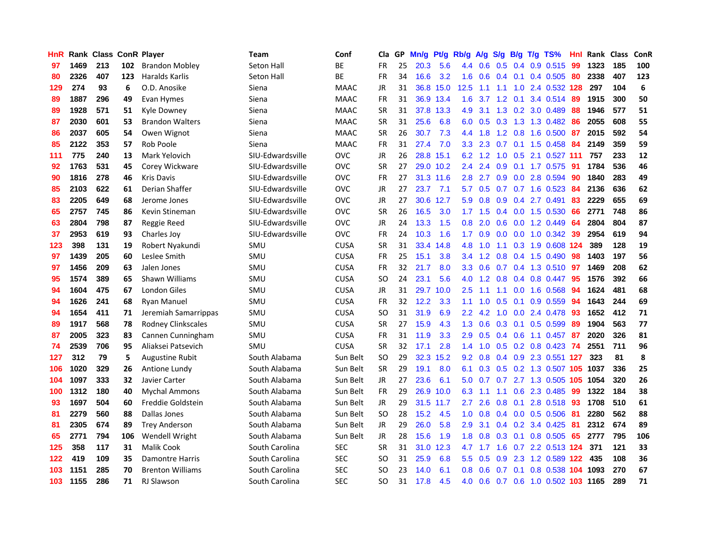| <b>HnR</b>       |      | <b>Rank Class ConR Player</b> |     |                           | <b>Team</b>      | Conf        | Cla       |    | GP Mn/g | Pt/g      | Rb/g             | A/g             |     |                 | S/g B/g T/g TS%              | Hnl |      | Rank Class | <b>ConR</b> |
|------------------|------|-------------------------------|-----|---------------------------|------------------|-------------|-----------|----|---------|-----------|------------------|-----------------|-----|-----------------|------------------------------|-----|------|------------|-------------|
| 97               | 1469 | 213                           | 102 | <b>Brandon Mobley</b>     | Seton Hall       | BE          | FR        | 25 | 20.3    | 5.6       | 4.4              | 0.6             | 0.5 | 0.4             | 0.9 0.515                    | 99  | 1323 | 185        | 100         |
| 80               | 2326 | 407                           | 123 | <b>Haralds Karlis</b>     | Seton Hall       | ВE          | <b>FR</b> | 34 | 16.6    | 3.2       | 1.6              | 0.6             |     | $0.4 \quad 0.1$ | 0.4 0.505                    | 80  | 2338 | 407        | 123         |
| 129              | 274  | 93                            | 6   | O.D. Anosike              | Siena            | <b>MAAC</b> | JR        | 31 | 36.8    | 15.0      | 12.5             | 1.1             | 1.1 | 1.0             | 2.4 0.532 128                |     | 297  | 104        | 6           |
| 89               | 1887 | 296                           | 49  | Evan Hymes                | Siena            | <b>MAAC</b> | <b>FR</b> | 31 |         | 36.9 13.4 | 1.6              | 3.7             |     | $1.2 \quad 0.1$ | 3.4 0.514                    | -89 | 1915 | 300        | 50          |
| 89               | 1928 | 571                           | 51  | Kyle Downey               | Siena            | <b>MAAC</b> | <b>SR</b> | 31 |         | 37.8 13.3 | 4.9              | 3.1             |     |                 | 1.3 0.2 3.0 0.489            | -88 | 1946 | 577        | 51          |
| 87               | 2030 | 601                           | 53  | <b>Brandon Walters</b>    | Siena            | <b>MAAC</b> | <b>SR</b> | 31 | 25.6    | 6.8       | 6.0              | 0.5             | 0.3 |                 | 1.3 1.3 0.482                | 86  | 2055 | 608        | 55          |
| 86               | 2037 | 605                           | 54  | Owen Wignot               | Siena            | <b>MAAC</b> | <b>SR</b> | 26 | 30.7    | 7.3       |                  | 4.4 1.8         |     |                 | 1.2 0.8 1.6 0.500            | -87 | 2015 | 592        | 54          |
| 85               | 2122 | 353                           | 57  | Rob Poole                 | Siena            | <b>MAAC</b> | FR        | 31 | 27.4    | 7.0       | 3.3 <sub>2</sub> | 2.3             | 0.7 |                 | $0.1$ 1.5 0.458              | 84  | 2149 | 359        | 59          |
| 111              | 775  | 240                           | 13  | Mark Yelovich             | SIU-Edwardsville | <b>OVC</b>  | JR        | 26 | 28.8    | 15.1      | 6.2              | 1.2             | 1.0 | 0.5             | 2.1 0.527 111                |     | 757  | 233        | 12          |
| 92               | 1763 | 531                           | 45  | Corey Wickware            | SIU-Edwardsville | <b>OVC</b>  | <b>SR</b> | 27 |         | 29.0 10.2 | 2.4              | 2.4             | 0.9 | 0.1             | 1.7 0.575                    | 91  | 1784 | 536        | 46          |
| 90               | 1816 | 278                           | 46  | <b>Kris Davis</b>         | SIU-Edwardsville | <b>OVC</b>  | FR        | 27 |         | 31.3 11.6 | 2.8              | 2.7             | 0.9 |                 | 0.0 2.8 0.594                | 90  | 1840 | 283        | 49          |
| 85               | 2103 | 622                           | 61  | Derian Shaffer            | SIU-Edwardsville | <b>OVC</b>  | JR        | 27 | 23.7    | 7.1       | 5.7              | 0.5             | 0.7 |                 | $0.7$ 1.6 0.523              | 84  | 2136 | 636        | 62          |
| 83               | 2205 | 649                           | 68  | Jerome Jones              | SIU-Edwardsville | <b>OVC</b>  | JR        | 27 | 30.6    | 12.7      | 5.9              | 0.8             | 0.9 | 0.4             | 2.7 0.491                    | 83  | 2229 | 655        | 69          |
| 65               | 2757 | 745                           | 86  | Kevin Stineman            | SIU-Edwardsville | <b>OVC</b>  | <b>SR</b> | 26 | 16.5    | 3.0       | 1.7              | 1.5             | 0.4 | 0.0             | 1.5 0.530                    | 66  | 2771 | 748        | 86          |
| 63               | 2804 | 798                           | 87  | Reggie Reed               | SIU-Edwardsville | <b>OVC</b>  | <b>JR</b> | 24 | 13.3    | 1.5       | 0.8              | 2.0             | 0.6 | 0.0             | 1.2 0.449                    | 64  | 2804 | 804        | 87          |
| 37               | 2953 | 619                           | 93  | Charles Joy               | SIU-Edwardsville | <b>OVC</b>  | <b>FR</b> | 24 | 10.3    | 1.6       | 1.7 <sub>2</sub> | 0.9             | 0.0 |                 | $0.0$ 1.0 $0.342$            | -39 | 2954 | 619        | 94          |
| 123              | 398  | 131                           | 19  | Robert Nyakundi           | SMU              | <b>CUSA</b> | <b>SR</b> | 31 | 33.4    | 14.8      | 4.8              | 1.0             |     |                 | 1.1 0.3 1.9 0.608 124        |     | 389  | 128        | 19          |
| 97               | 1439 | 205                           | 60  | Leslee Smith              | SMU              | <b>CUSA</b> | <b>FR</b> | 25 | 15.1    | 3.8       |                  |                 |     |                 | 3.4 1.2 0.8 0.4 1.5 0.490 98 |     | 1403 | 197        | 56          |
| 97               | 1456 | 209                           | 63  | Jalen Jones               | SMU              | <b>CUSA</b> | <b>FR</b> | 32 | 21.7    | 8.0       | 3.3              | 0.6             |     |                 | 0.7 0.4 1.3 0.510 97         |     | 1469 | 208        | 62          |
| 95               | 1574 | 389                           | 65  | Shawn Williams            | SMU              | <b>CUSA</b> | SO        | 24 | 23.1    | 5.6       |                  | $4.0 \quad 1.2$ |     |                 | $0.8$ 0.4 0.8 0.447          | -95 | 1576 | 392        | 66          |
| 94               | 1604 | 475                           | 67  | <b>London Giles</b>       | SMU              | <b>CUSA</b> | JR        | 31 | 29.7    | 10.0      | $2.5\,$          | 1.1             | 1.1 |                 | 0.0 1.6 0.568                | 94  | 1624 | 481        | 68          |
| 94               | 1626 | 241                           | 68  | <b>Ryan Manuel</b>        | SMU              | <b>CUSA</b> | FR        | 32 | 12.2    | 3.3       | 1.1              | 1.0             | 0.5 | 0.1             | 0.9 0.559                    | 94  | 1643 | 244        | 69          |
| 94               | 1654 | 411                           | 71  | Jeremiah Samarrippas      | SMU              | <b>CUSA</b> | SO.       | 31 | 31.9    | 6.9       | 2.2 <sub>2</sub> | 4.2             | 1.0 |                 | 0.0 2.4 0.478                | 93  | 1652 | 412        | 71          |
| 89               | 1917 | 568                           | 78  | <b>Rodney Clinkscales</b> | SMU              | <b>CUSA</b> | <b>SR</b> | 27 | 15.9    | 4.3       | 1.3              | 0.6             | 0.3 | 0.1             | $0.5$ 0.599                  | -89 | 1904 | 563        | 77          |
| 87               | 2005 | 323                           | 83  | Cannen Cunningham         | SMU              | <b>CUSA</b> | <b>FR</b> | 31 | 11.9    | 3.3       | 2.9              | 0.5             |     | $0.4\quad 0.6$  | 1.1 0.457                    | -87 | 2020 | 326        | 81          |
| 74               | 2539 | 706                           | 95  | Aliaksei Patsevich        | SMU              | <b>CUSA</b> | <b>SR</b> | 32 | 17.1    | 2.8       | 1.4              | 1.0             | 0.5 |                 | $0.2$ 0.8 0.423              | -74 | 2551 | 711        | 96          |
| 127              | 312  | 79                            | 5   | <b>Augustine Rubit</b>    | South Alabama    | Sun Belt    | <b>SO</b> | 29 | 32.3    | 15.2      | 9.2              | 0.8             |     | $0.4$ 0.9       | 2.3 0.551 127                |     | 323  | 81         | 8           |
| 106              | 1020 | 329                           | 26  | Antione Lundy             | South Alabama    | Sun Belt    | <b>SR</b> | 29 | 19.1    | 8.0       | 6.1              | 0.3             |     |                 | 0.5 0.2 1.3 0.507 105        |     | 1037 | 336        | 25          |
| 104              | 1097 | 333                           | 32  | Javier Carter             | South Alabama    | Sun Belt    | <b>JR</b> | 27 | 23.6    | 6.1       | 5.0              | 0.7             |     |                 | 0.7 2.7 1.3 0.505 105        |     | 1054 | 320        | 26          |
| 100              | 1312 | 180                           | 40  | <b>Mychal Ammons</b>      | South Alabama    | Sun Belt    | <b>FR</b> | 29 |         | 26.9 10.0 | 6.3              | 1.1             | 1.1 |                 | 0.6 2.3 0.485                | -99 | 1322 | 184        | 38          |
| 93               | 1697 | 504                           | 60  | Freddie Goldstein         | South Alabama    | Sun Belt    | JR        | 29 |         | 31.5 11.7 | 2.7              | 2.6             |     | $0.8\quad 0.1$  | 2.8 0.518                    | -93 | 1708 | 510        | 61          |
| 81               | 2279 | 560                           | 88  | Dallas Jones              | South Alabama    | Sun Belt    | <b>SO</b> | 28 | 15.2    | 4.5       | 1.0              | 0.8             |     |                 | 0.4 0.0 0.5 0.506            | -81 | 2280 | 562        | 88          |
| 81               | 2305 | 674                           | 89  | <b>Trey Anderson</b>      | South Alabama    | Sun Belt    | JR        | 29 | 26.0    | 5.8       | 2.9              | 3.1             |     |                 | 0.4 0.2 3.4 0.425            | -81 | 2312 | 674        | 89          |
| 65               | 2771 | 794                           | 106 | Wendell Wright            | South Alabama    | Sun Belt    | JR        | 28 | 15.6    | 1.9       | 1.8 <sup>°</sup> | 0.8             | 0.3 | 0.1             | 0.8 0.505                    | 65  | 2777 | 795        | 106         |
| 125              | 358  | 117                           | 31  | Malik Cook                | South Carolina   | <b>SEC</b>  | <b>SR</b> | 31 | 31.0    | 12.3      | 4.7              | 1.7             | 1.6 |                 | 0.7 2.2 0.513 124            |     | 371  | 121        | 33          |
| 122              | 419  | 109                           | 35  | <b>Damontre Harris</b>    | South Carolina   | <b>SEC</b>  | SO.       | 31 | 25.9    | 6.8       | 5.5 <sub>1</sub> | 0.5             | 0.9 | 2.3             | 1.2 0.589                    | 122 | 435  | 108        | 36          |
| 103              | 1151 | 285                           | 70  | <b>Brenton Williams</b>   | South Carolina   | <b>SEC</b>  | SO        | 23 | 14.0    | 6.1       | 0.8              | 0.6             | 0.7 | 0.1             | 0.8 0.538                    | 104 | 1093 | 270        | 67          |
| 103 <sub>1</sub> | 1155 | 286                           | 71  | <b>RJ Slawson</b>         | South Carolina   | <b>SEC</b>  | <b>SO</b> | 31 | 17.8    | 4.5       | 4.0              | 0.6             |     |                 | 0.7 0.6 1.0 0.502 103 1165   |     |      | 289        | 71          |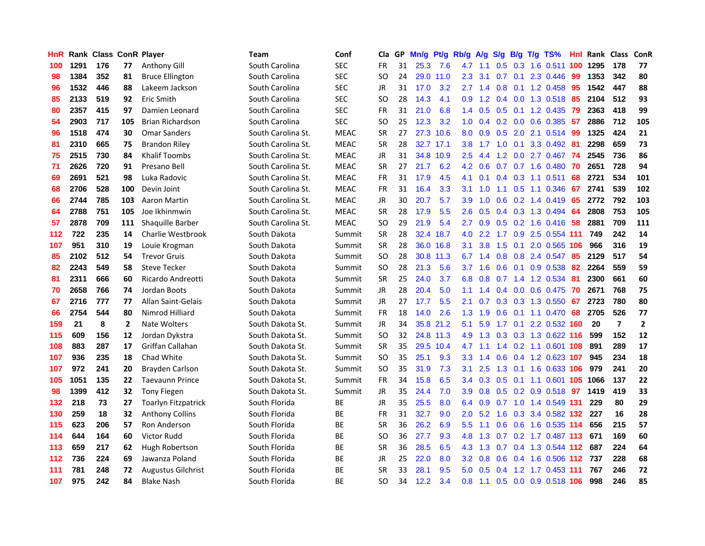| HnR |      | <b>Rank Class ConR Player</b> |              |                            | Team               | Conf        | Cla           | GP. | Mn/g | Pt/g      | Rb/g             | A/g             | <b>S/g</b>    | B/g | T/g TS%                      | Hnl | Rank Class |                | ConR           |
|-----|------|-------------------------------|--------------|----------------------------|--------------------|-------------|---------------|-----|------|-----------|------------------|-----------------|---------------|-----|------------------------------|-----|------------|----------------|----------------|
| 100 | 1291 | 176                           | 77           | Anthony Gill               | South Carolina     | <b>SEC</b>  | FR            | 31  | 25.3 | 7.6       | 4.7              | 1.1             | 0.5           | 0.3 | 1.6 0.511                    | 100 | 1295       | 178            | 77             |
| 98  | 1384 | 352                           | 81           | <b>Bruce Ellington</b>     | South Carolina     | <b>SEC</b>  | <b>SO</b>     | 24  | 29.0 | 11.0      | 2.3              | 3.1             | 0.7           | 0.1 | 2.3 0.446                    | 99  | 1353       | 342            | 80             |
| 96  | 1532 | 446                           | 88           | Lakeem Jackson             | South Carolina     | <b>SEC</b>  | <b>JR</b>     | 31  | 17.0 | 3.2       | 2.7              | 1.4             | 0.8           | 0.1 | 1.2 0.458                    | 95  | 1542       | 447            | 88             |
| 85  | 2133 | 519                           | 92           | Eric Smith                 | South Carolina     | <b>SEC</b>  | <b>SO</b>     | 28  | 14.3 | 4.1       | 0.9              |                 |               |     | 1.2 0.4 0.0 1.3 0.518        | 85  | 2104       | 512            | 93             |
| 80  | 2357 | 415                           | 97           | Damien Leonard             | South Carolina     | <b>SEC</b>  | <b>FR</b>     | 31  | 21.0 | 6.8       |                  |                 |               |     | 1.4 0.5 0.5 0.1 1.2 0.435 79 |     | 2363       | 418            | 99             |
| 54  | 2903 | 717                           | 105          | <b>Brian Richardson</b>    | South Carolina     | <b>SEC</b>  | SO            | 25  | 12.3 | 3.2       |                  | $1.0 \quad 0.4$ |               |     | $0.2$ 0.0 0.6 0.385          | -57 | 2886       | 712            | 105            |
| 96  | 1518 | 474                           | 30           | <b>Omar Sanders</b>        | South Carolina St. | <b>MEAC</b> | <b>SR</b>     | 27  |      | 27.3 10.6 |                  | 8.0 0.9         | 0.5           |     | 2.0 2.1 0.514                | -99 | 1325       | 424            | 21             |
| 81  | 2310 | 665                           | 75           | <b>Brandon Riley</b>       | South Carolina St. | <b>MEAC</b> | <b>SR</b>     | 28  |      | 32.7 17.1 | 3.8              | 1.7             | 1.0           |     | 0.1 3.3 0.492                | -81 | 2298       | 659            | 73             |
| 75  | 2515 | 730                           | 84           | <b>Khalif Toombs</b>       | South Carolina St. | <b>MEAC</b> | JR            | 31  |      | 34.8 10.9 | 2.5              | 4.4             | 1.2           |     | $0.0$ 2.7 $0.467$            | 74  | 2545       | 736            | 86             |
| 71  | 2626 | 720                           | 91           | Presano Bell               | South Carolina St. | <b>MEAC</b> | <b>SR</b>     | 27  | 21.7 | 6.2       | 4.2              | 0.6             | 0.7           |     | $0.7$ 1.6 0.480              | -70 | 2651       | 728            | 94             |
| 69  | 2691 | 521                           | 98           | Luka Radovic               | South Carolina St. | <b>MEAC</b> | FR            | 31  | 17.9 | 4.5       | 4.1              | 0.1             |               |     | $0.4$ 0.3 1.1 0.511          | 68  | 2721       | 534            | 101            |
| 68  | 2706 | 528                           | 100          | Devin Joint                | South Carolina St. | <b>MEAC</b> | <b>FR</b>     | 31  | 16.4 | 3.3       | 3.1              | 1.0             | 1.1           | 0.5 | 1.1 0.346                    | 67  | 2741       | 539            | 102            |
| 66  | 2744 | 785                           | 103          | Aaron Martin               | South Carolina St. | <b>MEAC</b> | JR            | 30  | 20.7 | 5.7       | 3.9              | 1.0             | 0.6           |     | 0.2 1.4 0.419                | 65  | 2772       | 792            | 103            |
| 64  | 2788 | 751                           | 105          | Joe Ikhinmwin              | South Carolina St. | <b>MEAC</b> | <b>SR</b>     | 28  | 17.9 | 5.5       | 2.6              | 0.5             |               |     | 0.4 0.3 1.3 0.494            | -64 | 2808       | 753            | 105            |
| 57  | 2878 | 709                           | 111          | Shaquille Barber           | South Carolina St. | <b>MEAC</b> | SO            | 29  | 21.9 | 5.4       | $2.7^{\circ}$    | 0.9             | 0.5           |     | $0.2$ 1.6 $0.416$            | -58 | 2881       | 709            | 111            |
| 112 | 722  | 235                           | 14           | Charlie Westbrook          | South Dakota       | Summit      | <b>SR</b>     | 28  | 32.4 | 18.7      | 4.0              | 2.2             | 1.7           | 0.9 | 2.5 0.554 111                |     | 749        | 242            | 14             |
| 107 | 951  | 310                           | 19           | Louie Krogman              | South Dakota       | Summit      | <b>SR</b>     | 28  | 36.0 | 16.8      | 3.1              | 3.8             | 1.5           | 0.1 | 2.0 0.565 106                |     | 966        | 316            | 19             |
| 85  | 2102 | 512                           | 54           | <b>Trevor Gruis</b>        | South Dakota       | Summit      | <b>SO</b>     | 28  |      | 30.8 11.3 | 6.7              | 1.4             |               |     | 0.8 0.8 2.4 0.547            | -85 | 2129       | 517            | 54             |
| 82  | 2243 | 549                           | 58           | <b>Steve Tecker</b>        | South Dakota       | Summit      | <b>SO</b>     | 28  | 21.3 | 5.6       |                  | $3.7 \quad 1.6$ |               |     | 0.6 0.1 0.9 0.538 82         |     | 2264       | 559            | 59             |
| 81  | 2311 | 666                           | 60           | Ricardo Andreotti          | South Dakota       | Summit      | <b>SR</b>     | 25  | 24.0 | 3.7       |                  | $6.8 \quad 0.8$ |               |     | 0.7 1.4 1.2 0.534 81         |     | 2300       | 661            | 60             |
| 70  | 2658 | 766                           | 74           | Jordan Boots               | South Dakota       | Summit      | <b>JR</b>     | 28  | 20.4 | 5.0       | 1.1 <sup>1</sup> | 1.4             |               |     | 0.4 0.0 0.6 0.475 70         |     | 2671       | 768            | 75             |
| 67  | 2716 | 777                           | 77           | Allan Saint-Gelais         | South Dakota       | Summit      | JR            | 27  | 17.7 | 5.5       | 2.1              | 0.7             |               |     | $0.3$ $0.3$ $1.3$ $0.550$    | 67  | 2723       | 780            | 80             |
| 66  | 2754 | 544                           | 80           | Nimrod Hilliard            | South Dakota       | Summit      | <b>FR</b>     | 18  | 14.0 | 2.6       | 1.3              | 1.9             | 0.6           |     | $0.1$ 1.1 $0.470$            | 68  | 2705       | 526            | 77             |
| 159 | 21   | 8                             | $\mathbf{2}$ | <b>Nate Wolters</b>        | South Dakota St.   | Summit      | JR            | 34  |      | 35.8 21.2 | 5.1              | 5.9             | 1.7           |     | 0.1 2.2 0.532 160            |     | 20         | $\overline{7}$ | $\overline{2}$ |
| 115 | 609  | 156                           | 12           | Jordan Dykstra             | South Dakota St.   | Summit      | <sub>SO</sub> | 32  |      | 24.8 11.3 | 4.9              | 1.3             |               |     | 0.3 0.3 1.3 0.622 116        |     | 599        | 152            | 12             |
| 108 | 883  | 287                           | 17           | Griffan Callahan           | South Dakota St.   | Summit      | <b>SR</b>     | 35  |      | 29.5 10.4 | 4.7              | 1.1             | $1.4^{\circ}$ |     | 0.2 1.1 0.601 108            |     | 891        | 289            | 17             |
| 107 | 936  | 235                           | 18           | Chad White                 | South Dakota St.   | Summit      | <b>SO</b>     | 35  | 25.1 | 9.3       | 3.3 <sub>2</sub> | 1.4             | 0.6           |     | 0.4 1.2 0.623 107            |     | 945        | 234            | 18             |
| 107 | 972  | 241                           | 20           | Brayden Carlson            | South Dakota St.   | Summit      | <b>SO</b>     | 35  | 31.9 | 7.3       | 3.1              | 2.5             | 1.3           |     | 0.1 1.6 0.633 106            |     | 979        | 241            | 20             |
| 105 | 1051 | 135                           | 22           | <b>Taevaunn Prince</b>     | South Dakota St.   | Summit      | <b>FR</b>     | 34  | 15.8 | 6.5       | 3.4              | 0.3             | 0.5           | 0.1 | 1.1 0.601 105                |     | 1066       | 137            | 22             |
| 98  | 1399 | 412                           | 32           | <b>Tony Fiegen</b>         | South Dakota St.   | Summit      | JR            | 35  | 24.4 | 7.0       | 3.9 <sup>°</sup> | 0.8             |               |     | $0.5$ 0.2 0.9 0.518          | 97  | 1419       | 419            | 33             |
| 132 | 218  | 73                            | 27           | <b>Toarlyn Fitzpatrick</b> | South Florida      | ВE          | <b>JR</b>     | 35  | 25.5 | 8.0       | 6.4              | 0.9             | 0.7           |     | 1.0 1.4 0.549 131            |     | 229        | 80             | 29             |
| 130 | 259  | 18                            | 32           | <b>Anthony Collins</b>     | South Florida      | BE          | <b>FR</b>     | 31  | 32.7 | 9.0       | $2.0^{\circ}$    | 5.2             |               |     | 1.6 0.3 3.4 0.582 132 227    |     |            | 16             | 28             |
| 115 | 623  | 206                           | 57           | Ron Anderson               | South Florida      | BE          | <b>SR</b>     | 36  | 26.2 | 6.9       | 5.5 <sub>1</sub> | 1.1             |               |     | 0.6 0.6 1.6 0.535 114        |     | 656        | 215            | 57             |
| 114 | 644  | 164                           | 60           | <b>Victor Rudd</b>         | South Florida      | <b>BE</b>   | <sub>SO</sub> | 36  | 27.7 | 9.3       | 4.8              | 1.3             | 0.7           |     | 0.2 1.7 0.487 113            |     | 671        | 169            | 60             |
| 113 | 659  | 217                           | 62           | Hugh Robertson             | South Florida      | ВE          | <b>SR</b>     | 36  | 28.5 | 6.5       | 4.3              | 1.3             | 0.7           |     | 0.4 1.3 0.544 112            |     | 687        | 224            | 64             |
| 112 | 736  | 224                           | 69           | Jawanza Poland             | South Florida      | <b>BE</b>   | <b>JR</b>     | 25  | 22.0 | 8.0       | 3.2 <sub>2</sub> | 0.8             | 0.6           |     | 0.4 1.6 0.506 112 737        |     |            | 228            | 68             |
| 111 | 781  | 248                           | 72           | <b>Augustus Gilchrist</b>  | South Florida      | <b>BE</b>   | <b>SR</b>     | 33  | 28.1 | 9.5       | 5.0              | 0.5             | 0.4           | 1.2 | 1.7 0.453 111                |     | 767        | 246            | 72             |
| 107 | 975  | 242                           | 84           | <b>Blake Nash</b>          | South Florida      | ВE          | SΟ            | 34  | 12.2 | 3.4       | 0.8 <sub>0</sub> | $-1.1$          |               |     | 0.5 0.0 0.9 0.518 106        |     | 998        | 246            | 85             |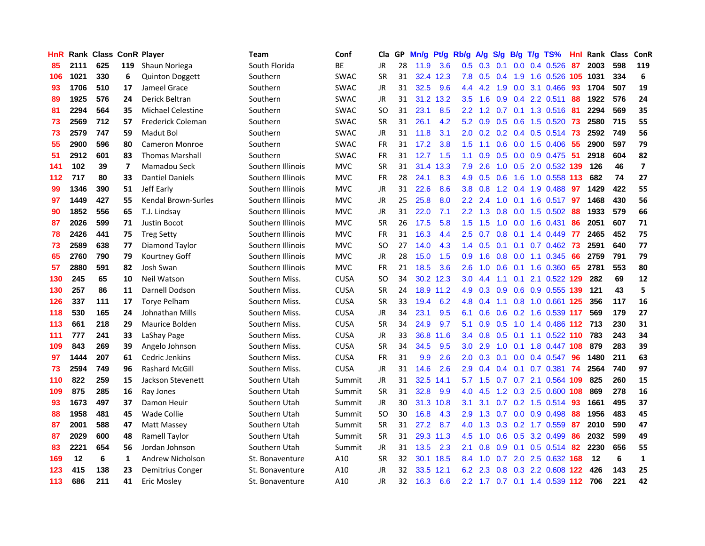| <b>HnR</b> |      | Rank Class ConR Player |                |                            | <b>Team</b>       | Conf        | Cla       |    | GP Mn/g | Pt/g      | Rb/g          | A/g             | S/g             | <b>B/g</b>     | T/g TS%                           | Hnl | Rank Class |     | <b>ConR</b>             |
|------------|------|------------------------|----------------|----------------------------|-------------------|-------------|-----------|----|---------|-----------|---------------|-----------------|-----------------|----------------|-----------------------------------|-----|------------|-----|-------------------------|
| 85         | 2111 | 625                    | 119            | Shaun Noriega              | South Florida     | ВE          | JR        | 28 | 11.9    | 3.6       | 0.5           | 0.3             | 0.1             | 0.0            | 0.4 0.526                         | 87  | 2003       | 598 | 119                     |
| 106        | 1021 | 330                    | 6              | <b>Quinton Doggett</b>     | Southern          | <b>SWAC</b> | <b>SR</b> | 31 |         | 32.4 12.3 | 7.8           | 0.5             | 0.4             | 1.9            | 1.6 0.526 105                     |     | 1031       | 334 | 6                       |
| 93         | 1706 | 510                    | 17             | Jameel Grace               | Southern          | <b>SWAC</b> | JR        | 31 | 32.5    | 9.6       | 4.4           | 4.2             | 1.9             | 0.0            | 3.1 0.466                         | 93  | 1704       | 507 | 19                      |
| 89         | 1925 | 576                    | 24             | Derick Beltran             | Southern          | <b>SWAC</b> | JR        | 31 |         | 31.2 13.2 | 3.5           | 1.6             |                 |                | 0.9 0.4 2.2 0.511                 | 88  | 1922       | 576 | 24                      |
| 81         | 2294 | 564                    | 35             | <b>Michael Celestine</b>   | Southern          | <b>SWAC</b> | SO.       | 31 | 23.1    | 8.5       |               |                 |                 |                | 2.2 1.2 0.7 0.1 1.3 0.516 81      |     | 2294       | 569 | 35                      |
| 73         | 2569 | 712                    | 57             | Frederick Coleman          | Southern          | <b>SWAC</b> | <b>SR</b> | 31 | 26.1    | 4.2       | 5.2           | 0.9             |                 | $0.5\quad 0.6$ | 1.5 0.520 73                      |     | 2580       | 715 | 55                      |
| 73         | 2579 | 747                    | 59             | Madut Bol                  | Southern          | <b>SWAC</b> | JR        | 31 | 11.8    | 3.1       | $2.0^{\circ}$ | 0.2             |                 |                | 0.2 0.4 0.5 0.514 73              |     | 2592       | 749 | 56                      |
| 55         | 2900 | 596                    | 80             | <b>Cameron Monroe</b>      | Southern          | <b>SWAC</b> | <b>FR</b> | 31 | 17.2    | 3.8       | 1.5           | 1.1             | 0.6             |                | $0.0$ 1.5 0.406                   | -55 | 2900       | 597 | 79                      |
| 51         | 2912 | 601                    | 83             | <b>Thomas Marshall</b>     | Southern          | SWAC        | <b>FR</b> | 31 | 12.7    | 1.5       | 1.1           | 0.9             | 0.5             |                | $0.0$ $0.9$ $0.475$               | 51  | 2918       | 604 | 82                      |
| 141        | 102  | 39                     | $\overline{ }$ | Mamadou Seck               | Southern Illinois | <b>MVC</b>  | <b>SR</b> | 31 | 31.4    | 13.3      | 7.9           | 2.6             | 1.0             |                | 0.5 2.0 0.532 139                 |     | 126        | 46  | $\overline{\mathbf{z}}$ |
| 112        | 717  | 80                     | 33             | <b>Dantiel Daniels</b>     | Southern Illinois | <b>MVC</b>  | FR        | 28 | 24.1    | 8.3       | 4.9           | 0.5             | 0.6             | 1.6            | 1.0 0.558 113                     |     | 682        | 74  | 27                      |
| 99         | 1346 | 390                    | 51             | Jeff Early                 | Southern Illinois | <b>MVC</b>  | JR        | 31 | 22.6    | 8.6       | 3.8           | 0.8             | 1.2             | 0.4            | 1.9 0.488                         | 97  | 1429       | 422 | 55                      |
| 97         | 1449 | 427                    | 55             | <b>Kendal Brown-Surles</b> | Southern Illinois | <b>MVC</b>  | JR        | 25 | 25.8    | 8.0       | $2.2^{\circ}$ | 2.4             | 1.0             | 0.1            | 1.6 0.517                         | 97  | 1468       | 430 | 56                      |
| 90         | 1852 | 556                    | 65             | T.J. Lindsay               | Southern Illinois | <b>MVC</b>  | JR        | 31 | 22.0    | 7.1       | $2.2^{\circ}$ | 1.3             | 0.8             | 0.0            | 1.5 0.502                         | 88  | 1933       | 579 | 66                      |
| 87         | 2026 | 599                    | 71             | Justin Bocot               | Southern Illinois | <b>MVC</b>  | <b>SR</b> | 26 | 17.5    | 5.8       | 1.5           | 1.5             | 1.0             | 0.0            | 1.6 0.431                         | 86  | 2051       | 607 | 71                      |
| 78         | 2426 | 441                    | 75             | <b>Treg Setty</b>          | Southern Illinois | <b>MVC</b>  | <b>FR</b> | 31 | 16.3    | 4.4       | 2.5           | 0.7             | 0.8             | 0.1            | 1.4 0.449                         | -77 | 2465       | 452 | 75                      |
| 73         | 2589 | 638                    | 77             | Diamond Taylor             | Southern Illinois | <b>MVC</b>  | <b>SO</b> | 27 | 14.0    | 4.3       |               | $1.4 \quad 0.5$ | $0.1 \quad 0.1$ |                | $0.7$ 0.462                       | 73  | 2591       | 640 | 77                      |
| 65         | 2760 | 790                    | 79             | Kourtney Goff              | Southern Illinois | <b>MVC</b>  | JR        | 28 | 15.0    | 1.5       |               | $0.9$ 1.6       |                 |                | 0.8 0.0 1.1 0.345 66              |     | 2759       | 791 | 79                      |
| 57         | 2880 | 591                    | 82             | Josh Swan                  | Southern Illinois | <b>MVC</b>  | <b>FR</b> | 21 | 18.5    | 3.6       | $2.6^{\circ}$ | 1.0             | 0.6             |                | 0.1 1.6 0.360 65                  |     | 2781       | 553 | 80                      |
| 130        | 245  | 65                     | 10             | Neil Watson                | Southern Miss.    | <b>CUSA</b> | <b>SO</b> | 34 |         | 30.2 12.3 | 3.0           | 4.4             | 1.1             |                | 0.1 2.1 0.522 129                 |     | 282        | 69  | 12                      |
| 130        | 257  | 86                     | 11             | Darnell Dodson             | Southern Miss.    | <b>CUSA</b> | <b>SR</b> | 24 |         | 18.9 11.2 | 4.9           | 0.3             | 0.9             |                | 0.6 0.9 0.555 139                 |     | 121        | 43  | 5                       |
| 126        | 337  | 111                    | 17             | <b>Torye Pelham</b>        | Southern Miss.    | <b>CUSA</b> | <b>SR</b> | 33 | 19.4    | 6.2       | 4.8           | 0.4             | 1.1             |                | 0.8 1.0 0.661 125                 |     | 356        | 117 | 16                      |
| 118        | 530  | 165                    | 24             | Johnathan Mills            | Southern Miss.    | <b>CUSA</b> | JR        | 34 | 23.1    | 9.5       | 6.1           | 0.6             | 0.6             |                | 0.2 1.6 0.539 117                 |     | 569        | 179 | 27                      |
| 113        | 661  | 218                    | 29             | Maurice Bolden             | Southern Miss.    | <b>CUSA</b> | <b>SR</b> | 34 | 24.9    | 9.7       | 5.1           | 0.9             | 0.5             |                | 1.0 1.4 0.486 112                 |     | 713        | 230 | 31                      |
| 111        | 777  | 241                    | 33             | LaShay Page                | Southern Miss.    | <b>CUSA</b> | JR        | 33 |         | 36.8 11.6 | $3.4^{\circ}$ | 0.8             | 0.5             | 0.1            | 1.1 0.522 110                     |     | 783        | 243 | 34                      |
| 109        | 843  | 269                    | 39             | Angelo Johnson             | Southern Miss.    | <b>CUSA</b> | <b>SR</b> | 34 | 34.5    | 9.5       | 3.0           | 2.9             | 1.0             | 0.1            | 1.8 0.447 108                     |     | 879        | 283 | 39                      |
| 97         | 1444 | 207                    | 61             | Cedric Jenkins             | Southern Miss.    | <b>CUSA</b> | <b>FR</b> | 31 | 9.9     | 2.6       | 2.0           | 0.3             | 0.1             | 0.0            | 0.4 0.547                         | 96  | 1480       | 211 | 63                      |
| 73         | 2594 | 749                    | 96             | <b>Rashard McGill</b>      | Southern Miss.    | <b>CUSA</b> | JR        | 31 | 14.6    | 2.6       | 2.9           | 0.4             | 0.4             | 0.1            | $0.7$ $0.381$                     | -74 | 2564       | 740 | 97                      |
| 110        | 822  | 259                    | 15             | Jackson Stevenett          | Southern Utah     | Summit      | JR        | 31 | 32.5    | 14.1      | 5.7           | 1.5             | 0.7             |                | 0.7 2.1 0.564 109                 |     | 825        | 260 | 15                      |
| 109        | 875  | 285                    | 16             | Ray Jones                  | Southern Utah     | Summit      | <b>SR</b> | 31 | 32.8    | 9.9       | 4.0           | 4.5             |                 |                | 1.2 0.3 2.5 0.600 108             |     | 869        | 278 | 16                      |
| 93         | 1673 | 497                    | 37             | Damon Heuir                | Southern Utah     | Summit      | JR        | 30 |         | 31.3 10.8 | 3.1           | 3.1             |                 |                | 0.7 0.2 1.5 0.514 93              |     | 1661       | 495 | 37                      |
| 88         | 1958 | 481                    | 45             | <b>Wade Collie</b>         | Southern Utah     | Summit      | <b>SO</b> | 30 | 16.8    | 4.3       | 2.9           | 1.3             | 0.7             |                | $0.0$ $0.9$ $0.498$               | 88  | 1956       | 483 | 45                      |
| 87         | 2001 | 588                    | 47             | Matt Massey                | Southern Utah     | Summit      | <b>SR</b> | 31 | 27.2    | 8.7       | 4.0           | 1.3             |                 |                | 0.3 0.2 1.7 0.559                 | 87  | 2010       | 590 | 47                      |
| 87         | 2029 | 600                    | 48             | Ramell Taylor              | Southern Utah     | Summit      | <b>SR</b> | 31 |         | 29.3 11.3 | 4.5           | 1.0             | 0.6             |                | 0.5 3.2 0.499                     | 86  | 2032       | 599 | 49                      |
| 83         | 2221 | 654                    | 56             | Jordan Johnson             | Southern Utah     | Summit      | JR        | 31 | 13.5    | 2.3       | 2.1           | 0.8             | 0.9             | 0.1            | 0.5 0.514                         | 82  | 2230       | 656 | 55                      |
| 169        | 12   | 6                      | 1              | Andrew Nicholson           | St. Bonaventure   | A10         | <b>SR</b> | 32 | 30.1    | 18.5      | 8.4           | 1.0             | 0.7             | 2.0            | 2.5 0.632 168                     |     | 12         | 6   | 1                       |
| 123        | 415  | 138                    | 23             | Demitrius Conger           | St. Bonaventure   | A10         | JR        | 32 | 33.5    | 12.1      | 6.2           | 2.3             | 0.8             | 0.3            | 2.2 0.608                         | 122 | 426        | 143 | 25                      |
| 113        | 686  | 211                    | 41             | <b>Eric Mosley</b>         | St. Bonaventure   | A10         | <b>JR</b> | 32 | 16.3    | 6.6       |               |                 |                 |                | 2.2 1.7 0.7 0.1 1.4 0.539 112 706 |     |            | 221 | 42                      |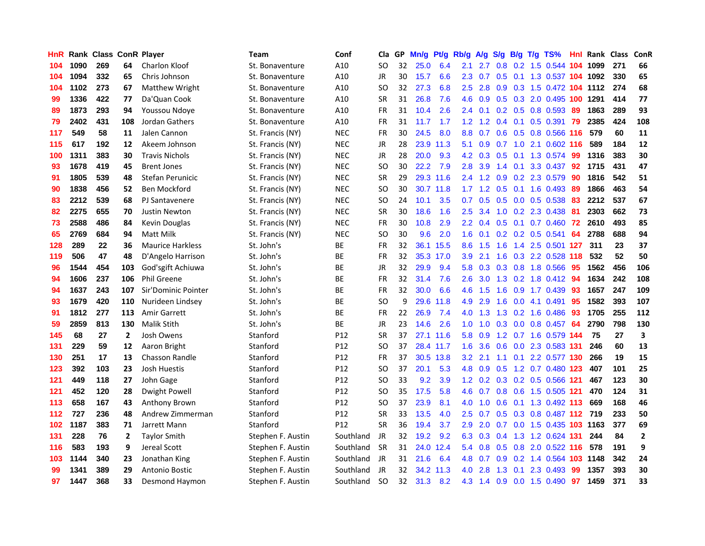| <b>HnR</b> |      | <b>Rank Class ConR Player</b> |                |                         | <b>Team</b>       | Conf            | Cla       |    | GP Mn/g | Pt/g      | Rb/g             | A/g             |     |     | S/g B/g T/g TS%              | Hnl  |          | Rank Class | ConR         |
|------------|------|-------------------------------|----------------|-------------------------|-------------------|-----------------|-----------|----|---------|-----------|------------------|-----------------|-----|-----|------------------------------|------|----------|------------|--------------|
| 104        | 1090 | 269                           | 64             | Charlon Kloof           | St. Bonaventure   | A10             | SO.       | 32 | 25.0    | 6.4       | 2.1              | 2.7             | 0.8 | 0.2 | 1.5 0.544 104                |      | 1099     | 271        | 66           |
| 104        | 1094 | 332                           | 65             | Chris Johnson           | St. Bonaventure   | A10             | JR        | 30 | 15.7    | 6.6       | 2.3              | 0.7             | 0.5 | 0.1 | 1.3 0.537 104 1092           |      |          | 330        | 65           |
| 104        | 1102 | 273                           | 67             | Matthew Wright          | St. Bonaventure   | A10             | <b>SO</b> | 32 | 27.3    | 6.8       | 2.5              | 2.8             | 0.9 |     | 0.3 1.5 0.472 104 1112       |      |          | 274        | 68           |
| 99         | 1336 | 422                           | 77             | Da'Quan Cook            | St. Bonaventure   | A10             | <b>SR</b> | 31 | 26.8    | 7.6       | 4.6              | 0.9             |     |     | 0.5 0.3 2.0 0.495 100 1291   |      |          | 414        | 77           |
| 89         | 1873 | 293                           | 94             | Youssou Ndoye           | St. Bonaventure   | A10             | FR        | 31 | 10.4    | 2.6       |                  | $2.4 \quad 0.1$ |     |     | $0.2$ 0.5 0.8 0.593          | -89  | 1863     | 289        | 93           |
| 79         | 2402 | 431                           | 108            | Jordan Gathers          | St. Bonaventure   | A10             | FR        | 31 | 11.7    | 1.7       |                  | $1.2 \quad 1.2$ |     |     | $0.4$ 0.1 0.5 0.391          | - 79 | 2385     | 424        | 108          |
| 117        | 549  | 58                            | 11             | Jalen Cannon            | St. Francis (NY)  | <b>NEC</b>      | <b>FR</b> | 30 | 24.5    | 8.0       | 8.8              | 0.7             |     |     | 0.6 0.5 0.8 0.566 116        |      | 579      | 60         | 11           |
| 115        | 617  | 192                           | 12             | Akeem Johnson           | St. Francis (NY)  | <b>NEC</b>      | <b>JR</b> | 28 |         | 23.9 11.3 | 5.1              | 0.9             | 0.7 |     | 1.0 2.1 0.602 116            |      | 589      | 184        | 12           |
| 100        | 1311 | 383                           | 30             | <b>Travis Nichols</b>   | St. Francis (NY)  | <b>NEC</b>      | JR        | 28 | 20.0    | 9.3       | 4.2              | 0.3             | 0.5 | 0.1 | 1.3 0.574                    | -99  | 1316     | 383        | 30           |
| 93         | 1678 | 419                           | 45             | <b>Brent Jones</b>      | St. Francis (NY)  | <b>NEC</b>      | <b>SO</b> | 30 | 22.2    | 7.9       | 2.8              | 3.9             | 1.4 | 0.1 | 3.3 0.437                    | 92   | 1715     | 431        | 47           |
| 91         | 1805 | 539                           | 48             | Stefan Perunicic        | St. Francis (NY)  | <b>NEC</b>      | <b>SR</b> | 29 |         | 29.3 11.6 |                  | $2.4$ 1.2       | 0.9 |     | 0.2 2.3 0.579                | 90   | 1816     | 542        | 51           |
| 90         | 1838 | 456                           | 52             | Ben Mockford            | St. Francis (NY)  | <b>NEC</b>      | SO.       | 30 |         | 30.7 11.8 | 1.7 <sub>2</sub> | 1.2             | 0.5 | 0.1 | 1.6 0.493                    | 89   | 1866     | 463        | 54           |
| 83         | 2212 | 539                           | 68             | PJ Santavenere          | St. Francis (NY)  | <b>NEC</b>      | <b>SO</b> | 24 | 10.1    | 3.5       | 0.7              | 0.5             | 0.5 | 0.0 | 0.5 0.538                    | 83   | 2212     | 537        | 67           |
| 82         | 2275 | 655                           | 70             | <b>Justin Newton</b>    | St. Francis (NY)  | <b>NEC</b>      | <b>SR</b> | 30 | 18.6    | 1.6       | 2.5              | 3.4             | 1.0 | 0.2 | 2.3 0.438                    | 81   | 2303     | 662        | 73           |
| 73         | 2588 | 486                           | 84             | Kevin Douglas           | St. Francis (NY)  | <b>NEC</b>      | FR        | 30 | 10.8    | 2.9       | $2.2^{\circ}$    | 0.4             | 0.5 | 0.1 | $0.7$ $0.460$                | 72   | 2610     | 493        | 85           |
| 65         | 2769 | 684                           | 94             | Matt Milk               | St. Francis (NY)  | <b>NEC</b>      | SO.       | 30 | 9.6     | 2.0       | 1.6              | 0.1             |     |     | $0.2$ 0.2 0.5 0.541          | 64   | 2788     | 688        | 94           |
| 128        | 289  | 22                            | 36             | <b>Maurice Harkless</b> | St. John's        | ВE              | <b>FR</b> | 32 |         | 36.1 15.5 | 8.6              | 1.5             | 1.6 |     | 1.4 2.5 0.501 127            |      | 311      | 23         | 37           |
| 119        | 506  | 47                            | 48             | D'Angelo Harrison       | St. John's        | ВE              | <b>FR</b> | 32 |         | 35.3 17.0 | 3.9              | 2.1             |     |     | 1.6 0.3 2.2 0.528 118        |      | 532      | 52         | 50           |
| 96         | 1544 | 454                           | 103            | God'sgift Achiuwa       | St. John's        | ВE              | JR        | 32 | 29.9    | 9.4       |                  |                 |     |     | 5.8 0.3 0.3 0.8 1.8 0.566 95 |      | 1562     | 456        | 106          |
| 94         | 1606 | 237                           | 106            | Phil Greene             | St. John's        | ВE              | FR        | 32 | 31.4    | 7.6       | $2.6^{\circ}$    | 3.0             |     |     | 1.3 0.2 1.8 0.412            | 94   | 1634     | 242        | 108          |
| 94         | 1637 | 243                           | 107            | Sir'Dominic Pointer     | St. John's        | <b>BE</b>       | <b>FR</b> | 32 | 30.0    | 6.6       | 4.6              | 1.5             | 1.6 |     | $0.9$ 1.7 0.439              | 93   | 1657     | 247        | 109          |
| 93         | 1679 | 420                           | 110            | Nurideen Lindsey        | St. John's        | <b>BE</b>       | <b>SO</b> | 9  | 29.6    | 11.8      | 4.9              | 2.9             | 1.6 |     | $0.0$ 4.1 $0.491$            | 95   | 1582     | 393        | 107          |
| 91         | 1812 | 277                           | 113            | Amir Garrett            | St. John's        | ВE              | <b>FR</b> | 22 | 26.9    | 7.4       | 4.0              | 1.3             |     |     | 1.3 0.2 1.6 0.486            | 93   | 1705     | 255        | 112          |
| 59         | 2859 | 813                           | 130            | <b>Malik Stith</b>      | St. John's        | ВE              | JR        | 23 | 14.6    | 2.6       | 1.0              | 1.0             | 0.3 |     | $0.0$ 0.8 0.457              | -64  | 2790     | 798        | 130          |
| 145        | 68   | 27                            | $\overline{2}$ | Josh Owens              | Stanford          | P12             | <b>SR</b> | 37 |         | 27.1 11.6 | 5.8              | 0.9             |     |     | 1.2 0.7 1.6 0.579 144        |      | 75       | 27         | 3            |
| 131        | 229  | 59                            | 12             | Aaron Bright            | Stanford          | P <sub>12</sub> | SO.       | 37 |         | 28.4 11.7 | 1.6              | 3.6             | 0.6 | 0.0 | 2.3 0.583 131                |      | 246      | 60         | 13           |
| 130        | 251  | 17                            | 13             | <b>Chasson Randle</b>   | Stanford          | P12             | FR.       | 37 |         | 30.5 13.8 | 3.2 <sub>2</sub> | 2.1             | 1.1 |     | 0.1 2.2 0.577 130            |      | 266      | 19         | 15           |
| 123        | 392  | 103                           | 23             | Josh Huestis            | Stanford          | P12             | <b>SO</b> | 37 | 20.1    | 5.3       | 4.8              | 0.9             | 0.5 |     | 1.2 0.7 0.480 123            |      | 407      | 101        | 25           |
| 121        | 449  | 118                           | 27             | John Gage               | Stanford          | P <sub>12</sub> | <b>SO</b> | 33 | 9.2     | 3.9       | 1.2              | 0.2             |     |     | 0.3 0.2 0.5 0.566 121        |      | 467      | 123        | 30           |
| 121        | 452  | 120                           | 28             | <b>Dwight Powell</b>    | Stanford          | P12             | <b>SO</b> | 35 | 17.5    | 5.8       | 4.6              | 0.7             |     |     | 0.8 0.6 1.5 0.505 121        |      | 470      | 124        | 31           |
| 113        | 658  | 167                           | 43             | Anthony Brown           | Stanford          | P <sub>12</sub> | SO.       | 37 | 23.9    | 8.1       | 4.0              | 1.0             |     |     | 0.6 0.1 1.3 0.492 113        |      | 669      | 168        | 46           |
| 112        | 727  | 236                           | 48             | Andrew Zimmerman        | Stanford          | P <sub>12</sub> | <b>SR</b> | 33 | 13.5    | 4.0       | 2.5              | 0.7             |     |     | 0.5 0.3 0.8 0.487 112 719    |      |          | 233        | 50           |
| 102        | 1187 | 383                           | 71             | Jarrett Mann            | Stanford          | P12             | <b>SR</b> | 36 | 19.4    | 3.7       | 2.9              | 2.0             |     |     | 0.7 0.0 1.5 0.435 103 1163   |      |          | 377        | 69           |
| 131        | 228  | 76                            | 2              | <b>Taylor Smith</b>     | Stephen F. Austin | Southland       | JR        | 32 | 19.2    | 9.2       | 6.3              | 0.3             | 0.4 |     | 1.3 1.2 0.624 131            |      | 244      | 84         | $\mathbf{2}$ |
| 116        | 583  | 193                           | 9              | Jereal Scott            | Stephen F. Austin | Southland       | <b>SR</b> | 31 | 24.0    | 12.4      | 5.4              | 0.8             |     |     | 0.5 0.8 2.0 0.522 116        |      | 578      | 191        | 9            |
| 103        | 1144 | 340                           | 23             | Jonathan King           | Stephen F. Austin | Southland       | JR        | 31 | 21.6    | 6.4       | 4.8              | 0.7             | 0.9 | 0.2 | 1.4 0.564                    |      | 103 1148 | 342        | 24           |
| 99         | 1341 | 389                           | 29             | Antonio Bostic          | Stephen F. Austin | Southland       | JR        | 32 | 34.2    | 11.3      | 4.0              | 2.8             | 1.3 | 0.1 | 2.3 0.493                    | -99  | 1357     | 393        | 30           |
| 97         | 1447 | 368                           | 33             | Desmond Haymon          | Stephen F. Austin | Southland       | SO.       | 32 | 31.3    | 8.2       | 4.3              | 1.4             |     |     | $0.9$ 0.0 1.5 0.490          | 97   | 1459     | 371        | 33           |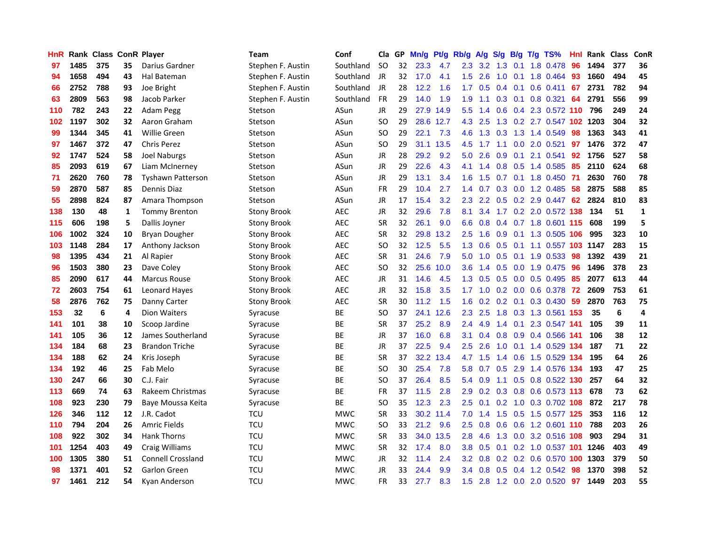| <b>HnR</b> |      | Rank Class ConR Player |     |                          | Team               | Conf       | Cla       |    | GP Mn/g Pt/g Rb/g A/g |           |                  |                    |                 |                 | S/g B/g T/g TS%            | Hnl  | Rank Class |     | ConR         |
|------------|------|------------------------|-----|--------------------------|--------------------|------------|-----------|----|-----------------------|-----------|------------------|--------------------|-----------------|-----------------|----------------------------|------|------------|-----|--------------|
| 97         | 1485 | 375                    | 35  | Darius Gardner           | Stephen F. Austin  | Southland  | <b>SO</b> | 32 | 23.3                  | 4.7       | 2.3              | 3.2                | 1.3             | 0.1             | 1.8 0.478                  | 96   | 1494       | 377 | 36           |
| 94         | 1658 | 494                    | 43  | Hal Bateman              | Stephen F. Austin  | Southland  | JR        | 32 | 17.0                  | 4.1       | 1.5              | 2.6                | 1.0             | 0.1             | 1.8 0.464                  | 93   | 1660       | 494 | 45           |
| 66         | 2752 | 788                    | 93  | Joe Bright               | Stephen F. Austin  | Southland  | JR        | 28 | 12.2                  | 1.6       | 1.7              | 0.5                | $0.4^{\circ}$   | 0.1             | $0.6$ 0.411                | 67   | 2731       | 782 | 94           |
| 63         | 2809 | 563                    | 98  | Jacob Parker             | Stephen F. Austin  | Southland  | <b>FR</b> | 29 | 14.0                  | 1.9       | 1.9              | 1.1                |                 | $0.3 \quad 0.1$ | 0.8 0.321                  | 64   | 2791       | 556 | 99           |
| 110        | 782  | 243                    | 22  | Adam Pegg                | Stetson            | ASun       | <b>JR</b> | 29 |                       | 27.9 14.9 | 5.5 <sub>1</sub> | 1.4                |                 |                 | 0.6 0.4 2.3 0.572 110      |      | 796        | 249 | 24           |
| 102        | 1197 | 302                    | 32. | Aaron Graham             | Stetson            | ASun       | <b>SO</b> | 29 |                       | 28.6 12.7 |                  | 4.3 2.5            |                 |                 | 1.3 0.2 2.7 0.547 102 1203 |      |            | 304 | 32           |
| 99         | 1344 | 345                    | 41  | <b>Willie Green</b>      | Stetson            | ASun       | SO.       | 29 | 22.1                  | 7.3       | 4.6              | 1.3                | 0.3             |                 | 1.3 1.4 0.549              | 98   | 1363       | 343 | 41           |
| 97         | 1467 | 372                    | 47  | <b>Chris Perez</b>       | Stetson            | ASun       | SO.       | 29 |                       | 31.1 13.5 | 4.5              | 1.7                | 1.1             |                 | $0.0$ 2.0 $0.521$          | 97   | 1476       | 372 | 47           |
| 92         | 1747 | 524                    | 58  | Joel Naburgs             | Stetson            | ASun       | <b>JR</b> | 28 | 29.2                  | 9.2       | 5.0              | 2.6                | 0.9             | 0.1             | 2.1 0.541                  | 92   | 1756       | 527 | 58           |
| 85         | 2093 | 619                    | 67  | Liam McInerney           | Stetson            | ASun       | JR        | 29 | 22.6                  | 4.3       | 4.1              | $\mathbf{A}$<br>-1 | 0.8             | 0.5             | 1.4 0.585                  | 85   | 2110       | 624 | 68           |
| 71         | 2620 | 760                    | 78  | <b>Tyshawn Patterson</b> | Stetson            | ASun       | JR        | 29 | 13.1                  | 3.4       | 1.6              | 1.5                | 0.7             | 0.1             | 1.8 0.450                  | -71  | 2630       | 760 | 78           |
| 59         | 2870 | 587                    | 85  | Dennis Diaz              | Stetson            | ASun       | <b>FR</b> | 29 | 10.4                  | 2.7       | $1.4^{\circ}$    | 0.7                | 0.3             | 0.0             | 1.2 0.485                  | 58   | 2875       | 588 | 85           |
| 55         | 2898 | 824                    | 87  | Amara Thompson           | Stetson            | ASun       | JR        | 17 | 15.4                  | 3.2       | 2.3              | 2.2                | 0.5             | 0.2             | 2.9 0.447                  | 62   | 2824       | 810 | 83           |
| 138        | 130  | 48                     | 1   | <b>Tommy Brenton</b>     | <b>Stony Brook</b> | <b>AEC</b> | JR        | 32 | 29.6                  | 7.8       | 8.1              | 3.4                | 1.7             | 0.2             | 2.0 0.572 138              |      | 134        | 51  | $\mathbf{1}$ |
| 115        | 606  | 198                    | 5   | Dallis Joyner            | Stony Brook        | AEC        | <b>SR</b> | 32 | 26.1                  | 9.0       | 6.6              | 0.8                |                 |                 | 0.4 0.7 1.8 0.601 115      |      | 608        | 199 | 5            |
| 106        | 1002 | 324                    | 10  | <b>Bryan Dougher</b>     | <b>Stony Brook</b> | AEC        | <b>SR</b> | 32 | 29.8                  | 13.2      | 2.5              | 1.6                | 0.9             | 0.1             | 1.3 0.505 106              |      | 995        | 323 | 10           |
| 103        | 1148 | 284                    | 17  | Anthony Jackson          | Stony Brook        | <b>AEC</b> | SO.       | 32 | 12.5                  | 5.5       | 1.3              | 0.6                | $0.5 \quad 0.1$ |                 | 1.1 0.557 103 1147         |      |            | 283 | 15           |
| 98         | 1395 | 434                    | 21  | Al Rapier                | <b>Stony Brook</b> | <b>AEC</b> | <b>SR</b> | 31 | 24.6                  | 7.9       | 5.0              | 1.0                | $0.5 \quad 0.1$ |                 | 1.9 0.533                  | -98  | 1392       | 439 | 21           |
| 96         | 1503 | 380                    | 23  | Dave Coley               | <b>Stony Brook</b> | <b>AEC</b> | <b>SO</b> | 32 | 25.6                  | 10.0      | 3.6              | 1.4                |                 |                 | 0.5 0.0 1.9 0.475          | -96  | 1496       | 378 | 23           |
| 85         | 2090 | 617                    | 44  | <b>Marcus Rouse</b>      | <b>Stony Brook</b> | AEC        | JR        | 31 | 14.6                  | 4.5       | 1.3              | 0.5                |                 |                 | 0.5 0.0 0.5 0.495          | 85   | 2077       | 613 | 44           |
| 72         | 2603 | 754                    | 61  | <b>Leonard Hayes</b>     | Stony Brook        | AEC        | JR        | 32 | 15.8                  | 3.5       | 1.7 <sub>1</sub> | 1.0                |                 |                 | $0.2$ 0.0 0.6 0.378        | 72   | 2609       | 753 | 61           |
| 58         | 2876 | 762                    | 75  | Danny Carter             | Stony Brook        | <b>AEC</b> | <b>SR</b> | 30 | 11.2                  | 1.5       | 1.6              | 0.2                | 0.2             | 0.1             | 0.3 0.430                  | 59   | 2870       | 763 | 75           |
| 153        | 32   | 6                      | 4   | Dion Waiters             | Syracuse           | <b>BE</b>  | SO.       | 37 | 24.1                  | 12.6      | $2.3^{\circ}$    | 2.5                | 1.8             |                 | 0.3 1.3 0.561              | -153 | -35        | 6   | 4            |
| 141        | 101  | 38                     | 10  | Scoop Jardine            | Syracuse           | ВE         | <b>SR</b> | 37 | 25.2                  | 8.9       | 2.4              | 4.9                | $1.4^{\circ}$   | 0.1             | 2.3 0.547 141              |      | 105        | 39  | 11           |
| 141        | 105  | 36                     | 12  | James Southerland        | Syracuse           | BE         | <b>JR</b> | 37 | 16.0                  | 6.8       | 3.1              | 0.4                |                 |                 | 0.8 0.9 0.4 0.566 141      |      | 106        | 38  | 12           |
| 134        | 184  | 68                     | 23  | <b>Brandon Triche</b>    | Syracuse           | ВE         | <b>JR</b> | 37 | 22.5                  | 9.4       | 2.5              | 2.6                | 1.0             | 0.1             | 1.4 0.529                  | 134  | 187        | 71  | 22           |
| 134        | 188  | 62                     | 24  | Kris Joseph              | Syracuse           | ВE         | <b>SR</b> | 37 |                       | 32.2 13.4 | 4.7              | 1.5                | 1.4             | 0.6             | 1.5 0.529                  | -134 | 195        | 64  | 26           |
| 134        | 192  | 46                     | 25  | Fab Melo                 | Syracuse           | ВE         | SO.       | 30 | 25.4                  | 7.8       | 5.8              | 0.7                | 0.5             | 2.9             | 1.4 0.576 134              |      | 193        | 47  | 25           |
| 130        | 247  | 66                     | 30  | C.J. Fair                | Syracuse           | BE         | <b>SO</b> | 37 | 26.4                  | 8.5       | 5.4              | 0.9                | 1.1             | 0.5             | 0.8 0.522 130              |      | 257        | 64  | 32           |
| 113        | 669  | 74                     | 63  | Rakeem Christmas         | Syracuse           | ВE         | <b>FR</b> | 37 | 11.5                  | 2.8       | 2.9              |                    |                 |                 | 0.2 0.3 0.8 0.6 0.573 113  |      | 678        | 73  | 62           |
| 108        | 923  | 230                    | 79  | Baye Moussa Keita        | Syracuse           | <b>BE</b>  | <b>SO</b> | 35 | 12.3                  | 2.3       | 2.5              | 0.1                | 0.2             |                 | 1.0 0.3 0.702 108          |      | 872        | 217 | 78           |
| 126        | 346  | 112                    | 12  | J.R. Cadot               | <b>TCU</b>         | <b>MWC</b> | <b>SR</b> | 33 |                       | 30.2 11.4 | 7.0              | 1.4                |                 |                 | 1.5 0.5 1.5 0.577 125      |      | 353        | 116 | 12           |
| 110        | 794  | 204                    | 26  | <b>Amric Fields</b>      | <b>TCU</b>         | <b>MWC</b> | SO.       | 33 | 21.2                  | 9.6       | 2.5              | 0.8                | 0.6             |                 | 0.6 1.2 0.601 110          |      | 788        | 203 | 26           |
| 108        | 922  | 302                    | 34  | <b>Hank Thorns</b>       | TCU                | <b>MWC</b> | <b>SR</b> | 33 | 34.0                  | 13.5      | 2.8              | 4.6                | 1.3             |                 | 0.0 3.2 0.516 108          |      | 903        | 294 | 31           |
| 101        | 1254 | 403                    | 49  | <b>Craig Williams</b>    | <b>TCU</b>         | <b>MWC</b> | <b>SR</b> | 32 | 17.4                  | 8.0       | 3.8 <sub>2</sub> | 0.5                | 0.1             |                 | 0.2 1.0 0.537 101          |      | 1246       | 403 | 49           |
| 100        | 1305 | 380                    | 51  | <b>Connell Crossland</b> | <b>TCU</b>         | <b>MWC</b> | JR        | 32 | 11.4                  | 2.4       | 3.2 <sub>2</sub> | 0.8                |                 | $0.2 \quad 0.2$ | 0.6 0.570                  | 100  | 1303       | 379 | 50           |
| 98         | 1371 | 401                    | 52  | <b>Garlon Green</b>      | <b>TCU</b>         | <b>MWC</b> | <b>JR</b> | 33 | 24.4                  | 9.9       | $3.4^{\circ}$    | 0.8                | 0.5             | 0.4             | 1.2 0.542                  | 98   | 1370       | 398 | 52           |
| 97         | 1461 | 212                    | 54  | Kyan Anderson            | <b>TCU</b>         | <b>MWC</b> | <b>FR</b> | 33 | 27.7                  | 8.3       |                  | $1.5$ 2.8          |                 |                 | 1.2 0.0 2.0 0.520          | 97   | 1449       | 203 | 55           |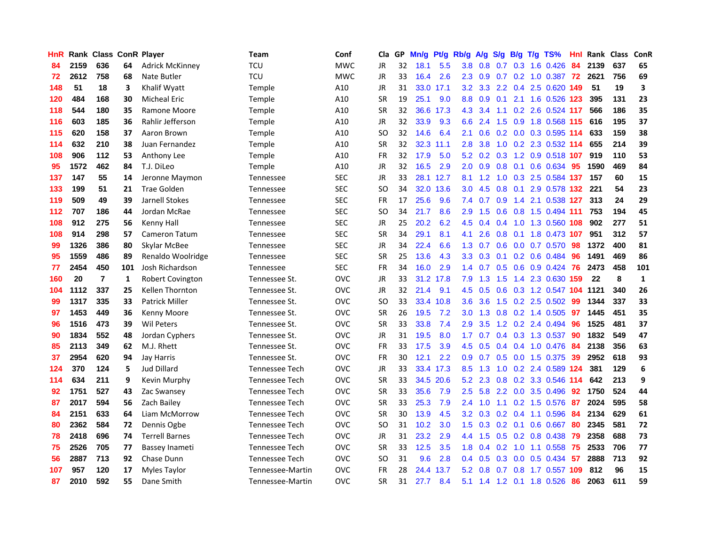| <b>HnR</b> |      | Rank Class ConR Player |     |                        | <b>Team</b>      | Conf       | Cla       |    | GP Mn/g Pt/g |           | Rb/g             | A/g              |     |                 | S/g B/g T/g TS%        | Hnl | Rank Class |     | ConR         |
|------------|------|------------------------|-----|------------------------|------------------|------------|-----------|----|--------------|-----------|------------------|------------------|-----|-----------------|------------------------|-----|------------|-----|--------------|
| 84         | 2159 | 636                    | 64  | <b>Adrick McKinney</b> | TCU              | <b>MWC</b> | JR        | 32 | 18.1         | 5.5       | 3.8              | 0.8              | 0.7 | 0.3             | 1.6 0.426              | 84  | 2139       | 637 | 65           |
| 72         | 2612 | 758                    | 68  | Nate Butler            | TCU              | <b>MWC</b> | JR        | 33 | 16.4         | 2.6       | $2.3^{\circ}$    | 0.9              | 0.7 | 0.2             | 1.0 0.387 72           |     | 2621       | 756 | 69           |
| 148        | 51   | 18                     | 3   | Khalif Wyatt           | <b>Temple</b>    | A10        | JR        | 31 | 33.0         | 17.1      | 3.2              | 3.3 <sub>2</sub> |     | $2.2 \quad 0.4$ | 2.5 0.620 149          |     | 51         | 19  | 3            |
| 120        | 484  | 168                    | 30  | <b>Micheal Eric</b>    | Temple           | A10        | <b>SR</b> | 19 | 25.1         | 9.0       | 8.8              | 0.9              | 0.1 | 2.1             | 1.6 0.526 123          |     | 395        | 131 | 23           |
| 118        | 544  | 180                    | 35  | Ramone Moore           | <b>Temple</b>    | A10        | <b>SR</b> | 32 |              | 36.6 17.3 | 4.3              | 3.4              |     |                 | 1.1 0.2 2.6 0.524 117  |     | 566        | 186 | 35           |
| 116        | 603  | 185                    | 36  | Rahlir Jefferson       | <b>Temple</b>    | A10        | JR        | 32 | 33.9         | 9.3       | 6.6              | 2.4              | 1.5 | 0.9             | 1.8 0.568 115          |     | 616        | 195 | 37           |
| 115        | 620  | 158                    | 37  | Aaron Brown            | <b>Temple</b>    | A10        | SO.       | 32 | 14.6         | 6.4       | 2.1              | 0.6              |     |                 | 0.2 0.0 0.3 0.595 114  |     | 633        | 159 | 38           |
| 114        | 632  | 210                    | 38  | Juan Fernandez         | <b>Temple</b>    | A10        | <b>SR</b> | 32 |              | 32.3 11.1 | 2.8              | 3.8              | 1.0 |                 | 0.2 2.3 0.532 114      |     | 655        | 214 | 39           |
| 108        | 906  | 112                    | 53  | Anthony Lee            | <b>Temple</b>    | A10        | <b>FR</b> | 32 | 17.9         | 5.0       | 5.2              | 0.2              | 0.3 |                 | 1.2 0.9 0.518 107      |     | 919        | 110 | 53           |
| 95         | 1572 | 462                    | 84  | T.J. DiLeo             | Temple           | A10        | JR        | 32 | 16.5         | 2.9       | 2.0              | 0.9              | 0.8 | 0.1             | 0.6 0.634              | -95 | 1590       | 469 | 84           |
| 137        | 147  | 55                     | 14  | Jeronne Maymon         | Tennessee        | <b>SEC</b> | JR        | 33 |              | 28.1 12.7 | 8.1              | 1.2              | 1.0 |                 | 0.3 2.5 0.584 137      |     | 157        | 60  | 15           |
| 133        | 199  | 51                     | 21  | <b>Trae Golden</b>     | Tennessee        | <b>SEC</b> | SO.       | 34 |              | 32.0 13.6 | 3.0              | 4.5              | 0.8 | 0.1             | 2.9 0.578 132          |     | 221        | 54  | 23           |
| 119        | 509  | 49                     | 39  | Jarnell Stokes         | Tennessee        | <b>SEC</b> | <b>FR</b> | 17 | 25.6         | 9.6       | 7.4              | 0.7              | 0.9 | 1.4             | 2.1 0.538              | 127 | 313        | 24  | 29           |
| 112        | 707  | 186                    | 44  | Jordan McRae           | Tennessee        | <b>SEC</b> | SO.       | 34 | 21.7         | 8.6       | 2.9              | 1.5              | 0.6 | 0.8             | 1.5 0.494 111          |     | 753        | 194 | 45           |
| 108        | 912  | 275                    | 56  | Kenny Hall             | Tennessee        | <b>SEC</b> | <b>JR</b> | 25 | 20.2         | 6.2       | 4.5              | 0.4              | 0.4 | 1.0             | 1.3 0.560              | 108 | 902        | 277 | 51           |
| 108        | 914  | 298                    | 57  | Cameron Tatum          | Tennessee        | <b>SEC</b> | <b>SR</b> | 34 | 29.1         | 8.1       | 4.1              | 2.6              | 0.8 | 0.1             | 1.8 0.473 107          |     | 951        | 312 | 57           |
| 99         | 1326 | 386                    | 80  | Skylar McBee           | Tennessee        | <b>SEC</b> | JR        | 34 | 22.4         | 6.6       |                  | $1.3 \quad 0.7$  |     |                 | 0.6 0.0 0.7 0.570      | -98 | 1372       | 400 | 81           |
| 95         | 1559 | 486                    | 89  | Renaldo Woolridge      | <b>Tennessee</b> | <b>SEC</b> | <b>SR</b> | 25 | 13.6         | 4.3       |                  | $3.3 \quad 0.3$  |     |                 | $0.1$ 0.2 0.6 0.484    | -96 | 1491       | 469 | 86           |
| 77         | 2454 | 450                    | 101 | Josh Richardson        | <b>Tennessee</b> | <b>SEC</b> | <b>FR</b> | 34 | 16.0         | 2.9       |                  | $1.4 \quad 0.7$  |     |                 | 0.5 0.6 0.9 0.424      | -76 | 2473       | 458 | 101          |
| 160        | 20   | $\overline{7}$         | 1   | Robert Covington       | Tennessee St.    | <b>OVC</b> | JR        | 33 |              | 31.2 17.8 | 7.9              | 1.3              | 1.5 |                 | 1.4 2.3 0.630 159      |     | 22         | 8   | $\mathbf{1}$ |
| 104        | 1112 | 337                    | 25  | Kellen Thornton        | Tennessee St.    | <b>OVC</b> | JR        | 32 | 21.4         | 9.1       | 4.5              | 0.5              | 0.6 |                 | 0.3 1.2 0.547 104 1121 |     |            | 340 | 26           |
| 99         | 1317 | 335                    | 33  | <b>Patrick Miller</b>  | Tennessee St.    | <b>OVC</b> | <b>SO</b> | 33 | 33.4         | 10.8      | 3.6              | 3.6              | 1.5 |                 | $0.2$ 2.5 $0.502$      | -99 | 1344       | 337 | 33           |
| 97         | 1453 | 449                    | 36  | Kenny Moore            | Tennessee St.    | <b>OVC</b> | <b>SR</b> | 26 | 19.5         | 7.2       | 3.0              | 1.3              | 0.8 |                 | 0.2 1.4 0.505          | 97  | 1445       | 451 | 35           |
| 96         | 1516 | 473                    | 39  | Wil Peters             | Tennessee St.    | <b>OVC</b> | <b>SR</b> | 33 | 33.8         | 7.4       | 2.9              | 3.5              | 1.2 |                 | 0.2 2.4 0.494          | 96  | 1525       | 481 | 37           |
| 90         | 1834 | 552                    | 48  | Jordan Cyphers         | Tennessee St.    | <b>OVC</b> | <b>JR</b> | 31 | 19.5         | 8.0       | 1.7              | 0.7              |     | $0.4 \quad 0.3$ | 1.3 0.537              | 90  | 1832       | 549 | 47           |
| 85         | 2113 | 349                    | 62  | M.J. Rhett             | Tennessee St.    | <b>OVC</b> | <b>FR</b> | 33 | 17.5         | 3.9       | 4.5              | 0.5              | 0.4 | 0.4             | 1.0 0.476              | 84  | 2138       | 356 | 63           |
| 37         | 2954 | 620                    | 94  | Jay Harris             | Tennessee St.    | <b>OVC</b> | <b>FR</b> | 30 | 12.1         | 2.2       | 0.9              | 0.7              | 0.5 | 0.0             | 1.5 0.375              | 39  | 2952       | 618 | 93           |
| 124        | 370  | 124                    | 5   | Jud Dillard            | Tennessee Tech   | <b>OVC</b> | JR        | 33 |              | 33.4 17.3 | 8.5              | 1.3              | 1.0 | 0.2             | 2.4 0.589 124          |     | 381        | 129 | 6            |
| 114        | 634  | 211                    | 9   | Kevin Murphy           | Tennessee Tech   | <b>OVC</b> | <b>SR</b> | 33 |              | 34.5 20.6 | 5.2              | 2.3              | 0.8 |                 | 0.2 3.3 0.546 114      |     | 642        | 213 | 9            |
| 92         | 1751 | 527                    | 43  | Zac Swansey            | Tennessee Tech   | <b>OVC</b> | <b>SR</b> | 33 | 35.6         | 7.9       | 2.5              |                  |     |                 | 5.8 2.2 0.0 3.5 0.496  | 92  | 1750       | 524 | 44           |
| 87         | 2017 | 594                    | 56  | Zach Bailey            | Tennessee Tech   | <b>OVC</b> | <b>SR</b> | 33 | 25.3         | 7.9       |                  | $2.4$ 1.0        |     |                 | 1.1 0.2 1.5 0.576      | -87 | 2024       | 595 | 58           |
| 84         | 2151 | 633                    | 64  | Liam McMorrow          | Tennessee Tech   | <b>OVC</b> | <b>SR</b> | 30 | 13.9         | 4.5       | 3.2 <sub>2</sub> | 0.3              |     |                 | $0.2$ 0.4 1.1 0.596    | -84 | 2134       | 629 | 61           |
| 80         | 2362 | 584                    | 72  | Dennis Ogbe            | Tennessee Tech   | <b>OVC</b> | SO.       | 31 | 10.2         | 3.0       | 1.5              | 0.3              |     |                 | $0.2$ 0.1 0.6 0.667    | 80  | 2345       | 581 | 72           |
| 78         | 2418 | 696                    | 74  | <b>Terrell Barnes</b>  | Tennessee Tech   | <b>OVC</b> | JR        | 31 | 23.2         | 2.9       | 4.4              | 1.5              |     |                 | 0.5 0.2 0.8 0.438      | 79  | 2358       | 688 | 73           |
| 75         | 2526 | 705                    | 77  | Bassey Inameti         | Tennessee Tech   | <b>OVC</b> | <b>SR</b> | 33 | 12.5         | 3.5       | 1.8              | 0.4              | 0.2 | 1.0             | 1.1 0.558              | 75  | 2533       | 706 | 77           |
| 56         | 2887 | 713                    | 92  | Chase Dunn             | Tennessee Tech   | <b>OVC</b> | SO.       | 31 | 9.6          | 2.8       | $0.4^{\circ}$    | 0.5              | 0.3 | 0.0             | 0.5 0.434              | 57  | 2888       | 713 | 92           |
| 107        | 957  | 120                    | 17  | Myles Taylor           | Tennessee-Martin | <b>OVC</b> | FR        | 28 | 24.4         | 13.7      | 5.2              | 0.8              | 0.7 | 0.8             | 1.7 0.557              | 109 | 812        | 96  | 15           |
| 87         | 2010 | 592                    | 55  | Dane Smith             | Tennessee-Martin | <b>OVC</b> | <b>SR</b> | 31 | 27.7         | 8.4       |                  | $5.1 \quad 1.4$  |     |                 | 1.2 0.1 1.8 0.526      | 86  | 2063       | 611 | 59           |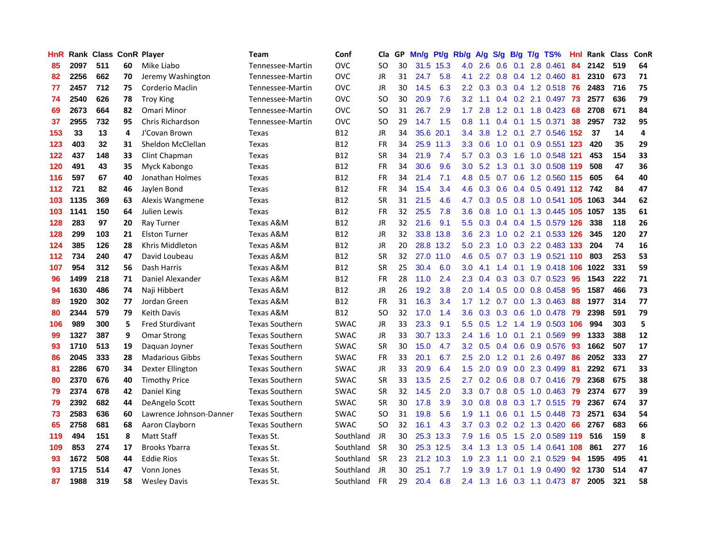| <b>HnR</b> |      | <b>Rank Class ConR Player</b> |    |                         | <b>Team</b>           | Conf        | Cla       |    | GP Mn/g | Pt/g      | Rb/g             | A/g             |               |     | S/g B/g T/g TS%              | Hnl  | Rank Class |     | ConR |
|------------|------|-------------------------------|----|-------------------------|-----------------------|-------------|-----------|----|---------|-----------|------------------|-----------------|---------------|-----|------------------------------|------|------------|-----|------|
| 85         | 2097 | 511                           | 60 | Mike Liabo              | Tennessee-Martin      | <b>OVC</b>  | SO.       | 30 |         | 31.5 15.3 | 4.0              | 2.6             | 0.6           | 0.1 | 2.8 0.461                    | 84   | 2142       | 519 | 64   |
| 82         | 2256 | 662                           | 70 | Jeremy Washington       | Tennessee-Martin      | <b>OVC</b>  | JR        | 31 | 24.7    | 5.8       | 4.1              | 2.2             | 0.8           |     | 0.4 1.2 0.460                | -81  | 2310       | 673 | 71   |
| 77         | 2457 | 712                           | 75 | Corderio Maclin         | Tennessee-Martin      | <b>OVC</b>  | JR        | 30 | 14.5    | 6.3       | $2.2^{\circ}$    | 0.3             |               |     | 0.3 0.4 1.2 0.518            | 76   | 2483       | 716 | 75   |
| 74         | 2540 | 626                           | 78 | <b>Troy King</b>        | Tennessee-Martin      | <b>OVC</b>  | SO.       | 30 | 20.9    | 7.6       |                  | $3.2 \quad 1.1$ |               |     | 0.4 0.2 2.1 0.497            | 73   | 2577       | 636 | 79   |
| 69         | 2673 | 664                           | 82 | Omari Minor             | Tennessee-Martin      | <b>OVC</b>  | SO.       | 31 | 26.7    | 2.9       | 1.7 <sub>z</sub> | 2.8             |               |     | 1.2 0.1 1.8 0.423            | -68  | 2708       | 671 | 84   |
| 37         | 2955 | 732                           | 95 | Chris Richardson        | Tennessee-Martin      | <b>OVC</b>  | SO.       | 29 | 14.7    | 1.5       | 0.8              | 1.1             |               |     | $0.4$ 0.1 1.5 0.371          | 38   | 2957       | 732 | 95   |
| 153        | 33   | 13                            | 4  | J'Covan Brown           | Texas                 | <b>B12</b>  | JR        | 34 | 35.6    | 20.1      | $3.4^{\circ}$    | 3.8             |               |     | 1.2 0.1 2.7 0.546 152        |      | 37         | 14  | 4    |
| 123        | 403  | 32                            | 31 | Sheldon McClellan       | Texas                 | <b>B12</b>  | FR        | 34 |         | 25.9 11.3 | 3.3 <sub>2</sub> | 0.6             | 1.0           | 0.1 | 0.9 0.551 123                |      | 420        | 35  | 29   |
| 122        | 437  | 148                           | 33 | Clint Chapman           | Texas                 | <b>B12</b>  | <b>SR</b> | 34 | 21.9    | 7.4       | 5.7              | 0.3             | 0.3           | 1.6 | 1.0 0.548 121                |      | 453        | 154 | 33   |
| 120        | 491  | 43                            | 35 | Myck Kabongo            | Texas                 | <b>B12</b>  | FR        | 34 | 30.6    | 9.6       | 3.0              | 5.2             | 1.3           | 0.1 | 3.0 0.508 119                |      | 508        | 47  | 36   |
| 116        | 597  | 67                            | 40 | Jonathan Holmes         | Texas                 | <b>B12</b>  | FR        | 34 | 21.4    | 7.1       | 4.8              | 0.5             |               |     | 0.7 0.6 1.2 0.560 115        |      | 605        | 64  | 40   |
| 112        | 721  | 82                            | 46 | Jaylen Bond             | <b>Texas</b>          | <b>B12</b>  | <b>FR</b> | 34 | 15.4    | 3.4       | 4.6              | 0.3             | 0.6           |     | 0.4 0.5 0.491                | 112  | 742        | 84  | 47   |
| 103        | 1135 | 369                           | 63 | Alexis Wangmene         | Texas                 | <b>B12</b>  | <b>SR</b> | 31 | 21.5    | 4.6       | 4.7              | 0.3             | 0.5           | 0.8 | 1.0 0.541 105                |      | 1063       | 344 | 62   |
| 103        | 1141 | 150                           | 64 | Julien Lewis            | Texas                 | <b>B12</b>  | <b>FR</b> | 32 | 25.5    | 7.8       | 3.6              | 0.8             | 1.0           | 0.1 | 1.3 0.445 105                |      | 1057       | 135 | 61   |
| 128        | 283  | 97                            | 20 | Ray Turner              | <b>Texas A&amp;M</b>  | <b>B12</b>  | <b>JR</b> | 32 | 21.6    | 9.1       | 5.5 <sub>1</sub> | 0.3             |               |     | 0.4 0.4 1.5 0.579 126        |      | 338        | 118 | 26   |
| 128        | 299  | 103                           | 21 | <b>Elston Turner</b>    | Texas A&M             | <b>B12</b>  | JR        | 32 |         | 33.8 13.8 | 3.6 <sup>°</sup> | 2.3             |               |     | 1.0 0.2 2.1 0.533 126        |      | 345        | 120 | 27   |
| 124        | 385  | 126                           | 28 | Khris Middleton         | Texas A&M             | B12         | JR        | 20 |         | 28.8 13.2 | 5.0              | 2.3             |               |     | 1.0 0.3 2.2 0.483 133        |      | 204        | 74  | 16   |
| 112        | 734  | 240                           | 47 | David Loubeau           | <b>Texas A&amp;M</b>  | <b>B12</b>  | <b>SR</b> | 32 |         | 27.0 11.0 |                  | $4.6 \quad 0.5$ |               |     | 0.7 0.3 1.9 0.521 110        |      | 803        | 253 | 53   |
| 107        | 954  | 312                           | 56 | Dash Harris             | <b>Texas A&amp;M</b>  | <b>B12</b>  | <b>SR</b> | 25 | 30.4    | 6.0       | 3.0 <sub>2</sub> | 4.1             |               |     | 1.4 0.1 1.9 0.418 106        |      | 1022       | 331 | 59   |
| 96         | 1499 | 218                           | 71 | Daniel Alexander        | Texas A&M             | <b>B12</b>  | <b>FR</b> | 28 | 11.0    | 2.4       | $2.3^{\circ}$    | 0.4             |               |     | $0.3$ 0.3 0.7 0.523          | -95  | 1543       | 222 | 71   |
| 94         | 1630 | 486                           | 74 | Naji Hibbert            | Texas A&M             | B12         | JR        | 26 | 19.2    | 3.8       | 2.0              | 1.4             |               |     | 0.5 0.0 0.8 0.458            | 95   | 1587       | 466 | 73   |
| 89         | 1920 | 302                           | 77 | Jordan Green            | Texas A&M             | <b>B12</b>  | <b>FR</b> | 31 | 16.3    | 3.4       | 1.7              | 1.2             | 0.7           |     | $0.0$ 1.3 $0.463$            | 88   | 1977       | 314 | 77   |
| 80         | 2344 | 579                           | 79 | <b>Keith Davis</b>      | Texas A&M             | <b>B12</b>  | <b>SO</b> | 32 | 17.0    | 1.4       | 3.6              | 0.3             | 0.3           | 0.6 | 1.0 0.478                    | -79  | 2398       | 591 | 79   |
| 106        | 989  | 300                           | 5  | <b>Fred Sturdivant</b>  | <b>Texas Southern</b> | <b>SWAC</b> | JR        | 33 | 23.3    | 9.1       | 5.5              | 0.5             | 1.2           | 1.4 | 1.9 0.503 106                |      | 994        | 303 | 5    |
| 99         | 1327 | 387                           | 9  | <b>Omar Strong</b>      | <b>Texas Southern</b> | SWAC        | JR        | 33 |         | 30.7 13.3 | $2.4^{\circ}$    | 1.6             | 1.0           | 0.1 | 2.1 0.569                    | -99  | 1333       | 388 | 12   |
| 93         | 1710 | 513                           | 19 | Daquan Joyner           | <b>Texas Southern</b> | <b>SWAC</b> | <b>SR</b> | 30 | 15.0    | 4.7       | 3.2              | 0.5             | $0.4^{\circ}$ | 0.6 | 0.9 0.576                    | -93  | 1662       | 507 | 17   |
| 86         | 2045 | 333                           | 28 | <b>Madarious Gibbs</b>  | <b>Texas Southern</b> | <b>SWAC</b> | <b>FR</b> | 33 | 20.1    | 6.7       | 2.5              | 2.0             | 1.2           | 0.1 | 2.6 0.497                    | 86   | 2052       | 333 | 27   |
| 81         | 2286 | 670                           | 34 | Dexter Ellington        | <b>Texas Southern</b> | <b>SWAC</b> | JR        | 33 | 20.9    | 6.4       | 1.5              | 2.0             | 0.9           | 0.0 | 2.3 0.499                    | 81   | 2292       | 671 | 33   |
| 80         | 2370 | 676                           | 40 | <b>Timothy Price</b>    | <b>Texas Southern</b> | <b>SWAC</b> | <b>SR</b> | 33 | 13.5    | 2.5       | 2.7              | 0.2             | 0.6           |     | 0.8 0.7 0.416                | -79  | 2368       | 675 | 38   |
| 79         | 2374 | 678                           | 42 | Daniel King             | <b>Texas Southern</b> | <b>SWAC</b> | <b>SR</b> | 32 | 14.5    | 2.0       |                  | $3.3 \quad 0.7$ |               |     | $0.8$ 0.5 1.0 0.463          | - 79 | 2374       | 677 | 39   |
| 79         | 2392 | 682                           | 44 | DeAngelo Scott          | <b>Texas Southern</b> | <b>SWAC</b> | <b>SR</b> | 30 | 17.8    | 3.9       | 3.0 <sub>2</sub> | 0.8             |               |     | $0.8$ 0.3 1.7 0.515          | -79  | 2367       | 674 | 37   |
| 73         | 2583 | 636                           | 60 | Lawrence Johnson-Danner | <b>Texas Southern</b> | <b>SWAC</b> | <b>SO</b> | 31 | 19.8    | 5.6       | 1.9              | 1.1             |               |     | $0.6$ $0.1$ $1.5$ $0.448$    | 73   | 2571       | 634 | 54   |
| 65         | 2758 | 681                           | 68 | Aaron Clayborn          | <b>Texas Southern</b> | <b>SWAC</b> | <b>SO</b> | 32 | 16.1    | 4.3       | 3.7              | 0.3             |               |     | $0.2$ 0.2 1.3 0.420          | 66   | 2767       | 683 | 66   |
| 119        | 494  | 151                           | 8  | Matt Staff              | Texas St.             | Southland   | JR        | 30 |         | 25.3 13.3 | 7.9              | 1.6             | 0.5           | 1.5 | 2.0 0.589 119                |      | 516        | 159 | 8    |
| 109        | 853  | 274                           | 17 | <b>Brooks Ybarra</b>    | Texas St.             | Southland   | <b>SR</b> | 30 |         | 25.3 12.5 |                  | $3.4$ 1.3       | 1.3           | 0.5 | 1.4 0.641 108                |      | 861        | 277 | 16   |
| 93         | 1672 | 508                           | 44 | <b>Eddie Rios</b>       | Texas St.             | Southland   | <b>SR</b> | 23 | 21.2    | 10.3      | 1.9              | 2.3             | 1.1           | 0.0 | 2.1 0.529                    | 94   | 1595       | 495 | 41   |
| 93         | 1715 | 514                           | 47 | Vonn Jones              | Texas St.             | Southland   | JR        | 30 | 25.1    | 7.7       | 1.9              | 3.9             | 1.7           | 0.1 | 1.9 0.490                    | 92   | 1730       | 514 | 47   |
| 87         | 1988 | 319                           | 58 | <b>Wesley Davis</b>     | Texas St.             | Southland   | <b>FR</b> | 29 | 20.4    | 6.8       |                  |                 |               |     | 2.4 1.3 1.6 0.3 1.1 0.473 87 |      | 2005       | 321 | 58   |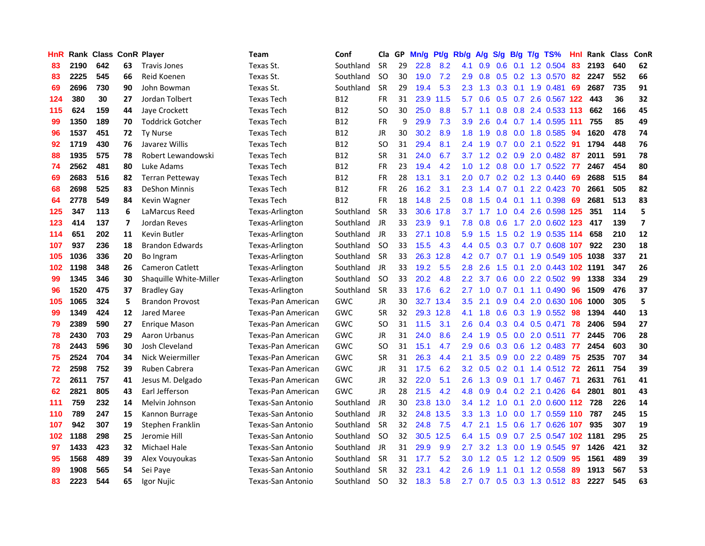| <b>HnR</b> |      | <b>Rank Class ConR Player</b> |    |                         | <b>Team</b>              | Conf       | Cla           |    | GP Mn/g | Pt/g      | Rb/g             | A/g             |               |                 | $S/g$ B/g T/g TS%          | Hnl | Rank Class |     | <b>ConR</b>             |
|------------|------|-------------------------------|----|-------------------------|--------------------------|------------|---------------|----|---------|-----------|------------------|-----------------|---------------|-----------------|----------------------------|-----|------------|-----|-------------------------|
| 83         | 2190 | 642                           | 63 | <b>Travis Jones</b>     | Texas St.                | Southland  | <b>SR</b>     | 29 | 22.8    | 8.2       | 4.1              | 0.9             | 0.6           | 0.1             | 1.2 0.504                  | 83  | 2193       | 640 | 62                      |
| 83         | 2225 | 545                           | 66 | Reid Koenen             | Texas St.                | Southland  | <b>SO</b>     | 30 | 19.0    | 7.2       | 2.9              | 0.8             |               | $0.5 \quad 0.2$ | 1.3 0.570                  | 82  | 2247       | 552 | 66                      |
| 69         | 2696 | 730                           | 90 | John Bowman             | Texas St.                | Southland  | <b>SR</b>     | 29 | 19.4    | 5.3       | 2.3              | 1.3             | 0.3           | 0.1             | 1.9 0.481                  | 69  | 2687       | 735 | 91                      |
| 124        | 380  | 30                            | 27 | Jordan Tolbert          | <b>Texas Tech</b>        | B12        | FR            | 31 |         | 23.9 11.5 | 5.7              | 0.6             |               |                 | 0.5 0.7 2.6 0.567 122      |     | -443       | 36  | 32                      |
| 115        | 624  | 159                           | 44 | Jaye Crockett           | <b>Texas Tech</b>        | <b>B12</b> | SO.           | 30 | 25.0    | 8.8       | 5.7              | 1.1             |               |                 | 0.8 0.8 2.4 0.533 113      |     | 662        | 166 | 45                      |
| 99         | 1350 | 189                           | 70 | <b>Toddrick Gotcher</b> | <b>Texas Tech</b>        | <b>B12</b> | <b>FR</b>     | 9  | 29.9    | 7.3       | 3.9              | 2.6             |               |                 | 0.4 0.7 1.4 0.595 111      |     | 755        | 85  | 49                      |
| 96         | 1537 | 451                           | 72 | <b>Ty Nurse</b>         | <b>Texas Tech</b>        | <b>B12</b> | JR            | 30 | 30.2    | 8.9       | 1.8 <sup>°</sup> | 1.9             |               |                 | 0.8 0.0 1.8 0.585          | 94  | 1620       | 478 | 74                      |
| 92         | 1719 | 430                           | 76 | Javarez Willis          | <b>Texas Tech</b>        | B12        | SO.           | 31 | 29.4    | 8.1       | $2.4^{\circ}$    | 1.9             | 0.7           |                 | $0.0$ 2.1 $0.522$          | 91  | 1794       | 448 | 76                      |
| 88         | 1935 | 575                           | 78 | Robert Lewandowski      | <b>Texas Tech</b>        | <b>B12</b> | <b>SR</b>     | 31 | 24.0    | 6.7       |                  | $3.7 \quad 1.2$ |               |                 | 0.2 0.9 2.0 0.482          | 87  | 2011       | 591 | 78                      |
| 74         | 2562 | 481                           | 80 | Luke Adams              | <b>Texas Tech</b>        | <b>B12</b> | <b>FR</b>     | 23 | 19.4    | 4.2       | 1.0 <sub>1</sub> | 1.2             | 0.8           |                 | 0.0 1.7 0.522              | -77 | 2467       | 454 | 80                      |
| 69         | 2683 | 516                           | 82 | <b>Terran Petteway</b>  | <b>Texas Tech</b>        | <b>B12</b> | <b>FR</b>     | 28 | 13.1    | 3.1       | 2.0              | 0.7             |               |                 | $0.2$ $0.2$ 1.3 $0.440$    | -69 | 2688       | 515 | 84                      |
| 68         | 2698 | 525                           | 83 | <b>DeShon Minnis</b>    | <b>Texas Tech</b>        | <b>B12</b> | FR            | 26 | 16.2    | 3.1       | 2.3              | 1.4             | 0.7           | 0.1             | 2.2 0.423                  | 70  | 2661       | 505 | 82                      |
| 64         | 2778 | 549                           | 84 | Kevin Wagner            | <b>Texas Tech</b>        | <b>B12</b> | <b>FR</b>     | 18 | 14.8    | 2.5       | 0.8 <sub>0</sub> | 1.5             | $0.4^{\circ}$ | 0.1             | 1.1 0.398                  | 69  | 2681       | 513 | 83                      |
| 125        | 347  | 113                           | 6  | LaMarcus Reed           | Texas-Arlington          | Southland  | <b>SR</b>     | 33 |         | 30.6 17.8 | 3.7              | 1.7             | 1.0           | 0.4             | 2.6 0.598 125              |     | 351        | 114 | 5                       |
| 123        | 414  | 137                           | 7  | Jordan Reves            | Texas-Arlington          | Southland  | JR            | 33 | 23.9    | 9.1       | 7.8              | 0.8             | 0.6           | 1.7             | 2.0 0.602 123              |     | 417        | 139 | $\overline{\mathbf{z}}$ |
| 114        | 651  | 202                           | 11 | <b>Kevin Butler</b>     | Texas-Arlington          | Southland  | JR            | 33 | 27.1    | 10.8      | 5.9              | 1.5             | 1.5           |                 | 0.2 1.9 0.535 114          |     | 658        | 210 | 12                      |
| 107        | 937  | 236                           | 18 | <b>Brandon Edwards</b>  | Texas-Arlington          | Southland  | <b>SO</b>     | 33 | 15.5    | 4.3       | $4.4^{\circ}$    | 0.5             |               |                 | 0.3 0.7 0.7 0.608 107      |     | 922        | 230 | 18                      |
| 105        | 1036 | 336                           | 20 | Bo Ingram               | Texas-Arlington          | Southland  | <b>SR</b>     | 33 | 26.3    | 12.8      |                  | $4.2 \quad 0.7$ |               |                 | 0.7 0.1 1.9 0.549 105 1038 |     |            | 337 | 21                      |
| 102        | 1198 | 348                           | 26 | <b>Cameron Catlett</b>  | Texas-Arlington          | Southland  | JR            | 33 | 19.2    | 5.5       | 2.8              | 2.6             |               | $1.5 \t0.1$     | 2.0 0.443 102 1191         |     |            | 347 | 26                      |
| 99         | 1345 | 346                           | 30 | Shaquille White-Miller  | Texas-Arlington          | Southland  | <b>SO</b>     | 33 | 20.2    | 4.8       | 2.2              | 3.7             |               |                 | $0.6$ $0.0$ 2.2 $0.502$    | -99 | 1338       | 334 | 29                      |
| 96         | 1520 | 475                           | 37 | <b>Bradley Gay</b>      | Texas-Arlington          | Southland  | <b>SR</b>     | 33 | 17.6    | 6.2       | $2.7^{\circ}$    | 1.0             |               |                 | $0.7$ 0.1 1.1 0.490        | -96 | 1509       | 476 | 37                      |
| 105        | 1065 | 324                           | 5  | <b>Brandon Provost</b>  | Texas-Pan American       | GWC        | JR            | 30 |         | 32.7 13.4 | 3.5              | 2.1             |               |                 | 0.9 0.4 2.0 0.630 106      |     | 1000       | 305 | 5                       |
| 99         | 1349 | 424                           | 12 | Jared Maree             | Texas-Pan American       | <b>GWC</b> | <b>SR</b>     | 32 |         | 29.3 12.8 | 4.1              | 1.8             |               |                 | $0.6$ $0.3$ $1.9$ $0.552$  | -98 | 1394       | 440 | 13                      |
| 79         | 2389 | 590                           | 27 | Enrique Mason           | Texas-Pan American       | GWC        | <b>SO</b>     | 31 | 11.5    | 3.1       | 2.6              | 0.4             |               |                 | $0.3$ 0.4 0.5 0.471        | 78  | 2406       | 594 | 27                      |
| 78         | 2430 | 703                           | 29 | Aaron Urbanus           | Texas-Pan American       | GWC        | JR            | 31 | 24.0    | 8.6       | $2.4^{\circ}$    | 1.9             | 0.5           |                 | 0.0 2.0 0.511              | 77  | 2445       | 706 | 28                      |
| 78         | 2443 | 596                           | 30 | Josh Cleveland          | Texas-Pan American       | GWC        | SO.           | 31 | 15.1    | 4.7       | 2.9              | 0.6             |               | $0.3 \quad 0.6$ | 1.2 0.483                  | -77 | 2454       | 603 | 30                      |
| 75         | 2524 | 704                           | 34 | Nick Weiermiller        | Texas-Pan American       | GWC        | <b>SR</b>     | 31 | 26.3    | 4.4       | 2.1              | 3.5             | 0.9           | 0.0             | 2.2 0.489                  | 75  | 2535       | 707 | 34                      |
| 72         | 2598 | 752                           | 39 | <b>Ruben Cabrera</b>    | Texas-Pan American       | GWC        | JR            | 31 | 17.5    | 6.2       | 3.2 <sub>2</sub> | 0.5             | 0.2           |                 | 0.1 1.4 0.512 72           |     | 2611       | 754 | 39                      |
| 72         | 2611 | 757                           | 41 | Jesus M. Delgado        | Texas-Pan American       | GWC        | <b>JR</b>     | 32 | 22.0    | 5.1       | 2.6              | 1.3             | 0.9           | 0.1             | 1.7 0.467                  | -71 | 2631       | 761 | 41                      |
| 62         | 2821 | 805                           | 43 | Earl Jefferson          | Texas-Pan American       | GWC        | JR            | 28 | 21.5    | 4.2       | 4.8              | 0.9             |               |                 | $0.4$ 0.2 2.1 0.426        | -64 | 2801       | 801 | 43                      |
| 111        | 759  | 232                           | 14 | Melvin Johnson          | Texas-San Antonio        | Southland  | JR            | 30 | 23.8    | 13.0      |                  | $3.4$ 1.2       | 1.0           | 0.1             | 2.0 0.600 112 728          |     |            | 226 | 14                      |
| 110        | 789  | 247                           | 15 | Kannon Burrage          | Texas-San Antonio        | Southland  | JR            | 32 |         | 24.8 13.5 |                  | $3.3$ 1.3       | 1.0           |                 | 0.0 1.7 0.559 110          |     | 787        | 245 | 15                      |
| 107        | 942  | 307                           | 19 | Stephen Franklin        | Texas-San Antonio        | Southland  | <b>SR</b>     | 32 | 24.8    | 7.5       | 4.7              | 2.1             |               |                 | 1.5 0.6 1.7 0.626 107      |     | 935        | 307 | 19                      |
| 102        | 1188 | 298                           | 25 | Jeromie Hill            | <b>Texas-San Antonio</b> | Southland  | <b>SO</b>     | 32 |         | 30.5 12.5 | 6.4              | 1.5             | 0.9           |                 | 0.7 2.5 0.547 102 1181     |     |            | 295 | 25                      |
| 97         | 1433 | 423                           | 32 | Michael Hale            | Texas-San Antonio        | Southland  | JR            | 31 | 29.9    | 9.9       | 2.7              | 3.2             | 1.3           |                 | 0.0 1.9 0.545              | 97  | 1426       | 421 | 32                      |
| 95         | 1568 | 489                           | 39 | Alex Vouyoukas          | Texas-San Antonio        | Southland  | <b>SR</b>     | 31 | 17.7    | 5.2       | 3.0              | 1.2             | 0.5           | 1.2             | 1.2 0.509                  | 95  | 1561       | 489 | 39                      |
| 89         | 1908 | 565                           | 54 | Sei Paye                | Texas-San Antonio        | Southland  | <b>SR</b>     | 32 | 23.1    | 4.2       | 2.6              | 1.9             | 1.1           | 0.1             | 1.2 0.558                  | 89  | 1913       | 567 | 53                      |
| 83         | 2223 | 544                           | 65 | Igor Nujic              | Texas-San Antonio        | Southland  | <sub>SO</sub> | 32 | 18.3    | 5.8       | 2.7              |                 |               |                 | 0.7 0.5 0.3 1.3 0.512      | 83  | 2227       | 545 | 63                      |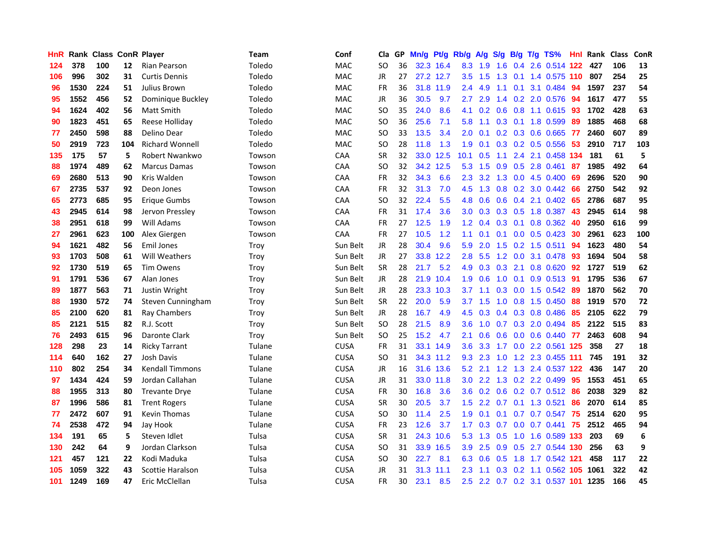| <b>HnR</b> |      | Rank Class ConR Player |     |                         | <b>Team</b> | Conf        | Cla       |    | GP Mn/g Pt/g Rb/g |           |                  | A/g           |                  |     | S/g B/g T/g TS%              | Hnl | Rank Class |     | ConR |
|------------|------|------------------------|-----|-------------------------|-------------|-------------|-----------|----|-------------------|-----------|------------------|---------------|------------------|-----|------------------------------|-----|------------|-----|------|
| 124        | 378  | 100                    | 12  | Rian Pearson            | Toledo      | <b>MAC</b>  | SO.       | 36 |                   | 32.3 16.4 | 8.3              | 1.9           | 1.6              | 0.4 | 2.6 0.514 122                |     | 427        | 106 | 13   |
| 106        | 996  | 302                    | 31  | Curtis Dennis           | Toledo      | <b>MAC</b>  | <b>JR</b> | 27 |                   | 27.2 12.7 | 3.5              | 1.5           | 1.3              | 0.1 | 1.4 0.575 110                |     | 807        | 254 | 25   |
| 96         | 1530 | 224                    | 51  | Julius Brown            | Toledo      | <b>MAC</b>  | <b>FR</b> | 36 |                   | 31.8 11.9 | 2.4              | 4.9           | 1.1              | 0.1 | 3.1 0.484                    | -94 | 1597       | 237 | 54   |
| 95         | 1552 | 456                    | 52  | Dominique Buckley       | Toledo      | <b>MAC</b>  | JR        | 36 | 30.5              | 9.7       | 2.7              | 2.9           |                  |     | 1.4 0.2 2.0 0.576            | -94 | 1617       | 477 | 55   |
| 94         | 1624 | 402                    | 56  | Matt Smith              | Toledo      | MAC         | <b>SO</b> | 35 | 24.0              | 8.6       |                  |               |                  |     | 4.1 0.2 0.6 0.8 1.1 0.615 93 |     | 1702       | 428 | 63   |
| 90         | 1823 | 451                    | 65  | Reese Holliday          | Toledo      | MAC         | <b>SO</b> | 36 | 25.6              | 7.1       | 5.8              | 1.1           |                  |     | $0.3$ 0.1 1.8 0.599          | -89 | 1885       | 468 | 68   |
| 77         | 2450 | 598                    | 88  | Delino Dear             | Toledo      | MAC         | <b>SO</b> | 33 | 13.5              | 3.4       | 2.0              | 0.1           |                  |     | 0.2 0.3 0.6 0.665            | 77  | 2460       | 607 | 89   |
| 50         | 2919 | 723                    | 104 | <b>Richard Wonnell</b>  | Toledo      | MAC         | <b>SO</b> | 28 | 11.8              | 1.3       | 1.9              | 0.1           |                  |     | 0.3 0.2 0.5 0.556            | 53  | 2910       | 717 | 103  |
| 135        | 175  | 57                     | 5   | Robert Nwankwo          | Towson      | CAA         | <b>SR</b> | 32 | 33.0              | 12.5      | 10.1             | 0.5           | 1.1              | 2.4 | 2.1 0.458 134                |     | 181        | 61  | 5    |
| 88         | 1974 | 489                    | 62  | <b>Marcus Damas</b>     | Towson      | CAA         | <b>SO</b> | 32 |                   | 34.2 12.5 | 5.3              | 1.5           | 0.9              |     | $0.5$ 2.8 $0.461$            | -87 | 1985       | 492 | 64   |
| 69         | 2680 | 513                    | 90  | Kris Walden             | Towson      | CAA         | <b>FR</b> | 32 | 34.3              | 6.6       | 2.3              | 3.2           | 1.3              |     | $0.0$ 4.5 $0.400$            | -69 | 2696       | 520 | 90   |
| 67         | 2735 | 537                    | 92  | Deon Jones              | Towson      | CAA         | <b>FR</b> | 32 | 31.3              | 7.0       | 4.5              | 1.3           | 0.8              | 0.2 | 3.0 0.442                    | 66  | 2750       | 542 | 92   |
| 65         | 2773 | 685                    | 95  | Erique Gumbs            | Towson      | CAA         | <b>SO</b> | 32 | 22.4              | 5.5       | 4.8              | 0.6           | 0.6              | 0.4 | 2.1 0.402                    | 65  | 2786       | 687 | 95   |
| 43         | 2945 | 614                    | 98  | Jervon Pressley         | Towson      | <b>CAA</b>  | <b>FR</b> | 31 | 17.4              | 3.6       | 3.0              | 0.3           | 0.3              | 0.5 | 1.8 0.387                    | 43  | 2945       | 614 | 98   |
| 38         | 2951 | 618                    | 99  | Will Adams              | Towson      | CAA         | <b>FR</b> | 27 | 12.5              | 1.9       | 1.2              | 0.4           | 0.3              | 0.1 | 0.8 0.362                    | 40  | 2950       | 616 | 99   |
| 27         | 2961 | 623                    | 100 | Alex Giergen            | Towson      | <b>CAA</b>  | <b>FR</b> | 27 | 10.5              | 1.2       | 1.1              | 0.1           |                  |     | $0.1$ 0.0 0.5 0.423          | -30 | 2961       | 623 | 100  |
| 94         | 1621 | 482                    | 56  | <b>Emil Jones</b>       | Troy        | Sun Belt    | JR        | 28 | 30.4              | 9.6       | 5.9              | 2.0           |                  |     | 1.5 0.2 1.5 0.511 94         |     | 1623       | 480 | 54   |
| 93         | 1703 | 508                    | 61  | <b>Will Weathers</b>    | Troy        | Sun Belt    | JR        | 27 |                   | 33.8 12.2 | 2.8              | 5.5           |                  |     | 1.2 0.0 3.1 0.478 93         |     | 1694       | 504 | 58   |
| 92         | 1730 | 519                    | 65  | <b>Tim Owens</b>        | Troy        | Sun Belt    | <b>SR</b> | 28 | 21.7              | 5.2       |                  | 4.9 0.3       |                  |     | $0.3$ 2.1 0.8 0.620          | 92  | 1727       | 519 | 62   |
| 91         | 1791 | 536                    | 67  | Alan Jones              | Troy        | Sun Belt    | JR        | 28 |                   | 21.9 10.4 | 1.9              | 0.6           | 1.0              |     | $0.1$ 0.9 0.513              | -91 | 1795       | 536 | 67   |
| 89         | 1877 | 563                    | 71  | Justin Wright           | Troy        | Sun Belt    | <b>JR</b> | 28 |                   | 23.3 10.3 | 3.7              | 1.1           |                  |     | $0.3$ 0.0 1.5 0.542          | -89 | 1870       | 562 | 70   |
| 88         | 1930 | 572                    | 74  | Steven Cunningham       | Troy        | Sun Belt    | <b>SR</b> | 22 | 20.0              | 5.9       | 3.7              | 1.5           | 1.0              |     | $0.8$ 1.5 0.450              | 88  | 1919       | 570 | 72   |
| 85         | 2100 | 620                    | 81  | Ray Chambers            | Troy        | Sun Belt    | JR.       | 28 | 16.7              | 4.9       | 4.5              | 0.3           |                  |     | $0.4$ 0.3 0.8 0.486          | 85  | 2105       | 622 | 79   |
| 85         | 2121 | 515                    | 82  | R.J. Scott              | Troy        | Sun Belt    | <b>SO</b> | 28 | 21.5              | 8.9       | 3.6              | 1.0           | 0.7              |     | 0.3 2.0 0.494                | 85  | 2122       | 515 | 83   |
| 76         | 2493 | 615                    | 96  | Daronte Clark           | Troy        | Sun Belt    | <b>SO</b> | 25 | 15.2              | 4.7       | 2.1              | 0.6           | 0.6              | 0.0 | 0.6 0.440 77                 |     | 2463       | 608 | 94   |
| 128        | 298  | 23                     | 14  | <b>Ricky Tarrant</b>    | Tulane      | <b>CUSA</b> | <b>FR</b> | 31 |                   | 33.1 14.9 | 3.6              | 3.3           | 1.7              | 0.0 | 2.2 0.561 125                |     | 358        | 27  | 18   |
| 114        | 640  | 162                    | 27  | Josh Davis              | Tulane      | <b>CUSA</b> | <b>SO</b> | 31 |                   | 34.3 11.2 | 9.3              | 2.3           | 1.0              | 1.2 | 2.3 0.455 111                |     | 745        | 191 | 32   |
| 110        | 802  | 254                    | 34  | <b>Kendall Timmons</b>  | Tulane      | <b>CUSA</b> | JR        | 16 |                   | 31.6 13.6 | 5.2              | 2.1           | 1.2              |     | 1.3 2.4 0.537 122            |     | 436        | 147 | 20   |
| 97         | 1434 | 424                    | 59  | Jordan Callahan         | Tulane      | <b>CUSA</b> | JR        | 31 |                   | 33.0 11.8 | 3.0 <sub>1</sub> | 2.2           |                  |     | 1.3 0.2 2.2 0.499            | 95  | 1553       | 451 | 65   |
| 88         | 1955 | 313                    | 80  | <b>Trevante Drye</b>    | Tulane      | <b>CUSA</b> | FR        | 30 | 16.8              | 3.6       |                  |               |                  |     | 3.6 0.2 0.6 0.2 0.7 0.512 86 |     | 2038       | 329 | 82   |
| 87         | 1996 | 586                    | 81  | <b>Trent Rogers</b>     | Tulane      | <b>CUSA</b> | <b>SR</b> | 30 | 20.5              | 3.7       |                  | $1.5$ 2.2     |                  |     | 0.7 0.1 1.3 0.521            | 86  | 2070       | 614 | 85   |
| 77         | 2472 | 607                    | 91  | Kevin Thomas            | Tulane      | <b>CUSA</b> | <b>SO</b> | 30 | 11.4              | 2.5       | 1.9              | 0.1           |                  |     | $0.1$ 0.7 0.7 0.547          | -75 | 2514       | 620 | 95   |
| 74         | 2538 | 472                    | 94  | Jay Hook                | Tulane      | <b>CUSA</b> | FR        | 23 | 12.6              | 3.7       | 1.7 <sup>2</sup> | 0.3           | 0.7              |     | 0.0 0.7 0.441 75             |     | 2512       | 465 | 94   |
| 134        | 191  | 65                     | 5   | Steven Idlet            | Tulsa       | <b>CUSA</b> | <b>SR</b> | 31 |                   | 24.3 10.6 | 5.3              | 1.3           | 0.5              |     | 1.0 1.6 0.589 133            |     | 203        | 69  | 6    |
| 130        | 242  | 64                     | 9   | Jordan Clarkson         | Tulsa       | <b>CUSA</b> | <b>SO</b> | 31 |                   | 33.9 16.5 | 3.9              | 2.5           | 0.9              |     | 0.5 2.7 0.544 130            |     | 256        | 63  | 9    |
| 121        | 457  | 121                    | 22  | Kodi Maduka             | Tulsa       | <b>CUSA</b> | <b>SO</b> | 30 | 22.7              | 8.1       | 6.3              | 0.6           | 0.5              | 1.8 | 1.7 0.542 121                |     | 458        | 117 | 22   |
| 105        | 1059 | 322                    | 43  | <b>Scottie Haralson</b> | Tulsa       | <b>CUSA</b> | JR        | 31 |                   | 31.3 11.1 | 2.3              | 1.1           | 0.3 <sub>0</sub> | 0.2 | 1.1 0.562 105                |     | 1061       | 322 | 42   |
| 101        | 1249 | 169                    | 47  | Eric McClellan          | Tulsa       | <b>CUSA</b> | <b>FR</b> | 30 | 23.1              | 8.5       | 2.5              | $2.2^{\circ}$ |                  |     | 0.7 0.2 3.1 0.537 101 1235   |     |            | 166 | 45   |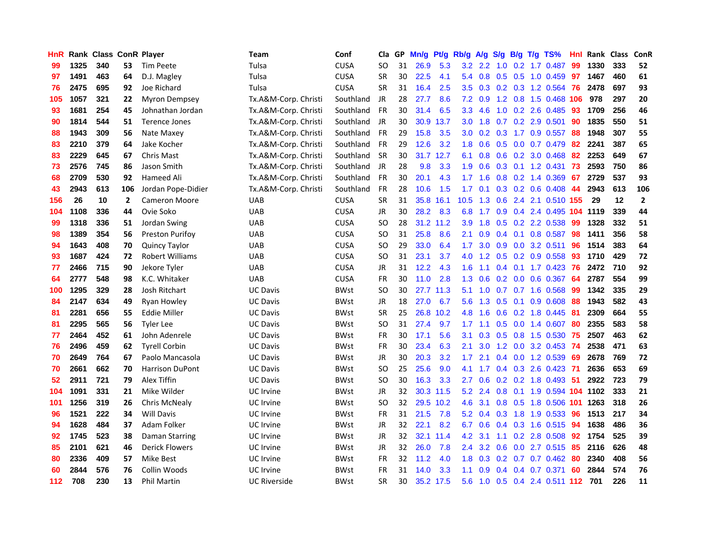| HnR |      | Rank Class ConR Player |                |                        | <b>Team</b>          | Conf        | Cla       |    | GP Mn/g   | Pt/g      | Rb/g             | A/g             |                 |                 | S/g B/g T/g TS%            | Hnl | Rank Class |     | ConR           |
|-----|------|------------------------|----------------|------------------------|----------------------|-------------|-----------|----|-----------|-----------|------------------|-----------------|-----------------|-----------------|----------------------------|-----|------------|-----|----------------|
| 99  | 1325 | 340                    | 53             | Tim Peete              | Tulsa                | <b>CUSA</b> | SO.       | 31 | 26.9      | 5.3       | $3.2\phantom{0}$ | $2.2^{\circ}$   | 1.0             | 0.2             | 1.7 0.487                  | 99  | 1330       | 333 | 52             |
| 97  | 1491 | 463                    | 64             | D.J. Magley            | Tulsa                | <b>CUSA</b> | <b>SR</b> | 30 | 22.5      | 4.1       |                  | 5.4 0.8         | 0.5             | 0.5             | 1.0 0.459                  | 97  | 1467       | 460 | 61             |
| 76  | 2475 | 695                    | 92             | Joe Richard            | Tulsa                | <b>CUSA</b> | <b>SR</b> | 31 | 16.4      | 2.5       | $3.5^{\circ}$    | 0.3             |                 |                 | 0.2 0.3 1.2 0.564          | 76  | 2478       | 697 | 93             |
| 105 | 1057 | 321                    | 22             | <b>Myron Dempsey</b>   | Tx.A&M-Corp. Christi | Southland   | JR        | 28 | 27.7      | 8.6       |                  | $7.2 \quad 0.9$ |                 |                 | 1.2 0.8 1.5 0.468 106      |     | 978        | 297 | 20             |
| 93  | 1681 | 254                    | 45             | Johnathan Jordan       | Tx.A&M-Corp. Christi | Southland   | FR        | 30 | 31.4      | 6.5       |                  | $3.3$ 4.6       |                 |                 | 1.0 0.2 2.6 0.485 93       |     | 1709       | 256 | 46             |
| 90  | 1814 | 544                    | 51             | Terence Jones          | Tx.A&M-Corp. Christi | Southland   | JR        | 30 |           | 30.9 13.7 | 3.0 <sub>1</sub> | 1.8             |                 |                 | $0.7$ $0.2$ $2.9$ $0.501$  | 90  | 1835       | 550 | 51             |
| 88  | 1943 | 309                    | 56             | Nate Maxey             | Tx.A&M-Corp. Christi | Southland   | <b>FR</b> | 29 | 15.8      | 3.5       | 3.0 <sub>1</sub> |                 | $0.2 \quad 0.3$ |                 | 1.7 0.9 0.557              | 88  | 1948       | 307 | 55             |
| 83  | 2210 | 379                    | 64             | Jake Kocher            | Tx.A&M-Corp. Christi | Southland   | <b>FR</b> | 29 | 12.6      | 3.2       | 1.8              | 0.6             |                 |                 | 0.5 0.0 0.7 0.479          | 82  | 2241       | 387 | 65             |
| 83  | 2229 | 645                    | 67             | Chris Mast             | Tx.A&M-Corp. Christi | Southland   | <b>SR</b> | 30 | 31.7 12.7 |           | 6.1              | 0.8             |                 |                 | 0.6 0.2 3.0 0.468          | 82  | 2253       | 649 | 67             |
| 73  | 2576 | 745                    | 86             | Jason Smith            | Tx.A&M-Corp. Christi | Southland   | JR        | 28 | 9.8       | 3.3       | 1.9              | 0.6             |                 |                 | 0.3 0.1 1.2 0.431          | 73  | 2593       | 750 | 86             |
| 68  | 2709 | 530                    | 92             | Hameed Ali             | Tx.A&M-Corp. Christi | Southland   | FR        | 30 | 20.1      | 4.3       | 1.7              | 1.6             |                 |                 | $0.8$ 0.2 1.4 0.369        | 67  | 2729       | 537 | 93             |
| 43  | 2943 | 613                    | 106            | Jordan Pope-Didier     | Tx.A&M-Corp. Christi | Southland   | <b>FR</b> | 28 | 10.6      | 1.5       | 1.7              | 0.1             |                 |                 | $0.3$ $0.2$ $0.6$ $0.408$  | 44  | 2943       | 613 | 106            |
| 156 | 26   | 10                     | $\overline{2}$ | <b>Cameron Moore</b>   | <b>UAB</b>           | <b>CUSA</b> | <b>SR</b> | 31 | 35.8      | 16.1      | 10.5             | 1.3             | 0.6             | 2.4             | 2.1 0.510 155              |     | 29         | 12  | $\overline{2}$ |
| 104 | 1108 | 336                    | 44             | Ovie Soko              | <b>UAB</b>           | <b>CUSA</b> | <b>JR</b> | 30 | 28.2      | 8.3       | 6.8              | 1.7             | 0.9             |                 | 0.4 2.4 0.495 104 1119     |     |            | 339 | 44             |
| 99  | 1318 | 336                    | 51             | Jordan Swing           | <b>UAB</b>           | <b>CUSA</b> | <b>SO</b> | 28 | 31.2 11.2 |           | 3.9              | 1.8             | 0.5             |                 | 0.2 2.2 0.538              | 99  | 1328       | 332 | 51             |
| 98  | 1389 | 354                    | 56             | Preston Purifoy        | <b>UAB</b>           | <b>CUSA</b> | <b>SO</b> | 31 | 25.8      | 8.6       | 2.1              | 0.9             |                 | $0.4 \quad 0.1$ | $0.8$ 0.587                | -98 | 1411       | 356 | 58             |
| 94  | 1643 | 408                    | 70             | <b>Quincy Taylor</b>   | <b>UAB</b>           | <b>CUSA</b> | <b>SO</b> | 29 | 33.0      | 6.4       | 1.7              | 3.0             |                 |                 | $0.9$ $0.0$ $3.2$ $0.511$  | 96  | 1514       | 383 | 64             |
| 93  | 1687 | 424                    | 72             | <b>Robert Williams</b> | UAB                  | <b>CUSA</b> | SO.       | 31 | 23.1      | 3.7       |                  |                 |                 |                 | 4.0 1.2 0.5 0.2 0.9 0.558  | -93 | 1710       | 429 | 72             |
| 77  | 2466 | 715                    | 90             | Jekore Tyler           | <b>UAB</b>           | <b>CUSA</b> | JR        | 31 | 12.2      | 4.3       | 1.6              | 1.1             |                 |                 | $0.4$ 0.1 1.7 0.423        | 76  | 2472       | 710 | 92             |
| 64  | 2777 | 548                    | 98             | K.C. Whitaker          | <b>UAB</b>           | <b>CUSA</b> | <b>FR</b> | 30 | 11.0      | 2.8       | 1.3              | 0.6             |                 |                 | $0.2$ 0.0 0.6 0.367        | -64 | 2787       | 554 | 99             |
| 100 | 1295 | 329                    | 28             | Josh Ritchart          | <b>UC Davis</b>      | <b>BWst</b> | SO.       | 30 |           | 27.7 11.3 | 5.1              | 1.0             |                 |                 | 0.7 0.7 1.6 0.568          | 99  | 1342       | 335 | 29             |
| 84  | 2147 | 634                    | 49             | Ryan Howley            | <b>UC Davis</b>      | <b>BWst</b> | JR        | 18 | 27.0      | 6.7       | 5.6              | 1.3             | 0.5             | 0.1             | 0.9 0.608                  | 88  | 1943       | 582 | 43             |
| 81  | 2281 | 656                    | 55             | <b>Eddie Miller</b>    | <b>UC Davis</b>      | <b>BWst</b> | <b>SR</b> | 25 | 26.8      | 10.2      | 4.8              | 1.6             | 0.6             |                 | 0.2 1.8 0.445              | -81 | 2309       | 664 | 55             |
| 81  | 2295 | 565                    | 56             | <b>Tyler Lee</b>       | <b>UC Davis</b>      | <b>BWst</b> | SO        | 31 | 27.4      | 9.7       | 1.7              | 1.1             | 0.5             |                 | $0.0$ 1.4 0.607            | 80  | 2355       | 583 | 58             |
| 77  | 2464 | 452                    | 61             | John Adenrele          | <b>UC Davis</b>      | <b>BWst</b> | FR        | 30 | 17.1      | 5.6       | 3.1              | 0.3             |                 | $0.5\quad 0.8$  | 1.5 0.530                  | 75  | 2507       | 463 | 62             |
| 76  | 2496 | 459                    | 62             | <b>Tyrell Corbin</b>   | <b>UC Davis</b>      | <b>BWst</b> | <b>FR</b> | 30 | 23.4      | 6.3       | 2.1              | 3.0             |                 | $1.2 \quad 0.0$ | 3.2 0.453                  | -74 | 2538       | 471 | 63             |
| 70  | 2649 | 764                    | 67             | Paolo Mancasola        | UC Davis             | <b>BWst</b> | <b>JR</b> | 30 | 20.3      | 3.2       | 1.7 <sub>2</sub> | 2.1             |                 |                 | 0.4 0.0 1.2 0.539          | 69  | 2678       | 769 | 72             |
| 70  | 2661 | 662                    | 70             | <b>Harrison DuPont</b> | <b>UC Davis</b>      | <b>BWst</b> | <b>SO</b> | 25 | 25.6      | 9.0       | 4.1              | 1.7             |                 |                 | 0.4 0.3 2.6 0.423          | -71 | 2636       | 653 | 69             |
| 52  | 2911 | 721                    | 79             | Alex Tiffin            | <b>UC Davis</b>      | <b>BWst</b> | <b>SO</b> | 30 | 16.3      | 3.3       | 2.7              | 0.6             |                 |                 | 0.2 0.2 1.8 0.493 51       |     | 2922       | 723 | 79             |
| 104 | 1091 | 331                    | 21             | Mike Wilder            | <b>UC</b> Irvine     | <b>BWst</b> | JR        | 32 |           | 30.3 11.5 |                  | $5.2$ 2.4       |                 |                 | 0.8 0.1 1.9 0.594 104 1102 |     |            | 333 | 21             |
| 101 | 1256 | 319                    | 26             | <b>Chris McNealy</b>   | UC Irvine            | <b>BWst</b> | SO.       | 32 |           | 29.5 10.2 | 4.6              | 3.1             |                 |                 | 0.8 0.5 1.8 0.506 101 1263 |     |            | 318 | 26             |
| 96  | 1521 | 222                    | 34             | <b>Will Davis</b>      | UC Irvine            | <b>BWst</b> | <b>FR</b> | 31 | 21.5      | 7.8       |                  | $5.2 \quad 0.4$ |                 |                 | 0.3 1.8 1.9 0.533          | -96 | 1513       | 217 | 34             |
| 94  | 1628 | 484                    | 37             | Adam Folker            | <b>UC</b> Irvine     | <b>BWst</b> | JR        | 32 | 22.1      | 8.2       | 6.7              | 0.6             |                 |                 | $0.4$ 0.3 1.6 0.515        | 94  | 1638       | 486 | 36             |
| 92  | 1745 | 523                    | 38             | Daman Starring         | <b>UC</b> Irvine     | <b>BWst</b> | JR        | 32 |           | 32.1 11.4 | 4.2              | 3.1             |                 |                 | 1.1 0.2 2.8 0.508          | 92  | 1754       | 525 | 39             |
| 85  | 2101 | 621                    | 46             | <b>Derick Flowers</b>  | UC Irvine            | <b>BWst</b> | JR        | 32 | 26.0      | 7.8       | 2.4              | 3.2             | 0.6             |                 | 0.0 2.7 0.515              | 85  | 2116       | 626 | 48             |
| 80  | 2336 | 409                    | 57             | Mike Best              | <b>UC</b> Irvine     | <b>BWst</b> | <b>FR</b> | 32 | 11.2      | 4.0       | 1.8              | 0.3             |                 |                 | 0.2 0.7 0.7 0.462          | 80  | 2340       | 408 | 56             |
| 60  | 2844 | 576                    | 76             | Collin Woods           | UC Irvine            | BWst        | FR        | 31 | 14.0      | 3.3       | 1.1              | 0.9             | 0.4             |                 | 0.4 0.7 0.371              | 60  | 2844       | 574 | 76             |
| 112 | 708  | 230                    | 13             | Phil Martin            | <b>UC Riverside</b>  | <b>BWst</b> | <b>SR</b> | 30 |           | 35.2 17.5 | 5.6              | 1.0             |                 |                 | 0.5 0.4 2.4 0.511 112 701  |     |            | 226 | 11             |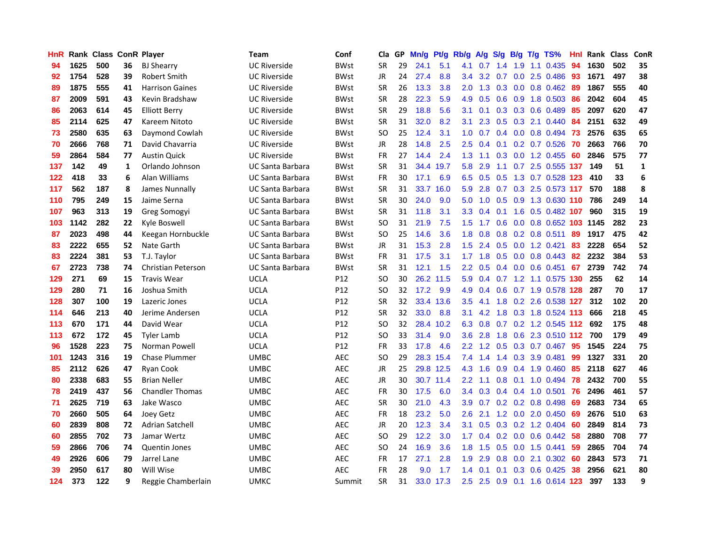| <b>HnR</b> |      | Rank Class ConR Player |              |                           | <b>Team</b>             | Conf            | Cla       |    | GP Mn/g | Pt/g      | Rb/g             | A/g         |     |                 | S/g B/g T/g TS%                 | Hnl | Rank Class |     | ConR         |
|------------|------|------------------------|--------------|---------------------------|-------------------------|-----------------|-----------|----|---------|-----------|------------------|-------------|-----|-----------------|---------------------------------|-----|------------|-----|--------------|
| 94         | 1625 | 500                    | 36           | <b>BJ Shearry</b>         | <b>UC Riverside</b>     | <b>BWst</b>     | <b>SR</b> | 29 | 24.1    | 5.1       | 4.1              | 0.7         | 1.4 | 1.9             | 1.1 0.435                       | 94  | 1630       | 502 | 35           |
| 92         | 1754 | 528                    | 39           | <b>Robert Smith</b>       | <b>UC Riverside</b>     | <b>BWst</b>     | JR        | 24 | 27.4    | 8.8       | 3.4              | 3.2         | 0.7 | 0.0             | 2.5 0.486                       | 93  | 1671       | 497 | 38           |
| 89         | 1875 | 555                    | 41           | <b>Harrison Gaines</b>    | <b>UC Riverside</b>     | <b>BWst</b>     | <b>SR</b> | 26 | 13.3    | 3.8       | 2.0              | 1.3         |     | $0.3 \quad 0.0$ | $0.8$ 0.462                     | -89 | 1867       | 555 | 40           |
| 87         | 2009 | 591                    | 43           | Kevin Bradshaw            | UC Riverside            | <b>BWst</b>     | <b>SR</b> | 28 | 22.3    | 5.9       | 4.9              | 0.5         |     |                 | 0.6 0.9 1.8 0.503               | 86  | 2042       | 604 | 45           |
| 86         | 2063 | 614                    | 45           | <b>Elliott Berry</b>      | UC Riverside            | <b>BWst</b>     | <b>SR</b> | 29 | 18.8    | 5.6       | 3.1              | 0.1         |     |                 | $0.3$ $0.3$ $0.6$ $0.489$       | 85  | 2097       | 620 | 47           |
| 85         | 2114 | 625                    | 47           | Kareem Nitoto             | <b>UC Riverside</b>     | <b>BWst</b>     | <b>SR</b> | 31 | 32.0    | 8.2       | 3.1              | 2.3         |     |                 | $0.5$ $0.3$ 2.1 $0.440$         | -84 | 2151       | 632 | 49           |
| 73         | 2580 | 635                    | 63           | Daymond Cowlah            | <b>UC Riverside</b>     | <b>BWst</b>     | SO.       | 25 | 12.4    | 3.1       | 1.0 <sub>1</sub> | 0.7         |     |                 | 0.4 0.0 0.8 0.494 73            |     | 2576       | 635 | 65           |
| 70         | 2666 | 768                    | 71           | David Chavarria           | <b>UC Riverside</b>     | <b>BWst</b>     | JR        | 28 | 14.8    | 2.5       | 2.5              | 0.4         |     |                 | $0.1$ $0.2$ $0.7$ $0.526$       | -70 | 2663       | 766 | 70           |
| 59         | 2864 | 584                    | 77           | <b>Austin Quick</b>       | <b>UC Riverside</b>     | <b>BWst</b>     | <b>FR</b> | 27 | 14.4    | 2.4       | 1.3              | 1.1         | 0.3 |                 | $0.0$ 1.2 $0.455$               | 60  | 2846       | 575 | 77           |
| 137        | 142  | 49                     | $\mathbf{1}$ | Orlando Johnson           | <b>UC Santa Barbara</b> | <b>BWst</b>     | <b>SR</b> | 31 |         | 34.4 19.7 | 5.8              | 2.9         | 1.1 |                 | 0.7 2.5 0.555 137               |     | 149        | 51  | $\mathbf{1}$ |
| 122        | 418  | 33                     | 6            | Alan Williams             | <b>UC Santa Barbara</b> | <b>BWst</b>     | FR        | 30 | 17.1    | 6.9       | 6.5              | 0.5         | 0.5 |                 | 1.3 0.7 0.528 123               |     | 410        | 33  | 6            |
| 117        | 562  | 187                    | 8            | James Nunnally            | UC Santa Barbara        | <b>BWst</b>     | <b>SR</b> | 31 |         | 33.7 16.0 | 5.9              | 2.8         | 0.7 |                 | $0.3$ 2.5 0.573 117             |     | 570        | 188 | 8            |
| 110        | 795  | 249                    | 15           | Jaime Serna               | <b>UC Santa Barbara</b> | <b>BWst</b>     | <b>SR</b> | 30 | 24.0    | 9.0       | 5.0              | 1.0         | 0.5 | 0.9             | 1.3 0.630 110                   |     | 786        | 249 | 14           |
| 107        | 963  | 313                    | 19           | Greg Somogyi              | UC Santa Barbara        | <b>BWst</b>     | <b>SR</b> | 31 | 11.8    | 3.1       | 3.3 <sub>1</sub> | 0.4         | 0.1 | 1.6             | 0.5 0.482 107                   |     | 960        | 315 | 19           |
| 103        | 1142 | 282                    | 22           | Kyle Boswell              | <b>UC Santa Barbara</b> | <b>BWst</b>     | <b>SO</b> | 31 | 21.9    | 7.5       | $1.5^{\circ}$    | 1.7         | 0.6 | 0.0             | 0.8 0.652 103 1145              |     |            | 282 | 23           |
| 87         | 2023 | 498                    | 44           | Keegan Hornbuckle         | <b>UC Santa Barbara</b> | <b>BWst</b>     | <b>SO</b> | 25 | 14.6    | 3.6       | 1.8              | 0.8         | 0.8 |                 | $0.2$ 0.8 0.511                 | 89  | 1917       | 475 | 42           |
| 83         | 2222 | 655                    | 52           | Nate Garth                | <b>UC Santa Barbara</b> | <b>BWst</b>     | JR        | 31 | 15.3    | 2.8       | 1.5              | 2.4         |     |                 | 0.5 0.0 1.2 0.421               | 83  | 2228       | 654 | 52           |
| 83         | 2224 | 381                    | 53           | T.J. Taylor               | UC Santa Barbara        | <b>BWst</b>     | <b>FR</b> | 31 | 17.5    | 3.1       |                  | $1.7$ $1.8$ |     |                 | 0.5 0.0 0.8 0.443 82            |     | 2232       | 384 | 53           |
| 67         | 2723 | 738                    | 74           | <b>Christian Peterson</b> | UC Santa Barbara        | <b>BWst</b>     | <b>SR</b> | 31 | 12.1    | 1.5       | $2.2^{\circ}$    | 0.5         |     |                 | $0.4$ 0.0 0.6 0.451 67          |     | 2739       | 742 | 74           |
| 129        | 271  | 69                     | 15           | <b>Travis Wear</b>        | <b>UCLA</b>             | P12             | SO.       | 30 |         | 26.2 11.5 | 5.9              | 0.4         |     |                 | 0.7 1.2 1.1 0.575 130           |     | 255        | 62  | 14           |
| 129        | 280  | 71                     | 16           | Joshua Smith              | <b>UCLA</b>             | P12             | SO.       | 32 | 17.2    | 9.9       | 4.9              | 0.4         |     |                 | 0.6 0.7 1.9 0.578 128           |     | 287        | 70  | 17           |
| 128        | 307  | 100                    | 19           | Lazeric Jones             | <b>UCLA</b>             | P12             | <b>SR</b> | 32 |         | 33.4 13.6 | 3.5              | 4.1         | 1.8 |                 | 0.2 2.6 0.538 127               |     | 312        | 102 | 20           |
| 114        | 646  | 213                    | 40           | Jerime Andersen           | <b>UCLA</b>             | P12             | <b>SR</b> | 32 | 33.0    | 8.8       | 3.1              | 4.2         | 1.8 |                 | 0.3 1.8 0.524 113               |     | 666        | 218 | 45           |
| 113        | 670  | 171                    | 44           | David Wear                | <b>UCLA</b>             | P <sub>12</sub> | SO.       | 32 |         | 28.4 10.2 | 6.3              | 0.8         |     |                 | 0.7 0.2 1.2 0.545 112           |     | 692        | 175 | 48           |
| 113        | 672  | 172                    | 45           | <b>Tyler Lamb</b>         | <b>UCLA</b>             | P12             | SO.       | 33 | 31.4    | 9.0       | 3.6 <sup>°</sup> | 2.8         | 1.8 |                 | 0.6 2.3 0.510 112               |     | 700        | 179 | 49           |
| 96         | 1528 | 223                    | 75           | Norman Powell             | <b>UCLA</b>             | P12             | <b>FR</b> | 33 | 17.8    | 4.6       | $2.2\phantom{0}$ | 1.2         | 0.5 |                 | 0.3 0.7 0.467                   | 95  | 1545       | 224 | 75           |
| 101        | 1243 | 316                    | 19           | <b>Chase Plummer</b>      | UMBC                    | <b>AEC</b>      | SO.       | 29 |         | 28.3 15.4 | 7.4              | 1.4         |     | $1.4 \quad 0.3$ | 3.9 0.481                       | 99  | 1327       | 331 | 20           |
| 85         | 2112 | 626                    | 47           | Ryan Cook                 | <b>UMBC</b>             | <b>AEC</b>      | JR        | 25 |         | 29.8 12.5 | 4.3              | 1.6         | 0.9 | 0.4             | 1.9 0.460                       | 85  | 2118       | 627 | 46           |
| 80         | 2338 | 683                    | 55           | <b>Brian Neller</b>       | <b>UMBC</b>             | <b>AEC</b>      | JR        | 30 |         | 30.7 11.4 | $2.2^{\circ}$    | 1.1         | 0.8 | 0.1             | $1.0 \quad 0.494$               | 78  | 2432       | 700 | 55           |
| 78         | 2419 | 437                    | 56           | <b>Chandler Thomas</b>    | <b>UMBC</b>             | AEC             | <b>FR</b> | 30 | 17.5    | 6.0       |                  |             |     |                 | 3.4 0.3 0.4 0.4 1.0 0.501       | 76  | 2496       | 461 | 57           |
| 71         | 2625 | 719                    | 63           | Jake Wasco                | UMBC                    | AEC             | <b>SR</b> | 30 | 21.0    | 4.3       | 3.9 <sup>°</sup> |             |     |                 | $0.7$ $0.2$ $0.2$ $0.8$ $0.498$ | -69 | 2683       | 734 | 65           |
| 70         | 2660 | 505                    | 64           | Joey Getz                 | UMBC                    | <b>AEC</b>      | <b>FR</b> | 18 | 23.2    | 5.0       | 2.6              | 2.1         |     |                 | 1.2 0.0 2.0 0.450               | -69 | 2676       | 510 | 63           |
| 60         | 2839 | 808                    | 72           | <b>Adrian Satchell</b>    | UMBC                    | <b>AEC</b>      | JR        | 20 | 12.3    | 3.4       | 3.1              | 0.5         |     |                 | $0.3$ 0.2 1.2 0.404             | 60  | 2849       | 814 | 73           |
| 60         | 2855 | 702                    | 73           | Jamar Wertz               | UMBC                    | AEC             | <b>SO</b> | 29 | 12.2    | 3.0       | $1.7^{\circ}$    | 0.4         |     |                 | $0.2$ 0.0 0.6 0.442             | 58  | 2880       | 708 | 77           |
| 59         | 2866 | 706                    | 74           | <b>Quentin Jones</b>      | <b>UMBC</b>             | <b>AEC</b>      | SO.       | 24 | 16.9    | 3.6       | 1.8              | 1.5         | 0.5 | 0.0             | 1.5 0.441                       | 59  | 2865       | 704 | 74           |
| 49         | 2926 | 606                    | 79           | Jarrel Lane               | <b>UMBC</b>             | <b>AEC</b>      | <b>FR</b> | 17 | 27.1    | 2.8       | 1.9              | 2.9         | 0.8 | 0.0             | 2.1 0.302                       | 60  | 2843       | 573 | 71           |
| 39         | 2950 | 617                    | 80           | Will Wise                 | <b>UMBC</b>             | <b>AEC</b>      | FR        | 28 | 9.0     | 1.7       | 1.4              | 0.1         | 0.1 | 0.3             | 0.6 0.425                       | 38  | 2956       | 621 | 80           |
| 124        | 373  | 122                    | 9            | Reggie Chamberlain        | <b>UMKC</b>             | Summit          | <b>SR</b> | 31 |         | 33.0 17.3 | 2.5              | 2.5         |     |                 | 0.9 0.1 1.6 0.614 123           |     | 397        | 133 | 9            |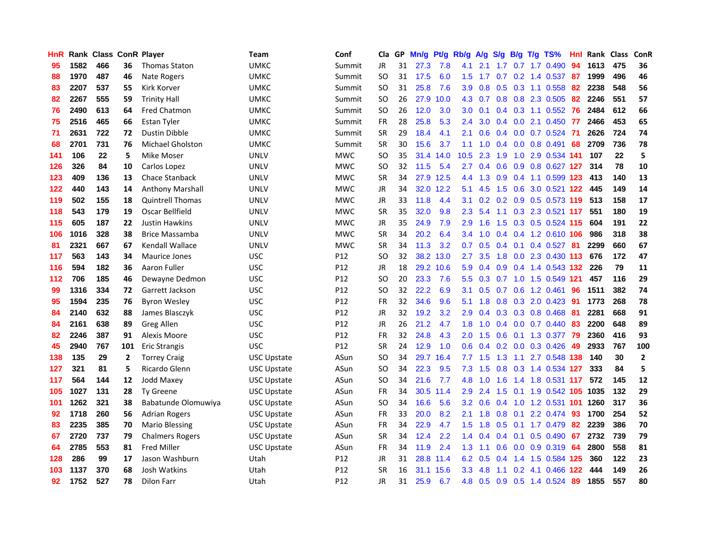| HnR |      | Rank Class ConR Player |              |                         | <b>Team</b>        | Conf       | Cla       |    | GP Mn/g | Pt/g Rb/g |                  |           |     |                 | A/g S/g B/g T/g TS%        | Hnl | Rank Class |     | ConR         |
|-----|------|------------------------|--------------|-------------------------|--------------------|------------|-----------|----|---------|-----------|------------------|-----------|-----|-----------------|----------------------------|-----|------------|-----|--------------|
| 95  | 1582 | 466                    | 36           | <b>Thomas Staton</b>    | <b>UMKC</b>        | Summit     | JR        | 31 | 27.3    | 7.8       | 4.1              | 2.1       | 1.7 | 0.7             | 1.7 0.490                  | 94  | 1613       | 475 | 36           |
| 88  | 1970 | 487                    | 46           | Nate Rogers             | <b>UMKC</b>        | Summit     | <b>SO</b> | 31 | 17.5    | 6.0       | 1.5              | 1.7       | 0.7 | 0.2             | 1.4 0.537                  | -87 | 1999       | 496 | 46           |
| 83  | 2207 | 537                    | 55           | Kirk Korver             | <b>UMKC</b>        | Summit     | <b>SO</b> | 31 | 25.8    | 7.6       | 3.9              | 0.8       | 0.5 | 0.3             | 1.1 0.558                  | 82  | 2238       | 548 | 56           |
| 82  | 2267 | 555                    | 59           | <b>Trinity Hall</b>     | <b>UMKC</b>        | Summit     | <b>SO</b> | 26 |         | 27.9 10.0 |                  | 4.3 0.7   |     |                 | 0.8 0.8 2.3 0.505          | 82  | 2246       | 551 | 57           |
| 76  | 2490 | 613                    | 64           | <b>Fred Chatmon</b>     | <b>UMKC</b>        | Summit     | <b>SO</b> | 26 | 12.0    | 3.0       | 3.0              | 0.1       |     |                 | $0.4$ 0.3 1.1 0.552        | -76 | 2484       | 612 | 66           |
| 75  | 2516 | 465                    | 66           | Estan Tyler             | <b>UMKC</b>        | Summit     | <b>FR</b> | 28 | 25.8    | 5.3       | $2.4^{\circ}$    | 3.0       |     |                 | $0.4$ 0.0 2.1 0.450 77     |     | 2466       | 453 | 65           |
| 71  | 2631 | 722                    | 72           | Dustin Dibble           | <b>UMKC</b>        | Summit     | <b>SR</b> | 29 | 18.4    | 4.1       | 2.1              | 0.6       |     |                 | $0.4$ 0.0 0.7 0.524        | -71 | 2626       | 724 | 74           |
| 68  | 2701 | 731                    | 76           | <b>Michael Gholston</b> | UMKC               | Summit     | <b>SR</b> | 30 | 15.6    | 3.7       | 1.1              | 1.0       |     |                 | $0.4$ 0.0 0.8 0.491        | 68  | 2709       | 736 | 78           |
| 141 | 106  | 22                     | 5            | Mike Moser              | <b>UNLV</b>        | <b>MWC</b> | <b>SO</b> | 35 | 31.4    | 14.0      | 10.5             | 2.3       | 1.9 | 1.0             | 2.9 0.534 141              |     | 107        | 22  | 5            |
| 126 | 326  | 84                     | 10           | Carlos Lopez            | <b>UNLV</b>        | <b>MWC</b> | <b>SO</b> | 32 | 11.5    | 5.4       | 2.7              | 0.4       | 0.6 | 0.9             | 0.8 0.627 127              |     | 314        | 78  | 10           |
| 123 | 409  | 136                    | 13           | Chace Stanback          | <b>UNLV</b>        | <b>MWC</b> | <b>SR</b> | 34 |         | 27.9 12.5 | 4.4              | 1.3       | 0.9 | 0.4             | 1.1 0.599 123              |     | 413        | 140 | 13           |
| 122 | 440  | 143                    | 14           | <b>Anthony Marshall</b> | <b>UNLV</b>        | <b>MWC</b> | JR.       | 34 | 32.0    | 12.2      | 5.1              | 4.5       | 1.5 | 0.6             | $3.0 \t0.521$              | 122 | 445        | 149 | ${\bf 14}$   |
| 119 | 502  | 155                    | 18           | <b>Quintrell Thomas</b> | <b>UNLV</b>        | <b>MWC</b> | JR.       | 33 | 11.8    | 4.4       | 3.1              | 0.2       |     | $0.2 \quad 0.9$ | 0.5 0.573 119              |     | 513        | 158 | 17           |
| 118 | 543  | 179                    | 19           | Oscar Bellfield         | <b>UNLV</b>        | <b>MWC</b> | <b>SR</b> | 35 | 32.0    | 9.8       | $2.3\phantom{0}$ | 5.4       | 1.1 | 0.3             | 2.3 0.521 117              |     | 551        | 180 | 19           |
| 115 | 605  | 187                    | 22           | <b>Justin Hawkins</b>   | <b>UNLV</b>        | <b>MWC</b> | <b>JR</b> | 35 | 24.9    | 7.9       | 2.9              | 1.6       | 1.5 | 0.3             | 0.5 0.524 115              |     | 604        | 191 | 22           |
| 106 | 1016 | 328                    | 38           | <b>Brice Massamba</b>   | <b>UNLV</b>        | <b>MWC</b> | <b>SR</b> | 34 | 20.2    | 6.4       |                  | $3.4$ 1.0 |     |                 | 0.4 0.4 1.2 0.610 106      |     | 986        | 318 | 38           |
| 81  | 2321 | 667                    | 67           | Kendall Wallace         | <b>UNLV</b>        | <b>MWC</b> | <b>SR</b> | 34 | 11.3    | 3.2       | 0.7              | 0.5       |     | $0.4$ 0.1       | $0.4$ 0.527 81             |     | 2299       | 660 | 67           |
| 117 | 563  | 143                    | 34           | <b>Maurice Jones</b>    | <b>USC</b>         | P12        | SO.       | 32 |         | 38.2 13.0 | $2.7^{\circ}$    | 3.5       |     |                 | 1.8 0.0 2.3 0.430 113 676  |     |            | 172 | 47           |
| 116 | 594  | 182                    | 36           | Aaron Fuller            | <b>USC</b>         | P12        | JR        | 18 |         | 29.2 10.6 | 5.9              | 0.4       |     |                 | 0.9 0.4 1.4 0.543 132      |     | 226        | 79  | 11           |
| 112 | 706  | 185                    | 46           | Dewayne Dedmon          | <b>USC</b>         | P12        | SO.       | 20 | 23.3    | 7.6       | 5.5              | 0.3       |     |                 | 0.7 1.0 1.5 0.549 121      |     | 457        | 116 | 29           |
| 99  | 1316 | 334                    | 72           | Garrett Jackson         | <b>USC</b>         | P12        | SO.       | 32 | 22.2    | 6.9       | 3.1              | 0.5       |     |                 | $0.7$ $0.6$ 1.2 $0.461$    | 96  | 1511       | 382 | 74           |
| 95  | 1594 | 235                    | 76           | <b>Byron Wesley</b>     | <b>USC</b>         | P12        | <b>FR</b> | 32 | 34.6    | 9.6       | 5.1              | 1.8       |     |                 | 0.8 0.3 2.0 0.423          | -91 | 1773       | 268 | 78           |
| 84  | 2140 | 632                    | 88           | James Blasczyk          | <b>USC</b>         | P12        | JR        | 32 | 19.2    | 3.2       | 2.9              | 0.4       |     |                 | 0.3 0.3 0.8 0.468          | -81 | 2281       | 668 | 91           |
| 84  | 2161 | 638                    | 89           | Greg Allen              | <b>USC</b>         | P12        | JR        | 26 | 21.2    | 4.7       | 1.8              | 1.0       |     |                 | $0.4$ 0.0 0.7 0.440        | -83 | 2200       | 648 | 89           |
| 82  | 2246 | 387                    | 91           | Alexis Moore            | <b>USC</b>         | P12        | <b>FR</b> | 32 | 24.8    | 4.3       | 2.0              | 1.5       | 0.6 |                 | 0.1 1.3 0.377              | -79 | 2360       | 416 | 93           |
| 45  | 2940 | 767                    | 101          | <b>Eric Strangis</b>    | <b>USC</b>         | P12        | <b>SR</b> | 24 | 12.9    | 1.0       | 0.6              | 0.4       |     | $0.2 \quad 0.0$ | 0.3 0.426                  | 49  | 2933       | 767 | 100          |
| 138 | 135  | 29                     | $\mathbf{2}$ | <b>Torrey Craig</b>     | <b>USC Upstate</b> | ASun       | SO.       | 34 |         | 29.7 16.4 | 7.7              | 1.5       | 1.3 | 1.1             | 2.7 0.548 138              |     | 140        | 30  | $\mathbf{2}$ |
| 127 | 321  | 81                     | 5            | Ricardo Glenn           | <b>USC Upstate</b> | ASun       | <b>SO</b> | 34 | 22.3    | 9.5       | 7.3              | 1.5       | 0.8 |                 | 0.3 1.4 0.534 127          |     | 333        | 84  | 5            |
| 117 | 564  | 144                    | 12           | Jodd Maxey              | <b>USC Upstate</b> | ASun       | <b>SO</b> | 34 | 21.6    | 7.7       | 4.8              | 1.0       | 1.6 |                 | 1.4 1.8 0.531 117          |     | 572        | 145 | 12           |
| 105 | 1027 | 131                    | 28           | <b>Ty Greene</b>        | <b>USC Upstate</b> | ASun       | <b>FR</b> | 34 |         | 30.5 11.4 | 2.9              | 2.4       |     | $1.5 \t0.1$     | 1.9 0.542 105 1035         |     |            | 132 | 29           |
| 101 | 1262 | 321                    | 38           | Babatunde Olomuwiya     | USC Upstate        | ASun       | SO.       | 34 | 16.6    | 5.6       | 3.2 <sub>2</sub> | 0.6       |     |                 | 0.4 1.0 1.2 0.531 101 1260 |     |            | 317 | 36           |
| 92  | 1718 | 260                    | 56           | <b>Adrian Rogers</b>    | <b>USC Upstate</b> | ASun       | <b>FR</b> | 33 | 20.0    | 8.2       | 2.1              | 1.8       |     |                 | $0.8$ 0.1 2.2 0.474        | -93 | 1700       | 254 | 52           |
| 83  | 2235 | 385                    | 70           | <b>Mario Blessing</b>   | <b>USC Upstate</b> | ASun       | <b>FR</b> | 34 | 22.9    | 4.7       | 1.5 <sub>1</sub> | 1.8       |     |                 | 0.5 0.1 1.7 0.479          | 82  | 2239       | 386 | 70           |
| 67  | 2720 | 737                    | 79           | <b>Chalmers Rogers</b>  | <b>USC Upstate</b> | ASun       | <b>SR</b> | 34 | 12.4    | 2.2       | 1.4              | 0.4       |     |                 | $0.4$ 0.1 0.5 0.490        | 67  | 2732       | 739 | 79           |
| 64  | 2785 | 553                    | 81           | <b>Fred Miller</b>      | <b>USC Upstate</b> | ASun       | <b>FR</b> | 34 | 11.9    | 2.4       | 1.3              | 1.1       | 0.6 | 0.0             | 0.9 0.319                  | 64  | 2800       | 558 | 81           |
| 128 | 286  | 99                     | 17           | Jason Washburn          | Utah               | P12        | JR        | 31 | 28.8    | 11.4      | 6.2              | 0.5       | 0.4 | 1.4             | 1.5 0.584 125              |     | 360        | 122 | 23           |
| 103 | 1137 | 370                    | 68           | Josh Watkins            | Utah               | P12        | SR        | 16 | 31.1    | 15.6      | $3.3\,$          | 4.8       | 1.1 | 0.2             | 4.1 0.466                  | 122 | 444        | 149 | 26           |
| 92  | 1752 | 527                    | 78           | <b>Dilon Farr</b>       | Utah               | P12        | <b>JR</b> | 31 | 25.9    | 6.7       | 4.8              | 0.5       |     |                 | 0.9 0.5 1.4 0.524          | -89 | 1855       | 557 | 80           |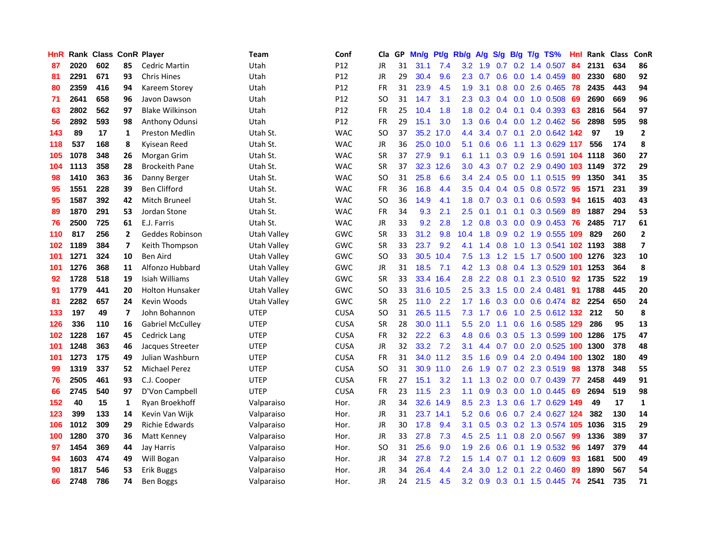| <b>HnR</b> |      | Rank Class ConR Player |                |                         | <b>Team</b> | Conf            | Cla       |    | GP Mn/g | Pt/g      | Rb/g             | A/g             |     |                 | S/g B/g T/g TS%              | Hnl  | Rank Class |     | ConR                    |
|------------|------|------------------------|----------------|-------------------------|-------------|-----------------|-----------|----|---------|-----------|------------------|-----------------|-----|-----------------|------------------------------|------|------------|-----|-------------------------|
| 87         | 2020 | 602                    | 85             | <b>Cedric Martin</b>    | Utah        | P12             | JR        | 31 | 31.1    | 7.4       | 3.2              | 1.9             | 0.7 | 0.2             | 1.4 0.507                    | 84   | 2131       | 634 | 86                      |
| 81         | 2291 | 671                    | 93             | <b>Chris Hines</b>      | Utah        | P12             | JR        | 29 | 30.4    | 9.6       | 2.3              | 0.7             | 0.6 | 0.0             | 1.4 0.459                    | 80   | 2330       | 680 | 92                      |
| 80         | 2359 | 416                    | 94             | Kareem Storey           | Utah        | P <sub>12</sub> | <b>FR</b> | 31 | 23.9    | 4.5       | 1.9              | 3.1             | 0.8 | 0.0             | 2.6 0.465                    | 78   | 2435       | 443 | 94                      |
| 71         | 2641 | 658                    | 96             | Javon Dawson            | Utah        | P12             | <b>SO</b> | 31 | 14.7    | 3.1       | $2.3^{\circ}$    |                 |     |                 | 0.3 0.4 0.0 1.0 0.508        | -69  | 2690       | 669 | 96                      |
| 63         | 2802 | 562                    | 97             | <b>Blake Wilkinson</b>  | Utah        | P12             | <b>FR</b> | 25 | 10.4    | 1.8       |                  |                 |     |                 | 1.8 0.2 0.4 0.1 0.4 0.393 63 |      | 2816       | 564 | 97                      |
| 56         | 2892 | 593                    | 98             | Anthony Odunsi          | Utah        | P12             | <b>FR</b> | 29 | 15.1    | 3.0       | 1.3              | 0.6             |     |                 | $0.4$ 0.0 1.2 0.462          | -56  | 2898       | 595 | 98                      |
| 143        | 89   | 17                     | 1              | <b>Preston Medlin</b>   | Utah St.    | <b>WAC</b>      | <b>SO</b> | 37 |         | 35.2 17.0 | 4.4              | 3.4             |     |                 | 0.7 0.1 2.0 0.642 142        |      | 97         | 19  | $\mathbf{2}$            |
| 118        | 537  | 168                    | 8              | Kyisean Reed            | Utah St.    | <b>WAC</b>      | JR        | 36 |         | 25.0 10.0 | 5.1              | 0.6             | 0.6 |                 | 1.1 1.3 0.629 117            |      | 556        | 174 | 8                       |
| 105        | 1078 | 348                    | 26             | Morgan Grim             | Utah St.    | <b>WAC</b>      | <b>SR</b> | 37 | 27.9    | 9.1       | 6.1              | 1.1             |     | $0.3 \quad 0.9$ | 1.6 0.591 <b>104 1118</b>    |      |            | 360 | 27                      |
| 104        | 1113 | 358                    | 28             | <b>Brockeith Pane</b>   | Utah St.    | <b>WAC</b>      | <b>SR</b> | 37 |         | 32.3 12.6 | 3.0 <sub>2</sub> | 4.3             |     |                 | 0.7 0.2 2.9 0.490 103 1149   |      |            | 372 | 29                      |
| 98         | 1410 | 363                    | 36             | Danny Berger            | Utah St.    | <b>WAC</b>      | <b>SO</b> | 31 | 25.8    | 6.6       | 3.4              | 2.4             |     |                 | $0.5$ 0.0 1.1 0.515          | -99  | 1350       | 341 | 35                      |
| 95         | 1551 | 228                    | 39             | <b>Ben Clifford</b>     | Utah St.    | <b>WAC</b>      | FR        | 36 | 16.8    | 4.4       | 3.5              | 0.4             |     | $0.4\quad 0.5$  | $0.8$ 0.572                  | 95   | 1571       | 231 | 39                      |
| 95         | 1587 | 392                    | 42             | Mitch Bruneel           | Utah St.    | <b>WAC</b>      | <b>SO</b> | 36 | 14.9    | 4.1       | 1.8              | 0.7             | 0.3 | 0.1             | 0.6 0.593                    | 94   | 1615       | 403 | 43                      |
| 89         | 1870 | 291                    | 53             | Jordan Stone            | Utah St.    | <b>WAC</b>      | <b>FR</b> | 34 | 9.3     | 2.1       | 2.5              | 0.1             | 0.1 | 0.1             | 0.3 0.569                    | 89   | 1887       | 294 | 53                      |
| 76         | 2500 | 725                    | 61             | E.J. Farris             | Utah St.    | <b>WAC</b>      | JR        | 33 | 9.2     | 2.8       | 1.2 <sub>1</sub> | 0.8             | 0.3 | 0.0             | $0.9$ 0.453                  | 76   | 2485       | 717 | 61                      |
| 110        | 817  | 256                    | $\mathbf{2}$   | Geddes Robinson         | Utah Valley | GWC             | <b>SR</b> | 33 | 31.2    | 9.8       | $10.4$ 1.8       |                 |     |                 | 0.9 0.2 1.9 0.555 109        |      | 829        | 260 | $\mathbf{2}$            |
| 102        | 1189 | 384                    | $\overline{ }$ | Keith Thompson          | Utah Valley | GWC             | <b>SR</b> | 33 | 23.7    | 9.2       |                  | 4.1 1.4 0.8     |     |                 | 1.0 1.3 0.541 102 1193       |      |            | 388 | $\overline{\mathbf{z}}$ |
| 101        | 1271 | 324                    | 10             | <b>Ben Aird</b>         | Utah Valley | GWC             | <b>SO</b> | 33 |         | 30.5 10.4 |                  | $7.5$ 1.3       | 1.2 |                 | 1.5 1.7 0.500 100 1276       |      |            | 323 | 10                      |
| 101        | 1276 | 368                    | 11             | Alfonzo Hubbard         | Utah Valley | GWC             | JR        | 31 | 18.5    | 7.1       |                  | $4.2 \quad 1.3$ |     |                 | 0.8 0.4 1.3 0.529 101 1253   |      |            | 364 | 8                       |
| 92         | 1728 | 518                    | 19             | Isiah Williams          | Utah Valley | GWC             | <b>SR</b> | 33 |         | 33.4 16.4 | 2.8              | $2.2^{\circ}$   |     |                 | 0.8 0.1 2.3 0.510 92         |      | 1735       | 522 | 19                      |
| 91         | 1779 | 441                    | 20             | <b>Holton Hunsaker</b>  | Utah Vallev | <b>GWC</b>      | SO.       | 33 |         | 31.6 10.5 | 2.5              | 3.3             | 1.5 |                 | $0.0$ 2.4 0.481              | -91  | 1788       | 445 | 20                      |
| 81         | 2282 | 657                    | 24             | Kevin Woods             | Utah Valley | GWC             | <b>SR</b> | 25 | 11.0    | 2.2       | 1.7              | 1.6             |     |                 | $0.3$ 0.0 0.6 0.474          | -82  | 2254       | 650 | 24                      |
| 133        | 197  | 49                     | 7              | John Bohannon           | <b>UTEP</b> | <b>CUSA</b>     | <b>SO</b> | 31 |         | 26.5 11.5 | 7.3              | 1.7             | 0.6 |                 | 1.0 2.5 0.612 132            |      | -212       | 50  | 8                       |
| 126        | 336  | 110                    | 16             | <b>Gabriel McCulley</b> | <b>UTEP</b> | <b>CUSA</b>     | <b>SR</b> | 28 |         | 30.0 11.1 | 5.5              | 2.0             |     |                 | 1.1 0.6 1.6 0.585 129        |      | 286        | 95  | 13                      |
| 102        | 1228 | 167                    | 45             | <b>Cedrick Lang</b>     | <b>UTEP</b> | <b>CUSA</b>     | <b>FR</b> | 32 | 22.2    | 6.3       | 4.8              | 0.6             |     | $0.3 \quad 0.5$ | 1.3 0.599 100                |      | 1286       | 175 | 47                      |
| 101        | 1248 | 363                    | 46             | Jacques Streeter        | <b>UTEP</b> | <b>CUSA</b>     | <b>JR</b> | 32 | 33.2    | 7.2       | 3.1              | 4.4             | 0.7 | 0.0             | 2.0 0.525 100                |      | 1300       | 378 | 48                      |
| 101        | 1273 | 175                    | 49             | Julian Washburn         | <b>UTEP</b> | <b>CUSA</b>     | FR        | 31 |         | 34.0 11.2 | 3.5              | 1.6             | 0.9 | 0.4             | 2.0 0.494 100                |      | 1302       | 180 | 49                      |
| 99         | 1319 | 337                    | 52             | <b>Michael Perez</b>    | <b>UTEP</b> | <b>CUSA</b>     | SO.       | 31 |         | 30.9 11.0 | 2.6              | 1.9             | 0.7 |                 | 0.2 2.3 0.519                | 98   | 1378       | 348 | 55                      |
| 76         | 2505 | 461                    | 93             | C.J. Cooper             | <b>UTEP</b> | <b>CUSA</b>     | <b>FR</b> | 27 | 15.1    | 3.2       | 1.1              |                 |     |                 | 1.3 0.2 0.0 0.7 0.439 77     |      | 2458       | 449 | 91                      |
| 66         | 2745 | 540                    | 97             | D'Von Campbell          | <b>UTEP</b> | <b>CUSA</b>     | <b>FR</b> | 23 | $11.5$  | 2.3       | 1.1              | 0.9             |     |                 | $0.3$ 0.0 1.0 0.445          | - 69 | 2694       | 519 | 98                      |
| 152        | 40   | 15                     | 1              | Ryan Broekhoff          | Valparaiso  | Hor.            | JR        | 34 |         | 32.6 14.9 |                  | $8.5$ 2.3       |     |                 | 1.3 0.6 1.7 0.629 149        |      | 49         | 17  | $\mathbf{1}$            |
| 123        | 399  | 133                    | 14             | Kevin Van Wijk          | Valparaiso  | Hor.            | JR        | 31 |         | 23.7 14.1 | 5.2              | 0.6             |     |                 | 0.6 0.7 2.4 0.627 124        |      | 382        | 130 | 14                      |
| 106        | 1012 | 309                    | 29             | <b>Richie Edwards</b>   | Valparaiso  | Hor.            | JR        | 30 | 17.8    | 9.4       | 3.1              | 0.5             |     |                 | 0.3 0.2 1.3 0.574 105        |      | 1036       | 315 | 29                      |
| 100        | 1280 | 370                    | 36             | Matt Kenney             | Valparaiso  | Hor.            | JR        | 33 | 27.8    | 7.3       | 4.5              | 2.5             | 1.1 |                 | 0.8 2.0 0.567                | -99  | 1336       | 389 | 37                      |
| 97         | 1454 | 369                    | 44             | Jay Harris              | Valparaiso  | Hor.            | <b>SO</b> | 31 | 25.6    | 9.0       | 1.9              | 2.6             | 0.6 | 0.1             | 1.9 0.532                    | 96   | 1497       | 379 | 44                      |
| 94         | 1603 | 474                    | 49             | Will Bogan              | Valparaiso  | Hor.            | JR        | 34 | 27.8    | 7.2       | 1.5              | 1.4             | 0.7 | 0.1             | 1.2 0.609                    | 93   | 1681       | 500 | 49                      |
| 90         | 1817 | 546                    | 53             | Erik Buggs              | Valparaiso  | Hor.            | JR        | 34 | 26.4    | 4.4       | 2.4              | 3.0             | 1.2 | 0.1             | 2.2 0.460                    | 89   | 1890       | 567 | 54                      |
| 66         | 2748 | 786                    | 74             | <b>Ben Boggs</b>        | Valparaiso  | Hor.            | <b>JR</b> | 24 | 21.5    | 4.5       | 3.2              | 0.9             |     |                 | 0.3 0.1 1.5 0.445            | 74   | 2541       | 735 | 71                      |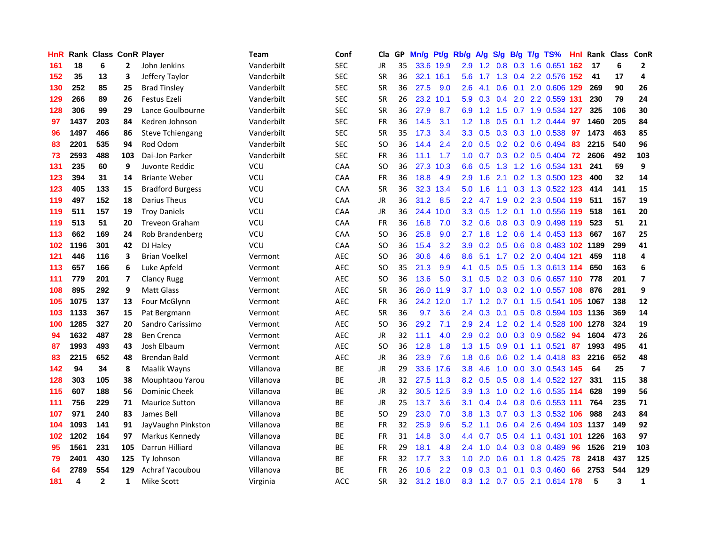| HnR |      | <b>Rank Class ConR Player</b> |              |                         | Team       | Conf       | Cla           |    | GP Mn/g | Pt/g      | Rb/g             | A/g             | <b>S/g</b> |                 | B/g T/g TS%                    | Hnl | Rank Class ConR |     |                          |
|-----|------|-------------------------------|--------------|-------------------------|------------|------------|---------------|----|---------|-----------|------------------|-----------------|------------|-----------------|--------------------------------|-----|-----------------|-----|--------------------------|
| 161 | 18   | 6                             | $\mathbf{2}$ | John Jenkins            | Vanderbilt | <b>SEC</b> | JR            | 35 |         | 33.6 19.9 | 2.9              | 1.2             | 0.8        | 0.3             | 1.6 0.651                      | 162 | -17             | 6   | $\overline{2}$           |
| 152 | 35   | 13                            | 3            | Jeffery Taylor          | Vanderbilt | <b>SEC</b> | <b>SR</b>     | 36 |         | 32.1 16.1 | 5.6              | 1.7             | 1.3        | 0.4             | 2.2 0.576 152                  |     | 41              | 17  | 4                        |
| 130 | 252  | 85                            | 25           | <b>Brad Tinsley</b>     | Vanderbilt | <b>SEC</b> | <b>SR</b>     | 36 | 27.5    | 9.0       | 2.6              | 4.1             | 0.6        | 0.1             | 2.0 0.606 129                  |     | 269             | 90  | 26                       |
| 129 | 266  | 89                            | 26           | Festus Ezeli            | Vanderbilt | <b>SEC</b> | <b>SR</b>     | 26 |         | 23.2 10.1 | 5.9              |                 |            |                 | 0.3 0.4 2.0 2.2 0.559 131      |     | 230             | 79  | 24                       |
| 128 | 306  | 99                            | 29           | Lance Goulbourne        | Vanderbilt | <b>SEC</b> | <b>SR</b>     | 36 | 27.9    | 8.7       | 6.9              |                 |            |                 | 1.2 1.5 0.7 1.9 0.534 127      |     | 325             | 106 | 30                       |
| 97  | 1437 | 203                           | 84           | Kedren Johnson          | Vanderbilt | <b>SEC</b> | <b>FR</b>     | 36 | 14.5    | 3.1       |                  | $1.2 \quad 1.8$ |            |                 | $0.5$ 0.1 1.2 0.444            | 97  | 1460            | 205 | 84                       |
| 96  | 1497 | 466                           | 86           | <b>Steve Tchiengang</b> | Vanderbilt | <b>SEC</b> | <b>SR</b>     | 35 | 17.3    | 3.4       | 3.3 <sub>1</sub> | 0.5             |            |                 | 0.3 0.3 1.0 0.538              | 97  | 1473            | 463 | 85                       |
| 83  | 2201 | 535                           | 94           | Rod Odom                | Vanderbilt | <b>SEC</b> | SO            | 36 | 14.4    | 2.4       | 2.0 <sub>1</sub> | 0.5             |            |                 | $0.2$ 0.2 0.6 0.494            | 83  | 2215            | 540 | 96                       |
| 73  | 2593 | 488                           | 103          | Dai-Jon Parker          | Vanderbilt | <b>SEC</b> | <b>FR</b>     | 36 | 11.1    | 1.7       | 1.0              | 0.7             |            |                 | $0.3$ 0.2 0.5 0.404            | -72 | 2606            | 492 | 103                      |
| 131 | 235  | 60                            | 9            | Juvonte Reddic          | VCU        | CAA        | <sub>SO</sub> | 36 |         | 27.3 10.3 | 6.6              | 0.5             | 1.3        |                 | 1.2 1.6 0.534 131              |     | 241             | 59  | 9                        |
| 123 | 394  | 31                            | 14           | <b>Briante Weber</b>    | <b>VCU</b> | CAA        | <b>FR</b>     | 36 | 18.8    | 4.9       | 2.9              | 1.6             | 2.1        |                 | 0.2 1.3 0.500 123              |     | 400             | 32  | 14                       |
| 123 | 405  | 133                           | 15           | <b>Bradford Burgess</b> | VCU        | CAA        | <b>SR</b>     | 36 |         | 32.3 13.4 | 5.0              | 1.6             | 1.1        |                 | 0.3 1.3 0.522 123              |     | 414             | 141 | 15                       |
| 119 | 497  | 152                           | 18           | Darius Theus            | VCU        | <b>CAA</b> | JR            | 36 | 31.2    | 8.5       | 2.2 <sub>2</sub> | 4.7             | 1.9        | 0.2             | 2.3 0.504 119                  |     | 511             | 157 | 19                       |
| 119 | 511  | 157                           | 19           | <b>Troy Daniels</b>     | <b>VCU</b> | CAA        | JR            | 36 |         | 24.4 10.0 | 3.3 <sub>2</sub> | 0.5             | 1.2        |                 | 0.1 1.0 0.556 119              |     | 518             | 161 | 20                       |
| 119 | 513  | 51                            | 20           | <b>Treveon Graham</b>   | <b>VCU</b> | CAA        | <b>FR</b>     | 36 | 16.8    | 7.0       | 3.2 <sub>2</sub> | 0.6             | 0.8        | 0.3             | 0.9 0.498 119                  |     | 523             | 51  | 21                       |
| 113 | 662  | 169                           | 24           | Rob Brandenberg         | VCU        | CAA        | SO            | 36 | 25.8    | 9.0       | 2.7              | 1.8             |            | $1.2 \quad 0.6$ | 1.4 0.453 113                  |     | 667             | 167 | 25                       |
| 102 | 1196 | 301                           | 42           | DJ Haley                | VCU        | CAA        | SO            | 36 | 15.4    | 3.2       | 3.9 <sup>°</sup> |                 |            |                 | 0.2 0.5 0.6 0.8 0.483 102 1189 |     |                 | 299 | 41                       |
| 121 | 446  | 116                           | 3            | <b>Brian Voelkel</b>    | Vermont    | <b>AEC</b> | SO            | 36 | 30.6    | 4.6       | 8.6              | 5.1             |            |                 | 1.7 0.2 2.0 0.404 121          |     | 459             | 118 | 4                        |
| 113 | 657  | 166                           | 6            | Luke Apfeld             | Vermont    | AEC        | SO            | 35 | 21.3    | 9.9       | 4.1              | 0.5             |            |                 | 0.5 0.5 1.3 0.613 114          |     | 650             | 163 | 6                        |
| 111 | 779  | 201                           | 7            | Clancy Rugg             | Vermont    | AEC        | <b>SO</b>     | 36 | 13.6    | 5.0       | 3.1              | 0.5             |            |                 | 0.2 0.3 0.6 0.657 110          |     | 778             | 201 | $\overline{\phantom{a}}$ |
| 108 | 895  | 292                           | 9            | <b>Matt Glass</b>       | Vermont    | <b>AEC</b> | <b>SR</b>     | 36 |         | 26.0 11.9 | 3.7              | 1.0             |            |                 | 0.3 0.2 1.0 0.557 108          |     | 876             | 281 | 9                        |
| 105 | 1075 | 137                           | 13           | Four McGlynn            | Vermont    | <b>AEC</b> | <b>FR</b>     | 36 |         | 24.2 12.0 | 1.7              | 1.2             |            | $0.7 \quad 0.1$ | 1.5 0.541 105                  |     | 1067            | 138 | 12                       |
| 103 | 1133 | 367                           | 15           | Pat Bergmann            | Vermont    | <b>AEC</b> | <b>SR</b>     | 36 | 9.7     | 3.6       | 2.4              | 0.3             | 0.1        | 0.5             | 0.8 0.594 103 1136             |     |                 | 369 | 14                       |
| 100 | 1285 | 327                           | 20           | Sandro Carissimo        | Vermont    | <b>AEC</b> | SO            | 36 | 29.2    | 7.1       | 2.9              | 2.4             |            |                 | 1.2 0.2 1.4 0.528 100          |     | 1278            | 324 | 19                       |
| 94  | 1632 | 487                           | 28           | <b>Ben Crenca</b>       | Vermont    | <b>AEC</b> | <b>JR</b>     | 32 | 11.1    | 4.0       | 2.9              | 0.2             | 0.0        |                 | 0.3 0.9 0.582                  | 94  | 1604            | 473 | 26                       |
| 87  | 1993 | 493                           | 43           | Josh Elbaum             | Vermont    | <b>AEC</b> | SO            | 36 | 12.8    | 1.8       | 1.3 <sub>1</sub> | 1.5             | 0.9        | 0.1             | $1.1 \quad 0.521$              | 87  | 1993            | 495 | 41                       |
| 83  | 2215 | 652                           | 48           | Brendan Bald            | Vermont    | <b>AEC</b> | JR            | 36 | 23.9    | 7.6       | 1.8              | 0.6             | 0.6        |                 | 0.2 1.4 0.418                  | 83  | 2216            | 652 | 48                       |
| 142 | 94   | 34                            | 8            | Maalik Wayns            | Villanova  | BE         | <b>JR</b>     | 29 | 33.6    | 17.6      | 3.8              | 4.6             | 1.0        | 0.0             | 3.0 0.543 145                  |     | 64              | 25  | $\overline{\mathbf{z}}$  |
| 128 | 303  | 105                           | 38           | Mouphtaou Yarou         | Villanova  | <b>BE</b>  | <b>JR</b>     | 32 |         | 27.5 11.3 | 8.2              | 0.5             | 0.5        | 0.8             | 1.4 0.522 127                  |     | 331             | 115 | 38                       |
| 115 | 607  | 188                           | 56           | <b>Dominic Cheek</b>    | Villanova  | ВE         | JR            | 32 |         | 30.5 12.5 | 3.9 <sup>°</sup> | 1.3             |            |                 | 1.0 0.2 1.6 0.535 114          |     | 628             | 199 | 56                       |
| 111 | 756  | 229                           | 71           | <b>Maurice Sutton</b>   | Villanova  | ВE         | <b>JR</b>     | 25 | 13.7    | 3.6       | 3.1              | 0.4             |            |                 | 0.4 0.8 0.6 0.553 111          |     | 764             | 235 | 71                       |
| 107 | 971  | 240                           | 83           | James Bell              | Villanova  | BE         | <sub>SO</sub> | 29 | 23.0    | 7.0       | 3.8 <sub>1</sub> |                 |            |                 | 1.3 0.7 0.3 1.3 0.532 106      |     | 988             | 243 | 84                       |
| 104 | 1093 | 141                           | 91           | JayVaughn Pinkston      | Villanova  | ВE         | FR            | 32 | 25.9    | 9.6       | 5.2              | 1.1             | 0.6        |                 | 0.4 2.6 0.494 103 1137         |     |                 | 149 | 92                       |
| 102 | 1202 | 164                           | 97           | Markus Kennedy          | Villanova  | ВE         | FR            | 31 | 14.8    | 3.0       | $4.4^{\circ}$    | 0.7             |            |                 | 0.5 0.4 1.1 0.431 101          |     | 1226            | 163 | 97                       |
| 95  | 1561 | 231                           | 105          | Darrun Hilliard         | Villanova  | BE         | <b>FR</b>     | 29 | 18.1    | 4.8       | $2.4^{\circ}$    | 1.0             |            |                 | $0.4$ 0.3 0.8 0.489            | 96  | 1526            | 219 | 103                      |
| 79  | 2401 | 430                           | 125          | Ty Johnson              | Villanova  | BE         | <b>FR</b>     | 32 | 17.7    | 3.3       | 1.0              | 2.0             | 0.6        | 0.1             | 1.8 0.425                      | 78  | 2418            | 437 | 125                      |
| 64  | 2789 | 554                           | 129          | Achraf Yacoubou         | Villanova  | ВE         | FR            | 26 | 10.6    | 2.2       | 0.9              | 0.3             | 0.1        | 0.1             | 0.3 0.460                      | 66  | 2753            | 544 | 129                      |
| 181 | 4    | $\mathbf{2}$                  | 1            | <b>Mike Scott</b>       | Virginia   | <b>ACC</b> | <b>SR</b>     | 32 |         | 31.2 18.0 |                  |                 |            |                 | 8.3 1.2 0.7 0.5 2.1 0.614 178  |     | 5               | 3   | $\mathbf{1}$             |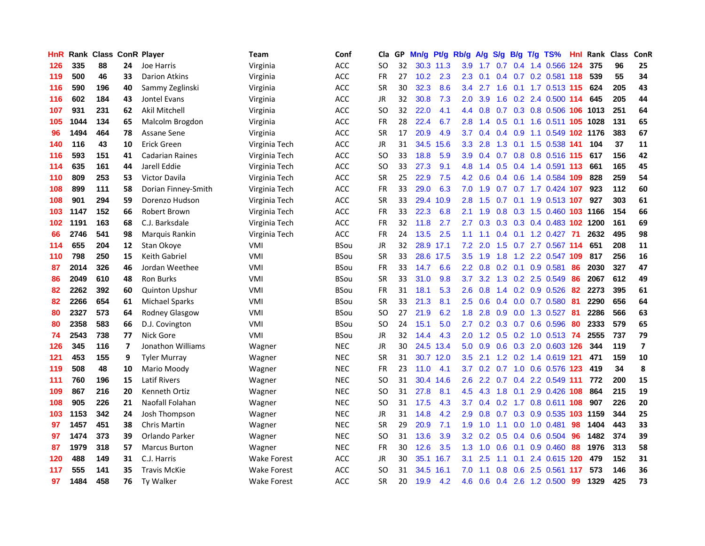| <b>HnR</b> |      | Rank Class ConR Player |    |                        | <b>Team</b>        | Conf        | Cla       |    | GP Mn/g | Pt/g      | Rb/g             | A/g     |     |                 | S/g B/g T/g TS%            | Hnl  | Rank Class |     | ConR                     |
|------------|------|------------------------|----|------------------------|--------------------|-------------|-----------|----|---------|-----------|------------------|---------|-----|-----------------|----------------------------|------|------------|-----|--------------------------|
| 126        | 335  | 88                     | 24 | Joe Harris             | Virginia           | <b>ACC</b>  | SO        | 32 |         | 30.3 11.3 | 3.9              | 1.7     | 0.7 | 0.4             | 1.4 0.566                  | 124  | 375        | 96  | 25                       |
| 119        | 500  | 46                     | 33 | Darion Atkins          | Virginia           | ACC         | <b>FR</b> | 27 | 10.2    | 2.3       | 2.3              | 0.1     |     | $0.4 \quad 0.7$ | 0.2 0.581 118              |      | 539        | 55  | 34                       |
| 116        | 590  | 196                    | 40 | Sammy Zeglinski        | Virginia           | ACC         | <b>SR</b> | 30 | 32.3    | 8.6       | 3.4              | 2.7     | 1.6 | 0.1             | 1.7 0.513 115              |      | 624        | 205 | 43                       |
| 116        | 602  | 184                    | 43 | <b>Jontel Evans</b>    | Virginia           | <b>ACC</b>  | JR        | 32 | 30.8    | 7.3       | 2.0              | 3.9     |     |                 | 1.6 0.2 2.4 0.500 114      |      | 645        | 205 | 44                       |
| 107        | 931  | 231                    | 62 | Akil Mitchell          | Virginia           | <b>ACC</b>  | SO.       | 32 | 22.0    | 4.1       |                  | 4.4 0.8 |     |                 | 0.7 0.3 0.8 0.506 106 1013 |      |            | 251 | 64                       |
| 105        | 1044 | 134                    | 65 | Malcolm Brogdon        | Virginia           | ACC         | FR        | 28 | 22.4    | 6.7       | 2.8              | 1.4     |     |                 | 0.5 0.1 1.6 0.511 105 1028 |      |            | 131 | 65                       |
| 96         | 1494 | 464                    | 78 | Assane Sene            | Virginia           | ACC         | <b>SR</b> | 17 | 20.9    | 4.9       | 3.7              | 0.4     |     |                 | 0.4 0.9 1.1 0.549 102 1176 |      |            | 383 | 67                       |
| 140        | 116  | 43                     | 10 | <b>Erick Green</b>     | Virginia Tech      | ACC         | JR        | 31 | 34.5    | 15.6      | 3.3 <sub>2</sub> | 2.8     |     |                 | 1.3 0.1 1.5 0.538 141      |      | 104        | 37  | 11                       |
| 116        | 593  | 151                    | 41 | <b>Cadarian Raines</b> | Virginia Tech      | <b>ACC</b>  | <b>SO</b> | 33 | 18.8    | 5.9       | 3.9              | 0.4     |     |                 | 0.7 0.8 0.8 0.516 115      |      | 617        | 156 | 42                       |
| 114        | 635  | 161                    | 44 | Jarell Eddie           | Virginia Tech      | <b>ACC</b>  | <b>SO</b> | 33 | 27.3    | 9.1       | 4.8              | 1.4     | 0.5 |                 | 0.4 1.4 0.591 113          |      | 661        | 165 | 45                       |
| 110        | 809  | 253                    | 53 | Victor Davila          | Virginia Tech      | ACC         | <b>SR</b> | 25 | 22.9    | 7.5       | 4.2              | 0.6     |     |                 | 0.4 0.6 1.4 0.584 109      |      | 828        | 259 | 54                       |
| 108        | 899  | 111                    | 58 | Dorian Finney-Smith    | Virginia Tech      | ACC         | <b>FR</b> | 33 | 29.0    | 6.3       | 7.0              | 1.9     | 0.7 |                 | $0.7$ 1.7 $0.424$          | 107  | 923        | 112 | 60                       |
| 108        | 901  | 294                    | 59 | Dorenzo Hudson         | Virginia Tech      | <b>ACC</b>  | <b>SR</b> | 33 |         | 29.4 10.9 | 2.8              | 1.5     | 0.7 | 0.1             | 1.9 0.513 107              |      | 927        | 303 | 61                       |
| 103        | 1147 | 152                    | 66 | Robert Brown           | Virginia Tech      | ACC         | FR        | 33 | 22.3    | 6.8       | 2.1              | 1.9     | 0.8 |                 | 0.3 1.5 0.460 103          |      | 1166       | 154 | 66                       |
| 102        | 1191 | 163                    | 68 | C.J. Barksdale         | Virginia Tech      | <b>ACC</b>  | <b>FR</b> | 32 | 11.8    | 2.7       | 2.7              | 0.3     | 0.3 | 0.3             | 0.4 0.483 102 1200         |      |            | 161 | 69                       |
| 66         | 2746 | 541                    | 98 | Marquis Rankin         | Virginia Tech      | <b>ACC</b>  | <b>FR</b> | 24 | 13.5    | 2.5       | 1.1              | 1.1     |     |                 | 0.4 0.1 1.2 0.427 71       |      | 2632       | 495 | 98                       |
| 114        | 655  | 204                    | 12 | Stan Okoye             | VMI                | <b>BSou</b> | JR        | 32 |         | 28.9 17.1 | 7.2              | 2.0     |     |                 | 1.5 0.7 2.7 0.567 114      |      | 651        | 208 | 11                       |
| 110        | 798  | 250                    | 15 | Keith Gabriel          | VMI                | <b>BSou</b> | <b>SR</b> | 33 |         | 28.6 17.5 | 3.5              | 1.9     | 1.8 |                 | 1.2 2.2 0.547 109          |      | 817        | 256 | 16                       |
| 87         | 2014 | 326                    | 46 | Jordan Weethee         | VMI                | BSou        | FR        | 33 | 14.7    | 6.6       | $2.2^{\circ}$    | 0.8     |     |                 | $0.2$ 0.1 0.9 0.581        | 86   | 2030       | 327 | 47                       |
| 86         | 2049 | 610                    | 48 | <b>Ron Burks</b>       | VMI                | <b>BSou</b> | <b>SR</b> | 33 | 31.0    | 9.8       | 3.7              | 3.2     |     |                 | 1.3 0.2 2.5 0.549          | 86   | 2067       | 612 | 49                       |
| 82         | 2262 | 392                    | 60 | <b>Quinton Upshur</b>  | VMI                | <b>BSou</b> | FR        | 31 | 18.1    | 5.3       | $2.6\,$          | 0.8     |     |                 | 1.4 0.2 0.9 0.526          | 82   | 2273       | 395 | 61                       |
| 82         | 2266 | 654                    | 61 | <b>Michael Sparks</b>  | VMI                | <b>BSou</b> | <b>SR</b> | 33 | 21.3    | 8.1       | 2.5              | 0.6     |     |                 | 0.4 0.0 0.7 0.580          | 81   | 2290       | 656 | 64                       |
| 80         | 2327 | 573                    | 64 | Rodney Glasgow         | VMI                | <b>BSou</b> | <b>SO</b> | 27 | 21.9    | 6.2       | 1.8              | 2.8     | 0.9 |                 | 0.0 1.3 0.527              | -81  | 2286       | 566 | 63                       |
| 80         | 2358 | 583                    | 66 | D.J. Covington         | VMI                | <b>BSou</b> | SO        | 24 | 15.1    | 5.0       | 2.7              | 0.2     |     |                 | 0.3 0.7 0.6 0.596          | 80   | 2333       | 579 | 65                       |
| 74         | 2543 | 738                    | 77 | Nick Gore              | VMI                | <b>BSou</b> | JR        | 32 | 14.4    | 4.3       | 2.0              | 1.2     |     |                 | 0.5 0.2 1.0 0.513 74       |      | 2555       | 737 | 79                       |
| 126        | 345  | 116                    | 7  | Jonathon Williams      | Wagner             | <b>NEC</b>  | <b>JR</b> | 30 | 24.5    | 13.4      | 5.0              | 0.9     | 0.6 | 0.3             | 2.0 0.603 126              |      | 344        | 119 | $\overline{\phantom{a}}$ |
| 121        | 453  | 155                    | 9  | <b>Tyler Murray</b>    | Wagner             | <b>NEC</b>  | <b>SR</b> | 31 |         | 30.7 12.0 | 3.5              | 2.1     |     |                 | 1.2 0.2 1.4 0.619 121      |      | 471        | 159 | 10                       |
| 119        | 508  | 48                     | 10 | Mario Moody            | Wagner             | <b>NEC</b>  | FR        | 23 | 11.0    | 4.1       | 3.7              | 0.2     | 0.7 | 1.0             | 0.6 0.576 123              |      | 419        | 34  | 8                        |
| 111        | 760  | 196                    | 15 | <b>Latif Rivers</b>    | Wagner             | <b>NEC</b>  | SO.       | 31 | 30.4    | 14.6      | 2.6              |         |     |                 | 2.2 0.7 0.4 2.2 0.549 111  |      | 772        | 200 | 15                       |
| 109        | 867  | 216                    | 20 | Kenneth Ortiz          | Wagner             | <b>NEC</b>  | SO.       | 31 | 27.8    | 8.1       | 4.5              | 4.3     |     |                 | 1.8 0.1 2.9 0.426 108      |      | 864        | 215 | 19                       |
| 108        | 905  | 226                    | 21 | Naofall Folahan        | Wagner             | <b>NEC</b>  | SO.       | 31 | 17.5    | 4.3       | 3.7              | 0.4     | 0.2 |                 | 1.7 0.8 0.611 108          |      | 907        | 226 | 20                       |
| 103        | 1153 | 342                    | 24 | Josh Thompson          | Wagner             | <b>NEC</b>  | JR        | 31 | 14.8    | 4.2       | 2.9              | 0.8     |     |                 | 0.7 0.3 0.9 0.535 103      |      | 1159       | 344 | 25                       |
| 97         | 1457 | 451                    | 38 | <b>Chris Martin</b>    | Wagner             | <b>NEC</b>  | <b>SR</b> | 29 | 20.9    | 7.1       | 1.9              | 1.0     | 1.1 |                 | 0.0 1.0 0.481              | 98   | 1404       | 443 | 33                       |
| 97         | 1474 | 373                    | 39 | Orlando Parker         | Wagner             | <b>NEC</b>  | <b>SO</b> | 31 | 13.6    | 3.9       | 3.2 <sub>1</sub> | 0.2     | 0.5 |                 | 0.4 0.6 0.504              | 96   | 1482       | 374 | 39                       |
| 87         | 1979 | 318                    | 57 | <b>Marcus Burton</b>   | Wagner             | <b>NEC</b>  | <b>FR</b> | 30 | 12.6    | 3.5       | 1.3              | 1.0     | 0.6 | 0.1             | 0.9 0.460                  | 88   | 1976       | 313 | 58                       |
| 120        | 488  | 149                    | 31 | C.J. Harris            | <b>Wake Forest</b> | ACC         | JR        | 30 | 35.1    | 16.7      | 3.1              | 2.5     | 1.1 | 0.1             | 2.4 0.615                  | 120  | 479        | 152 | 31                       |
| 117        | 555  | 141                    | 35 | <b>Travis McKie</b>    | Wake Forest        | <b>ACC</b>  | SO        | 31 | 34.5    | 16.1      | 7.0              | 1.1     | 0.8 | 0.6             | 2.5 0.561                  | -117 | 573        | 146 | 36                       |
| 97         | 1484 | 458                    | 76 | <b>Ty Walker</b>       | <b>Wake Forest</b> | ACC         | <b>SR</b> | 20 | 19.9    | 4.2       | 4.6              | 0.6     |     |                 | 0.4 2.6 1.2 0.500          | 99   | 1329       | 425 | 73                       |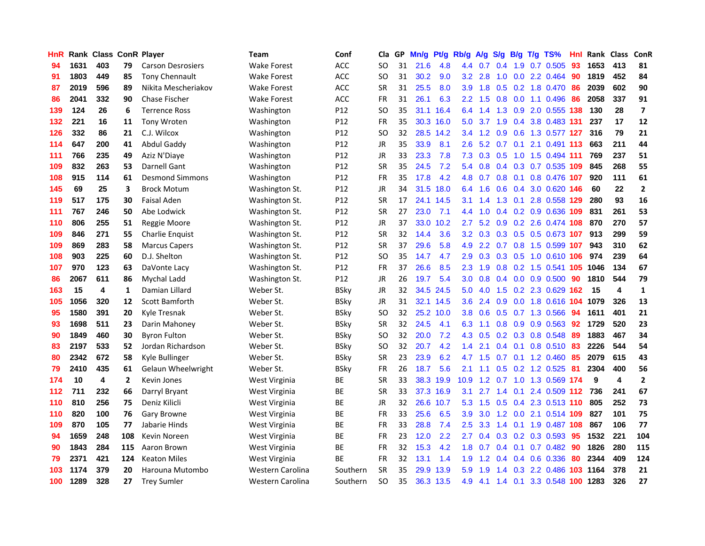| <b>HnR</b> |      | <b>Rank Class ConR Player</b> |              |                          | <b>Team</b>        | Conf            | Cla       |    | GP Mn/g | Pt/g      | Rb/g             | A/g             |     |                 | S/g B/g T/g TS%            | Hnl  | Rank Class |                         | ConR                     |
|------------|------|-------------------------------|--------------|--------------------------|--------------------|-----------------|-----------|----|---------|-----------|------------------|-----------------|-----|-----------------|----------------------------|------|------------|-------------------------|--------------------------|
| 94         | 1631 | 403                           | 79           | <b>Carson Desrosiers</b> | <b>Wake Forest</b> | <b>ACC</b>      | SO        | 31 | 21.6    | 4.8       | 4.4              | 0.7             | 0.4 | 1.9             | 0.7 0.505                  | 93   | 1653       | 413                     | 81                       |
| 91         | 1803 | 449                           | 85           | <b>Tony Chennault</b>    | <b>Wake Forest</b> | ACC             | SO.       | 31 | 30.2    | 9.0       | 3.2 <sub>2</sub> | 2.8             | 1.0 | 0.0             | 2.2 0.464                  | 90   | 1819       | 452                     | 84                       |
| 87         | 2019 | 596                           | 89           | Nikita Mescheriakov      | <b>Wake Forest</b> | <b>ACC</b>      | <b>SR</b> | 31 | 25.5    | 8.0       | 3.9              | 1.8             | 0.5 | 0.2             | 1.8 0.470                  | -86  | 2039       | 602                     | 90                       |
| 86         | 2041 | 332                           | 90           | <b>Chase Fischer</b>     | <b>Wake Forest</b> | <b>ACC</b>      | FR        | 31 | 26.1    | 6.3       | 2.2 <sub>2</sub> | 1.5             | 0.8 |                 | 0.0 1.1 0.496              | -86  | 2058       | 337                     | 91                       |
| 139        | 124  | 26                            | 6            | <b>Terrence Ross</b>     | Washington         | P <sub>12</sub> | SO.       | 35 |         | 31.1 16.4 |                  | 6.4 1.4         |     |                 | 1.3 0.9 2.0 0.555 138      |      | 130        | 28                      | $\overline{\phantom{a}}$ |
| 132        | 221  | 16                            | 11           | <b>Tony Wroten</b>       | Washington         | P12             | <b>FR</b> | 35 |         | 30.3 16.0 | 5.0              | 3.7             |     |                 | 1.9 0.4 3.8 0.483 131      |      | 237        | 17                      | 12                       |
| 126        | 332  | 86                            | 21           | C.J. Wilcox              | Washington         | P <sub>12</sub> | <b>SO</b> | 32 |         | 28.5 14.2 | 3.4              | 1.2             |     |                 | 0.9 0.6 1.3 0.577 127      |      | 316        | 79                      | 21                       |
| 114        | 647  | 200                           | 41           | Abdul Gaddy              | Washington         | P12             | JR        | 35 | 33.9    | 8.1       | $2.6\,$          | 5.2             |     | $0.7 \quad 0.1$ | 2.1 0.491 113              |      | 663        | 211                     | 44                       |
| 111        | 766  | 235                           | 49           | Aziz N'Diaye             | Washington         | P12             | JR        | 33 | 23.3    | 7.8       | 7.3              | 0.3             | 0.5 |                 | 1.0 1.5 0.494 111          |      | 769        | 237                     | 51                       |
| 109        | 832  | 263                           | 53           | Darnell Gant             | Washington         | P <sub>12</sub> | <b>SR</b> | 35 | 24.5    | 7.2       | 5.4              | 0.8             |     |                 | $0.4$ $0.3$ $0.7$ $0.535$  | 109  | 845        | 268                     | 55                       |
| 108        | 915  | 114                           | 61           | <b>Desmond Simmons</b>   | Washington         | P12             | <b>FR</b> | 35 | 17.8    | 4.2       | 4.8              | 0.7             |     | $0.8\ 0.1$      | 0.8 0.476 107              |      | 920        | 111                     | 61                       |
| 145        | 69   | 25                            | 3            | <b>Brock Motum</b>       | Washington St.     | P12             | JR        | 34 | 31.5    | 18.0      | 6.4              | 1.6             | 0.6 | 0.4             | 3.0 0.620 146              |      | 60         | 22                      | $\mathbf{2}$             |
| 119        | 517  | 175                           | 30           | <b>Faisal Aden</b>       | Washington St.     | P12             | <b>SR</b> | 17 |         | 24.1 14.5 | 3.1              | 1.4             | 1.3 | 0.1             | 2.8 0.558                  | 129  | 280        | 93                      | 16                       |
| 111        | 767  | 246                           | 50           | Abe Lodwick              | Washington St.     | P12             | <b>SR</b> | 27 | 23.0    | 7.1       | 4.4              | 1.0             |     |                 | 0.4 0.2 0.9 0.636 109      |      | 831        | 261                     | 53                       |
| 110        | 806  | 255                           | 51           | Reggie Moore             | Washington St.     | P12             | JR        | 37 | 33.0    | 10.2      | 2.7              | 5.2             | 0.9 | 0.2             | 2.6 0.474 108              |      | 870        | 270                     | 57                       |
| 109        | 846  | 271                           | 55           | Charlie Enquist          | Washington St.     | P12             | <b>SR</b> | 32 | 14.4    | 3.6       | 3.2              | 0.3             |     | $0.3 \quad 0.5$ | 0.5 0.673 107              |      | 913        | 299                     | 59                       |
| 109        | 869  | 283                           | 58           | <b>Marcus Capers</b>     | Washington St.     | P12             | <b>SR</b> | 37 | 29.6    | 5.8       | 4.9              |                 |     |                 | 2.2 0.7 0.8 1.5 0.599 107  |      | 943        | 310                     | 62                       |
| 108        | 903  | 225                           | 60           | D.J. Shelton             | Washington St.     | P12             | <b>SO</b> | 35 | 14.7    | 4.7       | 2.9              |                 |     |                 | 0.3 0.3 0.5 1.0 0.610 106  |      | 974        | 239                     | 64                       |
| 107        | 970  | 123                           | 63           | DaVonte Lacy             | Washington St.     | P12             | FR        | 37 | 26.6    | 8.5       |                  | $2.3$ 1.9       |     |                 | 0.8 0.2 1.5 0.541 105      |      | 1046       | 134                     | 67                       |
| 86         | 2067 | 611                           | 86           | Mychal Ladd              | Washington St.     | P12             | JR        | 26 | 19.7    | 5.4       |                  | $3.0 \quad 0.8$ |     |                 | $0.4$ 0.0 0.9 0.500        | -90  | 1810       | 544                     | 79                       |
| 163        | 15   | 4                             | 1            | Damian Lillard           | Weber St.          | <b>BSky</b>     | JR        | 32 | 34.5    | 24.5      | 5.0              | 4.0             |     |                 | 1.5 0.2 2.3 0.629 162      |      | 15         | 4                       | $\mathbf{1}$             |
| 105        | 1056 | 320                           | 12           | Scott Bamforth           | Weber St.          | <b>BSky</b>     | JR        | 31 |         | 32.1 14.5 | 3.6              | 2.4             |     |                 | 0.9 0.0 1.8 0.616 104 1079 |      |            | 326                     | 13                       |
| 95         | 1580 | 391                           | 20           | Kyle Tresnak             | Weber St.          | <b>BSky</b>     | <b>SO</b> | 32 |         | 25.2 10.0 | 3.8              | 0.6             |     |                 | $0.5$ $0.7$ 1.3 $0.566$    | 94   | 1611       | 401                     | 21                       |
| 93         | 1698 | 511                           | 23           | Darin Mahoney            | Weber St.          | <b>BSky</b>     | <b>SR</b> | 32 | 24.5    | 4.1       | 6.3              | 1.1             |     |                 | $0.8$ 0.9 0.9 0.563        | 92   | 1729       | 520                     | 23                       |
| 90         | 1849 | 460                           | 30           | <b>Byron Fulton</b>      | Weber St.          | <b>BSky</b>     | SO        | 32 | 20.0    | 7.2       | 4.3              | 0.5             |     |                 | 0.2 0.3 0.8 0.548          | -89  | 1883       | 467                     | 34                       |
| 83         | 2197 | 533                           | 52           | Jordan Richardson        | Weber St.          | <b>BSky</b>     | <b>SO</b> | 32 | 20.7    | 4.2       | 1.4              | 2.1             | 0.4 | 0.1             | 0.8 0.510                  | 83   | 2226       | 544                     | 54                       |
| 80         | 2342 | 672                           | 58           | Kyle Bullinger           | Weber St.          | <b>BSky</b>     | <b>SR</b> | 23 | 23.9    | 6.2       | 4.7              | 1.5             | 0.7 |                 | $0.1$ 1.2 $0.460$          | 85   | 2079       | 615                     | 43                       |
| 79         | 2410 | 435                           | 61           | Gelaun Wheelwright       | Weber St.          | BSkv            | FR        | 26 | 18.7    | 5.6       | 2.1              | 1.1             | 0.5 |                 | $0.2$ 1.2 0.525            | 81   | 2304       | 400                     | 56                       |
| 174        | 10   | 4                             | $\mathbf{2}$ | Kevin Jones              | West Virginia      | BE              | <b>SR</b> | 33 | 38.3    | 19.9      | 10.9             | 1.2             | 0.7 | 1.0             | 1.3 0.569                  | -174 | 9          | $\overline{\mathbf{4}}$ | $\mathbf{2}$             |
| 112        | 711  | 232                           | 66           | Darryl Bryant            | West Virginia      | BE              | <b>SR</b> | 33 |         | 37.3 16.9 | 3.1              | 2.7             | 1.4 | 0.1             | 2.4 0.509 112              |      | 736        | 241                     | 67                       |
| 110        | 810  | 256                           | 75           | Deniz Kilicli            | West Virginia      | ВE              | JR        | 32 | 26.6    | 10.7      | 5.3              | 1.5             |     |                 | 0.5 0.4 2.3 0.513 110      |      | 805        | 252                     | 73                       |
| 110        | 820  | 100                           | 76           | Gary Browne              | West Virginia      | BE              | FR        | 33 | 25.6    | 6.5       | 3.9              | 3.0             |     |                 | 1.2 0.0 2.1 0.514 109      |      | 827        | 101                     | 75                       |
| 109        | 870  | 105                           | 77           | Jabarie Hinds            | West Virginia      | BE              | FR        | 33 | 28.8    | 7.4       | 2.5              | 3.3             |     |                 | 1.4 0.1 1.9 0.487 108      |      | 867        | 106                     | 77                       |
| 94         | 1659 | 248                           | 108          | Kevin Noreen             | West Virginia      | <b>BE</b>       | <b>FR</b> | 23 | 12.0    | 2.2       | 2.7              | 0.4             |     |                 | $0.3$ $0.2$ $0.3$ $0.593$  | -95  | 1532       | 221                     | 104                      |
| 90         | 1843 | 284                           | 115          | Aaron Brown              | West Virginia      | ВE              | FR        | 32 | 15.3    | 4.2       | 1.8              | 0.7             |     | $0.4 \quad 0.1$ | $0.7$ $0.482$              | 90   | 1826       | 280                     | 115                      |
| 79         | 2371 | 421                           | 124          | <b>Keaton Miles</b>      | West Virginia      | <b>BE</b>       | <b>FR</b> | 32 | 13.1    | 1.4       | 1.9              | 1.2             | 0.4 | 0.4             | 0.6 0.336                  | 80   | 2344       | 409                     | 124                      |
| 103        | 1174 | 379                           | 20           | Harouna Mutombo          | Western Carolina   | Southern        | <b>SR</b> | 35 | 29.9    | 13.9      | 5.9              | 1.9             | 1.4 | 0.3             | 2.2 0.486                  | 103  | 1164       | 378                     | 21                       |
| 100        | 1289 | 328                           | 27           | <b>Trey Sumler</b>       | Western Carolina   | Southern        | SO.       | 35 | 36.3    | 13.5      | 4.9              | 4.1             |     | $1.4 \quad 0.1$ | 3.3 0.548 100 1283         |      |            | 326                     | 27                       |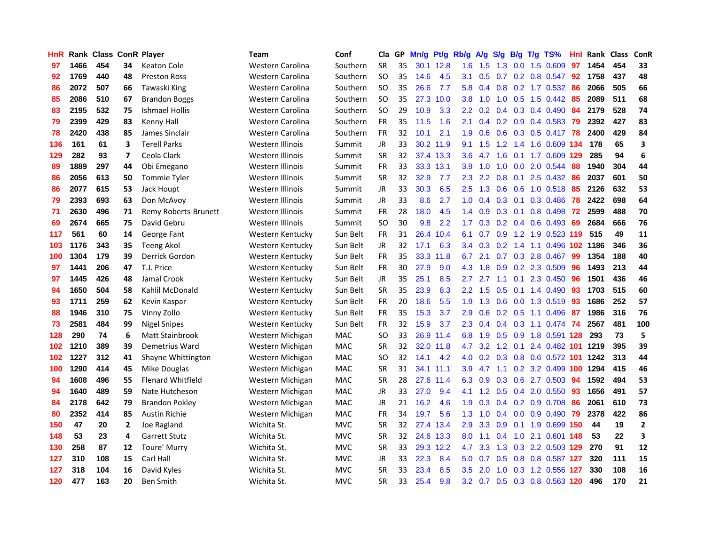| <b>HnR</b> |      | <b>Rank Class ConR Player</b> |                |                          | <b>Team</b>      | Conf       | Cla       |    | GP Mn/g | Pt/g      | Rb/g             | A/g             |     |                 | S/g B/g T/g TS%               | Hnl | Rank Class |     | <b>ConR</b>  |
|------------|------|-------------------------------|----------------|--------------------------|------------------|------------|-----------|----|---------|-----------|------------------|-----------------|-----|-----------------|-------------------------------|-----|------------|-----|--------------|
| 97         | 1466 | 454                           | 34             | Keaton Cole              | Western Carolina | Southern   | <b>SR</b> | 35 |         | 30.1 12.8 | 1.6              | 1.5             | 1.3 | 0.0             | 1.5 0.609                     | 97  | 1454       | 454 | 33           |
| 92         | 1769 | 440                           | 48             | <b>Preston Ross</b>      | Western Carolina | Southern   | <b>SO</b> | 35 | 14.6    | 4.5       | 3.1              | 0.5             | 0.7 | 0.2             | 0.8 0.547                     | 92  | 1758       | 437 | 48           |
| 86         | 2072 | 507                           | 66             | Tawaski King             | Western Carolina | Southern   | <b>SO</b> | 35 | 26.6    | 7.7       | 5.8              | 0.4             | 0.8 |                 | $0.2$ 1.7 $0.532$             | -86 | 2066       | 505 | 66           |
| 85         | 2086 | 510                           | 67             | <b>Brandon Boggs</b>     | Western Carolina | Southern   | <b>SO</b> | 35 |         | 27.3 10.0 | 3.8              | 1.0             | 1.0 |                 | $0.5$ 1.5 0.442               | -85 | 2089       | 511 | 68           |
| 83         | 2195 | 532                           | 75             | <b>Ishmael Hollis</b>    | Western Carolina | Southern   | <b>SO</b> | 29 | 10.9    | 3.3       |                  |                 |     |                 | 2.2 0.2 0.4 0.3 0.4 0.490 84  |     | 2179       | 528 | 74           |
| 79         | 2399 | 429                           | 83             | Kenny Hall               | Western Carolina | Southern   | <b>FR</b> | 35 | 11.5    | 1.6       | 2.1              | 0.4             |     |                 | $0.2$ 0.9 0.4 0.583           | -79 | 2392       | 427 | 83           |
| 78         | 2420 | 438                           | 85             | James Sinclair           | Western Carolina | Southern   | <b>FR</b> | 32 | 10.1    | 2.1       | 1.9              | 0.6             |     |                 | 0.6 0.3 0.5 0.417 78          |     | 2400       | 429 | 84           |
| 136        | 161  | 61                            | 3              | <b>Terell Parks</b>      | Western Illinois | Summit     | <b>JR</b> | 33 |         | 30.2 11.9 | 9.1              | 1.5             | 1.2 |                 | 1.4 1.6 0.609 134             |     | 178        | 65  | 3            |
| 129        | 282  | 93                            | 7              | Ceola Clark              | Western Illinois | Summit     | <b>SR</b> | 32 |         | 37.4 13.3 | 3.6              | 4.7             | 1.6 | 0.1             | 1.7 0.609 129                 |     | 285        | 94  | 6            |
| 89         | 1889 | 297                           | 44             | Obi Emegano              | Western Illinois | Summit     | FR        | 33 |         | 33.3 13.1 | 3.9              | 1.0             | 1.0 |                 | 0.0 2.0 0.544                 | 88  | 1940       | 304 | 44           |
| 86         | 2056 | 613                           | 50             | <b>Tommie Tyler</b>      | Western Illinois | Summit     | <b>SR</b> | 32 | 32.9    | 7.7       | 2.3              | 2.2             | 0.8 | 0.1             | 2.5 0.432                     | 86  | 2037       | 601 | 50           |
| 86         | 2077 | 615                           | 53             | Jack Houpt               | Western Illinois | Summit     | <b>JR</b> | 33 | 30.3    | 6.5       | $2.5^{\circ}$    | 1.3             | 0.6 | 0.6             | 1.0 0.518                     | 85  | 2126       | 632 | 53           |
| 79         | 2393 | 693                           | 63             | Don McAvoy               | Western Illinois | Summit     | <b>JR</b> | 33 | 8.6     | 2.7       | 1.0              | 0.4             | 0.3 | 0.1             | 0.3 0.486                     | 78  | 2422       | 698 | 64           |
| 71         | 2630 | 496                           | 71             | Remy Roberts-Brunett     | Western Illinois | Summit     | FR        | 28 | 18.0    | 4.5       | $1.4^{\circ}$    | 0.9             | 0.3 | 0.1             | 0.8 0.498                     | 72  | 2599       | 488 | 70           |
| 69         | 2674 | 665                           | 75             | David Gebru              | Western Illinois | Summit     | <b>SO</b> | 30 | 9.8     | 2.2       | 1.7 <sup>2</sup> | 0.3             | 0.2 | 0.4             | $0.6$ 0.493                   | -69 | 2684       | 666 | 76           |
| 117        | 561  | 60                            | 14             | George Fant              | Western Kentucky | Sun Belt   | <b>FR</b> | 31 | 26.4    | 10.4      | 6.1              | 0.7             | 0.9 |                 | 1.2 1.9 0.523 119             |     | 515        | 49  | 11           |
| 103        | 1176 | 343                           | 35             | <b>Teeng Akol</b>        | Western Kentucky | Sun Belt   | JR        | 32 | 17.1    | 6.3       |                  | $3.4 \quad 0.3$ | 0.2 |                 | 1.4 1.1 0.496 102 1186        |     |            | 346 | 36           |
| 100        | 1304 | 179                           | 39             | Derrick Gordon           | Western Kentucky | Sun Belt   | FR        | 35 |         | 33.3 11.8 | 6.7              | 2.1             |     |                 | 0.7 0.3 2.8 0.467             | -99 | 1354       | 188 | 40           |
| 97         | 1441 | 206                           | 47             | T.J. Price               | Western Kentucky | Sun Belt   | FR        | 30 | 27.9    | 9.0       | 4.3              | 1.8             |     |                 | 0.9 0.2 2.3 0.509             | 96  | 1493       | 213 | 44           |
| 97         | 1445 | 426                           | 48             | Jamal Crook              | Western Kentucky | Sun Belt   | JR        | 35 | 25.1    | 8.5       | 2.7              | 2.7             |     |                 | 1.1 0.1 2.3 0.450             | 96  | 1501       | 436 | 46           |
| 94         | 1650 | 504                           | 58             | Kahlil McDonald          | Western Kentucky | Sun Belt   | <b>SR</b> | 35 | 23.9    | 8.3       | 2.2 <sub>2</sub> | 1.5             | 0.5 |                 | $0.1$ 1.4 $0.490$             | 93  | 1703       | 515 | 60           |
| 93         | 1711 | 259                           | 62             | Kevin Kaspar             | Western Kentucky | Sun Belt   | <b>FR</b> | 20 | 18.6    | 5.5       | 1.9              | 1.3             | 0.6 |                 | $0.0$ 1.3 0.519               | 93  | 1686       | 252 | 57           |
| 88         | 1946 | 310                           | 75             | Vinny Zollo              | Western Kentucky | Sun Belt   | FR        | 35 | 15.3    | 3.7       | 2.9              | 0.6             |     | $0.2 \quad 0.5$ | 1.1 0.496                     | -87 | 1986       | 316 | 76           |
| 73         | 2581 | 484                           | 99             | <b>Nigel Snipes</b>      | Western Kentucky | Sun Belt   | FR        | 32 | 15.9    | 3.7       | 2.3              | 0.4             |     |                 | $0.4$ 0.3 1.1 0.474           | -74 | 2567       | 481 | 100          |
| 128        | 290  | 74                            | 6              | Matt Stainbrook          | Western Michigan | MAC        | <b>SO</b> | 33 |         | 26.9 11.4 | 6.8              | 1.9             |     | $0.5\quad 0.9$  | 1.8 0.591                     | 128 | 293        | 73  | 5            |
| 102        | 1210 | 389                           | 39             | Demetrius Ward           | Western Michigan | MAC        | <b>SR</b> | 32 | 32.0    | 11.8      | 4.7              | 3.2             | 1.2 | 0.1             | 2.4 0.482 101                 |     | 1219       | 395 | 39           |
| 102        | 1227 | 312                           | 41             | Shayne Whittington       | Western Michigan | MAC        | <b>SO</b> | 32 | 14.1    | 4.2       | 4.0              | 0.2             | 0.3 |                 | 0.8 0.6 0.572 101             |     | 1242       | 313 | 44           |
| 100        | 1290 | 414                           | 45             | Mike Douglas             | Western Michigan | MAC        | <b>SR</b> | 31 |         | 34.1 11.1 | 3.9              | 4.7             | 1.1 | 0.2             | 3.2 0.499 100                 |     | 1294       | 415 | 46           |
| 94         | 1608 | 496                           | 55             | <b>Flenard Whitfield</b> | Western Michigan | <b>MAC</b> | <b>SR</b> | 28 |         | 27.6 11.4 | 6.3              | 0.9             | 0.3 | 0.6             | 2.7 0.503                     | 94  | 1592       | 494 | 53           |
| 94         | 1640 | 489                           | 59             | Nate Hutcheson           | Western Michigan | <b>MAC</b> | JR        | 33 | 27.0    | 9.4       | 4.1              |                 |     |                 | 1.2 0.5 0.4 2.0 0.550         | -93 | 1656       | 491 | 57           |
| 84         | 2178 | 642                           | 79             | <b>Brandon Pokley</b>    | Western Michigan | <b>MAC</b> | JR        | 21 | 16.2    | 4.6       | 1.9              | 0.3             |     |                 | $0.4$ 0.2 0.9 0.708           | 86  | 2061       | 610 | 73           |
| 80         | 2352 | 414                           | 85             | <b>Austin Richie</b>     | Western Michigan | MAC        | <b>FR</b> | 34 | 19.7    | 5.6       | 1.3              | 1.0             |     |                 | 0.4 0.0 0.9 0.490 79          |     | 2378       | 422 | 86           |
| 150        | 47   | 20                            | $\overline{2}$ | Joe Ragland              | Wichita St.      | <b>MVC</b> | <b>SR</b> | 32 |         | 27.4 13.4 | $2.9^{\circ}$    | 3.3             |     |                 | 0.9 0.1 1.9 0.699 150         |     | 44         | 19  | $\mathbf{2}$ |
| 148        | 53   | 23                            | 4              | <b>Garrett Stutz</b>     | Wichita St.      | <b>MVC</b> | <b>SR</b> | 32 |         | 24.6 13.3 | 8.0              | 1.1             | 0.4 |                 | 1.0 2.1 0.601 148             |     | 53         | 22  | 3            |
| 130        | 258  | 87                            | 12             | Toure' Murry             | Wichita St.      | <b>MVC</b> | <b>SR</b> | 33 |         | 29.3 12.2 | 4.7              | 3.3             |     |                 | 1.3 0.3 2.2 0.503 129         |     | 270        | 91  | 12           |
| 127        | 310  | 108                           | 15             | Carl Hall                | Wichita St.      | <b>MVC</b> | <b>JR</b> | 33 | 22.3    | 8.4       | 5.0              | 0.7             | 0.5 | 0.8             | 0.8 0.587 127                 |     | 320        | 111 | 15           |
| 127        | 318  | 104                           | 16             | David Kyles              | Wichita St.      | <b>MVC</b> | <b>SR</b> | 33 | 23.4    | 8.5       | 3.5              | 2.0             | 1.0 | 0.3             | 1.2 0.556                     | 127 | 330        | 108 | 16           |
| 120        | 477  | 163                           | 20             | <b>Ben Smith</b>         | Wichita St.      | <b>MVC</b> | <b>SR</b> | 33 | 25.4    | 9.8       |                  |                 |     |                 | 3.2 0.7 0.5 0.3 0.8 0.563 120 |     | 496        | 170 | 21           |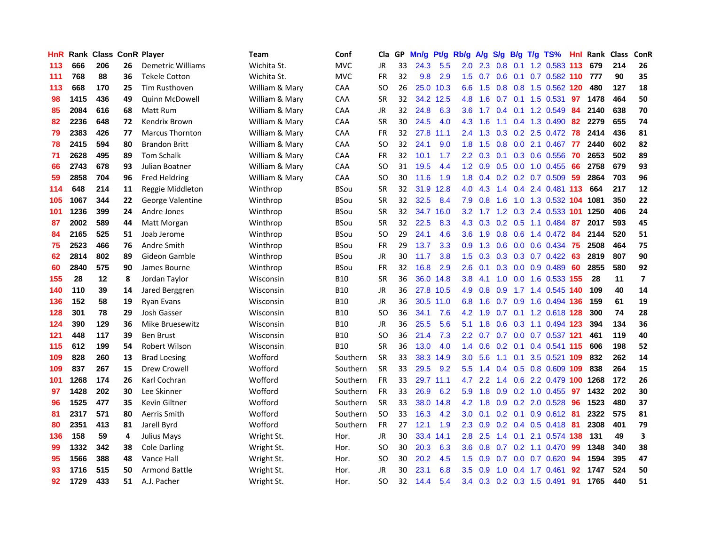| HnR | Rank |     |    | <b>Class ConR Player</b> | Team           | Conf        | Cla           | GP. | Mn/g | Pt/g      | Rb/g             | A/g     | S/g           | B/g | $T/g$ TS%                    | Hnl. | Rank Class |     | ConR                    |
|-----|------|-----|----|--------------------------|----------------|-------------|---------------|-----|------|-----------|------------------|---------|---------------|-----|------------------------------|------|------------|-----|-------------------------|
| 113 | 666  | 206 | 26 | Demetric Williams        | Wichita St.    | <b>MVC</b>  | JR            | 33  | 24.3 | 5.5       | 2.0              | 2.3     | 0.8           | 0.1 | 1.2 0.583                    | 113  | 679        | 214 | 26                      |
| 111 | 768  | 88  | 36 | <b>Tekele Cotton</b>     | Wichita St.    | <b>MVC</b>  | <b>FR</b>     | 32  | 9.8  | 2.9       | 1.5              | 0.7     | 0.6           | 0.1 | 0.7 0.582 110                |      | 777        | 90  | 35                      |
| 113 | 668  | 170 | 25 | <b>Tim Rusthoven</b>     | William & Mary | CAA         | <sub>SO</sub> | 26  | 25.0 | 10.3      | 6.6              | 1.5     |               |     | 0.8 0.8 1.5 0.562 120        |      | 480        | 127 | 18                      |
| 98  | 1415 | 436 | 49 | Quinn McDowell           | William & Mary | CAA         | <b>SR</b>     | 32  |      | 34.2 12.5 | 4.8              | 1.6     |               |     | 0.7 0.1 1.5 0.531            | 97   | 1478       | 464 | 50                      |
| 85  | 2084 | 616 | 68 | Matt Rum                 | William & Mary | <b>CAA</b>  | <b>JR</b>     | 32  | 24.8 | 6.3       | 3.6 <sup>2</sup> | 1.7     |               |     | $0.4$ 0.1 1.2 0.549          | 84   | 2140       | 638 | 70                      |
| 82  | 2236 | 648 | 72 | Kendrix Brown            | William & Mary | <b>CAA</b>  | <b>SR</b>     | 30  | 24.5 | 4.0       | 4.3              | 1.6     |               |     | 1.1 0.4 1.3 0.490            | 82   | 2279       | 655 | 74                      |
| 79  | 2383 | 426 | 77 | <b>Marcus Thornton</b>   | William & Mary | CAA         | FR            | 32  |      | 27.8 11.1 | $2.4^{\circ}$    | 1.3     |               |     | $0.3$ $0.2$ $2.5$ $0.472$    | 78   | 2414       | 436 | 81                      |
| 78  | 2415 | 594 | 80 | <b>Brandon Britt</b>     | William & Mary | CAA         | <sub>SO</sub> | 32  | 24.1 | 9.0       | 1.8              | 1.5     | 0.8           |     | 0.0 2.1 0.467                | 77   | 2440       | 602 | 82                      |
| 71  | 2628 | 495 | 89 | <b>Tom Schalk</b>        | William & Mary | CAA         | <b>FR</b>     | 32  | 10.1 | 1.7       | $2.2\phantom{0}$ | 0.3     | 0.1           |     | 0.3 0.6 0.556                | 70   | 2653       | 502 | 89                      |
| 66  | 2743 | 678 | 93 | Julian Boatner           | William & Mary | CAA         | SO            | 31  | 19.5 | 4.4       | 1.2              | 0.9     |               |     | $0.5$ 0.0 1.0 0.455          | 66   | 2758       | 679 | 93                      |
| 59  | 2858 | 704 | 96 | <b>Fred Heldring</b>     | William & Mary | CAA         | SO            | 30  | 11.6 | 1.9       | 1.8              | 0.4     |               |     | 0.2 0.2 0.7 0.509            | 59   | 2864       | 703 | 96                      |
| 114 | 648  | 214 | 11 | Reggie Middleton         | Winthrop       | <b>BSou</b> | <b>SR</b>     | 32  | 31.9 | 12.8      | 4.0              | 4.3     | $1.4^{\circ}$ | 0.4 | 2.4 0.481 113                |      | 664        | 217 | 12                      |
| 105 | 1067 | 344 | 22 | <b>George Valentine</b>  | Winthrop       | <b>BSou</b> | <b>SR</b>     | 32  | 32.5 | 8.4       | 7.9              | 0.8     | 1.6           | 1.0 | 1.3 0.532 104                |      | 1081       | 350 | 22                      |
| 101 | 1236 | 399 | 24 | Andre Jones              | Winthrop       | <b>BSou</b> | <b>SR</b>     | 32  |      | 34.7 16.0 | 3.2              | 1.7     | 1.2           | 0.3 | 2.4 0.533 101                |      | 1250       | 406 | 24                      |
| 87  | 2002 | 589 | 44 | Matt Morgan              | Winthrop       | <b>BSou</b> | <b>SR</b>     | 32  | 22.5 | 8.3       | 4.3              | 0.3     | 0.2           | 0.5 | 1.1 0.484                    | -87  | 2017       | 593 | 45                      |
| 84  | 2165 | 525 | 51 | Joab Jerome              | Winthrop       | <b>BSou</b> | SO            | 29  | 24.1 | 4.6       | 3.6 <sup>°</sup> | 1.9     | 0.8           |     | 0.6 1.4 0.472 84             |      | 2144       | 520 | 51                      |
| 75  | 2523 | 466 | 76 | Andre Smith              | Winthrop       | <b>BSou</b> | <b>FR</b>     | 29  | 13.7 | 3.3       | 0.9 <sup>°</sup> |         |               |     | 1.3 0.6 0.0 0.6 0.434 75     |      | 2508       | 464 | 75                      |
| 62  | 2814 | 802 | 89 | Gideon Gamble            | Winthrop       | <b>BSou</b> | <b>JR</b>     | 30  | 11.7 | 3.8       |                  |         |               |     | 1.5 0.3 0.3 0.3 0.7 0.422 63 |      | 2819       | 807 | 90                      |
| 60  | 2840 | 575 | 90 | James Bourne             | Winthrop       | <b>BSou</b> | <b>FR</b>     | 32  | 16.8 | 2.9       | 2.6              | 0.1     |               |     | $0.3$ 0.0 0.9 0.489          | -60  | 2855       | 580 | 92                      |
| 155 | 28   | 12  | 8  | Jordan Taylor            | Wisconsin      | <b>B10</b>  | <b>SR</b>     | 36  |      | 36.0 14.8 | 3.8 <sup>°</sup> | 4.1     | 1.0           |     | 0.0 1.6 0.533 155            |      | 28         | 11  | $\overline{\mathbf{z}}$ |
| 140 | 110  | 39  | 14 | Jared Berggren           | Wisconsin      | <b>B10</b>  | JR            | 36  |      | 27.8 10.5 | 4.9              | 0.8     | 0.9           |     | 1.7 1.4 0.545 140            |      | 109        | 40  | 14                      |
| 136 | 152  | 58  | 19 | <b>Ryan Evans</b>        | Wisconsin      | <b>B10</b>  | JR            | 36  | 30.5 | 11.0      | 6.8              | 1.6     | 0.7           | 0.9 | 1.6 0.494 136                |      | 159        | 61  | 19                      |
| 128 | 301  | 78  | 29 | Josh Gasser              | Wisconsin      | <b>B10</b>  | <sub>SO</sub> | 36  | 34.1 | 7.6       | 4.2              | 1.9     |               |     | 0.7 0.1 1.2 0.618 128        |      | 300        | 74  | 28                      |
| 124 | 390  | 129 | 36 | <b>Mike Bruesewitz</b>   | Wisconsin      | <b>B10</b>  | JR            | 36  | 25.5 | 5.6       | 5.1              | 1.8     | 0.6           |     | 0.3 1.1 0.494 123            |      | 394        | 134 | 36                      |
| 121 | 448  | 117 | 39 | <b>Ben Brust</b>         | Wisconsin      | <b>B10</b>  | SO            | 36  | 21.4 | 7.3       | $2.2^{\circ}$    | 0.7     | 0.7           |     | 0.0 0.7 0.537 121            |      | 461        | 119 | 40                      |
| 115 | 612  | 199 | 54 | Robert Wilson            | Wisconsin      | <b>B10</b>  | <b>SR</b>     | 36  | 13.0 | 4.0       | 1.4              | 0.6     | 0.2           | 0.1 | 0.4 0.541 115                |      | 606        | 198 | 52                      |
| 109 | 828  | 260 | 13 | <b>Brad Loesing</b>      | Wofford        | Southern    | <b>SR</b>     | 33  |      | 38.3 14.9 | 3.0              | 5.6     | 1.1           | 0.1 | 3.5 0.521 109                |      | 832        | 262 | 14                      |
| 109 | 837  | 267 | 15 | Drew Crowell             | Wofford        | Southern    | SR            | 33  | 29.5 | 9.2       | 5.5 <sub>1</sub> | 1.4     | 0.4           | 0.5 | 0.8 0.609 109                |      | 838        | 264 | 15                      |
| 101 | 1268 | 174 | 26 | Karl Cochran             | Wofford        | Southern    | <b>FR</b>     | 33  |      | 29.7 11.1 | 4.7              | 2.2     | 1.4           |     | 0.6 2.2 0.479 100            |      | 1268       | 172 | 26                      |
| 97  | 1428 | 202 | 30 | Lee Skinner              | Wofford        | Southern    | <b>FR</b>     | 33  | 26.9 | 6.2       | 5.9              | 1.8     |               |     | 0.9 0.2 1.0 0.455 97         |      | 1432       | 202 | 30                      |
| 96  | 1525 | 477 | 35 | Kevin Giltner            | Wofford        | Southern    | <b>SR</b>     | 33  | 38.0 | 14.8      |                  | 4.2 1.8 |               |     | $0.9$ $0.2$ $2.0$ $0.528$    | -96  | 1523       | 480 | 37                      |
| 81  | 2317 | 571 | 80 | Aerris Smith             | Wofford        | Southern    | <b>SO</b>     | 33  | 16.3 | 4.2       | 3.0 <sub>1</sub> | 0.1     |               |     | $0.2$ 0.1 0.9 0.612          | -81  | 2322       | 575 | 81                      |
| 80  | 2351 | 413 | 81 | Jarell Byrd              | Wofford        | Southern    | <b>FR</b>     | 27  | 12.1 | 1.9       | $2.3^{\circ}$    | 0.9     |               |     | $0.2$ 0.4 0.5 0.418          | -81  | 2308       | 401 | 79                      |
| 136 | 158  | 59  | 4  | Julius Mays              | Wright St.     | Hor.        | JR            | 30  |      | 33.4 14.1 | 2.8              | 2.5     | 1.4           | 0.1 | 2.1 0.574 138                |      | 131        | 49  | 3                       |
| 99  | 1332 | 342 | 38 | <b>Cole Darling</b>      | Wright St.     | Hor.        | <b>SO</b>     | 30  | 20.3 | 6.3       | 3.6 <sup>°</sup> | 0.8     |               |     | $0.7$ $0.2$ 1.1 $0.470$      | 99   | 1348       | 340 | 38                      |
| 95  | 1566 | 388 | 48 | Vance Hall               | Wright St.     | Hor.        | <b>SO</b>     | 30  | 20.2 | 4.5       | 1.5              | 0.9     | 0.7           |     | $0.0$ 0.7 0.620              | 94   | 1594       | 395 | 47                      |
| 93  | 1716 | 515 | 50 | <b>Armond Battle</b>     | Wright St.     | Hor.        | JR            | 30  | 23.1 | 6.8       | 3.5              | 0.9     | 1.0           | 0.4 | 1.7 0.461                    | 92   | 1747       | 524 | 50                      |
| 92  | 1729 | 433 | 51 | A.J. Pacher              | Wright St.     | Hor.        | <b>SO</b>     | 32  | 14.4 | 5.4       |                  |         |               |     | 3.4 0.3 0.2 0.3 1.5 0.491    | -91  | 1765       | 440 | 51                      |